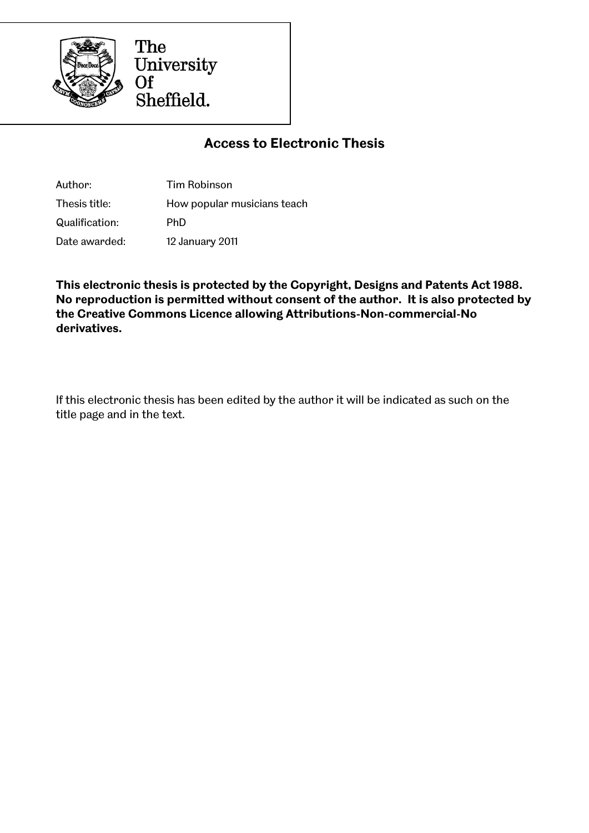

The University  $\overline{Of}$ Sheffield.

## **Access to Electronic Thesis**

Author: Tim Robinson Thesis title: How popular musicians teach Qualification: PhD Date awarded: 12 January 2011

**This electronic thesis is protected by the Copyright, Designs and Patents Act 1988. No reproduction is permitted without consent of the author. It is also protected by the Creative Commons Licence allowing Attributions-Non-commercial-No derivatives.**

If this electronic thesis has been edited by the author it will be indicated as such on the title page and in the text.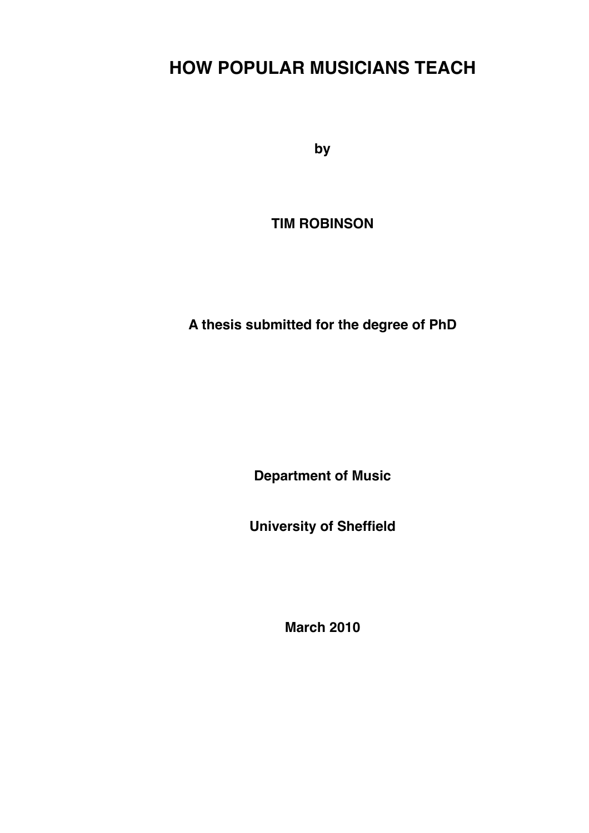# **HOW POPULAR MUSICIANS TEACH**

**by**

**TIM ROBINSON**

**A thesis submitted for the degree of PhD**

**Department of Music**

**University of Sheffield**

**March 2010**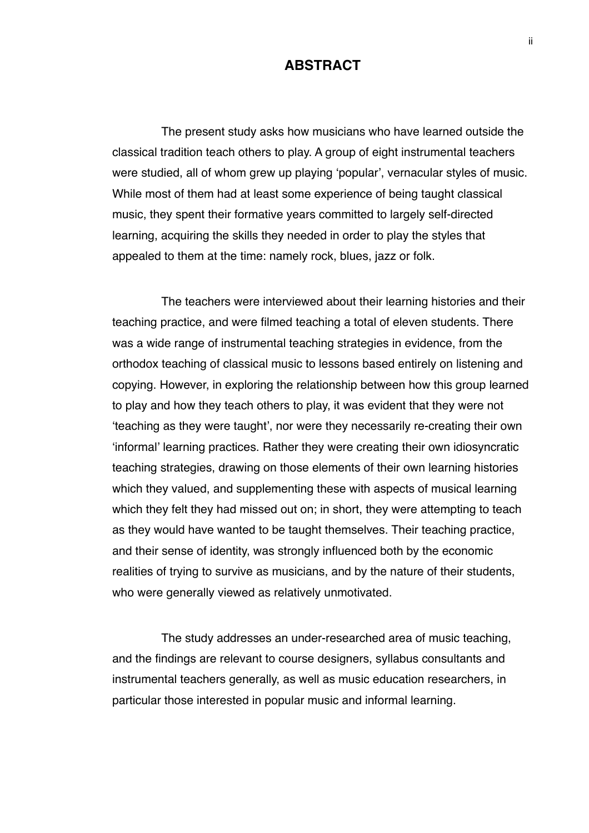## **ABSTRACT**

The present study asks how musicians who have learned outside the classical tradition teach others to play. A group of eight instrumental teachers were studied, all of whom grew up playing ʻpopular', vernacular styles of music. While most of them had at least some experience of being taught classical music, they spent their formative years committed to largely self-directed learning, acquiring the skills they needed in order to play the styles that appealed to them at the time: namely rock, blues, jazz or folk.

The teachers were interviewed about their learning histories and their teaching practice, and were filmed teaching a total of eleven students. There was a wide range of instrumental teaching strategies in evidence, from the orthodox teaching of classical music to lessons based entirely on listening and copying. However, in exploring the relationship between how this group learned to play and how they teach others to play, it was evident that they were not ʻteaching as they were taught', nor were they necessarily re-creating their own ʻinformal' learning practices. Rather they were creating their own idiosyncratic teaching strategies, drawing on those elements of their own learning histories which they valued, and supplementing these with aspects of musical learning which they felt they had missed out on; in short, they were attempting to teach as they would have wanted to be taught themselves. Their teaching practice, and their sense of identity, was strongly influenced both by the economic realities of trying to survive as musicians, and by the nature of their students, who were generally viewed as relatively unmotivated.

The study addresses an under-researched area of music teaching, and the findings are relevant to course designers, syllabus consultants and instrumental teachers generally, as well as music education researchers, in particular those interested in popular music and informal learning.

ii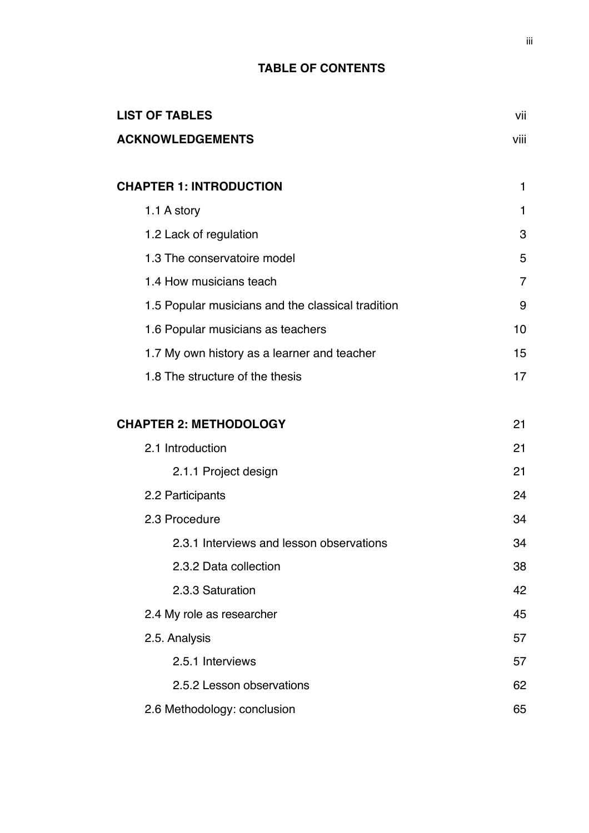## **TABLE OF CONTENTS**

| <b>LIST OF TABLES</b>                             | vii          |
|---------------------------------------------------|--------------|
| <b>ACKNOWLEDGEMENTS</b>                           | viii         |
| <b>CHAPTER 1: INTRODUCTION</b>                    | $\mathbf{1}$ |
| 1.1 A story                                       | 1            |
| 1.2 Lack of regulation                            | 3            |
| 1.3 The conservatoire model                       | 5            |
| 1.4 How musicians teach                           | 7            |
| 1.5 Popular musicians and the classical tradition | 9            |
| 1.6 Popular musicians as teachers                 | 10           |
| 1.7 My own history as a learner and teacher       | 15           |
| 1.8 The structure of the thesis                   | 17           |
| <b>CHAPTER 2: METHODOLOGY</b>                     | 21           |
| 2.1 Introduction                                  | 21           |
| 2.1.1 Project design                              | 21           |
| 2.2 Participants                                  | 24           |
| 2.3 Procedure                                     | 34           |
| 2.3.1 Interviews and lesson observations          | 34           |
| 2.3.2 Data collection                             | 38           |
| 2.3.3 Saturation                                  | 42           |
| 2.4 My role as researcher                         | 45           |
| 2.5. Analysis                                     | 57           |
| 2.5.1 Interviews                                  | 57           |
| 2.5.2 Lesson observations                         | 62           |
| 2.6 Methodology: conclusion                       | 65           |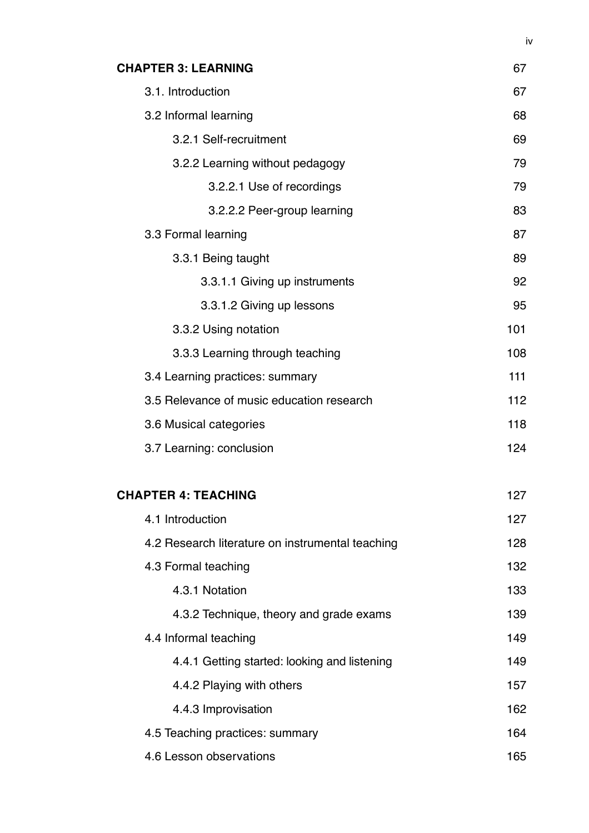| <b>CHAPTER 3: LEARNING</b>                       | 67  |
|--------------------------------------------------|-----|
| 3.1. Introduction                                | 67  |
| 3.2 Informal learning                            | 68  |
| 3.2.1 Self-recruitment                           | 69  |
| 3.2.2 Learning without pedagogy                  | 79  |
| 3.2.2.1 Use of recordings                        | 79  |
| 3.2.2.2 Peer-group learning                      | 83  |
| 3.3 Formal learning                              | 87  |
| 3.3.1 Being taught                               | 89  |
| 3.3.1.1 Giving up instruments                    | 92  |
| 3.3.1.2 Giving up lessons                        | 95  |
| 3.3.2 Using notation                             | 101 |
| 3.3.3 Learning through teaching                  | 108 |
| 3.4 Learning practices: summary                  | 111 |
| 3.5 Relevance of music education research        | 112 |
| 3.6 Musical categories                           | 118 |
| 3.7 Learning: conclusion                         | 124 |
| <b>CHAPTER 4: TEACHING</b>                       | 127 |
| 4.1 Introduction                                 | 127 |
| 4.2 Research literature on instrumental teaching | 128 |
| 4.3 Formal teaching                              | 132 |
| 4.3.1 Notation                                   | 133 |
| 4.3.2 Technique, theory and grade exams          | 139 |
| 4.4 Informal teaching                            | 149 |
| 4.4.1 Getting started: looking and listening     | 149 |
| 4.4.2 Playing with others                        | 157 |
| 4.4.3 Improvisation                              | 162 |
| 4.5 Teaching practices: summary                  | 164 |
| 4.6 Lesson observations                          | 165 |

iv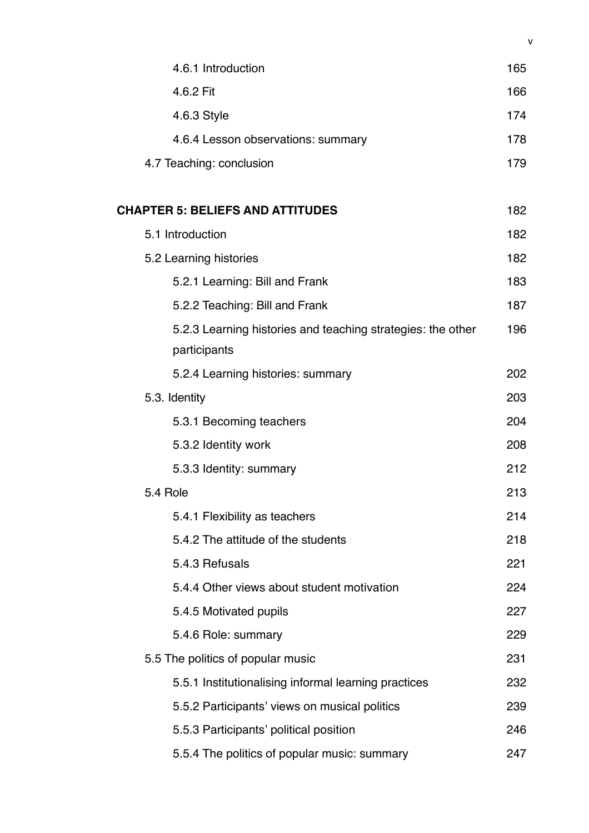| 4.6.1 Introduction                                          | 165 |
|-------------------------------------------------------------|-----|
| 4.6.2 Fit                                                   | 166 |
| 4.6.3 Style                                                 | 174 |
| 4.6.4 Lesson observations: summary                          | 178 |
| 4.7 Teaching: conclusion                                    | 179 |
|                                                             |     |
| <b>CHAPTER 5: BELIEFS AND ATTITUDES</b>                     | 182 |
| 5.1 Introduction                                            | 182 |
| 5.2 Learning histories                                      | 182 |
| 5.2.1 Learning: Bill and Frank                              | 183 |
| 5.2.2 Teaching: Bill and Frank                              | 187 |
| 5.2.3 Learning histories and teaching strategies: the other | 196 |
| participants                                                |     |
| 5.2.4 Learning histories: summary                           | 202 |
| 5.3. Identity                                               | 203 |
| 5.3.1 Becoming teachers                                     | 204 |
| 5.3.2 Identity work                                         | 208 |
| 5.3.3 Identity: summary                                     | 212 |
| 5.4 Role                                                    | 213 |
| 5.4.1 Flexibility as teachers                               | 214 |
| 5.4.2 The attitude of the students                          | 218 |
| 5.4.3 Refusals                                              | 221 |
| 5.4.4 Other views about student motivation                  | 224 |
| 5.4.5 Motivated pupils                                      | 227 |
| 5.4.6 Role: summary                                         | 229 |
| 5.5 The politics of popular music                           | 231 |
| 5.5.1 Institutionalising informal learning practices        | 232 |
| 5.5.2 Participants' views on musical politics               | 239 |
| 5.5.3 Participants' political position                      | 246 |
| 5.5.4 The politics of popular music: summary                | 247 |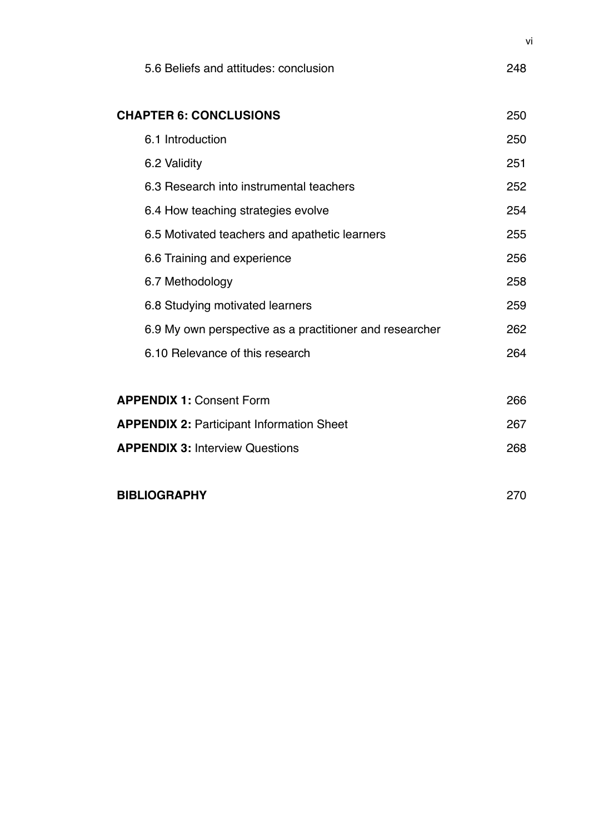| 5.6 Beliefs and attitudes: conclusion                   | 248 |
|---------------------------------------------------------|-----|
| <b>CHAPTER 6: CONCLUSIONS</b>                           | 250 |
| 6.1 Introduction                                        | 250 |
| 6.2 Validity                                            | 251 |
| 6.3 Research into instrumental teachers                 | 252 |
| 6.4 How teaching strategies evolve                      | 254 |
| 6.5 Motivated teachers and apathetic learners           | 255 |
| 6.6 Training and experience                             | 256 |
| 6.7 Methodology                                         | 258 |
| 6.8 Studying motivated learners                         | 259 |
| 6.9 My own perspective as a practitioner and researcher | 262 |
| 6.10 Relevance of this research                         | 264 |
| <b>APPENDIX 1: Consent Form</b>                         | 266 |
| <b>APPENDIX 2: Participant Information Sheet</b>        | 267 |
| <b>APPENDIX 3: Interview Questions</b>                  | 268 |

**BIBLIOGRAPHY**

270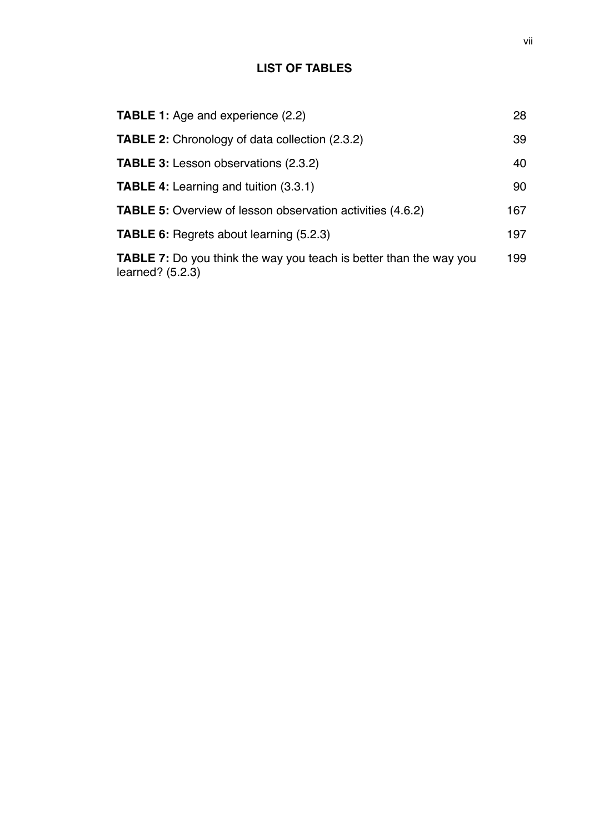## **LIST OF TABLES**

| <b>TABLE 1:</b> Age and experience (2.2)                                                      | 28  |
|-----------------------------------------------------------------------------------------------|-----|
| <b>TABLE 2:</b> Chronology of data collection (2.3.2)                                         | 39  |
| <b>TABLE 3: Lesson observations (2.3.2)</b>                                                   | 40  |
| <b>TABLE 4:</b> Learning and tuition (3.3.1)                                                  | 90  |
| <b>TABLE 5:</b> Overview of lesson observation activities (4.6.2)                             | 167 |
| <b>TABLE 6:</b> Regrets about learning (5.2.3)                                                | 197 |
| <b>TABLE 7:</b> Do you think the way you teach is better than the way you<br>learned? (5.2.3) | 199 |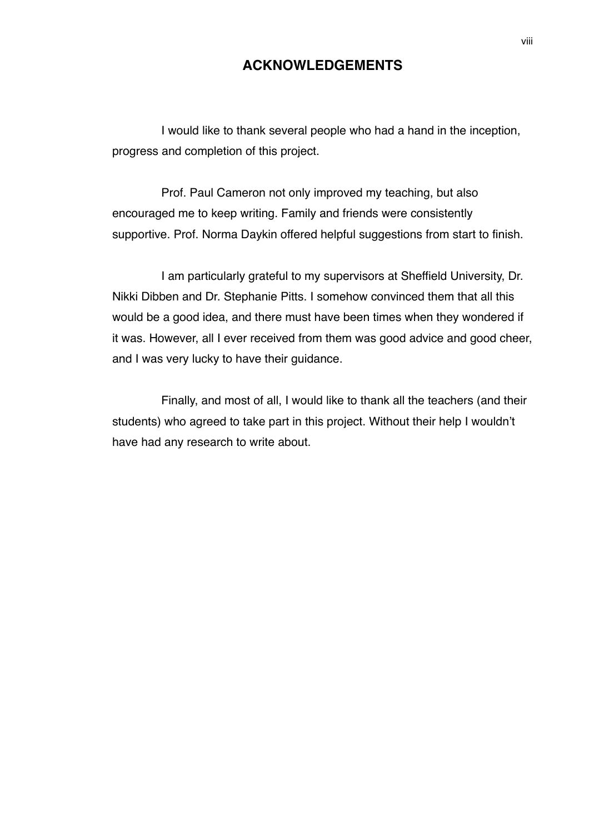## **ACKNOWLEDGEMENTS**

I would like to thank several people who had a hand in the inception, progress and completion of this project.

Prof. Paul Cameron not only improved my teaching, but also encouraged me to keep writing. Family and friends were consistently supportive. Prof. Norma Daykin offered helpful suggestions from start to finish.

I am particularly grateful to my supervisors at Sheffield University, Dr. Nikki Dibben and Dr. Stephanie Pitts. I somehow convinced them that all this would be a good idea, and there must have been times when they wondered if it was. However, all I ever received from them was good advice and good cheer, and I was very lucky to have their guidance.

Finally, and most of all, I would like to thank all the teachers (and their students) who agreed to take part in this project. Without their help I wouldn't have had any research to write about.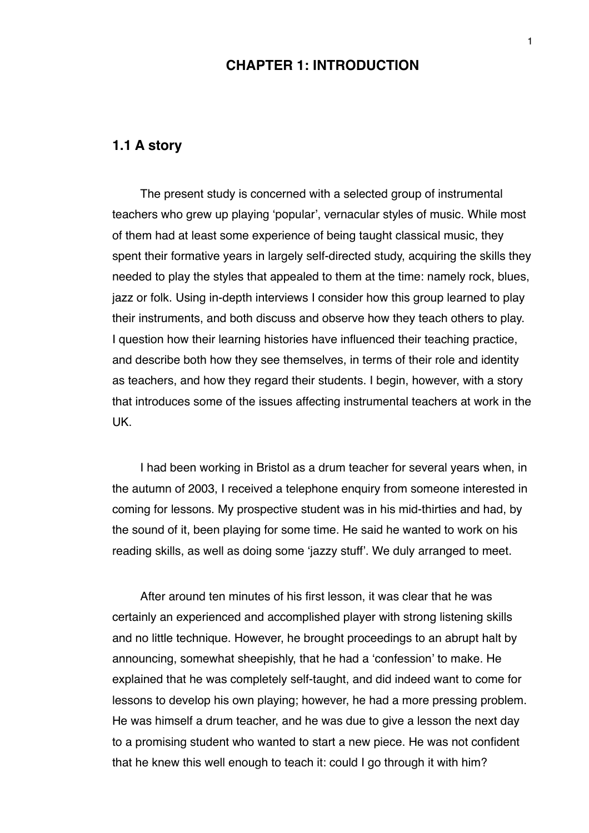## **CHAPTER 1: INTRODUCTION**

## **1.1 A story**

The present study is concerned with a selected group of instrumental teachers who grew up playing ʻpopular', vernacular styles of music. While most of them had at least some experience of being taught classical music, they spent their formative years in largely self-directed study, acquiring the skills they needed to play the styles that appealed to them at the time: namely rock, blues, jazz or folk. Using in-depth interviews I consider how this group learned to play their instruments, and both discuss and observe how they teach others to play. I question how their learning histories have influenced their teaching practice, and describe both how they see themselves, in terms of their role and identity as teachers, and how they regard their students. I begin, however, with a story that introduces some of the issues affecting instrumental teachers at work in the UK.

I had been working in Bristol as a drum teacher for several years when, in the autumn of 2003, I received a telephone enquiry from someone interested in coming for lessons. My prospective student was in his mid-thirties and had, by the sound of it, been playing for some time. He said he wanted to work on his reading skills, as well as doing some ʻjazzy stuff'. We duly arranged to meet.

After around ten minutes of his first lesson, it was clear that he was certainly an experienced and accomplished player with strong listening skills and no little technique. However, he brought proceedings to an abrupt halt by announcing, somewhat sheepishly, that he had a ʻconfession' to make. He explained that he was completely self-taught, and did indeed want to come for lessons to develop his own playing; however, he had a more pressing problem. He was himself a drum teacher, and he was due to give a lesson the next day to a promising student who wanted to start a new piece. He was not confident that he knew this well enough to teach it: could I go through it with him?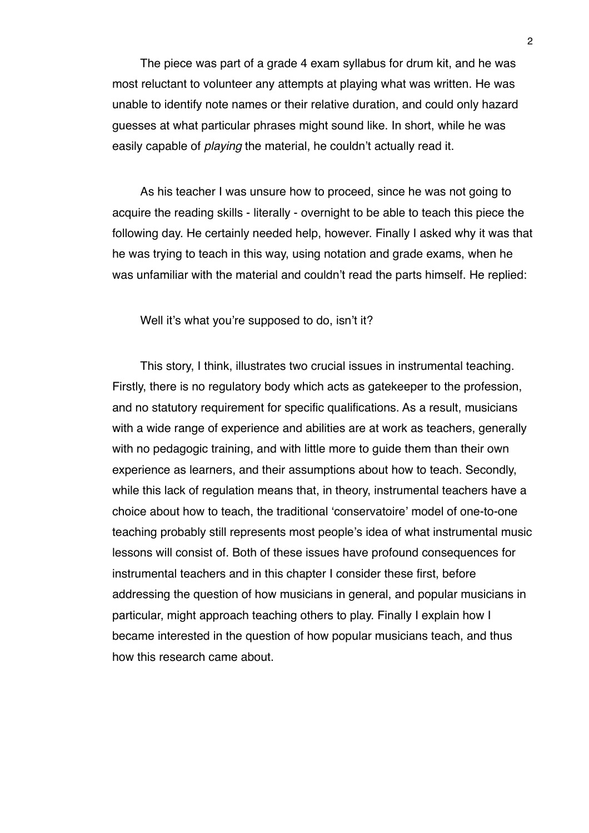The piece was part of a grade 4 exam syllabus for drum kit, and he was most reluctant to volunteer any attempts at playing what was written. He was unable to identify note names or their relative duration, and could only hazard guesses at what particular phrases might sound like. In short, while he was easily capable of *playing* the material, he couldn't actually read it.

As his teacher I was unsure how to proceed, since he was not going to acquire the reading skills - literally - overnight to be able to teach this piece the following day. He certainly needed help, however. Finally I asked why it was that he was trying to teach in this way, using notation and grade exams, when he was unfamiliar with the material and couldn't read the parts himself. He replied:

Well it's what you're supposed to do, isn't it?

This story, I think, illustrates two crucial issues in instrumental teaching. Firstly, there is no regulatory body which acts as gatekeeper to the profession, and no statutory requirement for specific qualifications. As a result, musicians with a wide range of experience and abilities are at work as teachers, generally with no pedagogic training, and with little more to guide them than their own experience as learners, and their assumptions about how to teach. Secondly, while this lack of regulation means that, in theory, instrumental teachers have a choice about how to teach, the traditional ʻconservatoire' model of one-to-one teaching probably still represents most people's idea of what instrumental music lessons will consist of. Both of these issues have profound consequences for instrumental teachers and in this chapter I consider these first, before addressing the question of how musicians in general, and popular musicians in particular, might approach teaching others to play. Finally I explain how I became interested in the question of how popular musicians teach, and thus how this research came about.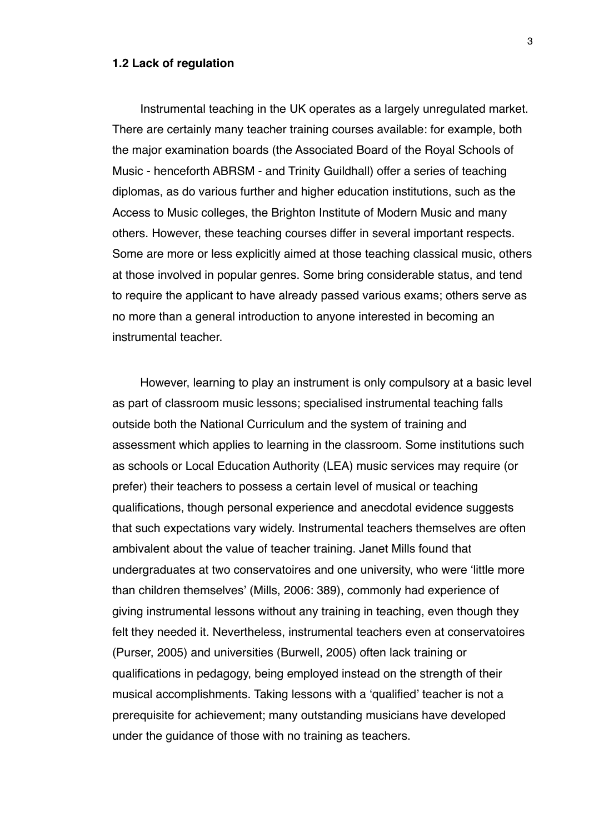#### **1.2 Lack of regulation**

Instrumental teaching in the UK operates as a largely unregulated market. There are certainly many teacher training courses available: for example, both the major examination boards (the Associated Board of the Royal Schools of Music - henceforth ABRSM - and Trinity Guildhall) offer a series of teaching diplomas, as do various further and higher education institutions, such as the Access to Music colleges, the Brighton Institute of Modern Music and many others. However, these teaching courses differ in several important respects. Some are more or less explicitly aimed at those teaching classical music, others at those involved in popular genres. Some bring considerable status, and tend to require the applicant to have already passed various exams; others serve as no more than a general introduction to anyone interested in becoming an instrumental teacher.

However, learning to play an instrument is only compulsory at a basic level as part of classroom music lessons; specialised instrumental teaching falls outside both the National Curriculum and the system of training and assessment which applies to learning in the classroom. Some institutions such as schools or Local Education Authority (LEA) music services may require (or prefer) their teachers to possess a certain level of musical or teaching qualifications, though personal experience and anecdotal evidence suggests that such expectations vary widely. Instrumental teachers themselves are often ambivalent about the value of teacher training. Janet Mills found that undergraduates at two conservatoires and one university, who were ʻlittle more than children themselves' (Mills, 2006: 389), commonly had experience of giving instrumental lessons without any training in teaching, even though they felt they needed it. Nevertheless, instrumental teachers even at conservatoires (Purser, 2005) and universities (Burwell, 2005) often lack training or qualifications in pedagogy, being employed instead on the strength of their musical accomplishments. Taking lessons with a ʻqualified' teacher is not a prerequisite for achievement; many outstanding musicians have developed under the guidance of those with no training as teachers.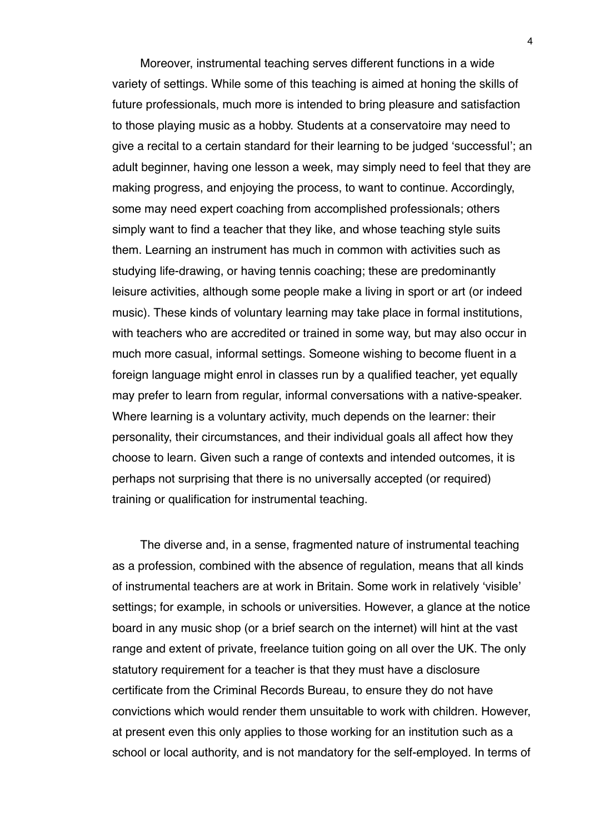Moreover, instrumental teaching serves different functions in a wide variety of settings. While some of this teaching is aimed at honing the skills of future professionals, much more is intended to bring pleasure and satisfaction to those playing music as a hobby. Students at a conservatoire may need to give a recital to a certain standard for their learning to be judged ʻsuccessful'; an adult beginner, having one lesson a week, may simply need to feel that they are making progress, and enjoying the process, to want to continue. Accordingly, some may need expert coaching from accomplished professionals; others simply want to find a teacher that they like, and whose teaching style suits them. Learning an instrument has much in common with activities such as studying life-drawing, or having tennis coaching; these are predominantly leisure activities, although some people make a living in sport or art (or indeed music). These kinds of voluntary learning may take place in formal institutions, with teachers who are accredited or trained in some way, but may also occur in much more casual, informal settings. Someone wishing to become fluent in a foreign language might enrol in classes run by a qualified teacher, yet equally may prefer to learn from regular, informal conversations with a native-speaker. Where learning is a voluntary activity, much depends on the learner: their personality, their circumstances, and their individual goals all affect how they choose to learn. Given such a range of contexts and intended outcomes, it is perhaps not surprising that there is no universally accepted (or required) training or qualification for instrumental teaching.

The diverse and, in a sense, fragmented nature of instrumental teaching as a profession, combined with the absence of regulation, means that all kinds of instrumental teachers are at work in Britain. Some work in relatively ʻvisible' settings; for example, in schools or universities. However, a glance at the notice board in any music shop (or a brief search on the internet) will hint at the vast range and extent of private, freelance tuition going on all over the UK. The only statutory requirement for a teacher is that they must have a disclosure certificate from the Criminal Records Bureau, to ensure they do not have convictions which would render them unsuitable to work with children. However, at present even this only applies to those working for an institution such as a school or local authority, and is not mandatory for the self-employed. In terms of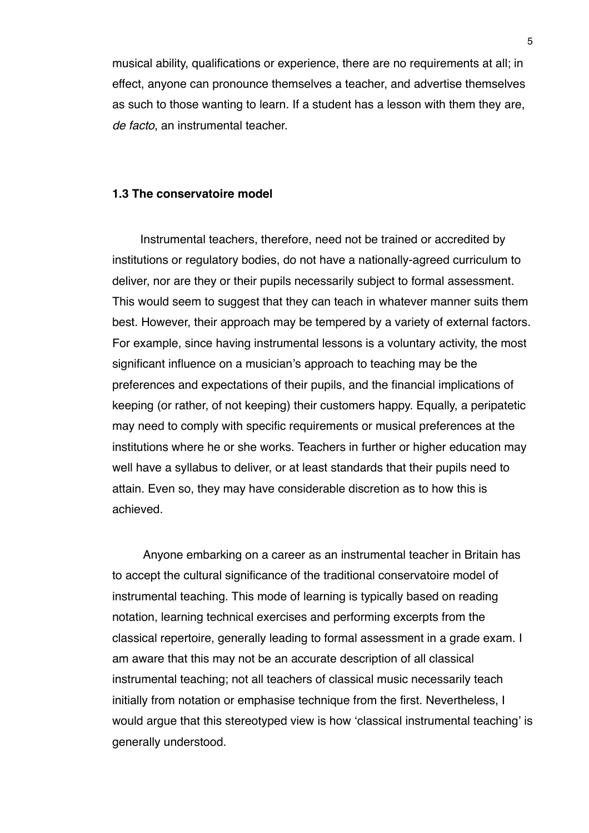musical ability, qualifications or experience, there are no requirements at all; in effect, anyone can pronounce themselves a teacher, and advertise themselves as such to those wanting to learn. If a student has a lesson with them they are, *de facto*, an instrumental teacher.

#### **1.3 The conservatoire model**

Instrumental teachers, therefore, need not be trained or accredited by institutions or regulatory bodies, do not have a nationally-agreed curriculum to deliver, nor are they or their pupils necessarily subject to formal assessment. This would seem to suggest that they can teach in whatever manner suits them best. However, their approach may be tempered by a variety of external factors. For example, since having instrumental lessons is a voluntary activity, the most significant influence on a musician's approach to teaching may be the preferences and expectations of their pupils, and the financial implications of keeping (or rather, of not keeping) their customers happy. Equally, a peripatetic may need to comply with specific requirements or musical preferences at the institutions where he or she works. Teachers in further or higher education may well have a syllabus to deliver, or at least standards that their pupils need to attain. Even so, they may have considerable discretion as to how this is achieved.

 Anyone embarking on a career as an instrumental teacher in Britain has to accept the cultural significance of the traditional conservatoire model of instrumental teaching. This mode of learning is typically based on reading notation, learning technical exercises and performing excerpts from the classical repertoire, generally leading to formal assessment in a grade exam. I am aware that this may not be an accurate description of all classical instrumental teaching; not all teachers of classical music necessarily teach initially from notation or emphasise technique from the first. Nevertheless, I would argue that this stereotyped view is how ʻclassical instrumental teaching' is generally understood.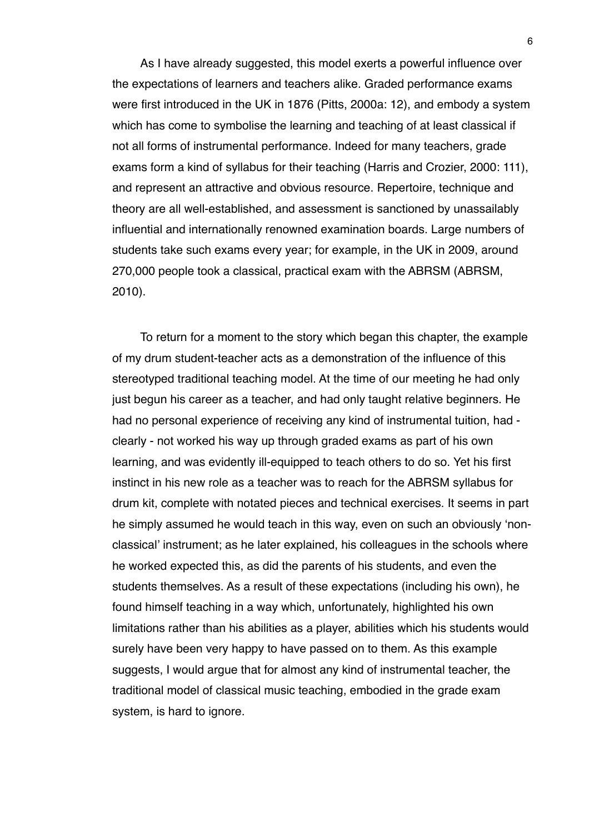As I have already suggested, this model exerts a powerful influence over the expectations of learners and teachers alike. Graded performance exams were first introduced in the UK in 1876 (Pitts, 2000a: 12), and embody a system which has come to symbolise the learning and teaching of at least classical if not all forms of instrumental performance. Indeed for many teachers, grade exams form a kind of syllabus for their teaching (Harris and Crozier, 2000: 111), and represent an attractive and obvious resource. Repertoire, technique and theory are all well-established, and assessment is sanctioned by unassailably influential and internationally renowned examination boards. Large numbers of students take such exams every year; for example, in the UK in 2009, around 270,000 people took a classical, practical exam with the ABRSM (ABRSM, 2010).

To return for a moment to the story which began this chapter, the example of my drum student-teacher acts as a demonstration of the influence of this stereotyped traditional teaching model. At the time of our meeting he had only just begun his career as a teacher, and had only taught relative beginners. He had no personal experience of receiving any kind of instrumental tuition, had clearly - not worked his way up through graded exams as part of his own learning, and was evidently ill-equipped to teach others to do so. Yet his first instinct in his new role as a teacher was to reach for the ABRSM syllabus for drum kit, complete with notated pieces and technical exercises. It seems in part he simply assumed he would teach in this way, even on such an obviously ʻnonclassical' instrument; as he later explained, his colleagues in the schools where he worked expected this, as did the parents of his students, and even the students themselves. As a result of these expectations (including his own), he found himself teaching in a way which, unfortunately, highlighted his own limitations rather than his abilities as a player, abilities which his students would surely have been very happy to have passed on to them. As this example suggests, I would argue that for almost any kind of instrumental teacher, the traditional model of classical music teaching, embodied in the grade exam system, is hard to ignore.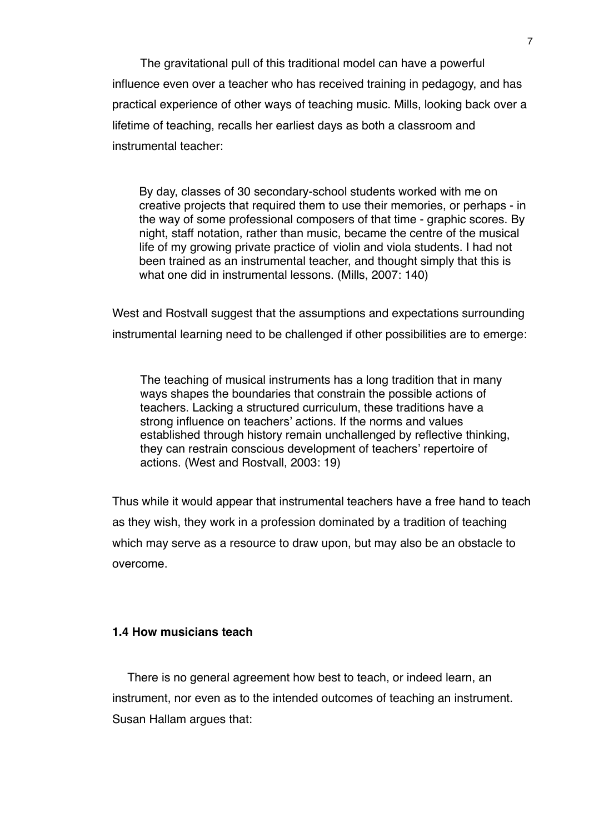The gravitational pull of this traditional model can have a powerful influence even over a teacher who has received training in pedagogy, and has practical experience of other ways of teaching music. Mills, looking back over a lifetime of teaching, recalls her earliest days as both a classroom and instrumental teacher:

By day, classes of 30 secondary-school students worked with me on creative projects that required them to use their memories, or perhaps - in the way of some professional composers of that time - graphic scores. By night, staff notation, rather than music, became the centre of the musical life of my growing private practice of violin and viola students. I had not been trained as an instrumental teacher, and thought simply that this is what one did in instrumental lessons. (Mills, 2007: 140)

West and Rostvall suggest that the assumptions and expectations surrounding instrumental learning need to be challenged if other possibilities are to emerge:

The teaching of musical instruments has a long tradition that in many ways shapes the boundaries that constrain the possible actions of teachers. Lacking a structured curriculum, these traditions have a strong influence on teachers' actions. If the norms and values established through history remain unchallenged by reflective thinking, they can restrain conscious development of teachers' repertoire of actions. (West and Rostvall, 2003: 19)

Thus while it would appear that instrumental teachers have a free hand to teach as they wish, they work in a profession dominated by a tradition of teaching which may serve as a resource to draw upon, but may also be an obstacle to overcome.

## **1.4 How musicians teach**

There is no general agreement how best to teach, or indeed learn, an instrument, nor even as to the intended outcomes of teaching an instrument. Susan Hallam argues that: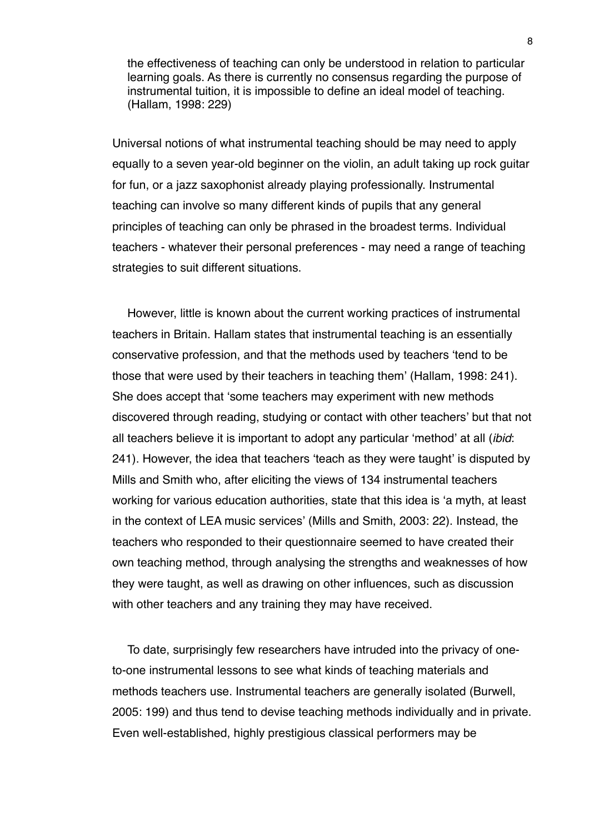the effectiveness of teaching can only be understood in relation to particular learning goals. As there is currently no consensus regarding the purpose of instrumental tuition, it is impossible to define an ideal model of teaching. (Hallam, 1998: 229)

Universal notions of what instrumental teaching should be may need to apply equally to a seven year-old beginner on the violin, an adult taking up rock guitar for fun, or a jazz saxophonist already playing professionally. Instrumental teaching can involve so many different kinds of pupils that any general principles of teaching can only be phrased in the broadest terms. Individual teachers - whatever their personal preferences - may need a range of teaching strategies to suit different situations.

However, little is known about the current working practices of instrumental teachers in Britain. Hallam states that instrumental teaching is an essentially conservative profession, and that the methods used by teachers ʻtend to be those that were used by their teachers in teaching them' (Hallam, 1998: 241). She does accept that ʻsome teachers may experiment with new methods discovered through reading, studying or contact with other teachers' but that not all teachers believe it is important to adopt any particular ʻmethod' at all (*ibid*: 241). However, the idea that teachers ʻteach as they were taught' is disputed by Mills and Smith who, after eliciting the views of 134 instrumental teachers working for various education authorities, state that this idea is ʻa myth, at least in the context of LEA music services' (Mills and Smith, 2003: 22). Instead, the teachers who responded to their questionnaire seemed to have created their own teaching method, through analysing the strengths and weaknesses of how they were taught, as well as drawing on other influences, such as discussion with other teachers and any training they may have received.

To date, surprisingly few researchers have intruded into the privacy of oneto-one instrumental lessons to see what kinds of teaching materials and methods teachers use. Instrumental teachers are generally isolated (Burwell, 2005: 199) and thus tend to devise teaching methods individually and in private. Even well-established, highly prestigious classical performers may be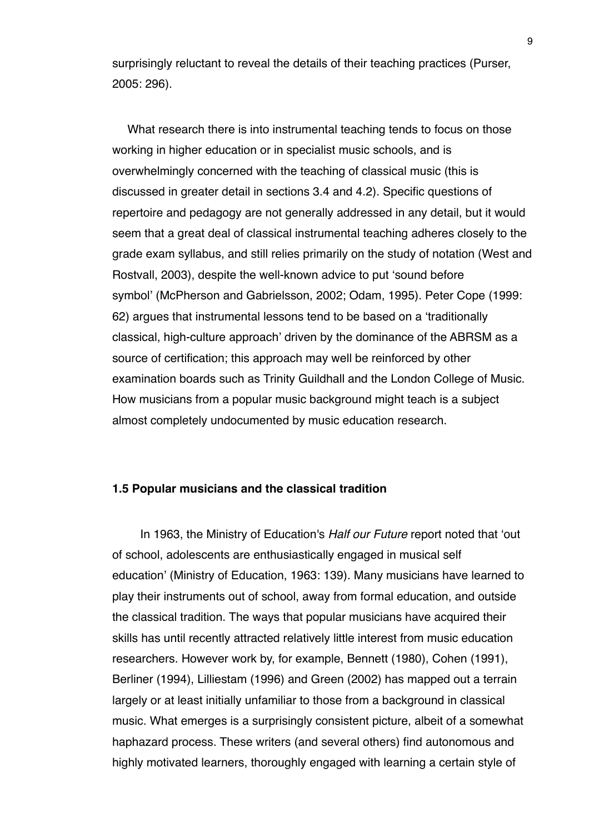surprisingly reluctant to reveal the details of their teaching practices (Purser, 2005: 296).

What research there is into instrumental teaching tends to focus on those working in higher education or in specialist music schools, and is overwhelmingly concerned with the teaching of classical music (this is discussed in greater detail in sections 3.4 and 4.2). Specific questions of repertoire and pedagogy are not generally addressed in any detail, but it would seem that a great deal of classical instrumental teaching adheres closely to the grade exam syllabus, and still relies primarily on the study of notation (West and Rostvall, 2003), despite the well-known advice to put ʻsound before symbol' (McPherson and Gabrielsson, 2002; Odam, 1995). Peter Cope (1999: 62) argues that instrumental lessons tend to be based on a ʻtraditionally classical, high-culture approach' driven by the dominance of the ABRSM as a source of certification; this approach may well be reinforced by other examination boards such as Trinity Guildhall and the London College of Music. How musicians from a popular music background might teach is a subject almost completely undocumented by music education research.

#### **1.5 Popular musicians and the classical tradition**

In 1963, the Ministry of Education's *Half our Future* report noted that ʻout of school, adolescents are enthusiastically engaged in musical self education' (Ministry of Education, 1963: 139). Many musicians have learned to play their instruments out of school, away from formal education, and outside the classical tradition. The ways that popular musicians have acquired their skills has until recently attracted relatively little interest from music education researchers. However work by, for example, Bennett (1980), Cohen (1991), Berliner (1994), Lilliestam (1996) and Green (2002) has mapped out a terrain largely or at least initially unfamiliar to those from a background in classical music. What emerges is a surprisingly consistent picture, albeit of a somewhat haphazard process. These writers (and several others) find autonomous and highly motivated learners, thoroughly engaged with learning a certain style of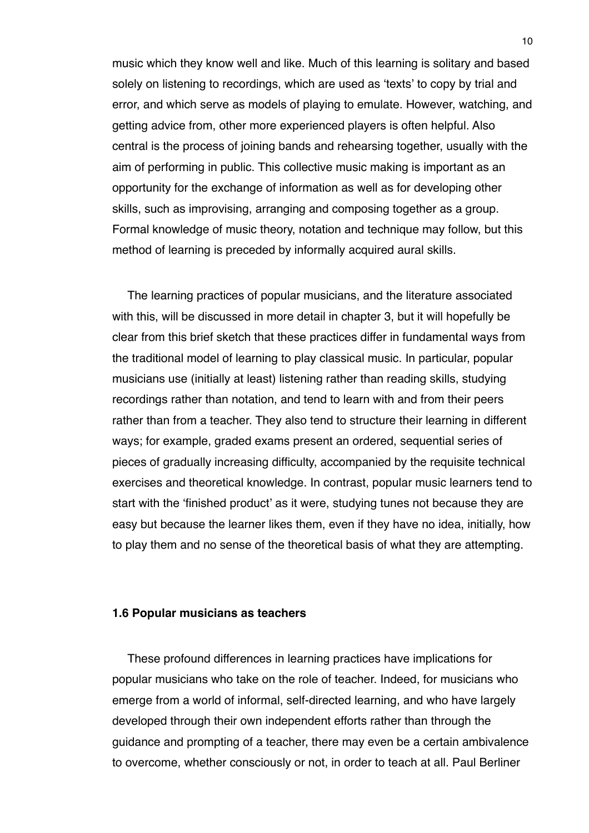music which they know well and like. Much of this learning is solitary and based solely on listening to recordings, which are used as ʻtexts' to copy by trial and error, and which serve as models of playing to emulate. However, watching, and getting advice from, other more experienced players is often helpful. Also central is the process of joining bands and rehearsing together, usually with the aim of performing in public. This collective music making is important as an opportunity for the exchange of information as well as for developing other skills, such as improvising, arranging and composing together as a group. Formal knowledge of music theory, notation and technique may follow, but this method of learning is preceded by informally acquired aural skills.

The learning practices of popular musicians, and the literature associated with this, will be discussed in more detail in chapter 3, but it will hopefully be clear from this brief sketch that these practices differ in fundamental ways from the traditional model of learning to play classical music. In particular, popular musicians use (initially at least) listening rather than reading skills, studying recordings rather than notation, and tend to learn with and from their peers rather than from a teacher. They also tend to structure their learning in different ways; for example, graded exams present an ordered, sequential series of pieces of gradually increasing difficulty, accompanied by the requisite technical exercises and theoretical knowledge. In contrast, popular music learners tend to start with the ʻfinished product' as it were, studying tunes not because they are easy but because the learner likes them, even if they have no idea, initially, how to play them and no sense of the theoretical basis of what they are attempting.

#### **1.6 Popular musicians as teachers**

These profound differences in learning practices have implications for popular musicians who take on the role of teacher. Indeed, for musicians who emerge from a world of informal, self-directed learning, and who have largely developed through their own independent efforts rather than through the guidance and prompting of a teacher, there may even be a certain ambivalence to overcome, whether consciously or not, in order to teach at all. Paul Berliner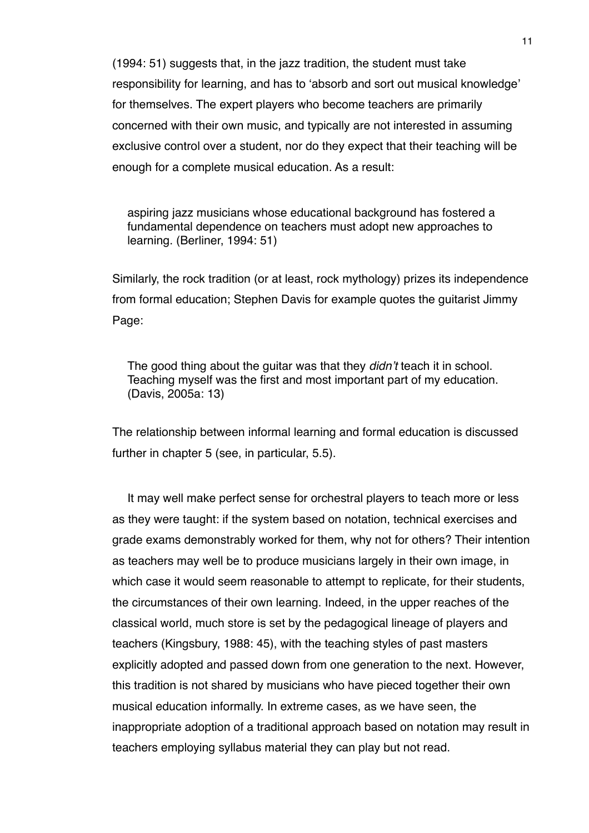(1994: 51) suggests that, in the jazz tradition, the student must take responsibility for learning, and has to ʻabsorb and sort out musical knowledge' for themselves. The expert players who become teachers are primarily concerned with their own music, and typically are not interested in assuming exclusive control over a student, nor do they expect that their teaching will be enough for a complete musical education. As a result:

aspiring jazz musicians whose educational background has fostered a fundamental dependence on teachers must adopt new approaches to learning. (Berliner, 1994: 51)

Similarly, the rock tradition (or at least, rock mythology) prizes its independence from formal education; Stephen Davis for example quotes the guitarist Jimmy Page:

The good thing about the guitar was that they *didn*'*t* teach it in school. Teaching myself was the first and most important part of my education. (Davis, 2005a: 13)

The relationship between informal learning and formal education is discussed further in chapter 5 (see, in particular, 5.5).

It may well make perfect sense for orchestral players to teach more or less as they were taught: if the system based on notation, technical exercises and grade exams demonstrably worked for them, why not for others? Their intention as teachers may well be to produce musicians largely in their own image, in which case it would seem reasonable to attempt to replicate, for their students, the circumstances of their own learning. Indeed, in the upper reaches of the classical world, much store is set by the pedagogical lineage of players and teachers (Kingsbury, 1988: 45), with the teaching styles of past masters explicitly adopted and passed down from one generation to the next. However, this tradition is not shared by musicians who have pieced together their own musical education informally. In extreme cases, as we have seen, the inappropriate adoption of a traditional approach based on notation may result in teachers employing syllabus material they can play but not read.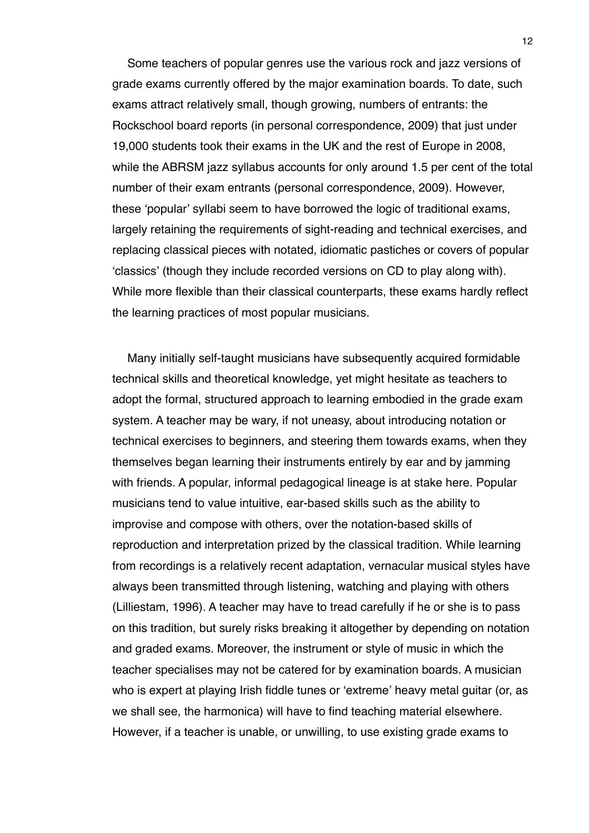Some teachers of popular genres use the various rock and jazz versions of grade exams currently offered by the major examination boards. To date, such exams attract relatively small, though growing, numbers of entrants: the Rockschool board reports (in personal correspondence, 2009) that just under 19,000 students took their exams in the UK and the rest of Europe in 2008, while the ABRSM jazz syllabus accounts for only around 1.5 per cent of the total number of their exam entrants (personal correspondence, 2009). However, these ʻpopular' syllabi seem to have borrowed the logic of traditional exams, largely retaining the requirements of sight-reading and technical exercises, and replacing classical pieces with notated, idiomatic pastiches or covers of popular ʻclassics' (though they include recorded versions on CD to play along with). While more flexible than their classical counterparts, these exams hardly reflect the learning practices of most popular musicians.

Many initially self-taught musicians have subsequently acquired formidable technical skills and theoretical knowledge, yet might hesitate as teachers to adopt the formal, structured approach to learning embodied in the grade exam system. A teacher may be wary, if not uneasy, about introducing notation or technical exercises to beginners, and steering them towards exams, when they themselves began learning their instruments entirely by ear and by jamming with friends. A popular, informal pedagogical lineage is at stake here. Popular musicians tend to value intuitive, ear-based skills such as the ability to improvise and compose with others, over the notation-based skills of reproduction and interpretation prized by the classical tradition. While learning from recordings is a relatively recent adaptation, vernacular musical styles have always been transmitted through listening, watching and playing with others (Lilliestam, 1996). A teacher may have to tread carefully if he or she is to pass on this tradition, but surely risks breaking it altogether by depending on notation and graded exams. Moreover, the instrument or style of music in which the teacher specialises may not be catered for by examination boards. A musician who is expert at playing Irish fiddle tunes or ʻextreme' heavy metal guitar (or, as we shall see, the harmonica) will have to find teaching material elsewhere. However, if a teacher is unable, or unwilling, to use existing grade exams to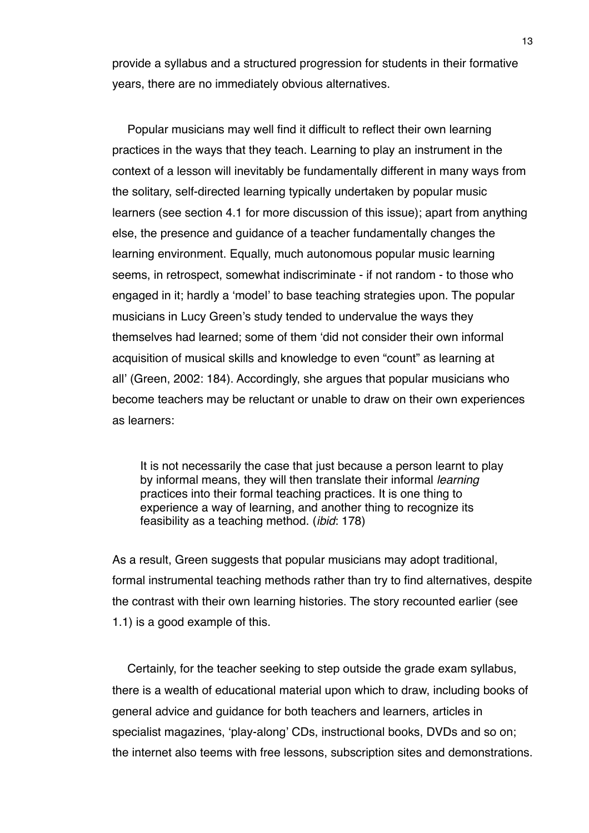provide a syllabus and a structured progression for students in their formative years, there are no immediately obvious alternatives.

Popular musicians may well find it difficult to reflect their own learning practices in the ways that they teach. Learning to play an instrument in the context of a lesson will inevitably be fundamentally different in many ways from the solitary, self-directed learning typically undertaken by popular music learners (see section 4.1 for more discussion of this issue); apart from anything else, the presence and guidance of a teacher fundamentally changes the learning environment. Equally, much autonomous popular music learning seems, in retrospect, somewhat indiscriminate - if not random - to those who engaged in it; hardly a ʻmodel' to base teaching strategies upon. The popular musicians in Lucy Green's study tended to undervalue the ways they themselves had learned; some of them ʻdid not consider their own informal acquisition of musical skills and knowledge to even "count" as learning at all' (Green, 2002: 184). Accordingly, she argues that popular musicians who become teachers may be reluctant or unable to draw on their own experiences as learners:

It is not necessarily the case that just because a person learnt to play by informal means, they will then translate their informal *learning* practices into their formal teaching practices. It is one thing to experience a way of learning, and another thing to recognize its feasibility as a teaching method. (*ibid*: 178)

As a result, Green suggests that popular musicians may adopt traditional, formal instrumental teaching methods rather than try to find alternatives, despite the contrast with their own learning histories. The story recounted earlier (see 1.1) is a good example of this.

Certainly, for the teacher seeking to step outside the grade exam syllabus, there is a wealth of educational material upon which to draw, including books of general advice and guidance for both teachers and learners, articles in specialist magazines, 'play-along' CDs, instructional books, DVDs and so on; the internet also teems with free lessons, subscription sites and demonstrations.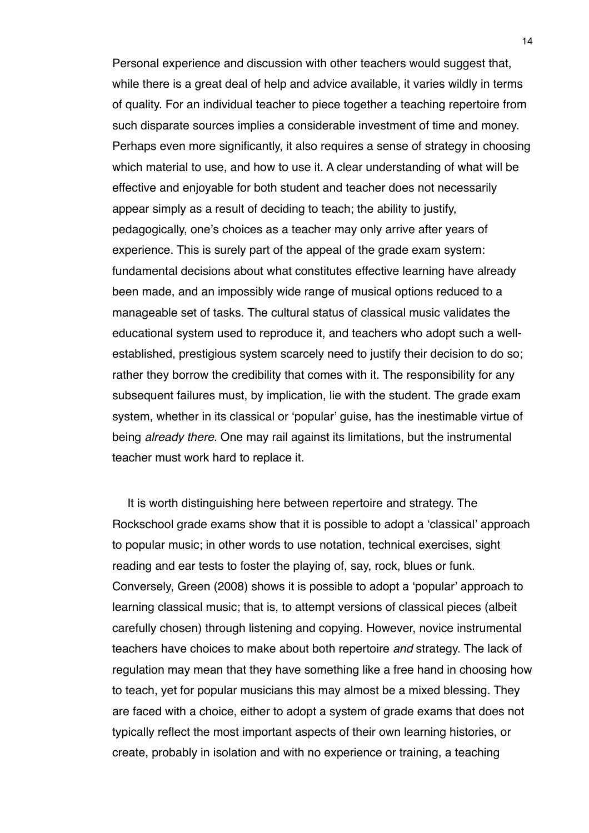Personal experience and discussion with other teachers would suggest that, while there is a great deal of help and advice available, it varies wildly in terms of quality. For an individual teacher to piece together a teaching repertoire from such disparate sources implies a considerable investment of time and money. Perhaps even more significantly, it also requires a sense of strategy in choosing which material to use, and how to use it. A clear understanding of what will be effective and enjoyable for both student and teacher does not necessarily appear simply as a result of deciding to teach; the ability to justify, pedagogically, one's choices as a teacher may only arrive after years of experience. This is surely part of the appeal of the grade exam system: fundamental decisions about what constitutes effective learning have already been made, and an impossibly wide range of musical options reduced to a manageable set of tasks. The cultural status of classical music validates the educational system used to reproduce it, and teachers who adopt such a wellestablished, prestigious system scarcely need to justify their decision to do so; rather they borrow the credibility that comes with it. The responsibility for any subsequent failures must, by implication, lie with the student. The grade exam system, whether in its classical or ʻpopular' guise, has the inestimable virtue of being *already there*. One may rail against its limitations, but the instrumental teacher must work hard to replace it.

It is worth distinguishing here between repertoire and strategy. The Rockschool grade exams show that it is possible to adopt a ʻclassical' approach to popular music; in other words to use notation, technical exercises, sight reading and ear tests to foster the playing of, say, rock, blues or funk. Conversely, Green (2008) shows it is possible to adopt a ʻpopular' approach to learning classical music; that is, to attempt versions of classical pieces (albeit carefully chosen) through listening and copying. However, novice instrumental teachers have choices to make about both repertoire *and* strategy. The lack of regulation may mean that they have something like a free hand in choosing how to teach, yet for popular musicians this may almost be a mixed blessing. They are faced with a choice, either to adopt a system of grade exams that does not typically reflect the most important aspects of their own learning histories, or create, probably in isolation and with no experience or training, a teaching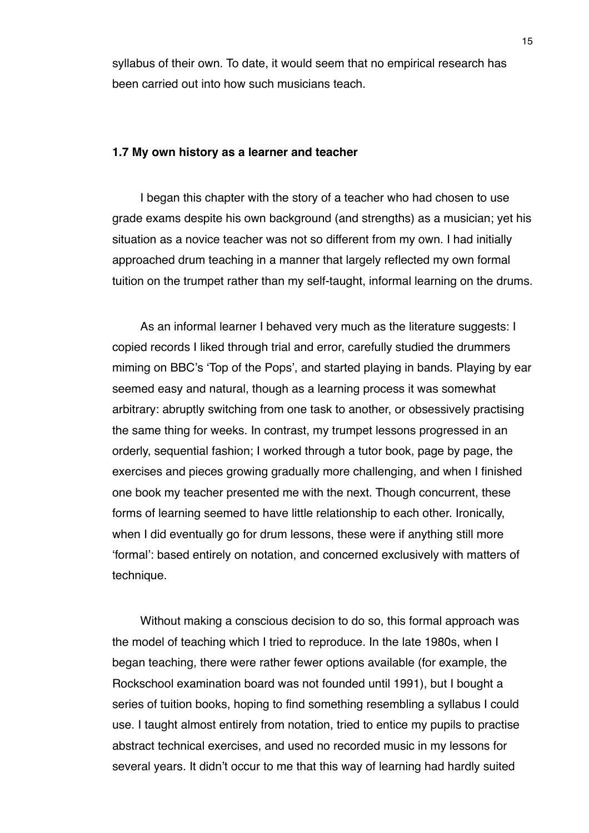syllabus of their own. To date, it would seem that no empirical research has been carried out into how such musicians teach.

#### **1.7 My own history as a learner and teacher**

I began this chapter with the story of a teacher who had chosen to use grade exams despite his own background (and strengths) as a musician; yet his situation as a novice teacher was not so different from my own. I had initially approached drum teaching in a manner that largely reflected my own formal tuition on the trumpet rather than my self-taught, informal learning on the drums.

As an informal learner I behaved very much as the literature suggests: I copied records I liked through trial and error, carefully studied the drummers miming on BBC's ʻTop of the Pops', and started playing in bands. Playing by ear seemed easy and natural, though as a learning process it was somewhat arbitrary: abruptly switching from one task to another, or obsessively practising the same thing for weeks. In contrast, my trumpet lessons progressed in an orderly, sequential fashion; I worked through a tutor book, page by page, the exercises and pieces growing gradually more challenging, and when I finished one book my teacher presented me with the next. Though concurrent, these forms of learning seemed to have little relationship to each other. Ironically, when I did eventually go for drum lessons, these were if anything still more ʻformal': based entirely on notation, and concerned exclusively with matters of technique.

Without making a conscious decision to do so, this formal approach was the model of teaching which I tried to reproduce. In the late 1980s, when I began teaching, there were rather fewer options available (for example, the Rockschool examination board was not founded until 1991), but I bought a series of tuition books, hoping to find something resembling a syllabus I could use. I taught almost entirely from notation, tried to entice my pupils to practise abstract technical exercises, and used no recorded music in my lessons for several years. It didn't occur to me that this way of learning had hardly suited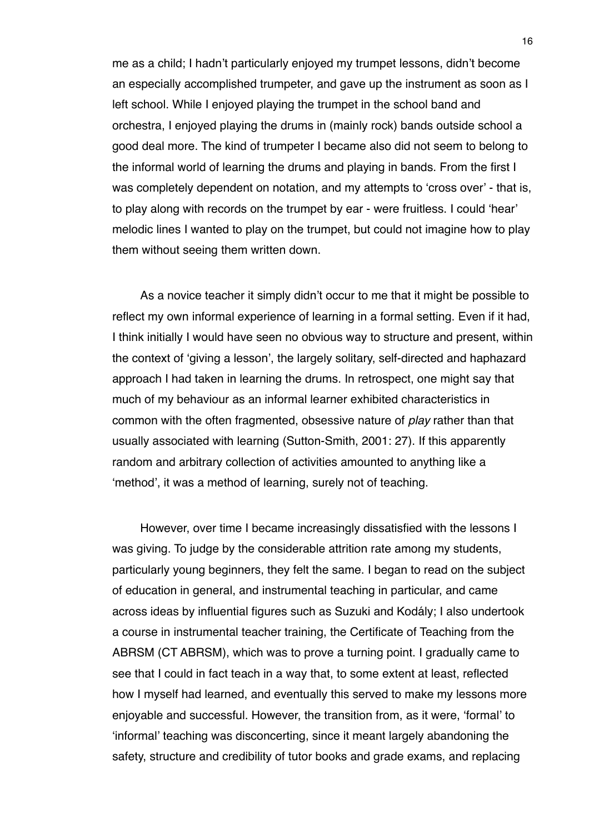me as a child; I hadn't particularly enjoyed my trumpet lessons, didn't become an especially accomplished trumpeter, and gave up the instrument as soon as I left school. While I enjoyed playing the trumpet in the school band and orchestra, I enjoyed playing the drums in (mainly rock) bands outside school a good deal more. The kind of trumpeter I became also did not seem to belong to the informal world of learning the drums and playing in bands. From the first I was completely dependent on notation, and my attempts to ʻcross over' - that is, to play along with records on the trumpet by ear - were fruitless. I could ʻhear' melodic lines I wanted to play on the trumpet, but could not imagine how to play them without seeing them written down.

As a novice teacher it simply didn't occur to me that it might be possible to reflect my own informal experience of learning in a formal setting. Even if it had, I think initially I would have seen no obvious way to structure and present, within the context of ʻgiving a lesson', the largely solitary, self-directed and haphazard approach I had taken in learning the drums. In retrospect, one might say that much of my behaviour as an informal learner exhibited characteristics in common with the often fragmented, obsessive nature of *play* rather than that usually associated with learning (Sutton-Smith, 2001: 27). If this apparently random and arbitrary collection of activities amounted to anything like a ʻmethod', it was a method of learning, surely not of teaching.

However, over time I became increasingly dissatisfied with the lessons I was giving. To judge by the considerable attrition rate among my students, particularly young beginners, they felt the same. I began to read on the subject of education in general, and instrumental teaching in particular, and came across ideas by influential figures such as Suzuki and Kodály; I also undertook a course in instrumental teacher training, the Certificate of Teaching from the ABRSM (CT ABRSM), which was to prove a turning point. I gradually came to see that I could in fact teach in a way that, to some extent at least, reflected how I myself had learned, and eventually this served to make my lessons more enjoyable and successful. However, the transition from, as it were, ʻformal' to ʻinformal' teaching was disconcerting, since it meant largely abandoning the safety, structure and credibility of tutor books and grade exams, and replacing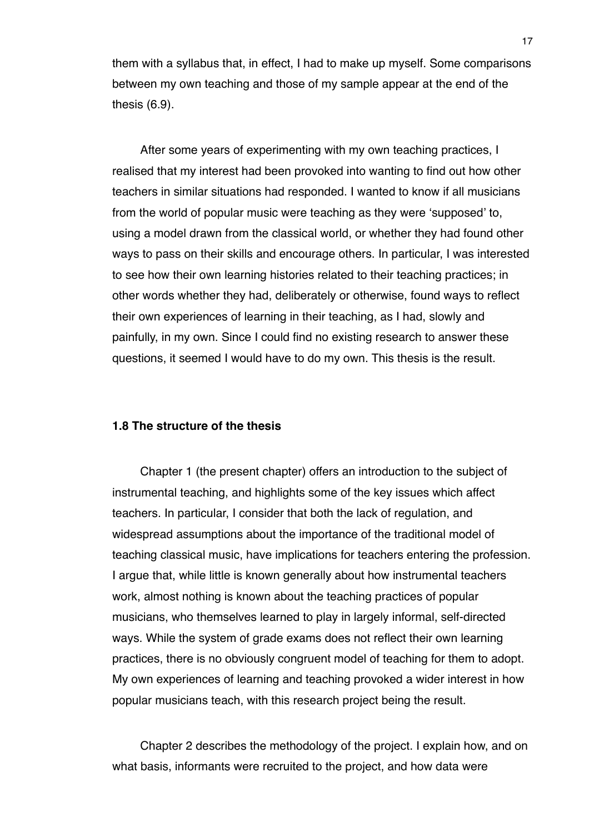them with a syllabus that, in effect, I had to make up myself. Some comparisons between my own teaching and those of my sample appear at the end of the thesis (6.9).

After some years of experimenting with my own teaching practices, I realised that my interest had been provoked into wanting to find out how other teachers in similar situations had responded. I wanted to know if all musicians from the world of popular music were teaching as they were ʻsupposed' to, using a model drawn from the classical world, or whether they had found other ways to pass on their skills and encourage others. In particular, I was interested to see how their own learning histories related to their teaching practices; in other words whether they had, deliberately or otherwise, found ways to reflect their own experiences of learning in their teaching, as I had, slowly and painfully, in my own. Since I could find no existing research to answer these questions, it seemed I would have to do my own. This thesis is the result.

### **1.8 The structure of the thesis**

Chapter 1 (the present chapter) offers an introduction to the subject of instrumental teaching, and highlights some of the key issues which affect teachers. In particular, I consider that both the lack of regulation, and widespread assumptions about the importance of the traditional model of teaching classical music, have implications for teachers entering the profession. I argue that, while little is known generally about how instrumental teachers work, almost nothing is known about the teaching practices of popular musicians, who themselves learned to play in largely informal, self-directed ways. While the system of grade exams does not reflect their own learning practices, there is no obviously congruent model of teaching for them to adopt. My own experiences of learning and teaching provoked a wider interest in how popular musicians teach, with this research project being the result.

Chapter 2 describes the methodology of the project. I explain how, and on what basis, informants were recruited to the project, and how data were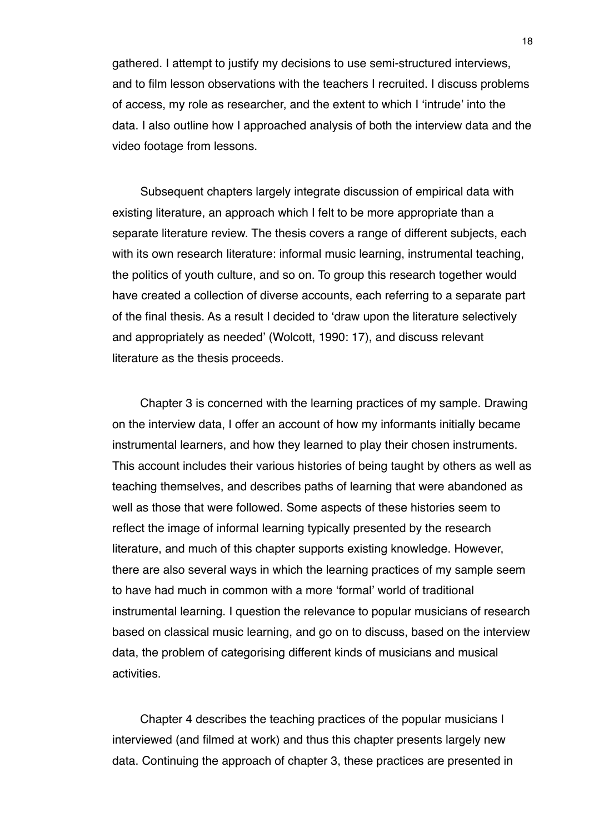gathered. I attempt to justify my decisions to use semi-structured interviews, and to film lesson observations with the teachers I recruited. I discuss problems of access, my role as researcher, and the extent to which I ʻintrude' into the data. I also outline how I approached analysis of both the interview data and the video footage from lessons.

Subsequent chapters largely integrate discussion of empirical data with existing literature, an approach which I felt to be more appropriate than a separate literature review. The thesis covers a range of different subjects, each with its own research literature: informal music learning, instrumental teaching, the politics of youth culture, and so on. To group this research together would have created a collection of diverse accounts, each referring to a separate part of the final thesis. As a result I decided to ʻdraw upon the literature selectively and appropriately as needed' (Wolcott, 1990: 17), and discuss relevant literature as the thesis proceeds.

Chapter 3 is concerned with the learning practices of my sample. Drawing on the interview data, I offer an account of how my informants initially became instrumental learners, and how they learned to play their chosen instruments. This account includes their various histories of being taught by others as well as teaching themselves, and describes paths of learning that were abandoned as well as those that were followed. Some aspects of these histories seem to reflect the image of informal learning typically presented by the research literature, and much of this chapter supports existing knowledge. However, there are also several ways in which the learning practices of my sample seem to have had much in common with a more ʻformal' world of traditional instrumental learning. I question the relevance to popular musicians of research based on classical music learning, and go on to discuss, based on the interview data, the problem of categorising different kinds of musicians and musical activities.

Chapter 4 describes the teaching practices of the popular musicians I interviewed (and filmed at work) and thus this chapter presents largely new data. Continuing the approach of chapter 3, these practices are presented in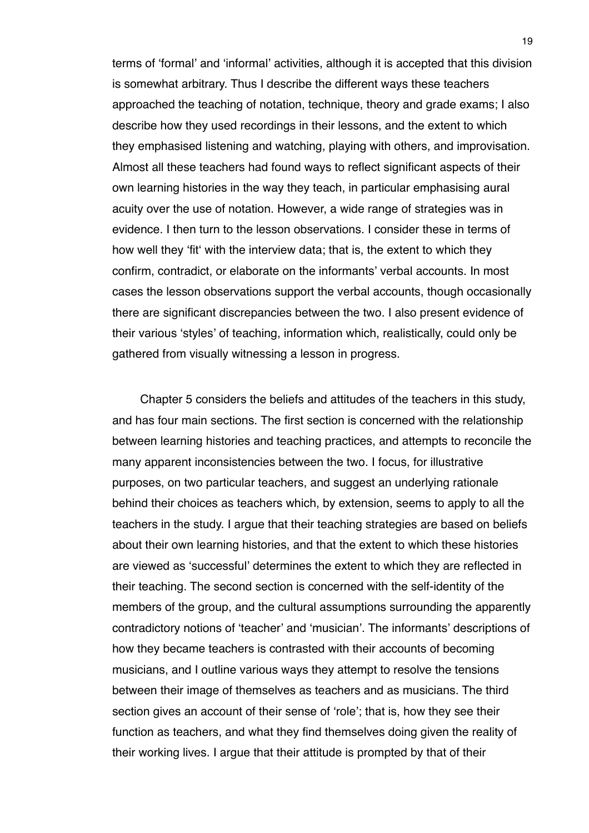terms of ʻformal' and ʻinformal' activities, although it is accepted that this division is somewhat arbitrary. Thus I describe the different ways these teachers approached the teaching of notation, technique, theory and grade exams; I also describe how they used recordings in their lessons, and the extent to which they emphasised listening and watching, playing with others, and improvisation. Almost all these teachers had found ways to reflect significant aspects of their own learning histories in the way they teach, in particular emphasising aural acuity over the use of notation. However, a wide range of strategies was in evidence. I then turn to the lesson observations. I consider these in terms of how well they ʻfitʻ with the interview data; that is, the extent to which they confirm, contradict, or elaborate on the informants' verbal accounts. In most cases the lesson observations support the verbal accounts, though occasionally there are significant discrepancies between the two. I also present evidence of their various ʻstyles' of teaching, information which, realistically, could only be gathered from visually witnessing a lesson in progress.

Chapter 5 considers the beliefs and attitudes of the teachers in this study, and has four main sections. The first section is concerned with the relationship between learning histories and teaching practices, and attempts to reconcile the many apparent inconsistencies between the two. I focus, for illustrative purposes, on two particular teachers, and suggest an underlying rationale behind their choices as teachers which, by extension, seems to apply to all the teachers in the study. I argue that their teaching strategies are based on beliefs about their own learning histories, and that the extent to which these histories are viewed as ʻsuccessful' determines the extent to which they are reflected in their teaching. The second section is concerned with the self-identity of the members of the group, and the cultural assumptions surrounding the apparently contradictory notions of ʻteacher' and ʻmusician'. The informants' descriptions of how they became teachers is contrasted with their accounts of becoming musicians, and I outline various ways they attempt to resolve the tensions between their image of themselves as teachers and as musicians. The third section gives an account of their sense of ʻrole'; that is, how they see their function as teachers, and what they find themselves doing given the reality of their working lives. I argue that their attitude is prompted by that of their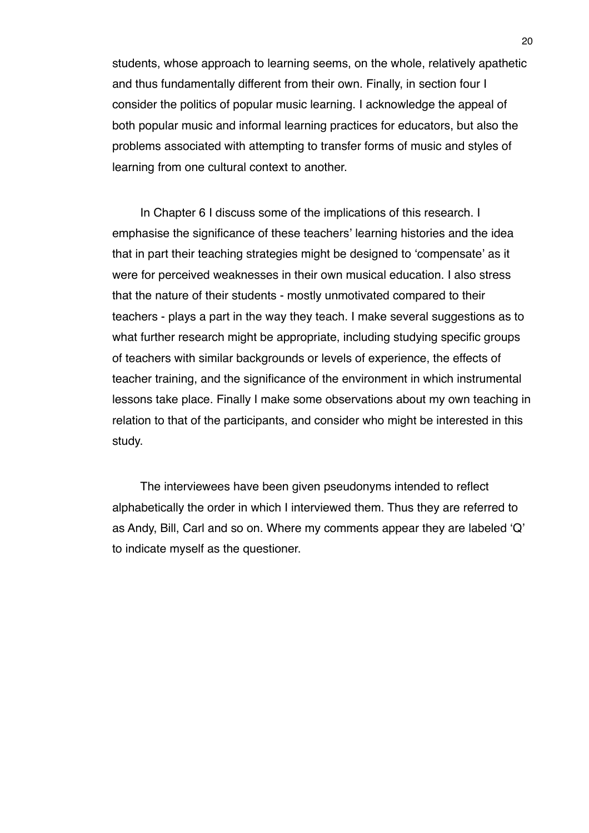students, whose approach to learning seems, on the whole, relatively apathetic and thus fundamentally different from their own. Finally, in section four I consider the politics of popular music learning. I acknowledge the appeal of both popular music and informal learning practices for educators, but also the problems associated with attempting to transfer forms of music and styles of learning from one cultural context to another.

In Chapter 6 I discuss some of the implications of this research. I emphasise the significance of these teachers' learning histories and the idea that in part their teaching strategies might be designed to ʻcompensate' as it were for perceived weaknesses in their own musical education. I also stress that the nature of their students - mostly unmotivated compared to their teachers - plays a part in the way they teach. I make several suggestions as to what further research might be appropriate, including studying specific groups of teachers with similar backgrounds or levels of experience, the effects of teacher training, and the significance of the environment in which instrumental lessons take place. Finally I make some observations about my own teaching in relation to that of the participants, and consider who might be interested in this study.

The interviewees have been given pseudonyms intended to reflect alphabetically the order in which I interviewed them. Thus they are referred to as Andy, Bill, Carl and so on. Where my comments appear they are labeled ʻQ' to indicate myself as the questioner.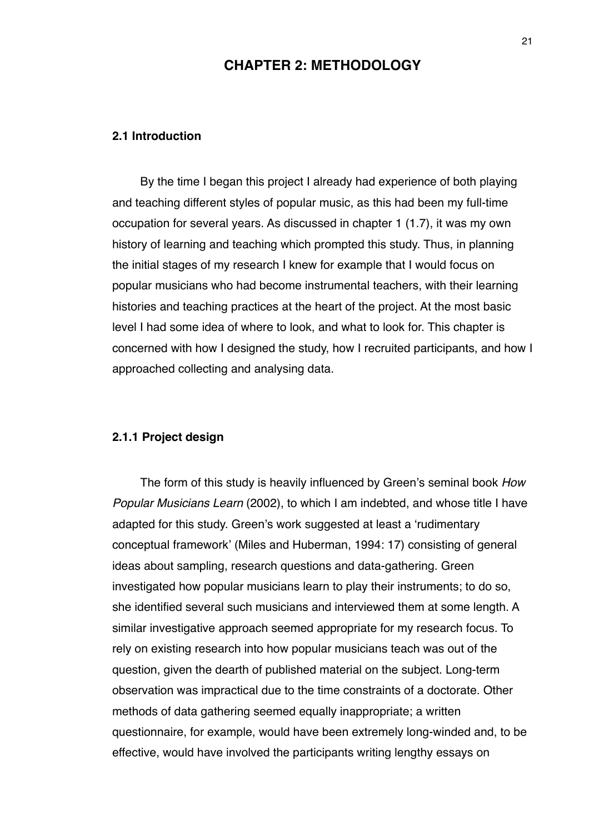## **CHAPTER 2: METHODOLOGY**

#### **2.1 Introduction**

By the time I began this project I already had experience of both playing and teaching different styles of popular music, as this had been my full-time occupation for several years. As discussed in chapter 1 (1.7), it was my own history of learning and teaching which prompted this study. Thus, in planning the initial stages of my research I knew for example that I would focus on popular musicians who had become instrumental teachers, with their learning histories and teaching practices at the heart of the project. At the most basic level I had some idea of where to look, and what to look for. This chapter is concerned with how I designed the study, how I recruited participants, and how I approached collecting and analysing data.

### **2.1.1 Project design**

The form of this study is heavily influenced by Green's seminal book *How Popular Musicians Learn* (2002), to which I am indebted, and whose title I have adapted for this study. Green's work suggested at least a ʻrudimentary conceptual framework' (Miles and Huberman, 1994: 17) consisting of general ideas about sampling, research questions and data-gathering. Green investigated how popular musicians learn to play their instruments; to do so, she identified several such musicians and interviewed them at some length. A similar investigative approach seemed appropriate for my research focus. To rely on existing research into how popular musicians teach was out of the question, given the dearth of published material on the subject. Long-term observation was impractical due to the time constraints of a doctorate. Other methods of data gathering seemed equally inappropriate; a written questionnaire, for example, would have been extremely long-winded and, to be effective, would have involved the participants writing lengthy essays on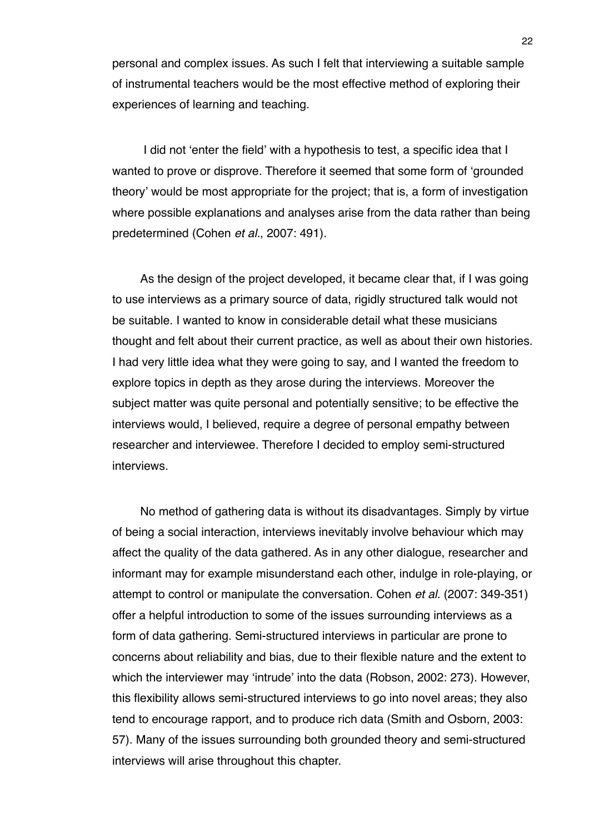personal and complex issues. As such I felt that interviewing a suitable sample of instrumental teachers would be the most effective method of exploring their experiences of learning and teaching.

 I did not ʻenter the field' with a hypothesis to test, a specific idea that I wanted to prove or disprove. Therefore it seemed that some form of ʻgrounded theory' would be most appropriate for the project; that is, a form of investigation where possible explanations and analyses arise from the data rather than being predetermined (Cohen *et al.*, 2007: 491).

As the design of the project developed, it became clear that, if I was going to use interviews as a primary source of data, rigidly structured talk would not be suitable. I wanted to know in considerable detail what these musicians thought and felt about their current practice, as well as about their own histories. I had very little idea what they were going to say, and I wanted the freedom to explore topics in depth as they arose during the interviews. Moreover the subject matter was quite personal and potentially sensitive; to be effective the interviews would, I believed, require a degree of personal empathy between researcher and interviewee. Therefore I decided to employ semi-structured interviews.

No method of gathering data is without its disadvantages. Simply by virtue of being a social interaction, interviews inevitably involve behaviour which may affect the quality of the data gathered. As in any other dialogue, researcher and informant may for example misunderstand each other, indulge in role-playing, or attempt to control or manipulate the conversation. Cohen *et al.* (2007: 349-351) offer a helpful introduction to some of the issues surrounding interviews as a form of data gathering. Semi-structured interviews in particular are prone to concerns about reliability and bias, due to their flexible nature and the extent to which the interviewer may ʻintrude' into the data (Robson, 2002: 273). However, this flexibility allows semi-structured interviews to go into novel areas; they also tend to encourage rapport, and to produce rich data (Smith and Osborn, 2003: 57). Many of the issues surrounding both grounded theory and semi-structured interviews will arise throughout this chapter.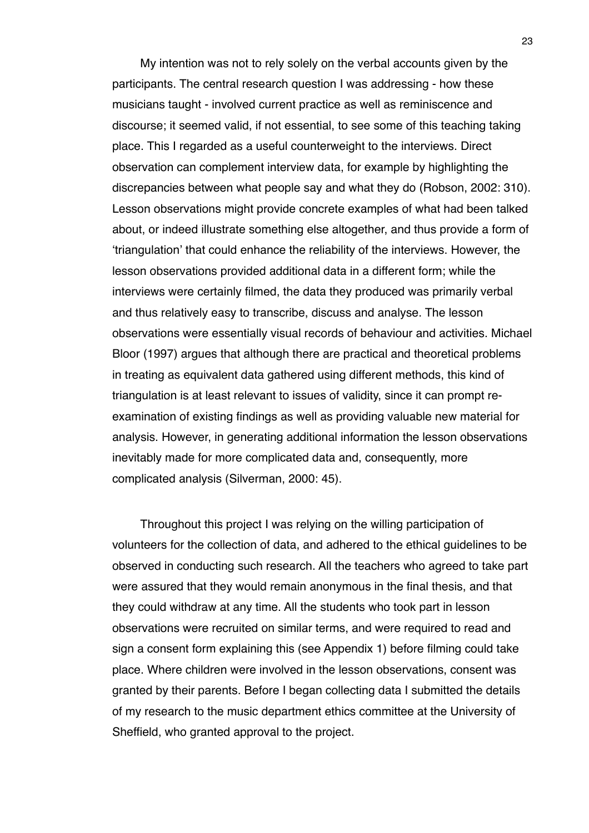My intention was not to rely solely on the verbal accounts given by the participants. The central research question I was addressing - how these musicians taught - involved current practice as well as reminiscence and discourse; it seemed valid, if not essential, to see some of this teaching taking place. This I regarded as a useful counterweight to the interviews. Direct observation can complement interview data, for example by highlighting the discrepancies between what people say and what they do (Robson, 2002: 310). Lesson observations might provide concrete examples of what had been talked about, or indeed illustrate something else altogether, and thus provide a form of ʻtriangulation' that could enhance the reliability of the interviews. However, the lesson observations provided additional data in a different form; while the interviews were certainly filmed, the data they produced was primarily verbal and thus relatively easy to transcribe, discuss and analyse. The lesson observations were essentially visual records of behaviour and activities. Michael Bloor (1997) argues that although there are practical and theoretical problems in treating as equivalent data gathered using different methods, this kind of triangulation is at least relevant to issues of validity, since it can prompt reexamination of existing findings as well as providing valuable new material for analysis. However, in generating additional information the lesson observations inevitably made for more complicated data and, consequently, more complicated analysis (Silverman, 2000: 45).

Throughout this project I was relying on the willing participation of volunteers for the collection of data, and adhered to the ethical guidelines to be observed in conducting such research. All the teachers who agreed to take part were assured that they would remain anonymous in the final thesis, and that they could withdraw at any time. All the students who took part in lesson observations were recruited on similar terms, and were required to read and sign a consent form explaining this (see Appendix 1) before filming could take place. Where children were involved in the lesson observations, consent was granted by their parents. Before I began collecting data I submitted the details of my research to the music department ethics committee at the University of Sheffield, who granted approval to the project.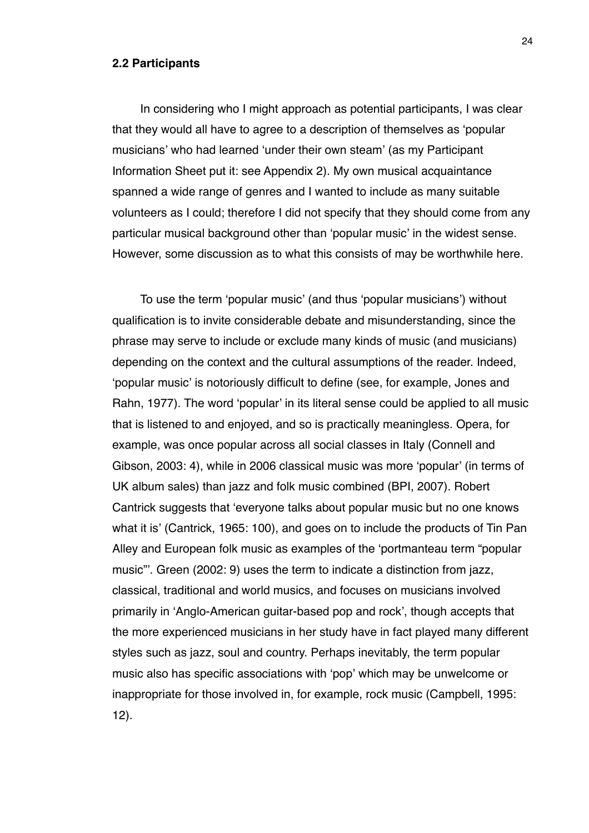#### **2.2 Participants**

In considering who I might approach as potential participants, I was clear that they would all have to agree to a description of themselves as ʻpopular musicians' who had learned ʻunder their own steam' (as my Participant Information Sheet put it: see Appendix 2). My own musical acquaintance spanned a wide range of genres and I wanted to include as many suitable volunteers as I could; therefore I did not specify that they should come from any particular musical background other than ʻpopular music' in the widest sense. However, some discussion as to what this consists of may be worthwhile here.

To use the term ʻpopular music' (and thus ʻpopular musicians') without qualification is to invite considerable debate and misunderstanding, since the phrase may serve to include or exclude many kinds of music (and musicians) depending on the context and the cultural assumptions of the reader. Indeed, ʻpopular music' is notoriously difficult to define (see, for example, Jones and Rahn, 1977). The word ʻpopular' in its literal sense could be applied to all music that is listened to and enjoyed, and so is practically meaningless. Opera, for example, was once popular across all social classes in Italy (Connell and Gibson, 2003: 4), while in 2006 classical music was more ʻpopular' (in terms of UK album sales) than jazz and folk music combined (BPI, 2007). Robert Cantrick suggests that ʻeveryone talks about popular music but no one knows what it is' (Cantrick, 1965: 100), and goes on to include the products of Tin Pan Alley and European folk music as examples of the ʻportmanteau term "popular music"'. Green (2002: 9) uses the term to indicate a distinction from jazz, classical, traditional and world musics, and focuses on musicians involved primarily in ʻAnglo-American guitar-based pop and rock', though accepts that the more experienced musicians in her study have in fact played many different styles such as jazz, soul and country. Perhaps inevitably, the term popular music also has specific associations with ʻpop' which may be unwelcome or inappropriate for those involved in, for example, rock music (Campbell, 1995: 12).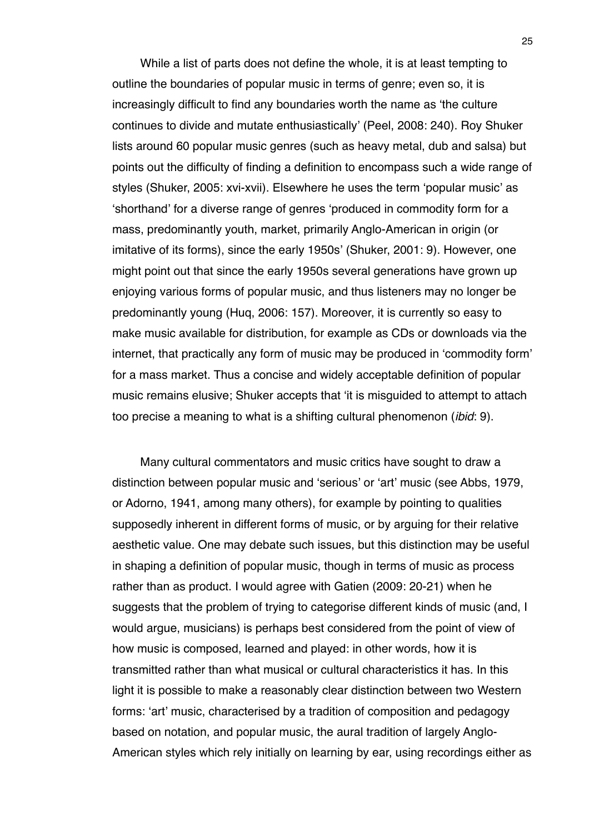While a list of parts does not define the whole, it is at least tempting to outline the boundaries of popular music in terms of genre; even so, it is increasingly difficult to find any boundaries worth the name as ʻthe culture continues to divide and mutate enthusiastically' (Peel, 2008: 240). Roy Shuker lists around 60 popular music genres (such as heavy metal, dub and salsa) but points out the difficulty of finding a definition to encompass such a wide range of styles (Shuker, 2005: xvi-xvii). Elsewhere he uses the term ʻpopular music' as ʻshorthand' for a diverse range of genres ʻproduced in commodity form for a mass, predominantly youth, market, primarily Anglo-American in origin (or imitative of its forms), since the early 1950s' (Shuker, 2001: 9). However, one might point out that since the early 1950s several generations have grown up enjoying various forms of popular music, and thus listeners may no longer be predominantly young (Huq, 2006: 157). Moreover, it is currently so easy to make music available for distribution, for example as CDs or downloads via the internet, that practically any form of music may be produced in ʻcommodity form' for a mass market. Thus a concise and widely acceptable definition of popular music remains elusive; Shuker accepts that ʻit is misguided to attempt to attach too precise a meaning to what is a shifting cultural phenomenon (*ibid*: 9).

Many cultural commentators and music critics have sought to draw a distinction between popular music and ʻserious' or ʻart' music (see Abbs, 1979, or Adorno, 1941, among many others), for example by pointing to qualities supposedly inherent in different forms of music, or by arguing for their relative aesthetic value. One may debate such issues, but this distinction may be useful in shaping a definition of popular music, though in terms of music as process rather than as product. I would agree with Gatien (2009: 20-21) when he suggests that the problem of trying to categorise different kinds of music (and, I would argue, musicians) is perhaps best considered from the point of view of how music is composed, learned and played: in other words, how it is transmitted rather than what musical or cultural characteristics it has. In this light it is possible to make a reasonably clear distinction between two Western forms: ʻart' music, characterised by a tradition of composition and pedagogy based on notation, and popular music, the aural tradition of largely Anglo-American styles which rely initially on learning by ear, using recordings either as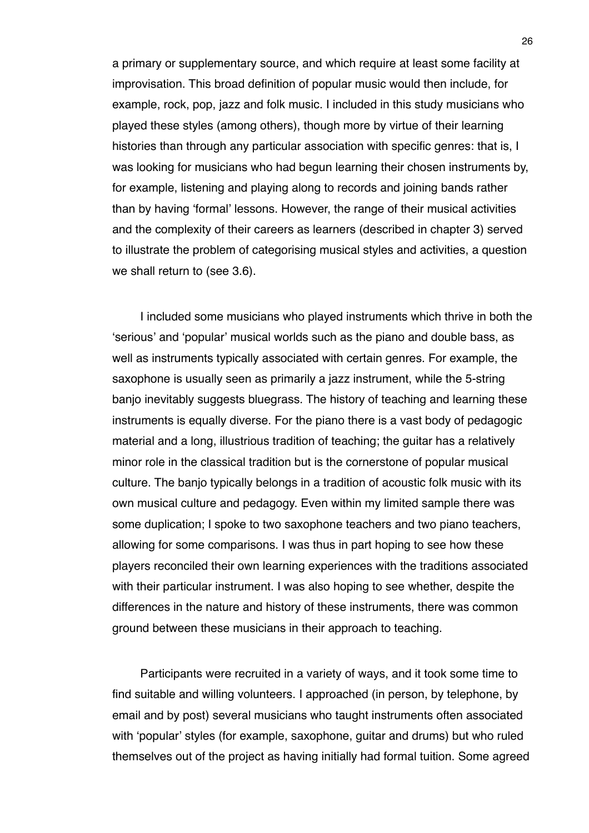a primary or supplementary source, and which require at least some facility at improvisation. This broad definition of popular music would then include, for example, rock, pop, jazz and folk music. I included in this study musicians who played these styles (among others), though more by virtue of their learning histories than through any particular association with specific genres: that is, I was looking for musicians who had begun learning their chosen instruments by, for example, listening and playing along to records and joining bands rather than by having ʻformal' lessons. However, the range of their musical activities and the complexity of their careers as learners (described in chapter 3) served to illustrate the problem of categorising musical styles and activities, a question we shall return to (see 3.6).

I included some musicians who played instruments which thrive in both the ʻserious' and ʻpopular' musical worlds such as the piano and double bass, as well as instruments typically associated with certain genres. For example, the saxophone is usually seen as primarily a jazz instrument, while the 5-string banjo inevitably suggests bluegrass. The history of teaching and learning these instruments is equally diverse. For the piano there is a vast body of pedagogic material and a long, illustrious tradition of teaching; the guitar has a relatively minor role in the classical tradition but is the cornerstone of popular musical culture. The banjo typically belongs in a tradition of acoustic folk music with its own musical culture and pedagogy. Even within my limited sample there was some duplication; I spoke to two saxophone teachers and two piano teachers, allowing for some comparisons. I was thus in part hoping to see how these players reconciled their own learning experiences with the traditions associated with their particular instrument. I was also hoping to see whether, despite the differences in the nature and history of these instruments, there was common ground between these musicians in their approach to teaching.

Participants were recruited in a variety of ways, and it took some time to find suitable and willing volunteers. I approached (in person, by telephone, by email and by post) several musicians who taught instruments often associated with ʻpopular' styles (for example, saxophone, guitar and drums) but who ruled themselves out of the project as having initially had formal tuition. Some agreed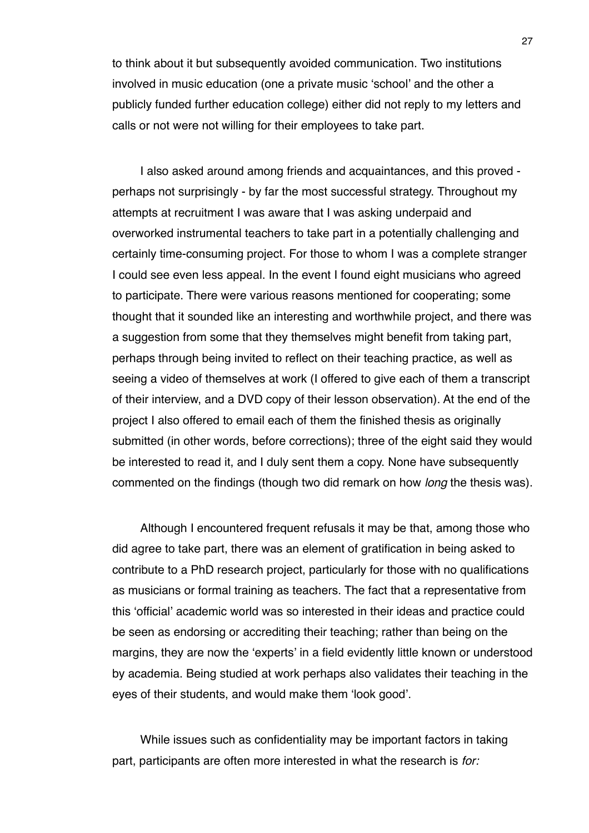to think about it but subsequently avoided communication. Two institutions involved in music education (one a private music ʻschool' and the other a publicly funded further education college) either did not reply to my letters and calls or not were not willing for their employees to take part.

I also asked around among friends and acquaintances, and this proved perhaps not surprisingly - by far the most successful strategy. Throughout my attempts at recruitment I was aware that I was asking underpaid and overworked instrumental teachers to take part in a potentially challenging and certainly time-consuming project. For those to whom I was a complete stranger I could see even less appeal. In the event I found eight musicians who agreed to participate. There were various reasons mentioned for cooperating; some thought that it sounded like an interesting and worthwhile project, and there was a suggestion from some that they themselves might benefit from taking part, perhaps through being invited to reflect on their teaching practice, as well as seeing a video of themselves at work (I offered to give each of them a transcript of their interview, and a DVD copy of their lesson observation). At the end of the project I also offered to email each of them the finished thesis as originally submitted (in other words, before corrections); three of the eight said they would be interested to read it, and I duly sent them a copy. None have subsequently commented on the findings (though two did remark on how *long* the thesis was).

Although I encountered frequent refusals it may be that, among those who did agree to take part, there was an element of gratification in being asked to contribute to a PhD research project, particularly for those with no qualifications as musicians or formal training as teachers. The fact that a representative from this ʻofficial' academic world was so interested in their ideas and practice could be seen as endorsing or accrediting their teaching; rather than being on the margins, they are now the ʻexperts' in a field evidently little known or understood by academia. Being studied at work perhaps also validates their teaching in the eyes of their students, and would make them ʻlook good'.

While issues such as confidentiality may be important factors in taking part, participants are often more interested in what the research is *for:*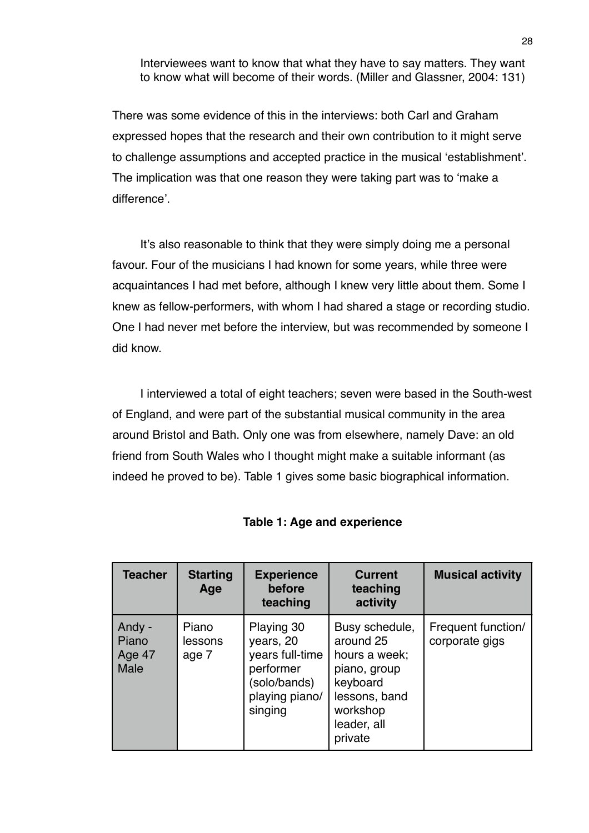Interviewees want to know that what they have to say matters. They want to know what will become of their words. (Miller and Glassner, 2004: 131)

There was some evidence of this in the interviews: both Carl and Graham expressed hopes that the research and their own contribution to it might serve to challenge assumptions and accepted practice in the musical ʻestablishment'. The implication was that one reason they were taking part was to ʻmake a difference'.

It's also reasonable to think that they were simply doing me a personal favour. Four of the musicians I had known for some years, while three were acquaintances I had met before, although I knew very little about them. Some I knew as fellow-performers, with whom I had shared a stage or recording studio. One I had never met before the interview, but was recommended by someone I did know.

I interviewed a total of eight teachers; seven were based in the South-west of England, and were part of the substantial musical community in the area around Bristol and Bath. Only one was from elsewhere, namely Dave: an old friend from South Wales who I thought might make a suitable informant (as indeed he proved to be). Table 1 gives some basic biographical information.

| <b>Teacher</b>                           | <b>Starting</b><br>Age    | <b>Experience</b><br>before<br>teaching                                                              | <b>Current</b><br>teaching<br>activity                                                                                          | <b>Musical activity</b>              |
|------------------------------------------|---------------------------|------------------------------------------------------------------------------------------------------|---------------------------------------------------------------------------------------------------------------------------------|--------------------------------------|
| Andy -<br>Piano<br>Age 47<br><b>Male</b> | Piano<br>lessons<br>age 7 | Playing 30<br>years, 20<br>years full-time<br>performer<br>(solo/bands)<br>playing piano/<br>singing | Busy schedule,<br>around 25<br>hours a week;<br>piano, group<br>keyboard<br>lessons, band<br>workshop<br>leader, all<br>private | Frequent function/<br>corporate gigs |

# **Table 1: Age and experience**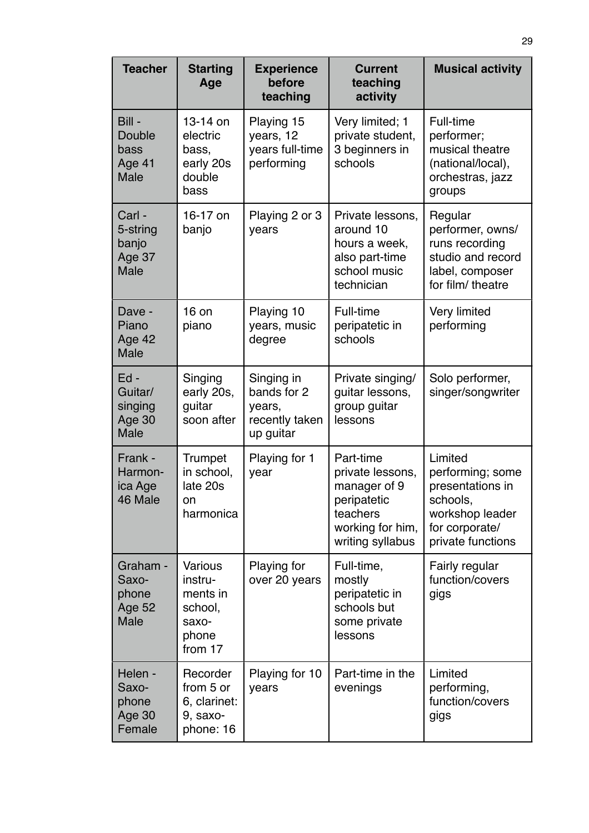| <b>Teacher</b>                                       | <b>Starting</b><br>Age                                                 | <b>Experience</b><br>before<br>teaching                            | <b>Current</b><br>teaching<br>activity                                                                           | <b>Musical activity</b>                                                                                               |
|------------------------------------------------------|------------------------------------------------------------------------|--------------------------------------------------------------------|------------------------------------------------------------------------------------------------------------------|-----------------------------------------------------------------------------------------------------------------------|
| Bill -<br>Double<br>bass<br>Age 41<br><b>Male</b>    | 13-14 on<br>electric<br>bass,<br>early 20s<br>double<br>bass           | Playing 15<br>years, 12<br>years full-time<br>performing           | Very limited; 1<br>private student,<br>3 beginners in<br>schools                                                 | Full-time<br>performer;<br>musical theatre<br>(national/local),<br>orchestras, jazz<br>groups                         |
| Carl -<br>5-string<br>banjo<br>Age 37<br><b>Male</b> | 16-17 on<br>banjo                                                      | Playing 2 or 3<br>years                                            | Private lessons,<br>around 10<br>hours a week,<br>also part-time<br>school music<br>technician                   | Regular<br>performer, owns/<br>runs recording<br>studio and record<br>label, composer<br>for film/ theatre            |
| Dave -<br>Piano<br>Age 42<br><b>Male</b>             | 16 on<br>piano                                                         | Playing 10<br>years, music<br>degree                               | Full-time<br>peripatetic in<br>schools                                                                           | <b>Very limited</b><br>performing                                                                                     |
| Ed-<br>Guitar/<br>singing<br>Age 30<br><b>Male</b>   | Singing<br>early 20s,<br>guitar<br>soon after                          | Singing in<br>bands for 2<br>years,<br>recently taken<br>up guitar | Private singing/<br>guitar lessons,<br>group guitar<br>lessons                                                   | Solo performer,<br>singer/songwriter                                                                                  |
| Frank -<br>Harmon-<br>ica Age<br>46 Male             | Trumpet<br>in school,<br>late 20s<br>on<br>harmonica                   | Playing for 1<br>year                                              | Part-time<br>private lessons,<br>manager of 9<br>peripatetic<br>teachers<br>working for him,<br>writing syllabus | Limited<br>performing; some<br>presentations in<br>schools,<br>workshop leader<br>for corporate/<br>private functions |
| Graham -<br>Saxo-<br>phone<br>Age 52<br><b>Male</b>  | Various<br>instru-<br>ments in<br>school,<br>saxo-<br>phone<br>from 17 | Playing for<br>over 20 years                                       | Full-time,<br>mostly<br>peripatetic in<br>schools but<br>some private<br>lessons                                 | Fairly regular<br>function/covers<br>gigs                                                                             |
| Helen -<br>Saxo-<br>phone<br>Age 30<br>Female        | Recorder<br>from 5 or<br>6, clarinet:<br>9, saxo-<br>phone: 16         | Playing for 10<br>years                                            | Part-time in the<br>evenings                                                                                     | Limited<br>performing,<br>function/covers<br>gigs                                                                     |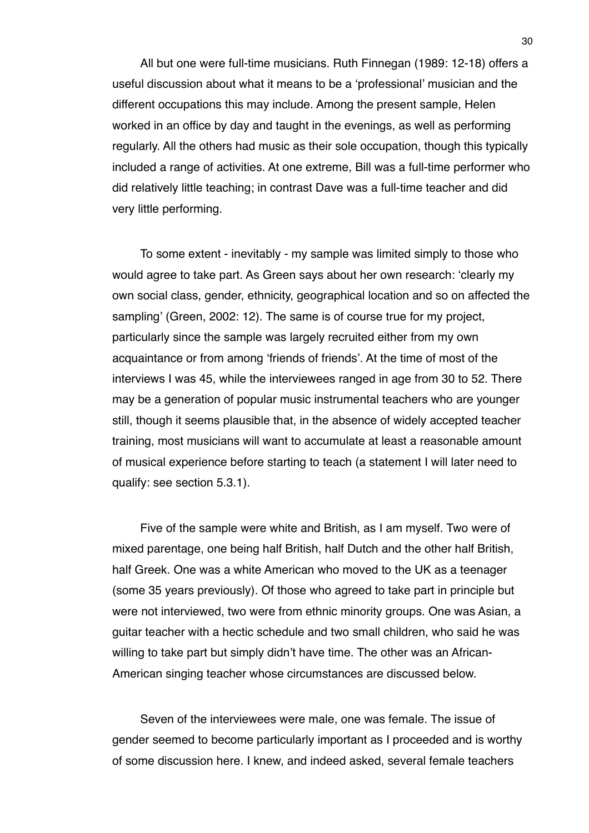All but one were full-time musicians. Ruth Finnegan (1989: 12-18) offers a useful discussion about what it means to be a ʻprofessional' musician and the different occupations this may include. Among the present sample, Helen worked in an office by day and taught in the evenings, as well as performing regularly. All the others had music as their sole occupation, though this typically included a range of activities. At one extreme, Bill was a full-time performer who did relatively little teaching; in contrast Dave was a full-time teacher and did very little performing.

To some extent - inevitably - my sample was limited simply to those who would agree to take part. As Green says about her own research: ʻclearly my own social class, gender, ethnicity, geographical location and so on affected the sampling' (Green, 2002: 12). The same is of course true for my project, particularly since the sample was largely recruited either from my own acquaintance or from among ʻfriends of friends'. At the time of most of the interviews I was 45, while the interviewees ranged in age from 30 to 52. There may be a generation of popular music instrumental teachers who are younger still, though it seems plausible that, in the absence of widely accepted teacher training, most musicians will want to accumulate at least a reasonable amount of musical experience before starting to teach (a statement I will later need to qualify: see section 5.3.1).

Five of the sample were white and British, as I am myself. Two were of mixed parentage, one being half British, half Dutch and the other half British, half Greek. One was a white American who moved to the UK as a teenager (some 35 years previously). Of those who agreed to take part in principle but were not interviewed, two were from ethnic minority groups. One was Asian, a guitar teacher with a hectic schedule and two small children, who said he was willing to take part but simply didn't have time. The other was an African-American singing teacher whose circumstances are discussed below.

Seven of the interviewees were male, one was female. The issue of gender seemed to become particularly important as I proceeded and is worthy of some discussion here. I knew, and indeed asked, several female teachers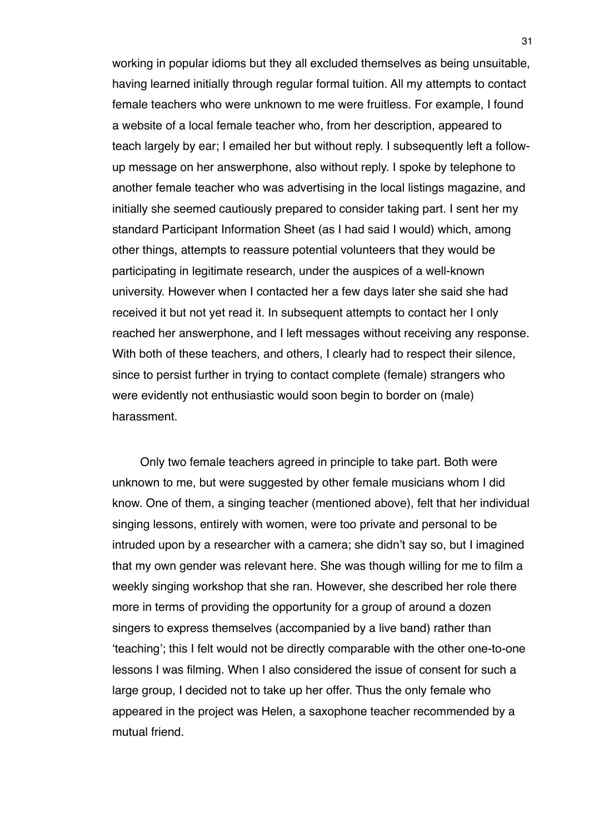working in popular idioms but they all excluded themselves as being unsuitable, having learned initially through regular formal tuition. All my attempts to contact female teachers who were unknown to me were fruitless. For example, I found a website of a local female teacher who, from her description, appeared to teach largely by ear; I emailed her but without reply. I subsequently left a followup message on her answerphone, also without reply. I spoke by telephone to another female teacher who was advertising in the local listings magazine, and initially she seemed cautiously prepared to consider taking part. I sent her my standard Participant Information Sheet (as I had said I would) which, among other things, attempts to reassure potential volunteers that they would be participating in legitimate research, under the auspices of a well-known university. However when I contacted her a few days later she said she had received it but not yet read it. In subsequent attempts to contact her I only reached her answerphone, and I left messages without receiving any response. With both of these teachers, and others, I clearly had to respect their silence, since to persist further in trying to contact complete (female) strangers who were evidently not enthusiastic would soon begin to border on (male) harassment.

Only two female teachers agreed in principle to take part. Both were unknown to me, but were suggested by other female musicians whom I did know. One of them, a singing teacher (mentioned above), felt that her individual singing lessons, entirely with women, were too private and personal to be intruded upon by a researcher with a camera; she didn't say so, but I imagined that my own gender was relevant here. She was though willing for me to film a weekly singing workshop that she ran. However, she described her role there more in terms of providing the opportunity for a group of around a dozen singers to express themselves (accompanied by a live band) rather than ʻteaching'; this I felt would not be directly comparable with the other one-to-one lessons I was filming. When I also considered the issue of consent for such a large group, I decided not to take up her offer. Thus the only female who appeared in the project was Helen, a saxophone teacher recommended by a mutual friend.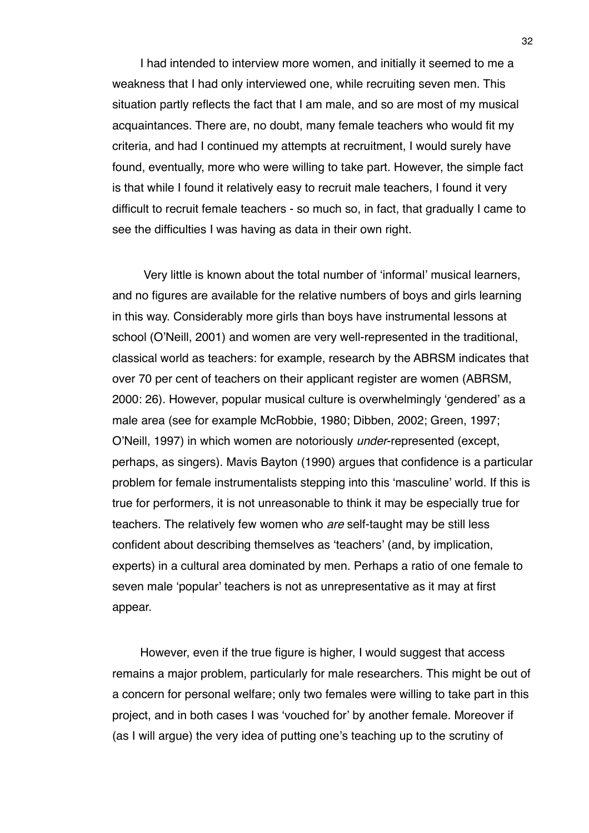I had intended to interview more women, and initially it seemed to me a weakness that I had only interviewed one, while recruiting seven men. This situation partly reflects the fact that I am male, and so are most of my musical acquaintances. There are, no doubt, many female teachers who would fit my criteria, and had I continued my attempts at recruitment, I would surely have found, eventually, more who were willing to take part. However, the simple fact is that while I found it relatively easy to recruit male teachers, I found it very difficult to recruit female teachers - so much so, in fact, that gradually I came to see the difficulties I was having as data in their own right.

 Very little is known about the total number of ʻinformal' musical learners, and no figures are available for the relative numbers of boys and girls learning in this way. Considerably more girls than boys have instrumental lessons at school (O'Neill, 2001) and women are very well-represented in the traditional, classical world as teachers: for example, research by the ABRSM indicates that over 70 per cent of teachers on their applicant register are women (ABRSM, 2000: 26). However, popular musical culture is overwhelmingly ʻgendered' as a male area (see for example McRobbie, 1980; Dibben, 2002; Green, 1997; O'Neill, 1997) in which women are notoriously *under*-represented (except, perhaps, as singers). Mavis Bayton (1990) argues that confidence is a particular problem for female instrumentalists stepping into this ʻmasculine' world. If this is true for performers, it is not unreasonable to think it may be especially true for teachers. The relatively few women who *are* self-taught may be still less confident about describing themselves as ʻteachers' (and, by implication, experts) in a cultural area dominated by men. Perhaps a ratio of one female to seven male ʻpopular' teachers is not as unrepresentative as it may at first appear.

However, even if the true figure is higher, I would suggest that access remains a major problem, particularly for male researchers. This might be out of a concern for personal welfare; only two females were willing to take part in this project, and in both cases I was ʻvouched for' by another female. Moreover if (as I will argue) the very idea of putting one's teaching up to the scrutiny of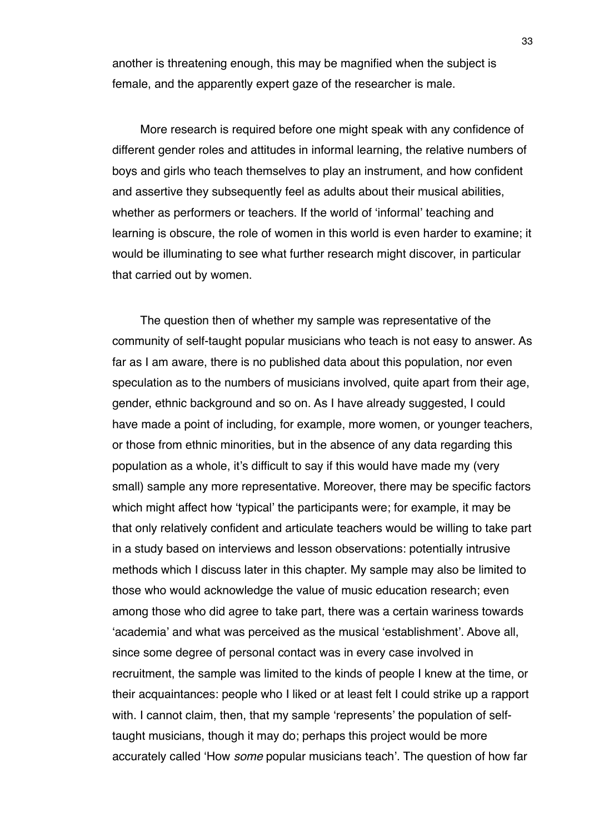another is threatening enough, this may be magnified when the subject is female, and the apparently expert gaze of the researcher is male.

More research is required before one might speak with any confidence of different gender roles and attitudes in informal learning, the relative numbers of boys and girls who teach themselves to play an instrument, and how confident and assertive they subsequently feel as adults about their musical abilities, whether as performers or teachers. If the world of ʻinformal' teaching and learning is obscure, the role of women in this world is even harder to examine; it would be illuminating to see what further research might discover, in particular that carried out by women.

The question then of whether my sample was representative of the community of self-taught popular musicians who teach is not easy to answer. As far as I am aware, there is no published data about this population, nor even speculation as to the numbers of musicians involved, quite apart from their age, gender, ethnic background and so on. As I have already suggested, I could have made a point of including, for example, more women, or younger teachers, or those from ethnic minorities, but in the absence of any data regarding this population as a whole, it's difficult to say if this would have made my (very small) sample any more representative. Moreover, there may be specific factors which might affect how ʻtypical' the participants were; for example, it may be that only relatively confident and articulate teachers would be willing to take part in a study based on interviews and lesson observations: potentially intrusive methods which I discuss later in this chapter. My sample may also be limited to those who would acknowledge the value of music education research; even among those who did agree to take part, there was a certain wariness towards ʻacademia' and what was perceived as the musical ʻestablishment'. Above all, since some degree of personal contact was in every case involved in recruitment, the sample was limited to the kinds of people I knew at the time, or their acquaintances: people who I liked or at least felt I could strike up a rapport with. I cannot claim, then, that my sample ʻrepresents' the population of selftaught musicians, though it may do; perhaps this project would be more accurately called ʻHow *some* popular musicians teach'. The question of how far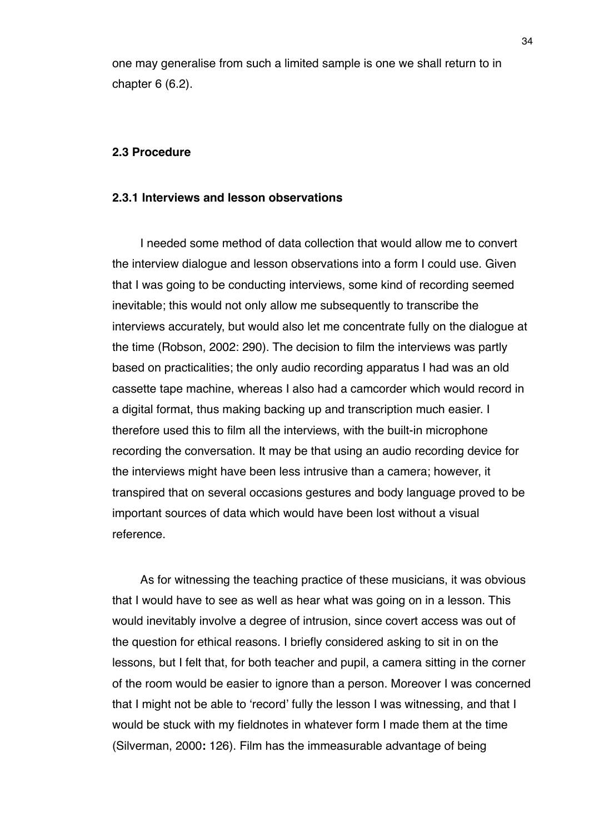one may generalise from such a limited sample is one we shall return to in chapter 6 (6.2).

## **2.3 Procedure**

## **2.3.1 Interviews and lesson observations**

I needed some method of data collection that would allow me to convert the interview dialogue and lesson observations into a form I could use. Given that I was going to be conducting interviews, some kind of recording seemed inevitable; this would not only allow me subsequently to transcribe the interviews accurately, but would also let me concentrate fully on the dialogue at the time (Robson, 2002: 290). The decision to film the interviews was partly based on practicalities; the only audio recording apparatus I had was an old cassette tape machine, whereas I also had a camcorder which would record in a digital format, thus making backing up and transcription much easier. I therefore used this to film all the interviews, with the built-in microphone recording the conversation. It may be that using an audio recording device for the interviews might have been less intrusive than a camera; however, it transpired that on several occasions gestures and body language proved to be important sources of data which would have been lost without a visual reference.

As for witnessing the teaching practice of these musicians, it was obvious that I would have to see as well as hear what was going on in a lesson. This would inevitably involve a degree of intrusion, since covert access was out of the question for ethical reasons. I briefly considered asking to sit in on the lessons, but I felt that, for both teacher and pupil, a camera sitting in the corner of the room would be easier to ignore than a person. Moreover I was concerned that I might not be able to ʻrecord' fully the lesson I was witnessing, and that I would be stuck with my fieldnotes in whatever form I made them at the time (Silverman, 2000**:** 126). Film has the immeasurable advantage of being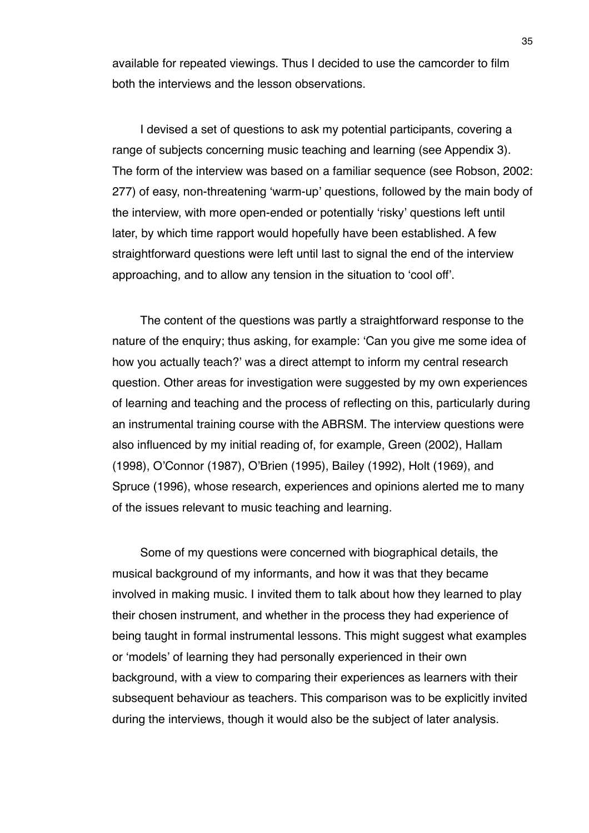available for repeated viewings. Thus I decided to use the camcorder to film both the interviews and the lesson observations.

I devised a set of questions to ask my potential participants, covering a range of subjects concerning music teaching and learning (see Appendix 3). The form of the interview was based on a familiar sequence (see Robson, 2002: 277) of easy, non-threatening ʻwarm-up' questions, followed by the main body of the interview, with more open-ended or potentially ʻrisky' questions left until later, by which time rapport would hopefully have been established. A few straightforward questions were left until last to signal the end of the interview approaching, and to allow any tension in the situation to ʻcool off'.

The content of the questions was partly a straightforward response to the nature of the enquiry; thus asking, for example: ʻCan you give me some idea of how you actually teach?' was a direct attempt to inform my central research question. Other areas for investigation were suggested by my own experiences of learning and teaching and the process of reflecting on this, particularly during an instrumental training course with the ABRSM. The interview questions were also influenced by my initial reading of, for example, Green (2002), Hallam (1998), O'Connor (1987), O'Brien (1995), Bailey (1992), Holt (1969), and Spruce (1996), whose research, experiences and opinions alerted me to many of the issues relevant to music teaching and learning.

Some of my questions were concerned with biographical details, the musical background of my informants, and how it was that they became involved in making music. I invited them to talk about how they learned to play their chosen instrument, and whether in the process they had experience of being taught in formal instrumental lessons. This might suggest what examples or ʻmodels' of learning they had personally experienced in their own background, with a view to comparing their experiences as learners with their subsequent behaviour as teachers. This comparison was to be explicitly invited during the interviews, though it would also be the subject of later analysis.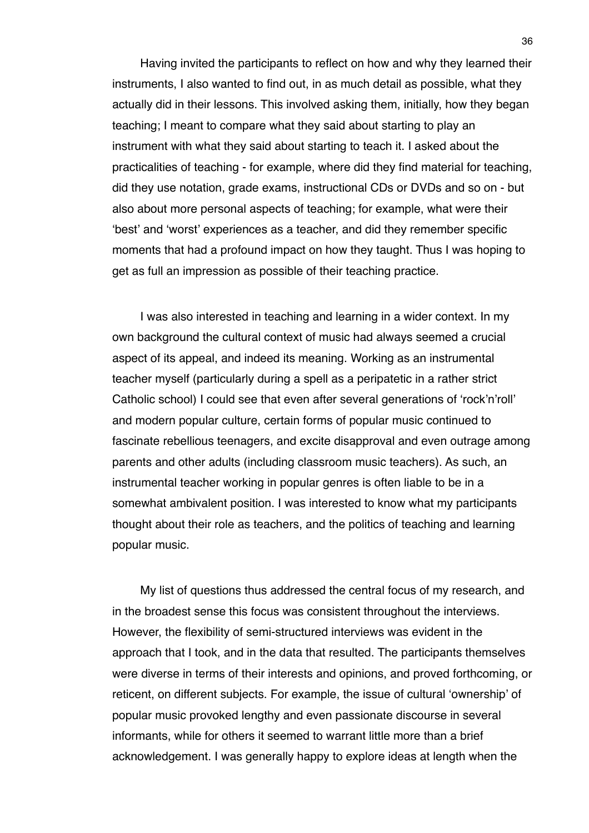Having invited the participants to reflect on how and why they learned their instruments, I also wanted to find out, in as much detail as possible, what they actually did in their lessons. This involved asking them, initially, how they began teaching; I meant to compare what they said about starting to play an instrument with what they said about starting to teach it. I asked about the practicalities of teaching - for example, where did they find material for teaching, did they use notation, grade exams, instructional CDs or DVDs and so on - but also about more personal aspects of teaching; for example, what were their ʻbest' and ʻworst' experiences as a teacher, and did they remember specific moments that had a profound impact on how they taught. Thus I was hoping to get as full an impression as possible of their teaching practice.

I was also interested in teaching and learning in a wider context. In my own background the cultural context of music had always seemed a crucial aspect of its appeal, and indeed its meaning. Working as an instrumental teacher myself (particularly during a spell as a peripatetic in a rather strict Catholic school) I could see that even after several generations of ʻrock'n'roll' and modern popular culture, certain forms of popular music continued to fascinate rebellious teenagers, and excite disapproval and even outrage among parents and other adults (including classroom music teachers). As such, an instrumental teacher working in popular genres is often liable to be in a somewhat ambivalent position. I was interested to know what my participants thought about their role as teachers, and the politics of teaching and learning popular music.

My list of questions thus addressed the central focus of my research, and in the broadest sense this focus was consistent throughout the interviews. However, the flexibility of semi-structured interviews was evident in the approach that I took, and in the data that resulted. The participants themselves were diverse in terms of their interests and opinions, and proved forthcoming, or reticent, on different subjects. For example, the issue of cultural ʻownership' of popular music provoked lengthy and even passionate discourse in several informants, while for others it seemed to warrant little more than a brief acknowledgement. I was generally happy to explore ideas at length when the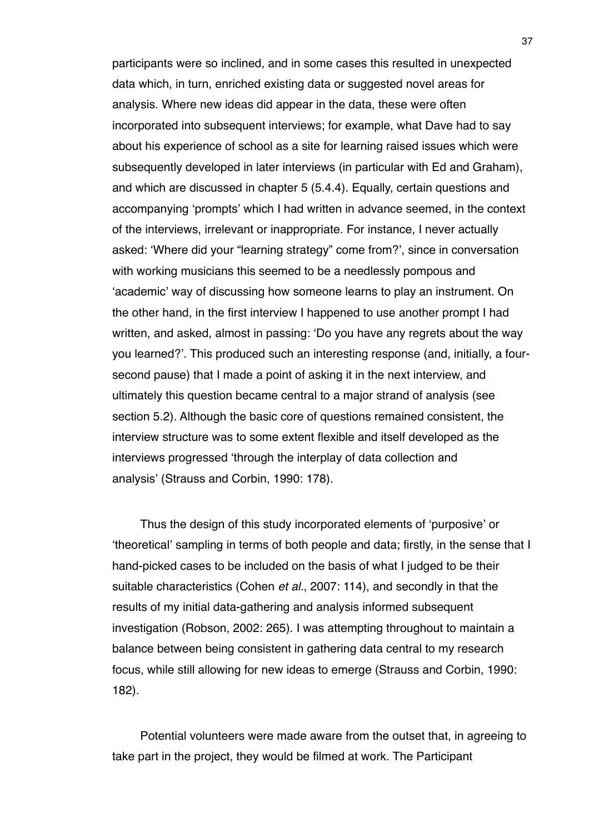participants were so inclined, and in some cases this resulted in unexpected data which, in turn, enriched existing data or suggested novel areas for analysis. Where new ideas did appear in the data, these were often incorporated into subsequent interviews; for example, what Dave had to say about his experience of school as a site for learning raised issues which were subsequently developed in later interviews (in particular with Ed and Graham), and which are discussed in chapter 5 (5.4.4). Equally, certain questions and accompanying ʻprompts' which I had written in advance seemed, in the context of the interviews, irrelevant or inappropriate. For instance, I never actually asked: ʻWhere did your "learning strategy" come from?', since in conversation with working musicians this seemed to be a needlessly pompous and ʻacademic' way of discussing how someone learns to play an instrument. On the other hand, in the first interview I happened to use another prompt I had written, and asked, almost in passing: ʻDo you have any regrets about the way you learned?'. This produced such an interesting response (and, initially, a foursecond pause) that I made a point of asking it in the next interview, and ultimately this question became central to a major strand of analysis (see section 5.2). Although the basic core of questions remained consistent, the interview structure was to some extent flexible and itself developed as the interviews progressed ʻthrough the interplay of data collection and analysis' (Strauss and Corbin, 1990: 178).

Thus the design of this study incorporated elements of ʻpurposive' or ʻtheoretical' sampling in terms of both people and data; firstly, in the sense that I hand-picked cases to be included on the basis of what I judged to be their suitable characteristics (Cohen *et al.*, 2007: 114), and secondly in that the results of my initial data-gathering and analysis informed subsequent investigation (Robson, 2002: 265). I was attempting throughout to maintain a balance between being consistent in gathering data central to my research focus, while still allowing for new ideas to emerge (Strauss and Corbin, 1990: 182).

Potential volunteers were made aware from the outset that, in agreeing to take part in the project, they would be filmed at work. The Participant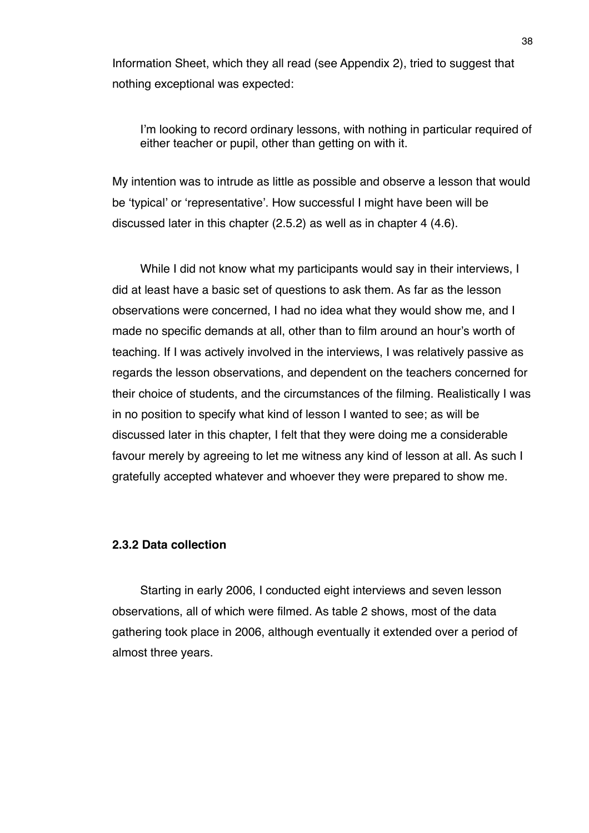Information Sheet, which they all read (see Appendix 2), tried to suggest that nothing exceptional was expected:

I'm looking to record ordinary lessons, with nothing in particular required of either teacher or pupil, other than getting on with it.

My intention was to intrude as little as possible and observe a lesson that would be ʻtypical' or ʻrepresentative'. How successful I might have been will be discussed later in this chapter (2.5.2) as well as in chapter 4 (4.6).

While I did not know what my participants would say in their interviews, I did at least have a basic set of questions to ask them. As far as the lesson observations were concerned, I had no idea what they would show me, and I made no specific demands at all, other than to film around an hour's worth of teaching. If I was actively involved in the interviews, I was relatively passive as regards the lesson observations, and dependent on the teachers concerned for their choice of students, and the circumstances of the filming. Realistically I was in no position to specify what kind of lesson I wanted to see; as will be discussed later in this chapter, I felt that they were doing me a considerable favour merely by agreeing to let me witness any kind of lesson at all. As such I gratefully accepted whatever and whoever they were prepared to show me.

## **2.3.2 Data collection**

Starting in early 2006, I conducted eight interviews and seven lesson observations, all of which were filmed. As table 2 shows, most of the data gathering took place in 2006, although eventually it extended over a period of almost three years.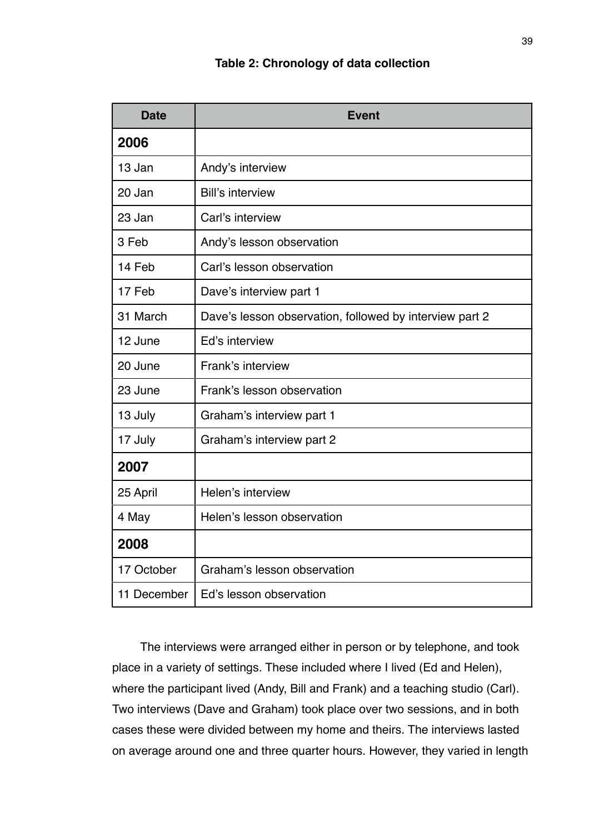# **Table 2: Chronology of data collection**

| <b>Date</b> | <b>Event</b>                                            |
|-------------|---------------------------------------------------------|
| 2006        |                                                         |
| 13 Jan      | Andy's interview                                        |
| 20 Jan      | <b>Bill's interview</b>                                 |
| 23 Jan      | Carl's interview                                        |
| 3 Feb       | Andy's lesson observation                               |
| 14 Feb      | Carl's lesson observation                               |
| 17 Feb      | Dave's interview part 1                                 |
| 31 March    | Dave's lesson observation, followed by interview part 2 |
| 12 June     | Ed's interview                                          |
| 20 June     | Frank's interview                                       |
| 23 June     | Frank's lesson observation                              |
| 13 July     | Graham's interview part 1                               |
| 17 July     | Graham's interview part 2                               |
| 2007        |                                                         |
| 25 April    | Helen's interview                                       |
| 4 May       | Helen's lesson observation                              |
| 2008        |                                                         |
| 17 October  | Graham's lesson observation                             |
| 11 December | Ed's lesson observation                                 |

The interviews were arranged either in person or by telephone, and took place in a variety of settings. These included where I lived (Ed and Helen), where the participant lived (Andy, Bill and Frank) and a teaching studio (Carl). Two interviews (Dave and Graham) took place over two sessions, and in both cases these were divided between my home and theirs. The interviews lasted on average around one and three quarter hours. However, they varied in length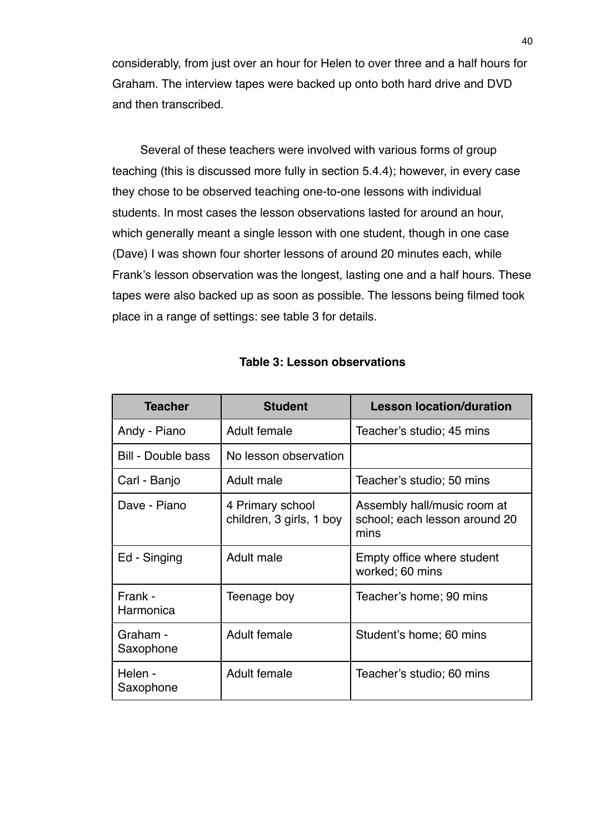considerably, from just over an hour for Helen to over three and a half hours for Graham. The interview tapes were backed up onto both hard drive and DVD and then transcribed.

Several of these teachers were involved with various forms of group teaching (this is discussed more fully in section 5.4.4); however, in every case they chose to be observed teaching one-to-one lessons with individual students. In most cases the lesson observations lasted for around an hour, which generally meant a single lesson with one student, though in one case (Dave) I was shown four shorter lessons of around 20 minutes each, while Frank's lesson observation was the longest, lasting one and a half hours. These tapes were also backed up as soon as possible. The lessons being filmed took place in a range of settings: see table 3 for details.

| <b>Teacher</b>        | <b>Student</b>                               | <b>Lesson location/duration</b>                                      |  |
|-----------------------|----------------------------------------------|----------------------------------------------------------------------|--|
| Andy - Piano          | Adult female                                 | Teacher's studio; 45 mins                                            |  |
| Bill - Double bass    | No lesson observation                        |                                                                      |  |
| Carl - Banjo          | Adult male                                   | Teacher's studio; 50 mins                                            |  |
| Dave - Piano          | 4 Primary school<br>children, 3 girls, 1 boy | Assembly hall/music room at<br>school; each lesson around 20<br>mins |  |
| Ed - Singing          | Adult male                                   | Empty office where student<br>worked; 60 mins                        |  |
| Frank -<br>Harmonica  | Teenage boy                                  | Teacher's home; 90 mins                                              |  |
| Graham -<br>Saxophone | Adult female                                 | Student's home; 60 mins                                              |  |
| Helen -<br>Saxophone  | Adult female                                 | Teacher's studio; 60 mins                                            |  |

## **Table 3: Lesson observations**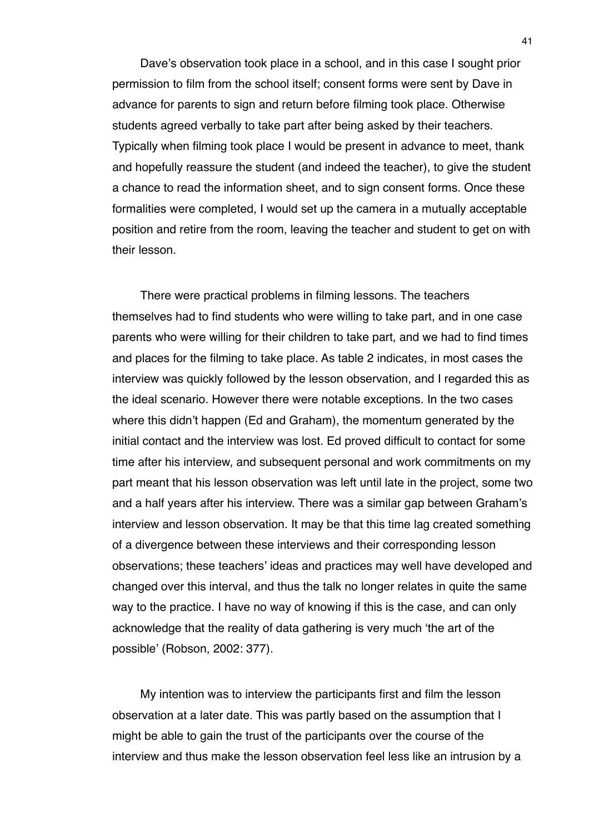Dave's observation took place in a school, and in this case I sought prior permission to film from the school itself; consent forms were sent by Dave in advance for parents to sign and return before filming took place. Otherwise students agreed verbally to take part after being asked by their teachers. Typically when filming took place I would be present in advance to meet, thank and hopefully reassure the student (and indeed the teacher), to give the student a chance to read the information sheet, and to sign consent forms. Once these formalities were completed, I would set up the camera in a mutually acceptable position and retire from the room, leaving the teacher and student to get on with their lesson.

There were practical problems in filming lessons. The teachers themselves had to find students who were willing to take part, and in one case parents who were willing for their children to take part, and we had to find times and places for the filming to take place. As table 2 indicates, in most cases the interview was quickly followed by the lesson observation, and I regarded this as the ideal scenario. However there were notable exceptions. In the two cases where this didn't happen (Ed and Graham), the momentum generated by the initial contact and the interview was lost. Ed proved difficult to contact for some time after his interview, and subsequent personal and work commitments on my part meant that his lesson observation was left until late in the project, some two and a half years after his interview. There was a similar gap between Graham's interview and lesson observation. It may be that this time lag created something of a divergence between these interviews and their corresponding lesson observations; these teachers' ideas and practices may well have developed and changed over this interval, and thus the talk no longer relates in quite the same way to the practice. I have no way of knowing if this is the case, and can only acknowledge that the reality of data gathering is very much ʻthe art of the possible' (Robson, 2002: 377).

My intention was to interview the participants first and film the lesson observation at a later date. This was partly based on the assumption that I might be able to gain the trust of the participants over the course of the interview and thus make the lesson observation feel less like an intrusion by a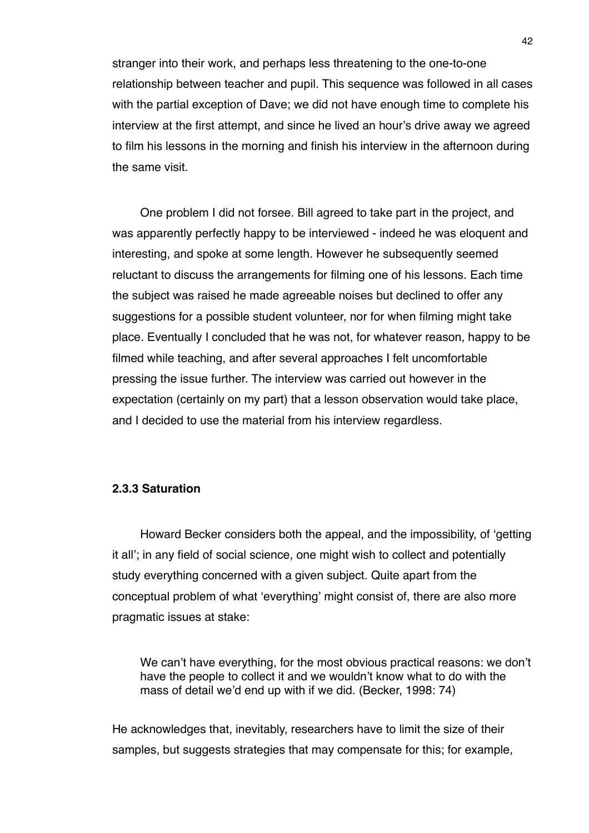stranger into their work, and perhaps less threatening to the one-to-one relationship between teacher and pupil. This sequence was followed in all cases with the partial exception of Dave; we did not have enough time to complete his interview at the first attempt, and since he lived an hour's drive away we agreed to film his lessons in the morning and finish his interview in the afternoon during the same visit.

One problem I did not forsee. Bill agreed to take part in the project, and was apparently perfectly happy to be interviewed - indeed he was eloquent and interesting, and spoke at some length. However he subsequently seemed reluctant to discuss the arrangements for filming one of his lessons. Each time the subject was raised he made agreeable noises but declined to offer any suggestions for a possible student volunteer, nor for when filming might take place. Eventually I concluded that he was not, for whatever reason, happy to be filmed while teaching, and after several approaches I felt uncomfortable pressing the issue further. The interview was carried out however in the expectation (certainly on my part) that a lesson observation would take place, and I decided to use the material from his interview regardless.

## **2.3.3 Saturation**

Howard Becker considers both the appeal, and the impossibility, of ʻgetting it all'; in any field of social science, one might wish to collect and potentially study everything concerned with a given subject. Quite apart from the conceptual problem of what ʻeverything' might consist of, there are also more pragmatic issues at stake:

We can't have everything, for the most obvious practical reasons: we don't have the people to collect it and we wouldn't know what to do with the mass of detail we'd end up with if we did. (Becker, 1998: 74)

He acknowledges that, inevitably, researchers have to limit the size of their samples, but suggests strategies that may compensate for this; for example,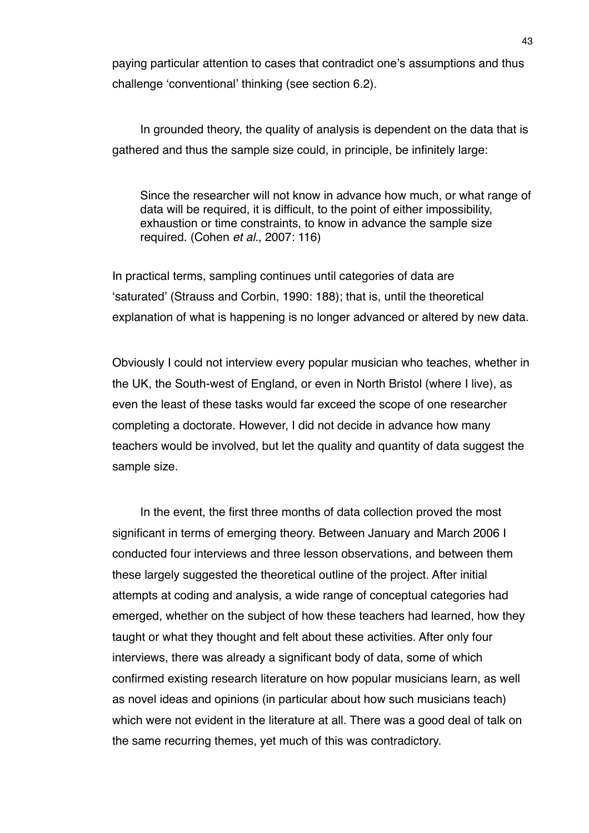paying particular attention to cases that contradict one's assumptions and thus challenge ʻconventional' thinking (see section 6.2).

In grounded theory, the quality of analysis is dependent on the data that is gathered and thus the sample size could, in principle, be infinitely large:

Since the researcher will not know in advance how much, or what range of data will be required, it is difficult, to the point of either impossibility, exhaustion or time constraints, to know in advance the sample size required. (Cohen *et al.*, 2007: 116)

In practical terms, sampling continues until categories of data are ʻsaturated' (Strauss and Corbin, 1990: 188); that is, until the theoretical explanation of what is happening is no longer advanced or altered by new data.

Obviously I could not interview every popular musician who teaches, whether in the UK, the South-west of England, or even in North Bristol (where I live), as even the least of these tasks would far exceed the scope of one researcher completing a doctorate. However, I did not decide in advance how many teachers would be involved, but let the quality and quantity of data suggest the sample size.

In the event, the first three months of data collection proved the most significant in terms of emerging theory. Between January and March 2006 I conducted four interviews and three lesson observations, and between them these largely suggested the theoretical outline of the project. After initial attempts at coding and analysis, a wide range of conceptual categories had emerged, whether on the subject of how these teachers had learned, how they taught or what they thought and felt about these activities. After only four interviews, there was already a significant body of data, some of which confirmed existing research literature on how popular musicians learn, as well as novel ideas and opinions (in particular about how such musicians teach) which were not evident in the literature at all. There was a good deal of talk on the same recurring themes, yet much of this was contradictory.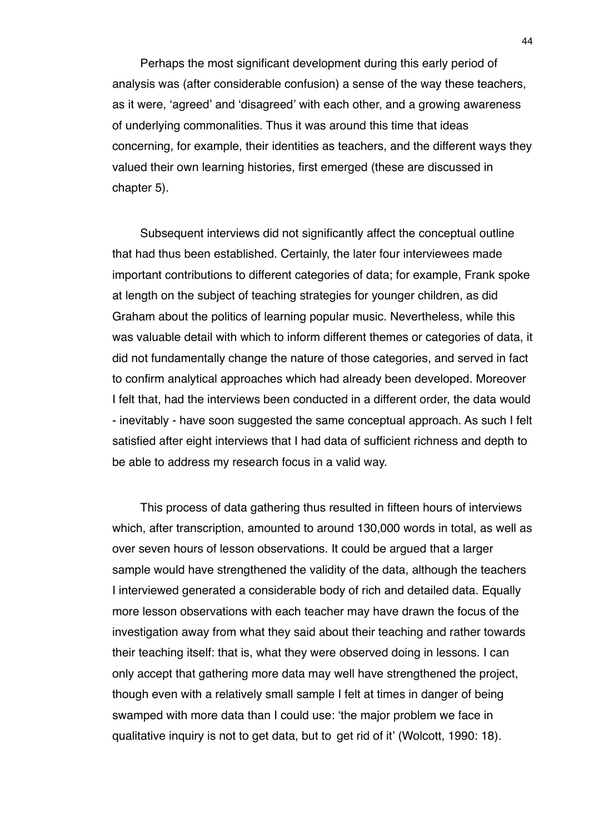Perhaps the most significant development during this early period of analysis was (after considerable confusion) a sense of the way these teachers, as it were, ʻagreed' and ʻdisagreed' with each other, and a growing awareness of underlying commonalities. Thus it was around this time that ideas concerning, for example, their identities as teachers, and the different ways they valued their own learning histories, first emerged (these are discussed in chapter 5).

Subsequent interviews did not significantly affect the conceptual outline that had thus been established. Certainly, the later four interviewees made important contributions to different categories of data; for example, Frank spoke at length on the subject of teaching strategies for younger children, as did Graham about the politics of learning popular music. Nevertheless, while this was valuable detail with which to inform different themes or categories of data, it did not fundamentally change the nature of those categories, and served in fact to confirm analytical approaches which had already been developed. Moreover I felt that, had the interviews been conducted in a different order, the data would - inevitably - have soon suggested the same conceptual approach. As such I felt satisfied after eight interviews that I had data of sufficient richness and depth to be able to address my research focus in a valid way.

This process of data gathering thus resulted in fifteen hours of interviews which, after transcription, amounted to around 130,000 words in total, as well as over seven hours of lesson observations. It could be argued that a larger sample would have strengthened the validity of the data, although the teachers I interviewed generated a considerable body of rich and detailed data. Equally more lesson observations with each teacher may have drawn the focus of the investigation away from what they said about their teaching and rather towards their teaching itself: that is, what they were observed doing in lessons. I can only accept that gathering more data may well have strengthened the project, though even with a relatively small sample I felt at times in danger of being swamped with more data than I could use: ʻthe major problem we face in qualitative inquiry is not to get data, but to get rid of it' (Wolcott, 1990: 18).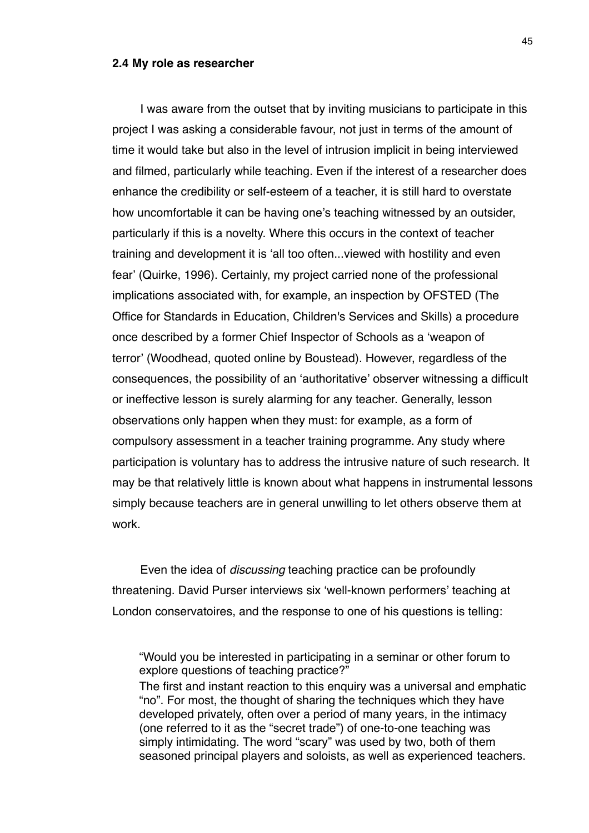#### **2.4 My role as researcher**

I was aware from the outset that by inviting musicians to participate in this project I was asking a considerable favour, not just in terms of the amount of time it would take but also in the level of intrusion implicit in being interviewed and filmed, particularly while teaching. Even if the interest of a researcher does enhance the credibility or self-esteem of a teacher, it is still hard to overstate how uncomfortable it can be having one's teaching witnessed by an outsider, particularly if this is a novelty. Where this occurs in the context of teacher training and development it is ʻall too often...viewed with hostility and even fear' (Quirke, 1996). Certainly, my project carried none of the professional implications associated with, for example, an inspection by OFSTED (The Office for Standards in Education, Children's Services and Skills) a procedure once described by a former Chief Inspector of Schools as a ʻweapon of terror' (Woodhead, quoted online by Boustead). However, regardless of the consequences, the possibility of an ʻauthoritative' observer witnessing a difficult or ineffective lesson is surely alarming for any teacher. Generally, lesson observations only happen when they must: for example, as a form of compulsory assessment in a teacher training programme. Any study where participation is voluntary has to address the intrusive nature of such research. It may be that relatively little is known about what happens in instrumental lessons simply because teachers are in general unwilling to let others observe them at work.

Even the idea of *discussing* teaching practice can be profoundly threatening. David Purser interviews six ʻwell-known performers' teaching at London conservatoires, and the response to one of his questions is telling:

The first and instant reaction to this enquiry was a universal and emphatic "no". For most, the thought of sharing the techniques which they have developed privately, often over a period of many years, in the intimacy (one referred to it as the "secret trade") of one-to-one teaching was simply intimidating. The word "scary" was used by two, both of them seasoned principal players and soloists, as well as experienced teachers.

<sup>&</sup>quot;Would you be interested in participating in a seminar or other forum to explore questions of teaching practice?"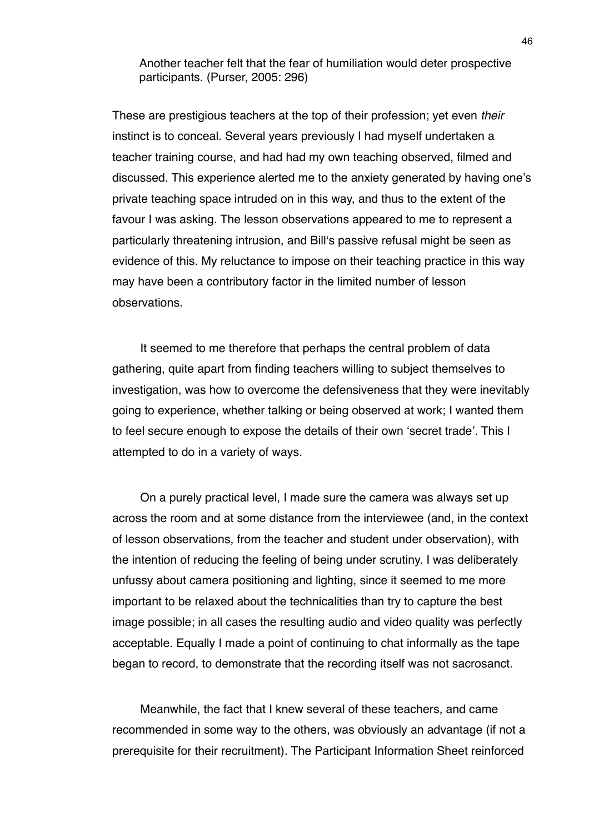Another teacher felt that the fear of humiliation would deter prospective participants. (Purser, 2005: 296)

These are prestigious teachers at the top of their profession; yet even *their* instinct is to conceal. Several years previously I had myself undertaken a teacher training course, and had had my own teaching observed, filmed and discussed. This experience alerted me to the anxiety generated by having one's private teaching space intruded on in this way, and thus to the extent of the favour I was asking. The lesson observations appeared to me to represent a particularly threatening intrusion, and Billʻs passive refusal might be seen as evidence of this. My reluctance to impose on their teaching practice in this way may have been a contributory factor in the limited number of lesson observations.

It seemed to me therefore that perhaps the central problem of data gathering, quite apart from finding teachers willing to subject themselves to investigation, was how to overcome the defensiveness that they were inevitably going to experience, whether talking or being observed at work; I wanted them to feel secure enough to expose the details of their own ʻsecret trade'. This I attempted to do in a variety of ways.

On a purely practical level, I made sure the camera was always set up across the room and at some distance from the interviewee (and, in the context of lesson observations, from the teacher and student under observation), with the intention of reducing the feeling of being under scrutiny. I was deliberately unfussy about camera positioning and lighting, since it seemed to me more important to be relaxed about the technicalities than try to capture the best image possible; in all cases the resulting audio and video quality was perfectly acceptable. Equally I made a point of continuing to chat informally as the tape began to record, to demonstrate that the recording itself was not sacrosanct.

Meanwhile, the fact that I knew several of these teachers, and came recommended in some way to the others, was obviously an advantage (if not a prerequisite for their recruitment). The Participant Information Sheet reinforced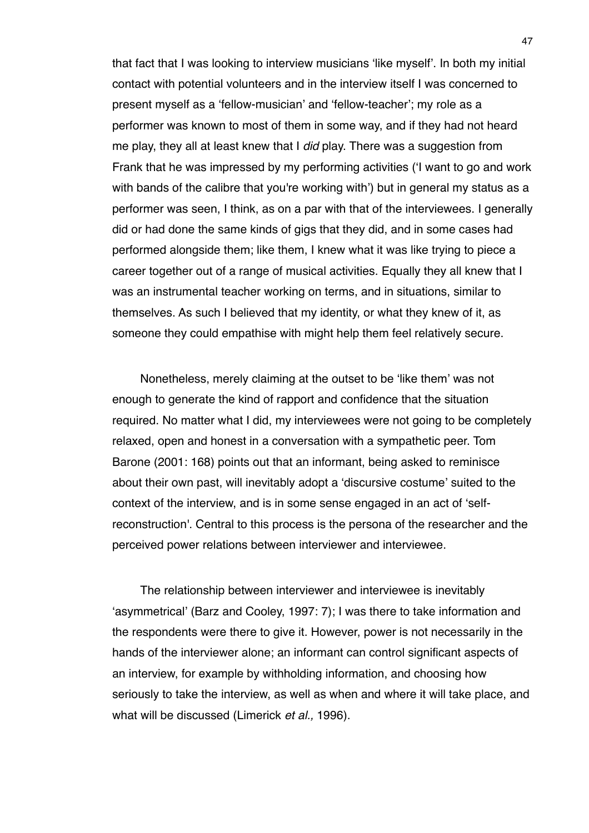that fact that I was looking to interview musicians ʻlike myself'. In both my initial contact with potential volunteers and in the interview itself I was concerned to present myself as a ʻfellow-musician' and ʻfellow-teacher'; my role as a performer was known to most of them in some way, and if they had not heard me play, they all at least knew that I *did* play. There was a suggestion from Frank that he was impressed by my performing activities (ʻI want to go and work with bands of the calibre that you're working with') but in general my status as a performer was seen, I think, as on a par with that of the interviewees. I generally did or had done the same kinds of gigs that they did, and in some cases had performed alongside them; like them, I knew what it was like trying to piece a career together out of a range of musical activities. Equally they all knew that I was an instrumental teacher working on terms, and in situations, similar to themselves. As such I believed that my identity, or what they knew of it, as someone they could empathise with might help them feel relatively secure.

Nonetheless, merely claiming at the outset to be ʻlike them' was not enough to generate the kind of rapport and confidence that the situation required. No matter what I did, my interviewees were not going to be completely relaxed, open and honest in a conversation with a sympathetic peer. Tom Barone (2001: 168) points out that an informant, being asked to reminisce about their own past, will inevitably adopt a ʻdiscursive costume' suited to the context of the interview, and is in some sense engaged in an act of ʻselfreconstruction'. Central to this process is the persona of the researcher and the perceived power relations between interviewer and interviewee.

The relationship between interviewer and interviewee is inevitably ʻasymmetrical' (Barz and Cooley, 1997: 7); I was there to take information and the respondents were there to give it. However, power is not necessarily in the hands of the interviewer alone; an informant can control significant aspects of an interview, for example by withholding information, and choosing how seriously to take the interview, as well as when and where it will take place, and what will be discussed (Limerick *et al.,* 1996).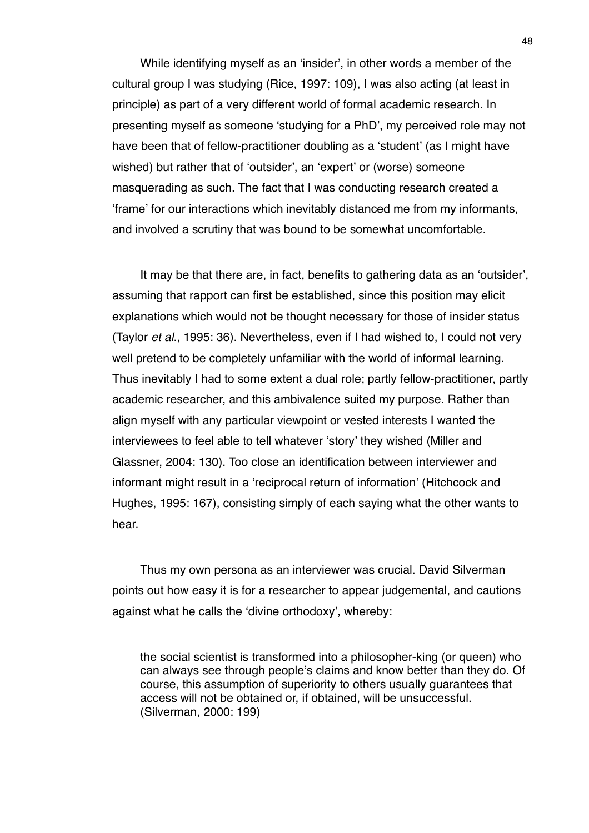While identifying myself as an ʻinsider', in other words a member of the cultural group I was studying (Rice, 1997: 109), I was also acting (at least in principle) as part of a very different world of formal academic research. In presenting myself as someone ʻstudying for a PhD', my perceived role may not have been that of fellow-practitioner doubling as a ʻstudent' (as I might have wished) but rather that of ʻoutsider', an ʻexpert' or (worse) someone masquerading as such. The fact that I was conducting research created a ʻframe' for our interactions which inevitably distanced me from my informants, and involved a scrutiny that was bound to be somewhat uncomfortable.

It may be that there are, in fact, benefits to gathering data as an ʻoutsider', assuming that rapport can first be established, since this position may elicit explanations which would not be thought necessary for those of insider status (Taylor *et al*., 1995: 36). Nevertheless, even if I had wished to, I could not very well pretend to be completely unfamiliar with the world of informal learning. Thus inevitably I had to some extent a dual role; partly fellow-practitioner, partly academic researcher, and this ambivalence suited my purpose. Rather than align myself with any particular viewpoint or vested interests I wanted the interviewees to feel able to tell whatever ʻstory' they wished (Miller and Glassner, 2004: 130). Too close an identification between interviewer and informant might result in a ʻreciprocal return of information' (Hitchcock and Hughes, 1995: 167), consisting simply of each saying what the other wants to hear.

Thus my own persona as an interviewer was crucial. David Silverman points out how easy it is for a researcher to appear judgemental, and cautions against what he calls the ʻdivine orthodoxy', whereby:

the social scientist is transformed into a philosopher-king (or queen) who can always see through people's claims and know better than they do. Of course, this assumption of superiority to others usually guarantees that access will not be obtained or, if obtained, will be unsuccessful. (Silverman, 2000: 199)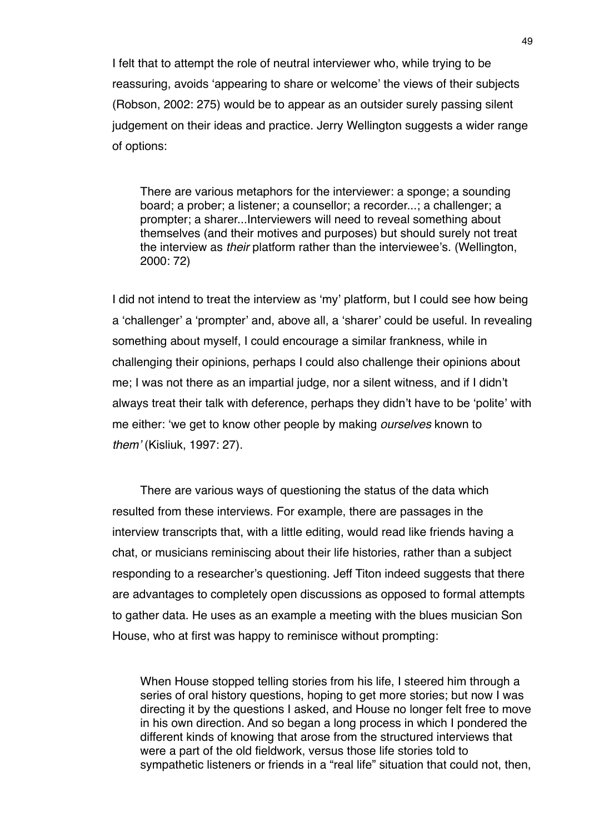I felt that to attempt the role of neutral interviewer who, while trying to be reassuring, avoids ʻappearing to share or welcome' the views of their subjects (Robson, 2002: 275) would be to appear as an outsider surely passing silent judgement on their ideas and practice. Jerry Wellington suggests a wider range of options:

There are various metaphors for the interviewer: a sponge; a sounding board; a prober; a listener; a counsellor; a recorder...; a challenger; a prompter; a sharer...Interviewers will need to reveal something about themselves (and their motives and purposes) but should surely not treat the interview as *their* platform rather than the interviewee's. (Wellington, 2000: 72)

I did not intend to treat the interview as ʻmy' platform, but I could see how being a ʻchallenger' a ʻprompter' and, above all, a ʻsharer' could be useful. In revealing something about myself, I could encourage a similar frankness, while in challenging their opinions, perhaps I could also challenge their opinions about me; I was not there as an impartial judge, nor a silent witness, and if I didn't always treat their talk with deference, perhaps they didn't have to be ʻpolite' with me either: ʻwe get to know other people by making *ourselves* known to *them*' (Kisliuk, 1997: 27).

There are various ways of questioning the status of the data which resulted from these interviews. For example, there are passages in the interview transcripts that, with a little editing, would read like friends having a chat, or musicians reminiscing about their life histories, rather than a subject responding to a researcher's questioning. Jeff Titon indeed suggests that there are advantages to completely open discussions as opposed to formal attempts to gather data. He uses as an example a meeting with the blues musician Son House, who at first was happy to reminisce without prompting:

When House stopped telling stories from his life, I steered him through a series of oral history questions, hoping to get more stories; but now I was directing it by the questions I asked, and House no longer felt free to move in his own direction. And so began a long process in which I pondered the different kinds of knowing that arose from the structured interviews that were a part of the old fieldwork, versus those life stories told to sympathetic listeners or friends in a "real life" situation that could not, then,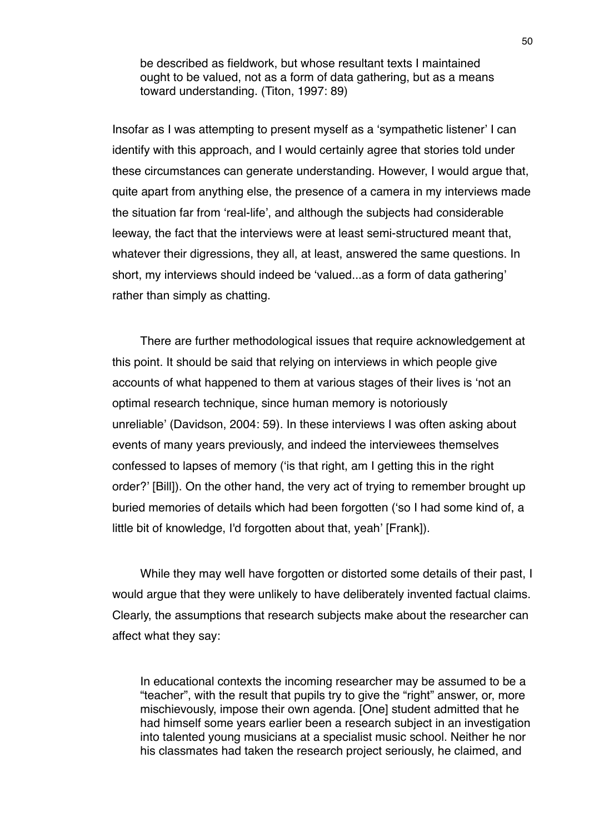be described as fieldwork, but whose resultant texts I maintained ought to be valued, not as a form of data gathering, but as a means toward understanding. (Titon, 1997: 89)

Insofar as I was attempting to present myself as a ʻsympathetic listener' I can identify with this approach, and I would certainly agree that stories told under these circumstances can generate understanding. However, I would argue that, quite apart from anything else, the presence of a camera in my interviews made the situation far from ʻreal-life', and although the subjects had considerable leeway, the fact that the interviews were at least semi-structured meant that, whatever their digressions, they all, at least, answered the same questions. In short, my interviews should indeed be ʻvalued...as a form of data gathering' rather than simply as chatting.

There are further methodological issues that require acknowledgement at this point. It should be said that relying on interviews in which people give accounts of what happened to them at various stages of their lives is ʻnot an optimal research technique, since human memory is notoriously unreliable' (Davidson, 2004: 59). In these interviews I was often asking about events of many years previously, and indeed the interviewees themselves confessed to lapses of memory (ʻis that right, am I getting this in the right order?' [Bill]). On the other hand, the very act of trying to remember brought up buried memories of details which had been forgotten (ʻso I had some kind of, a little bit of knowledge, I'd forgotten about that, yeah' [Frank]).

While they may well have forgotten or distorted some details of their past, I would argue that they were unlikely to have deliberately invented factual claims. Clearly, the assumptions that research subjects make about the researcher can affect what they say:

In educational contexts the incoming researcher may be assumed to be a "teacher", with the result that pupils try to give the "right" answer, or, more mischievously, impose their own agenda. [One] student admitted that he had himself some years earlier been a research subject in an investigation into talented young musicians at a specialist music school. Neither he nor his classmates had taken the research project seriously, he claimed, and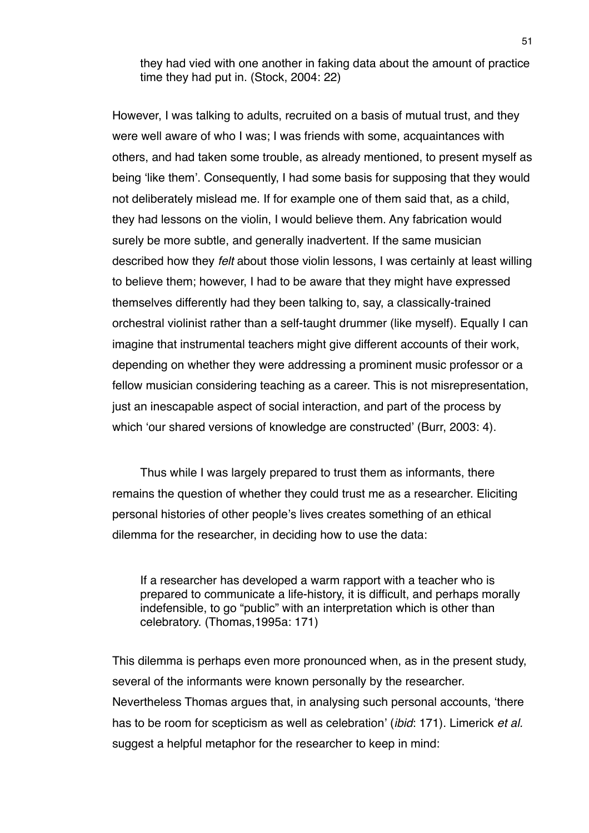they had vied with one another in faking data about the amount of practice time they had put in. (Stock, 2004: 22)

However, I was talking to adults, recruited on a basis of mutual trust, and they were well aware of who I was; I was friends with some, acquaintances with others, and had taken some trouble, as already mentioned, to present myself as being ʻlike them'. Consequently, I had some basis for supposing that they would not deliberately mislead me. If for example one of them said that, as a child, they had lessons on the violin, I would believe them. Any fabrication would surely be more subtle, and generally inadvertent. If the same musician described how they *felt* about those violin lessons, I was certainly at least willing to believe them; however, I had to be aware that they might have expressed themselves differently had they been talking to, say, a classically-trained orchestral violinist rather than a self-taught drummer (like myself). Equally I can imagine that instrumental teachers might give different accounts of their work, depending on whether they were addressing a prominent music professor or a fellow musician considering teaching as a career. This is not misrepresentation, just an inescapable aspect of social interaction, and part of the process by which ʻour shared versions of knowledge are constructed' (Burr, 2003: 4).

Thus while I was largely prepared to trust them as informants, there remains the question of whether they could trust me as a researcher. Eliciting personal histories of other people's lives creates something of an ethical dilemma for the researcher, in deciding how to use the data:

If a researcher has developed a warm rapport with a teacher who is prepared to communicate a life-history, it is difficult, and perhaps morally indefensible, to go "public" with an interpretation which is other than celebratory. (Thomas,1995a: 171)

This dilemma is perhaps even more pronounced when, as in the present study, several of the informants were known personally by the researcher. Nevertheless Thomas argues that, in analysing such personal accounts, ʻthere has to be room for scepticism as well as celebration' (*ibid*: 171). Limerick *et al.*  suggest a helpful metaphor for the researcher to keep in mind: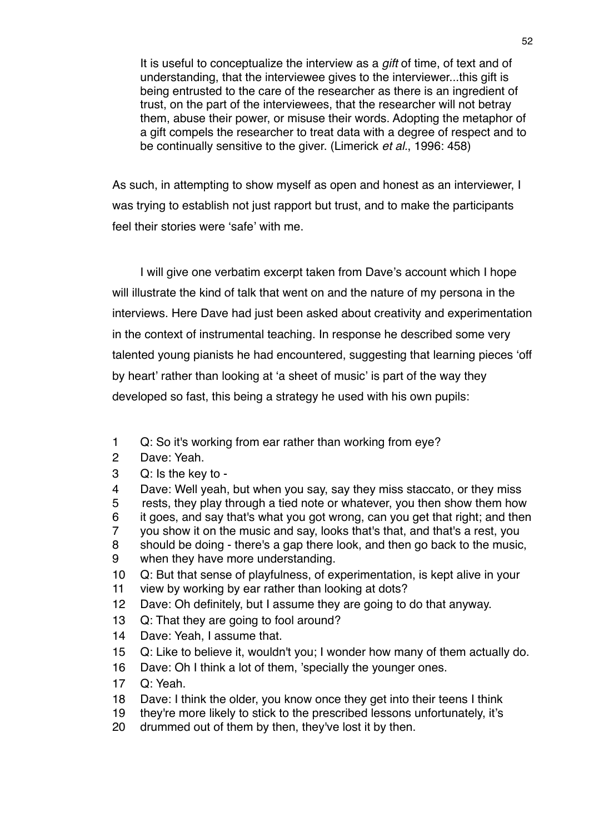It is useful to conceptualize the interview as a *gift* of time, of text and of understanding, that the interviewee gives to the interviewer...this gift is being entrusted to the care of the researcher as there is an ingredient of trust, on the part of the interviewees, that the researcher will not betray them, abuse their power, or misuse their words. Adopting the metaphor of a gift compels the researcher to treat data with a degree of respect and to be continually sensitive to the giver. (Limerick *et al.*, 1996: 458)

As such, in attempting to show myself as open and honest as an interviewer, I was trying to establish not just rapport but trust, and to make the participants feel their stories were ʻsafe' with me.

I will give one verbatim excerpt taken from Dave's account which I hope will illustrate the kind of talk that went on and the nature of my persona in the interviews. Here Dave had just been asked about creativity and experimentation in the context of instrumental teaching. In response he described some very talented young pianists he had encountered, suggesting that learning pieces ʻoff by heart' rather than looking at ʻa sheet of music' is part of the way they developed so fast, this being a strategy he used with his own pupils:

- 1 Q: So it's working from ear rather than working from eye?
- 2 Dave: Yeah.
- 3 Q: Is the key to -
- 4 Dave: Well yeah, but when you say, say they miss staccato, or they miss
- 5 rests, they play through a tied note or whatever, you then show them how
- 6 it goes, and say that's what you got wrong, can you get that right; and then
- 7 you show it on the music and say, looks that's that, and that's a rest, you
- 8 should be doing there's a gap there look, and then go back to the music,
- 9 when they have more understanding.
- 10 Q: But that sense of playfulness, of experimentation, is kept alive in your 11 view by working by ear rather than looking at dots?
- 12 Dave: Oh definitely, but I assume they are going to do that anyway.
- 13 Q: That they are going to fool around?
- 14 Dave: Yeah, I assume that.
- 15 Q: Like to believe it, wouldn't you; I wonder how many of them actually do.
- 16 Dave: Oh I think a lot of them, 'specially the younger ones.
- 17 Q: Yeah.
- 18 Dave: I think the older, you know once they get into their teens I think
- 19 they're more likely to stick to the prescribed lessons unfortunately, it's
- 20 drummed out of them by then, they've lost it by then.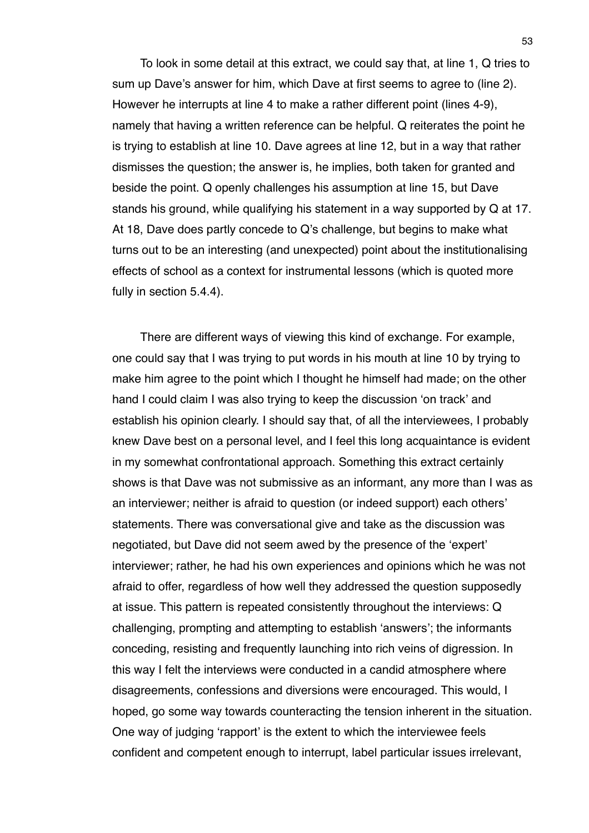To look in some detail at this extract, we could say that, at line 1, Q tries to sum up Dave's answer for him, which Dave at first seems to agree to (line 2). However he interrupts at line 4 to make a rather different point (lines 4-9), namely that having a written reference can be helpful. Q reiterates the point he is trying to establish at line 10. Dave agrees at line 12, but in a way that rather dismisses the question; the answer is, he implies, both taken for granted and beside the point. Q openly challenges his assumption at line 15, but Dave stands his ground, while qualifying his statement in a way supported by Q at 17. At 18, Dave does partly concede to Q's challenge, but begins to make what turns out to be an interesting (and unexpected) point about the institutionalising effects of school as a context for instrumental lessons (which is quoted more fully in section 5.4.4).

There are different ways of viewing this kind of exchange. For example, one could say that I was trying to put words in his mouth at line 10 by trying to make him agree to the point which I thought he himself had made; on the other hand I could claim I was also trying to keep the discussion ʻon track' and establish his opinion clearly. I should say that, of all the interviewees, I probably knew Dave best on a personal level, and I feel this long acquaintance is evident in my somewhat confrontational approach. Something this extract certainly shows is that Dave was not submissive as an informant, any more than I was as an interviewer; neither is afraid to question (or indeed support) each others' statements. There was conversational give and take as the discussion was negotiated, but Dave did not seem awed by the presence of the ʻexpert' interviewer; rather, he had his own experiences and opinions which he was not afraid to offer, regardless of how well they addressed the question supposedly at issue. This pattern is repeated consistently throughout the interviews: Q challenging, prompting and attempting to establish ʻanswers'; the informants conceding, resisting and frequently launching into rich veins of digression. In this way I felt the interviews were conducted in a candid atmosphere where disagreements, confessions and diversions were encouraged. This would, I hoped, go some way towards counteracting the tension inherent in the situation. One way of judging ʻrapport' is the extent to which the interviewee feels confident and competent enough to interrupt, label particular issues irrelevant,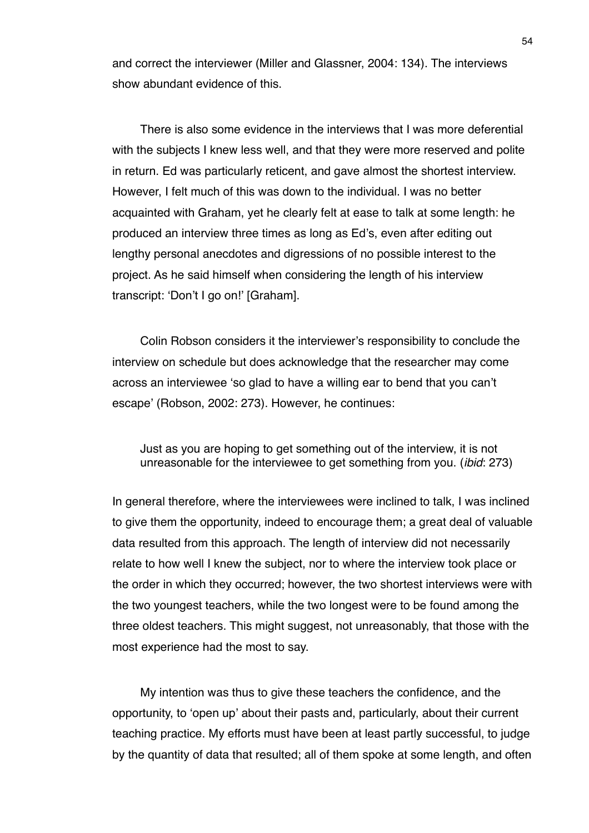and correct the interviewer (Miller and Glassner, 2004: 134). The interviews show abundant evidence of this.

There is also some evidence in the interviews that I was more deferential with the subjects I knew less well, and that they were more reserved and polite in return. Ed was particularly reticent, and gave almost the shortest interview. However, I felt much of this was down to the individual. I was no better acquainted with Graham, yet he clearly felt at ease to talk at some length: he produced an interview three times as long as Ed's, even after editing out lengthy personal anecdotes and digressions of no possible interest to the project. As he said himself when considering the length of his interview transcript: ʻDon't I go on!' [Graham].

Colin Robson considers it the interviewer's responsibility to conclude the interview on schedule but does acknowledge that the researcher may come across an interviewee ʻso glad to have a willing ear to bend that you can't escape' (Robson, 2002: 273). However, he continues:

Just as you are hoping to get something out of the interview, it is not unreasonable for the interviewee to get something from you. (*ibid*: 273)

In general therefore, where the interviewees were inclined to talk, I was inclined to give them the opportunity, indeed to encourage them; a great deal of valuable data resulted from this approach. The length of interview did not necessarily relate to how well I knew the subject, nor to where the interview took place or the order in which they occurred; however, the two shortest interviews were with the two youngest teachers, while the two longest were to be found among the three oldest teachers. This might suggest, not unreasonably, that those with the most experience had the most to say.

My intention was thus to give these teachers the confidence, and the opportunity, to ʻopen up' about their pasts and, particularly, about their current teaching practice. My efforts must have been at least partly successful, to judge by the quantity of data that resulted; all of them spoke at some length, and often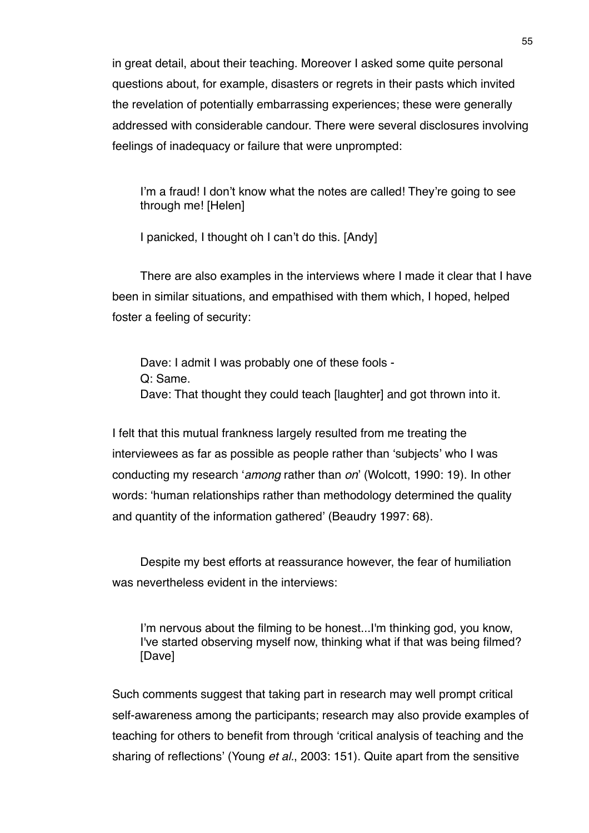in great detail, about their teaching. Moreover I asked some quite personal questions about, for example, disasters or regrets in their pasts which invited the revelation of potentially embarrassing experiences; these were generally addressed with considerable candour. There were several disclosures involving feelings of inadequacy or failure that were unprompted:

I'm a fraud! I don't know what the notes are called! They're going to see through me! [Helen]

I panicked, I thought oh I can't do this. [Andy]

There are also examples in the interviews where I made it clear that I have been in similar situations, and empathised with them which, I hoped, helped foster a feeling of security:

Dave: I admit I was probably one of these fools - Q: Same. Dave: That thought they could teach [laughter] and got thrown into it.

I felt that this mutual frankness largely resulted from me treating the interviewees as far as possible as people rather than ʻsubjects' who I was conducting my research ʻ*among* rather than *on*' (Wolcott, 1990: 19). In other words: ʻhuman relationships rather than methodology determined the quality and quantity of the information gathered' (Beaudry 1997: 68).

Despite my best efforts at reassurance however, the fear of humiliation was nevertheless evident in the interviews:

I'm nervous about the filming to be honest...I'm thinking god, you know, I've started observing myself now, thinking what if that was being filmed? [Dave]

Such comments suggest that taking part in research may well prompt critical self-awareness among the participants; research may also provide examples of teaching for others to benefit from through ʻcritical analysis of teaching and the sharing of reflections' (Young *et al.*, 2003: 151). Quite apart from the sensitive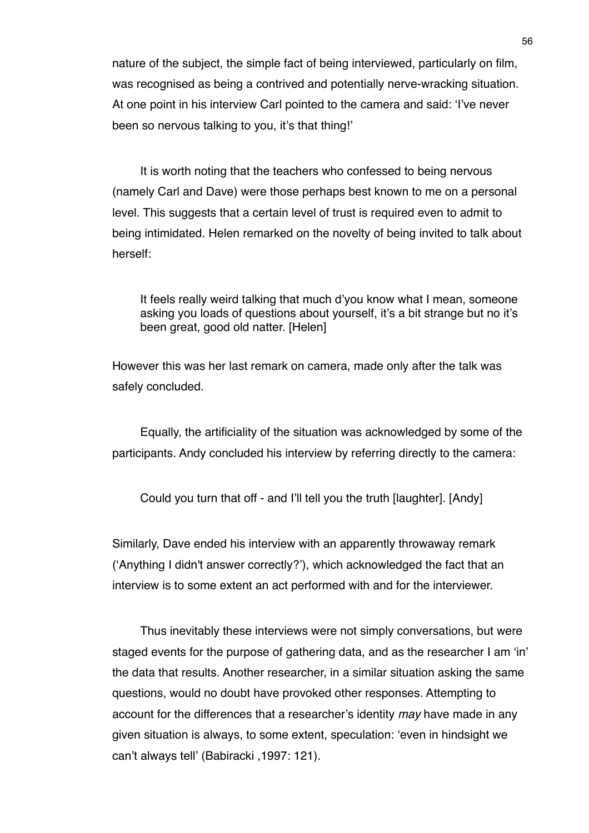nature of the subject, the simple fact of being interviewed, particularly on film, was recognised as being a contrived and potentially nerve-wracking situation. At one point in his interview Carl pointed to the camera and said: ʻI've never been so nervous talking to you, it's that thing!'

It is worth noting that the teachers who confessed to being nervous (namely Carl and Dave) were those perhaps best known to me on a personal level. This suggests that a certain level of trust is required even to admit to being intimidated. Helen remarked on the novelty of being invited to talk about herself:

It feels really weird talking that much d'you know what I mean, someone asking you loads of questions about yourself, it's a bit strange but no it's been great, good old natter. [Helen]

However this was her last remark on camera, made only after the talk was safely concluded.

Equally, the artificiality of the situation was acknowledged by some of the participants. Andy concluded his interview by referring directly to the camera:

Could you turn that off - and I'll tell you the truth [laughter]. [Andy]

Similarly, Dave ended his interview with an apparently throwaway remark (ʻAnything I didn't answer correctly?'), which acknowledged the fact that an interview is to some extent an act performed with and for the interviewer.

Thus inevitably these interviews were not simply conversations, but were staged events for the purpose of gathering data, and as the researcher I am ʻin' the data that results. Another researcher, in a similar situation asking the same questions, would no doubt have provoked other responses. Attempting to account for the differences that a researcher's identity *may* have made in any given situation is always, to some extent, speculation: ʻeven in hindsight we can't always tell' (Babiracki ,1997: 121).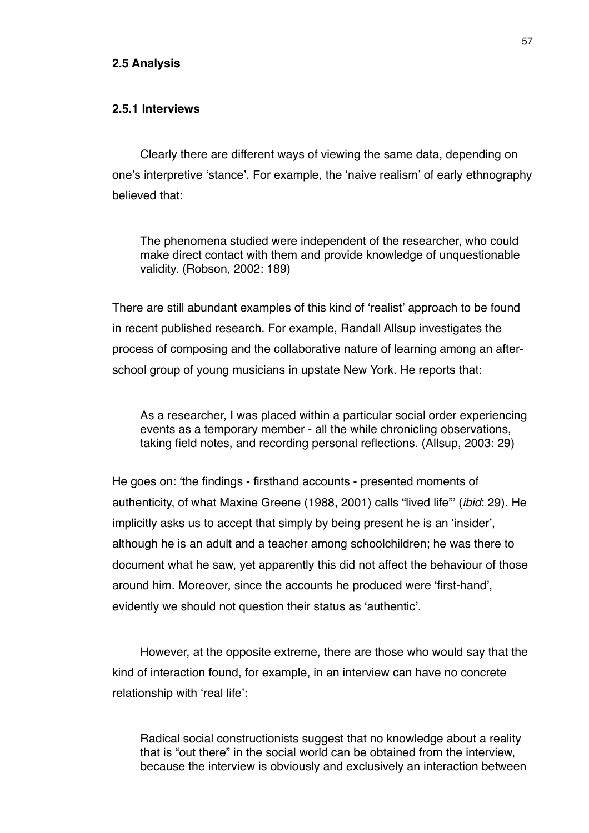## **2.5 Analysis**

## **2.5.1 Interviews**

Clearly there are different ways of viewing the same data, depending on one's interpretive ʻstance'. For example, the ʻnaive realism' of early ethnography believed that:

The phenomena studied were independent of the researcher, who could make direct contact with them and provide knowledge of unquestionable validity. (Robson, 2002: 189)

There are still abundant examples of this kind of ʻrealist' approach to be found in recent published research. For example, Randall Allsup investigates the process of composing and the collaborative nature of learning among an afterschool group of young musicians in upstate New York. He reports that:

As a researcher, I was placed within a particular social order experiencing events as a temporary member - all the while chronicling observations, taking field notes, and recording personal reflections. (Allsup, 2003: 29)

He goes on: ʻthe findings - firsthand accounts - presented moments of authenticity, of what Maxine Greene (1988, 2001) calls "lived life"' (*ibid*: 29). He implicitly asks us to accept that simply by being present he is an ʻinsider', although he is an adult and a teacher among schoolchildren; he was there to document what he saw, yet apparently this did not affect the behaviour of those around him. Moreover, since the accounts he produced were ʻfirst-hand', evidently we should not question their status as ʻauthentic'.

However, at the opposite extreme, there are those who would say that the kind of interaction found, for example, in an interview can have no concrete relationship with ʻreal life':

Radical social constructionists suggest that no knowledge about a reality that is "out there" in the social world can be obtained from the interview, because the interview is obviously and exclusively an interaction between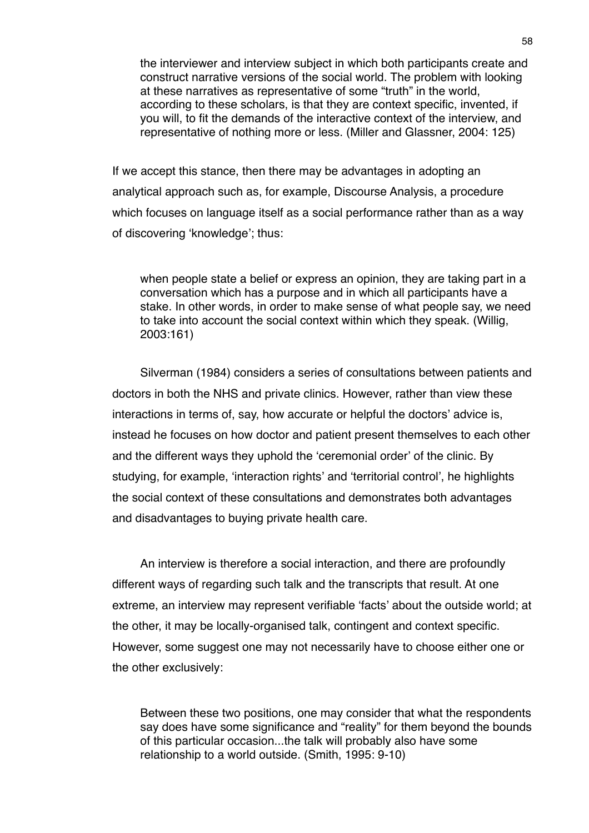the interviewer and interview subject in which both participants create and construct narrative versions of the social world. The problem with looking at these narratives as representative of some "truth" in the world, according to these scholars, is that they are context specific, invented, if you will, to fit the demands of the interactive context of the interview, and representative of nothing more or less. (Miller and Glassner, 2004: 125)

If we accept this stance, then there may be advantages in adopting an analytical approach such as, for example, Discourse Analysis, a procedure which focuses on language itself as a social performance rather than as a way of discovering ʻknowledge'; thus:

when people state a belief or express an opinion, they are taking part in a conversation which has a purpose and in which all participants have a stake. In other words, in order to make sense of what people say, we need to take into account the social context within which they speak. (Willig, 2003:161)

Silverman (1984) considers a series of consultations between patients and doctors in both the NHS and private clinics. However, rather than view these interactions in terms of, say, how accurate or helpful the doctors' advice is, instead he focuses on how doctor and patient present themselves to each other and the different ways they uphold the ʻceremonial order' of the clinic. By studying, for example, ʻinteraction rights' and ʻterritorial control', he highlights the social context of these consultations and demonstrates both advantages and disadvantages to buying private health care.

An interview is therefore a social interaction, and there are profoundly different ways of regarding such talk and the transcripts that result. At one extreme, an interview may represent verifiable ʻfacts' about the outside world; at the other, it may be locally-organised talk, contingent and context specific. However, some suggest one may not necessarily have to choose either one or the other exclusively:

Between these two positions, one may consider that what the respondents say does have some significance and "reality" for them beyond the bounds of this particular occasion...the talk will probably also have some relationship to a world outside. (Smith, 1995: 9-10)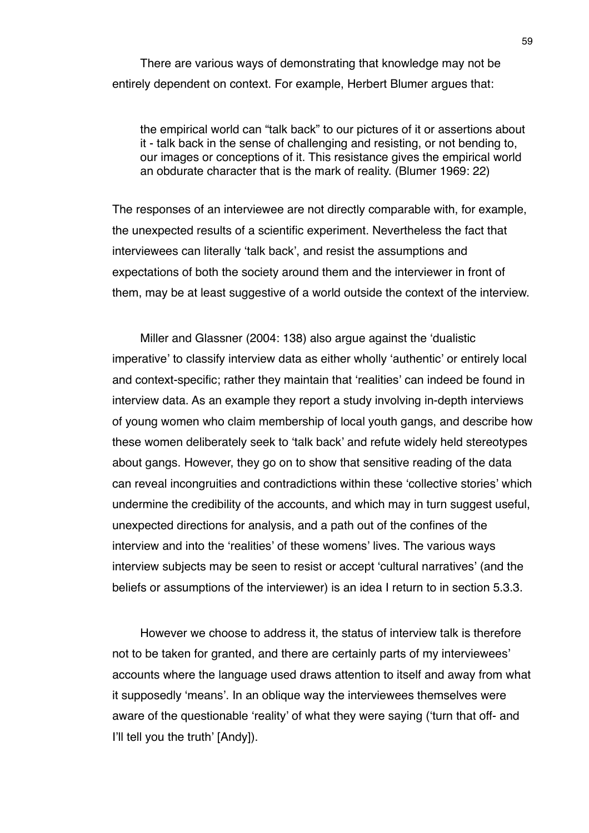There are various ways of demonstrating that knowledge may not be entirely dependent on context. For example, Herbert Blumer argues that:

the empirical world can "talk back" to our pictures of it or assertions about it - talk back in the sense of challenging and resisting, or not bending to, our images or conceptions of it. This resistance gives the empirical world an obdurate character that is the mark of reality. (Blumer 1969: 22)

The responses of an interviewee are not directly comparable with, for example, the unexpected results of a scientific experiment. Nevertheless the fact that interviewees can literally ʻtalk back', and resist the assumptions and expectations of both the society around them and the interviewer in front of them, may be at least suggestive of a world outside the context of the interview.

Miller and Glassner (2004: 138) also argue against the ʻdualistic imperative' to classify interview data as either wholly ʻauthentic' or entirely local and context-specific; rather they maintain that ʻrealities' can indeed be found in interview data. As an example they report a study involving in-depth interviews of young women who claim membership of local youth gangs, and describe how these women deliberately seek to ʻtalk back' and refute widely held stereotypes about gangs. However, they go on to show that sensitive reading of the data can reveal incongruities and contradictions within these ʻcollective stories' which undermine the credibility of the accounts, and which may in turn suggest useful, unexpected directions for analysis, and a path out of the confines of the interview and into the ʻrealities' of these womens' lives. The various ways interview subjects may be seen to resist or accept ʻcultural narratives' (and the beliefs or assumptions of the interviewer) is an idea I return to in section 5.3.3.

However we choose to address it, the status of interview talk is therefore not to be taken for granted, and there are certainly parts of my interviewees' accounts where the language used draws attention to itself and away from what it supposedly ʻmeans'. In an oblique way the interviewees themselves were aware of the questionable ʻreality' of what they were saying (ʻturn that off- and I'll tell you the truth' [Andy]).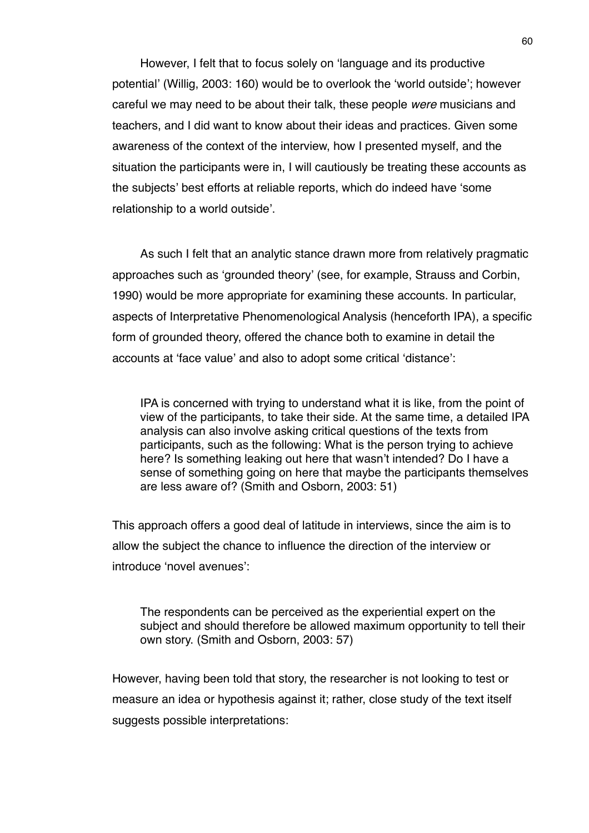However, I felt that to focus solely on ʻlanguage and its productive potential' (Willig, 2003: 160) would be to overlook the ʻworld outside'; however careful we may need to be about their talk, these people *were* musicians and teachers, and I did want to know about their ideas and practices. Given some awareness of the context of the interview, how I presented myself, and the situation the participants were in, I will cautiously be treating these accounts as the subjects' best efforts at reliable reports, which do indeed have ʻsome relationship to a world outside'.

As such I felt that an analytic stance drawn more from relatively pragmatic approaches such as ʻgrounded theory' (see, for example, Strauss and Corbin, 1990) would be more appropriate for examining these accounts. In particular, aspects of Interpretative Phenomenological Analysis (henceforth IPA), a specific form of grounded theory, offered the chance both to examine in detail the accounts at ʻface value' and also to adopt some critical ʻdistance':

IPA is concerned with trying to understand what it is like, from the point of view of the participants, to take their side. At the same time, a detailed IPA analysis can also involve asking critical questions of the texts from participants, such as the following: What is the person trying to achieve here? Is something leaking out here that wasn't intended? Do I have a sense of something going on here that maybe the participants themselves are less aware of? (Smith and Osborn, 2003: 51)

This approach offers a good deal of latitude in interviews, since the aim is to allow the subject the chance to influence the direction of the interview or introduce ʻnovel avenues':

The respondents can be perceived as the experiential expert on the subject and should therefore be allowed maximum opportunity to tell their own story. (Smith and Osborn, 2003: 57)

However, having been told that story, the researcher is not looking to test or measure an idea or hypothesis against it; rather, close study of the text itself suggests possible interpretations: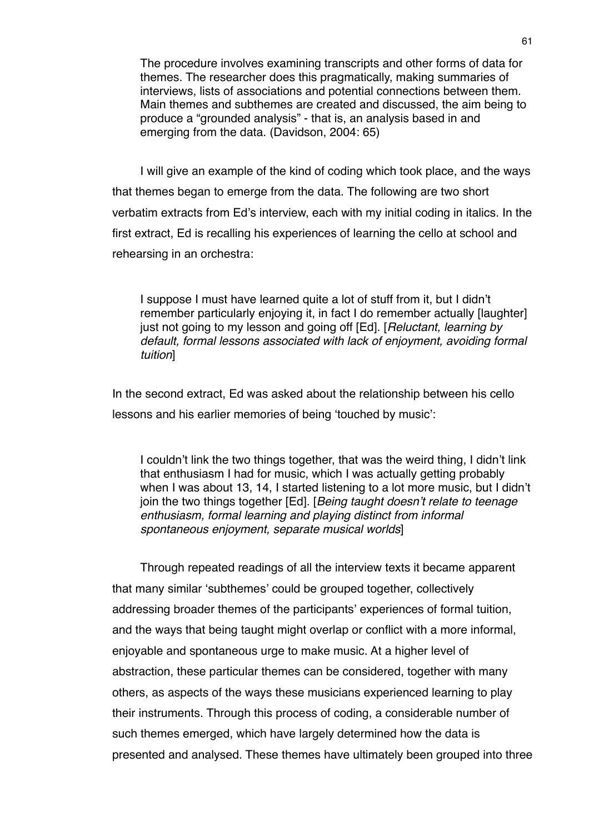The procedure involves examining transcripts and other forms of data for themes. The researcher does this pragmatically, making summaries of interviews, lists of associations and potential connections between them. Main themes and subthemes are created and discussed, the aim being to produce a "grounded analysis" - that is, an analysis based in and emerging from the data. (Davidson, 2004: 65)

I will give an example of the kind of coding which took place, and the ways that themes began to emerge from the data. The following are two short verbatim extracts from Ed's interview, each with my initial coding in italics. In the first extract, Ed is recalling his experiences of learning the cello at school and rehearsing in an orchestra:

I suppose I must have learned quite a lot of stuff from it, but I didn't remember particularly enjoying it, in fact I do remember actually [laughter] just not going to my lesson and going off [Ed]. [*Reluctant, learning by default, formal lessons associated with lack of enjoyment, avoiding formal tuition*]

In the second extract, Ed was asked about the relationship between his cello lessons and his earlier memories of being ʻtouched by music':

I couldn't link the two things together, that was the weird thing, I didn't link that enthusiasm I had for music, which I was actually getting probably when I was about 13, 14, I started listening to a lot more music, but I didn't join the two things together [Ed]. [*Being taught doesn*'*t relate to teenage enthusiasm, formal learning and playing distinct from informal spontaneous enjoyment, separate musical worlds*]

Through repeated readings of all the interview texts it became apparent that many similar ʻsubthemes' could be grouped together, collectively addressing broader themes of the participants' experiences of formal tuition, and the ways that being taught might overlap or conflict with a more informal, enjoyable and spontaneous urge to make music. At a higher level of abstraction, these particular themes can be considered, together with many others, as aspects of the ways these musicians experienced learning to play their instruments. Through this process of coding, a considerable number of such themes emerged, which have largely determined how the data is presented and analysed. These themes have ultimately been grouped into three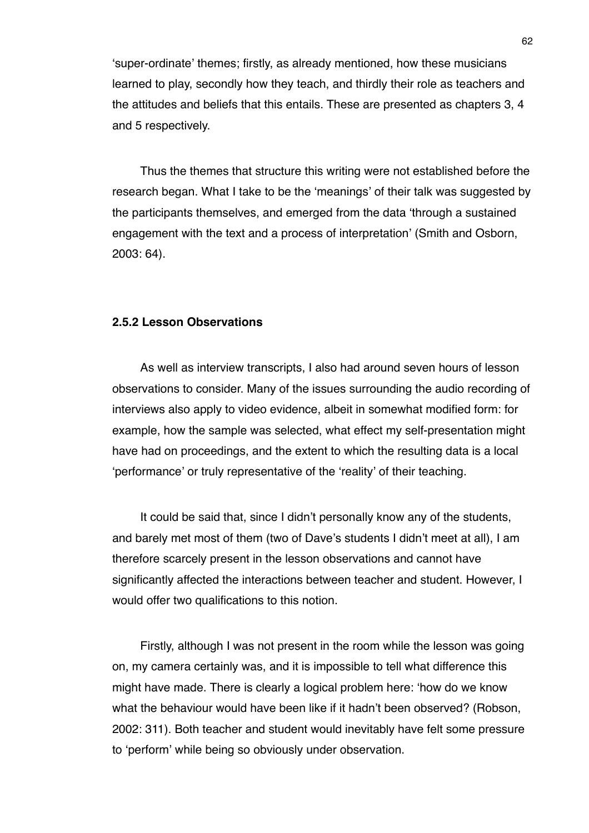ʻsuper-ordinate' themes; firstly, as already mentioned, how these musicians learned to play, secondly how they teach, and thirdly their role as teachers and the attitudes and beliefs that this entails. These are presented as chapters 3, 4 and 5 respectively.

Thus the themes that structure this writing were not established before the research began. What I take to be the ʻmeanings' of their talk was suggested by the participants themselves, and emerged from the data ʻthrough a sustained engagement with the text and a process of interpretation' (Smith and Osborn, 2003: 64).

## **2.5.2 Lesson Observations**

As well as interview transcripts, I also had around seven hours of lesson observations to consider. Many of the issues surrounding the audio recording of interviews also apply to video evidence, albeit in somewhat modified form: for example, how the sample was selected, what effect my self-presentation might have had on proceedings, and the extent to which the resulting data is a local ʻperformance' or truly representative of the ʻreality' of their teaching.

It could be said that, since I didn't personally know any of the students, and barely met most of them (two of Dave's students I didn't meet at all), I am therefore scarcely present in the lesson observations and cannot have significantly affected the interactions between teacher and student. However, I would offer two qualifications to this notion.

Firstly, although I was not present in the room while the lesson was going on, my camera certainly was, and it is impossible to tell what difference this might have made. There is clearly a logical problem here: ʻhow do we know what the behaviour would have been like if it hadn't been observed? (Robson, 2002: 311). Both teacher and student would inevitably have felt some pressure to ʻperform' while being so obviously under observation.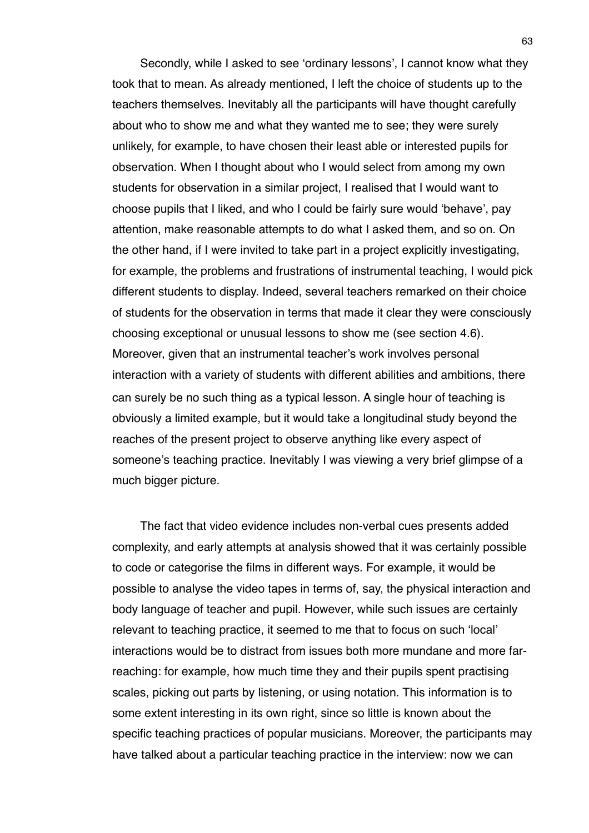Secondly, while I asked to see ʻordinary lessons', I cannot know what they took that to mean. As already mentioned, I left the choice of students up to the teachers themselves. Inevitably all the participants will have thought carefully about who to show me and what they wanted me to see; they were surely unlikely, for example, to have chosen their least able or interested pupils for observation. When I thought about who I would select from among my own students for observation in a similar project, I realised that I would want to choose pupils that I liked, and who I could be fairly sure would ʻbehave', pay attention, make reasonable attempts to do what I asked them, and so on. On the other hand, if I were invited to take part in a project explicitly investigating, for example, the problems and frustrations of instrumental teaching, I would pick different students to display. Indeed, several teachers remarked on their choice of students for the observation in terms that made it clear they were consciously choosing exceptional or unusual lessons to show me (see section 4.6). Moreover, given that an instrumental teacher's work involves personal interaction with a variety of students with different abilities and ambitions, there can surely be no such thing as a typical lesson. A single hour of teaching is obviously a limited example, but it would take a longitudinal study beyond the reaches of the present project to observe anything like every aspect of someone's teaching practice. Inevitably I was viewing a very brief glimpse of a much bigger picture.

The fact that video evidence includes non-verbal cues presents added complexity, and early attempts at analysis showed that it was certainly possible to code or categorise the films in different ways. For example, it would be possible to analyse the video tapes in terms of, say, the physical interaction and body language of teacher and pupil. However, while such issues are certainly relevant to teaching practice, it seemed to me that to focus on such ʻlocal' interactions would be to distract from issues both more mundane and more farreaching: for example, how much time they and their pupils spent practising scales, picking out parts by listening, or using notation. This information is to some extent interesting in its own right, since so little is known about the specific teaching practices of popular musicians. Moreover, the participants may have talked about a particular teaching practice in the interview: now we can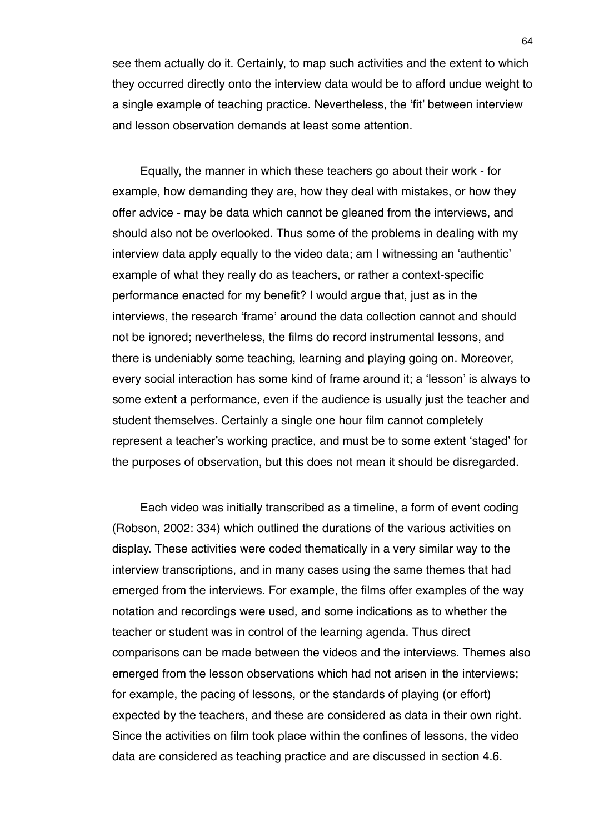see them actually do it. Certainly, to map such activities and the extent to which they occurred directly onto the interview data would be to afford undue weight to a single example of teaching practice. Nevertheless, the ʻfit' between interview and lesson observation demands at least some attention.

Equally, the manner in which these teachers go about their work - for example, how demanding they are, how they deal with mistakes, or how they offer advice - may be data which cannot be gleaned from the interviews, and should also not be overlooked. Thus some of the problems in dealing with my interview data apply equally to the video data; am I witnessing an ʻauthentic' example of what they really do as teachers, or rather a context-specific performance enacted for my benefit? I would argue that, just as in the interviews, the research ʻframe' around the data collection cannot and should not be ignored; nevertheless, the films do record instrumental lessons, and there is undeniably some teaching, learning and playing going on. Moreover, every social interaction has some kind of frame around it; a ʻlesson' is always to some extent a performance, even if the audience is usually just the teacher and student themselves. Certainly a single one hour film cannot completely represent a teacher's working practice, and must be to some extent ʻstaged' for the purposes of observation, but this does not mean it should be disregarded.

Each video was initially transcribed as a timeline, a form of event coding (Robson, 2002: 334) which outlined the durations of the various activities on display. These activities were coded thematically in a very similar way to the interview transcriptions, and in many cases using the same themes that had emerged from the interviews. For example, the films offer examples of the way notation and recordings were used, and some indications as to whether the teacher or student was in control of the learning agenda. Thus direct comparisons can be made between the videos and the interviews. Themes also emerged from the lesson observations which had not arisen in the interviews; for example, the pacing of lessons, or the standards of playing (or effort) expected by the teachers, and these are considered as data in their own right. Since the activities on film took place within the confines of lessons, the video data are considered as teaching practice and are discussed in section 4.6.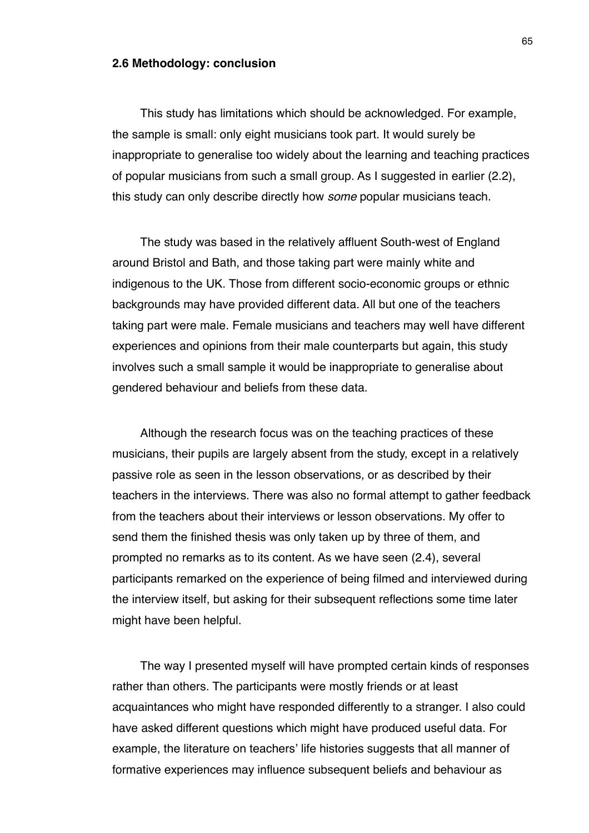#### **2.6 Methodology: conclusion**

This study has limitations which should be acknowledged. For example, the sample is small: only eight musicians took part. It would surely be inappropriate to generalise too widely about the learning and teaching practices of popular musicians from such a small group. As I suggested in earlier (2.2), this study can only describe directly how *some* popular musicians teach.

The study was based in the relatively affluent South-west of England around Bristol and Bath, and those taking part were mainly white and indigenous to the UK. Those from different socio-economic groups or ethnic backgrounds may have provided different data. All but one of the teachers taking part were male. Female musicians and teachers may well have different experiences and opinions from their male counterparts but again, this study involves such a small sample it would be inappropriate to generalise about gendered behaviour and beliefs from these data.

Although the research focus was on the teaching practices of these musicians, their pupils are largely absent from the study, except in a relatively passive role as seen in the lesson observations, or as described by their teachers in the interviews. There was also no formal attempt to gather feedback from the teachers about their interviews or lesson observations. My offer to send them the finished thesis was only taken up by three of them, and prompted no remarks as to its content. As we have seen (2.4), several participants remarked on the experience of being filmed and interviewed during the interview itself, but asking for their subsequent reflections some time later might have been helpful.

The way I presented myself will have prompted certain kinds of responses rather than others. The participants were mostly friends or at least acquaintances who might have responded differently to a stranger. I also could have asked different questions which might have produced useful data. For example, the literature on teachers' life histories suggests that all manner of formative experiences may influence subsequent beliefs and behaviour as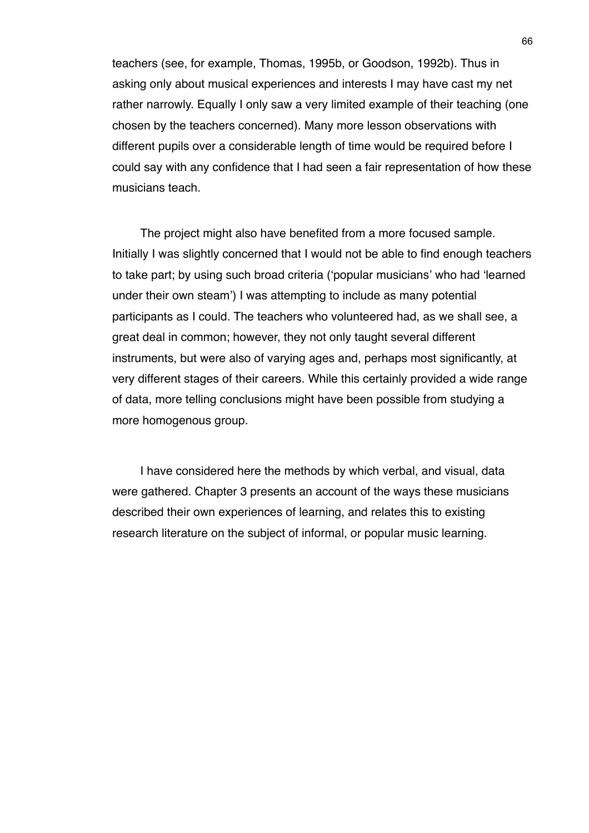teachers (see, for example, Thomas, 1995b, or Goodson, 1992b). Thus in asking only about musical experiences and interests I may have cast my net rather narrowly. Equally I only saw a very limited example of their teaching (one chosen by the teachers concerned). Many more lesson observations with different pupils over a considerable length of time would be required before I could say with any confidence that I had seen a fair representation of how these musicians teach.

The project might also have benefited from a more focused sample. Initially I was slightly concerned that I would not be able to find enough teachers to take part; by using such broad criteria (ʻpopular musicians' who had ʻlearned under their own steam') I was attempting to include as many potential participants as I could. The teachers who volunteered had, as we shall see, a great deal in common; however, they not only taught several different instruments, but were also of varying ages and, perhaps most significantly, at very different stages of their careers. While this certainly provided a wide range of data, more telling conclusions might have been possible from studying a more homogenous group.

I have considered here the methods by which verbal, and visual, data were gathered. Chapter 3 presents an account of the ways these musicians described their own experiences of learning, and relates this to existing research literature on the subject of informal, or popular music learning.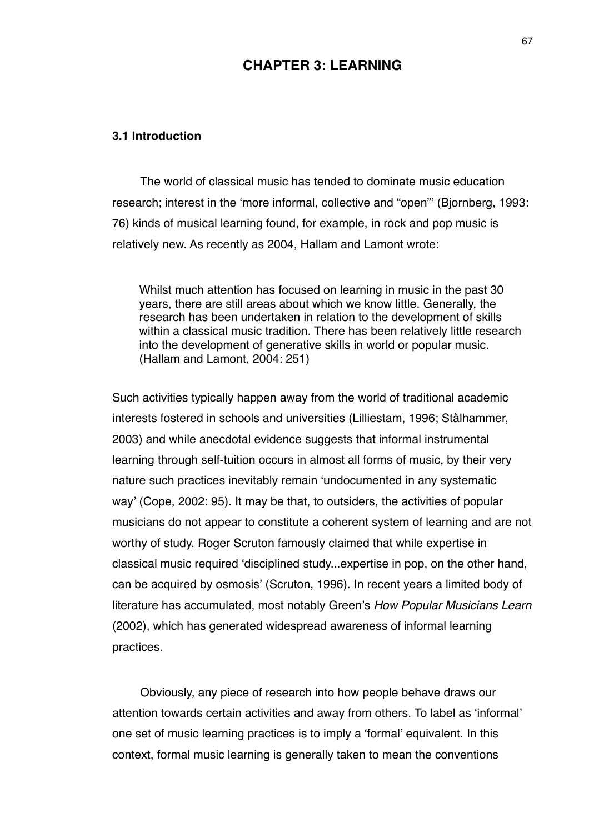# **CHAPTER 3: LEARNING**

## **3.1 Introduction**

The world of classical music has tended to dominate music education research; interest in the ʻmore informal, collective and "open"' (Bjornberg, 1993: 76) kinds of musical learning found, for example, in rock and pop music is relatively new. As recently as 2004, Hallam and Lamont wrote:

Whilst much attention has focused on learning in music in the past 30 years, there are still areas about which we know little. Generally, the research has been undertaken in relation to the development of skills within a classical music tradition. There has been relatively little research into the development of generative skills in world or popular music. (Hallam and Lamont, 2004: 251)

Such activities typically happen away from the world of traditional academic interests fostered in schools and universities (Lilliestam, 1996; Stålhammer, 2003) and while anecdotal evidence suggests that informal instrumental learning through self-tuition occurs in almost all forms of music, by their very nature such practices inevitably remain ʻundocumented in any systematic way' (Cope, 2002: 95). It may be that, to outsiders, the activities of popular musicians do not appear to constitute a coherent system of learning and are not worthy of study. Roger Scruton famously claimed that while expertise in classical music required ʻdisciplined study...expertise in pop, on the other hand, can be acquired by osmosis' (Scruton, 1996). In recent years a limited body of literature has accumulated, most notably Green's *How Popular Musicians Learn* (2002), which has generated widespread awareness of informal learning practices.

Obviously, any piece of research into how people behave draws our attention towards certain activities and away from others. To label as ʻinformal' one set of music learning practices is to imply a ʻformal' equivalent. In this context, formal music learning is generally taken to mean the conventions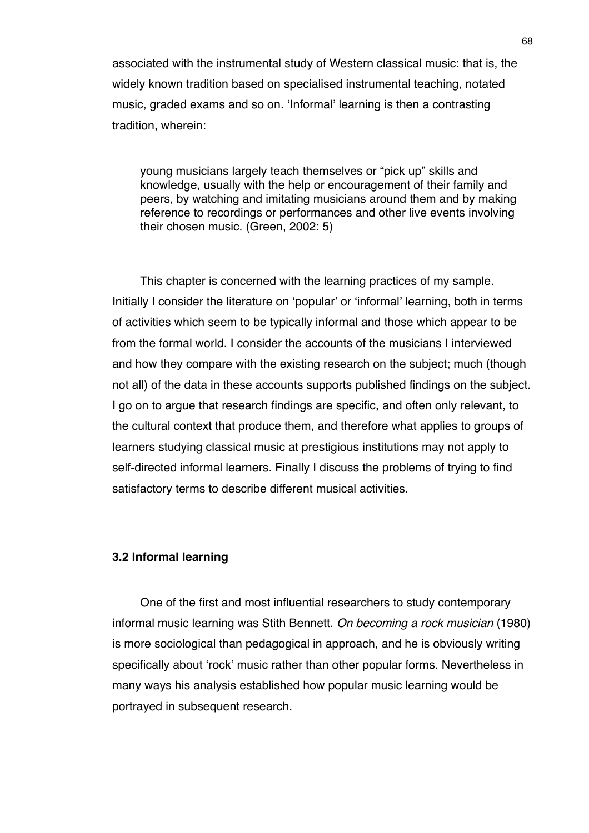associated with the instrumental study of Western classical music: that is, the widely known tradition based on specialised instrumental teaching, notated music, graded exams and so on. ʻInformal' learning is then a contrasting tradition, wherein:

young musicians largely teach themselves or "pick up" skills and knowledge, usually with the help or encouragement of their family and peers, by watching and imitating musicians around them and by making reference to recordings or performances and other live events involving their chosen music. (Green, 2002: 5)

This chapter is concerned with the learning practices of my sample. Initially I consider the literature on ʻpopular' or ʻinformal' learning, both in terms of activities which seem to be typically informal and those which appear to be from the formal world. I consider the accounts of the musicians I interviewed and how they compare with the existing research on the subject; much (though not all) of the data in these accounts supports published findings on the subject. I go on to argue that research findings are specific, and often only relevant, to the cultural context that produce them, and therefore what applies to groups of learners studying classical music at prestigious institutions may not apply to self-directed informal learners. Finally I discuss the problems of trying to find satisfactory terms to describe different musical activities.

# **3.2 Informal learning**

One of the first and most influential researchers to study contemporary informal music learning was Stith Bennett. *On becoming a rock musician* (1980) is more sociological than pedagogical in approach, and he is obviously writing specifically about ʻrock' music rather than other popular forms. Nevertheless in many ways his analysis established how popular music learning would be portrayed in subsequent research.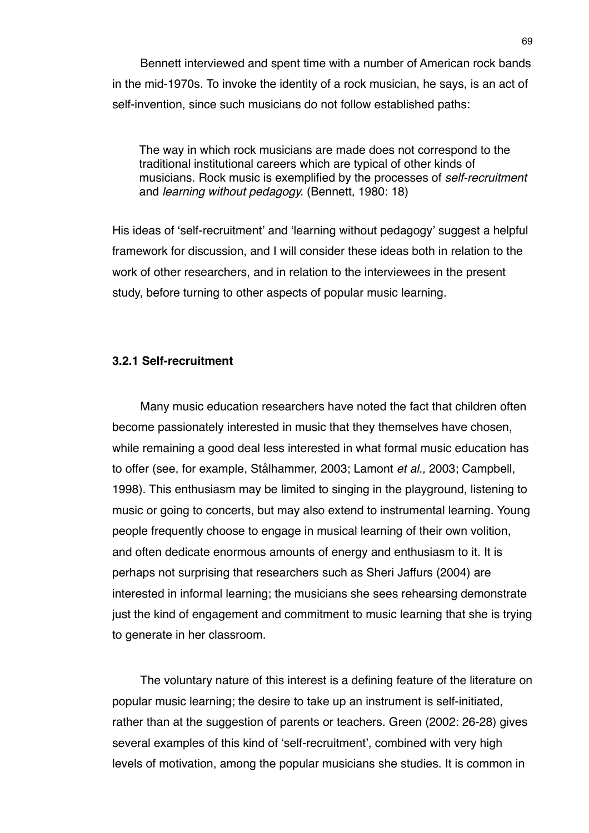Bennett interviewed and spent time with a number of American rock bands in the mid-1970s. To invoke the identity of a rock musician, he says, is an act of self-invention, since such musicians do not follow established paths:

The way in which rock musicians are made does not correspond to the traditional institutional careers which are typical of other kinds of musicians. Rock music is exemplified by the processes of *self-recruitment* and *learning without pedagogy.* (Bennett, 1980: 18)

His ideas of ʻself-recruitment' and ʻlearning without pedagogy' suggest a helpful framework for discussion, and I will consider these ideas both in relation to the work of other researchers, and in relation to the interviewees in the present study, before turning to other aspects of popular music learning.

## **3.2.1 Self-recruitment**

Many music education researchers have noted the fact that children often become passionately interested in music that they themselves have chosen, while remaining a good deal less interested in what formal music education has to offer (see, for example, Stålhammer, 2003; Lamont *et al.,* 2003; Campbell, 1998). This enthusiasm may be limited to singing in the playground, listening to music or going to concerts, but may also extend to instrumental learning. Young people frequently choose to engage in musical learning of their own volition, and often dedicate enormous amounts of energy and enthusiasm to it. It is perhaps not surprising that researchers such as Sheri Jaffurs (2004) are interested in informal learning; the musicians she sees rehearsing demonstrate just the kind of engagement and commitment to music learning that she is trying to generate in her classroom.

The voluntary nature of this interest is a defining feature of the literature on popular music learning; the desire to take up an instrument is self-initiated, rather than at the suggestion of parents or teachers. Green (2002: 26-28) gives several examples of this kind of ʻself-recruitment', combined with very high levels of motivation, among the popular musicians she studies. It is common in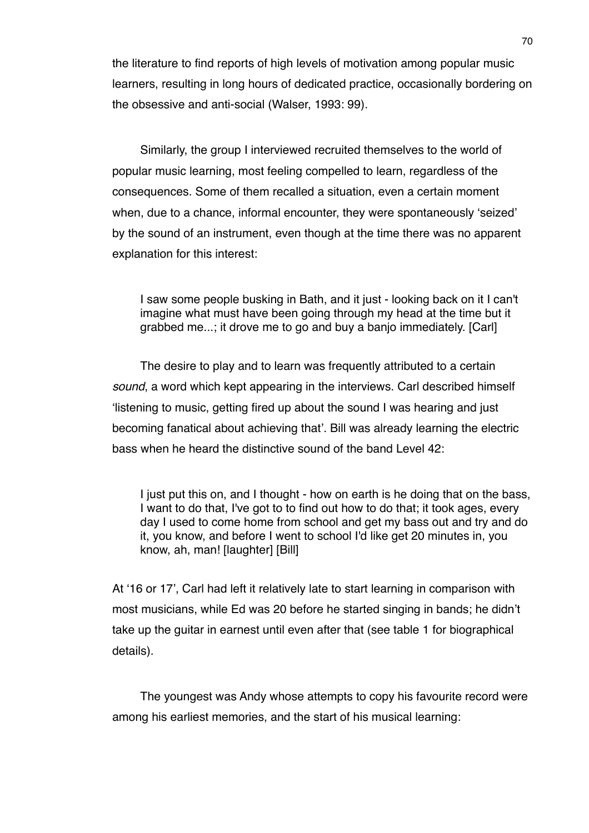the literature to find reports of high levels of motivation among popular music learners, resulting in long hours of dedicated practice, occasionally bordering on the obsessive and anti-social (Walser, 1993: 99).

Similarly, the group I interviewed recruited themselves to the world of popular music learning, most feeling compelled to learn, regardless of the consequences. Some of them recalled a situation, even a certain moment when, due to a chance, informal encounter, they were spontaneously ʻseized' by the sound of an instrument, even though at the time there was no apparent explanation for this interest:

I saw some people busking in Bath, and it just - looking back on it I can't imagine what must have been going through my head at the time but it grabbed me...; it drove me to go and buy a banjo immediately. [Carl]

The desire to play and to learn was frequently attributed to a certain *sound*, a word which kept appearing in the interviews. Carl described himself ʻlistening to music, getting fired up about the sound I was hearing and just becoming fanatical about achieving that'. Bill was already learning the electric bass when he heard the distinctive sound of the band Level 42:

I just put this on, and I thought - how on earth is he doing that on the bass, I want to do that, I've got to to find out how to do that; it took ages, every day I used to come home from school and get my bass out and try and do it, you know, and before I went to school I'd like get 20 minutes in, you know, ah, man! [laughter] [Bill]

At ʻ16 or 17', Carl had left it relatively late to start learning in comparison with most musicians, while Ed was 20 before he started singing in bands; he didn't take up the guitar in earnest until even after that (see table 1 for biographical details).

The youngest was Andy whose attempts to copy his favourite record were among his earliest memories, and the start of his musical learning: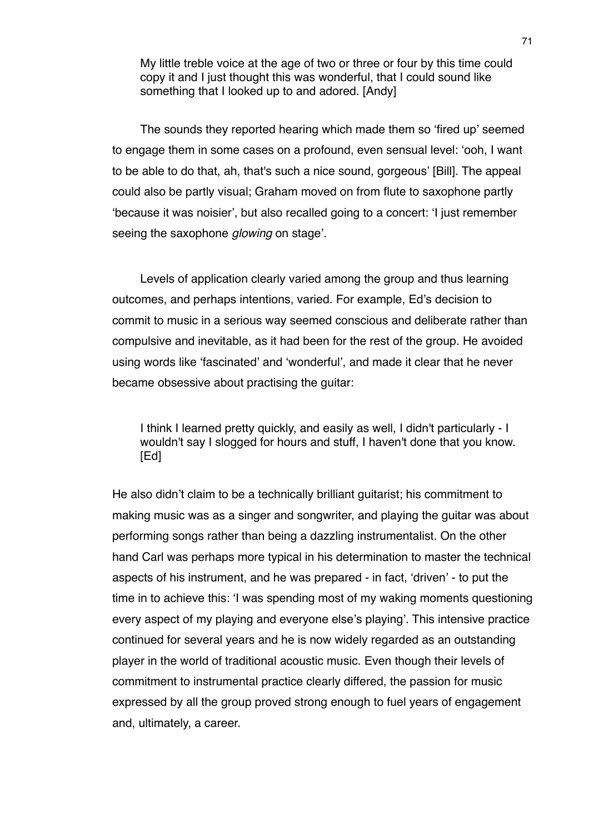My little treble voice at the age of two or three or four by this time could copy it and I just thought this was wonderful, that I could sound like something that I looked up to and adored. [Andy]

The sounds they reported hearing which made them so ʻfired up' seemed to engage them in some cases on a profound, even sensual level: ʻooh, I want to be able to do that, ah, that's such a nice sound, gorgeous' [Bill]. The appeal could also be partly visual; Graham moved on from flute to saxophone partly ʻbecause it was noisier', but also recalled going to a concert: ʻI just remember seeing the saxophone *glowing* on stage'.

Levels of application clearly varied among the group and thus learning outcomes, and perhaps intentions, varied. For example, Ed's decision to commit to music in a serious way seemed conscious and deliberate rather than compulsive and inevitable, as it had been for the rest of the group. He avoided using words like ʻfascinated' and ʻwonderful', and made it clear that he never became obsessive about practising the guitar:

I think I learned pretty quickly, and easily as well, I didn't particularly - I wouldn't say I slogged for hours and stuff, I haven't done that you know. [Ed]

He also didn't claim to be a technically brilliant guitarist; his commitment to making music was as a singer and songwriter, and playing the guitar was about performing songs rather than being a dazzling instrumentalist. On the other hand Carl was perhaps more typical in his determination to master the technical aspects of his instrument, and he was prepared - in fact, ʻdriven' - to put the time in to achieve this: ʻI was spending most of my waking moments questioning every aspect of my playing and everyone else's playing'. This intensive practice continued for several years and he is now widely regarded as an outstanding player in the world of traditional acoustic music. Even though their levels of commitment to instrumental practice clearly differed, the passion for music expressed by all the group proved strong enough to fuel years of engagement and, ultimately, a career.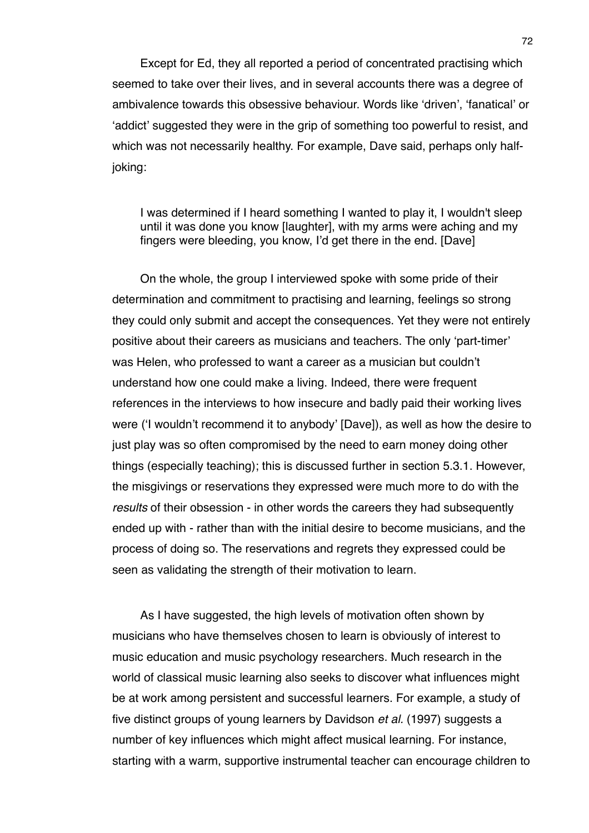Except for Ed, they all reported a period of concentrated practising which seemed to take over their lives, and in several accounts there was a degree of ambivalence towards this obsessive behaviour. Words like ʻdriven', ʻfanatical' or ʻaddict' suggested they were in the grip of something too powerful to resist, and which was not necessarily healthy. For example, Dave said, perhaps only halfjoking:

I was determined if I heard something I wanted to play it, I wouldn't sleep until it was done you know [laughter], with my arms were aching and my fingers were bleeding, you know, I'd get there in the end. [Dave]

On the whole, the group I interviewed spoke with some pride of their determination and commitment to practising and learning, feelings so strong they could only submit and accept the consequences. Yet they were not entirely positive about their careers as musicians and teachers. The only ʻpart-timer' was Helen, who professed to want a career as a musician but couldn't understand how one could make a living. Indeed, there were frequent references in the interviews to how insecure and badly paid their working lives were (ʻI wouldn't recommend it to anybody' [Dave]), as well as how the desire to just play was so often compromised by the need to earn money doing other things (especially teaching); this is discussed further in section 5.3.1. However, the misgivings or reservations they expressed were much more to do with the *results* of their obsession - in other words the careers they had subsequently ended up with - rather than with the initial desire to become musicians, and the process of doing so. The reservations and regrets they expressed could be seen as validating the strength of their motivation to learn.

As I have suggested, the high levels of motivation often shown by musicians who have themselves chosen to learn is obviously of interest to music education and music psychology researchers. Much research in the world of classical music learning also seeks to discover what influences might be at work among persistent and successful learners. For example, a study of five distinct groups of young learners by Davidson *et al.* (1997) suggests a number of key influences which might affect musical learning. For instance, starting with a warm, supportive instrumental teacher can encourage children to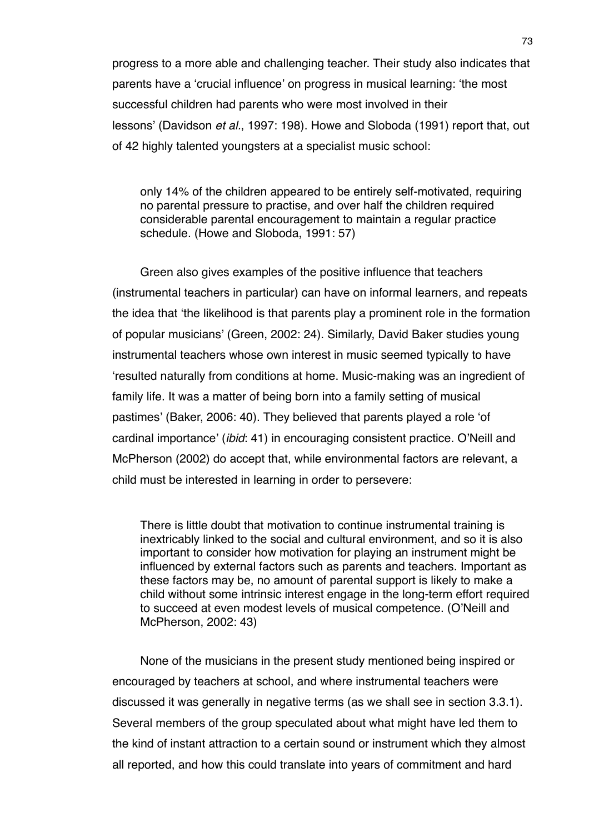progress to a more able and challenging teacher. Their study also indicates that parents have a ʻcrucial influence' on progress in musical learning: ʻthe most successful children had parents who were most involved in their lessons' (Davidson *et al.*, 1997: 198). Howe and Sloboda (1991) report that, out of 42 highly talented youngsters at a specialist music school:

only 14% of the children appeared to be entirely self-motivated, requiring no parental pressure to practise, and over half the children required considerable parental encouragement to maintain a regular practice schedule. (Howe and Sloboda, 1991: 57)

Green also gives examples of the positive influence that teachers (instrumental teachers in particular) can have on informal learners, and repeats the idea that ʻthe likelihood is that parents play a prominent role in the formation of popular musicians' (Green, 2002: 24). Similarly, David Baker studies young instrumental teachers whose own interest in music seemed typically to have ʻresulted naturally from conditions at home. Music-making was an ingredient of family life. It was a matter of being born into a family setting of musical pastimes' (Baker, 2006: 40). They believed that parents played a role ʻof cardinal importance' (*ibid*: 41) in encouraging consistent practice. O'Neill and McPherson (2002) do accept that, while environmental factors are relevant, a child must be interested in learning in order to persevere:

There is little doubt that motivation to continue instrumental training is inextricably linked to the social and cultural environment, and so it is also important to consider how motivation for playing an instrument might be influenced by external factors such as parents and teachers. Important as these factors may be, no amount of parental support is likely to make a child without some intrinsic interest engage in the long-term effort required to succeed at even modest levels of musical competence. (O'Neill and McPherson, 2002: 43)

None of the musicians in the present study mentioned being inspired or encouraged by teachers at school, and where instrumental teachers were discussed it was generally in negative terms (as we shall see in section 3.3.1). Several members of the group speculated about what might have led them to the kind of instant attraction to a certain sound or instrument which they almost all reported, and how this could translate into years of commitment and hard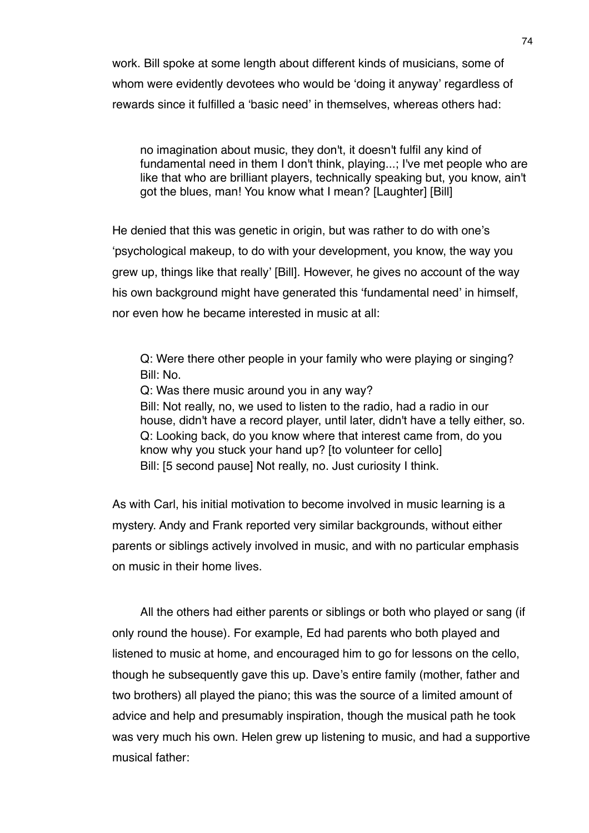work. Bill spoke at some length about different kinds of musicians, some of whom were evidently devotees who would be ʻdoing it anyway' regardless of rewards since it fulfilled a ʻbasic need' in themselves, whereas others had:

no imagination about music, they don't, it doesn't fulfil any kind of fundamental need in them I don't think, playing...; I've met people who are like that who are brilliant players, technically speaking but, you know, ain't got the blues, man! You know what I mean? [Laughter] [Bill]

He denied that this was genetic in origin, but was rather to do with one's ʻpsychological makeup, to do with your development, you know, the way you grew up, things like that really' [Bill]. However, he gives no account of the way his own background might have generated this ʻfundamental need' in himself, nor even how he became interested in music at all:

Q: Were there other people in your family who were playing or singing? Bill: No.

Q: Was there music around you in any way? Bill: Not really, no, we used to listen to the radio, had a radio in our house, didn't have a record player, until later, didn't have a telly either, so. Q: Looking back, do you know where that interest came from, do you know why you stuck your hand up? [to volunteer for cello] Bill: [5 second pause] Not really, no. Just curiosity I think.

As with Carl, his initial motivation to become involved in music learning is a mystery. Andy and Frank reported very similar backgrounds, without either parents or siblings actively involved in music, and with no particular emphasis on music in their home lives.

All the others had either parents or siblings or both who played or sang (if only round the house). For example, Ed had parents who both played and listened to music at home, and encouraged him to go for lessons on the cello, though he subsequently gave this up. Dave's entire family (mother, father and two brothers) all played the piano; this was the source of a limited amount of advice and help and presumably inspiration, though the musical path he took was very much his own. Helen grew up listening to music, and had a supportive musical father: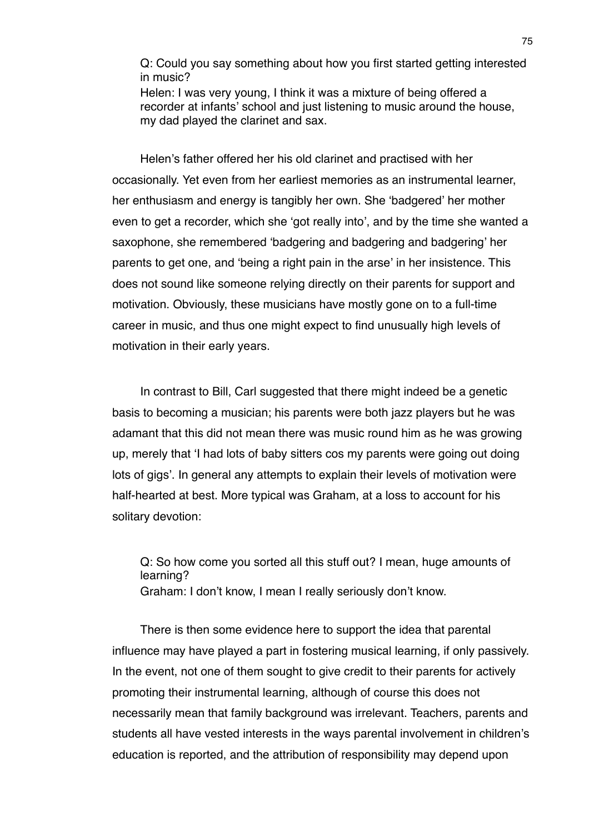Q: Could you say something about how you first started getting interested in music?

Helen: I was very young, I think it was a mixture of being offered a recorder at infants' school and just listening to music around the house, my dad played the clarinet and sax.

Helen's father offered her his old clarinet and practised with her occasionally. Yet even from her earliest memories as an instrumental learner, her enthusiasm and energy is tangibly her own. She ʻbadgered' her mother even to get a recorder, which she ʻgot really into', and by the time she wanted a saxophone, she remembered ʻbadgering and badgering and badgering' her parents to get one, and ʻbeing a right pain in the arse' in her insistence. This does not sound like someone relying directly on their parents for support and motivation. Obviously, these musicians have mostly gone on to a full-time career in music, and thus one might expect to find unusually high levels of motivation in their early years.

In contrast to Bill, Carl suggested that there might indeed be a genetic basis to becoming a musician; his parents were both jazz players but he was adamant that this did not mean there was music round him as he was growing up, merely that ʻI had lots of baby sitters cos my parents were going out doing lots of gigs'. In general any attempts to explain their levels of motivation were half-hearted at best. More typical was Graham, at a loss to account for his solitary devotion:

Q: So how come you sorted all this stuff out? I mean, huge amounts of learning? Graham: I don't know, I mean I really seriously don't know.

There is then some evidence here to support the idea that parental influence may have played a part in fostering musical learning, if only passively. In the event, not one of them sought to give credit to their parents for actively promoting their instrumental learning, although of course this does not necessarily mean that family background was irrelevant. Teachers, parents and students all have vested interests in the ways parental involvement in children's education is reported, and the attribution of responsibility may depend upon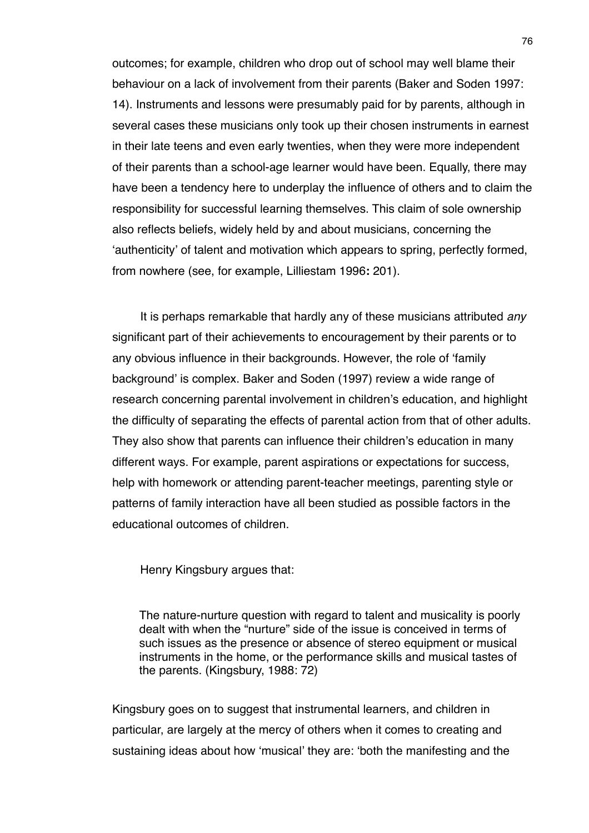outcomes; for example, children who drop out of school may well blame their behaviour on a lack of involvement from their parents (Baker and Soden 1997: 14). Instruments and lessons were presumably paid for by parents, although in several cases these musicians only took up their chosen instruments in earnest in their late teens and even early twenties, when they were more independent of their parents than a school-age learner would have been. Equally, there may have been a tendency here to underplay the influence of others and to claim the responsibility for successful learning themselves. This claim of sole ownership also reflects beliefs, widely held by and about musicians, concerning the ʻauthenticity' of talent and motivation which appears to spring, perfectly formed, from nowhere (see, for example, Lilliestam 1996**:** 201).

It is perhaps remarkable that hardly any of these musicians attributed *any* significant part of their achievements to encouragement by their parents or to any obvious influence in their backgrounds. However, the role of ʻfamily background' is complex. Baker and Soden (1997) review a wide range of research concerning parental involvement in children's education, and highlight the difficulty of separating the effects of parental action from that of other adults. They also show that parents can influence their children's education in many different ways. For example, parent aspirations or expectations for success, help with homework or attending parent-teacher meetings, parenting style or patterns of family interaction have all been studied as possible factors in the educational outcomes of children.

Henry Kingsbury argues that:

The nature-nurture question with regard to talent and musicality is poorly dealt with when the "nurture" side of the issue is conceived in terms of such issues as the presence or absence of stereo equipment or musical instruments in the home, or the performance skills and musical tastes of the parents. (Kingsbury, 1988: 72)

Kingsbury goes on to suggest that instrumental learners, and children in particular, are largely at the mercy of others when it comes to creating and sustaining ideas about how ʻmusical' they are: ʻboth the manifesting and the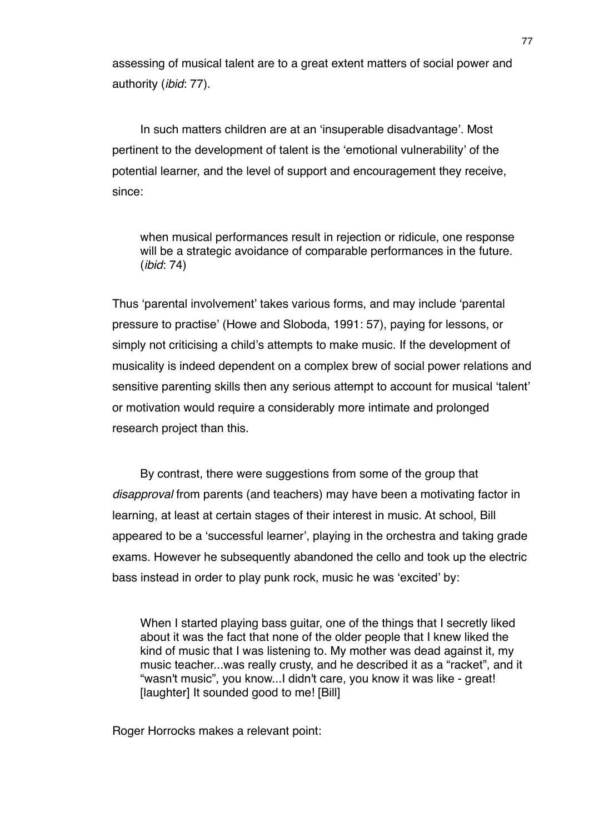assessing of musical talent are to a great extent matters of social power and authority (*ibid*: 77).

In such matters children are at an ʻinsuperable disadvantage'. Most pertinent to the development of talent is the ʻemotional vulnerability' of the potential learner, and the level of support and encouragement they receive, since:

when musical performances result in rejection or ridicule, one response will be a strategic avoidance of comparable performances in the future. (*ibid*: 74)

Thus ʻparental involvement' takes various forms, and may include ʻparental pressure to practise' (Howe and Sloboda, 1991: 57), paying for lessons, or simply not criticising a child's attempts to make music. If the development of musicality is indeed dependent on a complex brew of social power relations and sensitive parenting skills then any serious attempt to account for musical ʻtalent' or motivation would require a considerably more intimate and prolonged research project than this.

By contrast, there were suggestions from some of the group that *disapproval* from parents (and teachers) may have been a motivating factor in learning, at least at certain stages of their interest in music. At school, Bill appeared to be a ʻsuccessful learner', playing in the orchestra and taking grade exams. However he subsequently abandoned the cello and took up the electric bass instead in order to play punk rock, music he was ʻexcited' by:

When I started playing bass guitar, one of the things that I secretly liked about it was the fact that none of the older people that I knew liked the kind of music that I was listening to. My mother was dead against it, my music teacher...was really crusty, and he described it as a "racket", and it "wasn't music", you know...I didn't care, you know it was like - great! [laughter] It sounded good to me! [Bill]

Roger Horrocks makes a relevant point: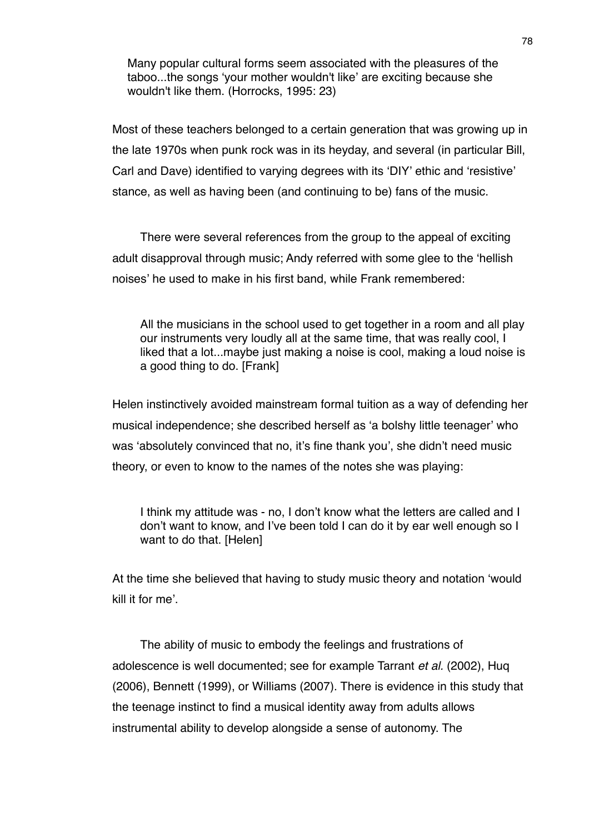Many popular cultural forms seem associated with the pleasures of the taboo...the songs ʻyour mother wouldn't like' are exciting because she wouldn't like them. (Horrocks, 1995: 23)

Most of these teachers belonged to a certain generation that was growing up in the late 1970s when punk rock was in its heyday, and several (in particular Bill, Carl and Dave) identified to varying degrees with its ʻDIY' ethic and ʻresistive' stance, as well as having been (and continuing to be) fans of the music.

There were several references from the group to the appeal of exciting adult disapproval through music; Andy referred with some glee to the ʻhellish noises' he used to make in his first band, while Frank remembered:

All the musicians in the school used to get together in a room and all play our instruments very loudly all at the same time, that was really cool, I liked that a lot...maybe just making a noise is cool, making a loud noise is a good thing to do. [Frank]

Helen instinctively avoided mainstream formal tuition as a way of defending her musical independence; she described herself as ʻa bolshy little teenager' who was ʻabsolutely convinced that no, it's fine thank you', she didn't need music theory, or even to know to the names of the notes she was playing:

I think my attitude was - no, I don't know what the letters are called and I don't want to know, and I've been told I can do it by ear well enough so I want to do that. [Helen]

At the time she believed that having to study music theory and notation ʻwould kill it for me'.

The ability of music to embody the feelings and frustrations of adolescence is well documented; see for example Tarrant *et al.* (2002), Huq (2006), Bennett (1999), or Williams (2007). There is evidence in this study that the teenage instinct to find a musical identity away from adults allows instrumental ability to develop alongside a sense of autonomy. The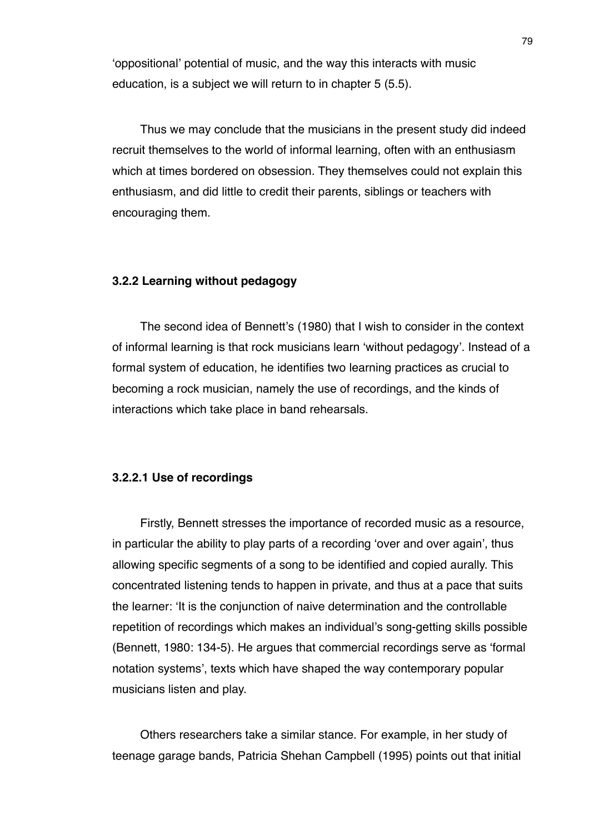ʻoppositional' potential of music, and the way this interacts with music education, is a subject we will return to in chapter 5 (5.5).

Thus we may conclude that the musicians in the present study did indeed recruit themselves to the world of informal learning, often with an enthusiasm which at times bordered on obsession. They themselves could not explain this enthusiasm, and did little to credit their parents, siblings or teachers with encouraging them.

## **3.2.2 Learning without pedagogy**

The second idea of Bennett's (1980) that I wish to consider in the context of informal learning is that rock musicians learn ʻwithout pedagogy'. Instead of a formal system of education, he identifies two learning practices as crucial to becoming a rock musician, namely the use of recordings, and the kinds of interactions which take place in band rehearsals.

## **3.2.2.1 Use of recordings**

Firstly, Bennett stresses the importance of recorded music as a resource, in particular the ability to play parts of a recording ʻover and over again', thus allowing specific segments of a song to be identified and copied aurally. This concentrated listening tends to happen in private, and thus at a pace that suits the learner: ʻIt is the conjunction of naive determination and the controllable repetition of recordings which makes an individual's song-getting skills possible (Bennett, 1980: 134-5). He argues that commercial recordings serve as ʻformal notation systems', texts which have shaped the way contemporary popular musicians listen and play.

Others researchers take a similar stance. For example, in her study of teenage garage bands, Patricia Shehan Campbell (1995) points out that initial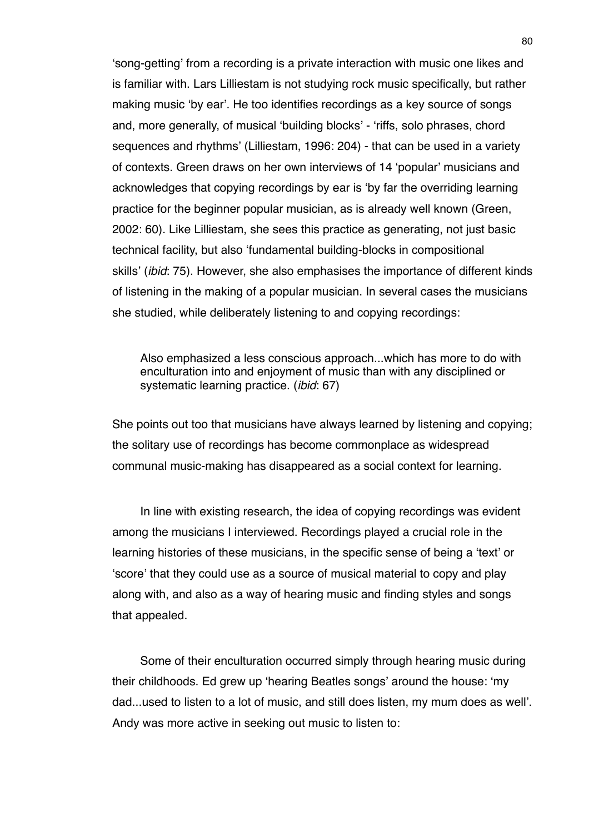ʻsong-getting' from a recording is a private interaction with music one likes and is familiar with. Lars Lilliestam is not studying rock music specifically, but rather making music ʻby ear'. He too identifies recordings as a key source of songs and, more generally, of musical ʻbuilding blocks' - ʻriffs, solo phrases, chord sequences and rhythms' (Lilliestam, 1996: 204) - that can be used in a variety of contexts. Green draws on her own interviews of 14 ʻpopular' musicians and acknowledges that copying recordings by ear is ʻby far the overriding learning practice for the beginner popular musician, as is already well known (Green, 2002: 60). Like Lilliestam, she sees this practice as generating, not just basic technical facility, but also ʻfundamental building-blocks in compositional skills' (*ibid*: 75). However, she also emphasises the importance of different kinds of listening in the making of a popular musician. In several cases the musicians she studied, while deliberately listening to and copying recordings:

Also emphasized a less conscious approach...which has more to do with enculturation into and enjoyment of music than with any disciplined or systematic learning practice. (*ibid*: 67)

She points out too that musicians have always learned by listening and copying; the solitary use of recordings has become commonplace as widespread communal music-making has disappeared as a social context for learning.

In line with existing research, the idea of copying recordings was evident among the musicians I interviewed. Recordings played a crucial role in the learning histories of these musicians, in the specific sense of being a ʻtext' or ʻscore' that they could use as a source of musical material to copy and play along with, and also as a way of hearing music and finding styles and songs that appealed.

Some of their enculturation occurred simply through hearing music during their childhoods. Ed grew up ʻhearing Beatles songs' around the house: ʻmy dad...used to listen to a lot of music, and still does listen, my mum does as well'. Andy was more active in seeking out music to listen to: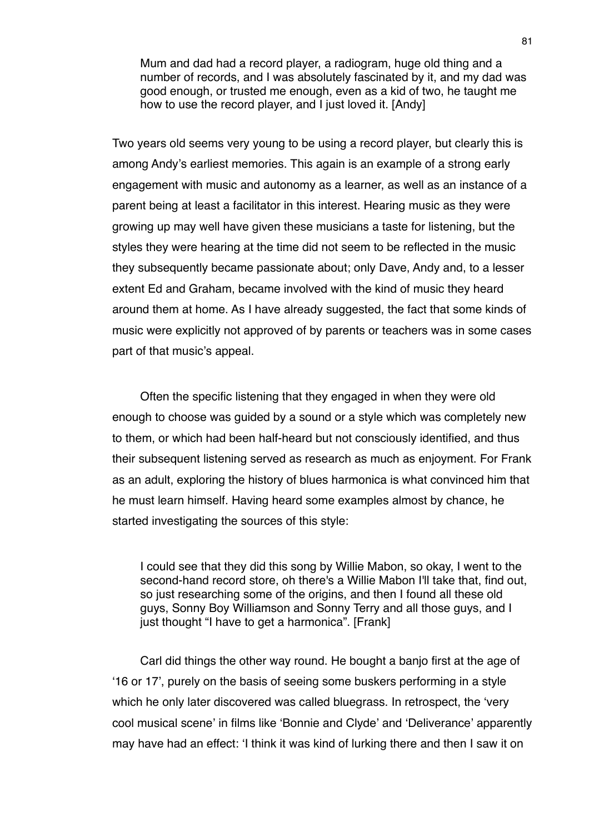Mum and dad had a record player, a radiogram, huge old thing and a number of records, and I was absolutely fascinated by it, and my dad was good enough, or trusted me enough, even as a kid of two, he taught me how to use the record player, and I just loved it. [Andy]

Two years old seems very young to be using a record player, but clearly this is among Andy's earliest memories. This again is an example of a strong early engagement with music and autonomy as a learner, as well as an instance of a parent being at least a facilitator in this interest. Hearing music as they were growing up may well have given these musicians a taste for listening, but the styles they were hearing at the time did not seem to be reflected in the music they subsequently became passionate about; only Dave, Andy and, to a lesser extent Ed and Graham, became involved with the kind of music they heard around them at home. As I have already suggested, the fact that some kinds of music were explicitly not approved of by parents or teachers was in some cases part of that music's appeal.

Often the specific listening that they engaged in when they were old enough to choose was guided by a sound or a style which was completely new to them, or which had been half-heard but not consciously identified, and thus their subsequent listening served as research as much as enjoyment. For Frank as an adult, exploring the history of blues harmonica is what convinced him that he must learn himself. Having heard some examples almost by chance, he started investigating the sources of this style:

I could see that they did this song by Willie Mabon, so okay, I went to the second-hand record store, oh there's a Willie Mabon I'll take that, find out, so just researching some of the origins, and then I found all these old guys, Sonny Boy Williamson and Sonny Terry and all those guys, and I just thought "I have to get a harmonica". [Frank]

Carl did things the other way round. He bought a banjo first at the age of ʻ16 or 17', purely on the basis of seeing some buskers performing in a style which he only later discovered was called bluegrass. In retrospect, the ʻvery cool musical scene' in films like ʻBonnie and Clyde' and ʻDeliverance' apparently may have had an effect: ʻI think it was kind of lurking there and then I saw it on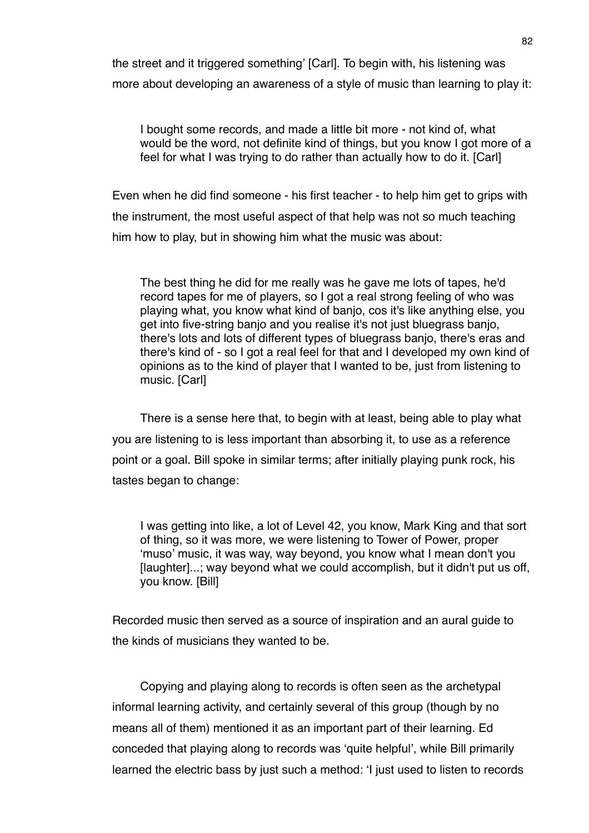the street and it triggered something' [Carl]. To begin with, his listening was more about developing an awareness of a style of music than learning to play it:

I bought some records, and made a little bit more - not kind of, what would be the word, not definite kind of things, but you know I got more of a feel for what I was trying to do rather than actually how to do it. [Carl]

Even when he did find someone - his first teacher - to help him get to grips with the instrument, the most useful aspect of that help was not so much teaching him how to play, but in showing him what the music was about:

The best thing he did for me really was he gave me lots of tapes, he'd record tapes for me of players, so I got a real strong feeling of who was playing what, you know what kind of banjo, cos it's like anything else, you get into five-string banjo and you realise it's not just bluegrass banjo, there's lots and lots of different types of bluegrass banjo, there's eras and there's kind of - so I got a real feel for that and I developed my own kind of opinions as to the kind of player that I wanted to be, just from listening to music. [Carl]

There is a sense here that, to begin with at least, being able to play what you are listening to is less important than absorbing it, to use as a reference point or a goal. Bill spoke in similar terms; after initially playing punk rock, his tastes began to change:

I was getting into like, a lot of Level 42, you know, Mark King and that sort of thing, so it was more, we were listening to Tower of Power, proper ʻmuso' music, it was way, way beyond, you know what I mean don't you [laughter]...; way beyond what we could accomplish, but it didn't put us off, you know. [Bill]

Recorded music then served as a source of inspiration and an aural guide to the kinds of musicians they wanted to be.

Copying and playing along to records is often seen as the archetypal informal learning activity, and certainly several of this group (though by no means all of them) mentioned it as an important part of their learning. Ed conceded that playing along to records was ʻquite helpful', while Bill primarily learned the electric bass by just such a method: ʻI just used to listen to records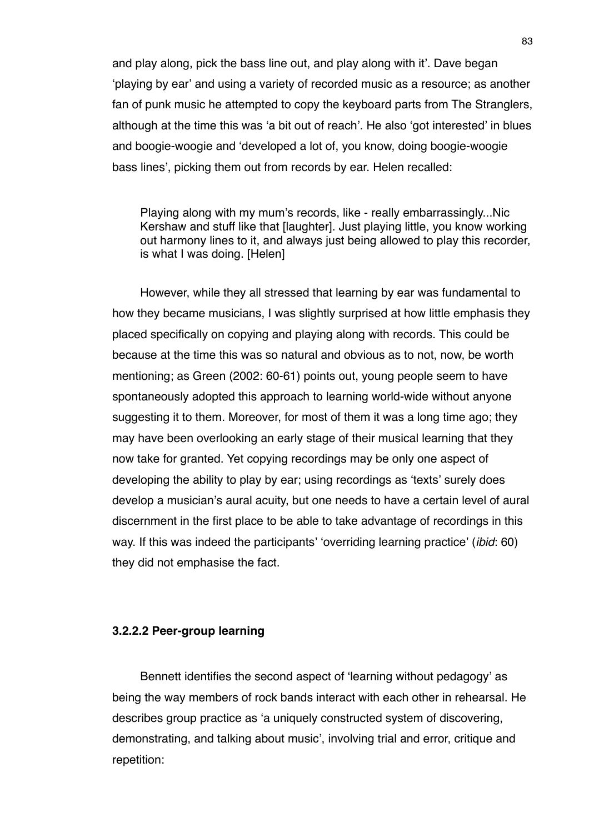and play along, pick the bass line out, and play along with it'. Dave began ʻplaying by ear' and using a variety of recorded music as a resource; as another fan of punk music he attempted to copy the keyboard parts from The Stranglers, although at the time this was ʻa bit out of reach'. He also ʻgot interested' in blues and boogie-woogie and ʻdeveloped a lot of, you know, doing boogie-woogie bass lines', picking them out from records by ear. Helen recalled:

Playing along with my mum's records, like - really embarrassingly...Nic Kershaw and stuff like that [laughter]. Just playing little, you know working out harmony lines to it, and always just being allowed to play this recorder, is what I was doing. [Helen]

However, while they all stressed that learning by ear was fundamental to how they became musicians, I was slightly surprised at how little emphasis they placed specifically on copying and playing along with records. This could be because at the time this was so natural and obvious as to not, now, be worth mentioning; as Green (2002: 60-61) points out, young people seem to have spontaneously adopted this approach to learning world-wide without anyone suggesting it to them. Moreover, for most of them it was a long time ago; they may have been overlooking an early stage of their musical learning that they now take for granted. Yet copying recordings may be only one aspect of developing the ability to play by ear; using recordings as ʻtexts' surely does develop a musician's aural acuity, but one needs to have a certain level of aural discernment in the first place to be able to take advantage of recordings in this way. If this was indeed the participants' ʻoverriding learning practice' (*ibid*: 60) they did not emphasise the fact.

### **3.2.2.2 Peer-group learning**

Bennett identifies the second aspect of ʻlearning without pedagogy' as being the way members of rock bands interact with each other in rehearsal. He describes group practice as ʻa uniquely constructed system of discovering, demonstrating, and talking about music', involving trial and error, critique and repetition: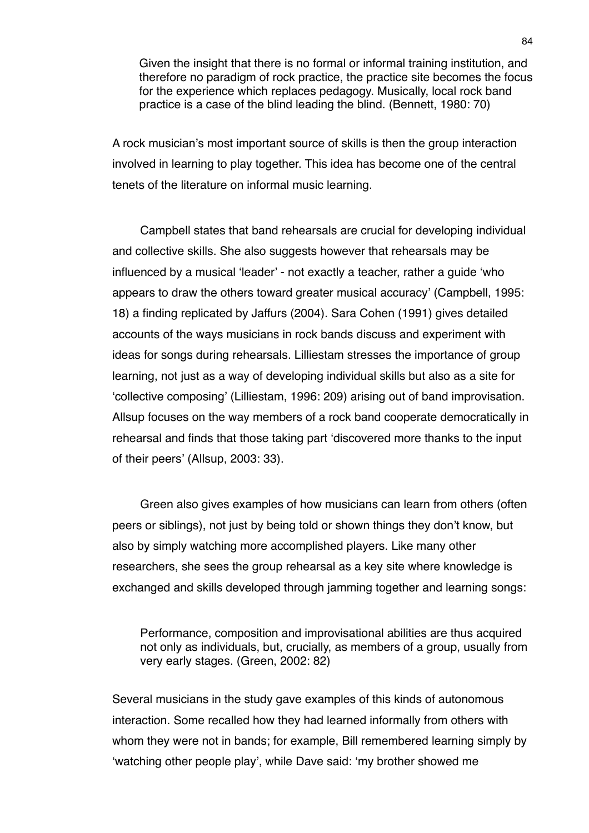Given the insight that there is no formal or informal training institution, and therefore no paradigm of rock practice, the practice site becomes the focus for the experience which replaces pedagogy. Musically, local rock band practice is a case of the blind leading the blind. (Bennett, 1980: 70)

A rock musician's most important source of skills is then the group interaction involved in learning to play together. This idea has become one of the central tenets of the literature on informal music learning.

Campbell states that band rehearsals are crucial for developing individual and collective skills. She also suggests however that rehearsals may be influenced by a musical ʻleader' - not exactly a teacher, rather a guide ʻwho appears to draw the others toward greater musical accuracy' (Campbell, 1995: 18) a finding replicated by Jaffurs (2004). Sara Cohen (1991) gives detailed accounts of the ways musicians in rock bands discuss and experiment with ideas for songs during rehearsals. Lilliestam stresses the importance of group learning, not just as a way of developing individual skills but also as a site for ʻcollective composing' (Lilliestam, 1996: 209) arising out of band improvisation. Allsup focuses on the way members of a rock band cooperate democratically in rehearsal and finds that those taking part ʻdiscovered more thanks to the input of their peers' (Allsup, 2003: 33).

Green also gives examples of how musicians can learn from others (often peers or siblings), not just by being told or shown things they don't know, but also by simply watching more accomplished players. Like many other researchers, she sees the group rehearsal as a key site where knowledge is exchanged and skills developed through jamming together and learning songs:

Performance, composition and improvisational abilities are thus acquired not only as individuals, but, crucially, as members of a group, usually from very early stages. (Green, 2002: 82)

Several musicians in the study gave examples of this kinds of autonomous interaction. Some recalled how they had learned informally from others with whom they were not in bands; for example, Bill remembered learning simply by ʻwatching other people play', while Dave said: ʻmy brother showed me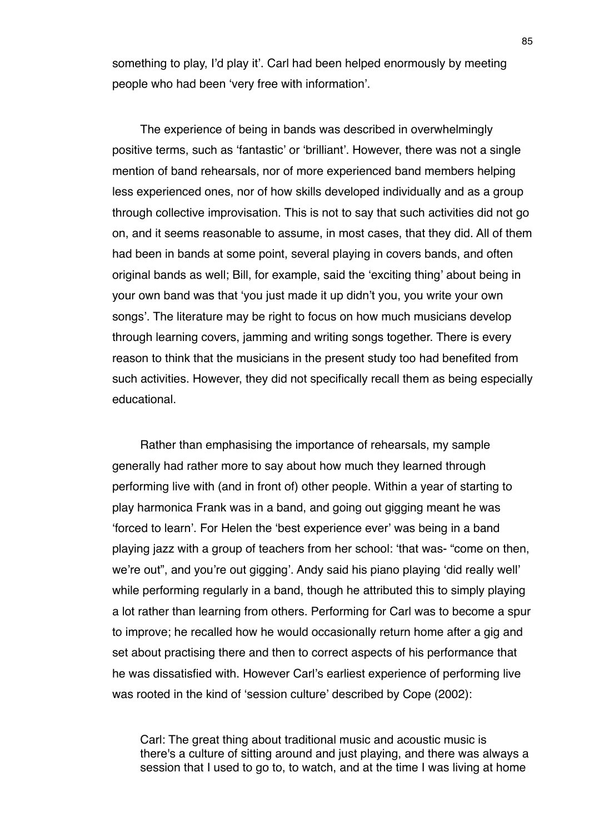something to play, I'd play it'. Carl had been helped enormously by meeting people who had been ʻvery free with information'.

The experience of being in bands was described in overwhelmingly positive terms, such as ʻfantastic' or ʻbrilliant'. However, there was not a single mention of band rehearsals, nor of more experienced band members helping less experienced ones, nor of how skills developed individually and as a group through collective improvisation. This is not to say that such activities did not go on, and it seems reasonable to assume, in most cases, that they did. All of them had been in bands at some point, several playing in covers bands, and often original bands as well; Bill, for example, said the ʻexciting thing' about being in your own band was that ʻyou just made it up didn't you, you write your own songs'. The literature may be right to focus on how much musicians develop through learning covers, jamming and writing songs together. There is every reason to think that the musicians in the present study too had benefited from such activities. However, they did not specifically recall them as being especially educational.

Rather than emphasising the importance of rehearsals, my sample generally had rather more to say about how much they learned through performing live with (and in front of) other people. Within a year of starting to play harmonica Frank was in a band, and going out gigging meant he was ʻforced to learn'. For Helen the ʻbest experience ever' was being in a band playing jazz with a group of teachers from her school: ʻthat was- "come on then, we're out", and you're out gigging'. Andy said his piano playing ʻdid really well' while performing regularly in a band, though he attributed this to simply playing a lot rather than learning from others. Performing for Carl was to become a spur to improve; he recalled how he would occasionally return home after a gig and set about practising there and then to correct aspects of his performance that he was dissatisfied with. However Carl's earliest experience of performing live was rooted in the kind of ʻsession culture' described by Cope (2002):

Carl: The great thing about traditional music and acoustic music is there's a culture of sitting around and just playing, and there was always a session that I used to go to, to watch, and at the time I was living at home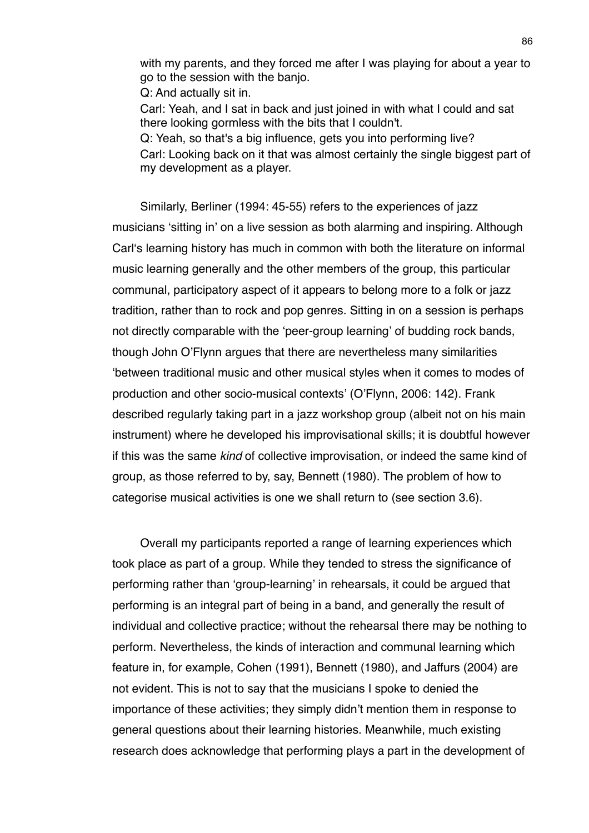with my parents, and they forced me after I was playing for about a year to go to the session with the banjo.

Q: And actually sit in.

Carl: Yeah, and I sat in back and just joined in with what I could and sat there looking gormless with the bits that I couldn't.

Q: Yeah, so that's a big influence, gets you into performing live? Carl: Looking back on it that was almost certainly the single biggest part of my development as a player.

Similarly, Berliner (1994: 45-55) refers to the experiences of jazz musicians ʻsitting in' on a live session as both alarming and inspiring. Although Carlʻs learning history has much in common with both the literature on informal music learning generally and the other members of the group, this particular communal, participatory aspect of it appears to belong more to a folk or jazz tradition, rather than to rock and pop genres. Sitting in on a session is perhaps not directly comparable with the ʻpeer-group learning' of budding rock bands, though John O'Flynn argues that there are nevertheless many similarities ʻbetween traditional music and other musical styles when it comes to modes of production and other socio-musical contexts' (O'Flynn, 2006: 142). Frank described regularly taking part in a jazz workshop group (albeit not on his main instrument) where he developed his improvisational skills; it is doubtful however if this was the same *kind* of collective improvisation, or indeed the same kind of group, as those referred to by, say, Bennett (1980). The problem of how to categorise musical activities is one we shall return to (see section 3.6).

Overall my participants reported a range of learning experiences which took place as part of a group. While they tended to stress the significance of performing rather than ʻgroup-learning' in rehearsals, it could be argued that performing is an integral part of being in a band, and generally the result of individual and collective practice; without the rehearsal there may be nothing to perform. Nevertheless, the kinds of interaction and communal learning which feature in, for example, Cohen (1991), Bennett (1980), and Jaffurs (2004) are not evident. This is not to say that the musicians I spoke to denied the importance of these activities; they simply didn't mention them in response to general questions about their learning histories. Meanwhile, much existing research does acknowledge that performing plays a part in the development of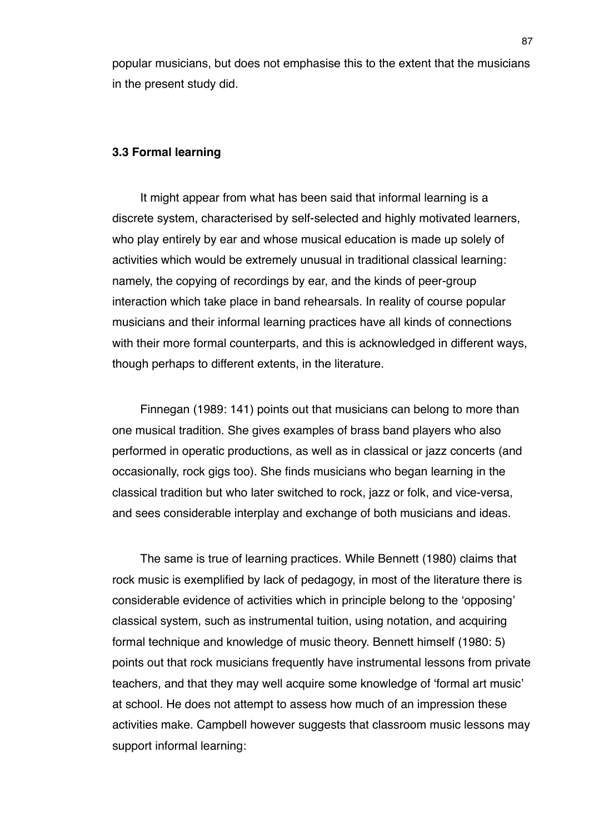popular musicians, but does not emphasise this to the extent that the musicians in the present study did.

## **3.3 Formal learning**

It might appear from what has been said that informal learning is a discrete system, characterised by self-selected and highly motivated learners, who play entirely by ear and whose musical education is made up solely of activities which would be extremely unusual in traditional classical learning: namely, the copying of recordings by ear, and the kinds of peer-group interaction which take place in band rehearsals. In reality of course popular musicians and their informal learning practices have all kinds of connections with their more formal counterparts, and this is acknowledged in different ways, though perhaps to different extents, in the literature.

Finnegan (1989: 141) points out that musicians can belong to more than one musical tradition. She gives examples of brass band players who also performed in operatic productions, as well as in classical or jazz concerts (and occasionally, rock gigs too). She finds musicians who began learning in the classical tradition but who later switched to rock, jazz or folk, and vice-versa, and sees considerable interplay and exchange of both musicians and ideas.

The same is true of learning practices. While Bennett (1980) claims that rock music is exemplified by lack of pedagogy, in most of the literature there is considerable evidence of activities which in principle belong to the ʻopposing' classical system, such as instrumental tuition, using notation, and acquiring formal technique and knowledge of music theory. Bennett himself (1980: 5) points out that rock musicians frequently have instrumental lessons from private teachers, and that they may well acquire some knowledge of ʻformal art music' at school. He does not attempt to assess how much of an impression these activities make. Campbell however suggests that classroom music lessons may support informal learning: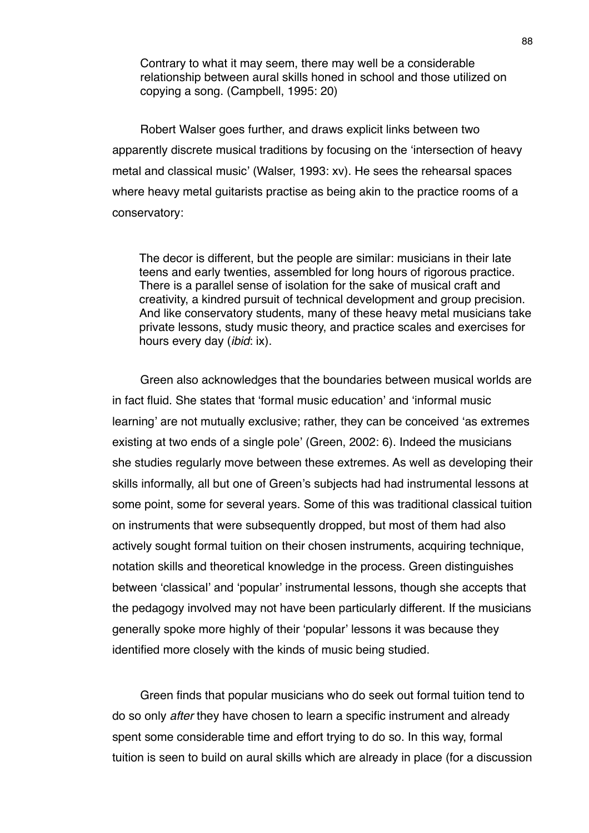Contrary to what it may seem, there may well be a considerable relationship between aural skills honed in school and those utilized on copying a song. (Campbell, 1995: 20)

Robert Walser goes further, and draws explicit links between two apparently discrete musical traditions by focusing on the ʻintersection of heavy metal and classical music' (Walser, 1993: xv). He sees the rehearsal spaces where heavy metal guitarists practise as being akin to the practice rooms of a conservatory:

The decor is different, but the people are similar: musicians in their late teens and early twenties, assembled for long hours of rigorous practice. There is a parallel sense of isolation for the sake of musical craft and creativity, a kindred pursuit of technical development and group precision. And like conservatory students, many of these heavy metal musicians take private lessons, study music theory, and practice scales and exercises for hours every day (*ibid*: ix).

Green also acknowledges that the boundaries between musical worlds are in fact fluid. She states that ʻformal music education' and ʻinformal music learning' are not mutually exclusive; rather, they can be conceived ʻas extremes existing at two ends of a single pole' (Green, 2002: 6). Indeed the musicians she studies regularly move between these extremes. As well as developing their skills informally, all but one of Green's subjects had had instrumental lessons at some point, some for several years. Some of this was traditional classical tuition on instruments that were subsequently dropped, but most of them had also actively sought formal tuition on their chosen instruments, acquiring technique, notation skills and theoretical knowledge in the process. Green distinguishes between ʻclassical' and ʻpopular' instrumental lessons, though she accepts that the pedagogy involved may not have been particularly different. If the musicians generally spoke more highly of their ʻpopular' lessons it was because they identified more closely with the kinds of music being studied.

Green finds that popular musicians who do seek out formal tuition tend to do so only *after* they have chosen to learn a specific instrument and already spent some considerable time and effort trying to do so. In this way, formal tuition is seen to build on aural skills which are already in place (for a discussion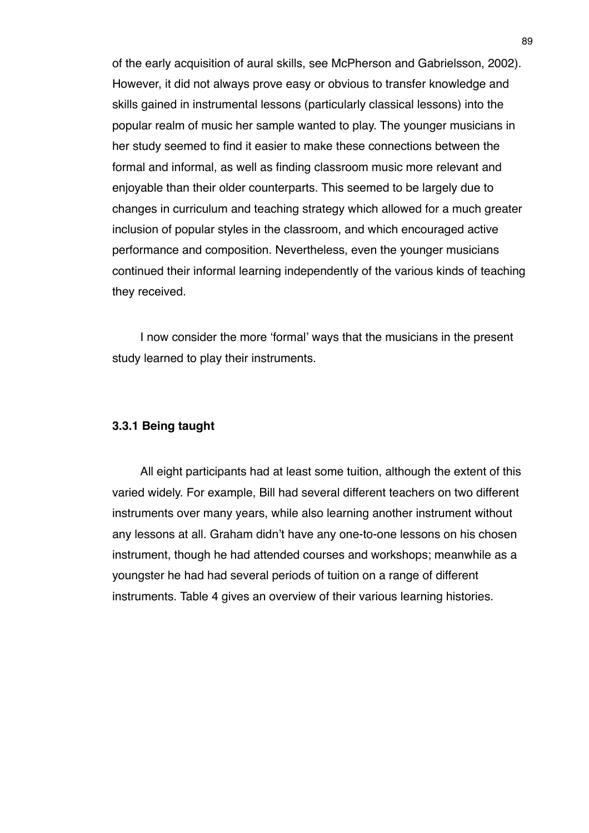of the early acquisition of aural skills, see McPherson and Gabrielsson, 2002). However, it did not always prove easy or obvious to transfer knowledge and skills gained in instrumental lessons (particularly classical lessons) into the popular realm of music her sample wanted to play. The younger musicians in her study seemed to find it easier to make these connections between the formal and informal, as well as finding classroom music more relevant and enjoyable than their older counterparts. This seemed to be largely due to changes in curriculum and teaching strategy which allowed for a much greater inclusion of popular styles in the classroom, and which encouraged active performance and composition. Nevertheless, even the younger musicians continued their informal learning independently of the various kinds of teaching they received.

I now consider the more ʻformal' ways that the musicians in the present study learned to play their instruments.

## **3.3.1 Being taught**

All eight participants had at least some tuition, although the extent of this varied widely. For example, Bill had several different teachers on two different instruments over many years, while also learning another instrument without any lessons at all. Graham didn't have any one-to-one lessons on his chosen instrument, though he had attended courses and workshops; meanwhile as a youngster he had had several periods of tuition on a range of different instruments. Table 4 gives an overview of their various learning histories.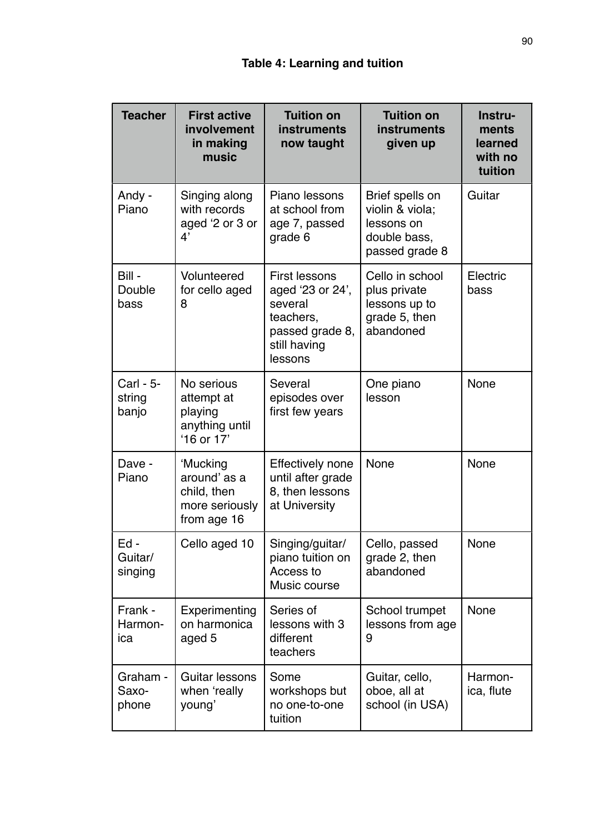| <b>Teacher</b>               | <b>First active</b><br>involvement<br>in making<br>music                 | <b>Tuition on</b><br><b>instruments</b><br>now taught                                                   | <b>Tuition on</b><br><b>instruments</b><br>given up                                | Instru-<br>ments<br>learned<br>with no<br>tuition |
|------------------------------|--------------------------------------------------------------------------|---------------------------------------------------------------------------------------------------------|------------------------------------------------------------------------------------|---------------------------------------------------|
| Andy -<br>Piano              | Singing along<br>with records<br>aged '2 or 3 or<br>4'                   | Piano lessons<br>at school from<br>age 7, passed<br>grade 6                                             | Brief spells on<br>violin & viola;<br>lessons on<br>double bass,<br>passed grade 8 | Guitar                                            |
| Bill -<br>Double<br>bass     | Volunteered<br>for cello aged<br>8                                       | First lessons<br>aged '23 or 24',<br>several<br>teachers,<br>passed grade 8,<br>still having<br>lessons | Cello in school<br>plus private<br>lessons up to<br>grade 5, then<br>abandoned     | Electric<br>bass                                  |
| Carl - 5-<br>string<br>banjo | No serious<br>attempt at<br>playing<br>anything until<br>'16 or 17'      | Several<br>episodes over<br>first few years                                                             | One piano<br>lesson                                                                | None                                              |
| Dave -<br>Piano              | 'Mucking<br>around' as a<br>child, then<br>more seriously<br>from age 16 | <b>Effectively none</b><br>until after grade<br>8, then lessons<br>at University                        | None                                                                               | None                                              |
| Ed -<br>Guitar/<br>singing   | Cello aged 10                                                            | Singing/guitar/<br>piano tuition on<br>Access to<br>Music course                                        | Cello, passed<br>grade 2, then<br>abandoned                                        | None                                              |
| Frank -<br>Harmon-<br>ica    | Experimenting<br>on harmonica<br>aged 5                                  | Series of<br>lessons with 3<br>different<br>teachers                                                    | School trumpet<br>lessons from age<br>9                                            | None                                              |
| Graham -<br>Saxo-<br>phone   | Guitar lessons<br>when 'really<br>young'                                 | Some<br>workshops but<br>no one-to-one<br>tuition                                                       | Guitar, cello,<br>oboe, all at<br>school (in USA)                                  | Harmon-<br>ica, flute                             |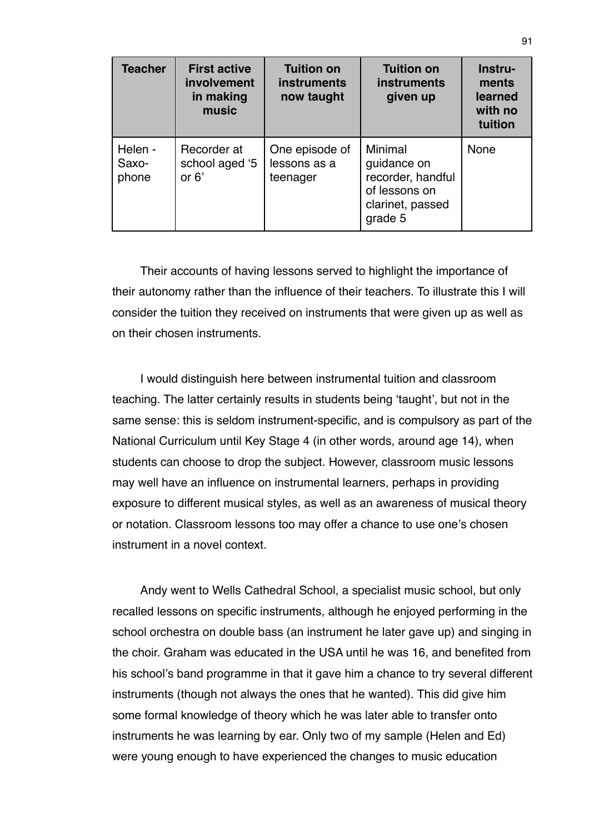| <b>Teacher</b>            | <b>First active</b><br>involvement<br>in making<br>music | <b>Tuition on</b><br>instruments<br>now taught | <b>Tuition on</b><br>instruments<br>given up                                                | Instru-<br>ments<br>learned<br>with no<br>tuition |
|---------------------------|----------------------------------------------------------|------------------------------------------------|---------------------------------------------------------------------------------------------|---------------------------------------------------|
| Helen -<br>Saxo-<br>phone | Recorder at<br>school aged '5<br>or $6'$                 | One episode of<br>lessons as a<br>teenager     | Minimal<br>guidance on<br>recorder, handful<br>of lessons on<br>clarinet, passed<br>grade 5 | <b>None</b>                                       |

Their accounts of having lessons served to highlight the importance of their autonomy rather than the influence of their teachers. To illustrate this I will consider the tuition they received on instruments that were given up as well as on their chosen instruments.

I would distinguish here between instrumental tuition and classroom teaching. The latter certainly results in students being ʻtaught', but not in the same sense: this is seldom instrument-specific, and is compulsory as part of the National Curriculum until Key Stage 4 (in other words, around age 14), when students can choose to drop the subject. However, classroom music lessons may well have an influence on instrumental learners, perhaps in providing exposure to different musical styles, as well as an awareness of musical theory or notation. Classroom lessons too may offer a chance to use one's chosen instrument in a novel context.

Andy went to Wells Cathedral School, a specialist music school, but only recalled lessons on specific instruments, although he enjoyed performing in the school orchestra on double bass (an instrument he later gave up) and singing in the choir. Graham was educated in the USA until he was 16, and benefited from his school's band programme in that it gave him a chance to try several different instruments (though not always the ones that he wanted). This did give him some formal knowledge of theory which he was later able to transfer onto instruments he was learning by ear. Only two of my sample (Helen and Ed) were young enough to have experienced the changes to music education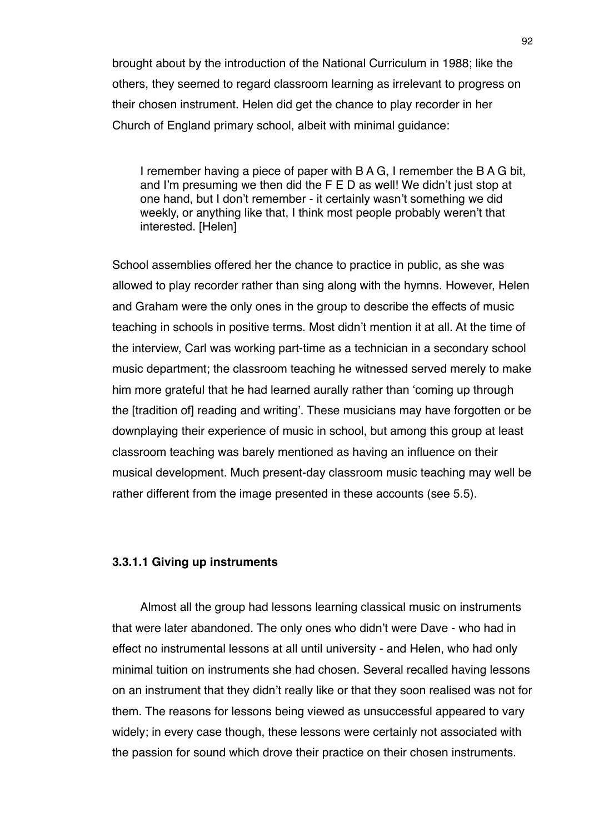brought about by the introduction of the National Curriculum in 1988; like the others, they seemed to regard classroom learning as irrelevant to progress on their chosen instrument. Helen did get the chance to play recorder in her Church of England primary school, albeit with minimal guidance:

I remember having a piece of paper with B A G, I remember the B A G bit, and I'm presuming we then did the F E D as well! We didn't just stop at one hand, but I don't remember - it certainly wasn't something we did weekly, or anything like that, I think most people probably weren't that interested. [Helen]

School assemblies offered her the chance to practice in public, as she was allowed to play recorder rather than sing along with the hymns. However, Helen and Graham were the only ones in the group to describe the effects of music teaching in schools in positive terms. Most didn't mention it at all. At the time of the interview, Carl was working part-time as a technician in a secondary school music department; the classroom teaching he witnessed served merely to make him more grateful that he had learned aurally rather than ʻcoming up through the [tradition of] reading and writing'. These musicians may have forgotten or be downplaying their experience of music in school, but among this group at least classroom teaching was barely mentioned as having an influence on their musical development. Much present-day classroom music teaching may well be rather different from the image presented in these accounts (see 5.5).

## **3.3.1.1 Giving up instruments**

Almost all the group had lessons learning classical music on instruments that were later abandoned. The only ones who didn't were Dave - who had in effect no instrumental lessons at all until university - and Helen, who had only minimal tuition on instruments she had chosen. Several recalled having lessons on an instrument that they didn't really like or that they soon realised was not for them. The reasons for lessons being viewed as unsuccessful appeared to vary widely; in every case though, these lessons were certainly not associated with the passion for sound which drove their practice on their chosen instruments.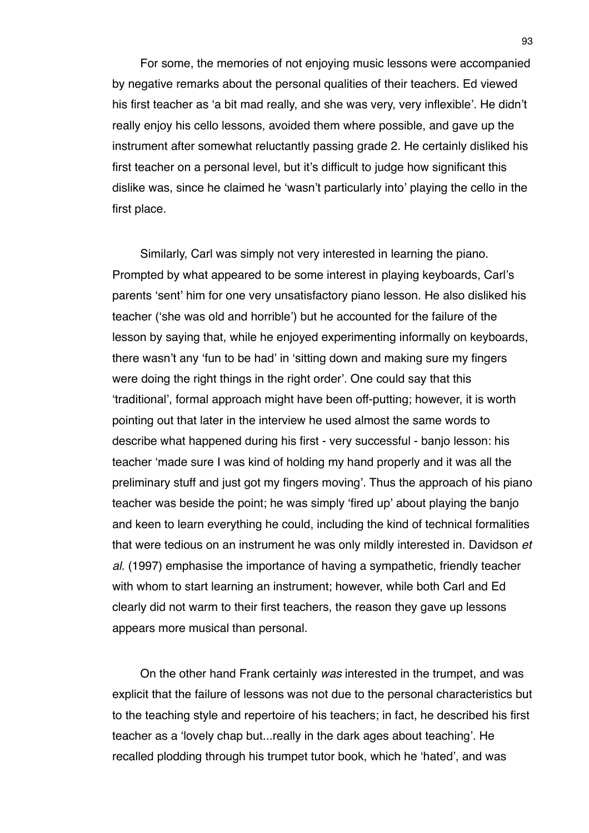For some, the memories of not enjoying music lessons were accompanied by negative remarks about the personal qualities of their teachers. Ed viewed his first teacher as ʻa bit mad really, and she was very, very inflexible'. He didn't really enjoy his cello lessons, avoided them where possible, and gave up the instrument after somewhat reluctantly passing grade 2. He certainly disliked his first teacher on a personal level, but it's difficult to judge how significant this dislike was, since he claimed he ʻwasn't particularly into' playing the cello in the first place.

Similarly, Carl was simply not very interested in learning the piano. Prompted by what appeared to be some interest in playing keyboards, Carl's parents ʻsent' him for one very unsatisfactory piano lesson. He also disliked his teacher (ʻshe was old and horrible') but he accounted for the failure of the lesson by saying that, while he enjoyed experimenting informally on keyboards, there wasn't any ʻfun to be had' in ʻsitting down and making sure my fingers were doing the right things in the right order'. One could say that this ʻtraditional', formal approach might have been off-putting; however, it is worth pointing out that later in the interview he used almost the same words to describe what happened during his first - very successful - banjo lesson: his teacher ʻmade sure I was kind of holding my hand properly and it was all the preliminary stuff and just got my fingers moving'. Thus the approach of his piano teacher was beside the point; he was simply ʻfired up' about playing the banjo and keen to learn everything he could, including the kind of technical formalities that were tedious on an instrument he was only mildly interested in. Davidson *et al.* (1997) emphasise the importance of having a sympathetic, friendly teacher with whom to start learning an instrument; however, while both Carl and Ed clearly did not warm to their first teachers, the reason they gave up lessons appears more musical than personal.

On the other hand Frank certainly *was* interested in the trumpet, and was explicit that the failure of lessons was not due to the personal characteristics but to the teaching style and repertoire of his teachers; in fact, he described his first teacher as a ʻlovely chap but...really in the dark ages about teaching'. He recalled plodding through his trumpet tutor book, which he ʻhated', and was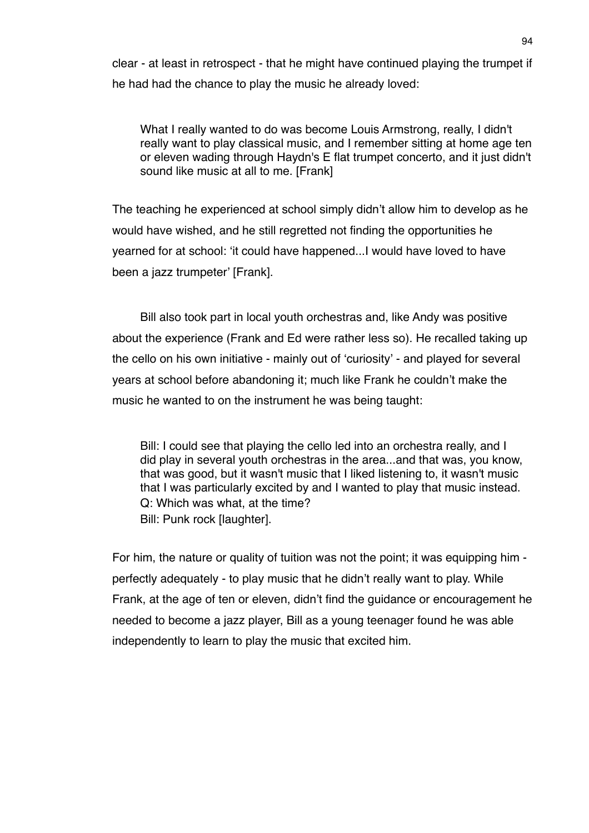clear - at least in retrospect - that he might have continued playing the trumpet if he had had the chance to play the music he already loved:

What I really wanted to do was become Louis Armstrong, really, I didn't really want to play classical music, and I remember sitting at home age ten or eleven wading through Haydn's E flat trumpet concerto, and it just didn't sound like music at all to me. [Frank]

The teaching he experienced at school simply didn't allow him to develop as he would have wished, and he still regretted not finding the opportunities he yearned for at school: ʻit could have happened...I would have loved to have been a jazz trumpeter' [Frank].

Bill also took part in local youth orchestras and, like Andy was positive about the experience (Frank and Ed were rather less so). He recalled taking up the cello on his own initiative - mainly out of ʻcuriosity' - and played for several years at school before abandoning it; much like Frank he couldn't make the music he wanted to on the instrument he was being taught:

Bill: I could see that playing the cello led into an orchestra really, and I did play in several youth orchestras in the area...and that was, you know, that was good, but it wasn't music that I liked listening to, it wasn't music that I was particularly excited by and I wanted to play that music instead. Q: Which was what, at the time? Bill: Punk rock [laughter].

For him, the nature or quality of tuition was not the point; it was equipping him perfectly adequately - to play music that he didn't really want to play. While Frank, at the age of ten or eleven, didn't find the guidance or encouragement he needed to become a jazz player, Bill as a young teenager found he was able independently to learn to play the music that excited him.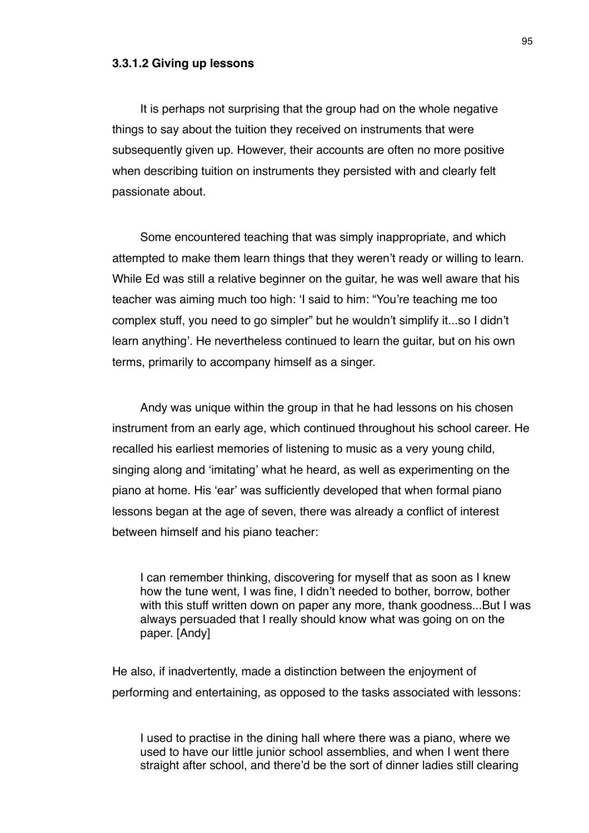#### **3.3.1.2 Giving up lessons**

It is perhaps not surprising that the group had on the whole negative things to say about the tuition they received on instruments that were subsequently given up. However, their accounts are often no more positive when describing tuition on instruments they persisted with and clearly felt passionate about.

Some encountered teaching that was simply inappropriate, and which attempted to make them learn things that they weren't ready or willing to learn. While Ed was still a relative beginner on the guitar, he was well aware that his teacher was aiming much too high: ʻI said to him: "You're teaching me too complex stuff, you need to go simpler" but he wouldn't simplify it...so I didn't learn anything'. He nevertheless continued to learn the guitar, but on his own terms, primarily to accompany himself as a singer.

Andy was unique within the group in that he had lessons on his chosen instrument from an early age, which continued throughout his school career. He recalled his earliest memories of listening to music as a very young child, singing along and ʻimitating' what he heard, as well as experimenting on the piano at home. His ʻear' was sufficiently developed that when formal piano lessons began at the age of seven, there was already a conflict of interest between himself and his piano teacher:

I can remember thinking, discovering for myself that as soon as I knew how the tune went, I was fine, I didn't needed to bother, borrow, bother with this stuff written down on paper any more, thank goodness...But I was always persuaded that I really should know what was going on on the paper. [Andy]

He also, if inadvertently, made a distinction between the enjoyment of performing and entertaining, as opposed to the tasks associated with lessons:

I used to practise in the dining hall where there was a piano, where we used to have our little junior school assemblies, and when I went there straight after school, and there'd be the sort of dinner ladies still clearing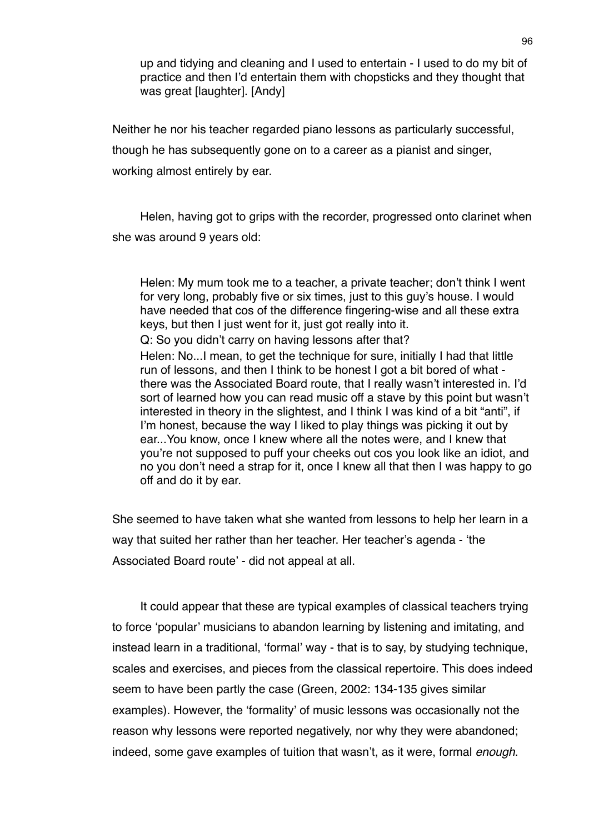up and tidying and cleaning and I used to entertain - I used to do my bit of practice and then I'd entertain them with chopsticks and they thought that was great [laughter]. [Andy]

Neither he nor his teacher regarded piano lessons as particularly successful, though he has subsequently gone on to a career as a pianist and singer, working almost entirely by ear.

Helen, having got to grips with the recorder, progressed onto clarinet when she was around 9 years old:

Helen: My mum took me to a teacher, a private teacher; don't think I went for very long, probably five or six times, just to this guy's house. I would have needed that cos of the difference fingering-wise and all these extra keys, but then I just went for it, just got really into it. Q: So you didn't carry on having lessons after that? Helen: No...I mean, to get the technique for sure, initially I had that little run of lessons, and then I think to be honest I got a bit bored of what there was the Associated Board route, that I really wasn't interested in. I'd sort of learned how you can read music off a stave by this point but wasn't interested in theory in the slightest, and I think I was kind of a bit "anti", if I'm honest, because the way I liked to play things was picking it out by ear...You know, once I knew where all the notes were, and I knew that you're not supposed to puff your cheeks out cos you look like an idiot, and no you don't need a strap for it, once I knew all that then I was happy to go off and do it by ear.

She seemed to have taken what she wanted from lessons to help her learn in a way that suited her rather than her teacher. Her teacher's agenda - ʻthe Associated Board route' - did not appeal at all.

It could appear that these are typical examples of classical teachers trying to force ʻpopular' musicians to abandon learning by listening and imitating, and instead learn in a traditional, ʻformal' way - that is to say, by studying technique, scales and exercises, and pieces from the classical repertoire. This does indeed seem to have been partly the case (Green, 2002: 134-135 gives similar examples). However, the ʻformality' of music lessons was occasionally not the reason why lessons were reported negatively, nor why they were abandoned; indeed, some gave examples of tuition that wasn't, as it were, formal *enough*.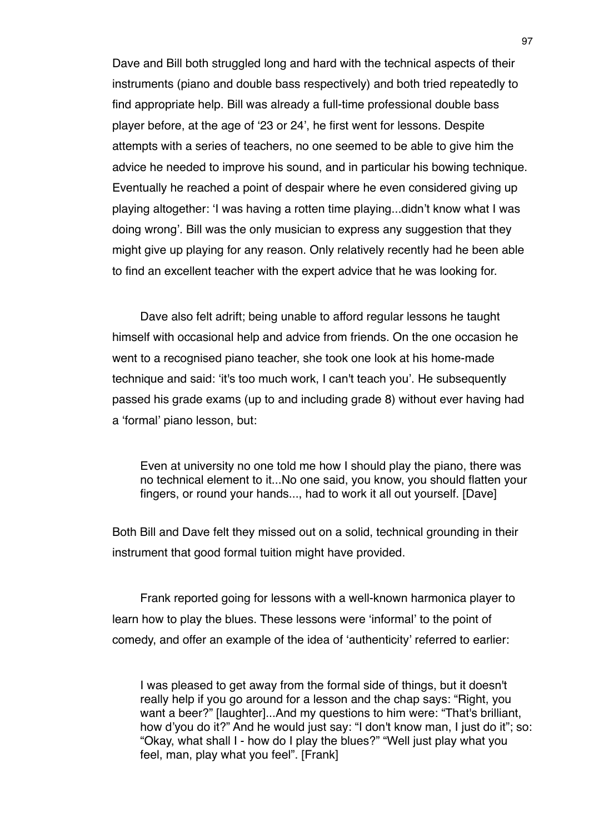Dave and Bill both struggled long and hard with the technical aspects of their instruments (piano and double bass respectively) and both tried repeatedly to find appropriate help. Bill was already a full-time professional double bass player before, at the age of ʻ23 or 24', he first went for lessons. Despite attempts with a series of teachers, no one seemed to be able to give him the advice he needed to improve his sound, and in particular his bowing technique. Eventually he reached a point of despair where he even considered giving up playing altogether: ʻI was having a rotten time playing...didn't know what I was doing wrong'. Bill was the only musician to express any suggestion that they might give up playing for any reason. Only relatively recently had he been able to find an excellent teacher with the expert advice that he was looking for.

Dave also felt adrift; being unable to afford regular lessons he taught himself with occasional help and advice from friends. On the one occasion he went to a recognised piano teacher, she took one look at his home-made technique and said: ʻit's too much work, I can't teach you'. He subsequently passed his grade exams (up to and including grade 8) without ever having had a ʻformal' piano lesson, but:

Even at university no one told me how I should play the piano, there was no technical element to it...No one said, you know, you should flatten your fingers, or round your hands..., had to work it all out yourself. [Dave]

Both Bill and Dave felt they missed out on a solid, technical grounding in their instrument that good formal tuition might have provided.

Frank reported going for lessons with a well-known harmonica player to learn how to play the blues. These lessons were ʻinformal' to the point of comedy, and offer an example of the idea of ʻauthenticity' referred to earlier:

I was pleased to get away from the formal side of things, but it doesn't really help if you go around for a lesson and the chap says: "Right, you want a beer?" [laughter]...And my questions to him were: "That's brilliant, how d'you do it?" And he would just say: "I don't know man, I just do it"; so: "Okay, what shall I - how do I play the blues?" "Well just play what you feel, man, play what you feel". [Frank]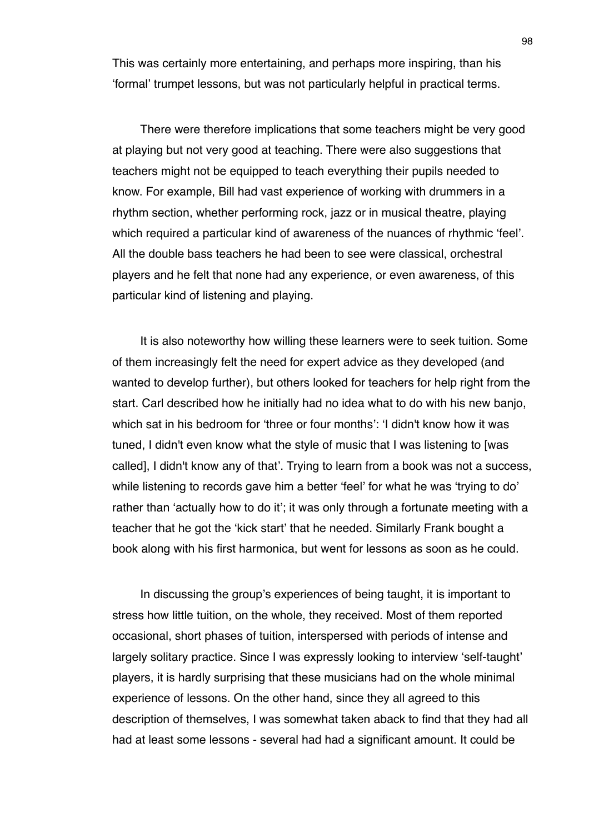This was certainly more entertaining, and perhaps more inspiring, than his ʻformal' trumpet lessons, but was not particularly helpful in practical terms.

There were therefore implications that some teachers might be very good at playing but not very good at teaching. There were also suggestions that teachers might not be equipped to teach everything their pupils needed to know. For example, Bill had vast experience of working with drummers in a rhythm section, whether performing rock, jazz or in musical theatre, playing which required a particular kind of awareness of the nuances of rhythmic ʻfeel'. All the double bass teachers he had been to see were classical, orchestral players and he felt that none had any experience, or even awareness, of this particular kind of listening and playing.

It is also noteworthy how willing these learners were to seek tuition. Some of them increasingly felt the need for expert advice as they developed (and wanted to develop further), but others looked for teachers for help right from the start. Carl described how he initially had no idea what to do with his new banjo, which sat in his bedroom for ʻthree or four months': ʻI didn't know how it was tuned, I didn't even know what the style of music that I was listening to [was called], I didn't know any of that'. Trying to learn from a book was not a success, while listening to records gave him a better 'feel' for what he was 'trying to do' rather than ʻactually how to do it'; it was only through a fortunate meeting with a teacher that he got the ʻkick start' that he needed. Similarly Frank bought a book along with his first harmonica, but went for lessons as soon as he could.

In discussing the group's experiences of being taught, it is important to stress how little tuition, on the whole, they received. Most of them reported occasional, short phases of tuition, interspersed with periods of intense and largely solitary practice. Since I was expressly looking to interview ʻself-taught' players, it is hardly surprising that these musicians had on the whole minimal experience of lessons. On the other hand, since they all agreed to this description of themselves, I was somewhat taken aback to find that they had all had at least some lessons - several had had a significant amount. It could be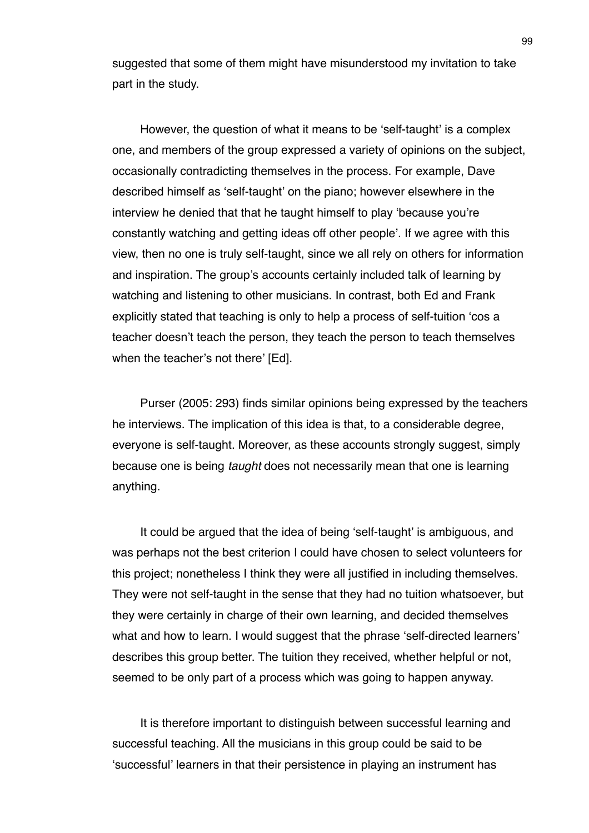suggested that some of them might have misunderstood my invitation to take part in the study.

However, the question of what it means to be ʻself-taught' is a complex one, and members of the group expressed a variety of opinions on the subject, occasionally contradicting themselves in the process. For example, Dave described himself as ʻself-taught' on the piano; however elsewhere in the interview he denied that that he taught himself to play ʻbecause you're constantly watching and getting ideas off other people'. If we agree with this view, then no one is truly self-taught, since we all rely on others for information and inspiration. The group's accounts certainly included talk of learning by watching and listening to other musicians. In contrast, both Ed and Frank explicitly stated that teaching is only to help a process of self-tuition ʻcos a teacher doesn't teach the person, they teach the person to teach themselves when the teacher's not there' [Ed].

Purser (2005: 293) finds similar opinions being expressed by the teachers he interviews. The implication of this idea is that, to a considerable degree, everyone is self-taught. Moreover, as these accounts strongly suggest, simply because one is being *taught* does not necessarily mean that one is learning anything.

It could be argued that the idea of being ʻself-taught' is ambiguous, and was perhaps not the best criterion I could have chosen to select volunteers for this project; nonetheless I think they were all justified in including themselves. They were not self-taught in the sense that they had no tuition whatsoever, but they were certainly in charge of their own learning, and decided themselves what and how to learn. I would suggest that the phrase 'self-directed learners' describes this group better. The tuition they received, whether helpful or not, seemed to be only part of a process which was going to happen anyway.

It is therefore important to distinguish between successful learning and successful teaching. All the musicians in this group could be said to be ʻsuccessful' learners in that their persistence in playing an instrument has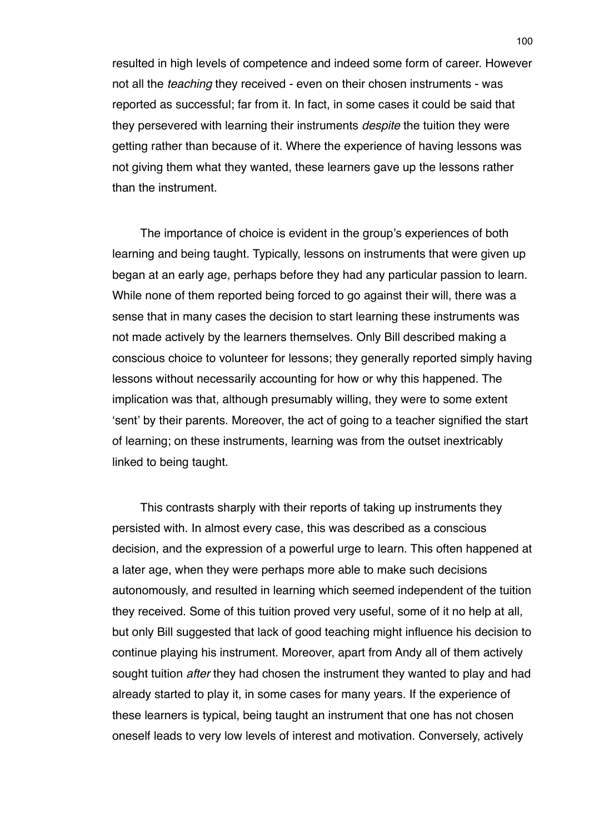resulted in high levels of competence and indeed some form of career. However not all the *teaching* they received - even on their chosen instruments - was reported as successful; far from it. In fact, in some cases it could be said that they persevered with learning their instruments *despite* the tuition they were getting rather than because of it. Where the experience of having lessons was not giving them what they wanted, these learners gave up the lessons rather than the instrument.

The importance of choice is evident in the group's experiences of both learning and being taught. Typically, lessons on instruments that were given up began at an early age, perhaps before they had any particular passion to learn. While none of them reported being forced to go against their will, there was a sense that in many cases the decision to start learning these instruments was not made actively by the learners themselves. Only Bill described making a conscious choice to volunteer for lessons; they generally reported simply having lessons without necessarily accounting for how or why this happened. The implication was that, although presumably willing, they were to some extent ʻsent' by their parents. Moreover, the act of going to a teacher signified the start of learning; on these instruments, learning was from the outset inextricably linked to being taught.

This contrasts sharply with their reports of taking up instruments they persisted with. In almost every case, this was described as a conscious decision, and the expression of a powerful urge to learn. This often happened at a later age, when they were perhaps more able to make such decisions autonomously, and resulted in learning which seemed independent of the tuition they received. Some of this tuition proved very useful, some of it no help at all, but only Bill suggested that lack of good teaching might influence his decision to continue playing his instrument. Moreover, apart from Andy all of them actively sought tuition *after* they had chosen the instrument they wanted to play and had already started to play it, in some cases for many years. If the experience of these learners is typical, being taught an instrument that one has not chosen oneself leads to very low levels of interest and motivation. Conversely, actively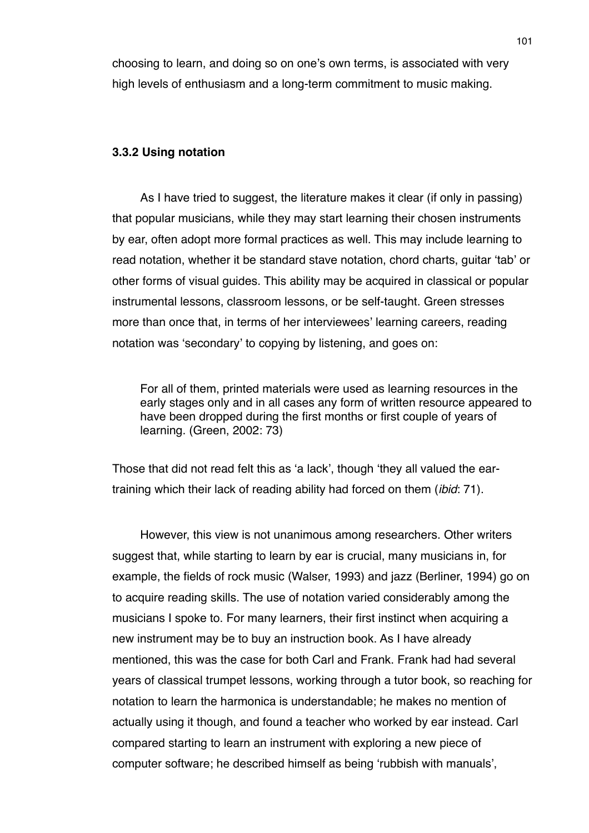choosing to learn, and doing so on one's own terms, is associated with very high levels of enthusiasm and a long-term commitment to music making.

### **3.3.2 Using notation**

As I have tried to suggest, the literature makes it clear (if only in passing) that popular musicians, while they may start learning their chosen instruments by ear, often adopt more formal practices as well. This may include learning to read notation, whether it be standard stave notation, chord charts, guitar ʻtab' or other forms of visual guides. This ability may be acquired in classical or popular instrumental lessons, classroom lessons, or be self-taught. Green stresses more than once that, in terms of her interviewees' learning careers, reading notation was ʻsecondary' to copying by listening, and goes on:

For all of them, printed materials were used as learning resources in the early stages only and in all cases any form of written resource appeared to have been dropped during the first months or first couple of years of learning. (Green, 2002: 73)

Those that did not read felt this as ʻa lack', though ʻthey all valued the eartraining which their lack of reading ability had forced on them (*ibid*: 71).

However, this view is not unanimous among researchers. Other writers suggest that, while starting to learn by ear is crucial, many musicians in, for example, the fields of rock music (Walser, 1993) and jazz (Berliner, 1994) go on to acquire reading skills. The use of notation varied considerably among the musicians I spoke to. For many learners, their first instinct when acquiring a new instrument may be to buy an instruction book. As I have already mentioned, this was the case for both Carl and Frank. Frank had had several years of classical trumpet lessons, working through a tutor book, so reaching for notation to learn the harmonica is understandable; he makes no mention of actually using it though, and found a teacher who worked by ear instead. Carl compared starting to learn an instrument with exploring a new piece of computer software; he described himself as being ʻrubbish with manuals',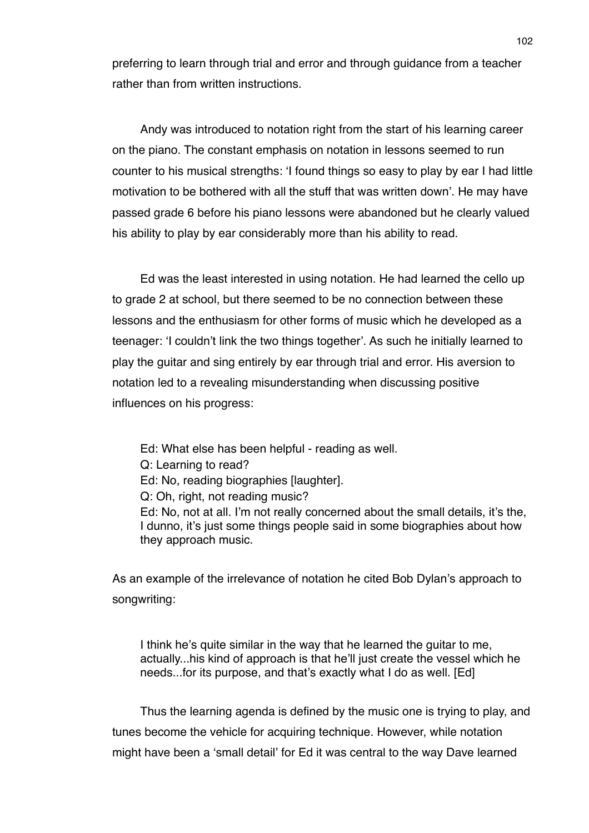preferring to learn through trial and error and through guidance from a teacher rather than from written instructions.

Andy was introduced to notation right from the start of his learning career on the piano. The constant emphasis on notation in lessons seemed to run counter to his musical strengths: ʻI found things so easy to play by ear I had little motivation to be bothered with all the stuff that was written down'. He may have passed grade 6 before his piano lessons were abandoned but he clearly valued his ability to play by ear considerably more than his ability to read.

Ed was the least interested in using notation. He had learned the cello up to grade 2 at school, but there seemed to be no connection between these lessons and the enthusiasm for other forms of music which he developed as a teenager: ʻI couldn't link the two things together'. As such he initially learned to play the guitar and sing entirely by ear through trial and error. His aversion to notation led to a revealing misunderstanding when discussing positive influences on his progress:

Ed: What else has been helpful - reading as well. Q: Learning to read? Ed: No, reading biographies [laughter]. Q: Oh, right, not reading music? Ed: No, not at all. I'm not really concerned about the small details, it's the, I dunno, it's just some things people said in some biographies about how they approach music.

As an example of the irrelevance of notation he cited Bob Dylan's approach to songwriting:

I think he's quite similar in the way that he learned the guitar to me, actually...his kind of approach is that he'll just create the vessel which he needs...for its purpose, and that's exactly what I do as well. [Ed]

Thus the learning agenda is defined by the music one is trying to play, and tunes become the vehicle for acquiring technique. However, while notation might have been a ʻsmall detail' for Ed it was central to the way Dave learned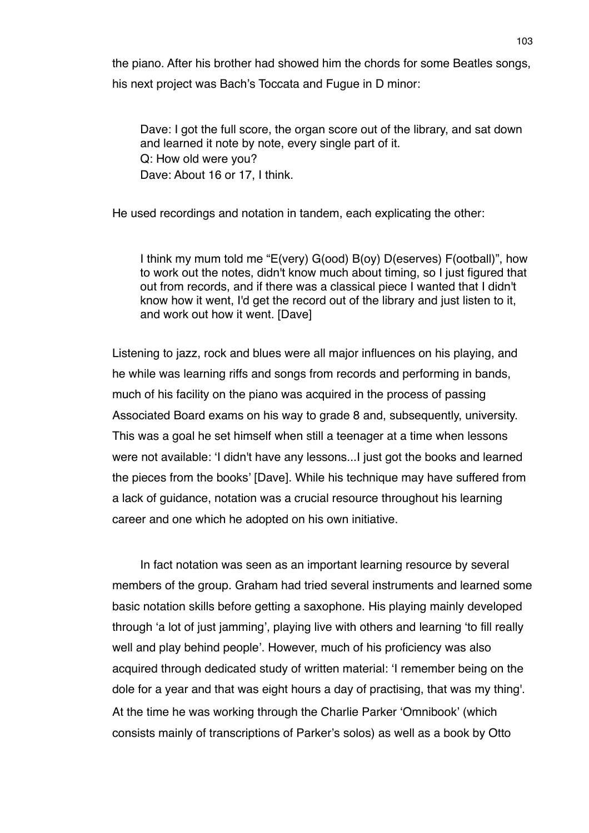the piano. After his brother had showed him the chords for some Beatles songs, his next project was Bach's Toccata and Fugue in D minor:

Dave: I got the full score, the organ score out of the library, and sat down and learned it note by note, every single part of it. Q: How old were you? Dave: About 16 or 17, I think.

He used recordings and notation in tandem, each explicating the other:

I think my mum told me "E(very) G(ood) B(oy) D(eserves) F(ootball)", how to work out the notes, didn't know much about timing, so I just figured that out from records, and if there was a classical piece I wanted that I didn't know how it went, I'd get the record out of the library and just listen to it, and work out how it went. [Dave]

Listening to jazz, rock and blues were all major influences on his playing, and he while was learning riffs and songs from records and performing in bands, much of his facility on the piano was acquired in the process of passing Associated Board exams on his way to grade 8 and, subsequently, university. This was a goal he set himself when still a teenager at a time when lessons were not available: ʻI didn't have any lessons...I just got the books and learned the pieces from the books' [Dave]. While his technique may have suffered from a lack of guidance, notation was a crucial resource throughout his learning career and one which he adopted on his own initiative.

In fact notation was seen as an important learning resource by several members of the group. Graham had tried several instruments and learned some basic notation skills before getting a saxophone. His playing mainly developed through ʻa lot of just jamming', playing live with others and learning ʻto fill really well and play behind people'. However, much of his proficiency was also acquired through dedicated study of written material: ʻI remember being on the dole for a year and that was eight hours a day of practising, that was my thing'. At the time he was working through the Charlie Parker ʻOmnibook' (which consists mainly of transcriptions of Parker's solos) as well as a book by Otto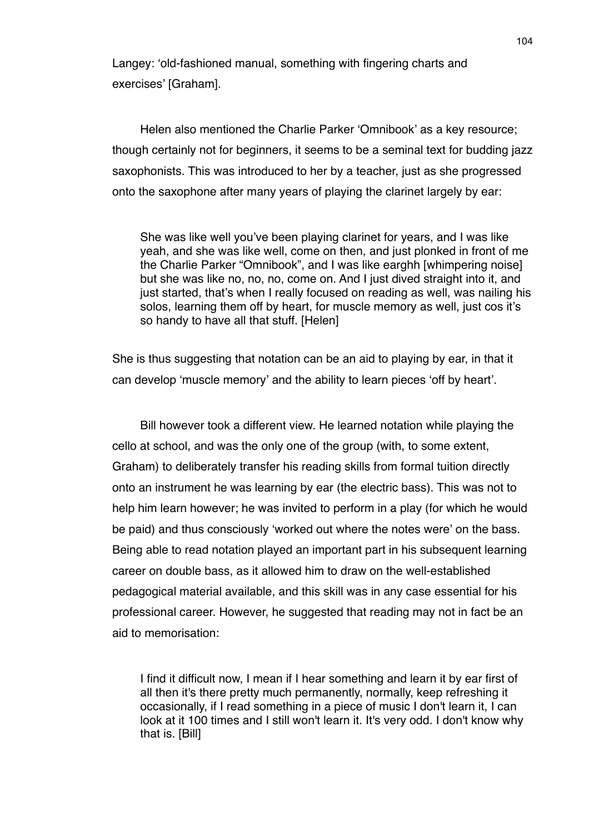Langey: ʻold-fashioned manual, something with fingering charts and exercises' [Graham].

Helen also mentioned the Charlie Parker ʻOmnibook' as a key resource; though certainly not for beginners, it seems to be a seminal text for budding jazz saxophonists. This was introduced to her by a teacher, just as she progressed onto the saxophone after many years of playing the clarinet largely by ear:

She was like well you've been playing clarinet for years, and I was like yeah, and she was like well, come on then, and just plonked in front of me the Charlie Parker "Omnibook", and I was like earghh [whimpering noise] but she was like no, no, no, come on. And I just dived straight into it, and just started, that's when I really focused on reading as well, was nailing his solos, learning them off by heart, for muscle memory as well, just cos it's so handy to have all that stuff. [Helen]

She is thus suggesting that notation can be an aid to playing by ear, in that it can develop ʻmuscle memory' and the ability to learn pieces ʻoff by heart'.

Bill however took a different view. He learned notation while playing the cello at school, and was the only one of the group (with, to some extent, Graham) to deliberately transfer his reading skills from formal tuition directly onto an instrument he was learning by ear (the electric bass). This was not to help him learn however; he was invited to perform in a play (for which he would be paid) and thus consciously ʻworked out where the notes were' on the bass. Being able to read notation played an important part in his subsequent learning career on double bass, as it allowed him to draw on the well-established pedagogical material available, and this skill was in any case essential for his professional career. However, he suggested that reading may not in fact be an aid to memorisation:

I find it difficult now, I mean if I hear something and learn it by ear first of all then it's there pretty much permanently, normally, keep refreshing it occasionally, if I read something in a piece of music I don't learn it, I can look at it 100 times and I still won't learn it. It's very odd. I don't know why that is. [Bill]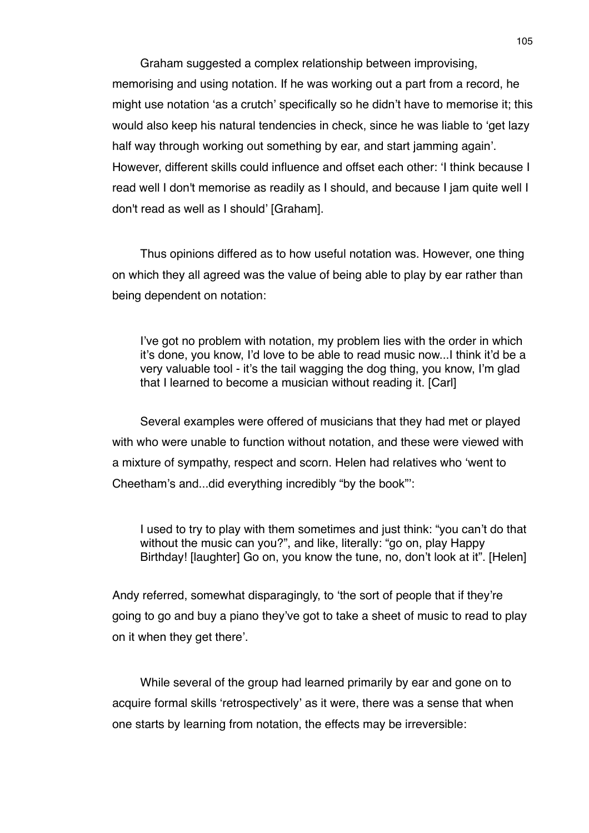Graham suggested a complex relationship between improvising, memorising and using notation. If he was working out a part from a record, he might use notation ʻas a crutch' specifically so he didn't have to memorise it; this would also keep his natural tendencies in check, since he was liable to ʻget lazy half way through working out something by ear, and start jamming again'. However, different skills could influence and offset each other: ʻI think because I read well I don't memorise as readily as I should, and because I jam quite well I don't read as well as I should' [Graham].

Thus opinions differed as to how useful notation was. However, one thing on which they all agreed was the value of being able to play by ear rather than being dependent on notation:

I've got no problem with notation, my problem lies with the order in which it's done, you know, I'd love to be able to read music now...I think it'd be a very valuable tool - it's the tail wagging the dog thing, you know, I'm glad that I learned to become a musician without reading it. [Carl]

Several examples were offered of musicians that they had met or played with who were unable to function without notation, and these were viewed with a mixture of sympathy, respect and scorn. Helen had relatives who ʻwent to Cheetham's and...did everything incredibly "by the book"':

I used to try to play with them sometimes and just think: "you can't do that without the music can you?", and like, literally: "go on, play Happy Birthday! [laughter] Go on, you know the tune, no, don't look at it". [Helen]

Andy referred, somewhat disparagingly, to ʻthe sort of people that if they're going to go and buy a piano they've got to take a sheet of music to read to play on it when they get there'.

While several of the group had learned primarily by ear and gone on to acquire formal skills ʻretrospectively' as it were, there was a sense that when one starts by learning from notation, the effects may be irreversible: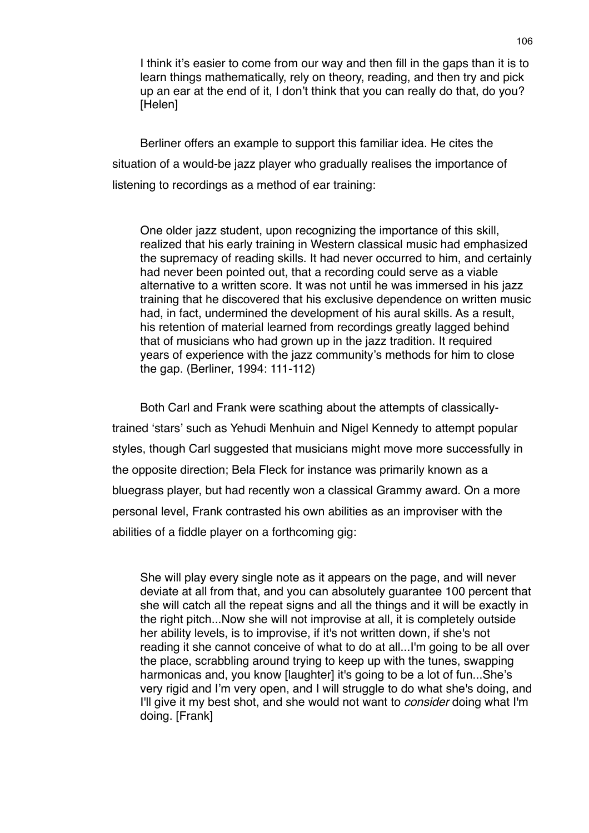I think it's easier to come from our way and then fill in the gaps than it is to learn things mathematically, rely on theory, reading, and then try and pick up an ear at the end of it, I don't think that you can really do that, do you? [Helen]

Berliner offers an example to support this familiar idea. He cites the situation of a would-be jazz player who gradually realises the importance of listening to recordings as a method of ear training:

One older jazz student, upon recognizing the importance of this skill, realized that his early training in Western classical music had emphasized the supremacy of reading skills. It had never occurred to him, and certainly had never been pointed out, that a recording could serve as a viable alternative to a written score. It was not until he was immersed in his jazz training that he discovered that his exclusive dependence on written music had, in fact, undermined the development of his aural skills. As a result, his retention of material learned from recordings greatly lagged behind that of musicians who had grown up in the jazz tradition. It required years of experience with the jazz community's methods for him to close the gap. (Berliner, 1994: 111-112)

Both Carl and Frank were scathing about the attempts of classicallytrained ʻstars' such as Yehudi Menhuin and Nigel Kennedy to attempt popular styles, though Carl suggested that musicians might move more successfully in the opposite direction; Bela Fleck for instance was primarily known as a bluegrass player, but had recently won a classical Grammy award. On a more personal level, Frank contrasted his own abilities as an improviser with the abilities of a fiddle player on a forthcoming gig:

She will play every single note as it appears on the page, and will never deviate at all from that, and you can absolutely guarantee 100 percent that she will catch all the repeat signs and all the things and it will be exactly in the right pitch...Now she will not improvise at all, it is completely outside her ability levels, is to improvise, if it's not written down, if she's not reading it she cannot conceive of what to do at all...I'm going to be all over the place, scrabbling around trying to keep up with the tunes, swapping harmonicas and, you know [laughter] it's going to be a lot of fun...She's very rigid and I'm very open, and I will struggle to do what she's doing, and I'll give it my best shot, and she would not want to *consider* doing what I'm doing. [Frank]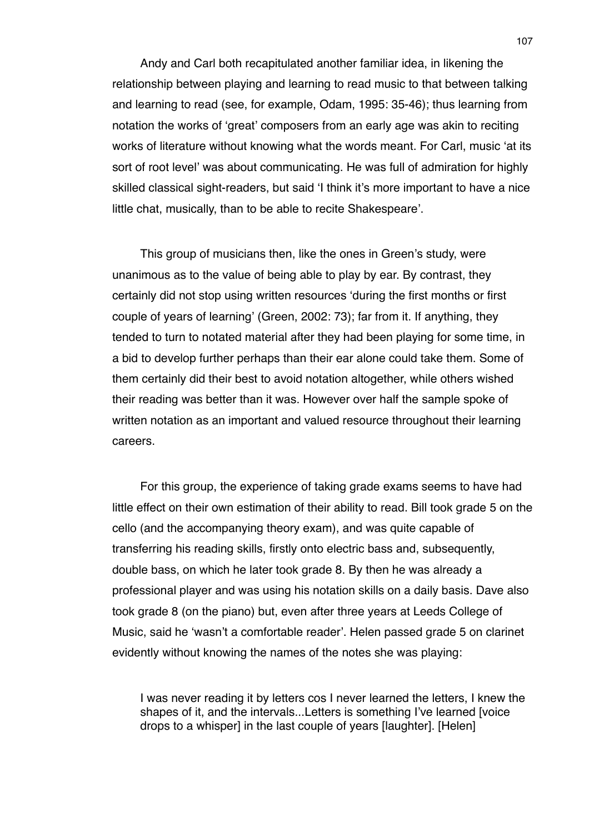Andy and Carl both recapitulated another familiar idea, in likening the relationship between playing and learning to read music to that between talking and learning to read (see, for example, Odam, 1995: 35-46); thus learning from notation the works of ʻgreat' composers from an early age was akin to reciting works of literature without knowing what the words meant. For Carl, music ʻat its sort of root level' was about communicating. He was full of admiration for highly skilled classical sight-readers, but said ʻI think it's more important to have a nice little chat, musically, than to be able to recite Shakespeare'.

This group of musicians then, like the ones in Green's study, were unanimous as to the value of being able to play by ear. By contrast, they certainly did not stop using written resources ʻduring the first months or first couple of years of learning' (Green, 2002: 73); far from it. If anything, they tended to turn to notated material after they had been playing for some time, in a bid to develop further perhaps than their ear alone could take them. Some of them certainly did their best to avoid notation altogether, while others wished their reading was better than it was. However over half the sample spoke of written notation as an important and valued resource throughout their learning careers.

For this group, the experience of taking grade exams seems to have had little effect on their own estimation of their ability to read. Bill took grade 5 on the cello (and the accompanying theory exam), and was quite capable of transferring his reading skills, firstly onto electric bass and, subsequently, double bass, on which he later took grade 8. By then he was already a professional player and was using his notation skills on a daily basis. Dave also took grade 8 (on the piano) but, even after three years at Leeds College of Music, said he ʻwasn't a comfortable reader'. Helen passed grade 5 on clarinet evidently without knowing the names of the notes she was playing:

I was never reading it by letters cos I never learned the letters, I knew the shapes of it, and the intervals...Letters is something I've learned [voice drops to a whisper] in the last couple of years [laughter]. [Helen]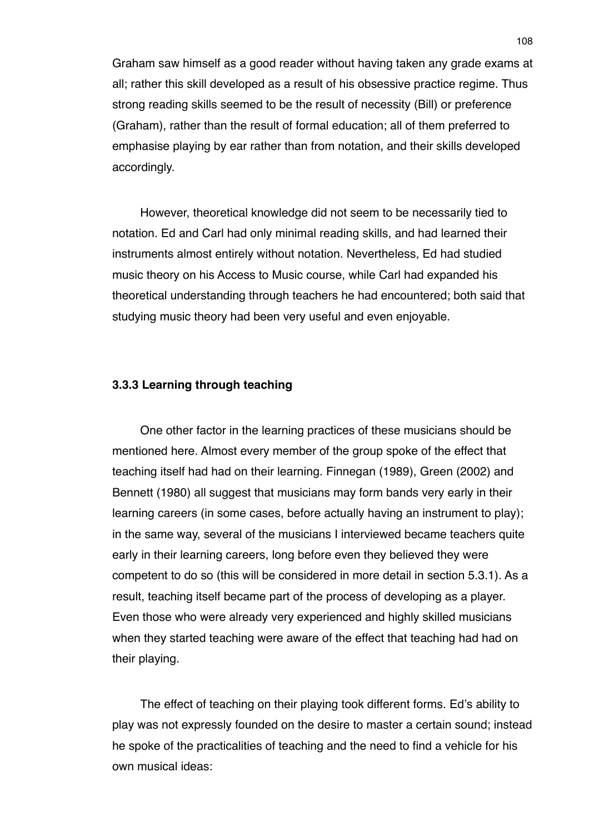Graham saw himself as a good reader without having taken any grade exams at all; rather this skill developed as a result of his obsessive practice regime. Thus strong reading skills seemed to be the result of necessity (Bill) or preference (Graham), rather than the result of formal education; all of them preferred to emphasise playing by ear rather than from notation, and their skills developed accordingly.

However, theoretical knowledge did not seem to be necessarily tied to notation. Ed and Carl had only minimal reading skills, and had learned their instruments almost entirely without notation. Nevertheless, Ed had studied music theory on his Access to Music course, while Carl had expanded his theoretical understanding through teachers he had encountered; both said that studying music theory had been very useful and even enjoyable.

# **3.3.3 Learning through teaching**

One other factor in the learning practices of these musicians should be mentioned here. Almost every member of the group spoke of the effect that teaching itself had had on their learning. Finnegan (1989), Green (2002) and Bennett (1980) all suggest that musicians may form bands very early in their learning careers (in some cases, before actually having an instrument to play); in the same way, several of the musicians I interviewed became teachers quite early in their learning careers, long before even they believed they were competent to do so (this will be considered in more detail in section 5.3.1). As a result, teaching itself became part of the process of developing as a player. Even those who were already very experienced and highly skilled musicians when they started teaching were aware of the effect that teaching had had on their playing.

The effect of teaching on their playing took different forms. Ed's ability to play was not expressly founded on the desire to master a certain sound; instead he spoke of the practicalities of teaching and the need to find a vehicle for his own musical ideas: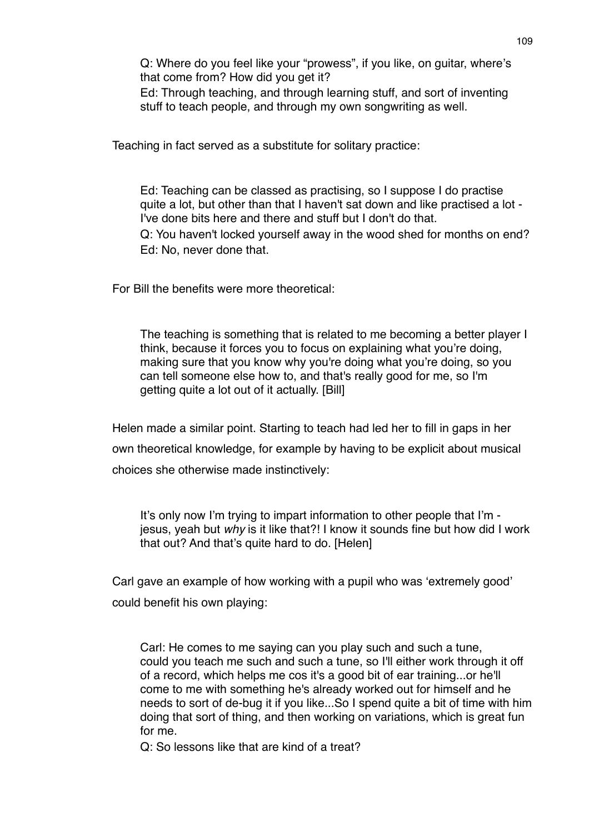Q: Where do you feel like your "prowess", if you like, on guitar, where's that come from? How did you get it?

Ed: Through teaching, and through learning stuff, and sort of inventing stuff to teach people, and through my own songwriting as well.

Teaching in fact served as a substitute for solitary practice:

Ed: Teaching can be classed as practising, so I suppose I do practise quite a lot, but other than that I haven't sat down and like practised a lot - I've done bits here and there and stuff but I don't do that. Q: You haven't locked yourself away in the wood shed for months on end? Ed: No, never done that.

For Bill the benefits were more theoretical:

The teaching is something that is related to me becoming a better player I think, because it forces you to focus on explaining what you're doing, making sure that you know why you're doing what you're doing, so you can tell someone else how to, and that's really good for me, so I'm getting quite a lot out of it actually. [Bill]

Helen made a similar point. Starting to teach had led her to fill in gaps in her own theoretical knowledge, for example by having to be explicit about musical choices she otherwise made instinctively:

It's only now I'm trying to impart information to other people that I'm jesus, yeah but *why* is it like that?! I know it sounds fine but how did I work that out? And that's quite hard to do. [Helen]

Carl gave an example of how working with a pupil who was ʻextremely good' could benefit his own playing:

Carl: He comes to me saying can you play such and such a tune, could you teach me such and such a tune, so I'll either work through it off of a record, which helps me cos it's a good bit of ear training...or he'll come to me with something he's already worked out for himself and he needs to sort of de-bug it if you like...So I spend quite a bit of time with him doing that sort of thing, and then working on variations, which is great fun for me.

Q: So lessons like that are kind of a treat?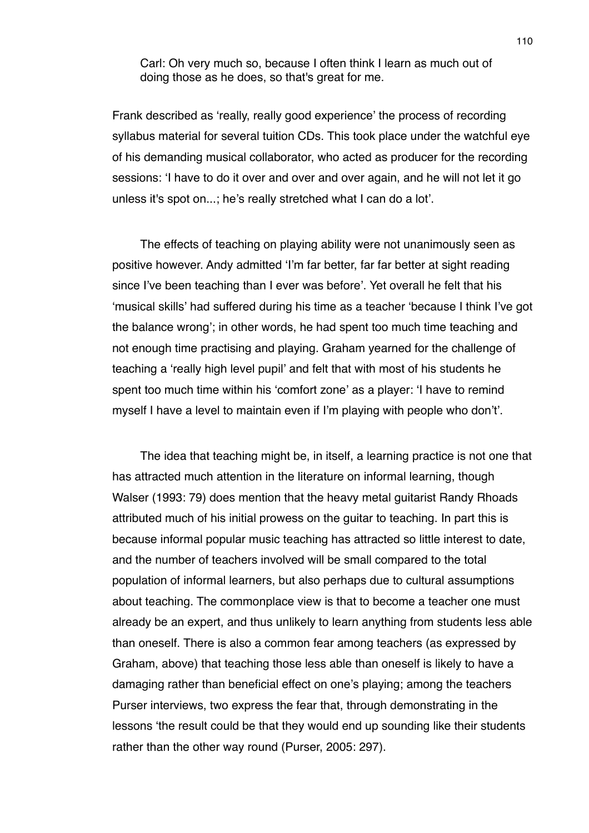Carl: Oh very much so, because I often think I learn as much out of doing those as he does, so that's great for me.

Frank described as ʻreally, really good experience' the process of recording syllabus material for several tuition CDs. This took place under the watchful eye of his demanding musical collaborator, who acted as producer for the recording sessions: ʻI have to do it over and over and over again, and he will not let it go unless it's spot on...; he's really stretched what I can do a lot'.

The effects of teaching on playing ability were not unanimously seen as positive however. Andy admitted ʻI'm far better, far far better at sight reading since I've been teaching than I ever was before'. Yet overall he felt that his ʻmusical skills' had suffered during his time as a teacher ʻbecause I think I've got the balance wrong'; in other words, he had spent too much time teaching and not enough time practising and playing. Graham yearned for the challenge of teaching a ʻreally high level pupil' and felt that with most of his students he spent too much time within his ʻcomfort zone' as a player: ʻI have to remind myself I have a level to maintain even if I'm playing with people who don't'.

The idea that teaching might be, in itself, a learning practice is not one that has attracted much attention in the literature on informal learning, though Walser (1993: 79) does mention that the heavy metal guitarist Randy Rhoads attributed much of his initial prowess on the guitar to teaching. In part this is because informal popular music teaching has attracted so little interest to date, and the number of teachers involved will be small compared to the total population of informal learners, but also perhaps due to cultural assumptions about teaching. The commonplace view is that to become a teacher one must already be an expert, and thus unlikely to learn anything from students less able than oneself. There is also a common fear among teachers (as expressed by Graham, above) that teaching those less able than oneself is likely to have a damaging rather than beneficial effect on one's playing; among the teachers Purser interviews, two express the fear that, through demonstrating in the lessons ʻthe result could be that they would end up sounding like their students rather than the other way round (Purser, 2005: 297).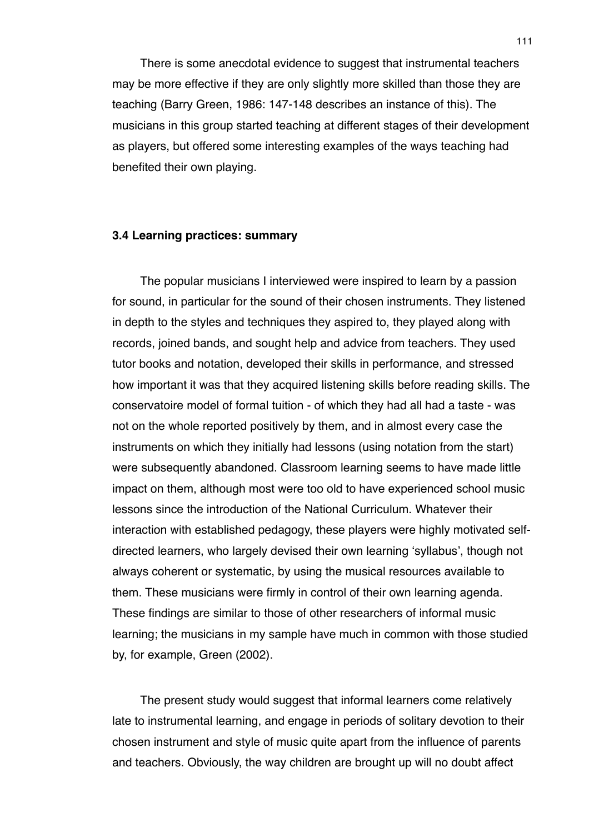There is some anecdotal evidence to suggest that instrumental teachers may be more effective if they are only slightly more skilled than those they are teaching (Barry Green, 1986: 147-148 describes an instance of this). The musicians in this group started teaching at different stages of their development as players, but offered some interesting examples of the ways teaching had benefited their own playing.

### **3.4 Learning practices: summary**

The popular musicians I interviewed were inspired to learn by a passion for sound, in particular for the sound of their chosen instruments. They listened in depth to the styles and techniques they aspired to, they played along with records, joined bands, and sought help and advice from teachers. They used tutor books and notation, developed their skills in performance, and stressed how important it was that they acquired listening skills before reading skills. The conservatoire model of formal tuition - of which they had all had a taste - was not on the whole reported positively by them, and in almost every case the instruments on which they initially had lessons (using notation from the start) were subsequently abandoned. Classroom learning seems to have made little impact on them, although most were too old to have experienced school music lessons since the introduction of the National Curriculum. Whatever their interaction with established pedagogy, these players were highly motivated selfdirected learners, who largely devised their own learning ʻsyllabus', though not always coherent or systematic, by using the musical resources available to them. These musicians were firmly in control of their own learning agenda. These findings are similar to those of other researchers of informal music learning; the musicians in my sample have much in common with those studied by, for example, Green (2002).

The present study would suggest that informal learners come relatively late to instrumental learning, and engage in periods of solitary devotion to their chosen instrument and style of music quite apart from the influence of parents and teachers. Obviously, the way children are brought up will no doubt affect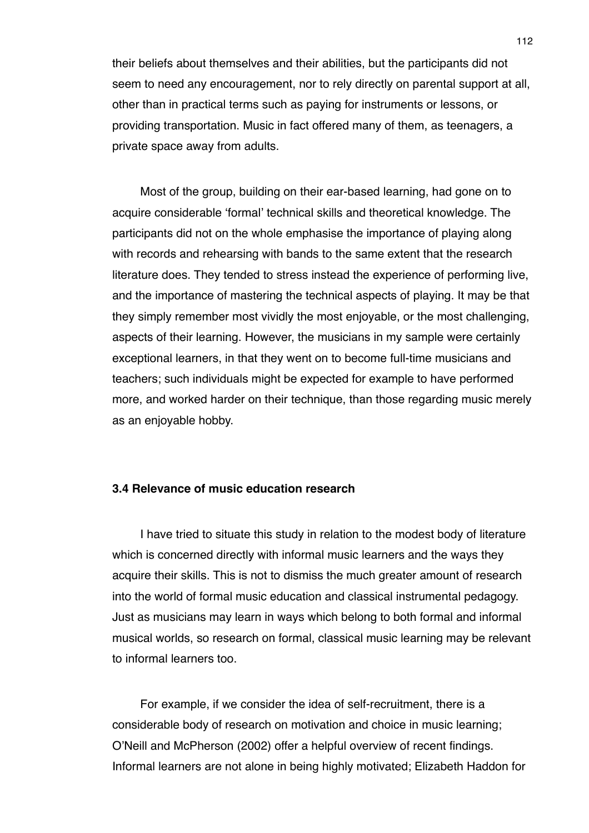their beliefs about themselves and their abilities, but the participants did not seem to need any encouragement, nor to rely directly on parental support at all, other than in practical terms such as paying for instruments or lessons, or providing transportation. Music in fact offered many of them, as teenagers, a private space away from adults.

Most of the group, building on their ear-based learning, had gone on to acquire considerable ʻformal' technical skills and theoretical knowledge. The participants did not on the whole emphasise the importance of playing along with records and rehearsing with bands to the same extent that the research literature does. They tended to stress instead the experience of performing live, and the importance of mastering the technical aspects of playing. It may be that they simply remember most vividly the most enjoyable, or the most challenging, aspects of their learning. However, the musicians in my sample were certainly exceptional learners, in that they went on to become full-time musicians and teachers; such individuals might be expected for example to have performed more, and worked harder on their technique, than those regarding music merely as an enjoyable hobby.

### **3.4 Relevance of music education research**

I have tried to situate this study in relation to the modest body of literature which is concerned directly with informal music learners and the ways they acquire their skills. This is not to dismiss the much greater amount of research into the world of formal music education and classical instrumental pedagogy. Just as musicians may learn in ways which belong to both formal and informal musical worlds, so research on formal, classical music learning may be relevant to informal learners too.

For example, if we consider the idea of self-recruitment, there is a considerable body of research on motivation and choice in music learning; O'Neill and McPherson (2002) offer a helpful overview of recent findings. Informal learners are not alone in being highly motivated; Elizabeth Haddon for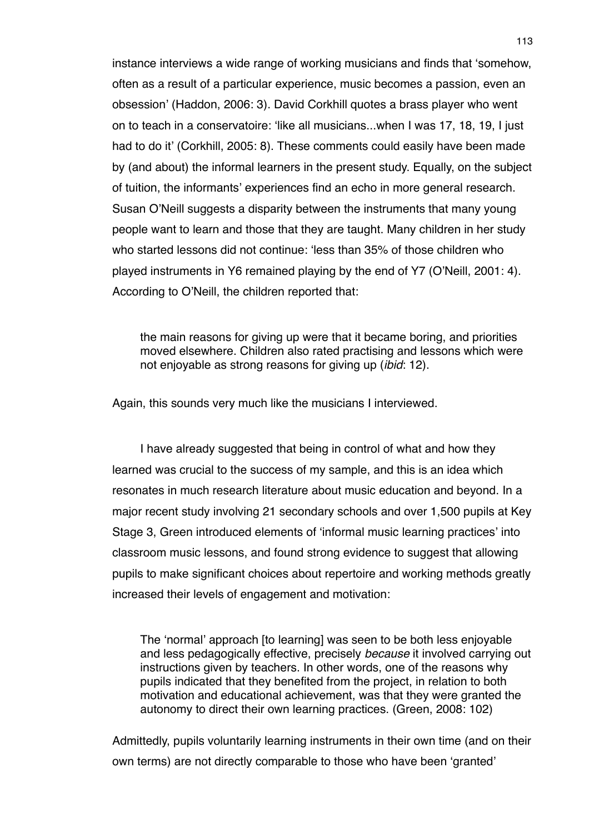instance interviews a wide range of working musicians and finds that ʻsomehow, often as a result of a particular experience, music becomes a passion, even an obsession' (Haddon, 2006: 3). David Corkhill quotes a brass player who went on to teach in a conservatoire: ʻlike all musicians...when I was 17, 18, 19, I just had to do it' (Corkhill, 2005: 8). These comments could easily have been made by (and about) the informal learners in the present study. Equally, on the subject of tuition, the informants' experiences find an echo in more general research. Susan O'Neill suggests a disparity between the instruments that many young people want to learn and those that they are taught. Many children in her study who started lessons did not continue: ʻless than 35% of those children who played instruments in Y6 remained playing by the end of Y7 (O'Neill, 2001: 4). According to O'Neill, the children reported that:

the main reasons for giving up were that it became boring, and priorities moved elsewhere. Children also rated practising and lessons which were not enjoyable as strong reasons for giving up (*ibid*: 12).

Again, this sounds very much like the musicians I interviewed.

I have already suggested that being in control of what and how they learned was crucial to the success of my sample, and this is an idea which resonates in much research literature about music education and beyond. In a major recent study involving 21 secondary schools and over 1,500 pupils at Key Stage 3, Green introduced elements of ʻinformal music learning practices' into classroom music lessons, and found strong evidence to suggest that allowing pupils to make significant choices about repertoire and working methods greatly increased their levels of engagement and motivation:

The ʻnormal' approach [to learning] was seen to be both less enjoyable and less pedagogically effective, precisely *because* it involved carrying out instructions given by teachers. In other words, one of the reasons why pupils indicated that they benefited from the project, in relation to both motivation and educational achievement, was that they were granted the autonomy to direct their own learning practices. (Green, 2008: 102)

Admittedly, pupils voluntarily learning instruments in their own time (and on their own terms) are not directly comparable to those who have been ʻgranted'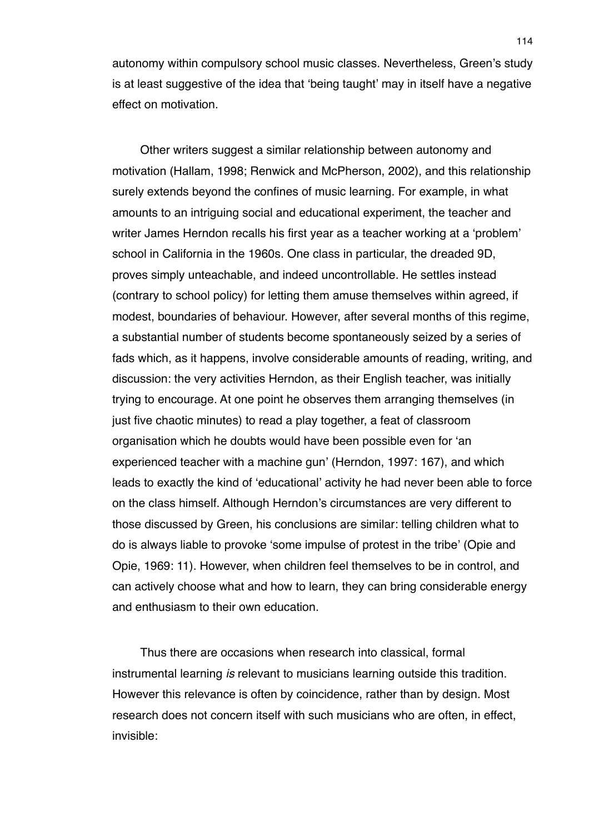autonomy within compulsory school music classes. Nevertheless, Green's study is at least suggestive of the idea that ʻbeing taught' may in itself have a negative effect on motivation.

Other writers suggest a similar relationship between autonomy and motivation (Hallam, 1998; Renwick and McPherson, 2002), and this relationship surely extends beyond the confines of music learning. For example, in what amounts to an intriguing social and educational experiment, the teacher and writer James Herndon recalls his first year as a teacher working at a ʻproblem' school in California in the 1960s. One class in particular, the dreaded 9D, proves simply unteachable, and indeed uncontrollable. He settles instead (contrary to school policy) for letting them amuse themselves within agreed, if modest, boundaries of behaviour. However, after several months of this regime, a substantial number of students become spontaneously seized by a series of fads which, as it happens, involve considerable amounts of reading, writing, and discussion: the very activities Herndon, as their English teacher, was initially trying to encourage. At one point he observes them arranging themselves (in just five chaotic minutes) to read a play together, a feat of classroom organisation which he doubts would have been possible even for ʻan experienced teacher with a machine gun' (Herndon, 1997: 167), and which leads to exactly the kind of ʻeducational' activity he had never been able to force on the class himself. Although Herndon's circumstances are very different to those discussed by Green, his conclusions are similar: telling children what to do is always liable to provoke ʻsome impulse of protest in the tribe' (Opie and Opie, 1969: 11). However, when children feel themselves to be in control, and can actively choose what and how to learn, they can bring considerable energy and enthusiasm to their own education.

Thus there are occasions when research into classical, formal instrumental learning *is* relevant to musicians learning outside this tradition. However this relevance is often by coincidence, rather than by design. Most research does not concern itself with such musicians who are often, in effect, invisible: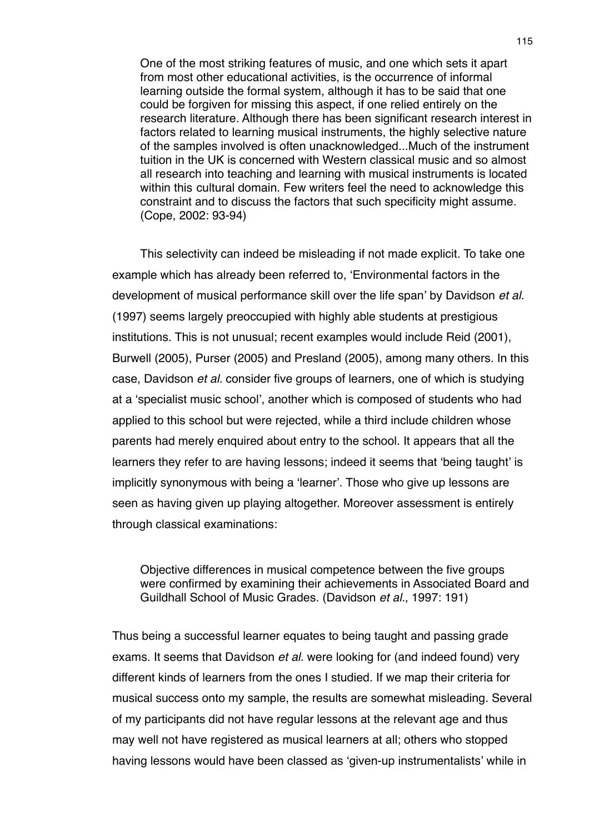One of the most striking features of music, and one which sets it apart from most other educational activities, is the occurrence of informal learning outside the formal system, although it has to be said that one could be forgiven for missing this aspect, if one relied entirely on the research literature. Although there has been significant research interest in factors related to learning musical instruments, the highly selective nature of the samples involved is often unacknowledged...Much of the instrument tuition in the UK is concerned with Western classical music and so almost all research into teaching and learning with musical instruments is located within this cultural domain. Few writers feel the need to acknowledge this constraint and to discuss the factors that such specificity might assume. (Cope, 2002: 93-94)

This selectivity can indeed be misleading if not made explicit. To take one example which has already been referred to, ʻEnvironmental factors in the development of musical performance skill over the life span' by Davidson *et al.* (1997) seems largely preoccupied with highly able students at prestigious institutions. This is not unusual; recent examples would include Reid (2001), Burwell (2005), Purser (2005) and Presland (2005), among many others. In this case, Davidson *et al.* consider five groups of learners, one of which is studying at a ʻspecialist music school', another which is composed of students who had applied to this school but were rejected, while a third include children whose parents had merely enquired about entry to the school. It appears that all the learners they refer to are having lessons; indeed it seems that ʻbeing taught' is implicitly synonymous with being a ʻlearner'. Those who give up lessons are seen as having given up playing altogether. Moreover assessment is entirely through classical examinations:

Objective differences in musical competence between the five groups were confirmed by examining their achievements in Associated Board and Guildhall School of Music Grades. (Davidson *et al.*, 1997: 191)

Thus being a successful learner equates to being taught and passing grade exams. It seems that Davidson *et al.* were looking for (and indeed found) very different kinds of learners from the ones I studied. If we map their criteria for musical success onto my sample, the results are somewhat misleading. Several of my participants did not have regular lessons at the relevant age and thus may well not have registered as musical learners at all; others who stopped having lessons would have been classed as ʻgiven-up instrumentalists' while in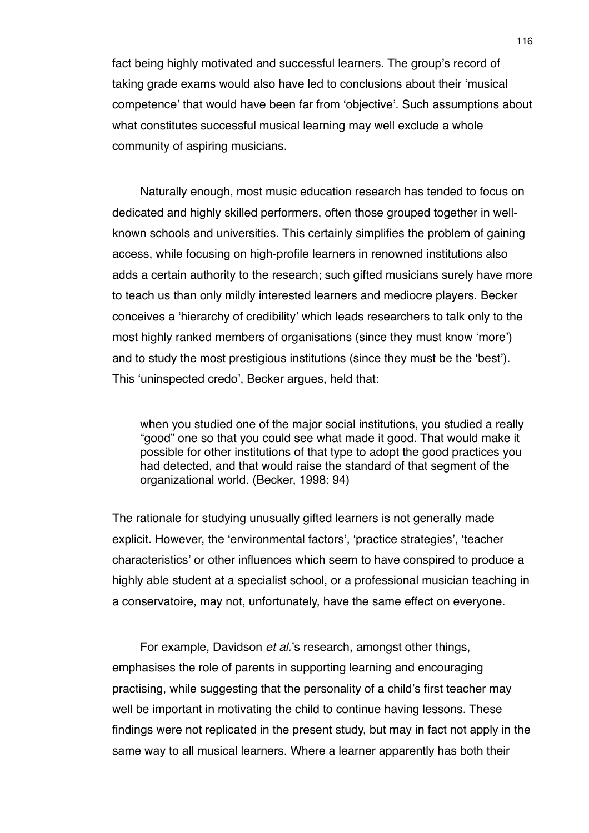fact being highly motivated and successful learners. The group's record of taking grade exams would also have led to conclusions about their ʻmusical competence' that would have been far from ʻobjective'. Such assumptions about what constitutes successful musical learning may well exclude a whole community of aspiring musicians.

Naturally enough, most music education research has tended to focus on dedicated and highly skilled performers, often those grouped together in wellknown schools and universities. This certainly simplifies the problem of gaining access, while focusing on high-profile learners in renowned institutions also adds a certain authority to the research; such gifted musicians surely have more to teach us than only mildly interested learners and mediocre players. Becker conceives a ʻhierarchy of credibility' which leads researchers to talk only to the most highly ranked members of organisations (since they must know ʻmore') and to study the most prestigious institutions (since they must be the ʻbest'). This ʻuninspected credo', Becker argues, held that:

when you studied one of the major social institutions, you studied a really "good" one so that you could see what made it good. That would make it possible for other institutions of that type to adopt the good practices you had detected, and that would raise the standard of that segment of the organizational world. (Becker, 1998: 94)

The rationale for studying unusually gifted learners is not generally made explicit. However, the ʻenvironmental factors', ʻpractice strategies', ʻteacher characteristics' or other influences which seem to have conspired to produce a highly able student at a specialist school, or a professional musician teaching in a conservatoire, may not, unfortunately, have the same effect on everyone.

For example, Davidson *et al.*'s research, amongst other things, emphasises the role of parents in supporting learning and encouraging practising, while suggesting that the personality of a child's first teacher may well be important in motivating the child to continue having lessons. These findings were not replicated in the present study, but may in fact not apply in the same way to all musical learners. Where a learner apparently has both their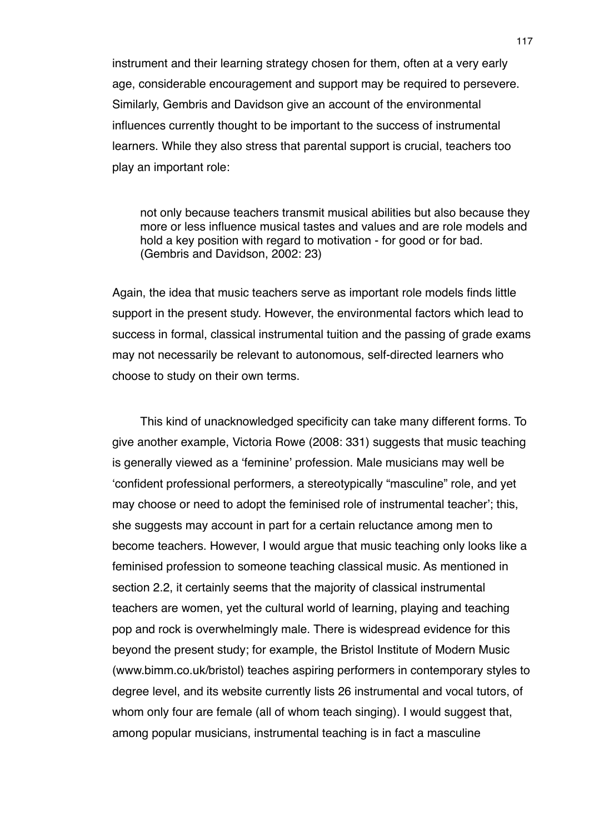instrument and their learning strategy chosen for them, often at a very early age, considerable encouragement and support may be required to persevere. Similarly, Gembris and Davidson give an account of the environmental influences currently thought to be important to the success of instrumental learners. While they also stress that parental support is crucial, teachers too play an important role:

not only because teachers transmit musical abilities but also because they more or less influence musical tastes and values and are role models and hold a key position with regard to motivation - for good or for bad. (Gembris and Davidson, 2002: 23)

Again, the idea that music teachers serve as important role models finds little support in the present study. However, the environmental factors which lead to success in formal, classical instrumental tuition and the passing of grade exams may not necessarily be relevant to autonomous, self-directed learners who choose to study on their own terms.

This kind of unacknowledged specificity can take many different forms. To give another example, Victoria Rowe (2008: 331) suggests that music teaching is generally viewed as a ʻfeminine' profession. Male musicians may well be ʻconfident professional performers, a stereotypically "masculine" role, and yet may choose or need to adopt the feminised role of instrumental teacher'; this, she suggests may account in part for a certain reluctance among men to become teachers. However, I would argue that music teaching only looks like a feminised profession to someone teaching classical music. As mentioned in section 2.2, it certainly seems that the majority of classical instrumental teachers are women, yet the cultural world of learning, playing and teaching pop and rock is overwhelmingly male. There is widespread evidence for this beyond the present study; for example, the Bristol Institute of Modern Music (www.bimm.co.uk/bristol) teaches aspiring performers in contemporary styles to degree level, and its website currently lists 26 instrumental and vocal tutors, of whom only four are female (all of whom teach singing). I would suggest that, among popular musicians, instrumental teaching is in fact a masculine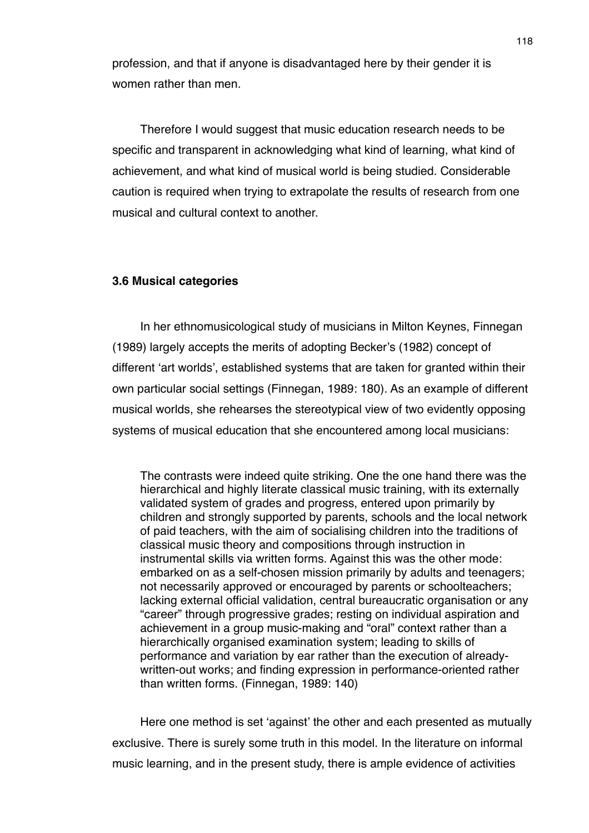profession, and that if anyone is disadvantaged here by their gender it is women rather than men.

Therefore I would suggest that music education research needs to be specific and transparent in acknowledging what kind of learning, what kind of achievement, and what kind of musical world is being studied. Considerable caution is required when trying to extrapolate the results of research from one musical and cultural context to another.

### **3.6 Musical categories**

In her ethnomusicological study of musicians in Milton Keynes, Finnegan (1989) largely accepts the merits of adopting Becker's (1982) concept of different ʻart worlds', established systems that are taken for granted within their own particular social settings (Finnegan, 1989: 180). As an example of different musical worlds, she rehearses the stereotypical view of two evidently opposing systems of musical education that she encountered among local musicians:

The contrasts were indeed quite striking. One the one hand there was the hierarchical and highly literate classical music training, with its externally validated system of grades and progress, entered upon primarily by children and strongly supported by parents, schools and the local network of paid teachers, with the aim of socialising children into the traditions of classical music theory and compositions through instruction in instrumental skills via written forms. Against this was the other mode: embarked on as a self-chosen mission primarily by adults and teenagers; not necessarily approved or encouraged by parents or schoolteachers; lacking external official validation, central bureaucratic organisation or any "career" through progressive grades; resting on individual aspiration and achievement in a group music-making and "oral" context rather than a hierarchically organised examination system; leading to skills of performance and variation by ear rather than the execution of alreadywritten-out works; and finding expression in performance-oriented rather than written forms. (Finnegan, 1989: 140)

Here one method is set ʻagainst' the other and each presented as mutually exclusive. There is surely some truth in this model. In the literature on informal music learning, and in the present study, there is ample evidence of activities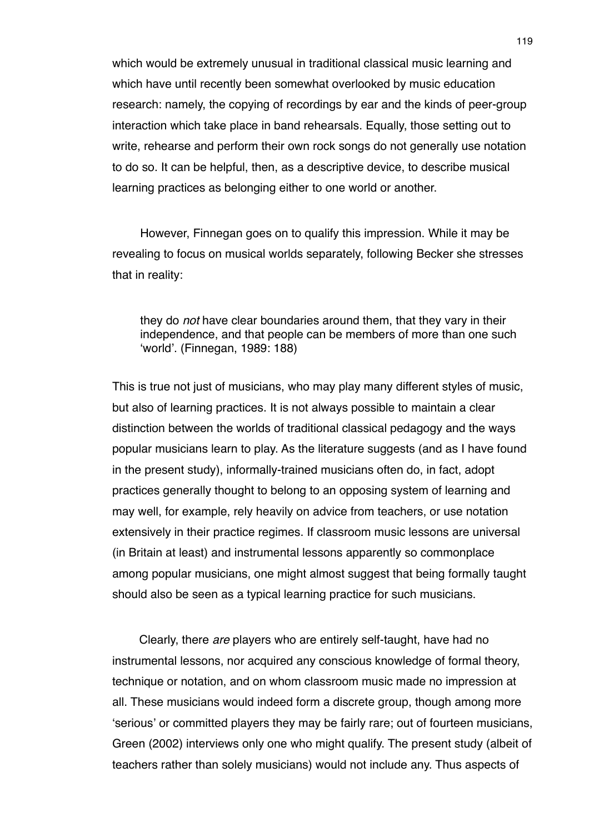which would be extremely unusual in traditional classical music learning and which have until recently been somewhat overlooked by music education research: namely, the copying of recordings by ear and the kinds of peer-group interaction which take place in band rehearsals. Equally, those setting out to write, rehearse and perform their own rock songs do not generally use notation to do so. It can be helpful, then, as a descriptive device, to describe musical learning practices as belonging either to one world or another.

However, Finnegan goes on to qualify this impression. While it may be revealing to focus on musical worlds separately, following Becker she stresses that in reality:

they do *not* have clear boundaries around them, that they vary in their independence, and that people can be members of more than one such ʻworld'. (Finnegan, 1989: 188)

This is true not just of musicians, who may play many different styles of music, but also of learning practices. It is not always possible to maintain a clear distinction between the worlds of traditional classical pedagogy and the ways popular musicians learn to play. As the literature suggests (and as I have found in the present study), informally-trained musicians often do, in fact, adopt practices generally thought to belong to an opposing system of learning and may well, for example, rely heavily on advice from teachers, or use notation extensively in their practice regimes. If classroom music lessons are universal (in Britain at least) and instrumental lessons apparently so commonplace among popular musicians, one might almost suggest that being formally taught should also be seen as a typical learning practice for such musicians.

Clearly, there *are* players who are entirely self-taught, have had no instrumental lessons, nor acquired any conscious knowledge of formal theory, technique or notation, and on whom classroom music made no impression at all. These musicians would indeed form a discrete group, though among more ʻserious' or committed players they may be fairly rare; out of fourteen musicians, Green (2002) interviews only one who might qualify. The present study (albeit of teachers rather than solely musicians) would not include any. Thus aspects of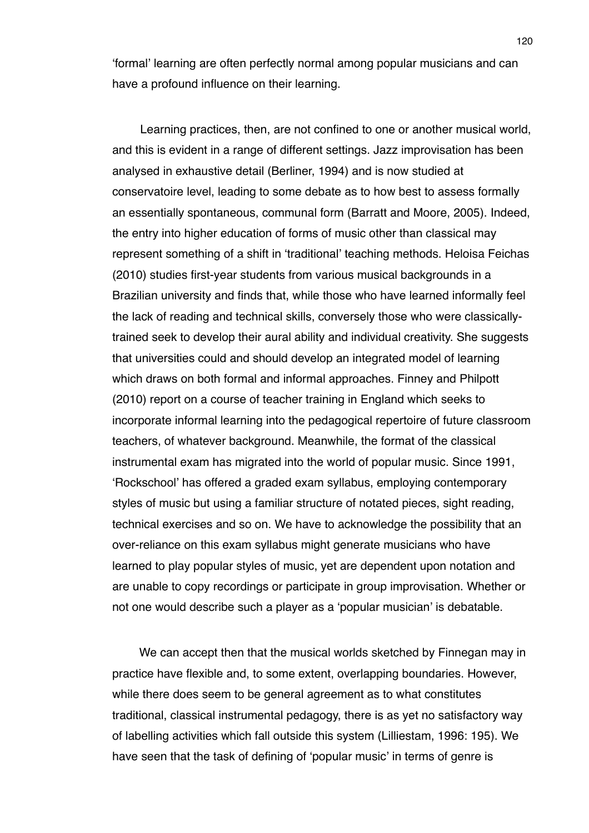ʻformal' learning are often perfectly normal among popular musicians and can have a profound influence on their learning.

Learning practices, then, are not confined to one or another musical world, and this is evident in a range of different settings. Jazz improvisation has been analysed in exhaustive detail (Berliner, 1994) and is now studied at conservatoire level, leading to some debate as to how best to assess formally an essentially spontaneous, communal form (Barratt and Moore, 2005). Indeed, the entry into higher education of forms of music other than classical may represent something of a shift in ʻtraditional' teaching methods. Heloisa Feichas (2010) studies first-year students from various musical backgrounds in a Brazilian university and finds that, while those who have learned informally feel the lack of reading and technical skills, conversely those who were classicallytrained seek to develop their aural ability and individual creativity. She suggests that universities could and should develop an integrated model of learning which draws on both formal and informal approaches. Finney and Philpott (2010) report on a course of teacher training in England which seeks to incorporate informal learning into the pedagogical repertoire of future classroom teachers, of whatever background. Meanwhile, the format of the classical instrumental exam has migrated into the world of popular music. Since 1991, ʻRockschool' has offered a graded exam syllabus, employing contemporary styles of music but using a familiar structure of notated pieces, sight reading, technical exercises and so on. We have to acknowledge the possibility that an over-reliance on this exam syllabus might generate musicians who have learned to play popular styles of music, yet are dependent upon notation and are unable to copy recordings or participate in group improvisation. Whether or not one would describe such a player as a ʻpopular musician' is debatable.

We can accept then that the musical worlds sketched by Finnegan may in practice have flexible and, to some extent, overlapping boundaries. However, while there does seem to be general agreement as to what constitutes traditional, classical instrumental pedagogy, there is as yet no satisfactory way of labelling activities which fall outside this system (Lilliestam, 1996: 195). We have seen that the task of defining of ʻpopular music' in terms of genre is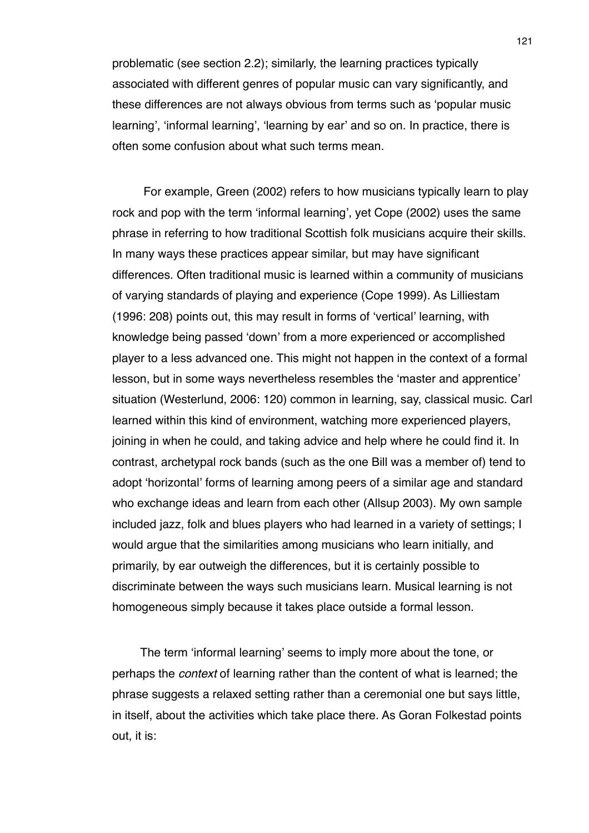problematic (see section 2.2); similarly, the learning practices typically associated with different genres of popular music can vary significantly, and these differences are not always obvious from terms such as ʻpopular music learning', ʻinformal learning', ʻlearning by ear' and so on. In practice, there is often some confusion about what such terms mean.

 For example, Green (2002) refers to how musicians typically learn to play rock and pop with the term ʻinformal learning', yet Cope (2002) uses the same phrase in referring to how traditional Scottish folk musicians acquire their skills. In many ways these practices appear similar, but may have significant differences. Often traditional music is learned within a community of musicians of varying standards of playing and experience (Cope 1999). As Lilliestam (1996: 208) points out, this may result in forms of ʻvertical' learning, with knowledge being passed ʻdown' from a more experienced or accomplished player to a less advanced one. This might not happen in the context of a formal lesson, but in some ways nevertheless resembles the ʻmaster and apprentice' situation (Westerlund, 2006: 120) common in learning, say, classical music. Carl learned within this kind of environment, watching more experienced players, joining in when he could, and taking advice and help where he could find it. In contrast, archetypal rock bands (such as the one Bill was a member of) tend to adopt ʻhorizontal' forms of learning among peers of a similar age and standard who exchange ideas and learn from each other (Allsup 2003). My own sample included jazz, folk and blues players who had learned in a variety of settings; I would argue that the similarities among musicians who learn initially, and primarily, by ear outweigh the differences, but it is certainly possible to discriminate between the ways such musicians learn. Musical learning is not homogeneous simply because it takes place outside a formal lesson.

The term ʻinformal learning' seems to imply more about the tone, or perhaps the *context* of learning rather than the content of what is learned; the phrase suggests a relaxed setting rather than a ceremonial one but says little, in itself, about the activities which take place there. As Goran Folkestad points out, it is: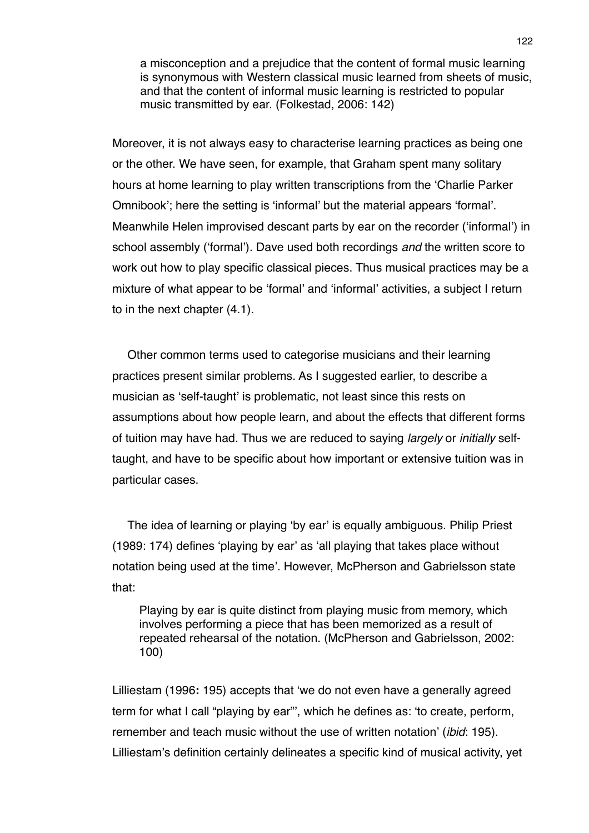a misconception and a prejudice that the content of formal music learning is synonymous with Western classical music learned from sheets of music, and that the content of informal music learning is restricted to popular music transmitted by ear. (Folkestad, 2006: 142)

Moreover, it is not always easy to characterise learning practices as being one or the other. We have seen, for example, that Graham spent many solitary hours at home learning to play written transcriptions from the ʻCharlie Parker Omnibook'; here the setting is ʻinformal' but the material appears ʻformal'. Meanwhile Helen improvised descant parts by ear on the recorder (ʻinformal') in school assembly (ʻformal'). Dave used both recordings *and* the written score to work out how to play specific classical pieces. Thus musical practices may be a mixture of what appear to be ʻformal' and ʻinformal' activities, a subject I return to in the next chapter (4.1).

Other common terms used to categorise musicians and their learning practices present similar problems. As I suggested earlier, to describe a musician as ʻself-taught' is problematic, not least since this rests on assumptions about how people learn, and about the effects that different forms of tuition may have had. Thus we are reduced to saying *largely* or *initially* selftaught, and have to be specific about how important or extensive tuition was in particular cases.

The idea of learning or playing ʻby ear' is equally ambiguous. Philip Priest (1989: 174) defines ʻplaying by ear' as ʻall playing that takes place without notation being used at the time'. However, McPherson and Gabrielsson state that:

Playing by ear is quite distinct from playing music from memory, which involves performing a piece that has been memorized as a result of repeated rehearsal of the notation. (McPherson and Gabrielsson, 2002: 100)

Lilliestam (1996**:** 195) accepts that ʻwe do not even have a generally agreed term for what I call "playing by ear"', which he defines as: ʻto create, perform, remember and teach music without the use of written notation' (*ibid*: 195). Lilliestam's definition certainly delineates a specific kind of musical activity, yet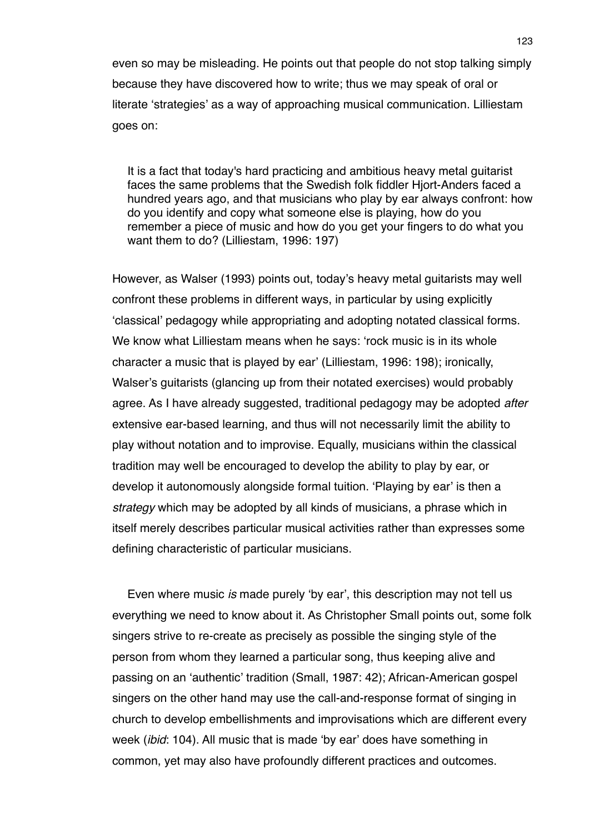even so may be misleading. He points out that people do not stop talking simply because they have discovered how to write; thus we may speak of oral or literate ʻstrategies' as a way of approaching musical communication. Lilliestam goes on:

It is a fact that today's hard practicing and ambitious heavy metal guitarist faces the same problems that the Swedish folk fiddler Hjort-Anders faced a hundred years ago, and that musicians who play by ear always confront: how do you identify and copy what someone else is playing, how do you remember a piece of music and how do you get your fingers to do what you want them to do? (Lilliestam, 1996: 197)

However, as Walser (1993) points out, today's heavy metal guitarists may well confront these problems in different ways, in particular by using explicitly ʻclassical' pedagogy while appropriating and adopting notated classical forms. We know what Lilliestam means when he says: ʻrock music is in its whole character a music that is played by ear' (Lilliestam, 1996: 198); ironically, Walser's guitarists (glancing up from their notated exercises) would probably agree. As I have already suggested, traditional pedagogy may be adopted *after* extensive ear-based learning, and thus will not necessarily limit the ability to play without notation and to improvise. Equally, musicians within the classical tradition may well be encouraged to develop the ability to play by ear, or develop it autonomously alongside formal tuition. ʻPlaying by ear' is then a *strategy* which may be adopted by all kinds of musicians, a phrase which in itself merely describes particular musical activities rather than expresses some defining characteristic of particular musicians.

Even where music *is* made purely ʻby ear', this description may not tell us everything we need to know about it. As Christopher Small points out, some folk singers strive to re-create as precisely as possible the singing style of the person from whom they learned a particular song, thus keeping alive and passing on an ʻauthentic' tradition (Small, 1987: 42); African-American gospel singers on the other hand may use the call-and-response format of singing in church to develop embellishments and improvisations which are different every week (*ibid*: 104). All music that is made ʻby ear' does have something in common, yet may also have profoundly different practices and outcomes.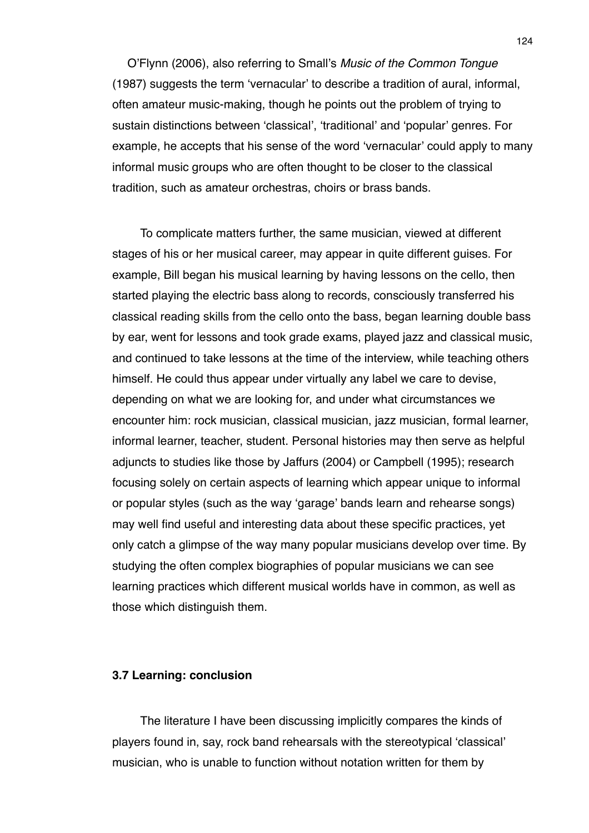O'Flynn (2006), also referring to Small's *Music of the Common Tongue* (1987) suggests the term ʻvernacular' to describe a tradition of aural, informal, often amateur music-making, though he points out the problem of trying to sustain distinctions between ʻclassical', ʻtraditional' and ʻpopular' genres. For example, he accepts that his sense of the word ʻvernacular' could apply to many informal music groups who are often thought to be closer to the classical tradition, such as amateur orchestras, choirs or brass bands.

To complicate matters further, the same musician, viewed at different stages of his or her musical career, may appear in quite different guises. For example, Bill began his musical learning by having lessons on the cello, then started playing the electric bass along to records, consciously transferred his classical reading skills from the cello onto the bass, began learning double bass by ear, went for lessons and took grade exams, played jazz and classical music, and continued to take lessons at the time of the interview, while teaching others himself. He could thus appear under virtually any label we care to devise, depending on what we are looking for, and under what circumstances we encounter him: rock musician, classical musician, jazz musician, formal learner, informal learner, teacher, student. Personal histories may then serve as helpful adjuncts to studies like those by Jaffurs (2004) or Campbell (1995); research focusing solely on certain aspects of learning which appear unique to informal or popular styles (such as the way ʻgarage' bands learn and rehearse songs) may well find useful and interesting data about these specific practices, yet only catch a glimpse of the way many popular musicians develop over time. By studying the often complex biographies of popular musicians we can see learning practices which different musical worlds have in common, as well as those which distinguish them.

## **3.7 Learning: conclusion**

The literature I have been discussing implicitly compares the kinds of players found in, say, rock band rehearsals with the stereotypical ʻclassical' musician, who is unable to function without notation written for them by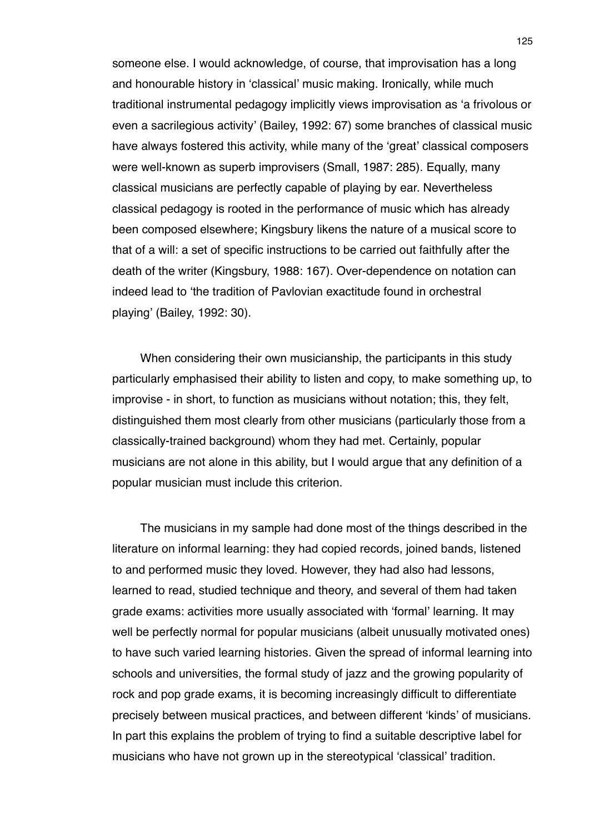someone else. I would acknowledge, of course, that improvisation has a long and honourable history in ʻclassical' music making. Ironically, while much traditional instrumental pedagogy implicitly views improvisation as ʻa frivolous or even a sacrilegious activity' (Bailey, 1992: 67) some branches of classical music have always fostered this activity, while many of the ʻgreat' classical composers were well-known as superb improvisers (Small, 1987: 285). Equally, many classical musicians are perfectly capable of playing by ear. Nevertheless classical pedagogy is rooted in the performance of music which has already been composed elsewhere; Kingsbury likens the nature of a musical score to that of a will: a set of specific instructions to be carried out faithfully after the death of the writer (Kingsbury, 1988: 167). Over-dependence on notation can indeed lead to ʻthe tradition of Pavlovian exactitude found in orchestral playing' (Bailey, 1992: 30).

When considering their own musicianship, the participants in this study particularly emphasised their ability to listen and copy, to make something up, to improvise - in short, to function as musicians without notation; this, they felt, distinguished them most clearly from other musicians (particularly those from a classically-trained background) whom they had met. Certainly, popular musicians are not alone in this ability, but I would argue that any definition of a popular musician must include this criterion.

The musicians in my sample had done most of the things described in the literature on informal learning: they had copied records, joined bands, listened to and performed music they loved. However, they had also had lessons, learned to read, studied technique and theory, and several of them had taken grade exams: activities more usually associated with ʻformal' learning. It may well be perfectly normal for popular musicians (albeit unusually motivated ones) to have such varied learning histories. Given the spread of informal learning into schools and universities, the formal study of jazz and the growing popularity of rock and pop grade exams, it is becoming increasingly difficult to differentiate precisely between musical practices, and between different ʻkinds' of musicians. In part this explains the problem of trying to find a suitable descriptive label for musicians who have not grown up in the stereotypical ʻclassical' tradition.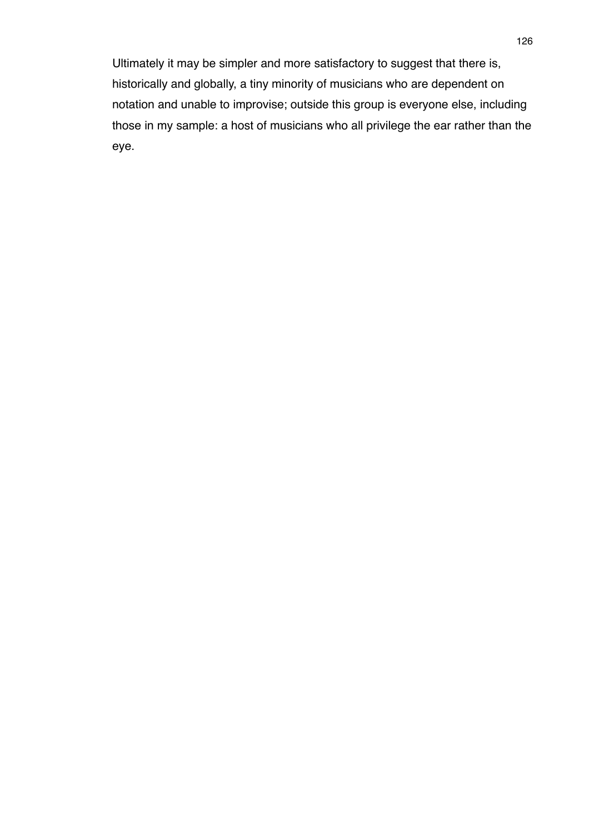Ultimately it may be simpler and more satisfactory to suggest that there is, historically and globally, a tiny minority of musicians who are dependent on notation and unable to improvise; outside this group is everyone else, including those in my sample: a host of musicians who all privilege the ear rather than the eye.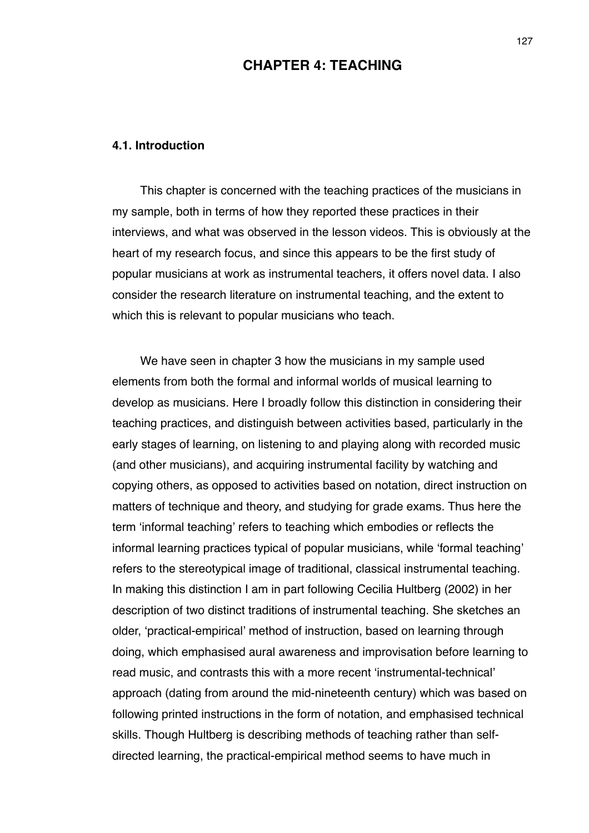# **CHAPTER 4: TEACHING**

### **4.1. Introduction**

This chapter is concerned with the teaching practices of the musicians in my sample, both in terms of how they reported these practices in their interviews, and what was observed in the lesson videos. This is obviously at the heart of my research focus, and since this appears to be the first study of popular musicians at work as instrumental teachers, it offers novel data. I also consider the research literature on instrumental teaching, and the extent to which this is relevant to popular musicians who teach.

We have seen in chapter 3 how the musicians in my sample used elements from both the formal and informal worlds of musical learning to develop as musicians. Here I broadly follow this distinction in considering their teaching practices, and distinguish between activities based, particularly in the early stages of learning, on listening to and playing along with recorded music (and other musicians), and acquiring instrumental facility by watching and copying others, as opposed to activities based on notation, direct instruction on matters of technique and theory, and studying for grade exams. Thus here the term ʻinformal teaching' refers to teaching which embodies or reflects the informal learning practices typical of popular musicians, while ʻformal teaching' refers to the stereotypical image of traditional, classical instrumental teaching. In making this distinction I am in part following Cecilia Hultberg (2002) in her description of two distinct traditions of instrumental teaching. She sketches an older, ʻpractical-empirical' method of instruction, based on learning through doing, which emphasised aural awareness and improvisation before learning to read music, and contrasts this with a more recent ʻinstrumental-technical' approach (dating from around the mid-nineteenth century) which was based on following printed instructions in the form of notation, and emphasised technical skills. Though Hultberg is describing methods of teaching rather than selfdirected learning, the practical-empirical method seems to have much in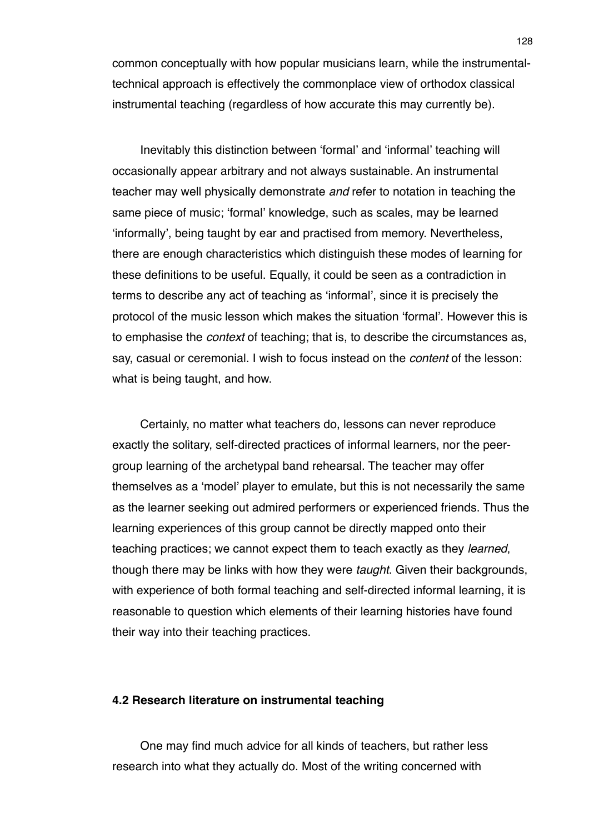common conceptually with how popular musicians learn, while the instrumentaltechnical approach is effectively the commonplace view of orthodox classical instrumental teaching (regardless of how accurate this may currently be).

Inevitably this distinction between ʻformal' and ʻinformal' teaching will occasionally appear arbitrary and not always sustainable. An instrumental teacher may well physically demonstrate *and* refer to notation in teaching the same piece of music; ʻformal' knowledge, such as scales, may be learned ʻinformally', being taught by ear and practised from memory. Nevertheless, there are enough characteristics which distinguish these modes of learning for these definitions to be useful. Equally, it could be seen as a contradiction in terms to describe any act of teaching as ʻinformal', since it is precisely the protocol of the music lesson which makes the situation ʻformal'. However this is to emphasise the *context* of teaching; that is, to describe the circumstances as, say, casual or ceremonial. I wish to focus instead on the *content* of the lesson: what is being taught, and how.

Certainly, no matter what teachers do, lessons can never reproduce exactly the solitary, self-directed practices of informal learners, nor the peergroup learning of the archetypal band rehearsal. The teacher may offer themselves as a ʻmodel' player to emulate, but this is not necessarily the same as the learner seeking out admired performers or experienced friends. Thus the learning experiences of this group cannot be directly mapped onto their teaching practices; we cannot expect them to teach exactly as they *learned*, though there may be links with how they were *taught*. Given their backgrounds, with experience of both formal teaching and self-directed informal learning, it is reasonable to question which elements of their learning histories have found their way into their teaching practices.

## **4.2 Research literature on instrumental teaching**

One may find much advice for all kinds of teachers, but rather less research into what they actually do. Most of the writing concerned with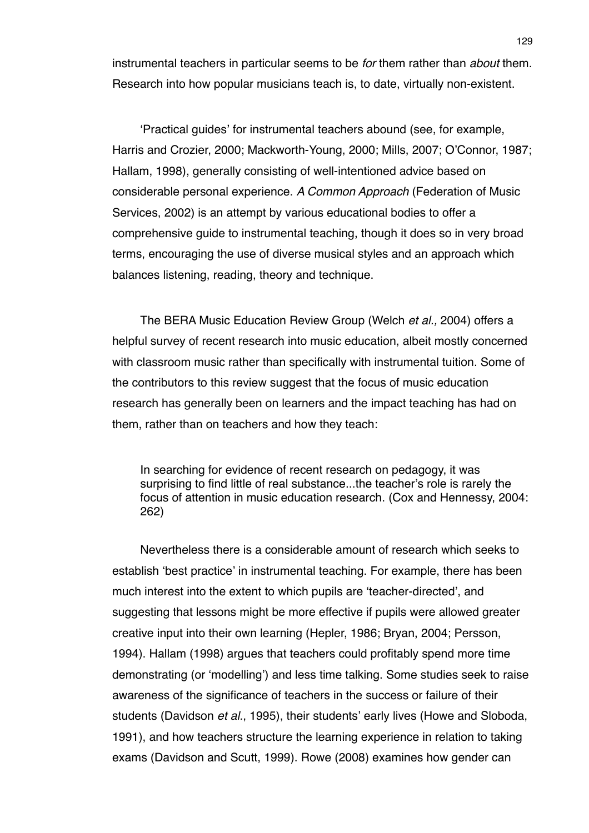instrumental teachers in particular seems to be *for* them rather than *about* them. Research into how popular musicians teach is, to date, virtually non-existent.

ʻPractical guides' for instrumental teachers abound (see, for example, Harris and Crozier, 2000; Mackworth-Young, 2000; Mills, 2007; O'Connor, 1987; Hallam, 1998), generally consisting of well-intentioned advice based on considerable personal experience. *A Common Approach* (Federation of Music Services, 2002) is an attempt by various educational bodies to offer a comprehensive guide to instrumental teaching, though it does so in very broad terms, encouraging the use of diverse musical styles and an approach which balances listening, reading, theory and technique.

The BERA Music Education Review Group (Welch *et al.,* 2004) offers a helpful survey of recent research into music education, albeit mostly concerned with classroom music rather than specifically with instrumental tuition. Some of the contributors to this review suggest that the focus of music education research has generally been on learners and the impact teaching has had on them, rather than on teachers and how they teach:

In searching for evidence of recent research on pedagogy, it was surprising to find little of real substance...the teacher's role is rarely the focus of attention in music education research. (Cox and Hennessy, 2004: 262)

Nevertheless there is a considerable amount of research which seeks to establish ʻbest practice' in instrumental teaching. For example, there has been much interest into the extent to which pupils are ʻteacher-directed', and suggesting that lessons might be more effective if pupils were allowed greater creative input into their own learning (Hepler, 1986; Bryan, 2004; Persson, 1994). Hallam (1998) argues that teachers could profitably spend more time demonstrating (or ʻmodelling') and less time talking. Some studies seek to raise awareness of the significance of teachers in the success or failure of their students (Davidson *et al.*, 1995), their students' early lives (Howe and Sloboda, 1991), and how teachers structure the learning experience in relation to taking exams (Davidson and Scutt, 1999). Rowe (2008) examines how gender can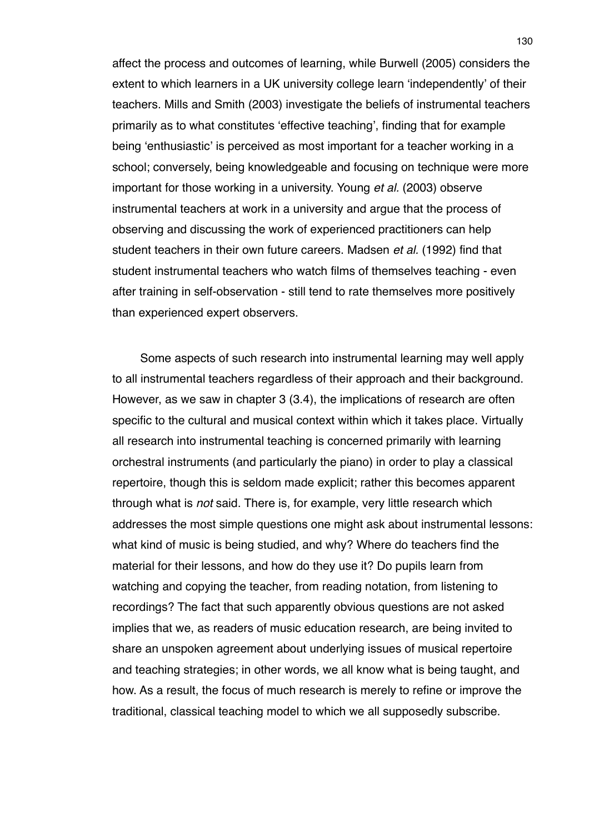affect the process and outcomes of learning, while Burwell (2005) considers the extent to which learners in a UK university college learn ʻindependently' of their teachers. Mills and Smith (2003) investigate the beliefs of instrumental teachers primarily as to what constitutes ʻeffective teaching', finding that for example being ʻenthusiastic' is perceived as most important for a teacher working in a school; conversely, being knowledgeable and focusing on technique were more important for those working in a university. Young *et al.* (2003) observe instrumental teachers at work in a university and argue that the process of observing and discussing the work of experienced practitioners can help student teachers in their own future careers. Madsen *et al.* (1992) find that student instrumental teachers who watch films of themselves teaching - even after training in self-observation - still tend to rate themselves more positively than experienced expert observers.

Some aspects of such research into instrumental learning may well apply to all instrumental teachers regardless of their approach and their background. However, as we saw in chapter 3 (3.4), the implications of research are often specific to the cultural and musical context within which it takes place. Virtually all research into instrumental teaching is concerned primarily with learning orchestral instruments (and particularly the piano) in order to play a classical repertoire, though this is seldom made explicit; rather this becomes apparent through what is *not* said. There is, for example, very little research which addresses the most simple questions one might ask about instrumental lessons: what kind of music is being studied, and why? Where do teachers find the material for their lessons, and how do they use it? Do pupils learn from watching and copying the teacher, from reading notation, from listening to recordings? The fact that such apparently obvious questions are not asked implies that we, as readers of music education research, are being invited to share an unspoken agreement about underlying issues of musical repertoire and teaching strategies; in other words, we all know what is being taught, and how. As a result, the focus of much research is merely to refine or improve the traditional, classical teaching model to which we all supposedly subscribe.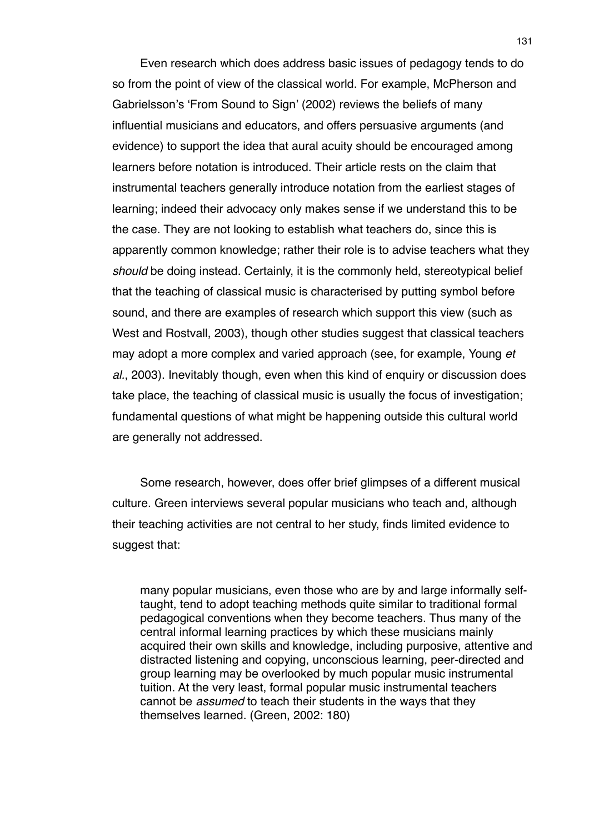Even research which does address basic issues of pedagogy tends to do so from the point of view of the classical world. For example, McPherson and Gabrielsson's ʻFrom Sound to Sign' (2002) reviews the beliefs of many influential musicians and educators, and offers persuasive arguments (and evidence) to support the idea that aural acuity should be encouraged among learners before notation is introduced. Their article rests on the claim that instrumental teachers generally introduce notation from the earliest stages of learning; indeed their advocacy only makes sense if we understand this to be the case. They are not looking to establish what teachers do, since this is apparently common knowledge; rather their role is to advise teachers what they *should* be doing instead. Certainly, it is the commonly held, stereotypical belief that the teaching of classical music is characterised by putting symbol before sound, and there are examples of research which support this view (such as West and Rostvall, 2003), though other studies suggest that classical teachers may adopt a more complex and varied approach (see, for example, Young *et al.*, 2003). Inevitably though, even when this kind of enquiry or discussion does take place, the teaching of classical music is usually the focus of investigation; fundamental questions of what might be happening outside this cultural world are generally not addressed.

Some research, however, does offer brief glimpses of a different musical culture. Green interviews several popular musicians who teach and, although their teaching activities are not central to her study, finds limited evidence to suggest that:

many popular musicians, even those who are by and large informally selftaught, tend to adopt teaching methods quite similar to traditional formal pedagogical conventions when they become teachers. Thus many of the central informal learning practices by which these musicians mainly acquired their own skills and knowledge, including purposive, attentive and distracted listening and copying, unconscious learning, peer-directed and group learning may be overlooked by much popular music instrumental tuition. At the very least, formal popular music instrumental teachers cannot be *assumed* to teach their students in the ways that they themselves learned. (Green, 2002: 180)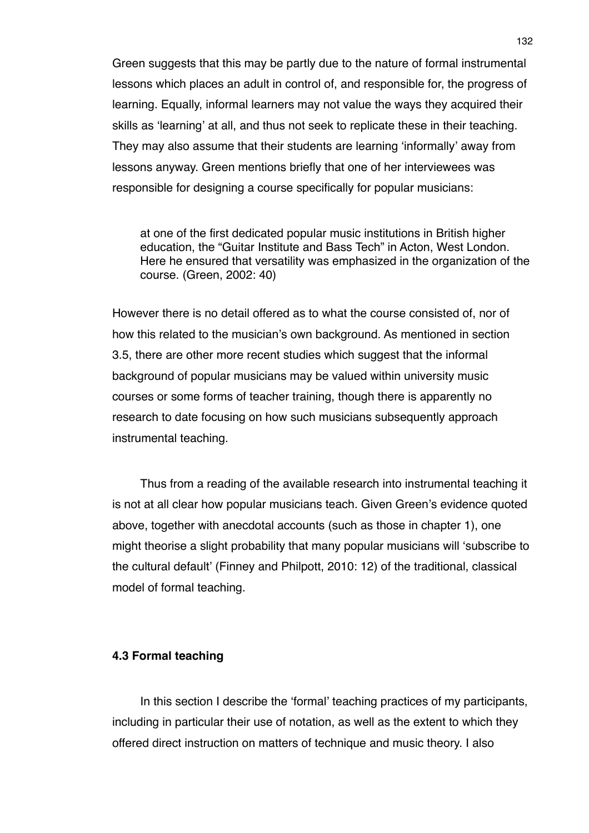Green suggests that this may be partly due to the nature of formal instrumental lessons which places an adult in control of, and responsible for, the progress of learning. Equally, informal learners may not value the ways they acquired their skills as ʻlearning' at all, and thus not seek to replicate these in their teaching. They may also assume that their students are learning ʻinformally' away from lessons anyway. Green mentions briefly that one of her interviewees was responsible for designing a course specifically for popular musicians:

at one of the first dedicated popular music institutions in British higher education, the "Guitar Institute and Bass Tech" in Acton, West London. Here he ensured that versatility was emphasized in the organization of the course. (Green, 2002: 40)

However there is no detail offered as to what the course consisted of, nor of how this related to the musician's own background. As mentioned in section 3.5, there are other more recent studies which suggest that the informal background of popular musicians may be valued within university music courses or some forms of teacher training, though there is apparently no research to date focusing on how such musicians subsequently approach instrumental teaching.

Thus from a reading of the available research into instrumental teaching it is not at all clear how popular musicians teach. Given Green's evidence quoted above, together with anecdotal accounts (such as those in chapter 1), one might theorise a slight probability that many popular musicians will ʻsubscribe to the cultural default' (Finney and Philpott, 2010: 12) of the traditional, classical model of formal teaching.

# **4.3 Formal teaching**

In this section I describe the ʻformal' teaching practices of my participants, including in particular their use of notation, as well as the extent to which they offered direct instruction on matters of technique and music theory. I also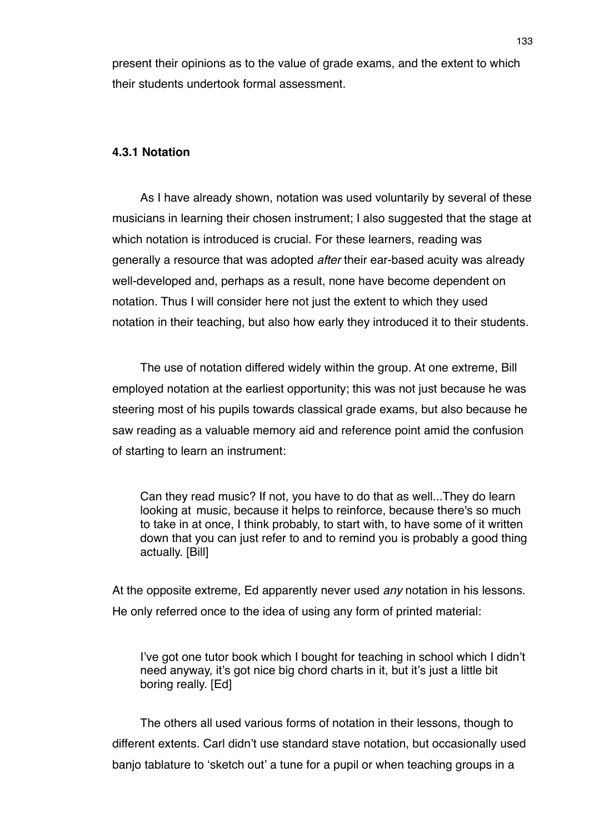present their opinions as to the value of grade exams, and the extent to which their students undertook formal assessment.

# **4.3.1 Notation**

As I have already shown, notation was used voluntarily by several of these musicians in learning their chosen instrument; I also suggested that the stage at which notation is introduced is crucial. For these learners, reading was generally a resource that was adopted *after* their ear-based acuity was already well-developed and, perhaps as a result, none have become dependent on notation. Thus I will consider here not just the extent to which they used notation in their teaching, but also how early they introduced it to their students.

The use of notation differed widely within the group. At one extreme, Bill employed notation at the earliest opportunity; this was not just because he was steering most of his pupils towards classical grade exams, but also because he saw reading as a valuable memory aid and reference point amid the confusion of starting to learn an instrument:

Can they read music? If not, you have to do that as well...They do learn looking at music, because it helps to reinforce, because there's so much to take in at once, I think probably, to start with, to have some of it written down that you can just refer to and to remind you is probably a good thing actually. [Bill]

At the opposite extreme, Ed apparently never used *any* notation in his lessons. He only referred once to the idea of using any form of printed material:

I've got one tutor book which I bought for teaching in school which I didn't need anyway, it's got nice big chord charts in it, but it's just a little bit boring really. [Ed]

The others all used various forms of notation in their lessons, though to different extents. Carl didn't use standard stave notation, but occasionally used banjo tablature to ʻsketch out' a tune for a pupil or when teaching groups in a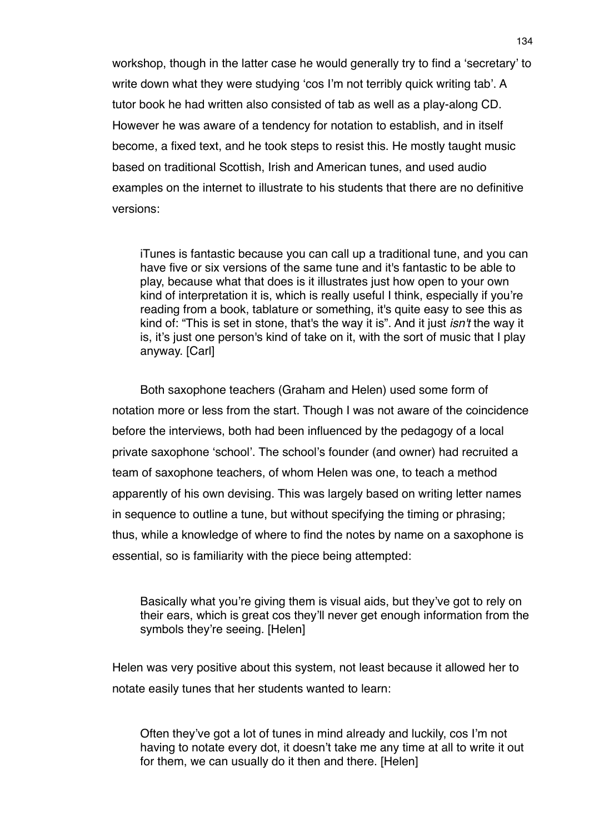workshop, though in the latter case he would generally try to find a ʻsecretary' to write down what they were studying ʻcos I'm not terribly quick writing tab'. A tutor book he had written also consisted of tab as well as a play-along CD. However he was aware of a tendency for notation to establish, and in itself become, a fixed text, and he took steps to resist this. He mostly taught music based on traditional Scottish, Irish and American tunes, and used audio examples on the internet to illustrate to his students that there are no definitive versions:

iTunes is fantastic because you can call up a traditional tune, and you can have five or six versions of the same tune and it's fantastic to be able to play, because what that does is it illustrates just how open to your own kind of interpretation it is, which is really useful I think, especially if you're reading from a book, tablature or something, it's quite easy to see this as kind of: "This is set in stone, that's the way it is". And it just *isn't* the way it is, it's just one person's kind of take on it, with the sort of music that I play anyway. [Carl]

Both saxophone teachers (Graham and Helen) used some form of notation more or less from the start. Though I was not aware of the coincidence before the interviews, both had been influenced by the pedagogy of a local private saxophone ʻschool'. The school's founder (and owner) had recruited a team of saxophone teachers, of whom Helen was one, to teach a method apparently of his own devising. This was largely based on writing letter names in sequence to outline a tune, but without specifying the timing or phrasing; thus, while a knowledge of where to find the notes by name on a saxophone is essential, so is familiarity with the piece being attempted:

Basically what you're giving them is visual aids, but they've got to rely on their ears, which is great cos they'll never get enough information from the symbols they're seeing. [Helen]

Helen was very positive about this system, not least because it allowed her to notate easily tunes that her students wanted to learn:

Often they've got a lot of tunes in mind already and luckily, cos I'm not having to notate every dot, it doesn't take me any time at all to write it out for them, we can usually do it then and there. [Helen]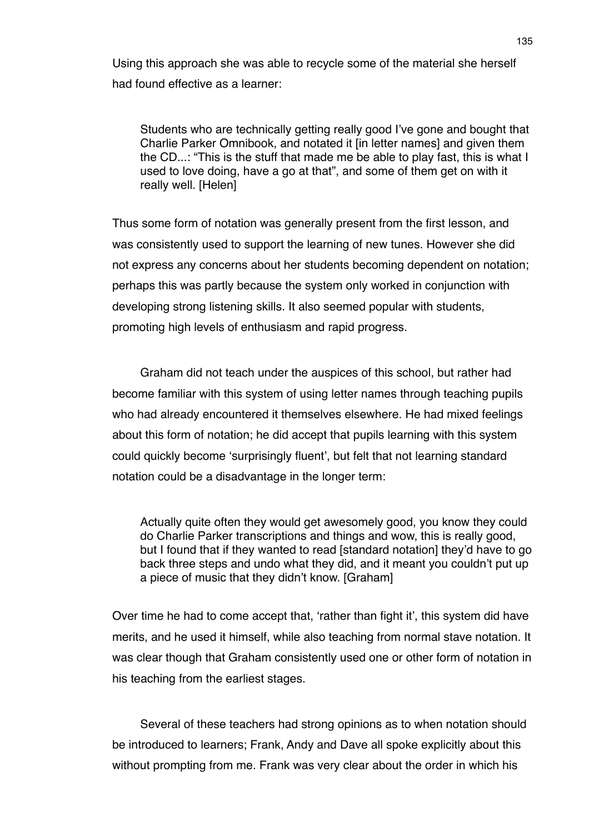Using this approach she was able to recycle some of the material she herself had found effective as a learner:

Students who are technically getting really good I've gone and bought that Charlie Parker Omnibook, and notated it [in letter names] and given them the CD...: "This is the stuff that made me be able to play fast, this is what I used to love doing, have a go at that", and some of them get on with it really well. [Helen]

Thus some form of notation was generally present from the first lesson, and was consistently used to support the learning of new tunes. However she did not express any concerns about her students becoming dependent on notation; perhaps this was partly because the system only worked in conjunction with developing strong listening skills. It also seemed popular with students, promoting high levels of enthusiasm and rapid progress.

Graham did not teach under the auspices of this school, but rather had become familiar with this system of using letter names through teaching pupils who had already encountered it themselves elsewhere. He had mixed feelings about this form of notation; he did accept that pupils learning with this system could quickly become ʻsurprisingly fluent', but felt that not learning standard notation could be a disadvantage in the longer term:

Actually quite often they would get awesomely good, you know they could do Charlie Parker transcriptions and things and wow, this is really good, but I found that if they wanted to read [standard notation] they'd have to go back three steps and undo what they did, and it meant you couldn't put up a piece of music that they didn't know. [Graham]

Over time he had to come accept that, ʻrather than fight it', this system did have merits, and he used it himself, while also teaching from normal stave notation. It was clear though that Graham consistently used one or other form of notation in his teaching from the earliest stages.

Several of these teachers had strong opinions as to when notation should be introduced to learners; Frank, Andy and Dave all spoke explicitly about this without prompting from me. Frank was very clear about the order in which his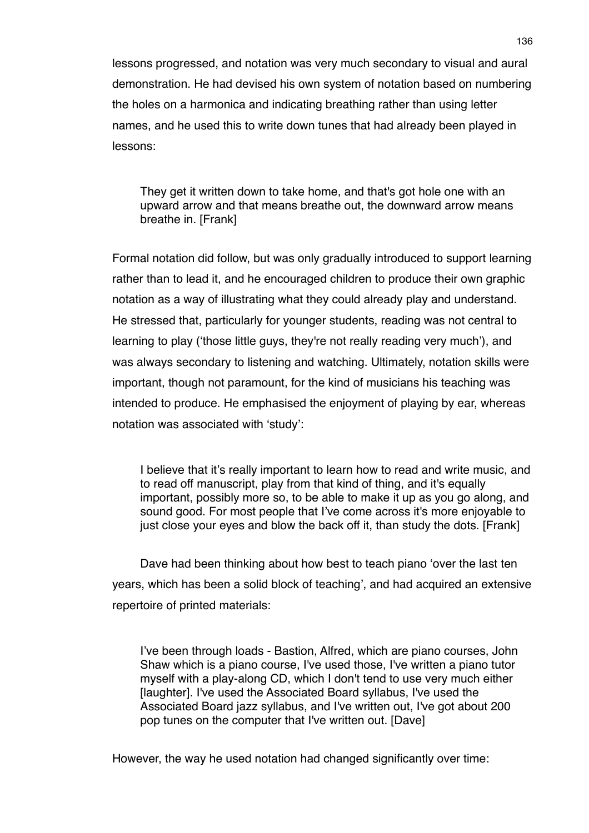lessons progressed, and notation was very much secondary to visual and aural demonstration. He had devised his own system of notation based on numbering the holes on a harmonica and indicating breathing rather than using letter names, and he used this to write down tunes that had already been played in lessons:

They get it written down to take home, and that's got hole one with an upward arrow and that means breathe out, the downward arrow means breathe in. [Frank]

Formal notation did follow, but was only gradually introduced to support learning rather than to lead it, and he encouraged children to produce their own graphic notation as a way of illustrating what they could already play and understand. He stressed that, particularly for younger students, reading was not central to learning to play (ʻthose little guys, they're not really reading very much'), and was always secondary to listening and watching. Ultimately, notation skills were important, though not paramount, for the kind of musicians his teaching was intended to produce. He emphasised the enjoyment of playing by ear, whereas notation was associated with ʻstudy':

I believe that it's really important to learn how to read and write music, and to read off manuscript, play from that kind of thing, and it's equally important, possibly more so, to be able to make it up as you go along, and sound good. For most people that I've come across it's more enjoyable to just close your eyes and blow the back off it, than study the dots. [Frank]

Dave had been thinking about how best to teach piano ʻover the last ten years, which has been a solid block of teaching', and had acquired an extensive repertoire of printed materials:

I've been through loads - Bastion, Alfred, which are piano courses, John Shaw which is a piano course, I've used those, I've written a piano tutor myself with a play-along CD, which I don't tend to use very much either [laughter]. I've used the Associated Board syllabus, I've used the Associated Board jazz syllabus, and I've written out, I've got about 200 pop tunes on the computer that I've written out. [Dave]

However, the way he used notation had changed significantly over time: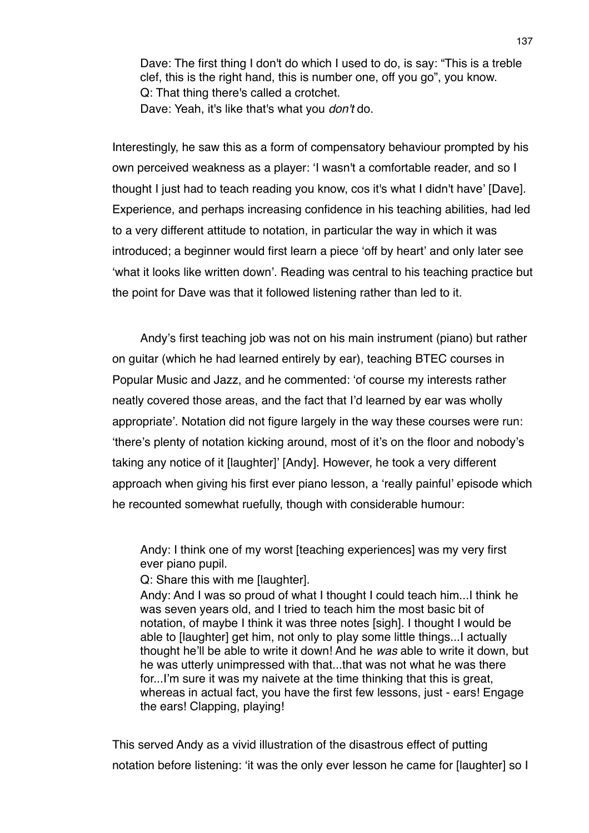Dave: The first thing I don't do which I used to do, is say: "This is a treble clef, this is the right hand, this is number one, off you go", you know. Q: That thing there's called a crotchet. Dave: Yeah, it's like that's what you *don't* do.

Interestingly, he saw this as a form of compensatory behaviour prompted by his own perceived weakness as a player: ʻI wasn't a comfortable reader, and so I thought I just had to teach reading you know, cos it's what I didn't have' [Dave]. Experience, and perhaps increasing confidence in his teaching abilities, had led to a very different attitude to notation, in particular the way in which it was introduced; a beginner would first learn a piece ʻoff by heart' and only later see ʻwhat it looks like written down'. Reading was central to his teaching practice but the point for Dave was that it followed listening rather than led to it.

Andy's first teaching job was not on his main instrument (piano) but rather on guitar (which he had learned entirely by ear), teaching BTEC courses in Popular Music and Jazz, and he commented: ʻof course my interests rather neatly covered those areas, and the fact that I'd learned by ear was wholly appropriate'. Notation did not figure largely in the way these courses were run: ʻthere's plenty of notation kicking around, most of it's on the floor and nobody's taking any notice of it [laughter]' [Andy]. However, he took a very different approach when giving his first ever piano lesson, a ʻreally painful' episode which he recounted somewhat ruefully, though with considerable humour:

Andy: I think one of my worst [teaching experiences] was my very first ever piano pupil.

Q: Share this with me [laughter].

Andy: And I was so proud of what I thought I could teach him...I think he was seven years old, and I tried to teach him the most basic bit of notation, of maybe I think it was three notes [sigh]. I thought I would be able to [laughter] get him, not only to play some little things...I actually thought he'll be able to write it down! And he *was* able to write it down, but he was utterly unimpressed with that...that was not what he was there for...I'm sure it was my naivete at the time thinking that this is great, whereas in actual fact, you have the first few lessons, just - ears! Engage the ears! Clapping, playing!

This served Andy as a vivid illustration of the disastrous effect of putting notation before listening: ʻit was the only ever lesson he came for [laughter] so I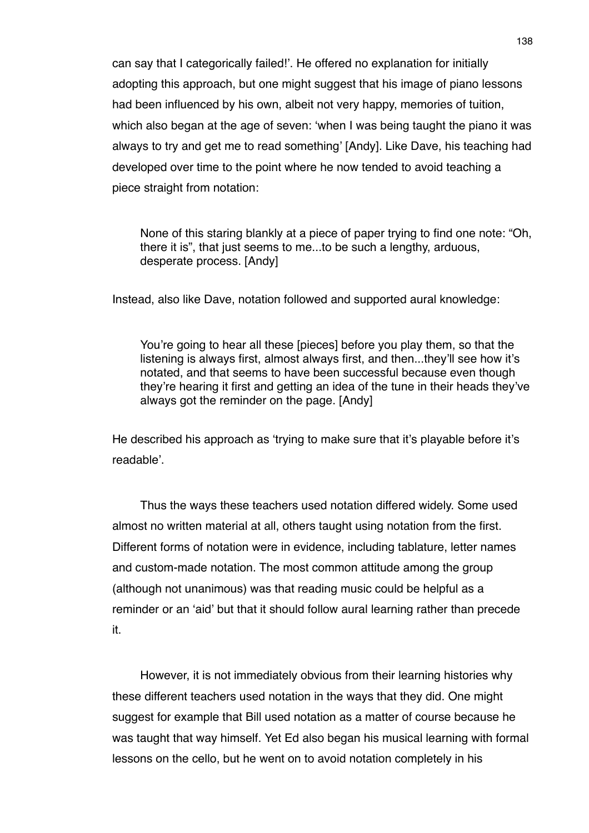can say that I categorically failed!'. He offered no explanation for initially adopting this approach, but one might suggest that his image of piano lessons had been influenced by his own, albeit not very happy, memories of tuition, which also began at the age of seven: ʻwhen I was being taught the piano it was always to try and get me to read something' [Andy]. Like Dave, his teaching had developed over time to the point where he now tended to avoid teaching a piece straight from notation:

None of this staring blankly at a piece of paper trying to find one note: "Oh, there it is", that just seems to me...to be such a lengthy, arduous, desperate process. [Andy]

Instead, also like Dave, notation followed and supported aural knowledge:

You're going to hear all these [pieces] before you play them, so that the listening is always first, almost always first, and then...they'll see how it's notated, and that seems to have been successful because even though they're hearing it first and getting an idea of the tune in their heads they've always got the reminder on the page. [Andy]

He described his approach as ʻtrying to make sure that it's playable before it's readable'.

Thus the ways these teachers used notation differed widely. Some used almost no written material at all, others taught using notation from the first. Different forms of notation were in evidence, including tablature, letter names and custom-made notation. The most common attitude among the group (although not unanimous) was that reading music could be helpful as a reminder or an ʻaid' but that it should follow aural learning rather than precede it.

However, it is not immediately obvious from their learning histories why these different teachers used notation in the ways that they did. One might suggest for example that Bill used notation as a matter of course because he was taught that way himself. Yet Ed also began his musical learning with formal lessons on the cello, but he went on to avoid notation completely in his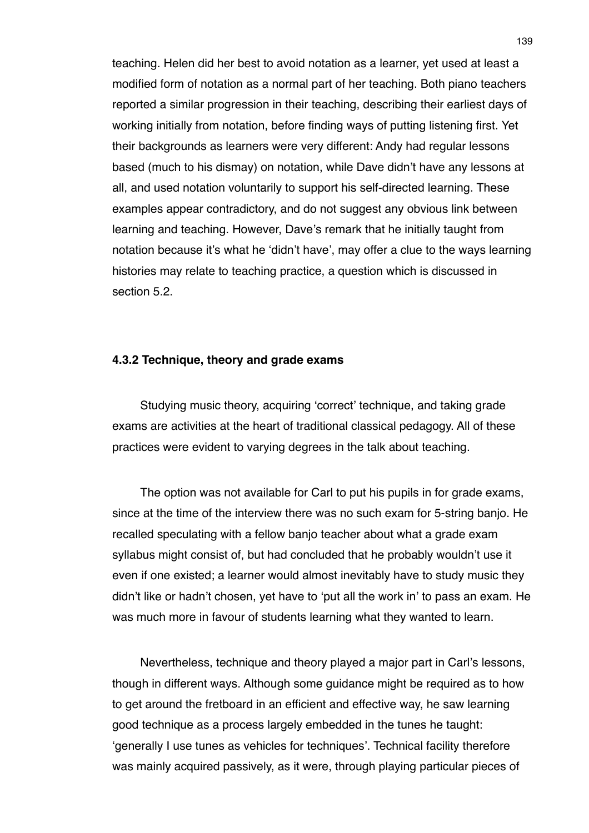teaching. Helen did her best to avoid notation as a learner, yet used at least a modified form of notation as a normal part of her teaching. Both piano teachers reported a similar progression in their teaching, describing their earliest days of working initially from notation, before finding ways of putting listening first. Yet their backgrounds as learners were very different: Andy had regular lessons based (much to his dismay) on notation, while Dave didn't have any lessons at all, and used notation voluntarily to support his self-directed learning. These examples appear contradictory, and do not suggest any obvious link between learning and teaching. However, Dave's remark that he initially taught from notation because it's what he ʻdidn't have', may offer a clue to the ways learning histories may relate to teaching practice, a question which is discussed in section 5.2.

### **4.3.2 Technique, theory and grade exams**

Studying music theory, acquiring ʻcorrect' technique, and taking grade exams are activities at the heart of traditional classical pedagogy. All of these practices were evident to varying degrees in the talk about teaching.

The option was not available for Carl to put his pupils in for grade exams, since at the time of the interview there was no such exam for 5-string banjo. He recalled speculating with a fellow banjo teacher about what a grade exam syllabus might consist of, but had concluded that he probably wouldn't use it even if one existed; a learner would almost inevitably have to study music they didn't like or hadn't chosen, yet have to ʻput all the work in' to pass an exam. He was much more in favour of students learning what they wanted to learn.

Nevertheless, technique and theory played a major part in Carl's lessons, though in different ways. Although some guidance might be required as to how to get around the fretboard in an efficient and effective way, he saw learning good technique as a process largely embedded in the tunes he taught: ʻgenerally I use tunes as vehicles for techniques'. Technical facility therefore was mainly acquired passively, as it were, through playing particular pieces of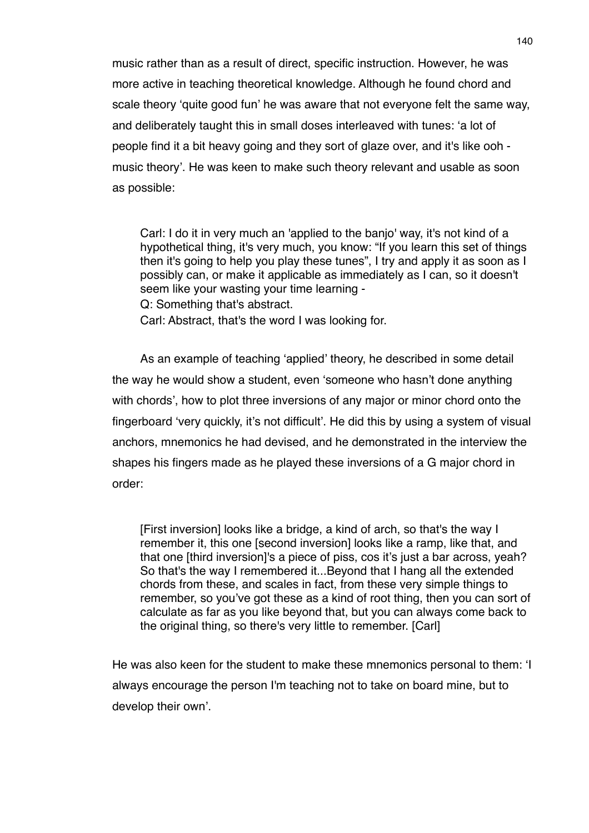music rather than as a result of direct, specific instruction. However, he was more active in teaching theoretical knowledge. Although he found chord and scale theory ʻquite good fun' he was aware that not everyone felt the same way, and deliberately taught this in small doses interleaved with tunes: ʻa lot of people find it a bit heavy going and they sort of glaze over, and it's like ooh music theory'. He was keen to make such theory relevant and usable as soon as possible:

Carl: I do it in very much an 'applied to the banjo' way, it's not kind of a hypothetical thing, it's very much, you know: "If you learn this set of things then it's going to help you play these tunes", I try and apply it as soon as I possibly can, or make it applicable as immediately as I can, so it doesn't seem like your wasting your time learning - Q: Something that's abstract.

Carl: Abstract, that's the word I was looking for.

As an example of teaching ʻapplied' theory, he described in some detail the way he would show a student, even ʻsomeone who hasn't done anything with chords', how to plot three inversions of any major or minor chord onto the fingerboard ʻvery quickly, it's not difficult'. He did this by using a system of visual anchors, mnemonics he had devised, and he demonstrated in the interview the shapes his fingers made as he played these inversions of a G major chord in order:

[First inversion] looks like a bridge, a kind of arch, so that's the way I remember it, this one [second inversion] looks like a ramp, like that, and that one [third inversion]'s a piece of piss, cos it's just a bar across, yeah? So that's the way I remembered it...Beyond that I hang all the extended chords from these, and scales in fact, from these very simple things to remember, so you've got these as a kind of root thing, then you can sort of calculate as far as you like beyond that, but you can always come back to the original thing, so there's very little to remember. [Carl]

He was also keen for the student to make these mnemonics personal to them: ʻI always encourage the person I'm teaching not to take on board mine, but to develop their own'.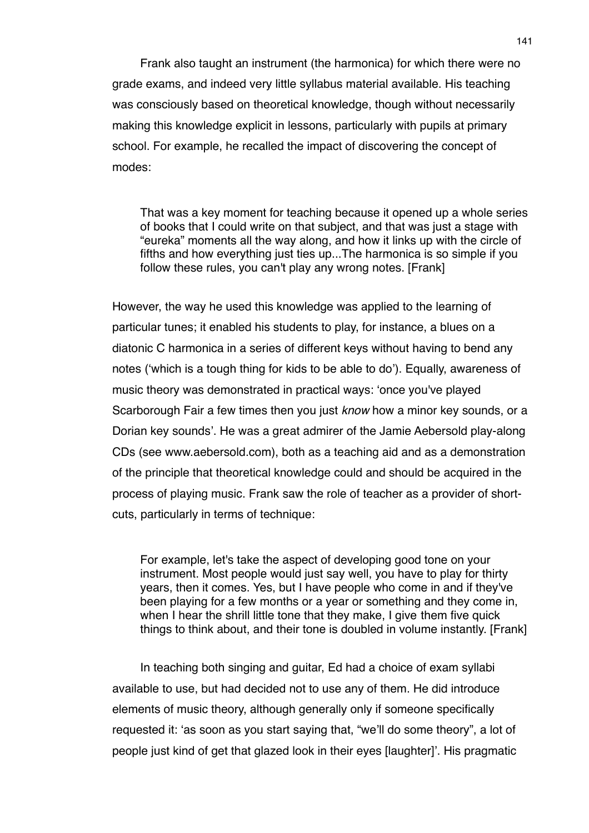Frank also taught an instrument (the harmonica) for which there were no grade exams, and indeed very little syllabus material available. His teaching was consciously based on theoretical knowledge, though without necessarily making this knowledge explicit in lessons, particularly with pupils at primary school. For example, he recalled the impact of discovering the concept of modes:

That was a key moment for teaching because it opened up a whole series of books that I could write on that subject, and that was just a stage with "eureka" moments all the way along, and how it links up with the circle of fifths and how everything just ties up...The harmonica is so simple if you follow these rules, you can't play any wrong notes. [Frank]

However, the way he used this knowledge was applied to the learning of particular tunes; it enabled his students to play, for instance, a blues on a diatonic C harmonica in a series of different keys without having to bend any notes (ʻwhich is a tough thing for kids to be able to do'). Equally, awareness of music theory was demonstrated in practical ways: ʻonce you've played Scarborough Fair a few times then you just *know* how a minor key sounds, or a Dorian key sounds'. He was a great admirer of the Jamie Aebersold play-along CDs (see www.aebersold.com), both as a teaching aid and as a demonstration of the principle that theoretical knowledge could and should be acquired in the process of playing music. Frank saw the role of teacher as a provider of shortcuts, particularly in terms of technique:

For example, let's take the aspect of developing good tone on your instrument. Most people would just say well, you have to play for thirty years, then it comes. Yes, but I have people who come in and if they've been playing for a few months or a year or something and they come in, when I hear the shrill little tone that they make, I give them five quick things to think about, and their tone is doubled in volume instantly. [Frank]

In teaching both singing and guitar, Ed had a choice of exam syllabi available to use, but had decided not to use any of them. He did introduce elements of music theory, although generally only if someone specifically requested it: ʻas soon as you start saying that, "we'll do some theory", a lot of people just kind of get that glazed look in their eyes [laughter]'. His pragmatic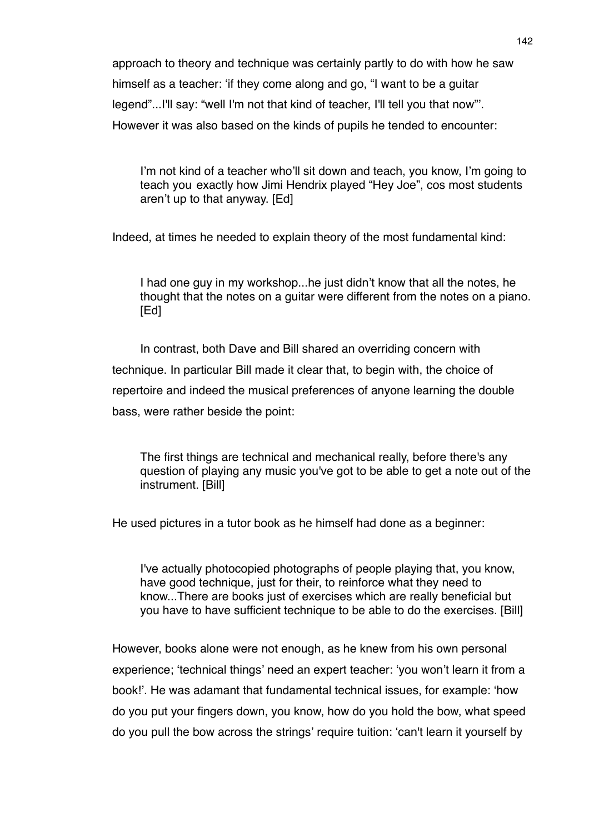approach to theory and technique was certainly partly to do with how he saw himself as a teacher: ʻif they come along and go, "I want to be a guitar legend"...I'll say: "well I'm not that kind of teacher, I'll tell you that now"'. However it was also based on the kinds of pupils he tended to encounter:

I'm not kind of a teacher who'll sit down and teach, you know, I'm going to teach you exactly how Jimi Hendrix played "Hey Joe", cos most students aren't up to that anyway. [Ed]

Indeed, at times he needed to explain theory of the most fundamental kind:

I had one guy in my workshop...he just didn't know that all the notes, he thought that the notes on a guitar were different from the notes on a piano. [Ed]

In contrast, both Dave and Bill shared an overriding concern with technique. In particular Bill made it clear that, to begin with, the choice of repertoire and indeed the musical preferences of anyone learning the double bass, were rather beside the point:

The first things are technical and mechanical really, before there's any question of playing any music you've got to be able to get a note out of the instrument. [Bill]

He used pictures in a tutor book as he himself had done as a beginner:

I've actually photocopied photographs of people playing that, you know, have good technique, just for their, to reinforce what they need to know...There are books just of exercises which are really beneficial but you have to have sufficient technique to be able to do the exercises. [Bill]

However, books alone were not enough, as he knew from his own personal experience; ʻtechnical things' need an expert teacher: ʻyou won't learn it from a book!'. He was adamant that fundamental technical issues, for example: ʻhow do you put your fingers down, you know, how do you hold the bow, what speed do you pull the bow across the strings' require tuition: ʻcan't learn it yourself by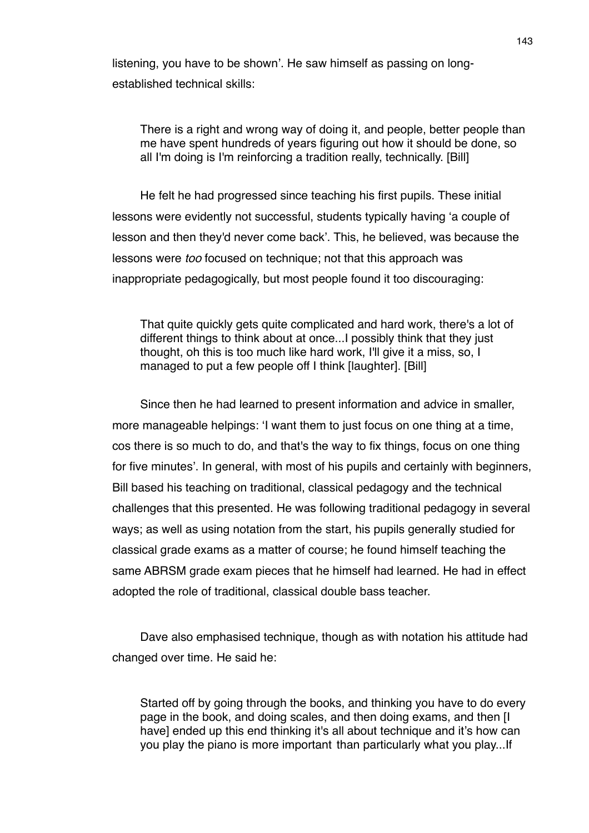listening, you have to be shown'. He saw himself as passing on longestablished technical skills:

There is a right and wrong way of doing it, and people, better people than me have spent hundreds of years figuring out how it should be done, so all I'm doing is I'm reinforcing a tradition really, technically. [Bill]

He felt he had progressed since teaching his first pupils. These initial lessons were evidently not successful, students typically having ʻa couple of lesson and then they'd never come back'. This, he believed, was because the lessons were *too* focused on technique; not that this approach was inappropriate pedagogically, but most people found it too discouraging:

That quite quickly gets quite complicated and hard work, there's a lot of different things to think about at once...I possibly think that they just thought, oh this is too much like hard work, I'll give it a miss, so, I managed to put a few people off I think [laughter]. [Bill]

Since then he had learned to present information and advice in smaller, more manageable helpings: ʻI want them to just focus on one thing at a time, cos there is so much to do, and that's the way to fix things, focus on one thing for five minutes'. In general, with most of his pupils and certainly with beginners, Bill based his teaching on traditional, classical pedagogy and the technical challenges that this presented. He was following traditional pedagogy in several ways; as well as using notation from the start, his pupils generally studied for classical grade exams as a matter of course; he found himself teaching the same ABRSM grade exam pieces that he himself had learned. He had in effect adopted the role of traditional, classical double bass teacher.

Dave also emphasised technique, though as with notation his attitude had changed over time. He said he:

Started off by going through the books, and thinking you have to do every page in the book, and doing scales, and then doing exams, and then [I have] ended up this end thinking it's all about technique and it's how can you play the piano is more important than particularly what you play...If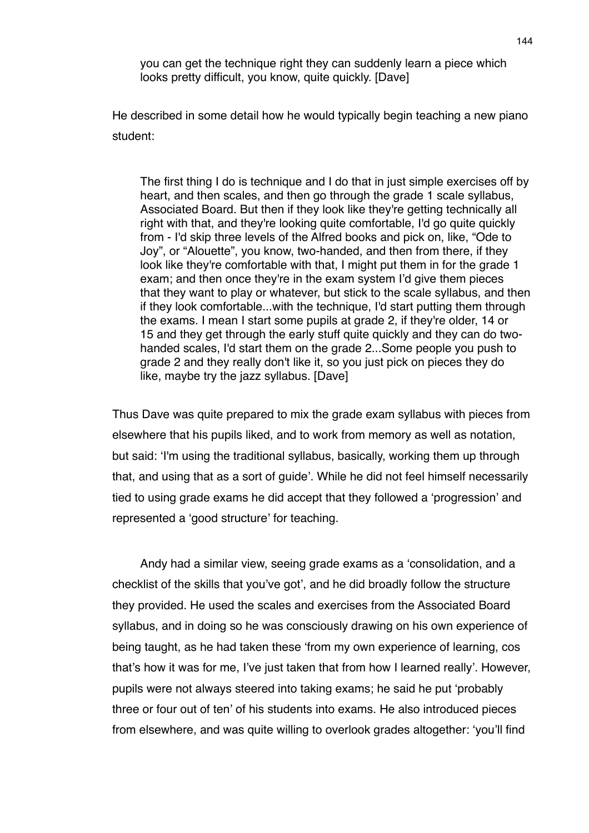you can get the technique right they can suddenly learn a piece which looks pretty difficult, you know, quite quickly. [Dave]

He described in some detail how he would typically begin teaching a new piano student:

The first thing I do is technique and I do that in just simple exercises off by heart, and then scales, and then go through the grade 1 scale syllabus, Associated Board. But then if they look like they're getting technically all right with that, and they're looking quite comfortable, I'd go quite quickly from - I'd skip three levels of the Alfred books and pick on, like, "Ode to Joy", or "Alouette", you know, two-handed, and then from there, if they look like they're comfortable with that, I might put them in for the grade 1 exam; and then once they're in the exam system I'd give them pieces that they want to play or whatever, but stick to the scale syllabus, and then if they look comfortable...with the technique, I'd start putting them through the exams. I mean I start some pupils at grade 2, if they're older, 14 or 15 and they get through the early stuff quite quickly and they can do twohanded scales, I'd start them on the grade 2...Some people you push to grade 2 and they really don't like it, so you just pick on pieces they do like, maybe try the jazz syllabus. [Dave]

Thus Dave was quite prepared to mix the grade exam syllabus with pieces from elsewhere that his pupils liked, and to work from memory as well as notation, but said: ʻI'm using the traditional syllabus, basically, working them up through that, and using that as a sort of guide'. While he did not feel himself necessarily tied to using grade exams he did accept that they followed a ʻprogression' and represented a ʻgood structure' for teaching.

Andy had a similar view, seeing grade exams as a ʻconsolidation, and a checklist of the skills that you've got', and he did broadly follow the structure they provided. He used the scales and exercises from the Associated Board syllabus, and in doing so he was consciously drawing on his own experience of being taught, as he had taken these ʻfrom my own experience of learning, cos that's how it was for me, I've just taken that from how I learned really'. However, pupils were not always steered into taking exams; he said he put ʻprobably three or four out of ten' of his students into exams. He also introduced pieces from elsewhere, and was quite willing to overlook grades altogether: ʻyou'll find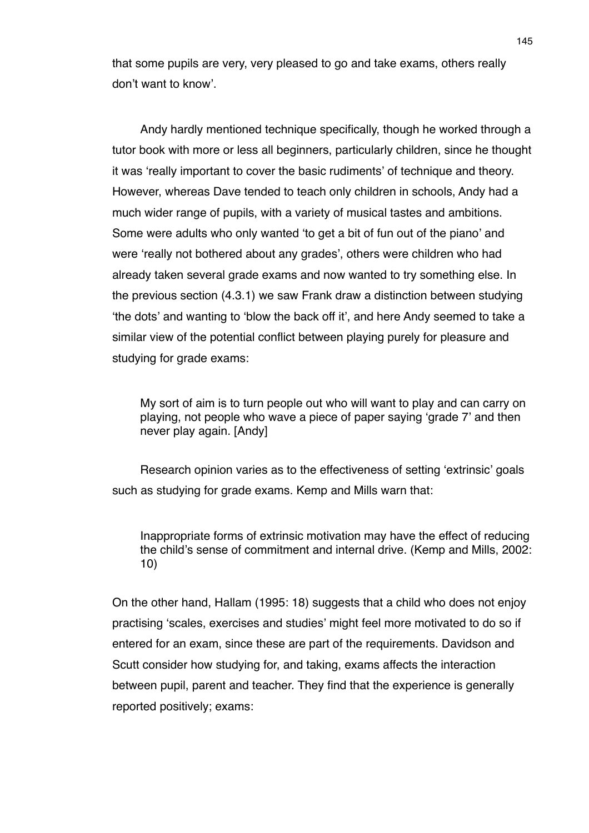that some pupils are very, very pleased to go and take exams, others really don't want to know'.

Andy hardly mentioned technique specifically, though he worked through a tutor book with more or less all beginners, particularly children, since he thought it was ʻreally important to cover the basic rudiments' of technique and theory. However, whereas Dave tended to teach only children in schools, Andy had a much wider range of pupils, with a variety of musical tastes and ambitions. Some were adults who only wanted ʻto get a bit of fun out of the piano' and were ʻreally not bothered about any grades', others were children who had already taken several grade exams and now wanted to try something else. In the previous section (4.3.1) we saw Frank draw a distinction between studying ʻthe dots' and wanting to ʻblow the back off it', and here Andy seemed to take a similar view of the potential conflict between playing purely for pleasure and studying for grade exams:

My sort of aim is to turn people out who will want to play and can carry on playing, not people who wave a piece of paper saying ʻgrade 7' and then never play again. [Andy]

Research opinion varies as to the effectiveness of setting ʻextrinsic' goals such as studying for grade exams. Kemp and Mills warn that:

Inappropriate forms of extrinsic motivation may have the effect of reducing the child's sense of commitment and internal drive. (Kemp and Mills, 2002: 10)

On the other hand, Hallam (1995: 18) suggests that a child who does not enjoy practising ʻscales, exercises and studies' might feel more motivated to do so if entered for an exam, since these are part of the requirements. Davidson and Scutt consider how studying for, and taking, exams affects the interaction between pupil, parent and teacher. They find that the experience is generally reported positively; exams: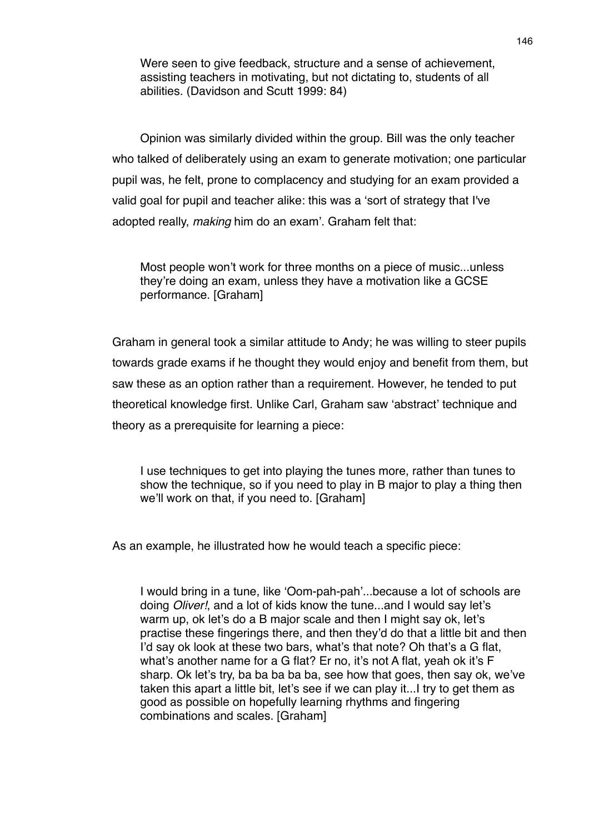Were seen to give feedback, structure and a sense of achievement, assisting teachers in motivating, but not dictating to, students of all abilities. (Davidson and Scutt 1999: 84)

Opinion was similarly divided within the group. Bill was the only teacher who talked of deliberately using an exam to generate motivation; one particular pupil was, he felt, prone to complacency and studying for an exam provided a valid goal for pupil and teacher alike: this was a ʻsort of strategy that I've adopted really, *making* him do an exam'. Graham felt that:

Most people won't work for three months on a piece of music...unless they're doing an exam, unless they have a motivation like a GCSE performance. [Graham]

Graham in general took a similar attitude to Andy; he was willing to steer pupils towards grade exams if he thought they would enjoy and benefit from them, but saw these as an option rather than a requirement. However, he tended to put theoretical knowledge first. Unlike Carl, Graham saw ʻabstract' technique and theory as a prerequisite for learning a piece:

I use techniques to get into playing the tunes more, rather than tunes to show the technique, so if you need to play in B major to play a thing then we'll work on that, if you need to. [Graham]

As an example, he illustrated how he would teach a specific piece:

I would bring in a tune, like ʻOom-pah-pah'...because a lot of schools are doing *Oliver!*, and a lot of kids know the tune...and I would say let's warm up, ok let's do a B major scale and then I might say ok, let's practise these fingerings there, and then they'd do that a little bit and then I'd say ok look at these two bars, what's that note? Oh that's a G flat, what's another name for a G flat? Er no, it's not A flat, yeah ok it's F sharp. Ok let's try, ba ba ba ba ba, see how that goes, then say ok, we've taken this apart a little bit, let's see if we can play it...I try to get them as good as possible on hopefully learning rhythms and fingering combinations and scales. [Graham]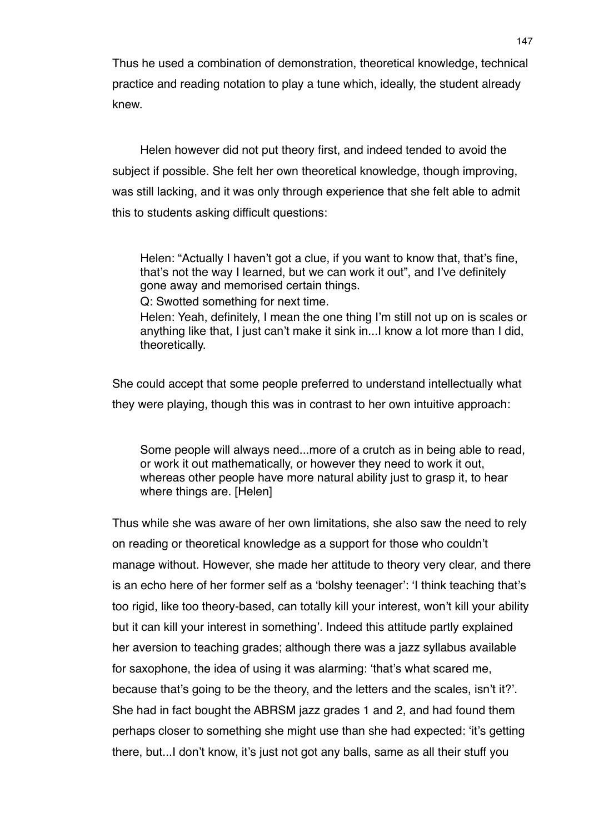Thus he used a combination of demonstration, theoretical knowledge, technical practice and reading notation to play a tune which, ideally, the student already knew.

Helen however did not put theory first, and indeed tended to avoid the subject if possible. She felt her own theoretical knowledge, though improving, was still lacking, and it was only through experience that she felt able to admit this to students asking difficult questions:

Helen: "Actually I haven't got a clue, if you want to know that, that's fine, that's not the way I learned, but we can work it out", and I've definitely gone away and memorised certain things.

Q: Swotted something for next time.

Helen: Yeah, definitely, I mean the one thing I'm still not up on is scales or anything like that, I just can't make it sink in...I know a lot more than I did, theoretically.

She could accept that some people preferred to understand intellectually what they were playing, though this was in contrast to her own intuitive approach:

Some people will always need...more of a crutch as in being able to read, or work it out mathematically, or however they need to work it out, whereas other people have more natural ability just to grasp it, to hear where things are. [Helen]

Thus while she was aware of her own limitations, she also saw the need to rely on reading or theoretical knowledge as a support for those who couldn't manage without. However, she made her attitude to theory very clear, and there is an echo here of her former self as a ʻbolshy teenager': ʻI think teaching that's too rigid, like too theory-based, can totally kill your interest, won't kill your ability but it can kill your interest in something'. Indeed this attitude partly explained her aversion to teaching grades; although there was a jazz syllabus available for saxophone, the idea of using it was alarming: ʻthat's what scared me, because that's going to be the theory, and the letters and the scales, isn't it?'. She had in fact bought the ABRSM jazz grades 1 and 2, and had found them perhaps closer to something she might use than she had expected: ʻit's getting there, but...I don't know, it's just not got any balls, same as all their stuff you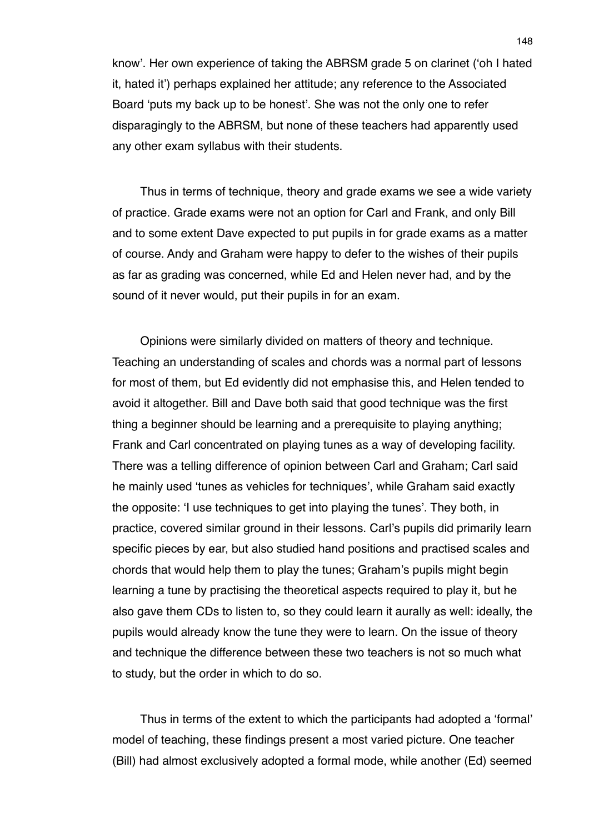know'. Her own experience of taking the ABRSM grade 5 on clarinet (ʻoh I hated it, hated it') perhaps explained her attitude; any reference to the Associated Board ʻputs my back up to be honest'. She was not the only one to refer disparagingly to the ABRSM, but none of these teachers had apparently used any other exam syllabus with their students.

Thus in terms of technique, theory and grade exams we see a wide variety of practice. Grade exams were not an option for Carl and Frank, and only Bill and to some extent Dave expected to put pupils in for grade exams as a matter of course. Andy and Graham were happy to defer to the wishes of their pupils as far as grading was concerned, while Ed and Helen never had, and by the sound of it never would, put their pupils in for an exam.

Opinions were similarly divided on matters of theory and technique. Teaching an understanding of scales and chords was a normal part of lessons for most of them, but Ed evidently did not emphasise this, and Helen tended to avoid it altogether. Bill and Dave both said that good technique was the first thing a beginner should be learning and a prerequisite to playing anything; Frank and Carl concentrated on playing tunes as a way of developing facility. There was a telling difference of opinion between Carl and Graham; Carl said he mainly used ʻtunes as vehicles for techniques', while Graham said exactly the opposite: ʻI use techniques to get into playing the tunes'. They both, in practice, covered similar ground in their lessons. Carl's pupils did primarily learn specific pieces by ear, but also studied hand positions and practised scales and chords that would help them to play the tunes; Graham's pupils might begin learning a tune by practising the theoretical aspects required to play it, but he also gave them CDs to listen to, so they could learn it aurally as well: ideally, the pupils would already know the tune they were to learn. On the issue of theory and technique the difference between these two teachers is not so much what to study, but the order in which to do so.

Thus in terms of the extent to which the participants had adopted a ʻformal' model of teaching, these findings present a most varied picture. One teacher (Bill) had almost exclusively adopted a formal mode, while another (Ed) seemed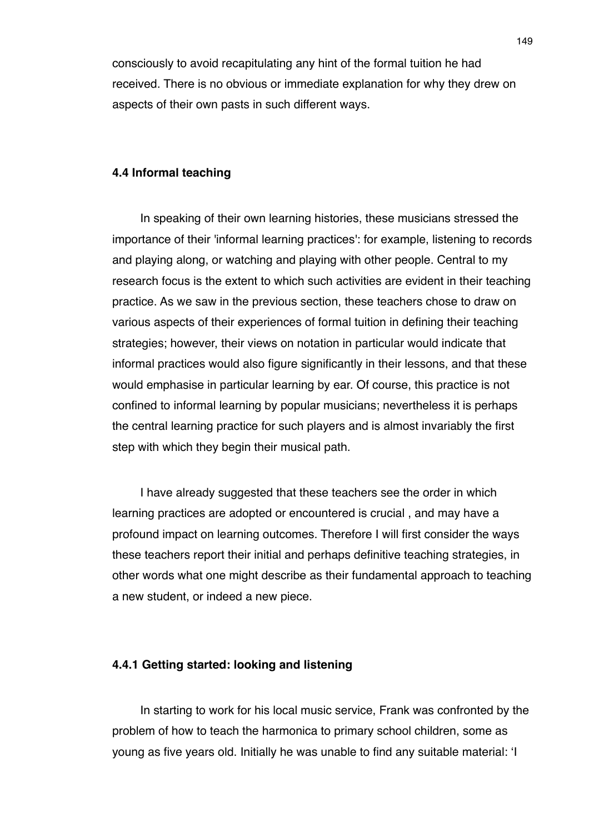consciously to avoid recapitulating any hint of the formal tuition he had received. There is no obvious or immediate explanation for why they drew on aspects of their own pasts in such different ways.

### **4.4 Informal teaching**

In speaking of their own learning histories, these musicians stressed the importance of their 'informal learning practices': for example, listening to records and playing along, or watching and playing with other people. Central to my research focus is the extent to which such activities are evident in their teaching practice. As we saw in the previous section, these teachers chose to draw on various aspects of their experiences of formal tuition in defining their teaching strategies; however, their views on notation in particular would indicate that informal practices would also figure significantly in their lessons, and that these would emphasise in particular learning by ear. Of course, this practice is not confined to informal learning by popular musicians; nevertheless it is perhaps the central learning practice for such players and is almost invariably the first step with which they begin their musical path.

I have already suggested that these teachers see the order in which learning practices are adopted or encountered is crucial , and may have a profound impact on learning outcomes. Therefore I will first consider the ways these teachers report their initial and perhaps definitive teaching strategies, in other words what one might describe as their fundamental approach to teaching a new student, or indeed a new piece.

### **4.4.1 Getting started: looking and listening**

In starting to work for his local music service, Frank was confronted by the problem of how to teach the harmonica to primary school children, some as young as five years old. Initially he was unable to find any suitable material: ʻI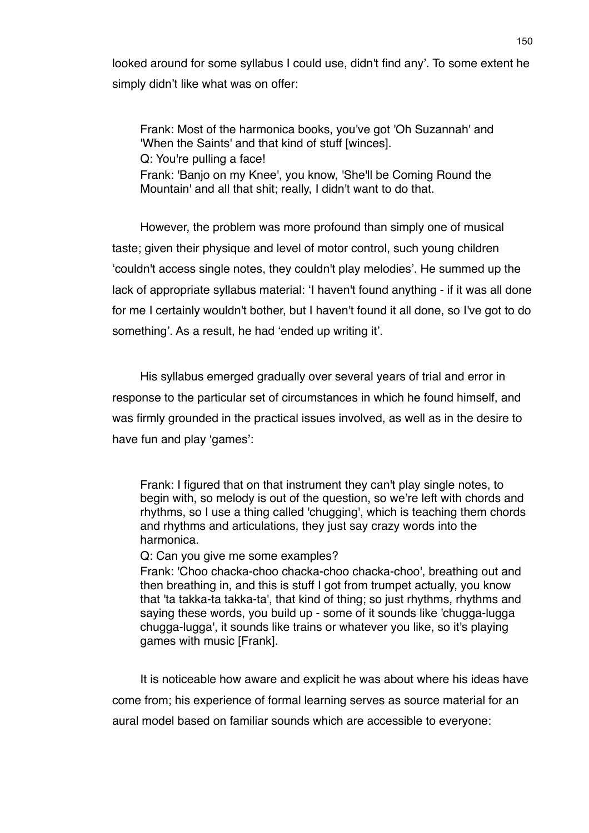looked around for some syllabus I could use, didn't find any'. To some extent he simply didn't like what was on offer:

Frank: Most of the harmonica books, you've got 'Oh Suzannah' and 'When the Saints' and that kind of stuff [winces]. Q: You're pulling a face! Frank: 'Banjo on my Knee', you know, 'She'll be Coming Round the Mountain' and all that shit; really, I didn't want to do that.

However, the problem was more profound than simply one of musical taste; given their physique and level of motor control, such young children ʻcouldn't access single notes, they couldn't play melodies'. He summed up the lack of appropriate syllabus material: ʻI haven't found anything - if it was all done for me I certainly wouldn't bother, but I haven't found it all done, so I've got to do something'. As a result, he had ʻended up writing it'.

His syllabus emerged gradually over several years of trial and error in response to the particular set of circumstances in which he found himself, and was firmly grounded in the practical issues involved, as well as in the desire to have fun and play ʻgames':

Frank: I figured that on that instrument they can't play single notes, to begin with, so melody is out of the question, so we're left with chords and rhythms, so I use a thing called 'chugging', which is teaching them chords and rhythms and articulations, they just say crazy words into the harmonica.

Q: Can you give me some examples?

Frank: 'Choo chacka-choo chacka-choo chacka-choo', breathing out and then breathing in, and this is stuff I got from trumpet actually, you know that 'ta takka-ta takka-ta', that kind of thing; so just rhythms, rhythms and saying these words, you build up - some of it sounds like 'chugga-lugga chugga-lugga', it sounds like trains or whatever you like, so it's playing games with music [Frank].

It is noticeable how aware and explicit he was about where his ideas have come from; his experience of formal learning serves as source material for an aural model based on familiar sounds which are accessible to everyone: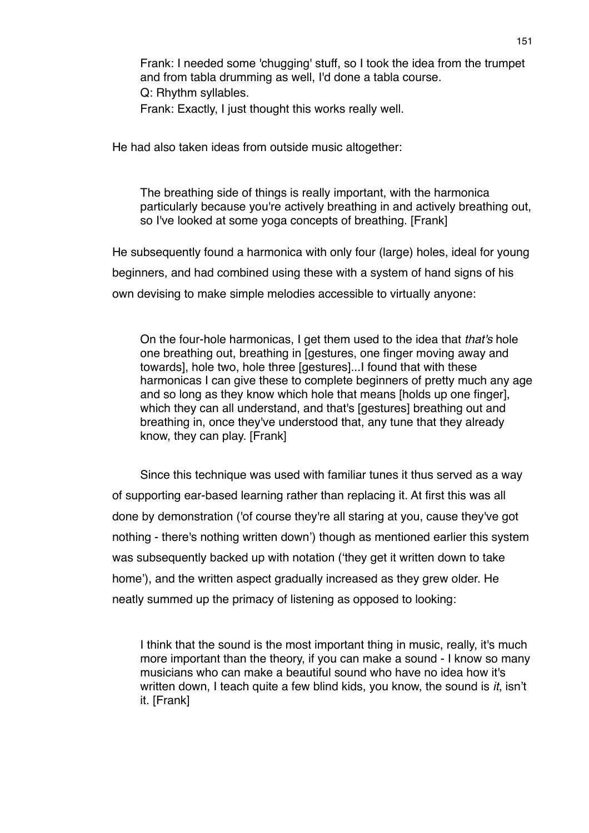Frank: I needed some 'chugging' stuff, so I took the idea from the trumpet and from tabla drumming as well, I'd done a tabla course. Q: Rhythm syllables. Frank: Exactly, I just thought this works really well.

He had also taken ideas from outside music altogether:

The breathing side of things is really important, with the harmonica particularly because you're actively breathing in and actively breathing out, so I've looked at some yoga concepts of breathing. [Frank]

He subsequently found a harmonica with only four (large) holes, ideal for young beginners, and had combined using these with a system of hand signs of his own devising to make simple melodies accessible to virtually anyone:

On the four-hole harmonicas, I get them used to the idea that *that's* hole one breathing out, breathing in [gestures, one finger moving away and towards], hole two, hole three [gestures]...I found that with these harmonicas I can give these to complete beginners of pretty much any age and so long as they know which hole that means [holds up one finger], which they can all understand, and that's [gestures] breathing out and breathing in, once they've understood that, any tune that they already know, they can play. [Frank]

Since this technique was used with familiar tunes it thus served as a way of supporting ear-based learning rather than replacing it. At first this was all done by demonstration ('of course they're all staring at you, cause they've got nothing - there's nothing written down') though as mentioned earlier this system was subsequently backed up with notation (ʻthey get it written down to take home'), and the written aspect gradually increased as they grew older. He neatly summed up the primacy of listening as opposed to looking:

I think that the sound is the most important thing in music, really, it's much more important than the theory, if you can make a sound - I know so many musicians who can make a beautiful sound who have no idea how it's written down, I teach quite a few blind kids, you know, the sound is *it*, isn't it. [Frank]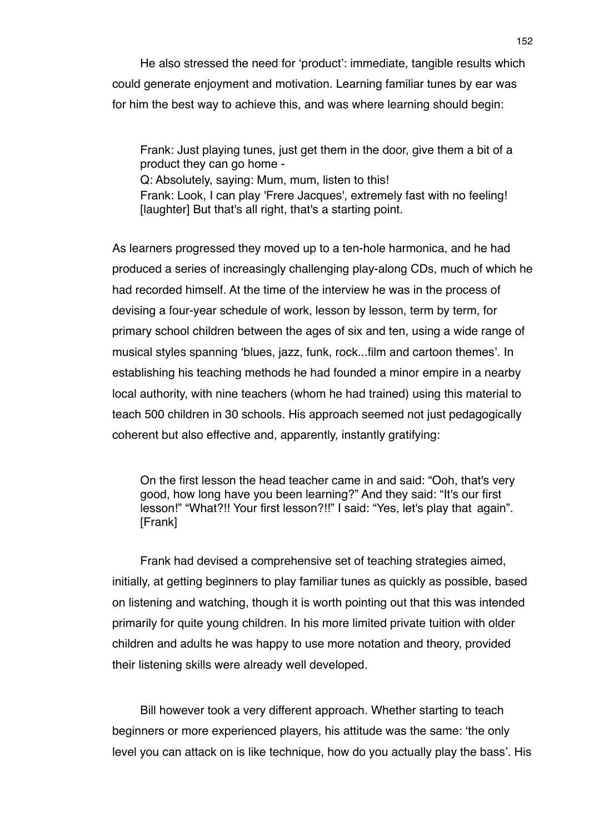He also stressed the need for ʻproduct': immediate, tangible results which could generate enjoyment and motivation. Learning familiar tunes by ear was for him the best way to achieve this, and was where learning should begin:

Frank: Just playing tunes, just get them in the door, give them a bit of a product they can go home - Q: Absolutely, saying: Mum, mum, listen to this! Frank: Look, I can play 'Frere Jacques', extremely fast with no feeling! [laughter] But that's all right, that's a starting point.

As learners progressed they moved up to a ten-hole harmonica, and he had produced a series of increasingly challenging play-along CDs, much of which he had recorded himself. At the time of the interview he was in the process of devising a four-year schedule of work, lesson by lesson, term by term, for primary school children between the ages of six and ten, using a wide range of musical styles spanning ʻblues, jazz, funk, rock...film and cartoon themes'. In establishing his teaching methods he had founded a minor empire in a nearby local authority, with nine teachers (whom he had trained) using this material to teach 500 children in 30 schools. His approach seemed not just pedagogically coherent but also effective and, apparently, instantly gratifying:

On the first lesson the head teacher came in and said: "Ooh, that's very good, how long have you been learning?" And they said: "It's our first lesson!" "What?!! Your first lesson?!!" I said: "Yes, let's play that again". [Frank]

Frank had devised a comprehensive set of teaching strategies aimed, initially, at getting beginners to play familiar tunes as quickly as possible, based on listening and watching, though it is worth pointing out that this was intended primarily for quite young children. In his more limited private tuition with older children and adults he was happy to use more notation and theory, provided their listening skills were already well developed.

Bill however took a very different approach. Whether starting to teach beginners or more experienced players, his attitude was the same: ʻthe only level you can attack on is like technique, how do you actually play the bass'. His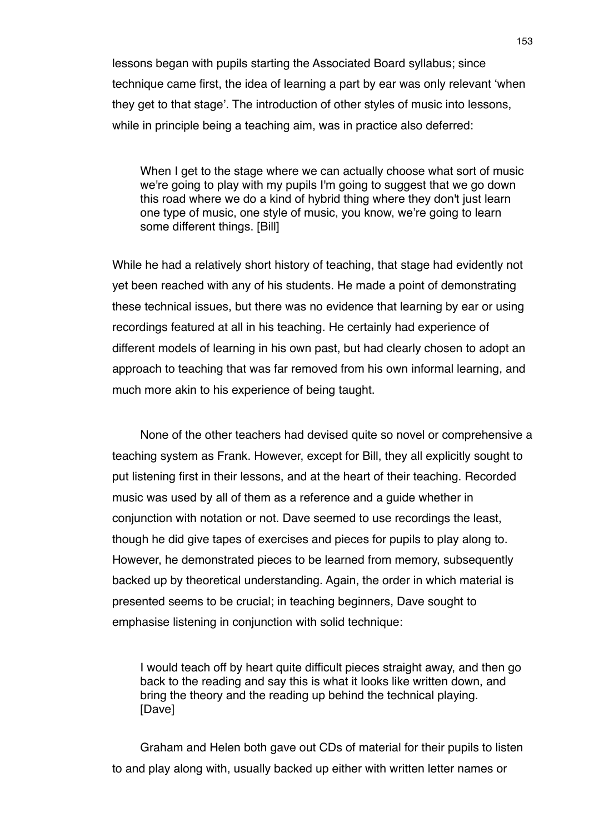lessons began with pupils starting the Associated Board syllabus; since technique came first, the idea of learning a part by ear was only relevant ʻwhen they get to that stage'. The introduction of other styles of music into lessons, while in principle being a teaching aim, was in practice also deferred:

When I get to the stage where we can actually choose what sort of music we're going to play with my pupils I'm going to suggest that we go down this road where we do a kind of hybrid thing where they don't just learn one type of music, one style of music, you know, we're going to learn some different things. [Bill]

While he had a relatively short history of teaching, that stage had evidently not yet been reached with any of his students. He made a point of demonstrating these technical issues, but there was no evidence that learning by ear or using recordings featured at all in his teaching. He certainly had experience of different models of learning in his own past, but had clearly chosen to adopt an approach to teaching that was far removed from his own informal learning, and much more akin to his experience of being taught.

None of the other teachers had devised quite so novel or comprehensive a teaching system as Frank. However, except for Bill, they all explicitly sought to put listening first in their lessons, and at the heart of their teaching. Recorded music was used by all of them as a reference and a guide whether in conjunction with notation or not. Dave seemed to use recordings the least, though he did give tapes of exercises and pieces for pupils to play along to. However, he demonstrated pieces to be learned from memory, subsequently backed up by theoretical understanding. Again, the order in which material is presented seems to be crucial; in teaching beginners, Dave sought to emphasise listening in conjunction with solid technique:

I would teach off by heart quite difficult pieces straight away, and then go back to the reading and say this is what it looks like written down, and bring the theory and the reading up behind the technical playing. [Dave]

Graham and Helen both gave out CDs of material for their pupils to listen to and play along with, usually backed up either with written letter names or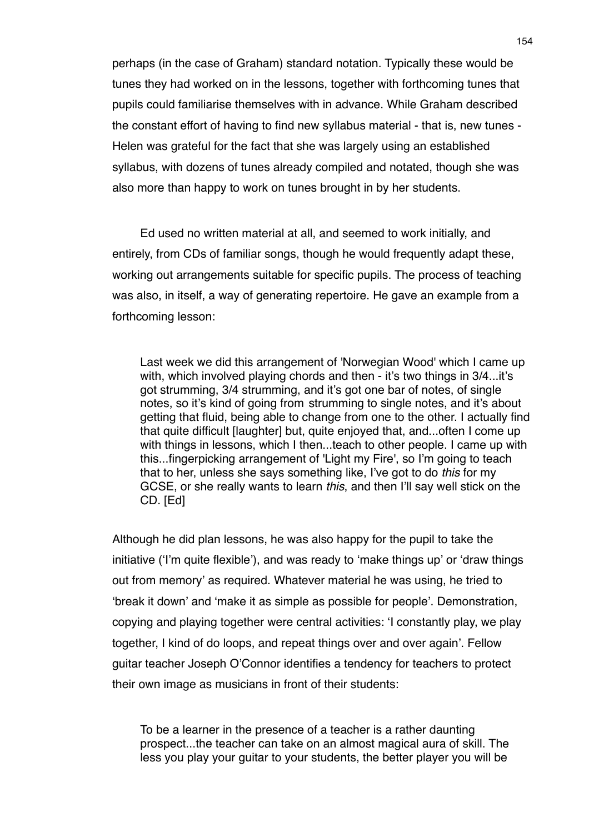perhaps (in the case of Graham) standard notation. Typically these would be tunes they had worked on in the lessons, together with forthcoming tunes that pupils could familiarise themselves with in advance. While Graham described the constant effort of having to find new syllabus material - that is, new tunes - Helen was grateful for the fact that she was largely using an established syllabus, with dozens of tunes already compiled and notated, though she was also more than happy to work on tunes brought in by her students.

Ed used no written material at all, and seemed to work initially, and entirely, from CDs of familiar songs, though he would frequently adapt these, working out arrangements suitable for specific pupils. The process of teaching was also, in itself, a way of generating repertoire. He gave an example from a forthcoming lesson:

Last week we did this arrangement of 'Norwegian Wood' which I came up with, which involved playing chords and then - it's two things in 3/4...it's got strumming, 3/4 strumming, and it's got one bar of notes, of single notes, so it's kind of going from strumming to single notes, and it's about getting that fluid, being able to change from one to the other. I actually find that quite difficult [laughter] but, quite enjoyed that, and...often I come up with things in lessons, which I then...teach to other people. I came up with this...fingerpicking arrangement of 'Light my Fire', so I'm going to teach that to her, unless she says something like, I've got to do *this* for my GCSE, or she really wants to learn *this*, and then I'll say well stick on the CD. [Ed]

Although he did plan lessons, he was also happy for the pupil to take the initiative (ʻI'm quite flexible'), and was ready to ʻmake things up' or ʻdraw things out from memory' as required. Whatever material he was using, he tried to ʻbreak it down' and ʻmake it as simple as possible for people'. Demonstration, copying and playing together were central activities: ʻI constantly play, we play together, I kind of do loops, and repeat things over and over again'. Fellow guitar teacher Joseph O'Connor identifies a tendency for teachers to protect their own image as musicians in front of their students:

To be a learner in the presence of a teacher is a rather daunting prospect...the teacher can take on an almost magical aura of skill. The less you play your guitar to your students, the better player you will be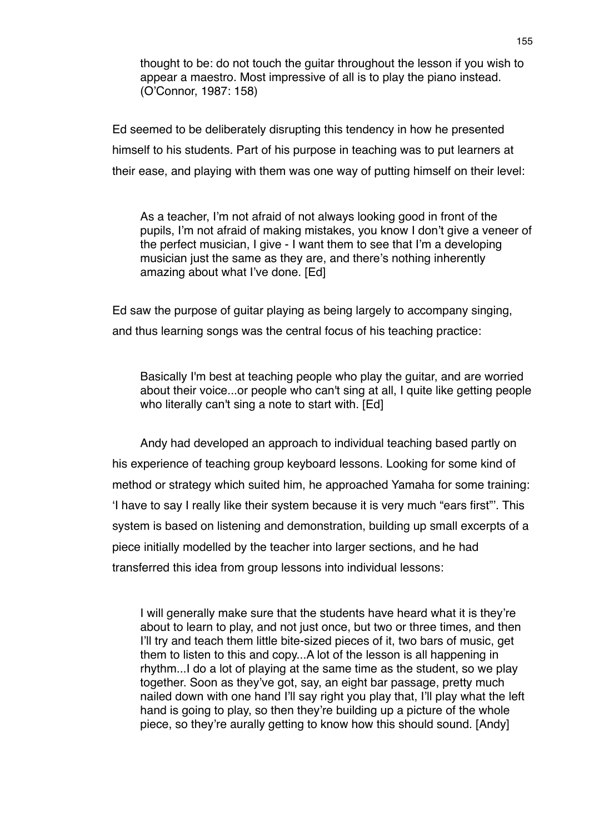thought to be: do not touch the guitar throughout the lesson if you wish to appear a maestro. Most impressive of all is to play the piano instead. (O'Connor, 1987: 158)

Ed seemed to be deliberately disrupting this tendency in how he presented himself to his students. Part of his purpose in teaching was to put learners at their ease, and playing with them was one way of putting himself on their level:

As a teacher, I'm not afraid of not always looking good in front of the pupils, I'm not afraid of making mistakes, you know I don't give a veneer of the perfect musician, I give - I want them to see that I'm a developing musician just the same as they are, and there's nothing inherently amazing about what I've done. [Ed]

Ed saw the purpose of guitar playing as being largely to accompany singing, and thus learning songs was the central focus of his teaching practice:

Basically I'm best at teaching people who play the guitar, and are worried about their voice...or people who can't sing at all, I quite like getting people who literally can't sing a note to start with. [Ed]

Andy had developed an approach to individual teaching based partly on his experience of teaching group keyboard lessons. Looking for some kind of method or strategy which suited him, he approached Yamaha for some training: ʻI have to say I really like their system because it is very much "ears first"'. This system is based on listening and demonstration, building up small excerpts of a piece initially modelled by the teacher into larger sections, and he had transferred this idea from group lessons into individual lessons:

I will generally make sure that the students have heard what it is they're about to learn to play, and not just once, but two or three times, and then I'll try and teach them little bite-sized pieces of it, two bars of music, get them to listen to this and copy...A lot of the lesson is all happening in rhythm...I do a lot of playing at the same time as the student, so we play together. Soon as they've got, say, an eight bar passage, pretty much nailed down with one hand I'll say right you play that, I'll play what the left hand is going to play, so then they're building up a picture of the whole piece, so they're aurally getting to know how this should sound. [Andy]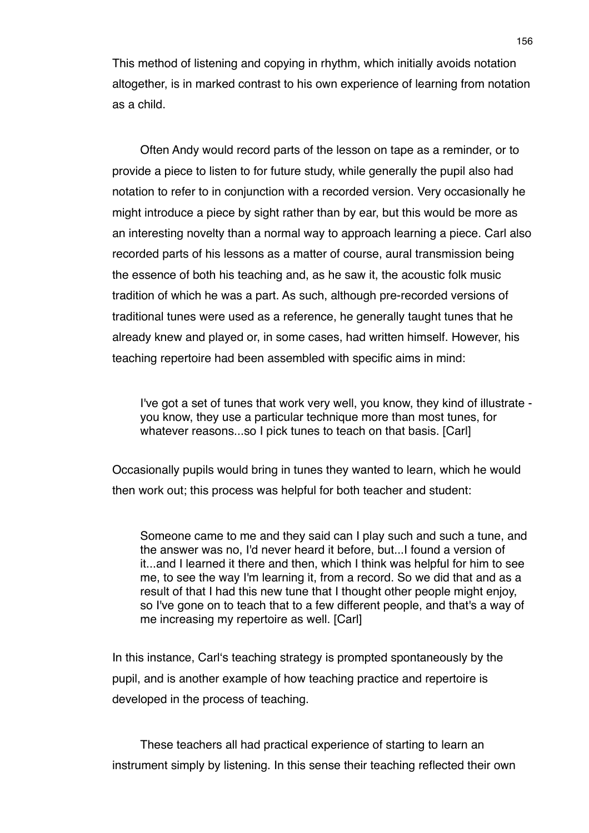This method of listening and copying in rhythm, which initially avoids notation altogether, is in marked contrast to his own experience of learning from notation as a child.

Often Andy would record parts of the lesson on tape as a reminder, or to provide a piece to listen to for future study, while generally the pupil also had notation to refer to in conjunction with a recorded version. Very occasionally he might introduce a piece by sight rather than by ear, but this would be more as an interesting novelty than a normal way to approach learning a piece. Carl also recorded parts of his lessons as a matter of course, aural transmission being the essence of both his teaching and, as he saw it, the acoustic folk music tradition of which he was a part. As such, although pre-recorded versions of traditional tunes were used as a reference, he generally taught tunes that he already knew and played or, in some cases, had written himself. However, his teaching repertoire had been assembled with specific aims in mind:

I've got a set of tunes that work very well, you know, they kind of illustrate you know, they use a particular technique more than most tunes, for whatever reasons...so I pick tunes to teach on that basis. [Carl]

Occasionally pupils would bring in tunes they wanted to learn, which he would then work out; this process was helpful for both teacher and student:

Someone came to me and they said can I play such and such a tune, and the answer was no, I'd never heard it before, but...I found a version of it...and I learned it there and then, which I think was helpful for him to see me, to see the way I'm learning it, from a record. So we did that and as a result of that I had this new tune that I thought other people might enjoy, so I've gone on to teach that to a few different people, and that's a way of me increasing my repertoire as well. [Carl]

In this instance, Carlʻs teaching strategy is prompted spontaneously by the pupil, and is another example of how teaching practice and repertoire is developed in the process of teaching.

These teachers all had practical experience of starting to learn an instrument simply by listening. In this sense their teaching reflected their own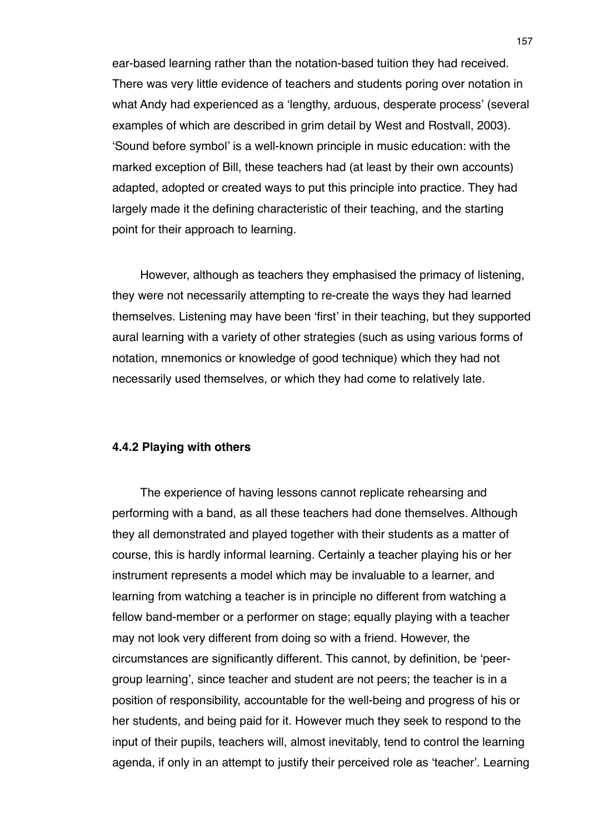ear-based learning rather than the notation-based tuition they had received. There was very little evidence of teachers and students poring over notation in what Andy had experienced as a ʻlengthy, arduous, desperate process' (several examples of which are described in grim detail by West and Rostvall, 2003). ʻSound before symbol' is a well-known principle in music education: with the marked exception of Bill, these teachers had (at least by their own accounts) adapted, adopted or created ways to put this principle into practice. They had largely made it the defining characteristic of their teaching, and the starting point for their approach to learning.

However, although as teachers they emphasised the primacy of listening, they were not necessarily attempting to re-create the ways they had learned themselves. Listening may have been ʻfirst' in their teaching, but they supported aural learning with a variety of other strategies (such as using various forms of notation, mnemonics or knowledge of good technique) which they had not necessarily used themselves, or which they had come to relatively late.

### **4.4.2 Playing with others**

The experience of having lessons cannot replicate rehearsing and performing with a band, as all these teachers had done themselves. Although they all demonstrated and played together with their students as a matter of course, this is hardly informal learning. Certainly a teacher playing his or her instrument represents a model which may be invaluable to a learner, and learning from watching a teacher is in principle no different from watching a fellow band-member or a performer on stage; equally playing with a teacher may not look very different from doing so with a friend. However, the circumstances are significantly different. This cannot, by definition, be ʻpeergroup learning', since teacher and student are not peers; the teacher is in a position of responsibility, accountable for the well-being and progress of his or her students, and being paid for it. However much they seek to respond to the input of their pupils, teachers will, almost inevitably, tend to control the learning agenda, if only in an attempt to justify their perceived role as ʻteacher'. Learning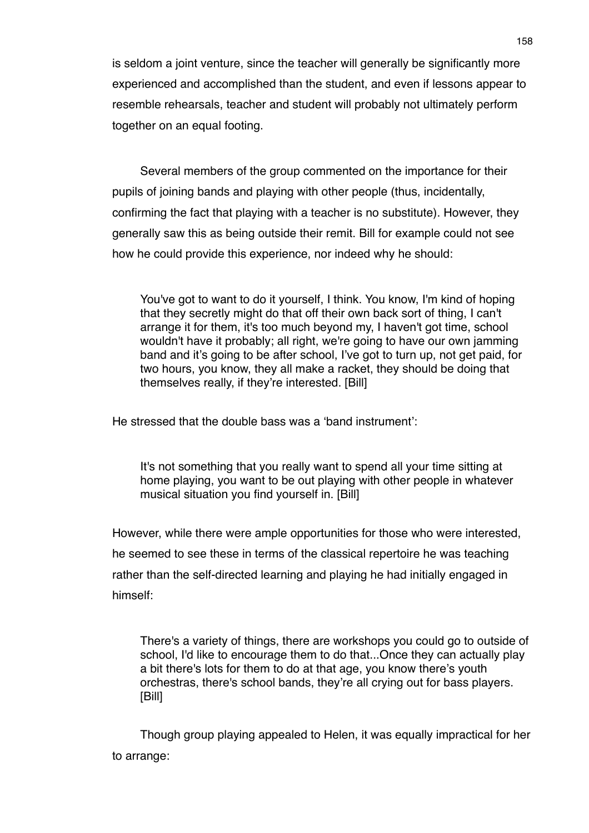is seldom a joint venture, since the teacher will generally be significantly more experienced and accomplished than the student, and even if lessons appear to resemble rehearsals, teacher and student will probably not ultimately perform together on an equal footing.

Several members of the group commented on the importance for their pupils of joining bands and playing with other people (thus, incidentally, confirming the fact that playing with a teacher is no substitute). However, they generally saw this as being outside their remit. Bill for example could not see how he could provide this experience, nor indeed why he should:

You've got to want to do it yourself, I think. You know, I'm kind of hoping that they secretly might do that off their own back sort of thing, I can't arrange it for them, it's too much beyond my, I haven't got time, school wouldn't have it probably; all right, we're going to have our own jamming band and it's going to be after school, I've got to turn up, not get paid, for two hours, you know, they all make a racket, they should be doing that themselves really, if they're interested. [Bill]

He stressed that the double bass was a ʻband instrument':

It's not something that you really want to spend all your time sitting at home playing, you want to be out playing with other people in whatever musical situation you find yourself in. [Bill]

However, while there were ample opportunities for those who were interested, he seemed to see these in terms of the classical repertoire he was teaching rather than the self-directed learning and playing he had initially engaged in himself:

There's a variety of things, there are workshops you could go to outside of school, I'd like to encourage them to do that...Once they can actually play a bit there's lots for them to do at that age, you know there's youth orchestras, there's school bands, they're all crying out for bass players. [Bill]

Though group playing appealed to Helen, it was equally impractical for her to arrange: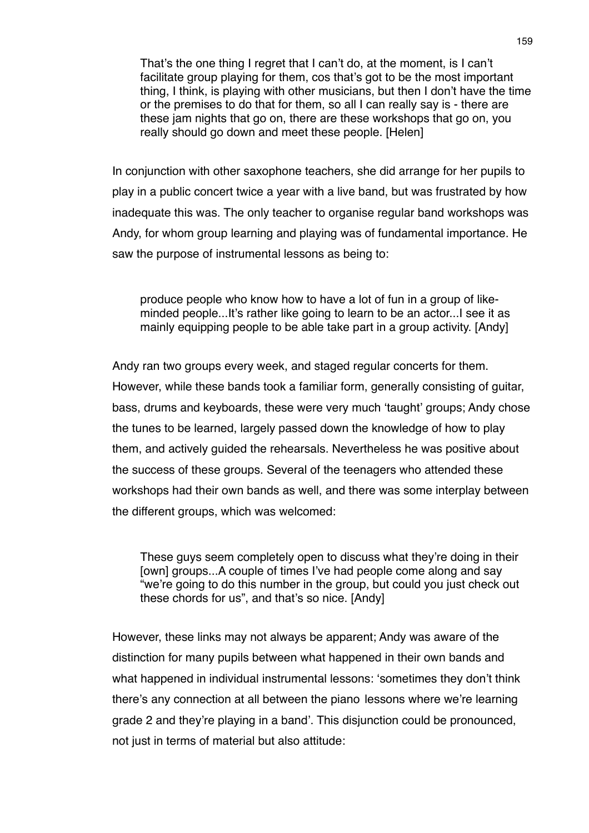That's the one thing I regret that I can't do, at the moment, is I can't facilitate group playing for them, cos that's got to be the most important thing, I think, is playing with other musicians, but then I don't have the time or the premises to do that for them, so all I can really say is - there are these jam nights that go on, there are these workshops that go on, you really should go down and meet these people. [Helen]

In conjunction with other saxophone teachers, she did arrange for her pupils to play in a public concert twice a year with a live band, but was frustrated by how inadequate this was. The only teacher to organise regular band workshops was Andy, for whom group learning and playing was of fundamental importance. He saw the purpose of instrumental lessons as being to:

produce people who know how to have a lot of fun in a group of likeminded people...It's rather like going to learn to be an actor...I see it as mainly equipping people to be able take part in a group activity. [Andy]

Andy ran two groups every week, and staged regular concerts for them. However, while these bands took a familiar form, generally consisting of guitar, bass, drums and keyboards, these were very much ʻtaught' groups; Andy chose the tunes to be learned, largely passed down the knowledge of how to play them, and actively guided the rehearsals. Nevertheless he was positive about the success of these groups. Several of the teenagers who attended these workshops had their own bands as well, and there was some interplay between the different groups, which was welcomed:

These guys seem completely open to discuss what they're doing in their [own] groups...A couple of times I've had people come along and say "we're going to do this number in the group, but could you just check out these chords for us", and that's so nice. [Andy]

However, these links may not always be apparent; Andy was aware of the distinction for many pupils between what happened in their own bands and what happened in individual instrumental lessons: ʻsometimes they don't think there's any connection at all between the piano lessons where we're learning grade 2 and they're playing in a band'. This disjunction could be pronounced, not just in terms of material but also attitude: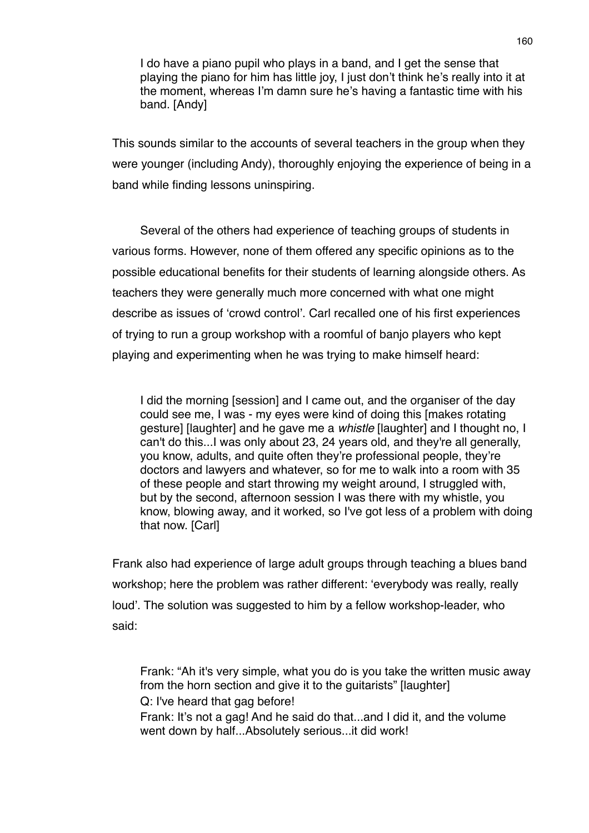I do have a piano pupil who plays in a band, and I get the sense that playing the piano for him has little joy, I just don't think he's really into it at the moment, whereas I'm damn sure he's having a fantastic time with his band. [Andy]

This sounds similar to the accounts of several teachers in the group when they were younger (including Andy), thoroughly enjoying the experience of being in a band while finding lessons uninspiring.

Several of the others had experience of teaching groups of students in various forms. However, none of them offered any specific opinions as to the possible educational benefits for their students of learning alongside others. As teachers they were generally much more concerned with what one might describe as issues of ʻcrowd control'. Carl recalled one of his first experiences of trying to run a group workshop with a roomful of banjo players who kept playing and experimenting when he was trying to make himself heard:

I did the morning [session] and I came out, and the organiser of the day could see me, I was - my eyes were kind of doing this [makes rotating gesture] [laughter] and he gave me a *whistle* [laughter] and I thought no, I can't do this...I was only about 23, 24 years old, and they're all generally, you know, adults, and quite often they're professional people, they're doctors and lawyers and whatever, so for me to walk into a room with 35 of these people and start throwing my weight around, I struggled with, but by the second, afternoon session I was there with my whistle, you know, blowing away, and it worked, so I've got less of a problem with doing that now. [Carl]

Frank also had experience of large adult groups through teaching a blues band workshop; here the problem was rather different: ʻeverybody was really, really loud'. The solution was suggested to him by a fellow workshop-leader, who said:

Frank: "Ah it's very simple, what you do is you take the written music away from the horn section and give it to the guitarists" [laughter] Q: I've heard that gag before! Frank: It's not a gag! And he said do that...and I did it, and the volume went down by half...Absolutely serious...it did work!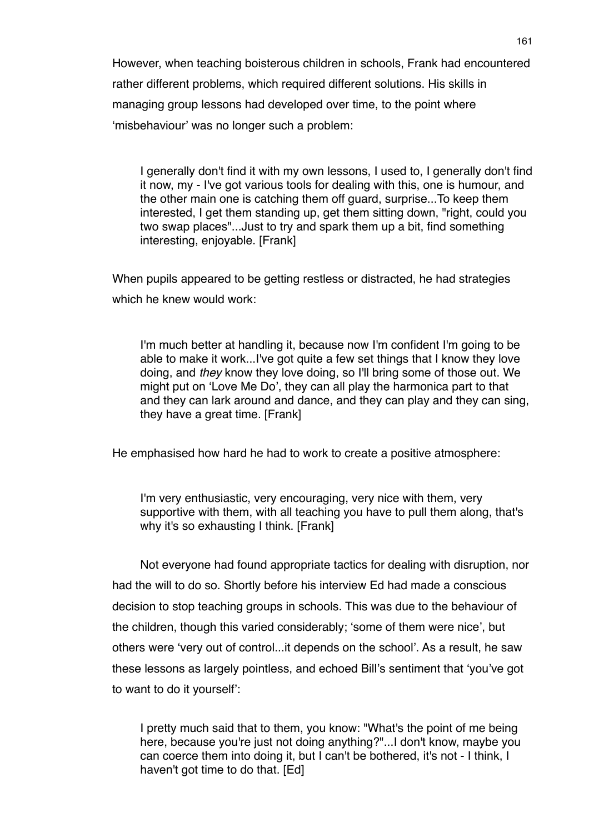However, when teaching boisterous children in schools, Frank had encountered rather different problems, which required different solutions. His skills in managing group lessons had developed over time, to the point where ʻmisbehaviour' was no longer such a problem:

I generally don't find it with my own lessons, I used to, I generally don't find it now, my - I've got various tools for dealing with this, one is humour, and the other main one is catching them off guard, surprise...To keep them interested, I get them standing up, get them sitting down, "right, could you two swap places"...Just to try and spark them up a bit, find something interesting, enjoyable. [Frank]

When pupils appeared to be getting restless or distracted, he had strategies which he knew would work:

I'm much better at handling it, because now I'm confident I'm going to be able to make it work...I've got quite a few set things that I know they love doing, and *they* know they love doing, so I'll bring some of those out. We might put on ʻLove Me Do', they can all play the harmonica part to that and they can lark around and dance, and they can play and they can sing, they have a great time. [Frank]

He emphasised how hard he had to work to create a positive atmosphere:

I'm very enthusiastic, very encouraging, very nice with them, very supportive with them, with all teaching you have to pull them along, that's why it's so exhausting I think. [Frank]

Not everyone had found appropriate tactics for dealing with disruption, nor had the will to do so. Shortly before his interview Ed had made a conscious decision to stop teaching groups in schools. This was due to the behaviour of the children, though this varied considerably; ʻsome of them were nice', but others were ʻvery out of control...it depends on the school'. As a result, he saw these lessons as largely pointless, and echoed Bill's sentiment that ʻyou've got to want to do it yourself':

I pretty much said that to them, you know: "What's the point of me being here, because you're just not doing anything?"...I don't know, maybe you can coerce them into doing it, but I can't be bothered, it's not - I think, I haven't got time to do that. [Ed]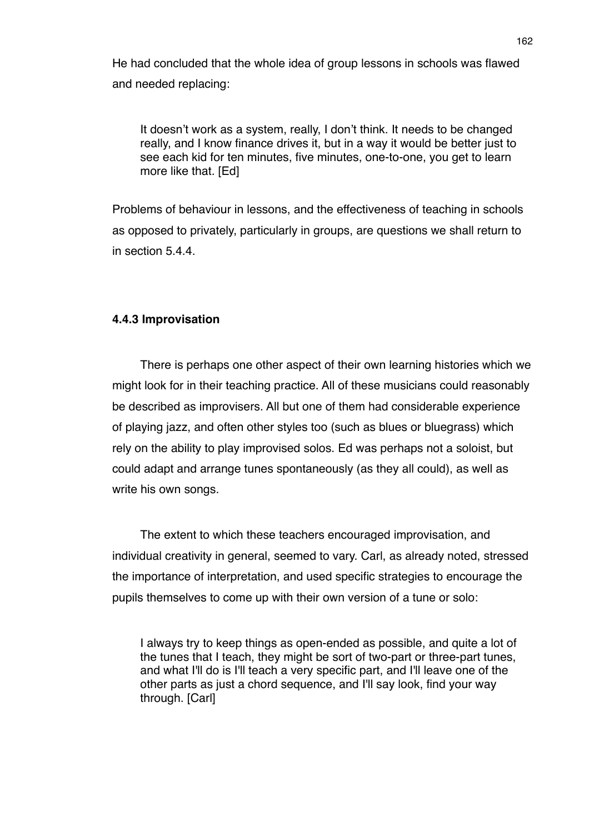He had concluded that the whole idea of group lessons in schools was flawed and needed replacing:

It doesn't work as a system, really, I don't think. It needs to be changed really, and I know finance drives it, but in a way it would be better just to see each kid for ten minutes, five minutes, one-to-one, you get to learn more like that. [Ed]

Problems of behaviour in lessons, and the effectiveness of teaching in schools as opposed to privately, particularly in groups, are questions we shall return to in section 5.4.4.

# **4.4.3 Improvisation**

There is perhaps one other aspect of their own learning histories which we might look for in their teaching practice. All of these musicians could reasonably be described as improvisers. All but one of them had considerable experience of playing jazz, and often other styles too (such as blues or bluegrass) which rely on the ability to play improvised solos. Ed was perhaps not a soloist, but could adapt and arrange tunes spontaneously (as they all could), as well as write his own songs.

The extent to which these teachers encouraged improvisation, and individual creativity in general, seemed to vary. Carl, as already noted, stressed the importance of interpretation, and used specific strategies to encourage the pupils themselves to come up with their own version of a tune or solo:

I always try to keep things as open-ended as possible, and quite a lot of the tunes that I teach, they might be sort of two-part or three-part tunes, and what I'll do is I'll teach a very specific part, and I'll leave one of the other parts as just a chord sequence, and I'll say look, find your way through. [Carl]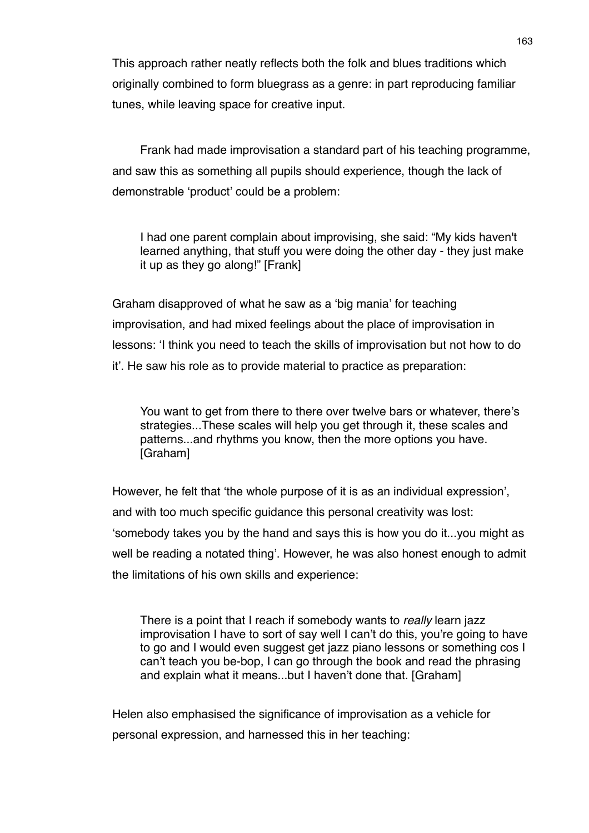This approach rather neatly reflects both the folk and blues traditions which originally combined to form bluegrass as a genre: in part reproducing familiar tunes, while leaving space for creative input.

Frank had made improvisation a standard part of his teaching programme, and saw this as something all pupils should experience, though the lack of demonstrable ʻproduct' could be a problem:

I had one parent complain about improvising, she said: "My kids haven't learned anything, that stuff you were doing the other day - they just make it up as they go along!" [Frank]

Graham disapproved of what he saw as a ʻbig mania' for teaching improvisation, and had mixed feelings about the place of improvisation in lessons: ʻI think you need to teach the skills of improvisation but not how to do it'. He saw his role as to provide material to practice as preparation:

You want to get from there to there over twelve bars or whatever, there's strategies...These scales will help you get through it, these scales and patterns...and rhythms you know, then the more options you have. [Graham]

However, he felt that ʻthe whole purpose of it is as an individual expression', and with too much specific guidance this personal creativity was lost: ʻsomebody takes you by the hand and says this is how you do it...you might as well be reading a notated thing'. However, he was also honest enough to admit the limitations of his own skills and experience:

There is a point that I reach if somebody wants to *really* learn jazz improvisation I have to sort of say well I can't do this, you're going to have to go and I would even suggest get jazz piano lessons or something cos I can't teach you be-bop, I can go through the book and read the phrasing and explain what it means...but I haven't done that. [Graham]

Helen also emphasised the significance of improvisation as a vehicle for personal expression, and harnessed this in her teaching: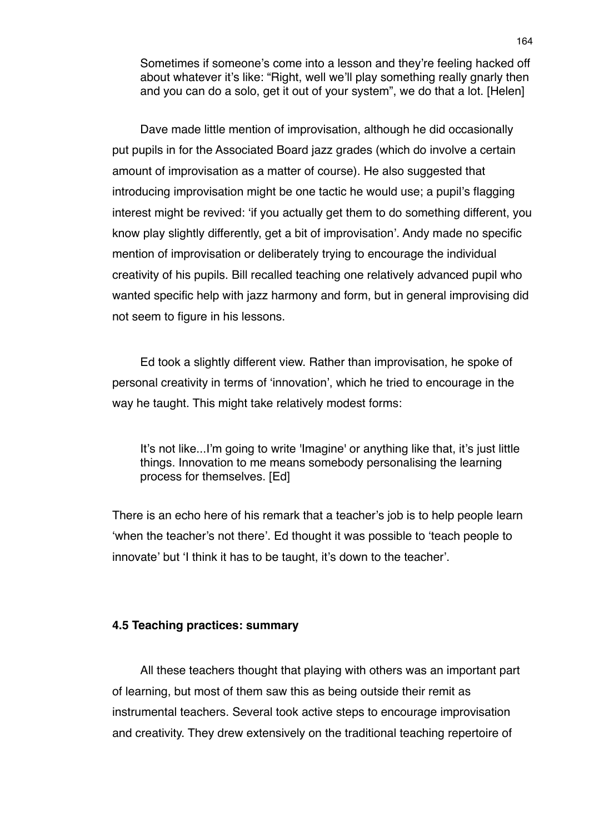Sometimes if someone's come into a lesson and they're feeling hacked off about whatever it's like: "Right, well we'll play something really gnarly then and you can do a solo, get it out of your system", we do that a lot. [Helen]

Dave made little mention of improvisation, although he did occasionally put pupils in for the Associated Board jazz grades (which do involve a certain amount of improvisation as a matter of course). He also suggested that introducing improvisation might be one tactic he would use; a pupil's flagging interest might be revived: ʻif you actually get them to do something different, you know play slightly differently, get a bit of improvisation'. Andy made no specific mention of improvisation or deliberately trying to encourage the individual creativity of his pupils. Bill recalled teaching one relatively advanced pupil who wanted specific help with jazz harmony and form, but in general improvising did not seem to figure in his lessons.

Ed took a slightly different view. Rather than improvisation, he spoke of personal creativity in terms of ʻinnovation', which he tried to encourage in the way he taught. This might take relatively modest forms:

It's not like...I'm going to write 'Imagine' or anything like that, it's just little things. Innovation to me means somebody personalising the learning process for themselves. [Ed]

There is an echo here of his remark that a teacher's job is to help people learn ʻwhen the teacher's not there'. Ed thought it was possible to ʻteach people to innovate' but ʻI think it has to be taught, it's down to the teacher'.

## **4.5 Teaching practices: summary**

All these teachers thought that playing with others was an important part of learning, but most of them saw this as being outside their remit as instrumental teachers. Several took active steps to encourage improvisation and creativity. They drew extensively on the traditional teaching repertoire of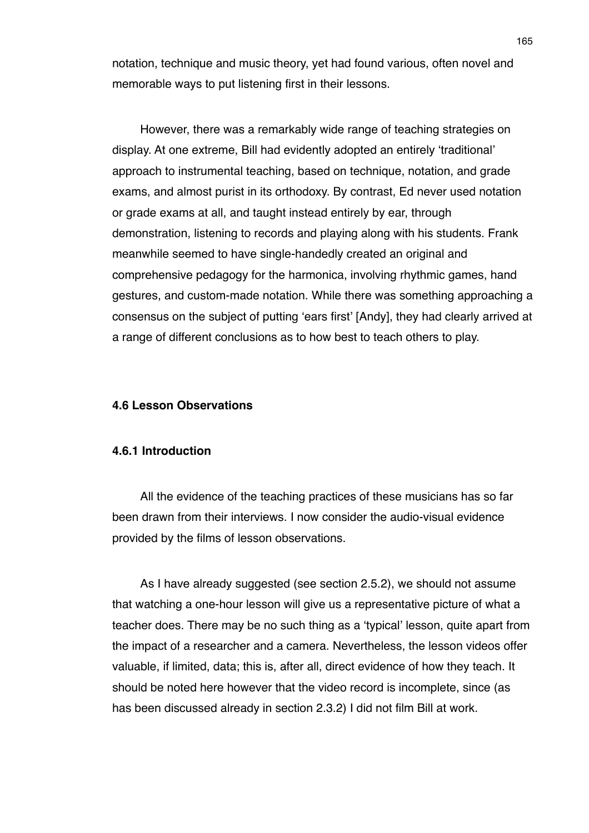notation, technique and music theory, yet had found various, often novel and memorable ways to put listening first in their lessons.

However, there was a remarkably wide range of teaching strategies on display. At one extreme, Bill had evidently adopted an entirely ʻtraditional' approach to instrumental teaching, based on technique, notation, and grade exams, and almost purist in its orthodoxy. By contrast, Ed never used notation or grade exams at all, and taught instead entirely by ear, through demonstration, listening to records and playing along with his students. Frank meanwhile seemed to have single-handedly created an original and comprehensive pedagogy for the harmonica, involving rhythmic games, hand gestures, and custom-made notation. While there was something approaching a consensus on the subject of putting ʻears first' [Andy], they had clearly arrived at a range of different conclusions as to how best to teach others to play.

## **4.6 Lesson Observations**

# **4.6.1 Introduction**

All the evidence of the teaching practices of these musicians has so far been drawn from their interviews. I now consider the audio-visual evidence provided by the films of lesson observations.

As I have already suggested (see section 2.5.2), we should not assume that watching a one-hour lesson will give us a representative picture of what a teacher does. There may be no such thing as a ʻtypical' lesson, quite apart from the impact of a researcher and a camera. Nevertheless, the lesson videos offer valuable, if limited, data; this is, after all, direct evidence of how they teach. It should be noted here however that the video record is incomplete, since (as has been discussed already in section 2.3.2) I did not film Bill at work.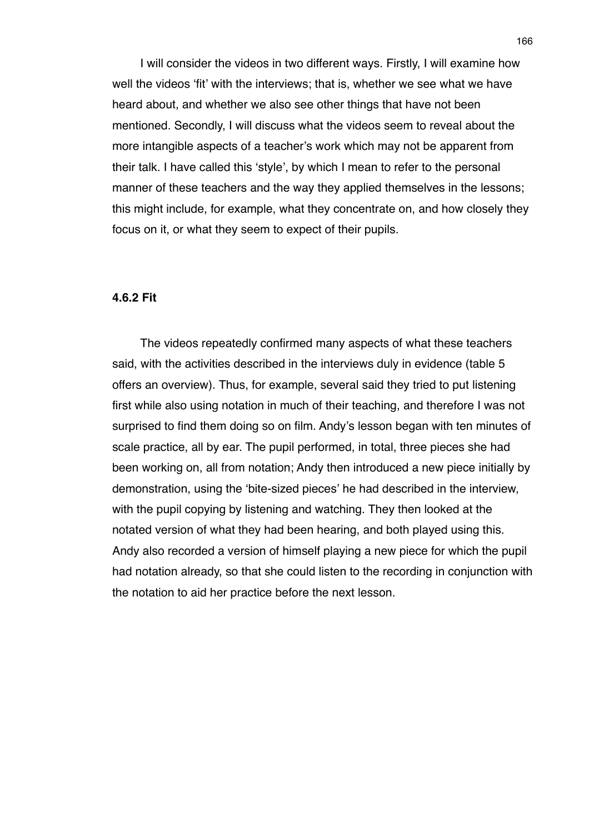I will consider the videos in two different ways. Firstly, I will examine how well the videos ʻfit' with the interviews; that is, whether we see what we have heard about, and whether we also see other things that have not been mentioned. Secondly, I will discuss what the videos seem to reveal about the more intangible aspects of a teacher's work which may not be apparent from their talk. I have called this ʻstyle', by which I mean to refer to the personal manner of these teachers and the way they applied themselves in the lessons; this might include, for example, what they concentrate on, and how closely they focus on it, or what they seem to expect of their pupils.

## **4.6.2 Fit**

The videos repeatedly confirmed many aspects of what these teachers said, with the activities described in the interviews duly in evidence (table 5 offers an overview). Thus, for example, several said they tried to put listening first while also using notation in much of their teaching, and therefore I was not surprised to find them doing so on film. Andy's lesson began with ten minutes of scale practice, all by ear. The pupil performed, in total, three pieces she had been working on, all from notation; Andy then introduced a new piece initially by demonstration, using the ʻbite-sized pieces' he had described in the interview, with the pupil copying by listening and watching. They then looked at the notated version of what they had been hearing, and both played using this. Andy also recorded a version of himself playing a new piece for which the pupil had notation already, so that she could listen to the recording in conjunction with the notation to aid her practice before the next lesson.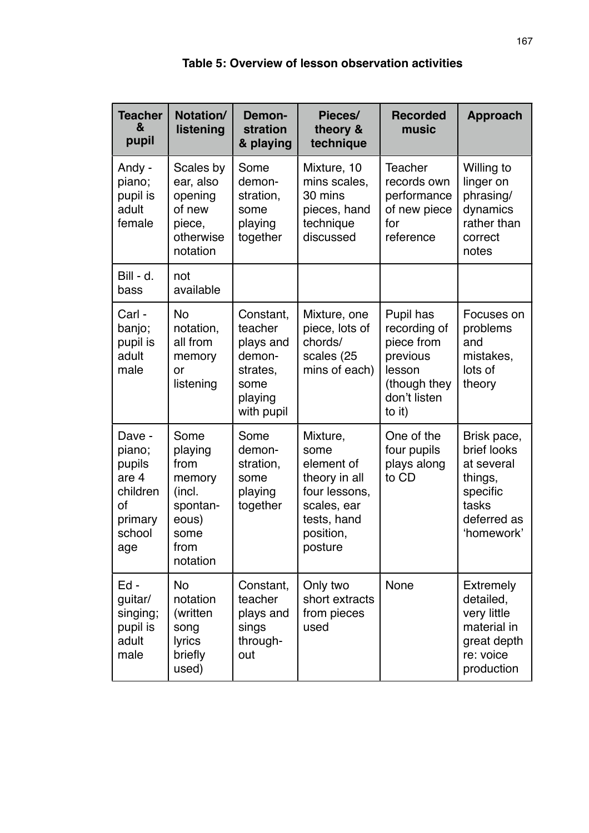| <b>Teacher</b><br>&<br>pupil                                                      | Notation/<br>listening                                                                       | Demon-<br>stration<br>& playing                                                          | Pieces/<br>theory &<br>technique                                                                                       | <b>Recorded</b><br>music                                                                                | <b>Approach</b>                                                                                       |
|-----------------------------------------------------------------------------------|----------------------------------------------------------------------------------------------|------------------------------------------------------------------------------------------|------------------------------------------------------------------------------------------------------------------------|---------------------------------------------------------------------------------------------------------|-------------------------------------------------------------------------------------------------------|
| Andy -<br>piano;<br>pupil is<br>adult<br>female                                   | Scales by<br>ear, also<br>opening<br>of new<br>piece,<br>otherwise<br>notation               | Some<br>demon-<br>stration,<br>some<br>playing<br>together                               | Mixture, 10<br>mins scales,<br>30 mins<br>pieces, hand<br>technique<br>discussed                                       | Teacher<br>records own<br>performance<br>of new piece<br>for<br>reference                               | Willing to<br>linger on<br>phrasing/<br>dynamics<br>rather than<br>correct<br>notes                   |
| Bill - d.<br>bass                                                                 | not<br>available                                                                             |                                                                                          |                                                                                                                        |                                                                                                         |                                                                                                       |
| Carl -<br>banjo;<br>pupil is<br>adult<br>male                                     | <b>No</b><br>notation,<br>all from<br>memory<br>or<br>listening                              | Constant,<br>teacher<br>plays and<br>demon-<br>strates,<br>some<br>playing<br>with pupil | Mixture, one<br>piece, lots of<br>chords/<br>scales (25<br>mins of each)                                               | Pupil has<br>recording of<br>piece from<br>previous<br>lesson<br>(though they<br>don't listen<br>to it) | Focuses on<br>problems<br>and<br>mistakes,<br>lots of<br>theory                                       |
| Dave -<br>piano;<br>pupils<br>are 4<br>children<br>οf<br>primary<br>school<br>age | Some<br>playing<br>from<br>memory<br>(incl.<br>spontan-<br>eous)<br>some<br>from<br>notation | Some<br>demon-<br>stration,<br>some<br>playing<br>together                               | Mixture,<br>some<br>element of<br>theory in all<br>four lessons,<br>scales, ear<br>tests, hand<br>position,<br>posture | One of the<br>four pupils<br>plays along<br>to CD                                                       | Brisk pace,<br>brief looks<br>at several<br>things,<br>specific<br>tasks<br>deferred as<br>'homework' |
| Ed-<br>guitar/<br>singing;<br>pupil is<br>adult<br>male                           | <b>No</b><br>notation<br>(written<br>song<br>lyrics<br>briefly<br>used)                      | Constant,<br>teacher<br>plays and<br>sings<br>through-<br>out                            | Only two<br>short extracts<br>from pieces<br>used                                                                      | None                                                                                                    | <b>Extremely</b><br>detailed,<br>very little<br>material in<br>great depth<br>re: voice<br>production |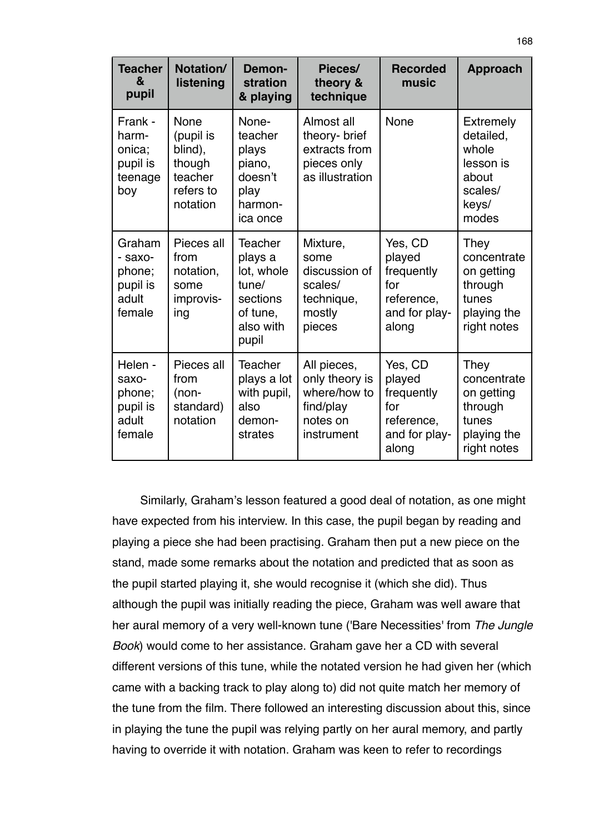| <b>Teacher</b><br>&<br>pupil                               | Notation/<br>listening                                                     | Demon-<br>stration<br>& playing                                                         | Pieces/<br>theory &<br>technique                                                     | <b>Recorded</b><br>music                                                       | <b>Approach</b>                                                                           |
|------------------------------------------------------------|----------------------------------------------------------------------------|-----------------------------------------------------------------------------------------|--------------------------------------------------------------------------------------|--------------------------------------------------------------------------------|-------------------------------------------------------------------------------------------|
| Frank -<br>harm-<br>onica;<br>pupil is<br>teenage<br>boy   | None<br>(pupil is<br>blind),<br>though<br>teacher<br>refers to<br>notation | None-<br>teacher<br>plays<br>piano,<br>doesn't<br>play<br>harmon-<br>ica once           | Almost all<br>theory- brief<br>extracts from<br>pieces only<br>as illustration       | None                                                                           | <b>Extremely</b><br>detailed,<br>whole<br>lesson is<br>about<br>scales/<br>keys/<br>modes |
| Graham<br>- saxo-<br>phone;<br>pupil is<br>adult<br>female | Pieces all<br>from<br>notation,<br>some<br>improvis-<br>ing                | Teacher<br>plays a<br>lot, whole<br>tune/<br>sections<br>of tune,<br>also with<br>pupil | Mixture,<br>some<br>discussion of<br>scales/<br>technique,<br>mostly<br>pieces       | Yes, CD<br>played<br>frequently<br>for<br>reference,<br>and for play-<br>along | They<br>concentrate<br>on getting<br>through<br>tunes<br>playing the<br>right notes       |
| Helen -<br>saxo-<br>phone;<br>pupil is<br>adult<br>female  | Pieces all<br>from<br>(non-<br>standard)<br>notation                       | Teacher<br>plays a lot<br>with pupil,<br>also<br>demon-<br>strates                      | All pieces,<br>only theory is<br>where/how to<br>find/play<br>notes on<br>instrument | Yes, CD<br>played<br>frequently<br>for<br>reference,<br>and for play-<br>along | They<br>concentrate<br>on getting<br>through<br>tunes<br>playing the<br>right notes       |

Similarly, Graham's lesson featured a good deal of notation, as one might have expected from his interview. In this case, the pupil began by reading and playing a piece she had been practising. Graham then put a new piece on the stand, made some remarks about the notation and predicted that as soon as the pupil started playing it, she would recognise it (which she did). Thus although the pupil was initially reading the piece, Graham was well aware that her aural memory of a very well-known tune ('Bare Necessities' from *The Jungle Book*) would come to her assistance. Graham gave her a CD with several different versions of this tune, while the notated version he had given her (which came with a backing track to play along to) did not quite match her memory of the tune from the film. There followed an interesting discussion about this, since in playing the tune the pupil was relying partly on her aural memory, and partly having to override it with notation. Graham was keen to refer to recordings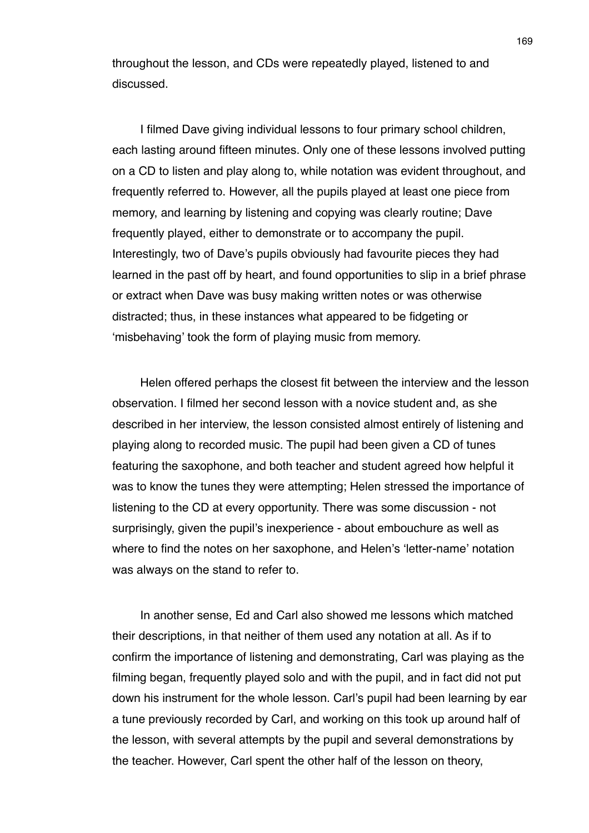throughout the lesson, and CDs were repeatedly played, listened to and discussed.

I filmed Dave giving individual lessons to four primary school children, each lasting around fifteen minutes. Only one of these lessons involved putting on a CD to listen and play along to, while notation was evident throughout, and frequently referred to. However, all the pupils played at least one piece from memory, and learning by listening and copying was clearly routine; Dave frequently played, either to demonstrate or to accompany the pupil. Interestingly, two of Dave's pupils obviously had favourite pieces they had learned in the past off by heart, and found opportunities to slip in a brief phrase or extract when Dave was busy making written notes or was otherwise distracted; thus, in these instances what appeared to be fidgeting or ʻmisbehaving' took the form of playing music from memory.

Helen offered perhaps the closest fit between the interview and the lesson observation. I filmed her second lesson with a novice student and, as she described in her interview, the lesson consisted almost entirely of listening and playing along to recorded music. The pupil had been given a CD of tunes featuring the saxophone, and both teacher and student agreed how helpful it was to know the tunes they were attempting; Helen stressed the importance of listening to the CD at every opportunity. There was some discussion - not surprisingly, given the pupil's inexperience - about embouchure as well as where to find the notes on her saxophone, and Helen's ʻletter-name' notation was always on the stand to refer to.

In another sense, Ed and Carl also showed me lessons which matched their descriptions, in that neither of them used any notation at all. As if to confirm the importance of listening and demonstrating, Carl was playing as the filming began, frequently played solo and with the pupil, and in fact did not put down his instrument for the whole lesson. Carl's pupil had been learning by ear a tune previously recorded by Carl, and working on this took up around half of the lesson, with several attempts by the pupil and several demonstrations by the teacher. However, Carl spent the other half of the lesson on theory,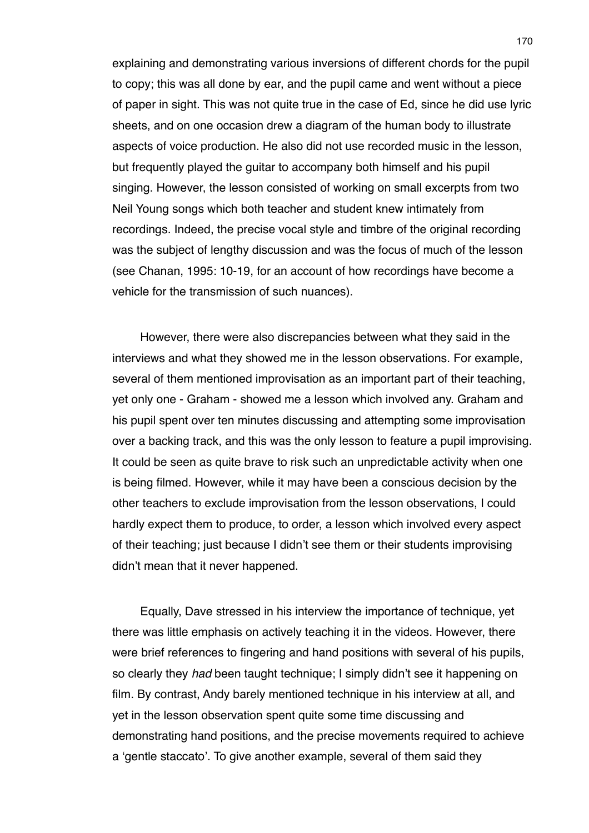explaining and demonstrating various inversions of different chords for the pupil to copy; this was all done by ear, and the pupil came and went without a piece of paper in sight. This was not quite true in the case of Ed, since he did use lyric sheets, and on one occasion drew a diagram of the human body to illustrate aspects of voice production. He also did not use recorded music in the lesson, but frequently played the guitar to accompany both himself and his pupil singing. However, the lesson consisted of working on small excerpts from two Neil Young songs which both teacher and student knew intimately from recordings. Indeed, the precise vocal style and timbre of the original recording was the subject of lengthy discussion and was the focus of much of the lesson (see Chanan, 1995: 10-19, for an account of how recordings have become a vehicle for the transmission of such nuances).

However, there were also discrepancies between what they said in the interviews and what they showed me in the lesson observations. For example, several of them mentioned improvisation as an important part of their teaching, yet only one - Graham - showed me a lesson which involved any. Graham and his pupil spent over ten minutes discussing and attempting some improvisation over a backing track, and this was the only lesson to feature a pupil improvising. It could be seen as quite brave to risk such an unpredictable activity when one is being filmed. However, while it may have been a conscious decision by the other teachers to exclude improvisation from the lesson observations, I could hardly expect them to produce, to order, a lesson which involved every aspect of their teaching; just because I didn't see them or their students improvising didn't mean that it never happened.

Equally, Dave stressed in his interview the importance of technique, yet there was little emphasis on actively teaching it in the videos. However, there were brief references to fingering and hand positions with several of his pupils, so clearly they *had* been taught technique; I simply didn't see it happening on film. By contrast, Andy barely mentioned technique in his interview at all, and yet in the lesson observation spent quite some time discussing and demonstrating hand positions, and the precise movements required to achieve a ʻgentle staccato'. To give another example, several of them said they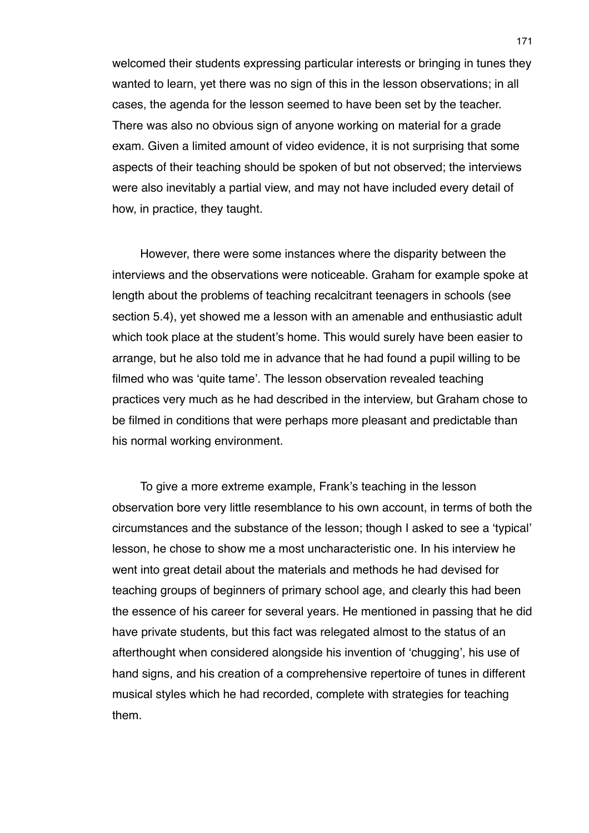welcomed their students expressing particular interests or bringing in tunes they wanted to learn, yet there was no sign of this in the lesson observations; in all cases, the agenda for the lesson seemed to have been set by the teacher. There was also no obvious sign of anyone working on material for a grade exam. Given a limited amount of video evidence, it is not surprising that some aspects of their teaching should be spoken of but not observed; the interviews were also inevitably a partial view, and may not have included every detail of how, in practice, they taught.

However, there were some instances where the disparity between the interviews and the observations were noticeable. Graham for example spoke at length about the problems of teaching recalcitrant teenagers in schools (see section 5.4), yet showed me a lesson with an amenable and enthusiastic adult which took place at the student's home. This would surely have been easier to arrange, but he also told me in advance that he had found a pupil willing to be filmed who was ʻquite tame'. The lesson observation revealed teaching practices very much as he had described in the interview, but Graham chose to be filmed in conditions that were perhaps more pleasant and predictable than his normal working environment.

To give a more extreme example, Frank's teaching in the lesson observation bore very little resemblance to his own account, in terms of both the circumstances and the substance of the lesson; though I asked to see a ʻtypical' lesson, he chose to show me a most uncharacteristic one. In his interview he went into great detail about the materials and methods he had devised for teaching groups of beginners of primary school age, and clearly this had been the essence of his career for several years. He mentioned in passing that he did have private students, but this fact was relegated almost to the status of an afterthought when considered alongside his invention of ʻchugging', his use of hand signs, and his creation of a comprehensive repertoire of tunes in different musical styles which he had recorded, complete with strategies for teaching them.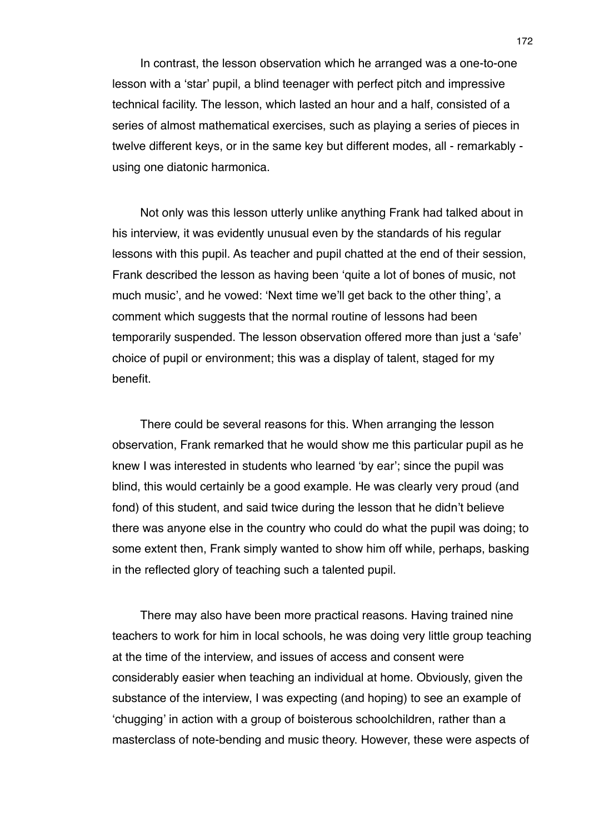In contrast, the lesson observation which he arranged was a one-to-one lesson with a ʻstar' pupil, a blind teenager with perfect pitch and impressive technical facility. The lesson, which lasted an hour and a half, consisted of a series of almost mathematical exercises, such as playing a series of pieces in twelve different keys, or in the same key but different modes, all - remarkably using one diatonic harmonica.

Not only was this lesson utterly unlike anything Frank had talked about in his interview, it was evidently unusual even by the standards of his regular lessons with this pupil. As teacher and pupil chatted at the end of their session, Frank described the lesson as having been ʻquite a lot of bones of music, not much music', and he vowed: ʻNext time we'll get back to the other thing', a comment which suggests that the normal routine of lessons had been temporarily suspended. The lesson observation offered more than just a ʻsafe' choice of pupil or environment; this was a display of talent, staged for my benefit.

There could be several reasons for this. When arranging the lesson observation, Frank remarked that he would show me this particular pupil as he knew I was interested in students who learned ʻby ear'; since the pupil was blind, this would certainly be a good example. He was clearly very proud (and fond) of this student, and said twice during the lesson that he didn't believe there was anyone else in the country who could do what the pupil was doing; to some extent then, Frank simply wanted to show him off while, perhaps, basking in the reflected glory of teaching such a talented pupil.

There may also have been more practical reasons. Having trained nine teachers to work for him in local schools, he was doing very little group teaching at the time of the interview, and issues of access and consent were considerably easier when teaching an individual at home. Obviously, given the substance of the interview, I was expecting (and hoping) to see an example of ʻchugging' in action with a group of boisterous schoolchildren, rather than a masterclass of note-bending and music theory. However, these were aspects of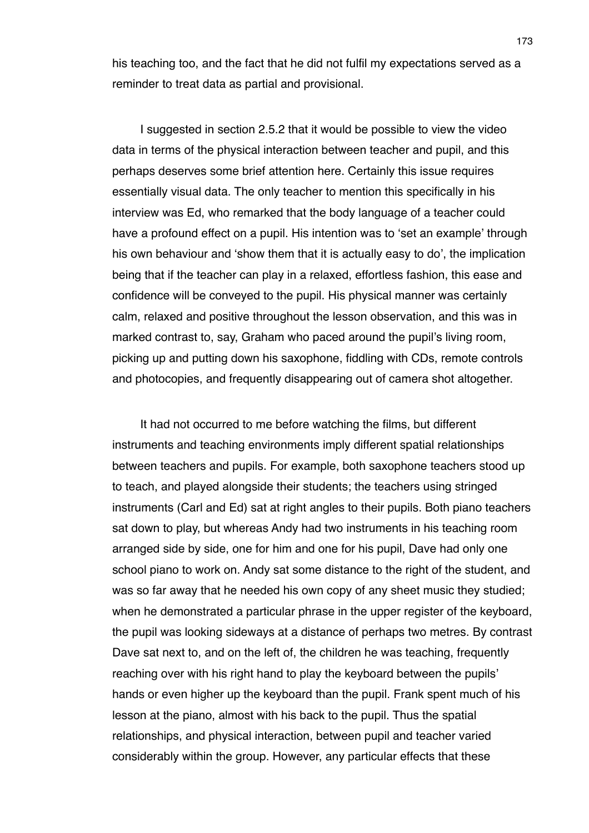his teaching too, and the fact that he did not fulfil my expectations served as a reminder to treat data as partial and provisional.

I suggested in section 2.5.2 that it would be possible to view the video data in terms of the physical interaction between teacher and pupil, and this perhaps deserves some brief attention here. Certainly this issue requires essentially visual data. The only teacher to mention this specifically in his interview was Ed, who remarked that the body language of a teacher could have a profound effect on a pupil. His intention was to ʻset an example' through his own behaviour and ʻshow them that it is actually easy to do', the implication being that if the teacher can play in a relaxed, effortless fashion, this ease and confidence will be conveyed to the pupil. His physical manner was certainly calm, relaxed and positive throughout the lesson observation, and this was in marked contrast to, say, Graham who paced around the pupil's living room, picking up and putting down his saxophone, fiddling with CDs, remote controls and photocopies, and frequently disappearing out of camera shot altogether.

It had not occurred to me before watching the films, but different instruments and teaching environments imply different spatial relationships between teachers and pupils. For example, both saxophone teachers stood up to teach, and played alongside their students; the teachers using stringed instruments (Carl and Ed) sat at right angles to their pupils. Both piano teachers sat down to play, but whereas Andy had two instruments in his teaching room arranged side by side, one for him and one for his pupil, Dave had only one school piano to work on. Andy sat some distance to the right of the student, and was so far away that he needed his own copy of any sheet music they studied; when he demonstrated a particular phrase in the upper register of the keyboard, the pupil was looking sideways at a distance of perhaps two metres. By contrast Dave sat next to, and on the left of, the children he was teaching, frequently reaching over with his right hand to play the keyboard between the pupils' hands or even higher up the keyboard than the pupil. Frank spent much of his lesson at the piano, almost with his back to the pupil. Thus the spatial relationships, and physical interaction, between pupil and teacher varied considerably within the group. However, any particular effects that these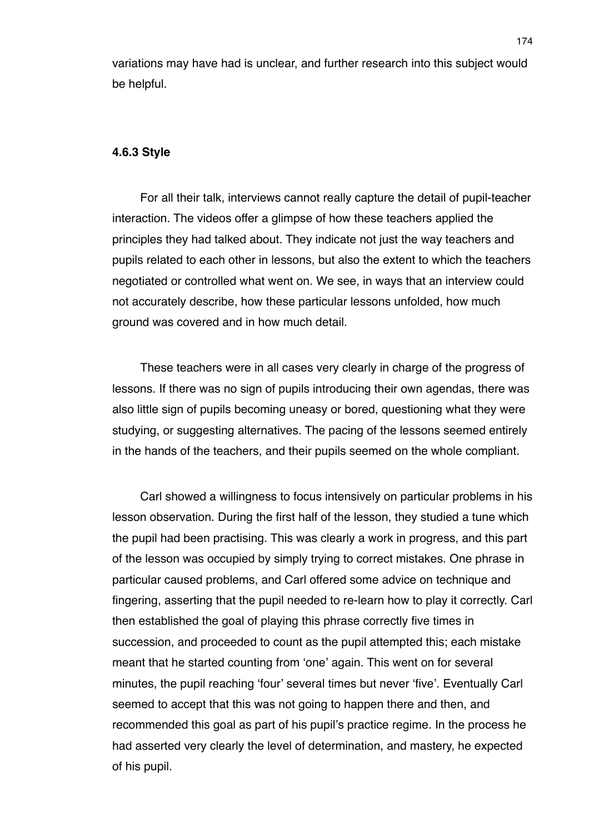variations may have had is unclear, and further research into this subject would be helpful.

## **4.6.3 Style**

For all their talk, interviews cannot really capture the detail of pupil-teacher interaction. The videos offer a glimpse of how these teachers applied the principles they had talked about. They indicate not just the way teachers and pupils related to each other in lessons, but also the extent to which the teachers negotiated or controlled what went on. We see, in ways that an interview could not accurately describe, how these particular lessons unfolded, how much ground was covered and in how much detail.

These teachers were in all cases very clearly in charge of the progress of lessons. If there was no sign of pupils introducing their own agendas, there was also little sign of pupils becoming uneasy or bored, questioning what they were studying, or suggesting alternatives. The pacing of the lessons seemed entirely in the hands of the teachers, and their pupils seemed on the whole compliant.

Carl showed a willingness to focus intensively on particular problems in his lesson observation. During the first half of the lesson, they studied a tune which the pupil had been practising. This was clearly a work in progress, and this part of the lesson was occupied by simply trying to correct mistakes. One phrase in particular caused problems, and Carl offered some advice on technique and fingering, asserting that the pupil needed to re-learn how to play it correctly. Carl then established the goal of playing this phrase correctly five times in succession, and proceeded to count as the pupil attempted this; each mistake meant that he started counting from ʻone' again. This went on for several minutes, the pupil reaching ʻfour' several times but never ʻfive'. Eventually Carl seemed to accept that this was not going to happen there and then, and recommended this goal as part of his pupil's practice regime. In the process he had asserted very clearly the level of determination, and mastery, he expected of his pupil.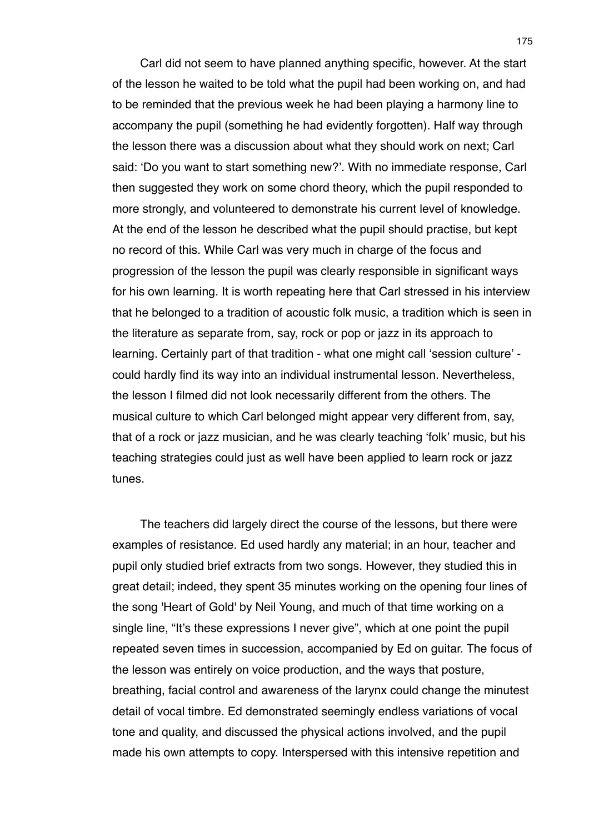Carl did not seem to have planned anything specific, however. At the start of the lesson he waited to be told what the pupil had been working on, and had to be reminded that the previous week he had been playing a harmony line to accompany the pupil (something he had evidently forgotten). Half way through the lesson there was a discussion about what they should work on next; Carl said: ʻDo you want to start something new?'. With no immediate response, Carl then suggested they work on some chord theory, which the pupil responded to more strongly, and volunteered to demonstrate his current level of knowledge. At the end of the lesson he described what the pupil should practise, but kept no record of this. While Carl was very much in charge of the focus and progression of the lesson the pupil was clearly responsible in significant ways for his own learning. It is worth repeating here that Carl stressed in his interview that he belonged to a tradition of acoustic folk music, a tradition which is seen in the literature as separate from, say, rock or pop or jazz in its approach to learning. Certainly part of that tradition - what one might call ʻsession culture' could hardly find its way into an individual instrumental lesson. Nevertheless, the lesson I filmed did not look necessarily different from the others. The musical culture to which Carl belonged might appear very different from, say, that of a rock or jazz musician, and he was clearly teaching ʻfolk' music, but his teaching strategies could just as well have been applied to learn rock or jazz tunes.

The teachers did largely direct the course of the lessons, but there were examples of resistance. Ed used hardly any material; in an hour, teacher and pupil only studied brief extracts from two songs. However, they studied this in great detail; indeed, they spent 35 minutes working on the opening four lines of the song 'Heart of Gold' by Neil Young, and much of that time working on a single line, "It's these expressions I never give", which at one point the pupil repeated seven times in succession, accompanied by Ed on guitar. The focus of the lesson was entirely on voice production, and the ways that posture, breathing, facial control and awareness of the larynx could change the minutest detail of vocal timbre. Ed demonstrated seemingly endless variations of vocal tone and quality, and discussed the physical actions involved, and the pupil made his own attempts to copy. Interspersed with this intensive repetition and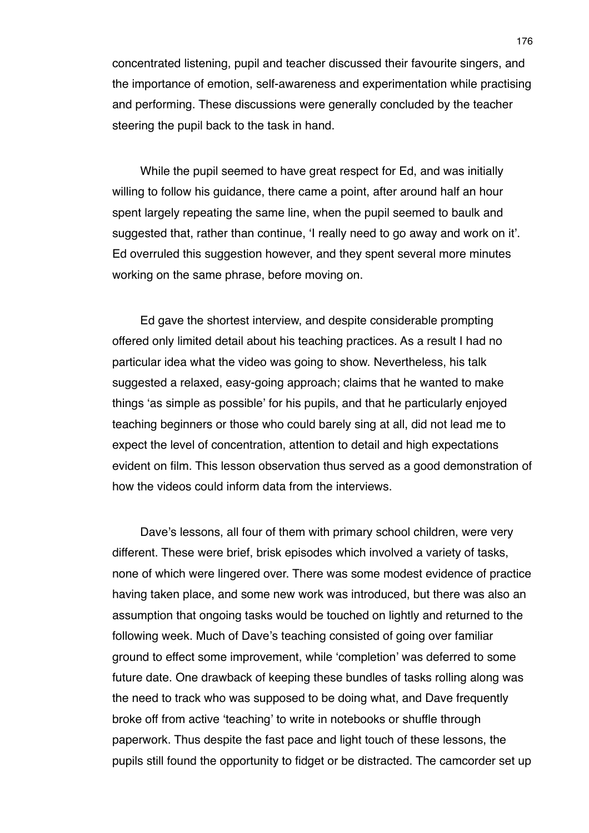concentrated listening, pupil and teacher discussed their favourite singers, and the importance of emotion, self-awareness and experimentation while practising and performing. These discussions were generally concluded by the teacher steering the pupil back to the task in hand.

While the pupil seemed to have great respect for Ed, and was initially willing to follow his guidance, there came a point, after around half an hour spent largely repeating the same line, when the pupil seemed to baulk and suggested that, rather than continue, ʻI really need to go away and work on it'. Ed overruled this suggestion however, and they spent several more minutes working on the same phrase, before moving on.

Ed gave the shortest interview, and despite considerable prompting offered only limited detail about his teaching practices. As a result I had no particular idea what the video was going to show. Nevertheless, his talk suggested a relaxed, easy-going approach; claims that he wanted to make things ʻas simple as possible' for his pupils, and that he particularly enjoyed teaching beginners or those who could barely sing at all, did not lead me to expect the level of concentration, attention to detail and high expectations evident on film. This lesson observation thus served as a good demonstration of how the videos could inform data from the interviews.

Dave's lessons, all four of them with primary school children, were very different. These were brief, brisk episodes which involved a variety of tasks, none of which were lingered over. There was some modest evidence of practice having taken place, and some new work was introduced, but there was also an assumption that ongoing tasks would be touched on lightly and returned to the following week. Much of Dave's teaching consisted of going over familiar ground to effect some improvement, while ʻcompletion' was deferred to some future date. One drawback of keeping these bundles of tasks rolling along was the need to track who was supposed to be doing what, and Dave frequently broke off from active ʻteaching' to write in notebooks or shuffle through paperwork. Thus despite the fast pace and light touch of these lessons, the pupils still found the opportunity to fidget or be distracted. The camcorder set up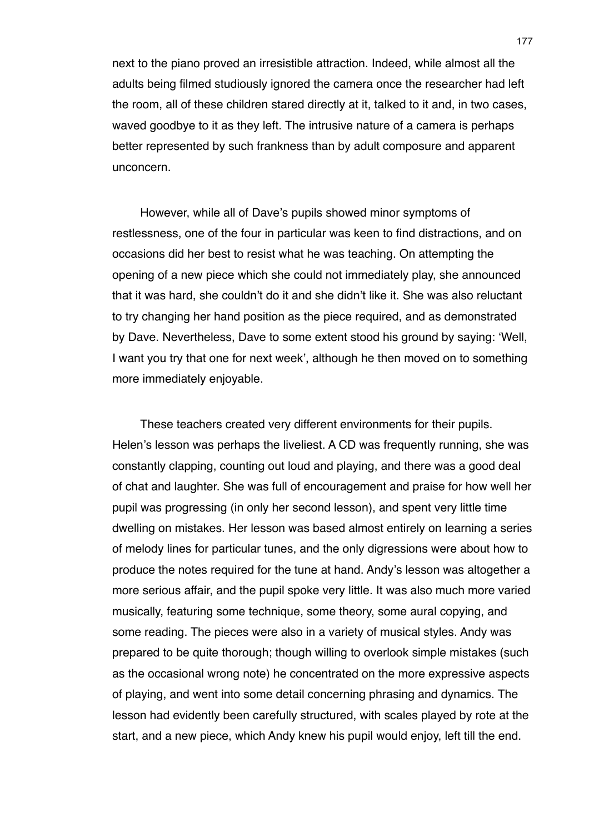next to the piano proved an irresistible attraction. Indeed, while almost all the adults being filmed studiously ignored the camera once the researcher had left the room, all of these children stared directly at it, talked to it and, in two cases, waved goodbye to it as they left. The intrusive nature of a camera is perhaps better represented by such frankness than by adult composure and apparent unconcern.

However, while all of Dave's pupils showed minor symptoms of restlessness, one of the four in particular was keen to find distractions, and on occasions did her best to resist what he was teaching. On attempting the opening of a new piece which she could not immediately play, she announced that it was hard, she couldn't do it and she didn't like it. She was also reluctant to try changing her hand position as the piece required, and as demonstrated by Dave. Nevertheless, Dave to some extent stood his ground by saying: ʻWell, I want you try that one for next week', although he then moved on to something more immediately enjoyable.

These teachers created very different environments for their pupils. Helen's lesson was perhaps the liveliest. A CD was frequently running, she was constantly clapping, counting out loud and playing, and there was a good deal of chat and laughter. She was full of encouragement and praise for how well her pupil was progressing (in only her second lesson), and spent very little time dwelling on mistakes. Her lesson was based almost entirely on learning a series of melody lines for particular tunes, and the only digressions were about how to produce the notes required for the tune at hand. Andy's lesson was altogether a more serious affair, and the pupil spoke very little. It was also much more varied musically, featuring some technique, some theory, some aural copying, and some reading. The pieces were also in a variety of musical styles. Andy was prepared to be quite thorough; though willing to overlook simple mistakes (such as the occasional wrong note) he concentrated on the more expressive aspects of playing, and went into some detail concerning phrasing and dynamics. The lesson had evidently been carefully structured, with scales played by rote at the start, and a new piece, which Andy knew his pupil would enjoy, left till the end.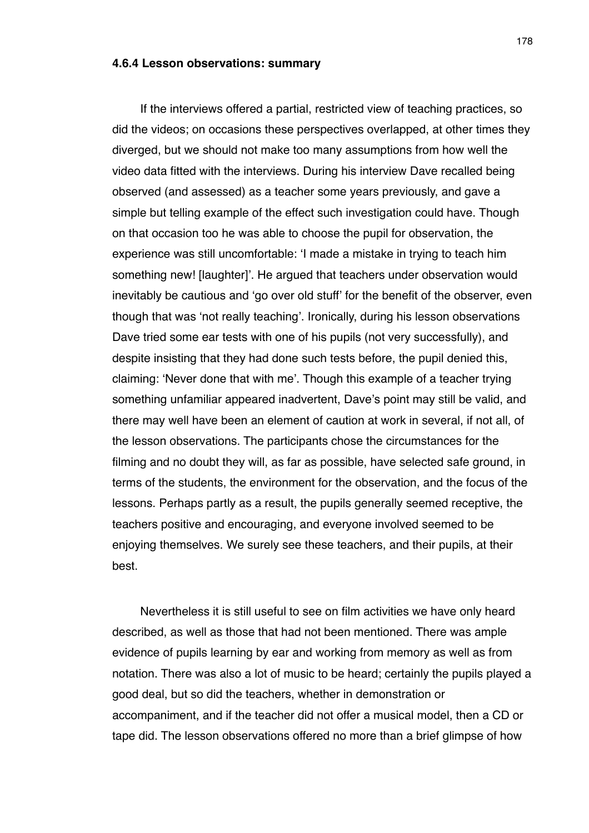#### **4.6.4 Lesson observations: summary**

If the interviews offered a partial, restricted view of teaching practices, so did the videos; on occasions these perspectives overlapped, at other times they diverged, but we should not make too many assumptions from how well the video data fitted with the interviews. During his interview Dave recalled being observed (and assessed) as a teacher some years previously, and gave a simple but telling example of the effect such investigation could have. Though on that occasion too he was able to choose the pupil for observation, the experience was still uncomfortable: ʻI made a mistake in trying to teach him something new! [laughter]'. He argued that teachers under observation would inevitably be cautious and ʻgo over old stuff' for the benefit of the observer, even though that was ʻnot really teaching'. Ironically, during his lesson observations Dave tried some ear tests with one of his pupils (not very successfully), and despite insisting that they had done such tests before, the pupil denied this, claiming: ʻNever done that with me'. Though this example of a teacher trying something unfamiliar appeared inadvertent, Dave's point may still be valid, and there may well have been an element of caution at work in several, if not all, of the lesson observations. The participants chose the circumstances for the filming and no doubt they will, as far as possible, have selected safe ground, in terms of the students, the environment for the observation, and the focus of the lessons. Perhaps partly as a result, the pupils generally seemed receptive, the teachers positive and encouraging, and everyone involved seemed to be enjoying themselves. We surely see these teachers, and their pupils, at their best.

Nevertheless it is still useful to see on film activities we have only heard described, as well as those that had not been mentioned. There was ample evidence of pupils learning by ear and working from memory as well as from notation. There was also a lot of music to be heard; certainly the pupils played a good deal, but so did the teachers, whether in demonstration or accompaniment, and if the teacher did not offer a musical model, then a CD or tape did. The lesson observations offered no more than a brief glimpse of how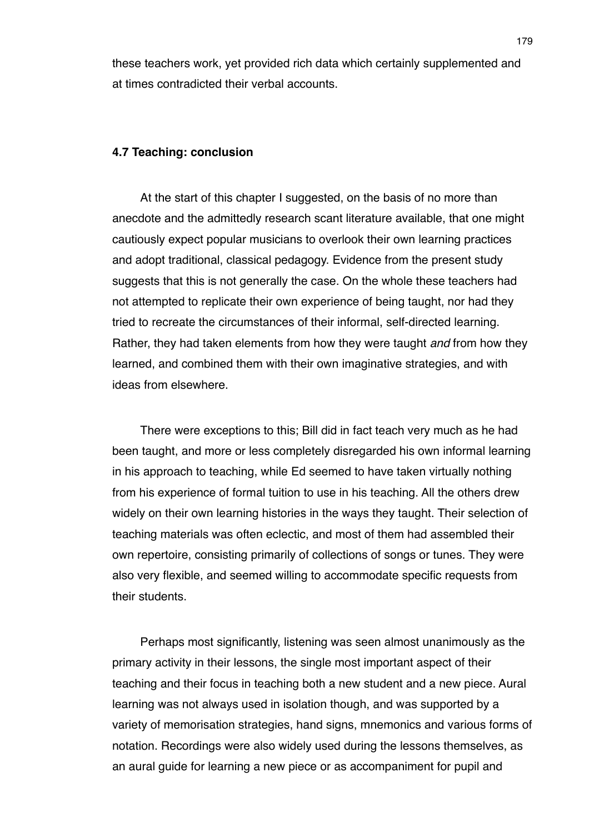these teachers work, yet provided rich data which certainly supplemented and at times contradicted their verbal accounts.

### **4.7 Teaching: conclusion**

At the start of this chapter I suggested, on the basis of no more than anecdote and the admittedly research scant literature available, that one might cautiously expect popular musicians to overlook their own learning practices and adopt traditional, classical pedagogy. Evidence from the present study suggests that this is not generally the case. On the whole these teachers had not attempted to replicate their own experience of being taught, nor had they tried to recreate the circumstances of their informal, self-directed learning. Rather, they had taken elements from how they were taught *and* from how they learned, and combined them with their own imaginative strategies, and with ideas from elsewhere.

There were exceptions to this; Bill did in fact teach very much as he had been taught, and more or less completely disregarded his own informal learning in his approach to teaching, while Ed seemed to have taken virtually nothing from his experience of formal tuition to use in his teaching. All the others drew widely on their own learning histories in the ways they taught. Their selection of teaching materials was often eclectic, and most of them had assembled their own repertoire, consisting primarily of collections of songs or tunes. They were also very flexible, and seemed willing to accommodate specific requests from their students.

Perhaps most significantly, listening was seen almost unanimously as the primary activity in their lessons, the single most important aspect of their teaching and their focus in teaching both a new student and a new piece. Aural learning was not always used in isolation though, and was supported by a variety of memorisation strategies, hand signs, mnemonics and various forms of notation. Recordings were also widely used during the lessons themselves, as an aural guide for learning a new piece or as accompaniment for pupil and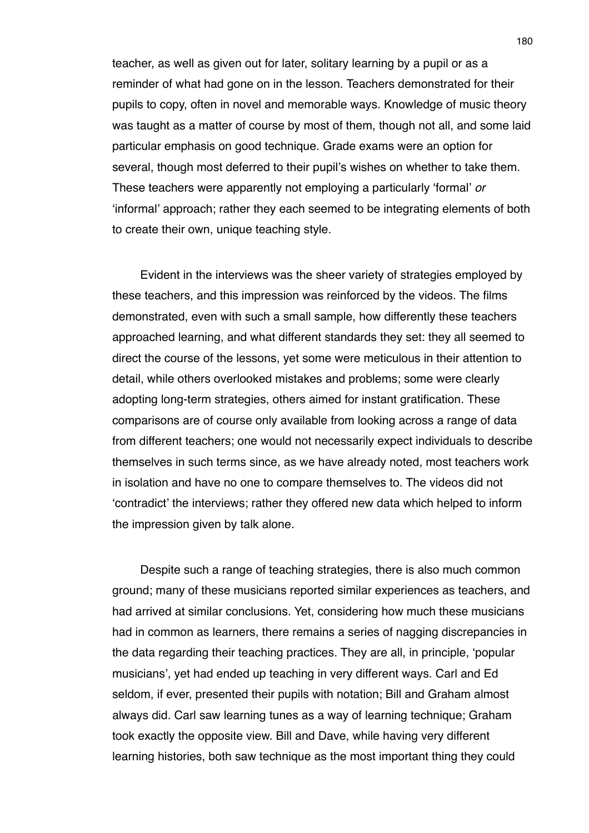teacher, as well as given out for later, solitary learning by a pupil or as a reminder of what had gone on in the lesson. Teachers demonstrated for their pupils to copy, often in novel and memorable ways. Knowledge of music theory was taught as a matter of course by most of them, though not all, and some laid particular emphasis on good technique. Grade exams were an option for several, though most deferred to their pupil's wishes on whether to take them. These teachers were apparently not employing a particularly ʻformal' *or* ʻinformal' approach; rather they each seemed to be integrating elements of both to create their own, unique teaching style.

Evident in the interviews was the sheer variety of strategies employed by these teachers, and this impression was reinforced by the videos. The films demonstrated, even with such a small sample, how differently these teachers approached learning, and what different standards they set: they all seemed to direct the course of the lessons, yet some were meticulous in their attention to detail, while others overlooked mistakes and problems; some were clearly adopting long-term strategies, others aimed for instant gratification. These comparisons are of course only available from looking across a range of data from different teachers; one would not necessarily expect individuals to describe themselves in such terms since, as we have already noted, most teachers work in isolation and have no one to compare themselves to. The videos did not ʻcontradict' the interviews; rather they offered new data which helped to inform the impression given by talk alone.

Despite such a range of teaching strategies, there is also much common ground; many of these musicians reported similar experiences as teachers, and had arrived at similar conclusions. Yet, considering how much these musicians had in common as learners, there remains a series of nagging discrepancies in the data regarding their teaching practices. They are all, in principle, ʻpopular musicians', yet had ended up teaching in very different ways. Carl and Ed seldom, if ever, presented their pupils with notation; Bill and Graham almost always did. Carl saw learning tunes as a way of learning technique; Graham took exactly the opposite view. Bill and Dave, while having very different learning histories, both saw technique as the most important thing they could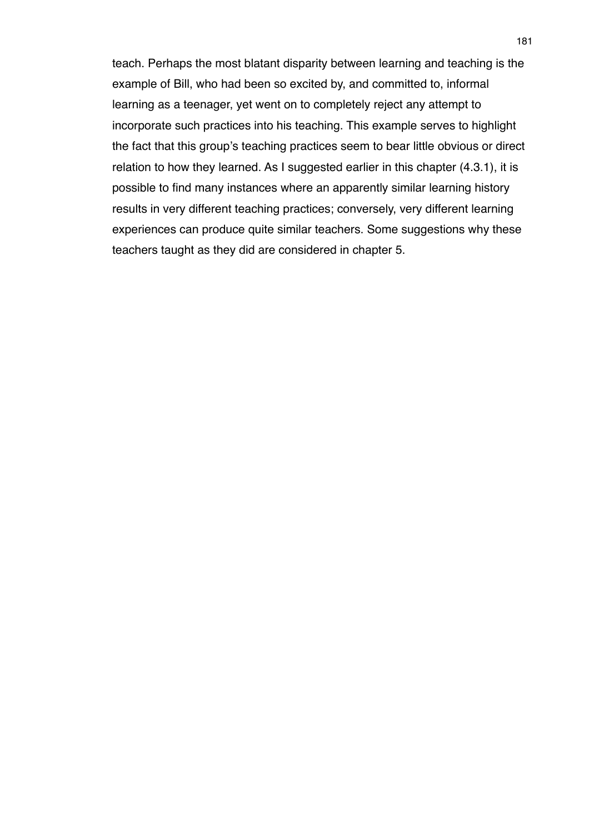teach. Perhaps the most blatant disparity between learning and teaching is the example of Bill, who had been so excited by, and committed to, informal learning as a teenager, yet went on to completely reject any attempt to incorporate such practices into his teaching. This example serves to highlight the fact that this group's teaching practices seem to bear little obvious or direct relation to how they learned. As I suggested earlier in this chapter (4.3.1), it is possible to find many instances where an apparently similar learning history results in very different teaching practices; conversely, very different learning experiences can produce quite similar teachers. Some suggestions why these teachers taught as they did are considered in chapter 5.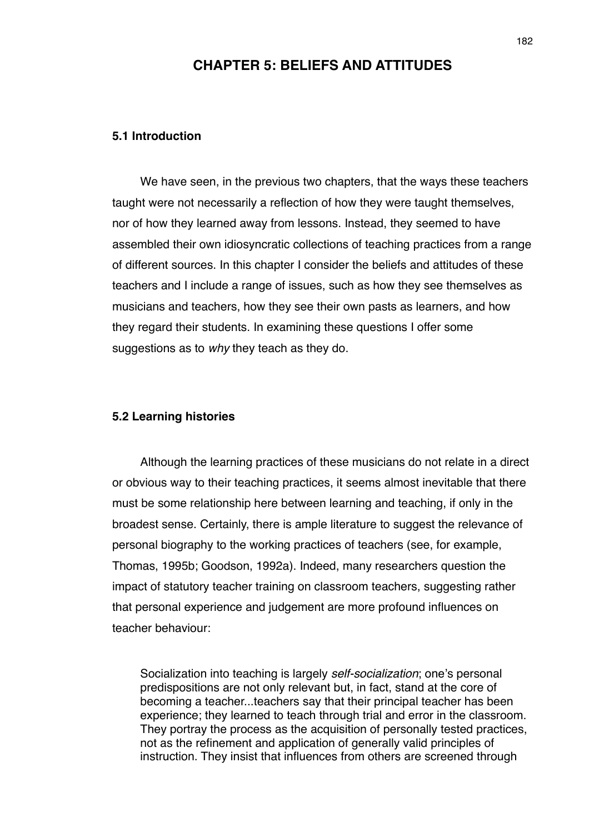# **CHAPTER 5: BELIEFS AND ATTITUDES**

## **5.1 Introduction**

We have seen, in the previous two chapters, that the ways these teachers taught were not necessarily a reflection of how they were taught themselves, nor of how they learned away from lessons. Instead, they seemed to have assembled their own idiosyncratic collections of teaching practices from a range of different sources. In this chapter I consider the beliefs and attitudes of these teachers and I include a range of issues, such as how they see themselves as musicians and teachers, how they see their own pasts as learners, and how they regard their students. In examining these questions I offer some suggestions as to *why* they teach as they do.

## **5.2 Learning histories**

Although the learning practices of these musicians do not relate in a direct or obvious way to their teaching practices, it seems almost inevitable that there must be some relationship here between learning and teaching, if only in the broadest sense. Certainly, there is ample literature to suggest the relevance of personal biography to the working practices of teachers (see, for example, Thomas, 1995b; Goodson, 1992a). Indeed, many researchers question the impact of statutory teacher training on classroom teachers, suggesting rather that personal experience and judgement are more profound influences on teacher behaviour:

Socialization into teaching is largely *self-socialization*; one's personal predispositions are not only relevant but, in fact, stand at the core of becoming a teacher...teachers say that their principal teacher has been experience; they learned to teach through trial and error in the classroom. They portray the process as the acquisition of personally tested practices, not as the refinement and application of generally valid principles of instruction. They insist that influences from others are screened through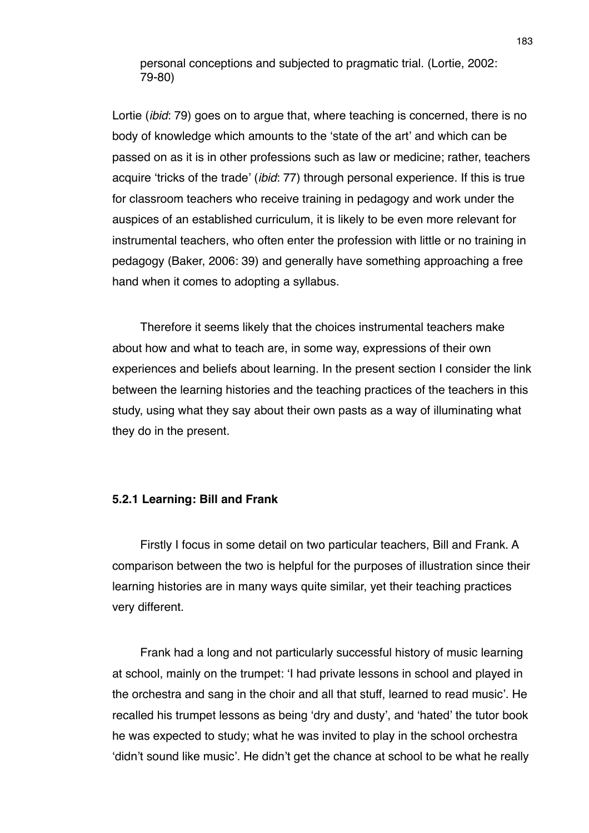personal conceptions and subjected to pragmatic trial. (Lortie, 2002: 79-80)

Lortie (*ibid*: 79) goes on to argue that, where teaching is concerned, there is no body of knowledge which amounts to the ʻstate of the art' and which can be passed on as it is in other professions such as law or medicine; rather, teachers acquire ʻtricks of the trade' (*ibid*: 77) through personal experience. If this is true for classroom teachers who receive training in pedagogy and work under the auspices of an established curriculum, it is likely to be even more relevant for instrumental teachers, who often enter the profession with little or no training in pedagogy (Baker, 2006: 39) and generally have something approaching a free hand when it comes to adopting a syllabus.

Therefore it seems likely that the choices instrumental teachers make about how and what to teach are, in some way, expressions of their own experiences and beliefs about learning. In the present section I consider the link between the learning histories and the teaching practices of the teachers in this study, using what they say about their own pasts as a way of illuminating what they do in the present.

### **5.2.1 Learning: Bill and Frank**

Firstly I focus in some detail on two particular teachers, Bill and Frank. A comparison between the two is helpful for the purposes of illustration since their learning histories are in many ways quite similar, yet their teaching practices very different.

Frank had a long and not particularly successful history of music learning at school, mainly on the trumpet: ʻI had private lessons in school and played in the orchestra and sang in the choir and all that stuff, learned to read music'. He recalled his trumpet lessons as being ʻdry and dusty', and ʻhated' the tutor book he was expected to study; what he was invited to play in the school orchestra ʻdidn't sound like music'. He didn't get the chance at school to be what he really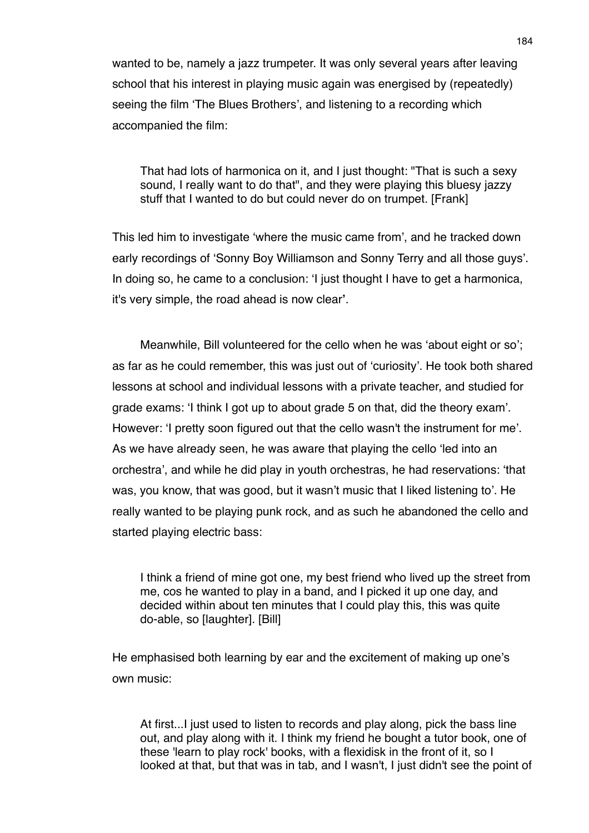wanted to be, namely a jazz trumpeter. It was only several years after leaving school that his interest in playing music again was energised by (repeatedly) seeing the film ʻThe Blues Brothers', and listening to a recording which accompanied the film:

That had lots of harmonica on it, and I just thought: "That is such a sexy sound, I really want to do that", and they were playing this bluesy jazzy stuff that I wanted to do but could never do on trumpet. [Frank]

This led him to investigate ʻwhere the music came from', and he tracked down early recordings of ʻSonny Boy Williamson and Sonny Terry and all those guys'. In doing so, he came to a conclusion: ʻI just thought I have to get a harmonica, it's very simple, the road ahead is now clear**'**.

Meanwhile, Bill volunteered for the cello when he was ʻabout eight or so'; as far as he could remember, this was just out of ʻcuriosity'. He took both shared lessons at school and individual lessons with a private teacher, and studied for grade exams: ʻI think I got up to about grade 5 on that, did the theory exam'. However: ʻI pretty soon figured out that the cello wasn't the instrument for me'. As we have already seen, he was aware that playing the cello ʻled into an orchestra', and while he did play in youth orchestras, he had reservations: ʻthat was, you know, that was good, but it wasn't music that I liked listening to'. He really wanted to be playing punk rock, and as such he abandoned the cello and started playing electric bass:

I think a friend of mine got one, my best friend who lived up the street from me, cos he wanted to play in a band, and I picked it up one day, and decided within about ten minutes that I could play this, this was quite do-able, so [laughter]. [Bill]

He emphasised both learning by ear and the excitement of making up one's own music:

At first...I just used to listen to records and play along, pick the bass line out, and play along with it. I think my friend he bought a tutor book, one of these 'learn to play rock' books, with a flexidisk in the front of it, so I looked at that, but that was in tab, and I wasn't, I just didn't see the point of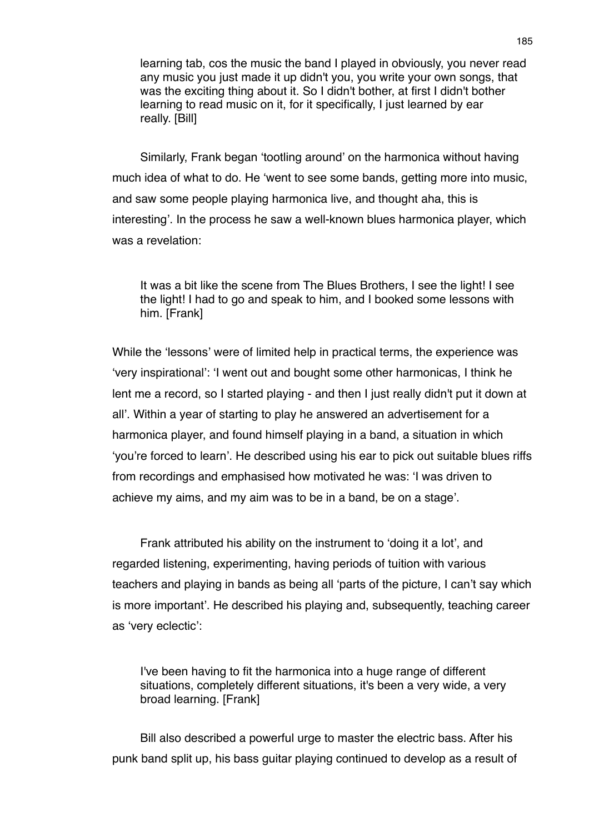learning tab, cos the music the band I played in obviously, you never read any music you just made it up didn't you, you write your own songs, that was the exciting thing about it. So I didn't bother, at first I didn't bother learning to read music on it, for it specifically, I just learned by ear really. [Bill]

Similarly, Frank began ʻtootling around' on the harmonica without having much idea of what to do. He ʻwent to see some bands, getting more into music, and saw some people playing harmonica live, and thought aha, this is interesting'. In the process he saw a well-known blues harmonica player, which was a revelation:

It was a bit like the scene from The Blues Brothers, I see the light! I see the light! I had to go and speak to him, and I booked some lessons with him. [Frank]

While the ʻlessons' were of limited help in practical terms, the experience was ʻvery inspirational': ʻI went out and bought some other harmonicas, I think he lent me a record, so I started playing - and then I just really didn't put it down at all'. Within a year of starting to play he answered an advertisement for a harmonica player, and found himself playing in a band, a situation in which ʻyou're forced to learn'. He described using his ear to pick out suitable blues riffs from recordings and emphasised how motivated he was: ʻI was driven to achieve my aims, and my aim was to be in a band, be on a stage'.

Frank attributed his ability on the instrument to ʻdoing it a lot', and regarded listening, experimenting, having periods of tuition with various teachers and playing in bands as being all ʻparts of the picture, I can't say which is more important'. He described his playing and, subsequently, teaching career as ʻvery eclectic':

I've been having to fit the harmonica into a huge range of different situations, completely different situations, it's been a very wide, a very broad learning. [Frank]

Bill also described a powerful urge to master the electric bass. After his punk band split up, his bass guitar playing continued to develop as a result of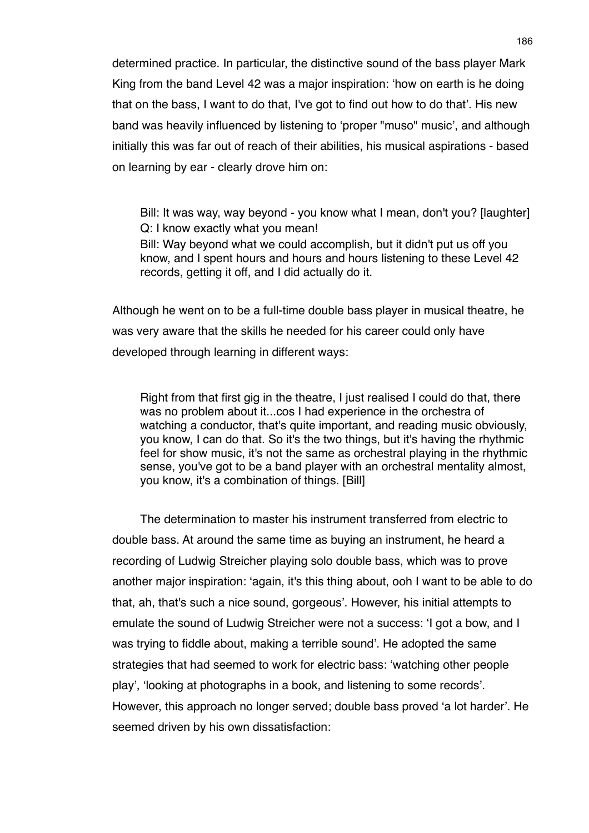determined practice. In particular, the distinctive sound of the bass player Mark King from the band Level 42 was a major inspiration: ʻhow on earth is he doing that on the bass, I want to do that, I've got to find out how to do that'. His new band was heavily influenced by listening to ʻproper "muso" music', and although initially this was far out of reach of their abilities, his musical aspirations - based on learning by ear - clearly drove him on:

Bill: It was way, way beyond - you know what I mean, don't you? [laughter] Q: I know exactly what you mean! Bill: Way beyond what we could accomplish, but it didn't put us off you know, and I spent hours and hours and hours listening to these Level 42 records, getting it off, and I did actually do it.

Although he went on to be a full-time double bass player in musical theatre, he was very aware that the skills he needed for his career could only have developed through learning in different ways:

Right from that first gig in the theatre, I just realised I could do that, there was no problem about it...cos I had experience in the orchestra of watching a conductor, that's quite important, and reading music obviously, you know, I can do that. So it's the two things, but it's having the rhythmic feel for show music, it's not the same as orchestral playing in the rhythmic sense, you've got to be a band player with an orchestral mentality almost, you know, it's a combination of things. [Bill]

The determination to master his instrument transferred from electric to double bass. At around the same time as buying an instrument, he heard a recording of Ludwig Streicher playing solo double bass, which was to prove another major inspiration: ʻagain, it's this thing about, ooh I want to be able to do that, ah, that's such a nice sound, gorgeous'. However, his initial attempts to emulate the sound of Ludwig Streicher were not a success: ʻI got a bow, and I was trying to fiddle about, making a terrible sound'. He adopted the same strategies that had seemed to work for electric bass: ʻwatching other people play', ʻlooking at photographs in a book, and listening to some records'. However, this approach no longer served; double bass proved ʻa lot harder'. He seemed driven by his own dissatisfaction: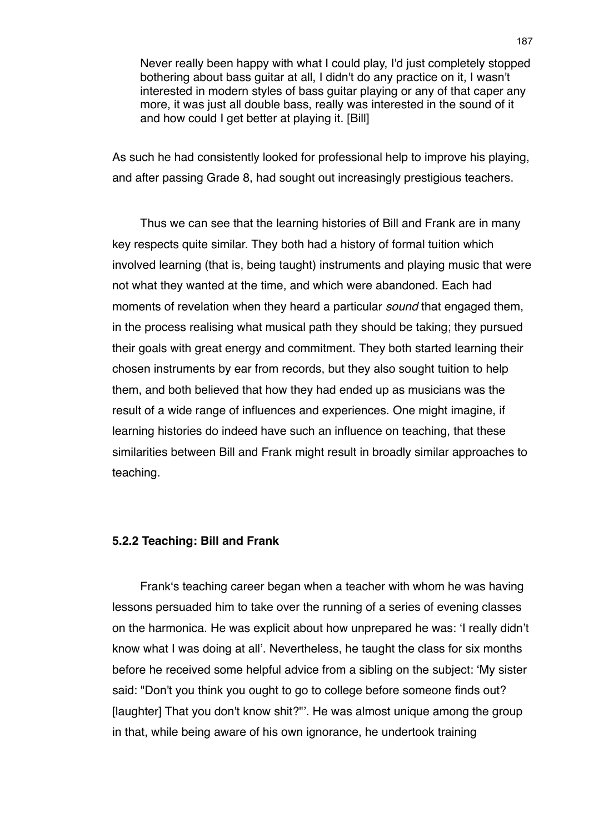Never really been happy with what I could play, I'd just completely stopped bothering about bass guitar at all, I didn't do any practice on it, I wasn't interested in modern styles of bass guitar playing or any of that caper any more, it was just all double bass, really was interested in the sound of it and how could I get better at playing it. [Bill]

As such he had consistently looked for professional help to improve his playing, and after passing Grade 8, had sought out increasingly prestigious teachers.

Thus we can see that the learning histories of Bill and Frank are in many key respects quite similar. They both had a history of formal tuition which involved learning (that is, being taught) instruments and playing music that were not what they wanted at the time, and which were abandoned. Each had moments of revelation when they heard a particular *sound* that engaged them, in the process realising what musical path they should be taking; they pursued their goals with great energy and commitment. They both started learning their chosen instruments by ear from records, but they also sought tuition to help them, and both believed that how they had ended up as musicians was the result of a wide range of influences and experiences. One might imagine, if learning histories do indeed have such an influence on teaching, that these similarities between Bill and Frank might result in broadly similar approaches to teaching.

## **5.2.2 Teaching: Bill and Frank**

Frankʻs teaching career began when a teacher with whom he was having lessons persuaded him to take over the running of a series of evening classes on the harmonica. He was explicit about how unprepared he was: ʻI really didn't know what I was doing at all'. Nevertheless, he taught the class for six months before he received some helpful advice from a sibling on the subject: ʻMy sister said: "Don't you think you ought to go to college before someone finds out? [laughter] That you don't know shit?"'. He was almost unique among the group in that, while being aware of his own ignorance, he undertook training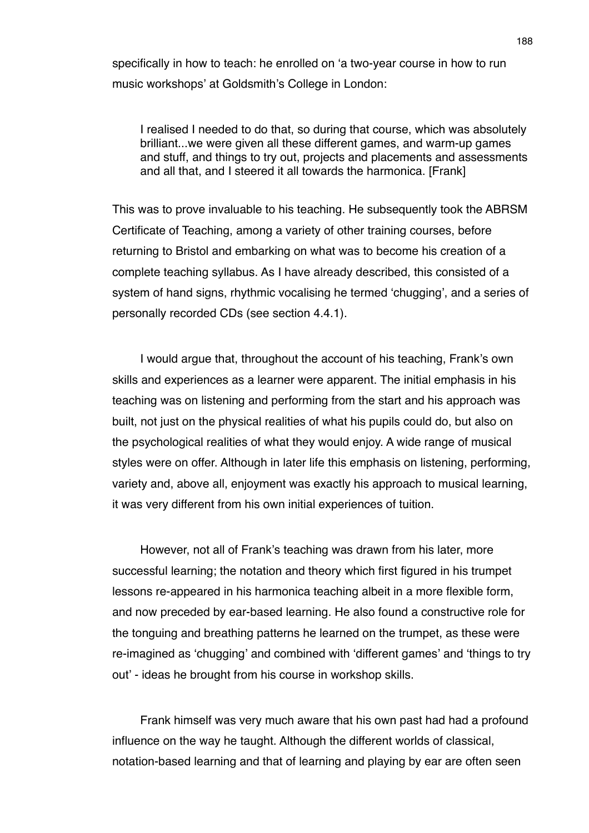specifically in how to teach: he enrolled on ʻa two-year course in how to run music workshops' at Goldsmith's College in London:

I realised I needed to do that, so during that course, which was absolutely brilliant...we were given all these different games, and warm-up games and stuff, and things to try out, projects and placements and assessments and all that, and I steered it all towards the harmonica. [Frank]

This was to prove invaluable to his teaching. He subsequently took the ABRSM Certificate of Teaching, among a variety of other training courses, before returning to Bristol and embarking on what was to become his creation of a complete teaching syllabus. As I have already described, this consisted of a system of hand signs, rhythmic vocalising he termed ʻchugging', and a series of personally recorded CDs (see section 4.4.1).

I would argue that, throughout the account of his teaching, Frank's own skills and experiences as a learner were apparent. The initial emphasis in his teaching was on listening and performing from the start and his approach was built, not just on the physical realities of what his pupils could do, but also on the psychological realities of what they would enjoy. A wide range of musical styles were on offer. Although in later life this emphasis on listening, performing, variety and, above all, enjoyment was exactly his approach to musical learning, it was very different from his own initial experiences of tuition.

However, not all of Frank's teaching was drawn from his later, more successful learning; the notation and theory which first figured in his trumpet lessons re-appeared in his harmonica teaching albeit in a more flexible form, and now preceded by ear-based learning. He also found a constructive role for the tonguing and breathing patterns he learned on the trumpet, as these were re-imagined as ʻchugging' and combined with ʻdifferent games' and ʻthings to try out' - ideas he brought from his course in workshop skills.

Frank himself was very much aware that his own past had had a profound influence on the way he taught. Although the different worlds of classical, notation-based learning and that of learning and playing by ear are often seen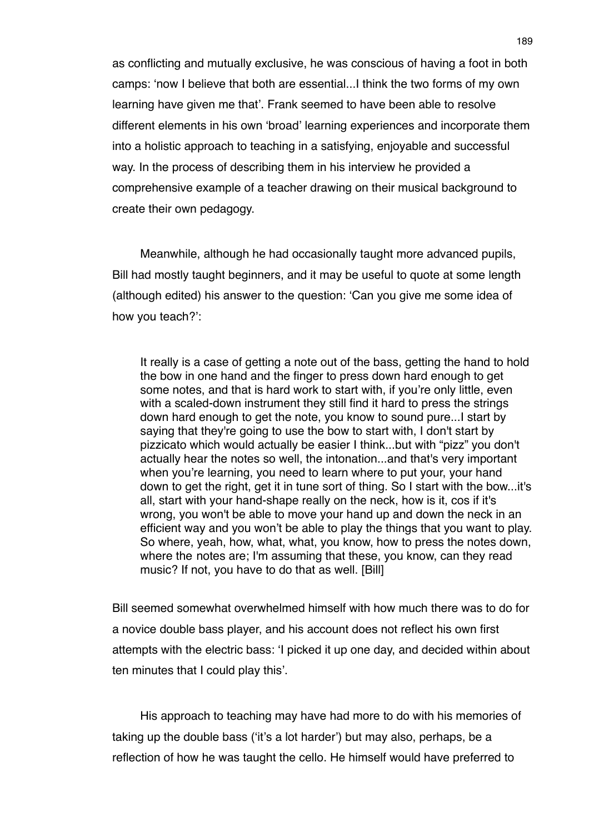as conflicting and mutually exclusive, he was conscious of having a foot in both camps: ʻnow I believe that both are essential...I think the two forms of my own learning have given me that'. Frank seemed to have been able to resolve different elements in his own ʻbroad' learning experiences and incorporate them into a holistic approach to teaching in a satisfying, enjoyable and successful way. In the process of describing them in his interview he provided a comprehensive example of a teacher drawing on their musical background to create their own pedagogy.

Meanwhile, although he had occasionally taught more advanced pupils, Bill had mostly taught beginners, and it may be useful to quote at some length (although edited) his answer to the question: ʻCan you give me some idea of how you teach?':

It really is a case of getting a note out of the bass, getting the hand to hold the bow in one hand and the finger to press down hard enough to get some notes, and that is hard work to start with, if you're only little, even with a scaled-down instrument they still find it hard to press the strings down hard enough to get the note, you know to sound pure...I start by saying that they're going to use the bow to start with, I don't start by pizzicato which would actually be easier I think...but with "pizz" you don't actually hear the notes so well, the intonation...and that's very important when you're learning, you need to learn where to put your, your hand down to get the right, get it in tune sort of thing. So I start with the bow...it's all, start with your hand-shape really on the neck, how is it, cos if it's wrong, you won't be able to move your hand up and down the neck in an efficient way and you won't be able to play the things that you want to play. So where, yeah, how, what, what, you know, how to press the notes down, where the notes are; I'm assuming that these, you know, can they read music? If not, you have to do that as well. [Bill]

Bill seemed somewhat overwhelmed himself with how much there was to do for a novice double bass player, and his account does not reflect his own first attempts with the electric bass: ʻI picked it up one day, and decided within about ten minutes that I could play this'.

His approach to teaching may have had more to do with his memories of taking up the double bass (ʻit's a lot harder') but may also, perhaps, be a reflection of how he was taught the cello. He himself would have preferred to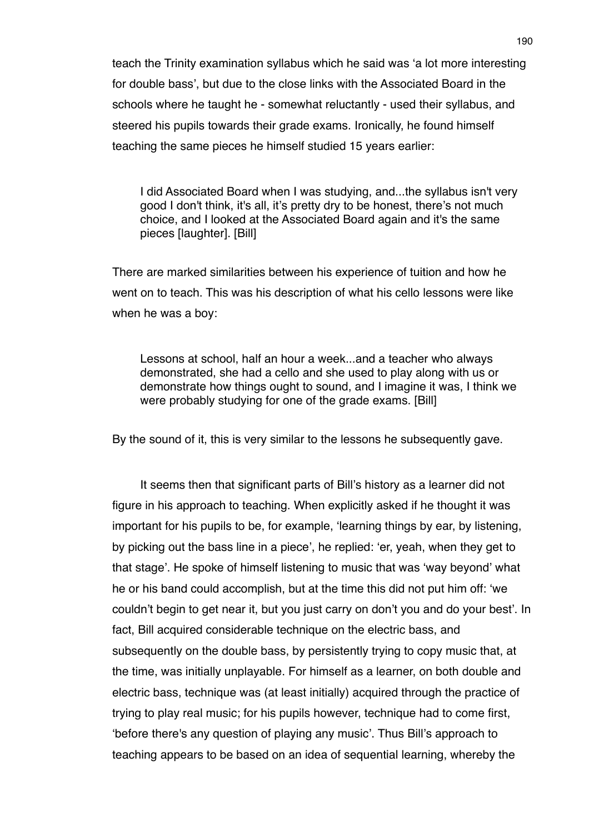teach the Trinity examination syllabus which he said was ʻa lot more interesting for double bass', but due to the close links with the Associated Board in the schools where he taught he - somewhat reluctantly - used their syllabus, and steered his pupils towards their grade exams. Ironically, he found himself teaching the same pieces he himself studied 15 years earlier:

I did Associated Board when I was studying, and...the syllabus isn't very good I don't think, it's all, it's pretty dry to be honest, there's not much choice, and I looked at the Associated Board again and it's the same pieces [laughter]. [Bill]

There are marked similarities between his experience of tuition and how he went on to teach. This was his description of what his cello lessons were like when he was a boy:

Lessons at school, half an hour a week...and a teacher who always demonstrated, she had a cello and she used to play along with us or demonstrate how things ought to sound, and I imagine it was, I think we were probably studying for one of the grade exams. [Bill]

By the sound of it, this is very similar to the lessons he subsequently gave.

It seems then that significant parts of Bill's history as a learner did not figure in his approach to teaching. When explicitly asked if he thought it was important for his pupils to be, for example, ʻlearning things by ear, by listening, by picking out the bass line in a piece', he replied: ʻer, yeah, when they get to that stage'. He spoke of himself listening to music that was ʻway beyond' what he or his band could accomplish, but at the time this did not put him off: ʻwe couldn't begin to get near it, but you just carry on don't you and do your best'. In fact, Bill acquired considerable technique on the electric bass, and subsequently on the double bass, by persistently trying to copy music that, at the time, was initially unplayable. For himself as a learner, on both double and electric bass, technique was (at least initially) acquired through the practice of trying to play real music; for his pupils however, technique had to come first, ʻbefore there's any question of playing any music'. Thus Bill's approach to teaching appears to be based on an idea of sequential learning, whereby the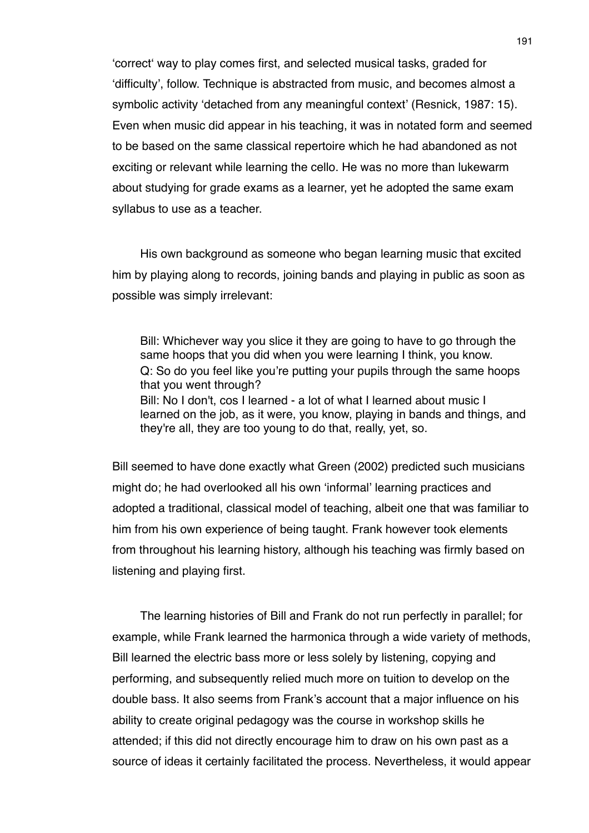ʻcorrectʻ way to play comes first, and selected musical tasks, graded for ʻdifficulty', follow. Technique is abstracted from music, and becomes almost a symbolic activity ʻdetached from any meaningful context' (Resnick, 1987: 15). Even when music did appear in his teaching, it was in notated form and seemed to be based on the same classical repertoire which he had abandoned as not exciting or relevant while learning the cello. He was no more than lukewarm about studying for grade exams as a learner, yet he adopted the same exam syllabus to use as a teacher.

His own background as someone who began learning music that excited him by playing along to records, joining bands and playing in public as soon as possible was simply irrelevant:

Bill: Whichever way you slice it they are going to have to go through the same hoops that you did when you were learning I think, you know. Q: So do you feel like you're putting your pupils through the same hoops that you went through? Bill: No I don't, cos I learned - a lot of what I learned about music I learned on the job, as it were, you know, playing in bands and things, and they're all, they are too young to do that, really, yet, so.

Bill seemed to have done exactly what Green (2002) predicted such musicians might do; he had overlooked all his own ʻinformal' learning practices and adopted a traditional, classical model of teaching, albeit one that was familiar to him from his own experience of being taught. Frank however took elements from throughout his learning history, although his teaching was firmly based on listening and playing first.

The learning histories of Bill and Frank do not run perfectly in parallel; for example, while Frank learned the harmonica through a wide variety of methods, Bill learned the electric bass more or less solely by listening, copying and performing, and subsequently relied much more on tuition to develop on the double bass. It also seems from Frank's account that a major influence on his ability to create original pedagogy was the course in workshop skills he attended; if this did not directly encourage him to draw on his own past as a source of ideas it certainly facilitated the process. Nevertheless, it would appear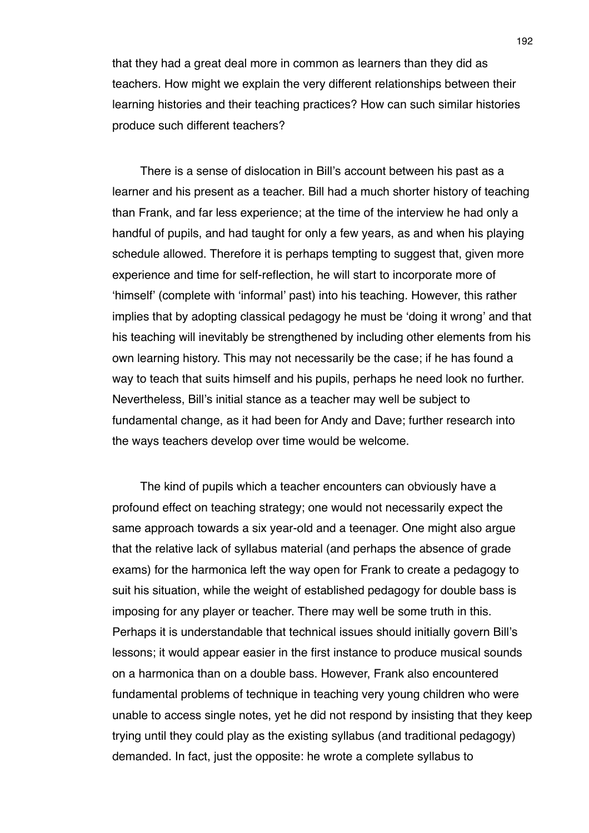that they had a great deal more in common as learners than they did as teachers. How might we explain the very different relationships between their learning histories and their teaching practices? How can such similar histories produce such different teachers?

There is a sense of dislocation in Bill's account between his past as a learner and his present as a teacher. Bill had a much shorter history of teaching than Frank, and far less experience; at the time of the interview he had only a handful of pupils, and had taught for only a few years, as and when his playing schedule allowed. Therefore it is perhaps tempting to suggest that, given more experience and time for self-reflection, he will start to incorporate more of ʻhimself' (complete with ʻinformal' past) into his teaching. However, this rather implies that by adopting classical pedagogy he must be ʻdoing it wrong' and that his teaching will inevitably be strengthened by including other elements from his own learning history. This may not necessarily be the case; if he has found a way to teach that suits himself and his pupils, perhaps he need look no further. Nevertheless, Bill's initial stance as a teacher may well be subject to fundamental change, as it had been for Andy and Dave; further research into the ways teachers develop over time would be welcome.

The kind of pupils which a teacher encounters can obviously have a profound effect on teaching strategy; one would not necessarily expect the same approach towards a six year-old and a teenager. One might also argue that the relative lack of syllabus material (and perhaps the absence of grade exams) for the harmonica left the way open for Frank to create a pedagogy to suit his situation, while the weight of established pedagogy for double bass is imposing for any player or teacher. There may well be some truth in this. Perhaps it is understandable that technical issues should initially govern Bill's lessons; it would appear easier in the first instance to produce musical sounds on a harmonica than on a double bass. However, Frank also encountered fundamental problems of technique in teaching very young children who were unable to access single notes, yet he did not respond by insisting that they keep trying until they could play as the existing syllabus (and traditional pedagogy) demanded. In fact, just the opposite: he wrote a complete syllabus to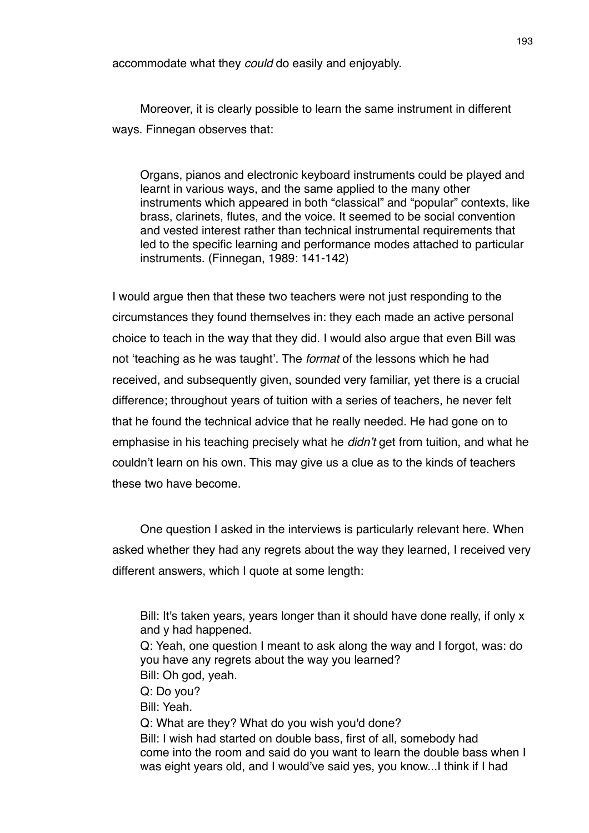accommodate what they *could* do easily and enjoyably.

Moreover, it is clearly possible to learn the same instrument in different ways. Finnegan observes that:

Organs, pianos and electronic keyboard instruments could be played and learnt in various ways, and the same applied to the many other instruments which appeared in both "classical" and "popular" contexts, like brass, clarinets, flutes, and the voice. It seemed to be social convention and vested interest rather than technical instrumental requirements that led to the specific learning and performance modes attached to particular instruments. (Finnegan, 1989: 141-142)

I would argue then that these two teachers were not just responding to the circumstances they found themselves in: they each made an active personal choice to teach in the way that they did. I would also argue that even Bill was not ʻteaching as he was taught'. The *format* of the lessons which he had received, and subsequently given, sounded very familiar, yet there is a crucial difference; throughout years of tuition with a series of teachers, he never felt that he found the technical advice that he really needed. He had gone on to emphasise in his teaching precisely what he *didn*'*t* get from tuition, and what he couldn't learn on his own. This may give us a clue as to the kinds of teachers these two have become.

One question I asked in the interviews is particularly relevant here. When asked whether they had any regrets about the way they learned, I received very different answers, which I quote at some length:

Bill: It's taken years, years longer than it should have done really, if only x and y had happened. Q: Yeah, one question I meant to ask along the way and I forgot, was: do you have any regrets about the way you learned? Bill: Oh god, yeah. Q: Do you? Bill: Yeah. Q: What are they? What do you wish you'd done? Bill: I wish had started on double bass, first of all, somebody had come into the room and said do you want to learn the double bass when I was eight years old, and I would've said yes, you know...I think if I had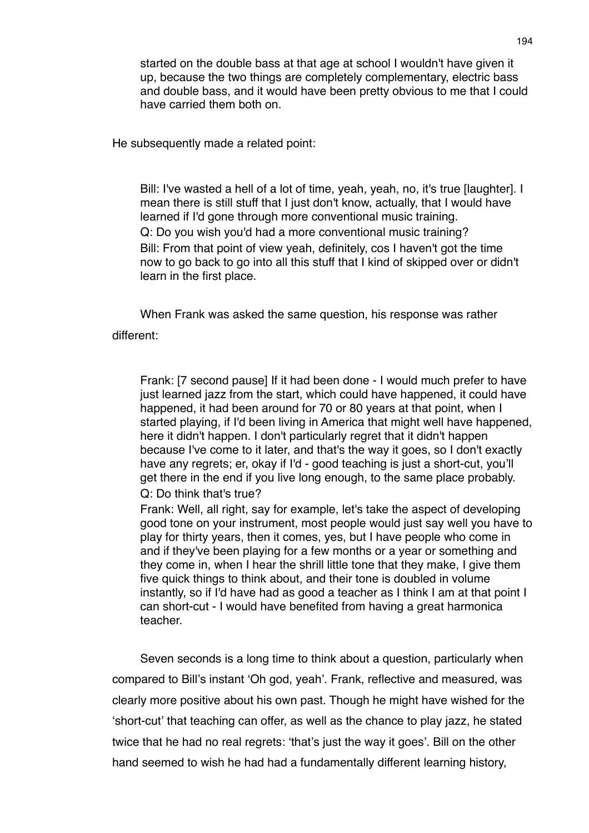started on the double bass at that age at school I wouldn't have given it up, because the two things are completely complementary, electric bass and double bass, and it would have been pretty obvious to me that I could have carried them both on.

He subsequently made a related point:

Bill: I've wasted a hell of a lot of time, yeah, yeah, no, it's true [laughter]. I mean there is still stuff that I just don't know, actually, that I would have learned if I'd gone through more conventional music training. Q: Do you wish you'd had a more conventional music training?

Bill: From that point of view yeah, definitely, cos I haven't got the time now to go back to go into all this stuff that I kind of skipped over or didn't learn in the first place.

When Frank was asked the same question, his response was rather different:

Frank: [7 second pause] If it had been done - I would much prefer to have just learned jazz from the start, which could have happened, it could have happened, it had been around for 70 or 80 years at that point, when I started playing, if I'd been living in America that might well have happened, here it didn't happen. I don't particularly regret that it didn't happen because I've come to it later, and that's the way it goes, so I don't exactly have any regrets; er, okay if I'd - good teaching is just a short-cut, you'll get there in the end if you live long enough, to the same place probably. Q: Do think that's true?

Frank: Well, all right, say for example, let's take the aspect of developing good tone on your instrument, most people would just say well you have to play for thirty years, then it comes, yes, but I have people who come in and if they've been playing for a few months or a year or something and they come in, when I hear the shrill little tone that they make, I give them five quick things to think about, and their tone is doubled in volume instantly, so if I'd have had as good a teacher as I think I am at that point I can short-cut - I would have benefited from having a great harmonica teacher.

Seven seconds is a long time to think about a question, particularly when compared to Bill's instant ʻOh god, yeah'. Frank, reflective and measured, was clearly more positive about his own past. Though he might have wished for the ʻshort-cut' that teaching can offer, as well as the chance to play jazz, he stated twice that he had no real regrets: ʻthat's just the way it goes'. Bill on the other hand seemed to wish he had had a fundamentally different learning history,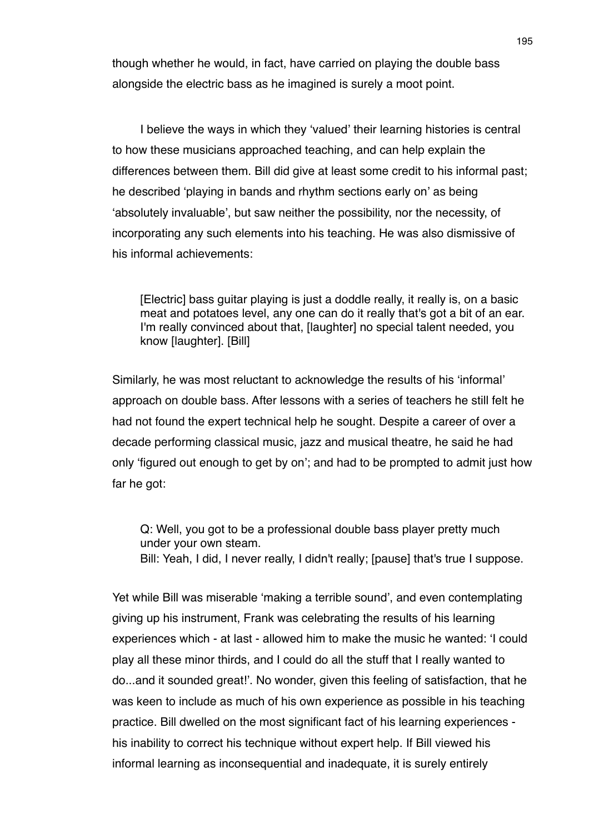though whether he would, in fact, have carried on playing the double bass alongside the electric bass as he imagined is surely a moot point.

I believe the ways in which they ʻvalued' their learning histories is central to how these musicians approached teaching, and can help explain the differences between them. Bill did give at least some credit to his informal past; he described ʻplaying in bands and rhythm sections early on' as being ʻabsolutely invaluable', but saw neither the possibility, nor the necessity, of incorporating any such elements into his teaching. He was also dismissive of his informal achievements:

[Electric] bass guitar playing is just a doddle really, it really is, on a basic meat and potatoes level, any one can do it really that's got a bit of an ear. I'm really convinced about that, [laughter] no special talent needed, you know [laughter]. [Bill]

Similarly, he was most reluctant to acknowledge the results of his ʻinformal' approach on double bass. After lessons with a series of teachers he still felt he had not found the expert technical help he sought. Despite a career of over a decade performing classical music, jazz and musical theatre, he said he had only ʻfigured out enough to get by on'; and had to be prompted to admit just how far he got:

Q: Well, you got to be a professional double bass player pretty much under your own steam. Bill: Yeah, I did, I never really, I didn't really; [pause] that's true I suppose.

Yet while Bill was miserable ʻmaking a terrible sound', and even contemplating giving up his instrument, Frank was celebrating the results of his learning experiences which - at last - allowed him to make the music he wanted: ʻI could play all these minor thirds, and I could do all the stuff that I really wanted to do...and it sounded great!'. No wonder, given this feeling of satisfaction, that he was keen to include as much of his own experience as possible in his teaching practice. Bill dwelled on the most significant fact of his learning experiences his inability to correct his technique without expert help. If Bill viewed his informal learning as inconsequential and inadequate, it is surely entirely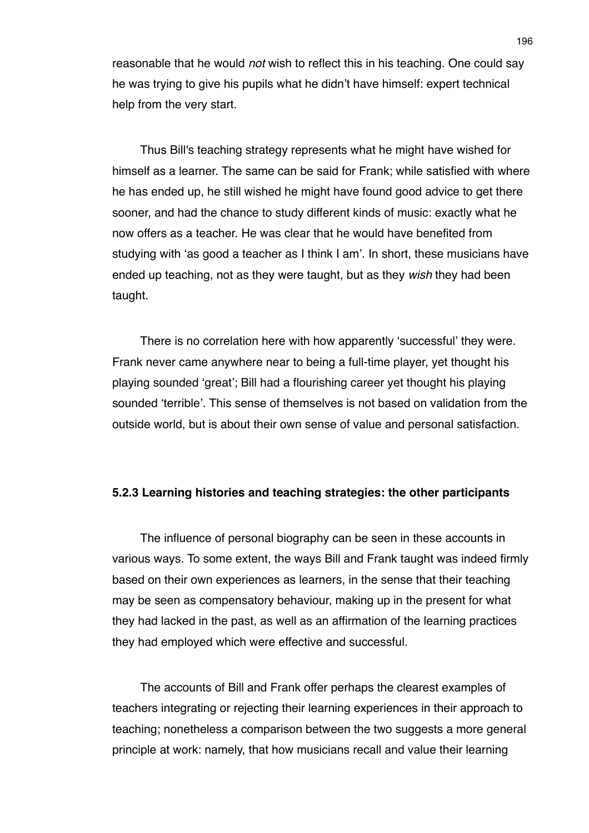reasonable that he would *not* wish to reflect this in his teaching. One could say he was trying to give his pupils what he didn't have himself: expert technical help from the very start.

Thus Bill's teaching strategy represents what he might have wished for himself as a learner. The same can be said for Frank; while satisfied with where he has ended up, he still wished he might have found good advice to get there sooner, and had the chance to study different kinds of music: exactly what he now offers as a teacher. He was clear that he would have benefited from studying with ʻas good a teacher as I think I am'. In short, these musicians have ended up teaching, not as they were taught, but as they *wish* they had been taught.

There is no correlation here with how apparently ʻsuccessful' they were. Frank never came anywhere near to being a full-time player, yet thought his playing sounded ʻgreat'; Bill had a flourishing career yet thought his playing sounded ʻterrible'. This sense of themselves is not based on validation from the outside world, but is about their own sense of value and personal satisfaction.

## **5.2.3 Learning histories and teaching strategies: the other participants**

The influence of personal biography can be seen in these accounts in various ways. To some extent, the ways Bill and Frank taught was indeed firmly based on their own experiences as learners, in the sense that their teaching may be seen as compensatory behaviour, making up in the present for what they had lacked in the past, as well as an affirmation of the learning practices they had employed which were effective and successful.

The accounts of Bill and Frank offer perhaps the clearest examples of teachers integrating or rejecting their learning experiences in their approach to teaching; nonetheless a comparison between the two suggests a more general principle at work: namely, that how musicians recall and value their learning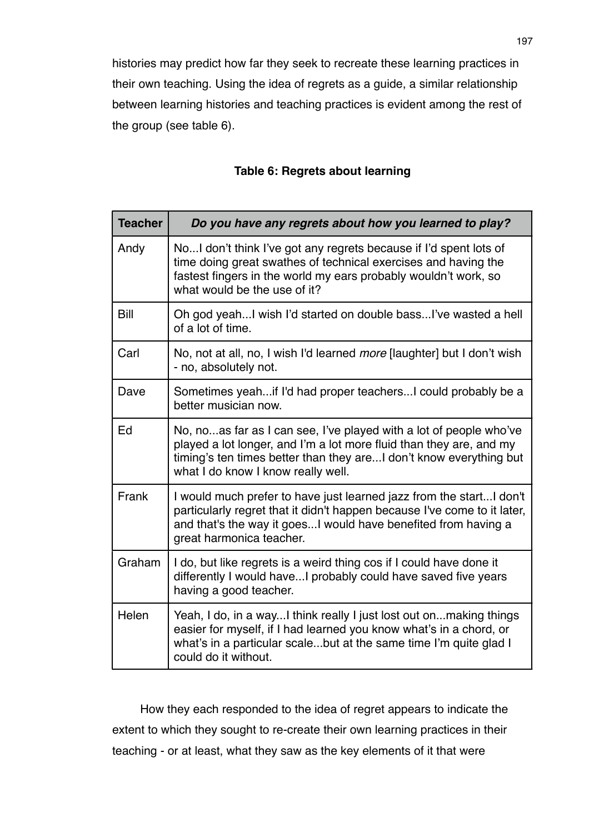histories may predict how far they seek to recreate these learning practices in their own teaching. Using the idea of regrets as a guide, a similar relationship between learning histories and teaching practices is evident among the rest of the group (see table 6).

# **Table 6: Regrets about learning**

| <b>Teacher</b> | Do you have any regrets about how you learned to play?                                                                                                                                                                                                |
|----------------|-------------------------------------------------------------------------------------------------------------------------------------------------------------------------------------------------------------------------------------------------------|
| Andy           | NoI don't think I've got any regrets because if I'd spent lots of<br>time doing great swathes of technical exercises and having the<br>fastest fingers in the world my ears probably wouldn't work, so<br>what would be the use of it?                |
| Bill           | Oh god yeah I wish I'd started on double bass I've wasted a hell<br>of a lot of time.                                                                                                                                                                 |
| Carl           | No, not at all, no, I wish I'd learned <i>more</i> [laughter] but I don't wish<br>- no, absolutely not.                                                                                                                                               |
| Dave           | Sometimes yeahif I'd had proper teachersI could probably be a<br>better musician now.                                                                                                                                                                 |
| Ed             | No, noas far as I can see, I've played with a lot of people who've<br>played a lot longer, and I'm a lot more fluid than they are, and my<br>timing's ten times better than they areI don't know everything but<br>what I do know I know really well. |
| Frank          | I would much prefer to have just learned jazz from the startI don't<br>particularly regret that it didn't happen because I've come to it later,<br>and that's the way it goesI would have benefited from having a<br>great harmonica teacher.         |
| Graham         | I do, but like regrets is a weird thing cos if I could have done it<br>differently I would haveI probably could have saved five years<br>having a good teacher.                                                                                       |
| Helen          | Yeah, I do, in a wayI think really I just lost out onmaking things<br>easier for myself, if I had learned you know what's in a chord, or<br>what's in a particular scalebut at the same time I'm quite glad I<br>could do it without.                 |

How they each responded to the idea of regret appears to indicate the extent to which they sought to re-create their own learning practices in their teaching - or at least, what they saw as the key elements of it that were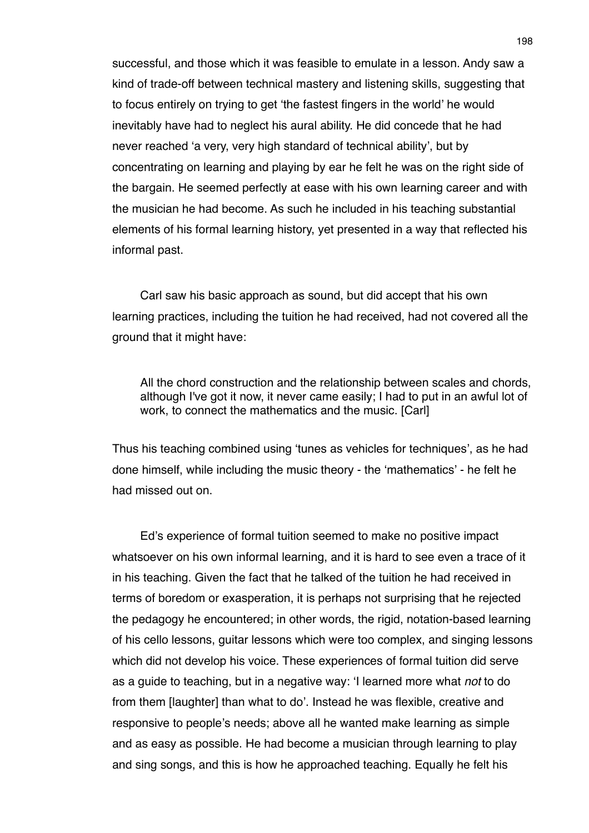successful, and those which it was feasible to emulate in a lesson. Andy saw a kind of trade-off between technical mastery and listening skills, suggesting that to focus entirely on trying to get ʻthe fastest fingers in the world' he would inevitably have had to neglect his aural ability. He did concede that he had never reached ʻa very, very high standard of technical ability', but by concentrating on learning and playing by ear he felt he was on the right side of the bargain. He seemed perfectly at ease with his own learning career and with the musician he had become. As such he included in his teaching substantial elements of his formal learning history, yet presented in a way that reflected his informal past.

Carl saw his basic approach as sound, but did accept that his own learning practices, including the tuition he had received, had not covered all the ground that it might have:

All the chord construction and the relationship between scales and chords, although I've got it now, it never came easily; I had to put in an awful lot of work, to connect the mathematics and the music. [Carl]

Thus his teaching combined using ʻtunes as vehicles for techniques', as he had done himself, while including the music theory - the ʻmathematics' - he felt he had missed out on.

Ed's experience of formal tuition seemed to make no positive impact whatsoever on his own informal learning, and it is hard to see even a trace of it in his teaching. Given the fact that he talked of the tuition he had received in terms of boredom or exasperation, it is perhaps not surprising that he rejected the pedagogy he encountered; in other words, the rigid, notation-based learning of his cello lessons, guitar lessons which were too complex, and singing lessons which did not develop his voice. These experiences of formal tuition did serve as a guide to teaching, but in a negative way: ʻI learned more what *not* to do from them [laughter] than what to do'. Instead he was flexible, creative and responsive to people's needs; above all he wanted make learning as simple and as easy as possible. He had become a musician through learning to play and sing songs, and this is how he approached teaching. Equally he felt his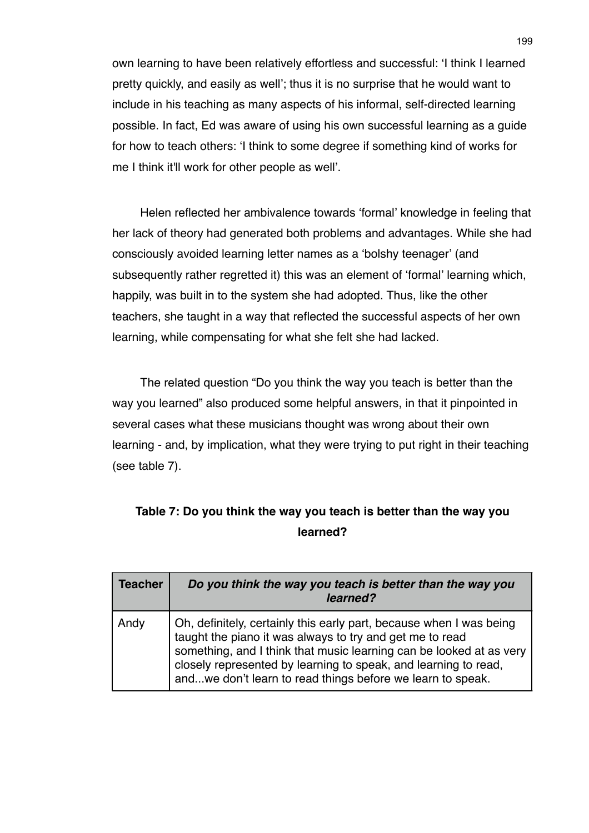own learning to have been relatively effortless and successful: ʻI think I learned pretty quickly, and easily as well'; thus it is no surprise that he would want to include in his teaching as many aspects of his informal, self-directed learning possible. In fact, Ed was aware of using his own successful learning as a guide for how to teach others: ʻI think to some degree if something kind of works for me I think it'll work for other people as well'.

Helen reflected her ambivalence towards ʻformal' knowledge in feeling that her lack of theory had generated both problems and advantages. While she had consciously avoided learning letter names as a ʻbolshy teenager' (and subsequently rather regretted it) this was an element of ʻformal' learning which, happily, was built in to the system she had adopted. Thus, like the other teachers, she taught in a way that reflected the successful aspects of her own learning, while compensating for what she felt she had lacked.

The related question "Do you think the way you teach is better than the way you learned" also produced some helpful answers, in that it pinpointed in several cases what these musicians thought was wrong about their own learning - and, by implication, what they were trying to put right in their teaching (see table 7).

| Table 7: Do you think the way you teach is better than the way you |
|--------------------------------------------------------------------|
| learned?                                                           |

| <b>Teacher</b> | Do you think the way you teach is better than the way you<br>learned?                                                                                                                                                                                                                                                                   |
|----------------|-----------------------------------------------------------------------------------------------------------------------------------------------------------------------------------------------------------------------------------------------------------------------------------------------------------------------------------------|
| Andy           | Oh, definitely, certainly this early part, because when I was being<br>taught the piano it was always to try and get me to read<br>something, and I think that music learning can be looked at as very<br>closely represented by learning to speak, and learning to read,<br>andwe don't learn to read things before we learn to speak. |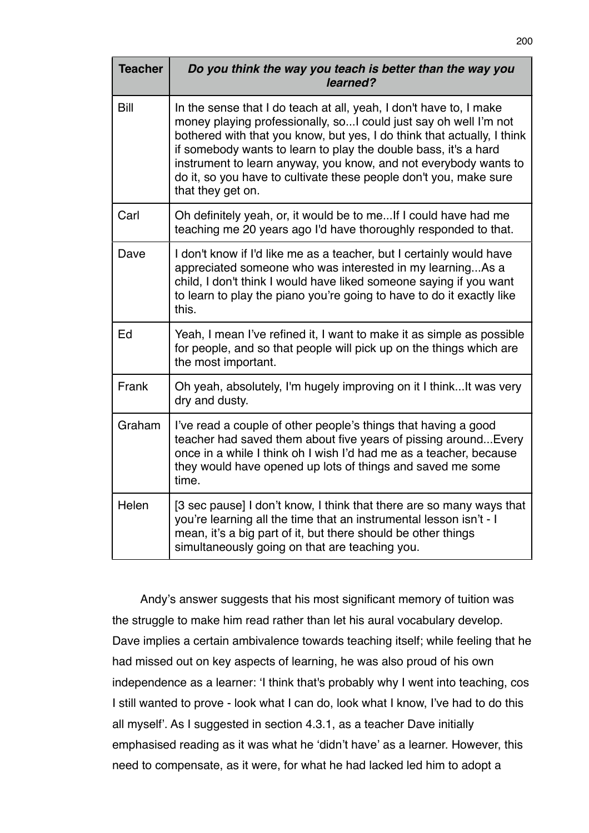| <b>Teacher</b> | Do you think the way you teach is better than the way you<br>learned?                                                                                                                                                                                                                                                                                                                                                                               |
|----------------|-----------------------------------------------------------------------------------------------------------------------------------------------------------------------------------------------------------------------------------------------------------------------------------------------------------------------------------------------------------------------------------------------------------------------------------------------------|
| Bill           | In the sense that I do teach at all, yeah, I don't have to, I make<br>money playing professionally, so I could just say oh well I'm not<br>bothered with that you know, but yes, I do think that actually, I think<br>if somebody wants to learn to play the double bass, it's a hard<br>instrument to learn anyway, you know, and not everybody wants to<br>do it, so you have to cultivate these people don't you, make sure<br>that they get on. |
| Carl           | Oh definitely yeah, or, it would be to me If I could have had me<br>teaching me 20 years ago I'd have thoroughly responded to that.                                                                                                                                                                                                                                                                                                                 |
| Dave           | I don't know if I'd like me as a teacher, but I certainly would have<br>appreciated someone who was interested in my learningAs a<br>child, I don't think I would have liked someone saying if you want<br>to learn to play the piano you're going to have to do it exactly like<br>this.                                                                                                                                                           |
| Ed             | Yeah, I mean I've refined it, I want to make it as simple as possible<br>for people, and so that people will pick up on the things which are<br>the most important.                                                                                                                                                                                                                                                                                 |
| Frank          | Oh yeah, absolutely, I'm hugely improving on it I think It was very<br>dry and dusty.                                                                                                                                                                                                                                                                                                                                                               |
| Graham         | I've read a couple of other people's things that having a good<br>teacher had saved them about five years of pissing around Every<br>once in a while I think oh I wish I'd had me as a teacher, because<br>they would have opened up lots of things and saved me some<br>time.                                                                                                                                                                      |
| Helen          | [3 sec pause] I don't know, I think that there are so many ways that<br>you're learning all the time that an instrumental lesson isn't - I<br>mean, it's a big part of it, but there should be other things<br>simultaneously going on that are teaching you.                                                                                                                                                                                       |

Andy's answer suggests that his most significant memory of tuition was the struggle to make him read rather than let his aural vocabulary develop. Dave implies a certain ambivalence towards teaching itself; while feeling that he had missed out on key aspects of learning, he was also proud of his own independence as a learner: ʻI think that's probably why I went into teaching, cos I still wanted to prove - look what I can do, look what I know, I've had to do this all myself'. As I suggested in section 4.3.1, as a teacher Dave initially emphasised reading as it was what he ʻdidn't have' as a learner. However, this need to compensate, as it were, for what he had lacked led him to adopt a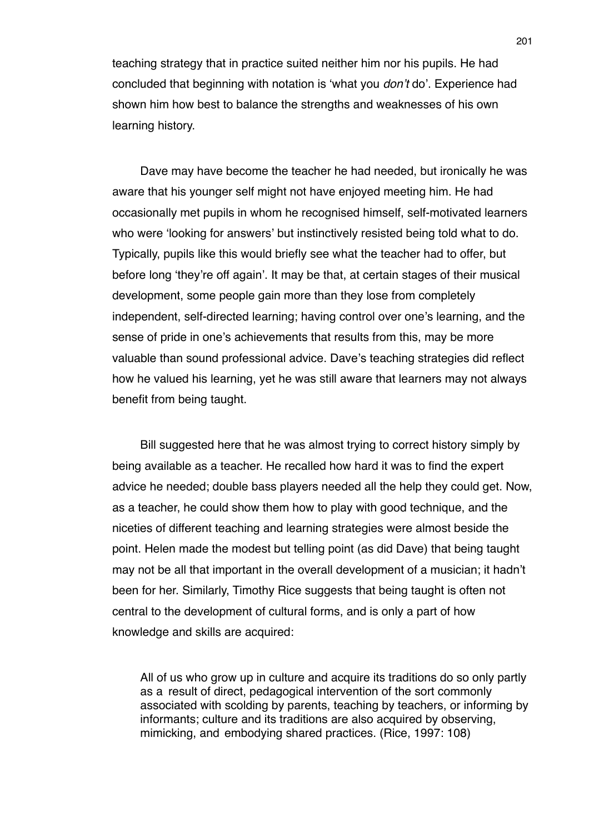teaching strategy that in practice suited neither him nor his pupils. He had concluded that beginning with notation is ʻwhat you *don*'*t* do'. Experience had shown him how best to balance the strengths and weaknesses of his own learning history.

Dave may have become the teacher he had needed, but ironically he was aware that his younger self might not have enjoyed meeting him. He had occasionally met pupils in whom he recognised himself, self-motivated learners who were ʻlooking for answers' but instinctively resisted being told what to do. Typically, pupils like this would briefly see what the teacher had to offer, but before long ʻthey're off again'. It may be that, at certain stages of their musical development, some people gain more than they lose from completely independent, self-directed learning; having control over one's learning, and the sense of pride in one's achievements that results from this, may be more valuable than sound professional advice. Dave's teaching strategies did reflect how he valued his learning, yet he was still aware that learners may not always benefit from being taught.

Bill suggested here that he was almost trying to correct history simply by being available as a teacher. He recalled how hard it was to find the expert advice he needed; double bass players needed all the help they could get. Now, as a teacher, he could show them how to play with good technique, and the niceties of different teaching and learning strategies were almost beside the point. Helen made the modest but telling point (as did Dave) that being taught may not be all that important in the overall development of a musician; it hadn't been for her. Similarly, Timothy Rice suggests that being taught is often not central to the development of cultural forms, and is only a part of how knowledge and skills are acquired:

All of us who grow up in culture and acquire its traditions do so only partly as a result of direct, pedagogical intervention of the sort commonly associated with scolding by parents, teaching by teachers, or informing by informants; culture and its traditions are also acquired by observing, mimicking, and embodying shared practices. (Rice, 1997: 108)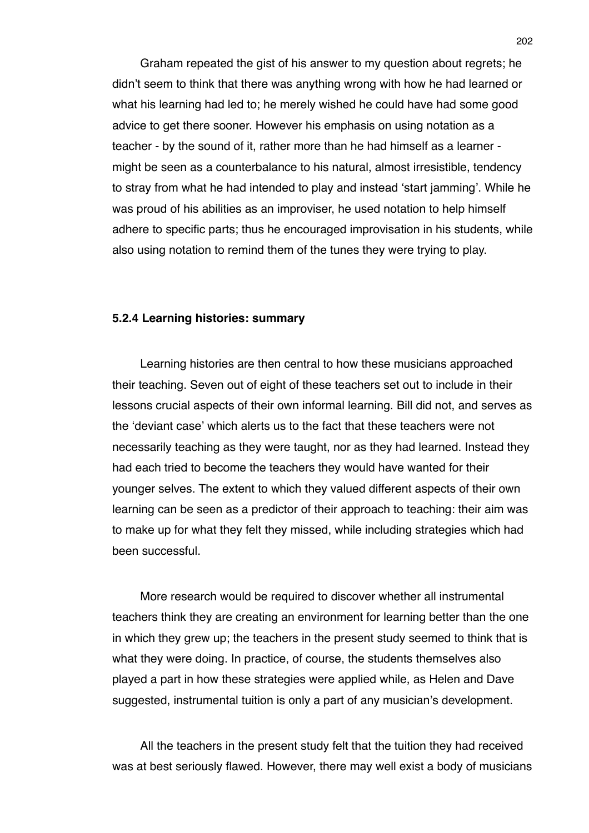Graham repeated the gist of his answer to my question about regrets; he didn't seem to think that there was anything wrong with how he had learned or what his learning had led to; he merely wished he could have had some good advice to get there sooner. However his emphasis on using notation as a teacher - by the sound of it, rather more than he had himself as a learner might be seen as a counterbalance to his natural, almost irresistible, tendency to stray from what he had intended to play and instead ʻstart jamming'. While he was proud of his abilities as an improviser, he used notation to help himself adhere to specific parts; thus he encouraged improvisation in his students, while also using notation to remind them of the tunes they were trying to play.

## **5.2.4 Learning histories: summary**

Learning histories are then central to how these musicians approached their teaching. Seven out of eight of these teachers set out to include in their lessons crucial aspects of their own informal learning. Bill did not, and serves as the ʻdeviant case' which alerts us to the fact that these teachers were not necessarily teaching as they were taught, nor as they had learned. Instead they had each tried to become the teachers they would have wanted for their younger selves. The extent to which they valued different aspects of their own learning can be seen as a predictor of their approach to teaching: their aim was to make up for what they felt they missed, while including strategies which had been successful.

More research would be required to discover whether all instrumental teachers think they are creating an environment for learning better than the one in which they grew up; the teachers in the present study seemed to think that is what they were doing. In practice, of course, the students themselves also played a part in how these strategies were applied while, as Helen and Dave suggested, instrumental tuition is only a part of any musician's development.

All the teachers in the present study felt that the tuition they had received was at best seriously flawed. However, there may well exist a body of musicians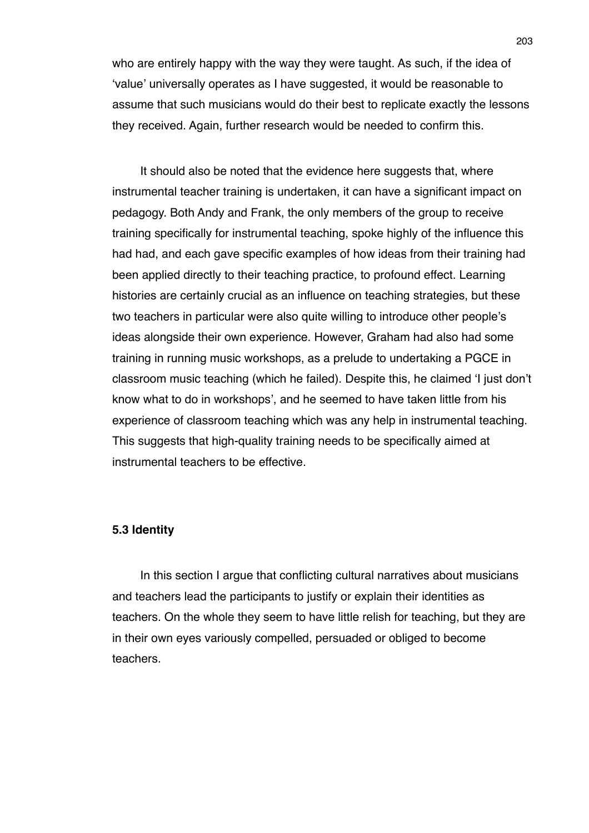who are entirely happy with the way they were taught. As such, if the idea of ʻvalue' universally operates as I have suggested, it would be reasonable to assume that such musicians would do their best to replicate exactly the lessons they received. Again, further research would be needed to confirm this.

It should also be noted that the evidence here suggests that, where instrumental teacher training is undertaken, it can have a significant impact on pedagogy. Both Andy and Frank, the only members of the group to receive training specifically for instrumental teaching, spoke highly of the influence this had had, and each gave specific examples of how ideas from their training had been applied directly to their teaching practice, to profound effect. Learning histories are certainly crucial as an influence on teaching strategies, but these two teachers in particular were also quite willing to introduce other people's ideas alongside their own experience. However, Graham had also had some training in running music workshops, as a prelude to undertaking a PGCE in classroom music teaching (which he failed). Despite this, he claimed ʻI just don't know what to do in workshops', and he seemed to have taken little from his experience of classroom teaching which was any help in instrumental teaching. This suggests that high-quality training needs to be specifically aimed at instrumental teachers to be effective.

### **5.3 Identity**

In this section I argue that conflicting cultural narratives about musicians and teachers lead the participants to justify or explain their identities as teachers. On the whole they seem to have little relish for teaching, but they are in their own eyes variously compelled, persuaded or obliged to become teachers.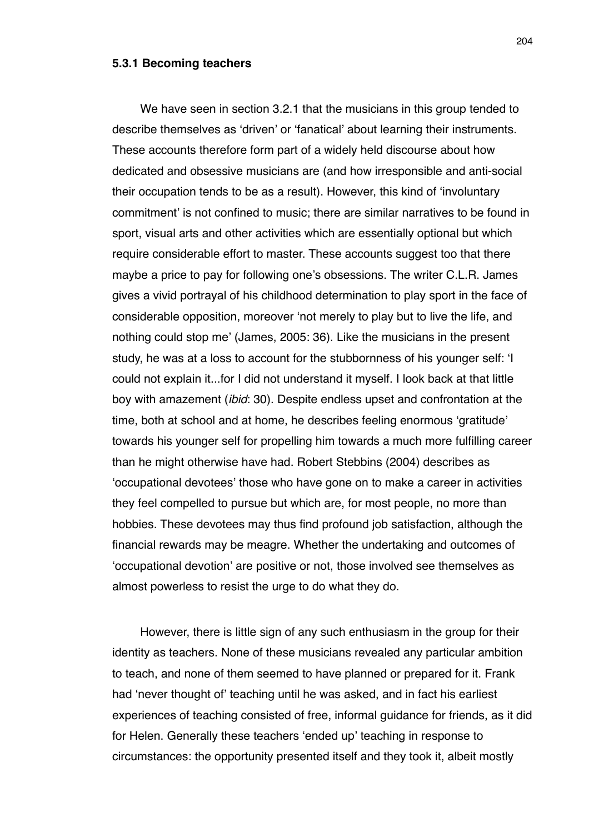#### **5.3.1 Becoming teachers**

We have seen in section 3.2.1 that the musicians in this group tended to describe themselves as ʻdriven' or ʻfanatical' about learning their instruments. These accounts therefore form part of a widely held discourse about how dedicated and obsessive musicians are (and how irresponsible and anti-social their occupation tends to be as a result). However, this kind of ʻinvoluntary commitment' is not confined to music; there are similar narratives to be found in sport, visual arts and other activities which are essentially optional but which require considerable effort to master. These accounts suggest too that there maybe a price to pay for following one's obsessions. The writer C.L.R. James gives a vivid portrayal of his childhood determination to play sport in the face of considerable opposition, moreover ʻnot merely to play but to live the life, and nothing could stop me' (James, 2005: 36). Like the musicians in the present study, he was at a loss to account for the stubbornness of his younger self: ʻI could not explain it...for I did not understand it myself. I look back at that little boy with amazement (*ibid*: 30). Despite endless upset and confrontation at the time, both at school and at home, he describes feeling enormous ʻgratitude' towards his younger self for propelling him towards a much more fulfilling career than he might otherwise have had. Robert Stebbins (2004) describes as ʻoccupational devotees' those who have gone on to make a career in activities they feel compelled to pursue but which are, for most people, no more than hobbies. These devotees may thus find profound job satisfaction, although the financial rewards may be meagre. Whether the undertaking and outcomes of ʻoccupational devotion' are positive or not, those involved see themselves as almost powerless to resist the urge to do what they do.

However, there is little sign of any such enthusiasm in the group for their identity as teachers. None of these musicians revealed any particular ambition to teach, and none of them seemed to have planned or prepared for it. Frank had ʻnever thought of' teaching until he was asked, and in fact his earliest experiences of teaching consisted of free, informal guidance for friends, as it did for Helen. Generally these teachers ʻended up' teaching in response to circumstances: the opportunity presented itself and they took it, albeit mostly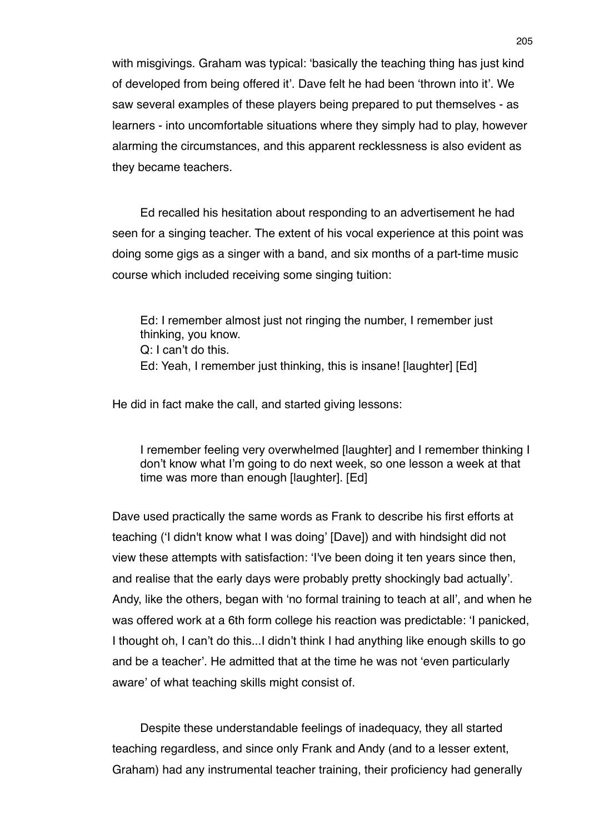with misgivings. Graham was typical: ʻbasically the teaching thing has just kind of developed from being offered it'. Dave felt he had been ʻthrown into it'. We saw several examples of these players being prepared to put themselves - as learners - into uncomfortable situations where they simply had to play, however alarming the circumstances, and this apparent recklessness is also evident as they became teachers.

Ed recalled his hesitation about responding to an advertisement he had seen for a singing teacher. The extent of his vocal experience at this point was doing some gigs as a singer with a band, and six months of a part-time music course which included receiving some singing tuition:

Ed: I remember almost just not ringing the number, I remember just thinking, you know. Q: I can't do this. Ed: Yeah, I remember just thinking, this is insane! [laughter] [Ed]

He did in fact make the call, and started giving lessons:

I remember feeling very overwhelmed [laughter] and I remember thinking I don't know what I'm going to do next week, so one lesson a week at that time was more than enough [laughter]. [Ed]

Dave used practically the same words as Frank to describe his first efforts at teaching (ʻI didn't know what I was doing' [Dave]) and with hindsight did not view these attempts with satisfaction: ʻI've been doing it ten years since then, and realise that the early days were probably pretty shockingly bad actually'. Andy, like the others, began with ʻno formal training to teach at all', and when he was offered work at a 6th form college his reaction was predictable: ʻI panicked, I thought oh, I can't do this...I didn't think I had anything like enough skills to go and be a teacher'. He admitted that at the time he was not ʻeven particularly aware' of what teaching skills might consist of.

Despite these understandable feelings of inadequacy, they all started teaching regardless, and since only Frank and Andy (and to a lesser extent, Graham) had any instrumental teacher training, their proficiency had generally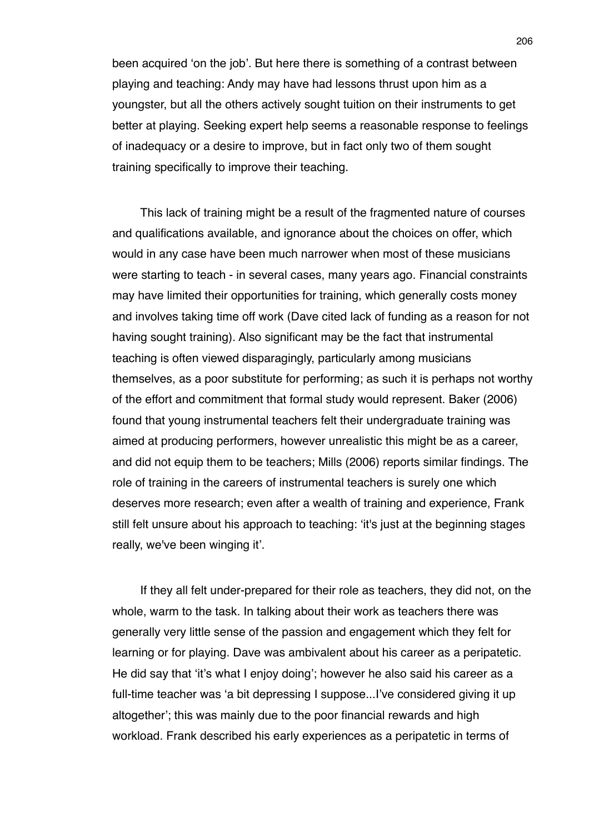been acquired ʻon the job'. But here there is something of a contrast between playing and teaching: Andy may have had lessons thrust upon him as a youngster, but all the others actively sought tuition on their instruments to get better at playing. Seeking expert help seems a reasonable response to feelings of inadequacy or a desire to improve, but in fact only two of them sought training specifically to improve their teaching.

This lack of training might be a result of the fragmented nature of courses and qualifications available, and ignorance about the choices on offer, which would in any case have been much narrower when most of these musicians were starting to teach - in several cases, many years ago. Financial constraints may have limited their opportunities for training, which generally costs money and involves taking time off work (Dave cited lack of funding as a reason for not having sought training). Also significant may be the fact that instrumental teaching is often viewed disparagingly, particularly among musicians themselves, as a poor substitute for performing; as such it is perhaps not worthy of the effort and commitment that formal study would represent. Baker (2006) found that young instrumental teachers felt their undergraduate training was aimed at producing performers, however unrealistic this might be as a career, and did not equip them to be teachers; Mills (2006) reports similar findings. The role of training in the careers of instrumental teachers is surely one which deserves more research; even after a wealth of training and experience, Frank still felt unsure about his approach to teaching: ʻit's just at the beginning stages really, we've been winging it'.

If they all felt under-prepared for their role as teachers, they did not, on the whole, warm to the task. In talking about their work as teachers there was generally very little sense of the passion and engagement which they felt for learning or for playing. Dave was ambivalent about his career as a peripatetic. He did say that ʻit's what I enjoy doing'; however he also said his career as a full-time teacher was ʻa bit depressing I suppose...I've considered giving it up altogether'; this was mainly due to the poor financial rewards and high workload. Frank described his early experiences as a peripatetic in terms of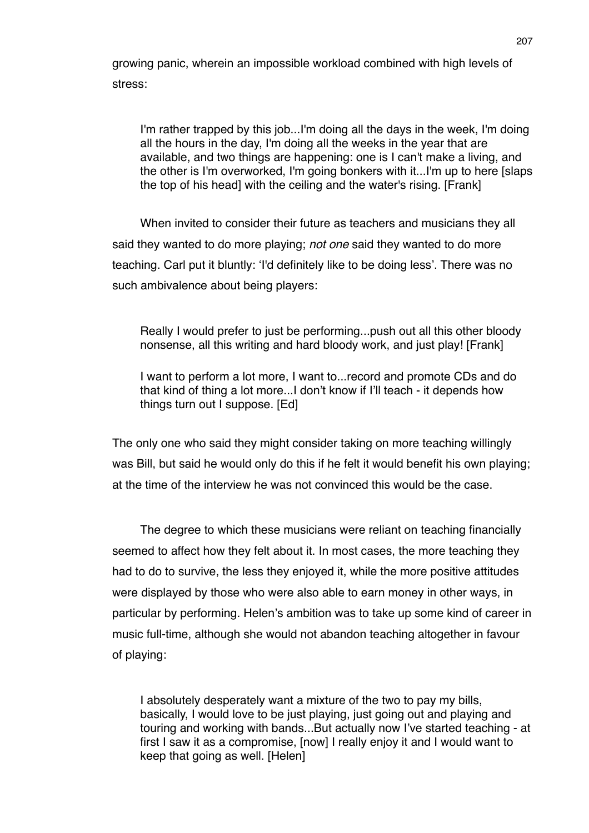growing panic, wherein an impossible workload combined with high levels of stress:

I'm rather trapped by this job...I'm doing all the days in the week, I'm doing all the hours in the day, I'm doing all the weeks in the year that are available, and two things are happening: one is I can't make a living, and the other is I'm overworked, I'm going bonkers with it...I'm up to here [slaps the top of his head] with the ceiling and the water's rising. [Frank]

When invited to consider their future as teachers and musicians they all said they wanted to do more playing; *not one* said they wanted to do more teaching. Carl put it bluntly: ʻI'd definitely like to be doing less'. There was no such ambivalence about being players:

Really I would prefer to just be performing...push out all this other bloody nonsense, all this writing and hard bloody work, and just play! [Frank]

I want to perform a lot more, I want to...record and promote CDs and do that kind of thing a lot more...I don't know if I'll teach - it depends how things turn out I suppose. [Ed]

The only one who said they might consider taking on more teaching willingly was Bill, but said he would only do this if he felt it would benefit his own playing; at the time of the interview he was not convinced this would be the case.

The degree to which these musicians were reliant on teaching financially seemed to affect how they felt about it. In most cases, the more teaching they had to do to survive, the less they enjoyed it, while the more positive attitudes were displayed by those who were also able to earn money in other ways, in particular by performing. Helen's ambition was to take up some kind of career in music full-time, although she would not abandon teaching altogether in favour of playing:

I absolutely desperately want a mixture of the two to pay my bills, basically, I would love to be just playing, just going out and playing and touring and working with bands...But actually now I've started teaching - at first I saw it as a compromise, [now] I really enjoy it and I would want to keep that going as well. [Helen]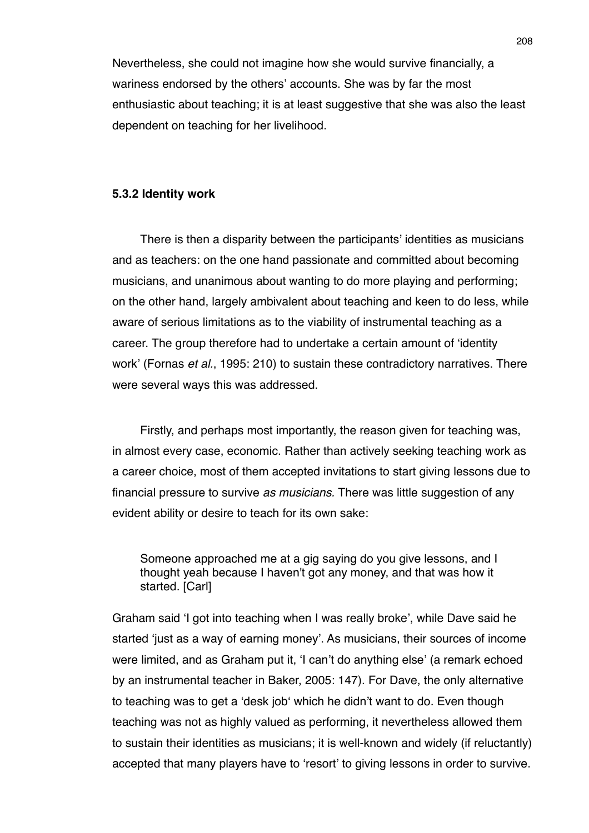Nevertheless, she could not imagine how she would survive financially, a wariness endorsed by the others' accounts. She was by far the most enthusiastic about teaching; it is at least suggestive that she was also the least dependent on teaching for her livelihood.

## **5.3.2 Identity work**

There is then a disparity between the participants' identities as musicians and as teachers: on the one hand passionate and committed about becoming musicians, and unanimous about wanting to do more playing and performing; on the other hand, largely ambivalent about teaching and keen to do less, while aware of serious limitations as to the viability of instrumental teaching as a career. The group therefore had to undertake a certain amount of ʻidentity work' (Fornas *et al.*, 1995: 210) to sustain these contradictory narratives. There were several ways this was addressed.

Firstly, and perhaps most importantly, the reason given for teaching was, in almost every case, economic. Rather than actively seeking teaching work as a career choice, most of them accepted invitations to start giving lessons due to financial pressure to survive *as musicians.* There was little suggestion of any evident ability or desire to teach for its own sake:

Someone approached me at a gig saying do you give lessons, and I thought yeah because I haven't got any money, and that was how it started. [Carl]

Graham said ʻI got into teaching when I was really broke', while Dave said he started ʻjust as a way of earning money'. As musicians, their sources of income were limited, and as Graham put it, ʻI can't do anything else' (a remark echoed by an instrumental teacher in Baker, 2005: 147). For Dave, the only alternative to teaching was to get a ʻdesk jobʻ which he didn't want to do. Even though teaching was not as highly valued as performing, it nevertheless allowed them to sustain their identities as musicians; it is well-known and widely (if reluctantly) accepted that many players have to ʻresort' to giving lessons in order to survive.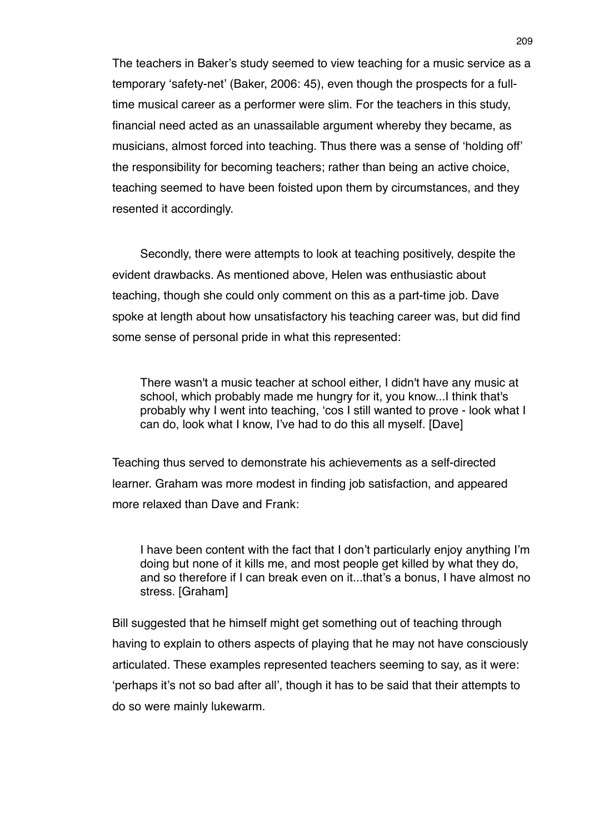The teachers in Baker's study seemed to view teaching for a music service as a temporary ʻsafety-net' (Baker, 2006: 45), even though the prospects for a fulltime musical career as a performer were slim. For the teachers in this study, financial need acted as an unassailable argument whereby they became, as musicians, almost forced into teaching. Thus there was a sense of ʻholding off' the responsibility for becoming teachers; rather than being an active choice, teaching seemed to have been foisted upon them by circumstances, and they resented it accordingly.

Secondly, there were attempts to look at teaching positively, despite the evident drawbacks. As mentioned above, Helen was enthusiastic about teaching, though she could only comment on this as a part-time job. Dave spoke at length about how unsatisfactory his teaching career was, but did find some sense of personal pride in what this represented:

There wasn't a music teacher at school either, I didn't have any music at school, which probably made me hungry for it, you know...I think that's probably why I went into teaching, ʻcos I still wanted to prove - look what I can do, look what I know, I've had to do this all myself. [Dave]

Teaching thus served to demonstrate his achievements as a self-directed learner. Graham was more modest in finding job satisfaction, and appeared more relaxed than Dave and Frank:

I have been content with the fact that I don't particularly enjoy anything I'm doing but none of it kills me, and most people get killed by what they do, and so therefore if I can break even on it...that's a bonus, I have almost no stress. [Graham]

Bill suggested that he himself might get something out of teaching through having to explain to others aspects of playing that he may not have consciously articulated. These examples represented teachers seeming to say, as it were: ʻperhaps it's not so bad after all', though it has to be said that their attempts to do so were mainly lukewarm.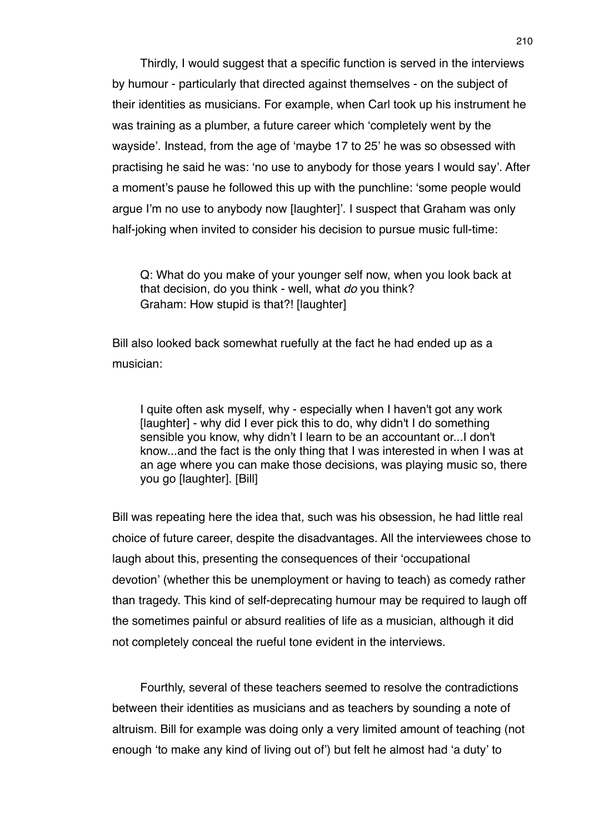Thirdly, I would suggest that a specific function is served in the interviews by humour - particularly that directed against themselves - on the subject of their identities as musicians. For example, when Carl took up his instrument he was training as a plumber, a future career which ʻcompletely went by the wayside'. Instead, from the age of ʻmaybe 17 to 25' he was so obsessed with practising he said he was: ʻno use to anybody for those years I would say'. After a moment's pause he followed this up with the punchline: ʻsome people would argue I'm no use to anybody now [laughter]'. I suspect that Graham was only half-joking when invited to consider his decision to pursue music full-time:

Q: What do you make of your younger self now, when you look back at that decision, do you think - well, what *do* you think? Graham: How stupid is that?! [laughter]

Bill also looked back somewhat ruefully at the fact he had ended up as a musician:

I quite often ask myself, why - especially when I haven't got any work [laughter] - why did I ever pick this to do, why didn't I do something sensible you know, why didn't I learn to be an accountant or...I don't know...and the fact is the only thing that I was interested in when I was at an age where you can make those decisions, was playing music so, there you go [laughter]. [Bill]

Bill was repeating here the idea that, such was his obsession, he had little real choice of future career, despite the disadvantages. All the interviewees chose to laugh about this, presenting the consequences of their ʻoccupational devotion' (whether this be unemployment or having to teach) as comedy rather than tragedy. This kind of self-deprecating humour may be required to laugh off the sometimes painful or absurd realities of life as a musician, although it did not completely conceal the rueful tone evident in the interviews.

Fourthly, several of these teachers seemed to resolve the contradictions between their identities as musicians and as teachers by sounding a note of altruism. Bill for example was doing only a very limited amount of teaching (not enough ʻto make any kind of living out of') but felt he almost had ʻa duty' to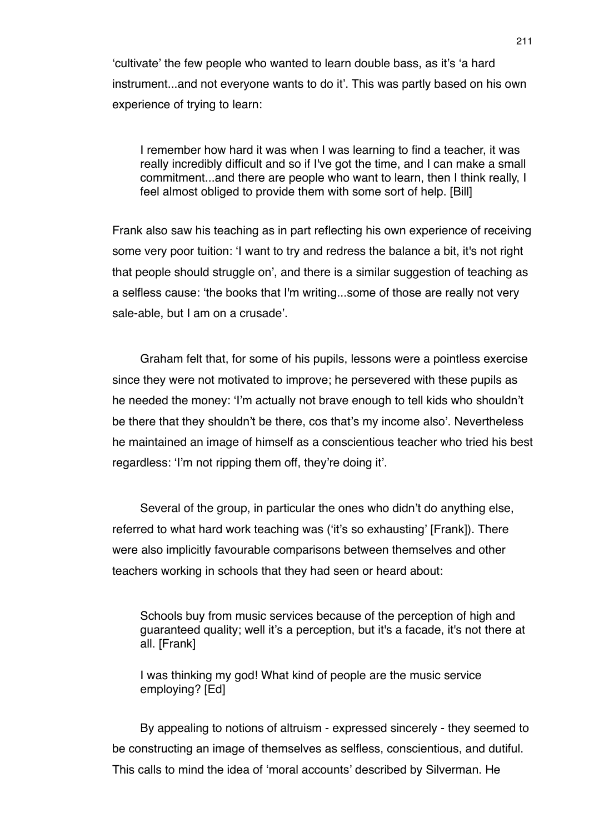ʻcultivate' the few people who wanted to learn double bass, as it's ʻa hard instrument...and not everyone wants to do it'. This was partly based on his own experience of trying to learn:

I remember how hard it was when I was learning to find a teacher, it was really incredibly difficult and so if I've got the time, and I can make a small commitment...and there are people who want to learn, then I think really, I feel almost obliged to provide them with some sort of help. [Bill]

Frank also saw his teaching as in part reflecting his own experience of receiving some very poor tuition: ʻI want to try and redress the balance a bit, it's not right that people should struggle on', and there is a similar suggestion of teaching as a selfless cause: ʻthe books that I'm writing...some of those are really not very sale-able, but I am on a crusade'.

Graham felt that, for some of his pupils, lessons were a pointless exercise since they were not motivated to improve; he persevered with these pupils as he needed the money: ʻI'm actually not brave enough to tell kids who shouldn't be there that they shouldn't be there, cos that's my income also'. Nevertheless he maintained an image of himself as a conscientious teacher who tried his best regardless: ʻI'm not ripping them off, they're doing it'.

Several of the group, in particular the ones who didn't do anything else, referred to what hard work teaching was (ʻit's so exhausting' [Frank]). There were also implicitly favourable comparisons between themselves and other teachers working in schools that they had seen or heard about:

Schools buy from music services because of the perception of high and guaranteed quality; well it's a perception, but it's a facade, it's not there at all. [Frank]

I was thinking my god! What kind of people are the music service employing? [Ed]

By appealing to notions of altruism - expressed sincerely - they seemed to be constructing an image of themselves as selfless, conscientious, and dutiful. This calls to mind the idea of ʻmoral accounts' described by Silverman. He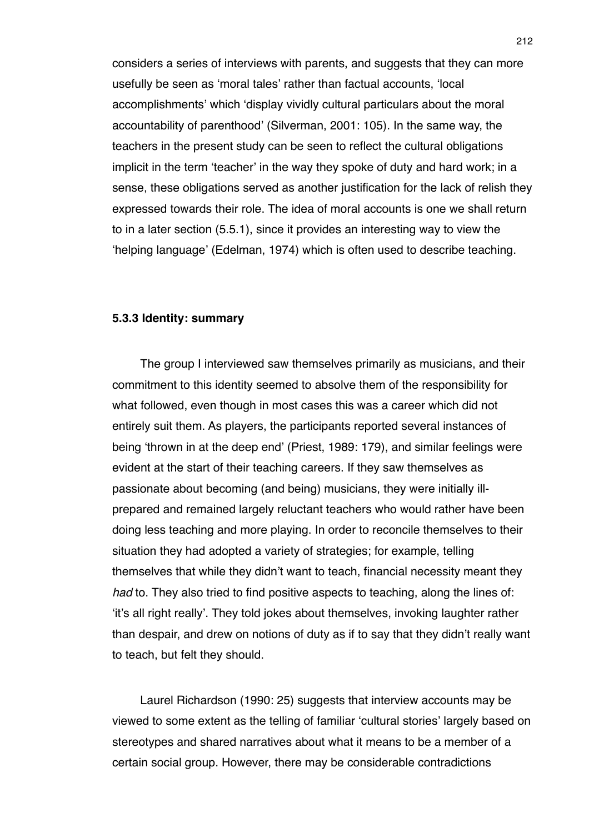considers a series of interviews with parents, and suggests that they can more usefully be seen as ʻmoral tales' rather than factual accounts, ʻlocal accomplishments' which ʻdisplay vividly cultural particulars about the moral accountability of parenthood' (Silverman, 2001: 105). In the same way, the teachers in the present study can be seen to reflect the cultural obligations implicit in the term ʻteacher' in the way they spoke of duty and hard work; in a sense, these obligations served as another justification for the lack of relish they expressed towards their role. The idea of moral accounts is one we shall return to in a later section (5.5.1), since it provides an interesting way to view the ʻhelping language' (Edelman, 1974) which is often used to describe teaching.

### **5.3.3 Identity: summary**

The group I interviewed saw themselves primarily as musicians, and their commitment to this identity seemed to absolve them of the responsibility for what followed, even though in most cases this was a career which did not entirely suit them. As players, the participants reported several instances of being ʻthrown in at the deep end' (Priest, 1989: 179), and similar feelings were evident at the start of their teaching careers. If they saw themselves as passionate about becoming (and being) musicians, they were initially illprepared and remained largely reluctant teachers who would rather have been doing less teaching and more playing. In order to reconcile themselves to their situation they had adopted a variety of strategies; for example, telling themselves that while they didn't want to teach, financial necessity meant they *had* to. They also tried to find positive aspects to teaching, along the lines of: ʻit's all right really'. They told jokes about themselves, invoking laughter rather than despair, and drew on notions of duty as if to say that they didn't really want to teach, but felt they should.

Laurel Richardson (1990: 25) suggests that interview accounts may be viewed to some extent as the telling of familiar ʻcultural stories' largely based on stereotypes and shared narratives about what it means to be a member of a certain social group. However, there may be considerable contradictions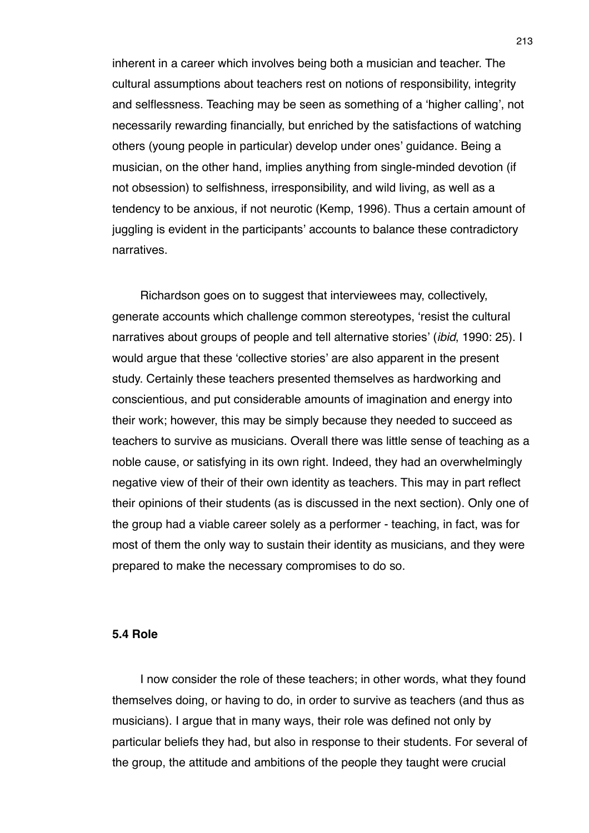inherent in a career which involves being both a musician and teacher. The cultural assumptions about teachers rest on notions of responsibility, integrity and selflessness. Teaching may be seen as something of a ʻhigher calling', not necessarily rewarding financially, but enriched by the satisfactions of watching others (young people in particular) develop under ones' guidance. Being a musician, on the other hand, implies anything from single-minded devotion (if not obsession) to selfishness, irresponsibility, and wild living, as well as a tendency to be anxious, if not neurotic (Kemp, 1996). Thus a certain amount of juggling is evident in the participants' accounts to balance these contradictory narratives.

Richardson goes on to suggest that interviewees may, collectively, generate accounts which challenge common stereotypes, ʻresist the cultural narratives about groups of people and tell alternative stories' (*ibid*, 1990: 25). I would argue that these ʻcollective stories' are also apparent in the present study. Certainly these teachers presented themselves as hardworking and conscientious, and put considerable amounts of imagination and energy into their work; however, this may be simply because they needed to succeed as teachers to survive as musicians. Overall there was little sense of teaching as a noble cause, or satisfying in its own right. Indeed, they had an overwhelmingly negative view of their of their own identity as teachers. This may in part reflect their opinions of their students (as is discussed in the next section). Only one of the group had a viable career solely as a performer - teaching, in fact, was for most of them the only way to sustain their identity as musicians, and they were prepared to make the necessary compromises to do so.

## **5.4 Role**

I now consider the role of these teachers; in other words, what they found themselves doing, or having to do, in order to survive as teachers (and thus as musicians). I argue that in many ways, their role was defined not only by particular beliefs they had, but also in response to their students. For several of the group, the attitude and ambitions of the people they taught were crucial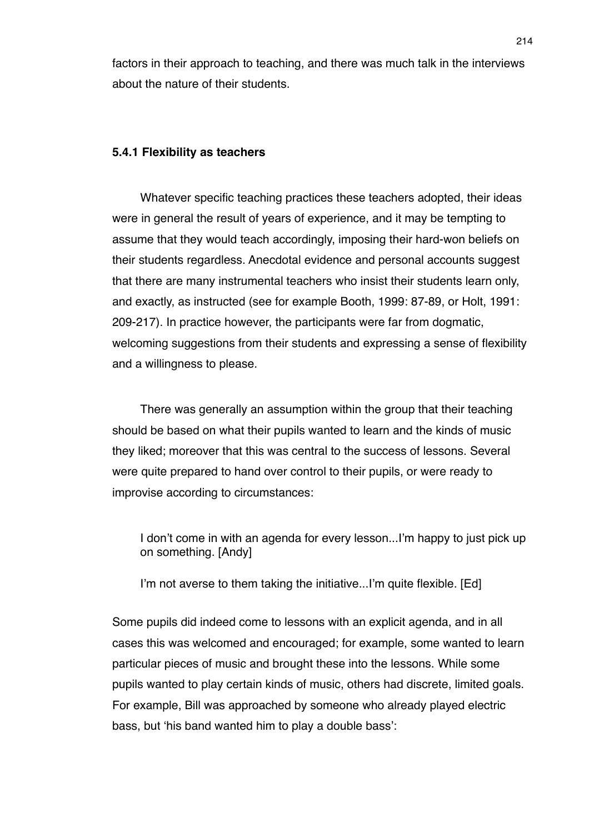factors in their approach to teaching, and there was much talk in the interviews about the nature of their students.

#### **5.4.1 Flexibility as teachers**

Whatever specific teaching practices these teachers adopted, their ideas were in general the result of years of experience, and it may be tempting to assume that they would teach accordingly, imposing their hard-won beliefs on their students regardless. Anecdotal evidence and personal accounts suggest that there are many instrumental teachers who insist their students learn only, and exactly, as instructed (see for example Booth, 1999: 87-89, or Holt, 1991: 209-217). In practice however, the participants were far from dogmatic, welcoming suggestions from their students and expressing a sense of flexibility and a willingness to please.

There was generally an assumption within the group that their teaching should be based on what their pupils wanted to learn and the kinds of music they liked; moreover that this was central to the success of lessons. Several were quite prepared to hand over control to their pupils, or were ready to improvise according to circumstances:

I don't come in with an agenda for every lesson...I'm happy to just pick up on something. [Andy]

I'm not averse to them taking the initiative...I'm quite flexible. [Ed]

Some pupils did indeed come to lessons with an explicit agenda, and in all cases this was welcomed and encouraged; for example, some wanted to learn particular pieces of music and brought these into the lessons. While some pupils wanted to play certain kinds of music, others had discrete, limited goals. For example, Bill was approached by someone who already played electric bass, but ʻhis band wanted him to play a double bass':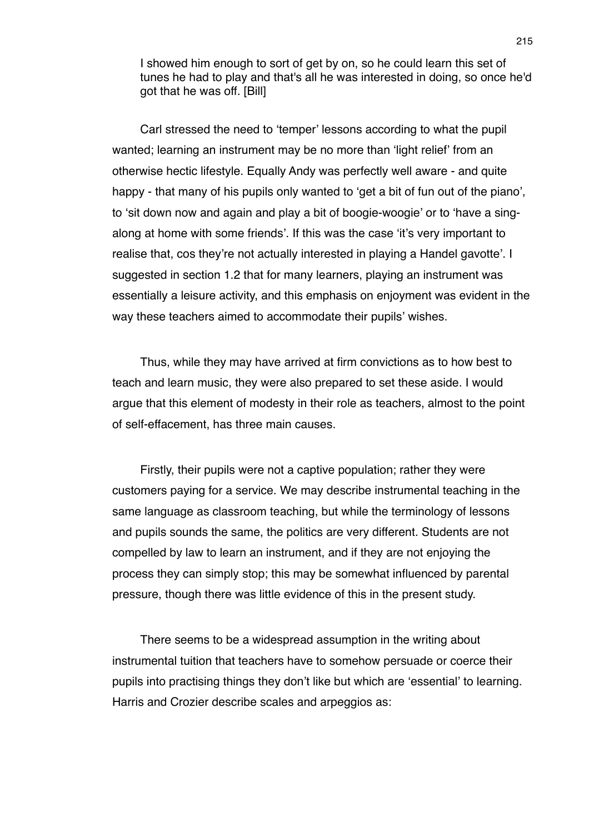I showed him enough to sort of get by on, so he could learn this set of tunes he had to play and that's all he was interested in doing, so once he'd got that he was off. [Bill]

Carl stressed the need to ʻtemper' lessons according to what the pupil wanted; learning an instrument may be no more than ʻlight relief' from an otherwise hectic lifestyle. Equally Andy was perfectly well aware - and quite happy - that many of his pupils only wanted to 'get a bit of fun out of the piano', to ʻsit down now and again and play a bit of boogie-woogie' or to ʻhave a singalong at home with some friends'. If this was the case ʻit's very important to realise that, cos they're not actually interested in playing a Handel gavotte'. I suggested in section 1.2 that for many learners, playing an instrument was essentially a leisure activity, and this emphasis on enjoyment was evident in the way these teachers aimed to accommodate their pupils' wishes.

Thus, while they may have arrived at firm convictions as to how best to teach and learn music, they were also prepared to set these aside. I would argue that this element of modesty in their role as teachers, almost to the point of self-effacement, has three main causes.

Firstly, their pupils were not a captive population; rather they were customers paying for a service. We may describe instrumental teaching in the same language as classroom teaching, but while the terminology of lessons and pupils sounds the same, the politics are very different. Students are not compelled by law to learn an instrument, and if they are not enjoying the process they can simply stop; this may be somewhat influenced by parental pressure, though there was little evidence of this in the present study.

There seems to be a widespread assumption in the writing about instrumental tuition that teachers have to somehow persuade or coerce their pupils into practising things they don't like but which are ʻessential' to learning. Harris and Crozier describe scales and arpeggios as: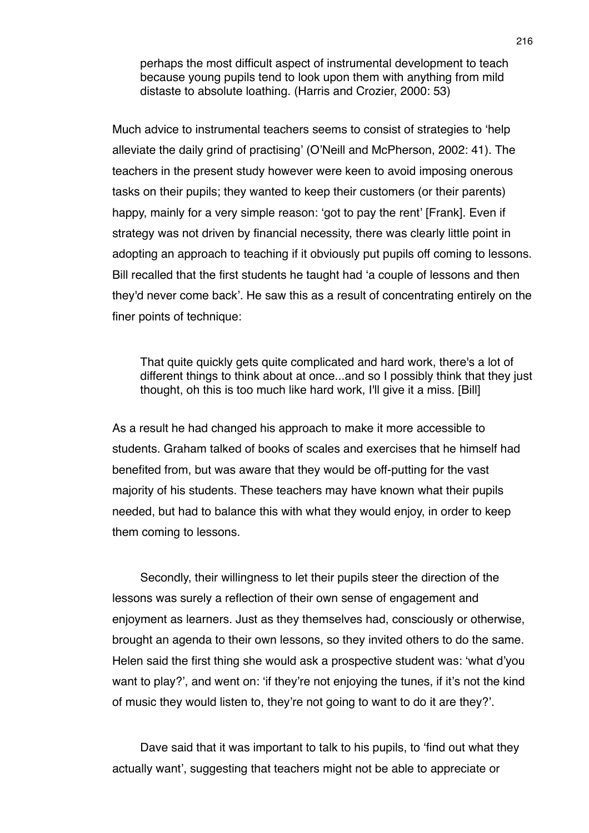perhaps the most difficult aspect of instrumental development to teach because young pupils tend to look upon them with anything from mild distaste to absolute loathing. (Harris and Crozier, 2000: 53)

Much advice to instrumental teachers seems to consist of strategies to ʻhelp alleviate the daily grind of practising' (O'Neill and McPherson, 2002: 41). The teachers in the present study however were keen to avoid imposing onerous tasks on their pupils; they wanted to keep their customers (or their parents) happy, mainly for a very simple reason: ʻgot to pay the rent' [Frank]. Even if strategy was not driven by financial necessity, there was clearly little point in adopting an approach to teaching if it obviously put pupils off coming to lessons. Bill recalled that the first students he taught had ʻa couple of lessons and then they'd never come back'. He saw this as a result of concentrating entirely on the finer points of technique:

That quite quickly gets quite complicated and hard work, there's a lot of different things to think about at once...and so I possibly think that they just thought, oh this is too much like hard work, I'll give it a miss. [Bill]

As a result he had changed his approach to make it more accessible to students. Graham talked of books of scales and exercises that he himself had benefited from, but was aware that they would be off-putting for the vast majority of his students. These teachers may have known what their pupils needed, but had to balance this with what they would enjoy, in order to keep them coming to lessons.

Secondly, their willingness to let their pupils steer the direction of the lessons was surely a reflection of their own sense of engagement and enjoyment as learners. Just as they themselves had, consciously or otherwise, brought an agenda to their own lessons, so they invited others to do the same. Helen said the first thing she would ask a prospective student was: ʻwhat d'you want to play?', and went on: ʻif they're not enjoying the tunes, if it's not the kind of music they would listen to, they're not going to want to do it are they?'.

Dave said that it was important to talk to his pupils, to ʻfind out what they actually want', suggesting that teachers might not be able to appreciate or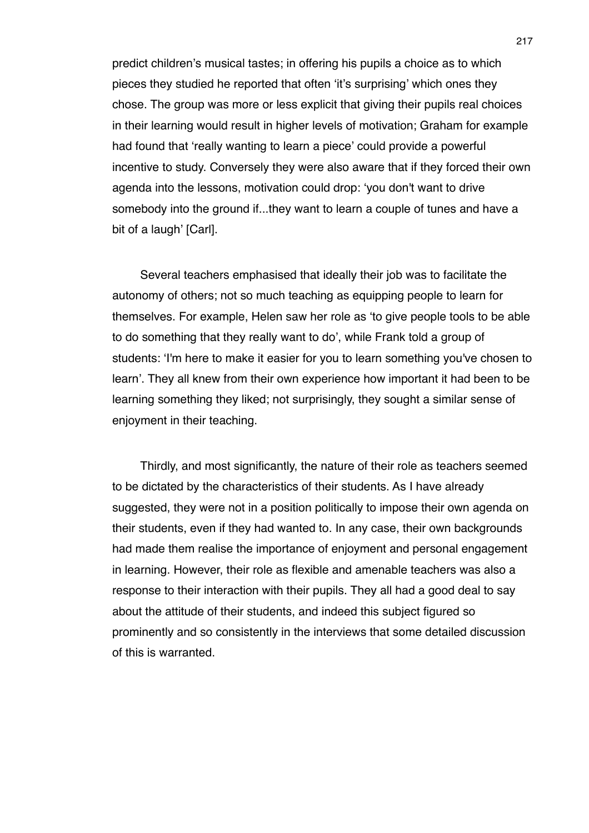predict children's musical tastes; in offering his pupils a choice as to which pieces they studied he reported that often ʻit's surprising' which ones they chose. The group was more or less explicit that giving their pupils real choices in their learning would result in higher levels of motivation; Graham for example had found that ʻreally wanting to learn a piece' could provide a powerful incentive to study. Conversely they were also aware that if they forced their own agenda into the lessons, motivation could drop: ʻyou don't want to drive somebody into the ground if...they want to learn a couple of tunes and have a bit of a laugh' [Carl].

Several teachers emphasised that ideally their job was to facilitate the autonomy of others; not so much teaching as equipping people to learn for themselves. For example, Helen saw her role as ʻto give people tools to be able to do something that they really want to do', while Frank told a group of students: ʻI'm here to make it easier for you to learn something you've chosen to learn'. They all knew from their own experience how important it had been to be learning something they liked; not surprisingly, they sought a similar sense of enjoyment in their teaching.

Thirdly, and most significantly, the nature of their role as teachers seemed to be dictated by the characteristics of their students. As I have already suggested, they were not in a position politically to impose their own agenda on their students, even if they had wanted to. In any case, their own backgrounds had made them realise the importance of enjoyment and personal engagement in learning. However, their role as flexible and amenable teachers was also a response to their interaction with their pupils. They all had a good deal to say about the attitude of their students, and indeed this subject figured so prominently and so consistently in the interviews that some detailed discussion of this is warranted.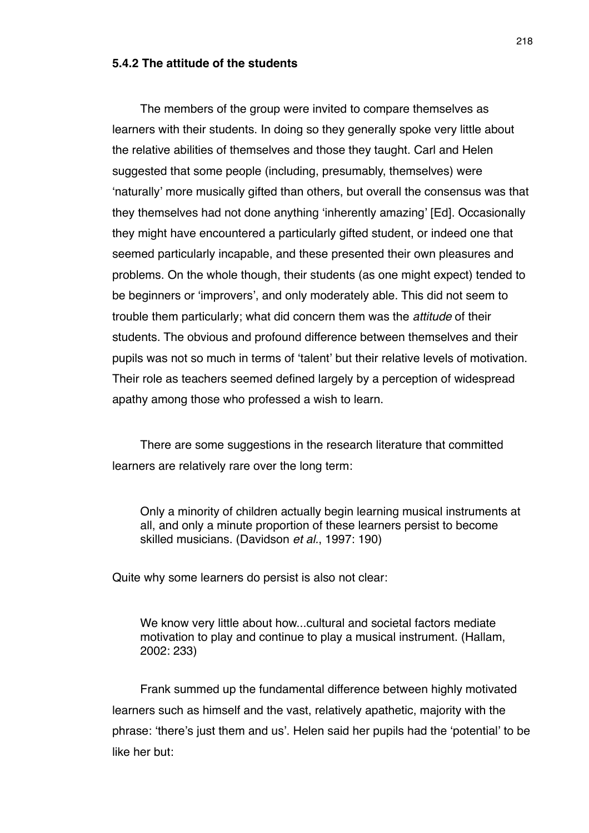# **5.4.2 The attitude of the students**

The members of the group were invited to compare themselves as learners with their students. In doing so they generally spoke very little about the relative abilities of themselves and those they taught. Carl and Helen suggested that some people (including, presumably, themselves) were ʻnaturally' more musically gifted than others, but overall the consensus was that they themselves had not done anything ʻinherently amazing' [Ed]. Occasionally they might have encountered a particularly gifted student, or indeed one that seemed particularly incapable, and these presented their own pleasures and problems. On the whole though, their students (as one might expect) tended to be beginners or ʻimprovers', and only moderately able. This did not seem to trouble them particularly; what did concern them was the *attitude* of their students. The obvious and profound difference between themselves and their pupils was not so much in terms of ʻtalent' but their relative levels of motivation. Their role as teachers seemed defined largely by a perception of widespread apathy among those who professed a wish to learn.

There are some suggestions in the research literature that committed learners are relatively rare over the long term:

Only a minority of children actually begin learning musical instruments at all, and only a minute proportion of these learners persist to become skilled musicians. (Davidson *et al.*, 1997: 190)

Quite why some learners do persist is also not clear:

We know very little about how...cultural and societal factors mediate motivation to play and continue to play a musical instrument. (Hallam, 2002: 233)

Frank summed up the fundamental difference between highly motivated learners such as himself and the vast, relatively apathetic, majority with the phrase: ʻthere's just them and us'. Helen said her pupils had the ʻpotential' to be like her but: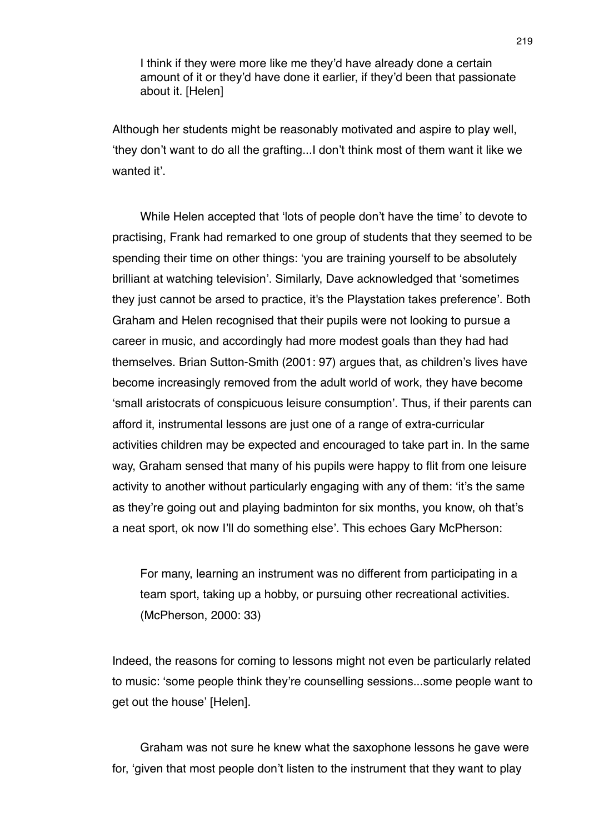I think if they were more like me they'd have already done a certain amount of it or they'd have done it earlier, if they'd been that passionate about it. [Helen]

Although her students might be reasonably motivated and aspire to play well, ʻthey don't want to do all the grafting...I don't think most of them want it like we wanted it'.

While Helen accepted that ʻlots of people don't have the time' to devote to practising, Frank had remarked to one group of students that they seemed to be spending their time on other things: ʻyou are training yourself to be absolutely brilliant at watching television'. Similarly, Dave acknowledged that ʻsometimes they just cannot be arsed to practice, it's the Playstation takes preference'. Both Graham and Helen recognised that their pupils were not looking to pursue a career in music, and accordingly had more modest goals than they had had themselves. Brian Sutton-Smith (2001: 97) argues that, as children's lives have become increasingly removed from the adult world of work, they have become ʻsmall aristocrats of conspicuous leisure consumption'. Thus, if their parents can afford it, instrumental lessons are just one of a range of extra-curricular activities children may be expected and encouraged to take part in. In the same way, Graham sensed that many of his pupils were happy to flit from one leisure activity to another without particularly engaging with any of them: ʻit's the same as they're going out and playing badminton for six months, you know, oh that's a neat sport, ok now I'll do something else'. This echoes Gary McPherson:

For many, learning an instrument was no different from participating in a team sport, taking up a hobby, or pursuing other recreational activities. (McPherson, 2000: 33)

Indeed, the reasons for coming to lessons might not even be particularly related to music: ʻsome people think they're counselling sessions...some people want to get out the house' [Helen].

Graham was not sure he knew what the saxophone lessons he gave were for, ʻgiven that most people don't listen to the instrument that they want to play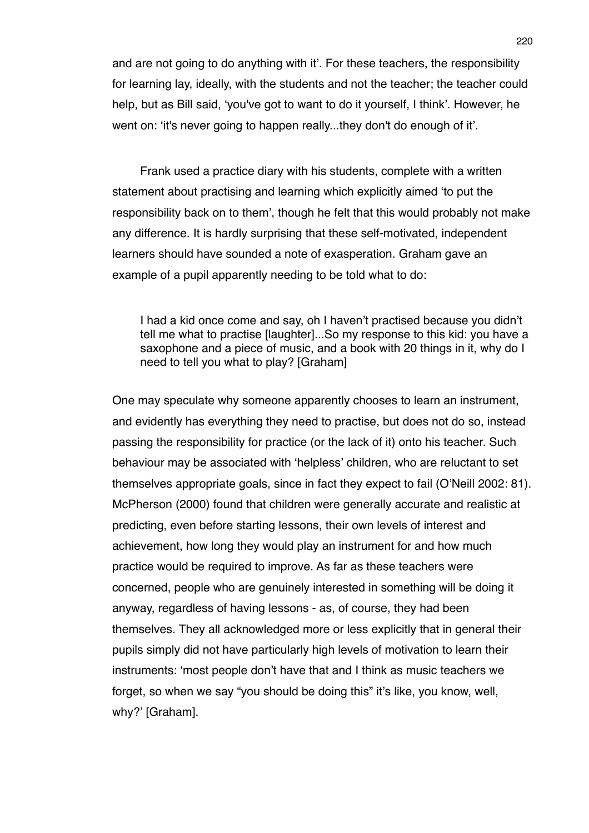and are not going to do anything with it'. For these teachers, the responsibility for learning lay, ideally, with the students and not the teacher; the teacher could help, but as Bill said, ʻyou've got to want to do it yourself, I think'. However, he went on: ʻit's never going to happen really...they don't do enough of it'.

Frank used a practice diary with his students, complete with a written statement about practising and learning which explicitly aimed ʻto put the responsibility back on to them', though he felt that this would probably not make any difference. It is hardly surprising that these self-motivated, independent learners should have sounded a note of exasperation. Graham gave an example of a pupil apparently needing to be told what to do:

I had a kid once come and say, oh I haven't practised because you didn't tell me what to practise [laughter]...So my response to this kid: you have a saxophone and a piece of music, and a book with 20 things in it, why do I need to tell you what to play? [Graham]

One may speculate why someone apparently chooses to learn an instrument, and evidently has everything they need to practise, but does not do so, instead passing the responsibility for practice (or the lack of it) onto his teacher. Such behaviour may be associated with ʻhelpless' children, who are reluctant to set themselves appropriate goals, since in fact they expect to fail (O'Neill 2002: 81). McPherson (2000) found that children were generally accurate and realistic at predicting, even before starting lessons, their own levels of interest and achievement, how long they would play an instrument for and how much practice would be required to improve. As far as these teachers were concerned, people who are genuinely interested in something will be doing it anyway, regardless of having lessons - as, of course, they had been themselves. They all acknowledged more or less explicitly that in general their pupils simply did not have particularly high levels of motivation to learn their instruments: ʻmost people don't have that and I think as music teachers we forget, so when we say "you should be doing this" it's like, you know, well, why?' [Graham].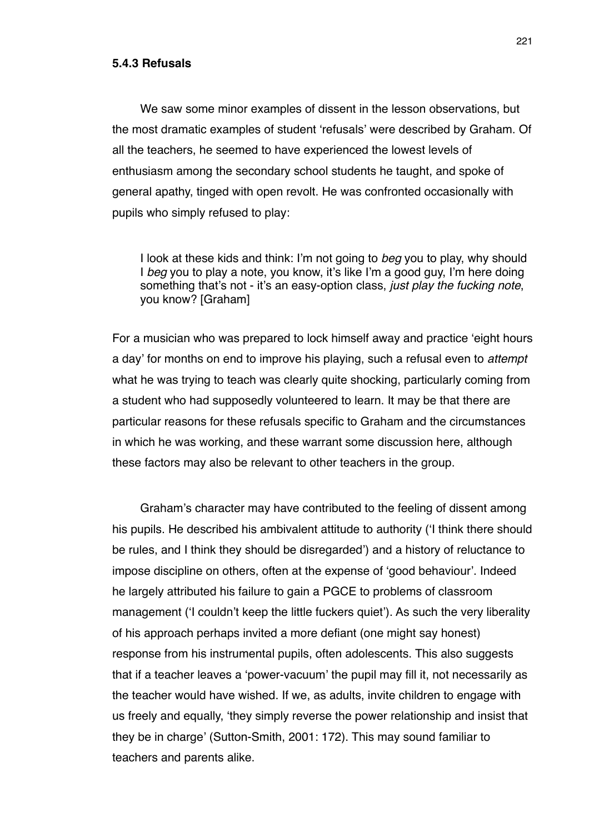#### **5.4.3 Refusals**

We saw some minor examples of dissent in the lesson observations, but the most dramatic examples of student ʻrefusals' were described by Graham. Of all the teachers, he seemed to have experienced the lowest levels of enthusiasm among the secondary school students he taught, and spoke of general apathy, tinged with open revolt. He was confronted occasionally with pupils who simply refused to play:

I look at these kids and think: I'm not going to *beg* you to play, why should I *beg* you to play a note, you know, it's like I'm a good guy, I'm here doing something that's not - it's an easy-option class, *just play the fucking note*, you know? [Graham]

For a musician who was prepared to lock himself away and practice ʻeight hours a day' for months on end to improve his playing, such a refusal even to *attempt*  what he was trying to teach was clearly quite shocking, particularly coming from a student who had supposedly volunteered to learn. It may be that there are particular reasons for these refusals specific to Graham and the circumstances in which he was working, and these warrant some discussion here, although these factors may also be relevant to other teachers in the group.

Graham's character may have contributed to the feeling of dissent among his pupils. He described his ambivalent attitude to authority (ʻI think there should be rules, and I think they should be disregarded') and a history of reluctance to impose discipline on others, often at the expense of ʻgood behaviour'. Indeed he largely attributed his failure to gain a PGCE to problems of classroom management (ʻI couldn't keep the little fuckers quiet'). As such the very liberality of his approach perhaps invited a more defiant (one might say honest) response from his instrumental pupils, often adolescents. This also suggests that if a teacher leaves a ʻpower-vacuum' the pupil may fill it, not necessarily as the teacher would have wished. If we, as adults, invite children to engage with us freely and equally, ʻthey simply reverse the power relationship and insist that they be in charge' (Sutton-Smith, 2001: 172). This may sound familiar to teachers and parents alike.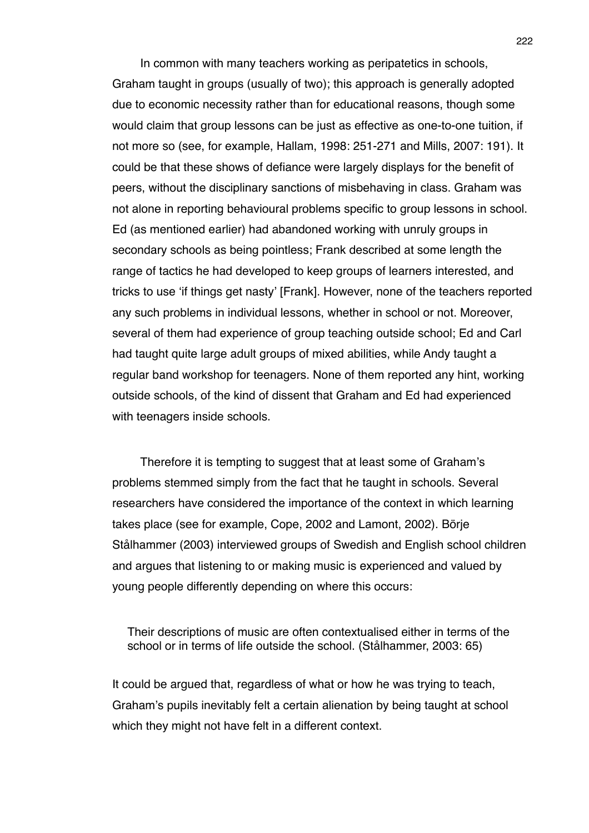In common with many teachers working as peripatetics in schools, Graham taught in groups (usually of two); this approach is generally adopted due to economic necessity rather than for educational reasons, though some would claim that group lessons can be just as effective as one-to-one tuition, if not more so (see, for example, Hallam, 1998: 251-271 and Mills, 2007: 191). It could be that these shows of defiance were largely displays for the benefit of peers, without the disciplinary sanctions of misbehaving in class. Graham was not alone in reporting behavioural problems specific to group lessons in school. Ed (as mentioned earlier) had abandoned working with unruly groups in secondary schools as being pointless; Frank described at some length the range of tactics he had developed to keep groups of learners interested, and tricks to use ʻif things get nasty' [Frank]. However, none of the teachers reported any such problems in individual lessons, whether in school or not. Moreover, several of them had experience of group teaching outside school; Ed and Carl had taught quite large adult groups of mixed abilities, while Andy taught a regular band workshop for teenagers. None of them reported any hint, working outside schools, of the kind of dissent that Graham and Ed had experienced with teenagers inside schools.

Therefore it is tempting to suggest that at least some of Graham's problems stemmed simply from the fact that he taught in schools. Several researchers have considered the importance of the context in which learning takes place (see for example, Cope, 2002 and Lamont, 2002). Börje Stålhammer (2003) interviewed groups of Swedish and English school children and argues that listening to or making music is experienced and valued by young people differently depending on where this occurs:

Their descriptions of music are often contextualised either in terms of the school or in terms of life outside the school. (Stålhammer, 2003: 65)

It could be argued that, regardless of what or how he was trying to teach, Graham's pupils inevitably felt a certain alienation by being taught at school which they might not have felt in a different context.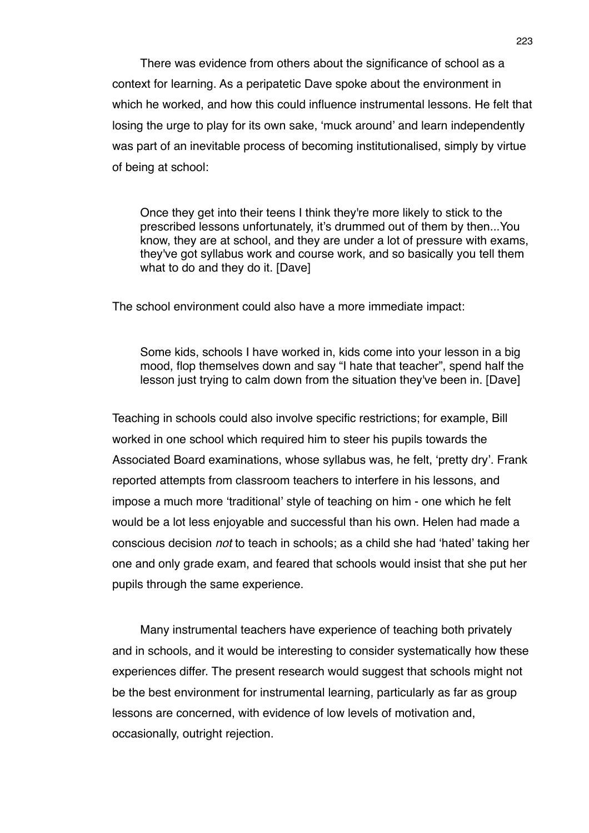There was evidence from others about the significance of school as a context for learning. As a peripatetic Dave spoke about the environment in which he worked, and how this could influence instrumental lessons. He felt that losing the urge to play for its own sake, ʻmuck around' and learn independently was part of an inevitable process of becoming institutionalised, simply by virtue of being at school:

Once they get into their teens I think they're more likely to stick to the prescribed lessons unfortunately, it's drummed out of them by then...You know, they are at school, and they are under a lot of pressure with exams, they've got syllabus work and course work, and so basically you tell them what to do and they do it. [Dave]

The school environment could also have a more immediate impact:

Some kids, schools I have worked in, kids come into your lesson in a big mood, flop themselves down and say "I hate that teacher", spend half the lesson just trying to calm down from the situation they've been in. [Dave]

Teaching in schools could also involve specific restrictions; for example, Bill worked in one school which required him to steer his pupils towards the Associated Board examinations, whose syllabus was, he felt, ʻpretty dry'. Frank reported attempts from classroom teachers to interfere in his lessons, and impose a much more ʻtraditional' style of teaching on him - one which he felt would be a lot less enjoyable and successful than his own. Helen had made a conscious decision *not* to teach in schools; as a child she had ʻhated' taking her one and only grade exam, and feared that schools would insist that she put her pupils through the same experience.

Many instrumental teachers have experience of teaching both privately and in schools, and it would be interesting to consider systematically how these experiences differ. The present research would suggest that schools might not be the best environment for instrumental learning, particularly as far as group lessons are concerned, with evidence of low levels of motivation and, occasionally, outright rejection.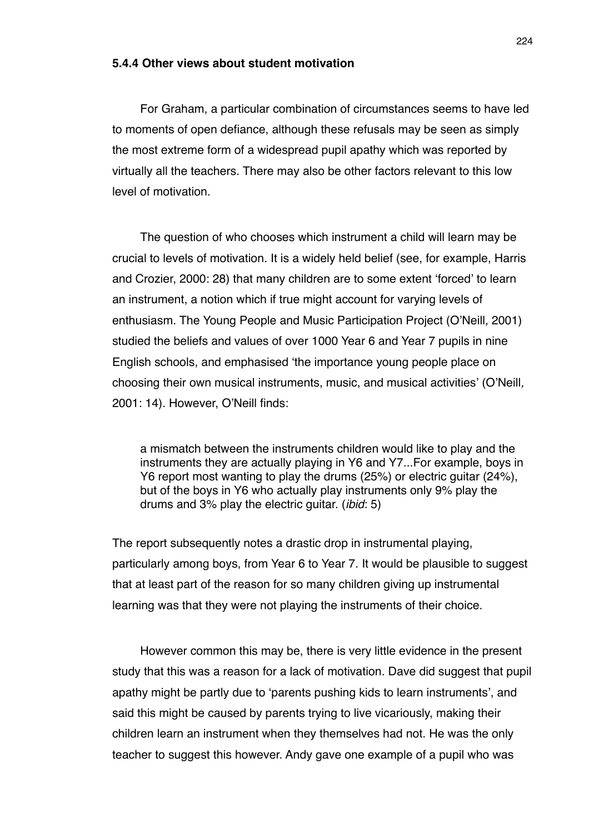#### **5.4.4 Other views about student motivation**

For Graham, a particular combination of circumstances seems to have led to moments of open defiance, although these refusals may be seen as simply the most extreme form of a widespread pupil apathy which was reported by virtually all the teachers. There may also be other factors relevant to this low level of motivation.

The question of who chooses which instrument a child will learn may be crucial to levels of motivation. It is a widely held belief (see, for example, Harris and Crozier, 2000: 28) that many children are to some extent ʻforced' to learn an instrument, a notion which if true might account for varying levels of enthusiasm. The Young People and Music Participation Project (O'Neill*,* 2001) studied the beliefs and values of over 1000 Year 6 and Year 7 pupils in nine English schools, and emphasised ʻthe importance young people place on choosing their own musical instruments, music, and musical activities' (O'Neill*,*  2001: 14). However, O'Neill finds:

a mismatch between the instruments children would like to play and the instruments they are actually playing in Y6 and Y7...For example, boys in Y6 report most wanting to play the drums (25%) or electric guitar (24%), but of the boys in Y6 who actually play instruments only 9% play the drums and 3% play the electric guitar. (*ibid*: 5)

The report subsequently notes a drastic drop in instrumental playing, particularly among boys, from Year 6 to Year 7. It would be plausible to suggest that at least part of the reason for so many children giving up instrumental learning was that they were not playing the instruments of their choice.

However common this may be, there is very little evidence in the present study that this was a reason for a lack of motivation. Dave did suggest that pupil apathy might be partly due to ʻparents pushing kids to learn instruments', and said this might be caused by parents trying to live vicariously, making their children learn an instrument when they themselves had not. He was the only teacher to suggest this however. Andy gave one example of a pupil who was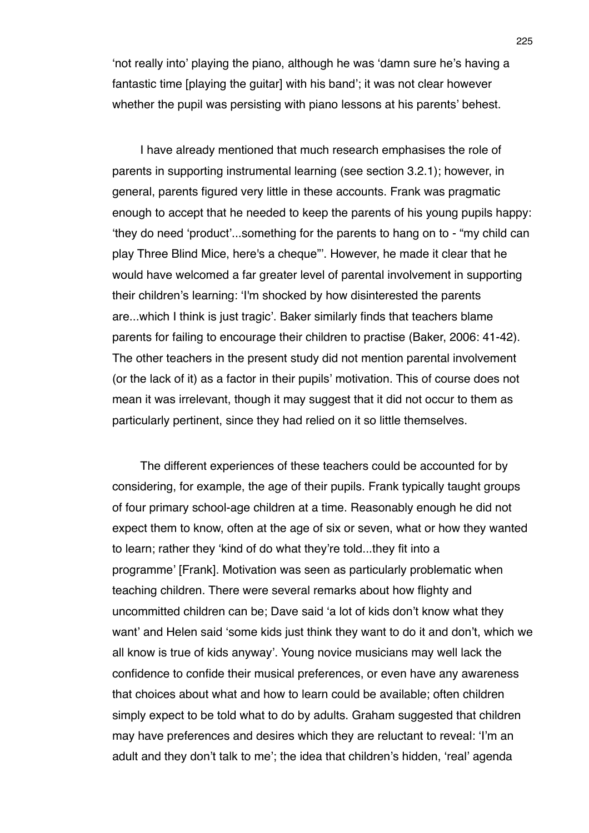ʻnot really into' playing the piano, although he was ʻdamn sure he's having a fantastic time [playing the guitar] with his band'; it was not clear however whether the pupil was persisting with piano lessons at his parents' behest.

I have already mentioned that much research emphasises the role of parents in supporting instrumental learning (see section 3.2.1); however, in general, parents figured very little in these accounts. Frank was pragmatic enough to accept that he needed to keep the parents of his young pupils happy: ʻthey do need ʻproduct'...something for the parents to hang on to - "my child can play Three Blind Mice, here's a cheque"'. However, he made it clear that he would have welcomed a far greater level of parental involvement in supporting their children's learning: ʻI'm shocked by how disinterested the parents are...which I think is just tragic'. Baker similarly finds that teachers blame parents for failing to encourage their children to practise (Baker, 2006: 41-42). The other teachers in the present study did not mention parental involvement (or the lack of it) as a factor in their pupils' motivation. This of course does not mean it was irrelevant, though it may suggest that it did not occur to them as particularly pertinent, since they had relied on it so little themselves.

The different experiences of these teachers could be accounted for by considering, for example, the age of their pupils. Frank typically taught groups of four primary school-age children at a time. Reasonably enough he did not expect them to know, often at the age of six or seven, what or how they wanted to learn; rather they ʻkind of do what they're told...they fit into a programme' [Frank]. Motivation was seen as particularly problematic when teaching children. There were several remarks about how flighty and uncommitted children can be; Dave said ʻa lot of kids don't know what they want' and Helen said ʻsome kids just think they want to do it and don't, which we all know is true of kids anyway'. Young novice musicians may well lack the confidence to confide their musical preferences, or even have any awareness that choices about what and how to learn could be available; often children simply expect to be told what to do by adults. Graham suggested that children may have preferences and desires which they are reluctant to reveal: ʻI'm an adult and they don't talk to me'; the idea that children's hidden, ʻreal' agenda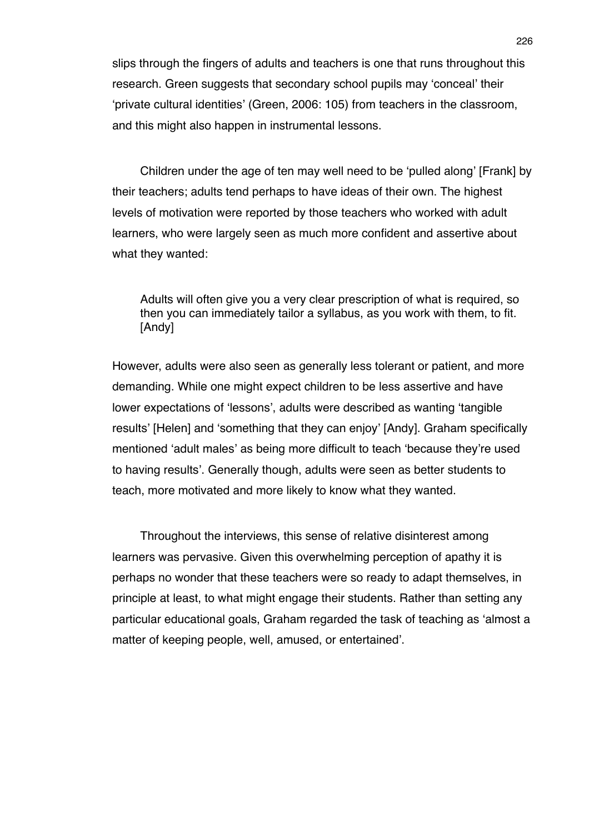slips through the fingers of adults and teachers is one that runs throughout this research. Green suggests that secondary school pupils may ʻconceal' their ʻprivate cultural identities' (Green, 2006: 105) from teachers in the classroom, and this might also happen in instrumental lessons.

Children under the age of ten may well need to be ʻpulled along' [Frank] by their teachers; adults tend perhaps to have ideas of their own. The highest levels of motivation were reported by those teachers who worked with adult learners, who were largely seen as much more confident and assertive about what they wanted:

Adults will often give you a very clear prescription of what is required, so then you can immediately tailor a syllabus, as you work with them, to fit. [Andy]

However, adults were also seen as generally less tolerant or patient, and more demanding. While one might expect children to be less assertive and have lower expectations of ʻlessons', adults were described as wanting ʻtangible results' [Helen] and ʻsomething that they can enjoy' [Andy]. Graham specifically mentioned ʻadult males' as being more difficult to teach ʻbecause they're used to having results'. Generally though, adults were seen as better students to teach, more motivated and more likely to know what they wanted.

Throughout the interviews, this sense of relative disinterest among learners was pervasive. Given this overwhelming perception of apathy it is perhaps no wonder that these teachers were so ready to adapt themselves, in principle at least, to what might engage their students. Rather than setting any particular educational goals, Graham regarded the task of teaching as ʻalmost a matter of keeping people, well, amused, or entertained'.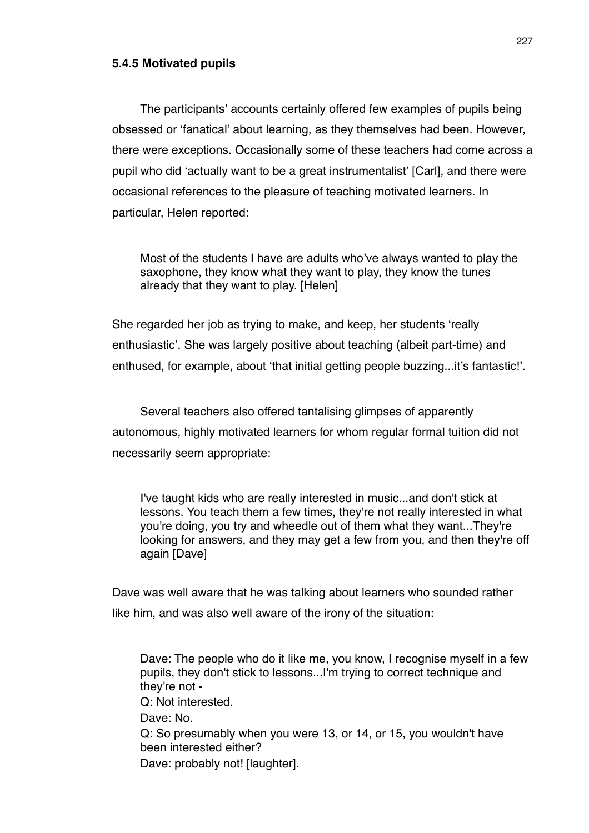# **5.4.5 Motivated pupils**

The participants' accounts certainly offered few examples of pupils being obsessed or ʻfanatical' about learning, as they themselves had been. However, there were exceptions. Occasionally some of these teachers had come across a pupil who did ʻactually want to be a great instrumentalist' [Carl], and there were occasional references to the pleasure of teaching motivated learners. In particular, Helen reported:

Most of the students I have are adults who've always wanted to play the saxophone, they know what they want to play, they know the tunes already that they want to play. [Helen]

She regarded her job as trying to make, and keep, her students ʻreally enthusiastic'. She was largely positive about teaching (albeit part-time) and enthused, for example, about ʻthat initial getting people buzzing...it's fantastic!'.

Several teachers also offered tantalising glimpses of apparently autonomous, highly motivated learners for whom regular formal tuition did not necessarily seem appropriate:

I've taught kids who are really interested in music...and don't stick at lessons. You teach them a few times, they're not really interested in what you're doing, you try and wheedle out of them what they want...They're looking for answers, and they may get a few from you, and then they're off again [Dave]

Dave was well aware that he was talking about learners who sounded rather like him, and was also well aware of the irony of the situation:

Dave: The people who do it like me, you know, I recognise myself in a few pupils, they don't stick to lessons...I'm trying to correct technique and they're not - Q: Not interested. Dave: No. Q: So presumably when you were 13, or 14, or 15, you wouldn't have been interested either? Dave: probably not! [laughter].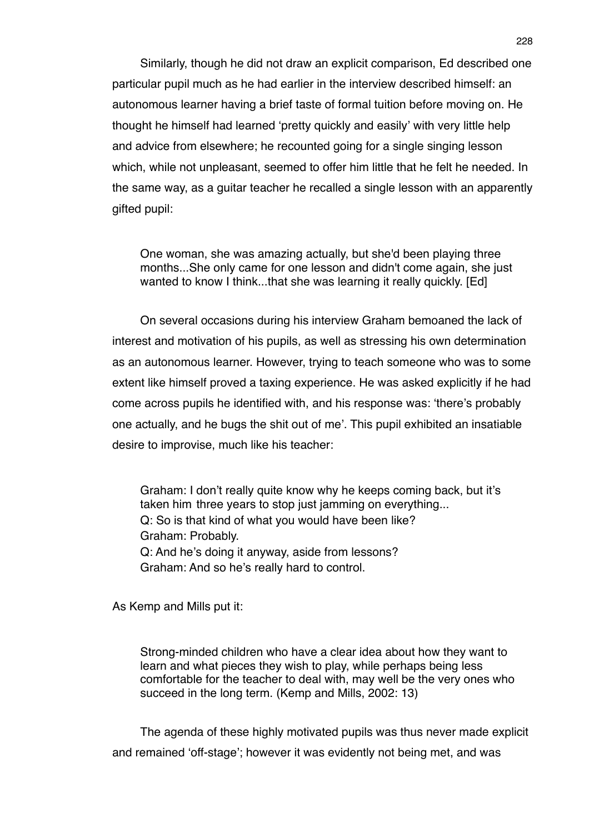Similarly, though he did not draw an explicit comparison, Ed described one particular pupil much as he had earlier in the interview described himself: an autonomous learner having a brief taste of formal tuition before moving on. He thought he himself had learned ʻpretty quickly and easily' with very little help and advice from elsewhere; he recounted going for a single singing lesson which, while not unpleasant, seemed to offer him little that he felt he needed. In the same way, as a guitar teacher he recalled a single lesson with an apparently gifted pupil:

One woman, she was amazing actually, but she'd been playing three months...She only came for one lesson and didn't come again, she just wanted to know I think...that she was learning it really quickly. [Ed]

On several occasions during his interview Graham bemoaned the lack of interest and motivation of his pupils, as well as stressing his own determination as an autonomous learner. However, trying to teach someone who was to some extent like himself proved a taxing experience. He was asked explicitly if he had come across pupils he identified with, and his response was: ʻthere's probably one actually, and he bugs the shit out of me'. This pupil exhibited an insatiable desire to improvise, much like his teacher:

Graham: I don't really quite know why he keeps coming back, but it's taken him three years to stop just jamming on everything... Q: So is that kind of what you would have been like? Graham: Probably. Q: And he's doing it anyway, aside from lessons? Graham: And so he's really hard to control.

As Kemp and Mills put it:

Strong-minded children who have a clear idea about how they want to learn and what pieces they wish to play, while perhaps being less comfortable for the teacher to deal with, may well be the very ones who succeed in the long term. (Kemp and Mills, 2002: 13)

The agenda of these highly motivated pupils was thus never made explicit and remained ʻoff-stage'; however it was evidently not being met, and was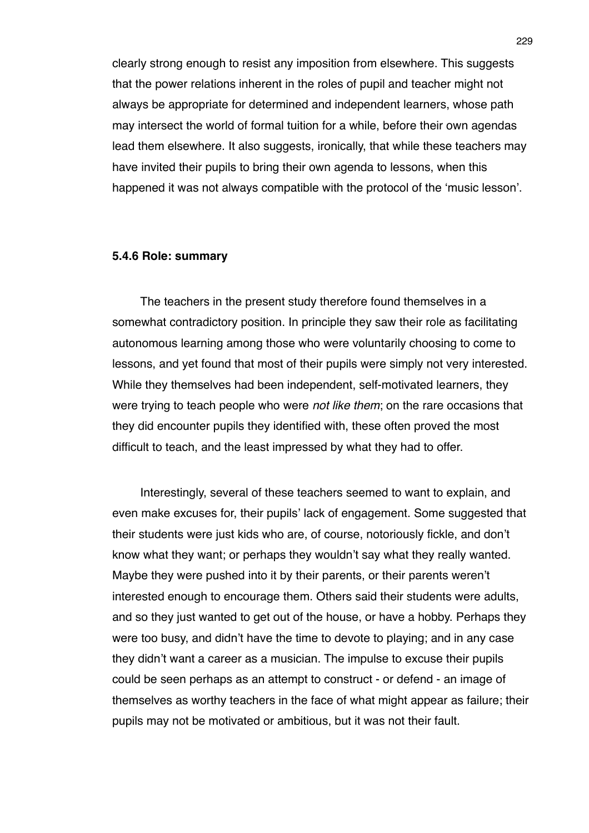clearly strong enough to resist any imposition from elsewhere. This suggests that the power relations inherent in the roles of pupil and teacher might not always be appropriate for determined and independent learners, whose path may intersect the world of formal tuition for a while, before their own agendas lead them elsewhere. It also suggests, ironically, that while these teachers may have invited their pupils to bring their own agenda to lessons, when this happened it was not always compatible with the protocol of the ʻmusic lesson'.

## **5.4.6 Role: summary**

The teachers in the present study therefore found themselves in a somewhat contradictory position. In principle they saw their role as facilitating autonomous learning among those who were voluntarily choosing to come to lessons, and yet found that most of their pupils were simply not very interested. While they themselves had been independent, self-motivated learners, they were trying to teach people who were *not like them*; on the rare occasions that they did encounter pupils they identified with, these often proved the most difficult to teach, and the least impressed by what they had to offer.

Interestingly, several of these teachers seemed to want to explain, and even make excuses for, their pupils' lack of engagement. Some suggested that their students were just kids who are, of course, notoriously fickle, and don't know what they want; or perhaps they wouldn't say what they really wanted. Maybe they were pushed into it by their parents, or their parents weren't interested enough to encourage them. Others said their students were adults, and so they just wanted to get out of the house, or have a hobby. Perhaps they were too busy, and didn't have the time to devote to playing; and in any case they didn't want a career as a musician. The impulse to excuse their pupils could be seen perhaps as an attempt to construct - or defend - an image of themselves as worthy teachers in the face of what might appear as failure; their pupils may not be motivated or ambitious, but it was not their fault.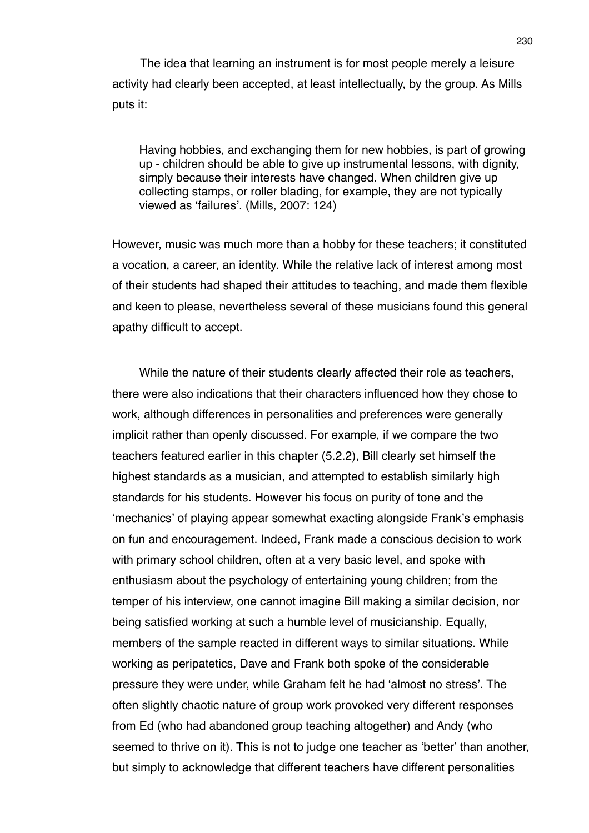The idea that learning an instrument is for most people merely a leisure activity had clearly been accepted, at least intellectually, by the group. As Mills puts it:

Having hobbies, and exchanging them for new hobbies, is part of growing up - children should be able to give up instrumental lessons, with dignity, simply because their interests have changed. When children give up collecting stamps, or roller blading, for example, they are not typically viewed as ʻfailures'. (Mills, 2007: 124)

However, music was much more than a hobby for these teachers; it constituted a vocation, a career, an identity. While the relative lack of interest among most of their students had shaped their attitudes to teaching, and made them flexible and keen to please, nevertheless several of these musicians found this general apathy difficult to accept.

While the nature of their students clearly affected their role as teachers, there were also indications that their characters influenced how they chose to work, although differences in personalities and preferences were generally implicit rather than openly discussed. For example, if we compare the two teachers featured earlier in this chapter (5.2.2), Bill clearly set himself the highest standards as a musician, and attempted to establish similarly high standards for his students. However his focus on purity of tone and the ʻmechanics' of playing appear somewhat exacting alongside Frank's emphasis on fun and encouragement. Indeed, Frank made a conscious decision to work with primary school children, often at a very basic level, and spoke with enthusiasm about the psychology of entertaining young children; from the temper of his interview, one cannot imagine Bill making a similar decision, nor being satisfied working at such a humble level of musicianship. Equally, members of the sample reacted in different ways to similar situations. While working as peripatetics, Dave and Frank both spoke of the considerable pressure they were under, while Graham felt he had ʻalmost no stress'. The often slightly chaotic nature of group work provoked very different responses from Ed (who had abandoned group teaching altogether) and Andy (who seemed to thrive on it). This is not to judge one teacher as ʻbetter' than another, but simply to acknowledge that different teachers have different personalities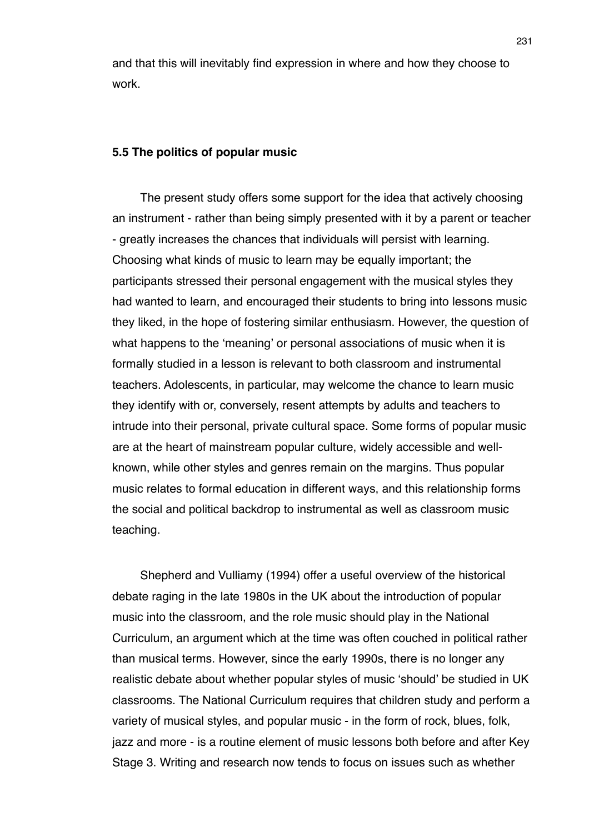and that this will inevitably find expression in where and how they choose to work.

### **5.5 The politics of popular music**

The present study offers some support for the idea that actively choosing an instrument - rather than being simply presented with it by a parent or teacher - greatly increases the chances that individuals will persist with learning. Choosing what kinds of music to learn may be equally important; the participants stressed their personal engagement with the musical styles they had wanted to learn, and encouraged their students to bring into lessons music they liked, in the hope of fostering similar enthusiasm. However, the question of what happens to the ʻmeaning' or personal associations of music when it is formally studied in a lesson is relevant to both classroom and instrumental teachers. Adolescents, in particular, may welcome the chance to learn music they identify with or, conversely, resent attempts by adults and teachers to intrude into their personal, private cultural space. Some forms of popular music are at the heart of mainstream popular culture, widely accessible and wellknown, while other styles and genres remain on the margins. Thus popular music relates to formal education in different ways, and this relationship forms the social and political backdrop to instrumental as well as classroom music teaching.

Shepherd and Vulliamy (1994) offer a useful overview of the historical debate raging in the late 1980s in the UK about the introduction of popular music into the classroom, and the role music should play in the National Curriculum, an argument which at the time was often couched in political rather than musical terms. However, since the early 1990s, there is no longer any realistic debate about whether popular styles of music ʻshould' be studied in UK classrooms. The National Curriculum requires that children study and perform a variety of musical styles, and popular music - in the form of rock, blues, folk, jazz and more - is a routine element of music lessons both before and after Key Stage 3. Writing and research now tends to focus on issues such as whether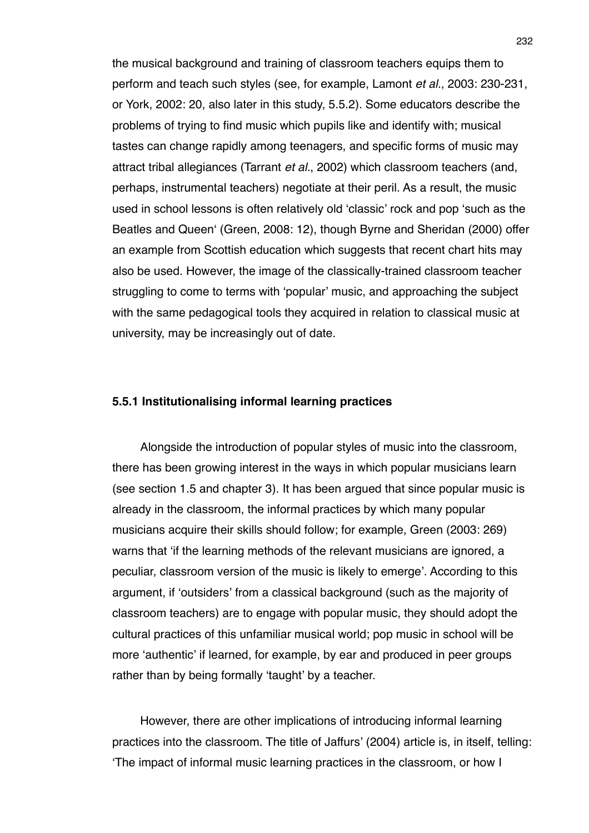the musical background and training of classroom teachers equips them to perform and teach such styles (see, for example, Lamont *et al.*, 2003: 230-231, or York, 2002: 20, also later in this study, 5.5.2). Some educators describe the problems of trying to find music which pupils like and identify with; musical tastes can change rapidly among teenagers, and specific forms of music may attract tribal allegiances (Tarrant *et al.*, 2002) which classroom teachers (and, perhaps, instrumental teachers) negotiate at their peril. As a result, the music used in school lessons is often relatively old ʻclassic' rock and pop ʻsuch as the Beatles and Queenʻ (Green, 2008: 12), though Byrne and Sheridan (2000) offer an example from Scottish education which suggests that recent chart hits may also be used. However, the image of the classically-trained classroom teacher struggling to come to terms with ʻpopular' music, and approaching the subject with the same pedagogical tools they acquired in relation to classical music at university, may be increasingly out of date.

## **5.5.1 Institutionalising informal learning practices**

Alongside the introduction of popular styles of music into the classroom, there has been growing interest in the ways in which popular musicians learn (see section 1.5 and chapter 3). It has been argued that since popular music is already in the classroom, the informal practices by which many popular musicians acquire their skills should follow; for example, Green (2003: 269) warns that ʻif the learning methods of the relevant musicians are ignored, a peculiar, classroom version of the music is likely to emerge'. According to this argument, if ʻoutsiders' from a classical background (such as the majority of classroom teachers) are to engage with popular music, they should adopt the cultural practices of this unfamiliar musical world; pop music in school will be more ʻauthentic' if learned, for example, by ear and produced in peer groups rather than by being formally ʻtaught' by a teacher.

However, there are other implications of introducing informal learning practices into the classroom. The title of Jaffurs' (2004) article is, in itself, telling: ʻThe impact of informal music learning practices in the classroom, or how I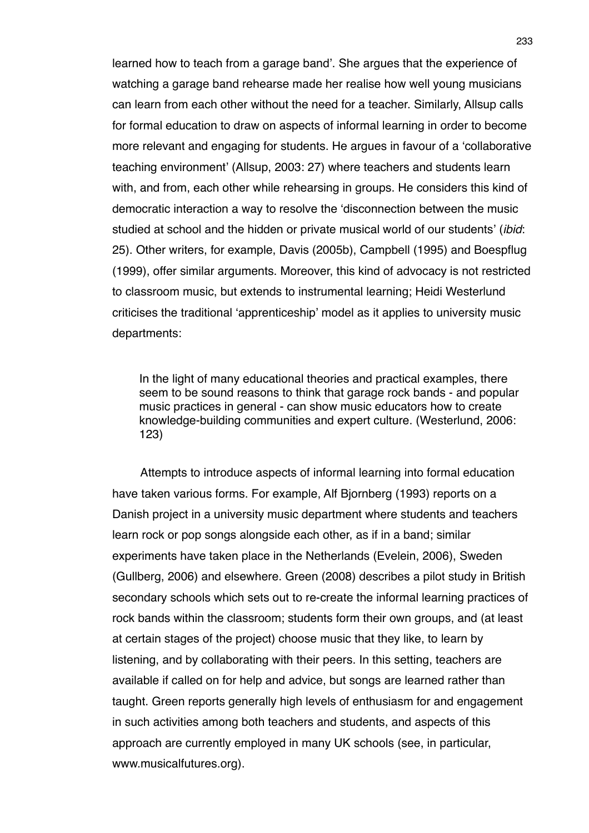learned how to teach from a garage band'. She argues that the experience of watching a garage band rehearse made her realise how well young musicians can learn from each other without the need for a teacher. Similarly, Allsup calls for formal education to draw on aspects of informal learning in order to become more relevant and engaging for students. He argues in favour of a ʻcollaborative teaching environment' (Allsup, 2003: 27) where teachers and students learn with, and from, each other while rehearsing in groups. He considers this kind of democratic interaction a way to resolve the ʻdisconnection between the music studied at school and the hidden or private musical world of our students' (*ibid*: 25). Other writers, for example, Davis (2005b), Campbell (1995) and Boespflug (1999), offer similar arguments. Moreover, this kind of advocacy is not restricted to classroom music, but extends to instrumental learning; Heidi Westerlund criticises the traditional ʻapprenticeship' model as it applies to university music departments:

In the light of many educational theories and practical examples, there seem to be sound reasons to think that garage rock bands - and popular music practices in general - can show music educators how to create knowledge-building communities and expert culture. (Westerlund, 2006: 123)

Attempts to introduce aspects of informal learning into formal education have taken various forms. For example, Alf Bjornberg (1993) reports on a Danish project in a university music department where students and teachers learn rock or pop songs alongside each other, as if in a band; similar experiments have taken place in the Netherlands (Evelein, 2006), Sweden (Gullberg, 2006) and elsewhere. Green (2008) describes a pilot study in British secondary schools which sets out to re-create the informal learning practices of rock bands within the classroom; students form their own groups, and (at least at certain stages of the project) choose music that they like, to learn by listening, and by collaborating with their peers. In this setting, teachers are available if called on for help and advice, but songs are learned rather than taught. Green reports generally high levels of enthusiasm for and engagement in such activities among both teachers and students, and aspects of this approach are currently employed in many UK schools (see, in particular, www.musicalfutures.org).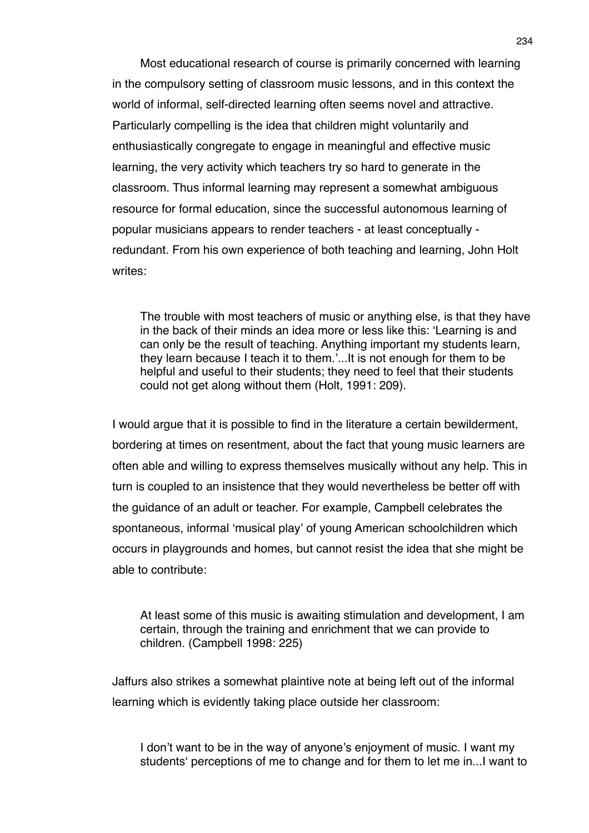Most educational research of course is primarily concerned with learning in the compulsory setting of classroom music lessons, and in this context the world of informal, self-directed learning often seems novel and attractive. Particularly compelling is the idea that children might voluntarily and enthusiastically congregate to engage in meaningful and effective music learning, the very activity which teachers try so hard to generate in the classroom. Thus informal learning may represent a somewhat ambiguous resource for formal education, since the successful autonomous learning of popular musicians appears to render teachers - at least conceptually redundant. From his own experience of both teaching and learning, John Holt writes:

The trouble with most teachers of music or anything else, is that they have in the back of their minds an idea more or less like this: ʻLearning is and can only be the result of teaching. Anything important my students learn, they learn because I teach it to them.'...It is not enough for them to be helpful and useful to their students; they need to feel that their students could not get along without them (Holt, 1991: 209).

I would argue that it is possible to find in the literature a certain bewilderment, bordering at times on resentment, about the fact that young music learners are often able and willing to express themselves musically without any help. This in turn is coupled to an insistence that they would nevertheless be better off with the guidance of an adult or teacher. For example, Campbell celebrates the spontaneous, informal ʻmusical play' of young American schoolchildren which occurs in playgrounds and homes, but cannot resist the idea that she might be able to contribute:

At least some of this music is awaiting stimulation and development, I am certain, through the training and enrichment that we can provide to children. (Campbell 1998: 225)

Jaffurs also strikes a somewhat plaintive note at being left out of the informal learning which is evidently taking place outside her classroom:

I don't want to be in the way of anyone's enjoyment of music. I want my studentsʻ perceptions of me to change and for them to let me in...I want to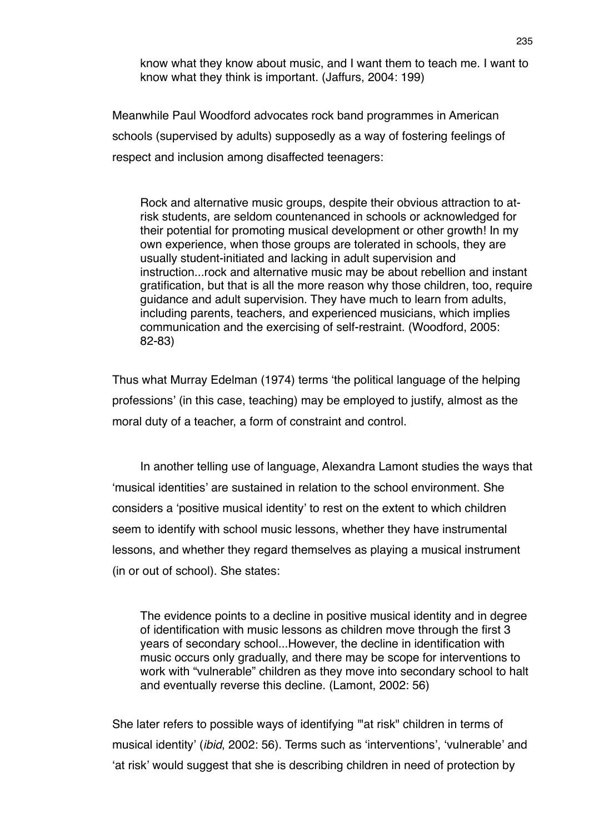know what they know about music, and I want them to teach me. I want to know what they think is important. (Jaffurs, 2004: 199)

Meanwhile Paul Woodford advocates rock band programmes in American schools (supervised by adults) supposedly as a way of fostering feelings of respect and inclusion among disaffected teenagers:

Rock and alternative music groups, despite their obvious attraction to atrisk students, are seldom countenanced in schools or acknowledged for their potential for promoting musical development or other growth! In my own experience, when those groups are tolerated in schools, they are usually student-initiated and lacking in adult supervision and instruction...rock and alternative music may be about rebellion and instant gratification, but that is all the more reason why those children, too, require guidance and adult supervision. They have much to learn from adults, including parents, teachers, and experienced musicians, which implies communication and the exercising of self-restraint. (Woodford, 2005: 82-83)

Thus what Murray Edelman (1974) terms ʻthe political language of the helping professions' (in this case, teaching) may be employed to justify, almost as the moral duty of a teacher, a form of constraint and control.

In another telling use of language, Alexandra Lamont studies the ways that ʻmusical identities' are sustained in relation to the school environment. She considers a ʻpositive musical identity' to rest on the extent to which children seem to identify with school music lessons, whether they have instrumental lessons, and whether they regard themselves as playing a musical instrument (in or out of school). She states:

The evidence points to a decline in positive musical identity and in degree of identification with music lessons as children move through the first 3 years of secondary school...However, the decline in identification with music occurs only gradually, and there may be scope for interventions to work with "vulnerable" children as they move into secondary school to halt and eventually reverse this decline. (Lamont, 2002: 56)

She later refers to possible ways of identifying '"at risk" children in terms of musical identity' (*ibid*, 2002: 56). Terms such as ʻinterventions', ʻvulnerable' and ʻat risk' would suggest that she is describing children in need of protection by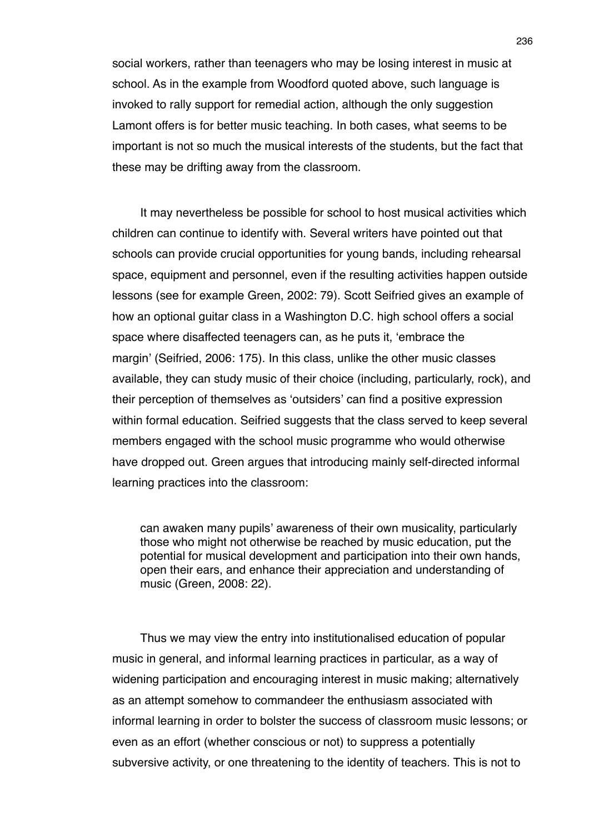social workers, rather than teenagers who may be losing interest in music at school. As in the example from Woodford quoted above, such language is invoked to rally support for remedial action, although the only suggestion Lamont offers is for better music teaching. In both cases, what seems to be important is not so much the musical interests of the students, but the fact that these may be drifting away from the classroom.

It may nevertheless be possible for school to host musical activities which children can continue to identify with. Several writers have pointed out that schools can provide crucial opportunities for young bands, including rehearsal space, equipment and personnel, even if the resulting activities happen outside lessons (see for example Green, 2002: 79). Scott Seifried gives an example of how an optional guitar class in a Washington D.C. high school offers a social space where disaffected teenagers can, as he puts it, ʻembrace the margin' (Seifried, 2006: 175). In this class, unlike the other music classes available, they can study music of their choice (including, particularly, rock), and their perception of themselves as ʻoutsiders' can find a positive expression within formal education. Seifried suggests that the class served to keep several members engaged with the school music programme who would otherwise have dropped out. Green argues that introducing mainly self-directed informal learning practices into the classroom:

can awaken many pupils' awareness of their own musicality, particularly those who might not otherwise be reached by music education, put the potential for musical development and participation into their own hands, open their ears, and enhance their appreciation and understanding of music (Green, 2008: 22).

Thus we may view the entry into institutionalised education of popular music in general, and informal learning practices in particular, as a way of widening participation and encouraging interest in music making; alternatively as an attempt somehow to commandeer the enthusiasm associated with informal learning in order to bolster the success of classroom music lessons; or even as an effort (whether conscious or not) to suppress a potentially subversive activity, or one threatening to the identity of teachers. This is not to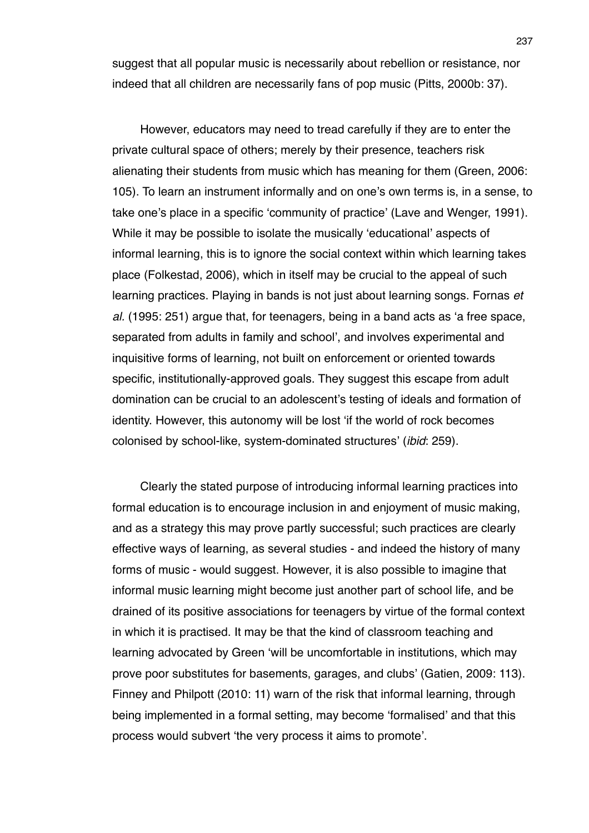suggest that all popular music is necessarily about rebellion or resistance, nor indeed that all children are necessarily fans of pop music (Pitts, 2000b: 37).

However, educators may need to tread carefully if they are to enter the private cultural space of others; merely by their presence, teachers risk alienating their students from music which has meaning for them (Green, 2006: 105). To learn an instrument informally and on one's own terms is, in a sense, to take one's place in a specific ʻcommunity of practice' (Lave and Wenger, 1991). While it may be possible to isolate the musically ʻeducational' aspects of informal learning, this is to ignore the social context within which learning takes place (Folkestad, 2006), which in itself may be crucial to the appeal of such learning practices. Playing in bands is not just about learning songs. Fornas *et al.* (1995: 251) argue that, for teenagers, being in a band acts as ʻa free space, separated from adults in family and school', and involves experimental and inquisitive forms of learning, not built on enforcement or oriented towards specific, institutionally-approved goals. They suggest this escape from adult domination can be crucial to an adolescent's testing of ideals and formation of identity. However, this autonomy will be lost ʻif the world of rock becomes colonised by school-like, system-dominated structures' (*ibid*: 259).

Clearly the stated purpose of introducing informal learning practices into formal education is to encourage inclusion in and enjoyment of music making, and as a strategy this may prove partly successful; such practices are clearly effective ways of learning, as several studies - and indeed the history of many forms of music - would suggest. However, it is also possible to imagine that informal music learning might become just another part of school life, and be drained of its positive associations for teenagers by virtue of the formal context in which it is practised. It may be that the kind of classroom teaching and learning advocated by Green ʻwill be uncomfortable in institutions, which may prove poor substitutes for basements, garages, and clubs' (Gatien, 2009: 113). Finney and Philpott (2010: 11) warn of the risk that informal learning, through being implemented in a formal setting, may become ʻformalised' and that this process would subvert ʻthe very process it aims to promote'.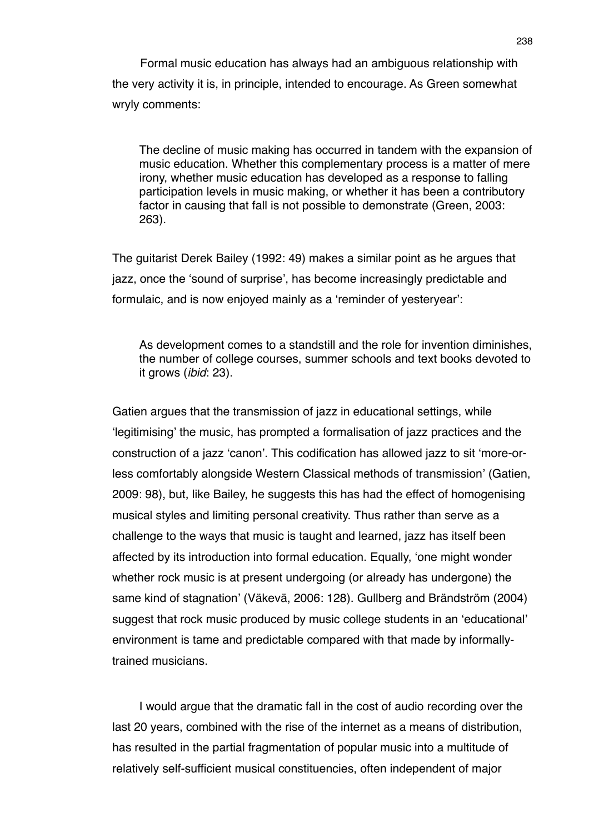Formal music education has always had an ambiguous relationship with the very activity it is, in principle, intended to encourage. As Green somewhat wryly comments:

The decline of music making has occurred in tandem with the expansion of music education. Whether this complementary process is a matter of mere irony, whether music education has developed as a response to falling participation levels in music making, or whether it has been a contributory factor in causing that fall is not possible to demonstrate (Green, 2003: 263).

The guitarist Derek Bailey (1992: 49) makes a similar point as he argues that jazz, once the ʻsound of surprise', has become increasingly predictable and formulaic, and is now enjoyed mainly as a ʻreminder of yesteryear':

As development comes to a standstill and the role for invention diminishes, the number of college courses, summer schools and text books devoted to it grows (*ibid*: 23).

Gatien argues that the transmission of jazz in educational settings, while ʻlegitimising' the music, has prompted a formalisation of jazz practices and the construction of a jazz ʻcanon'. This codification has allowed jazz to sit ʻmore-orless comfortably alongside Western Classical methods of transmission' (Gatien, 2009: 98), but, like Bailey, he suggests this has had the effect of homogenising musical styles and limiting personal creativity. Thus rather than serve as a challenge to the ways that music is taught and learned, jazz has itself been affected by its introduction into formal education. Equally, ʻone might wonder whether rock music is at present undergoing (or already has undergone) the same kind of stagnation' (Väkevä, 2006: 128). Gullberg and Brändström (2004) suggest that rock music produced by music college students in an ʻeducational' environment is tame and predictable compared with that made by informallytrained musicians.

I would argue that the dramatic fall in the cost of audio recording over the last 20 years, combined with the rise of the internet as a means of distribution, has resulted in the partial fragmentation of popular music into a multitude of relatively self-sufficient musical constituencies, often independent of major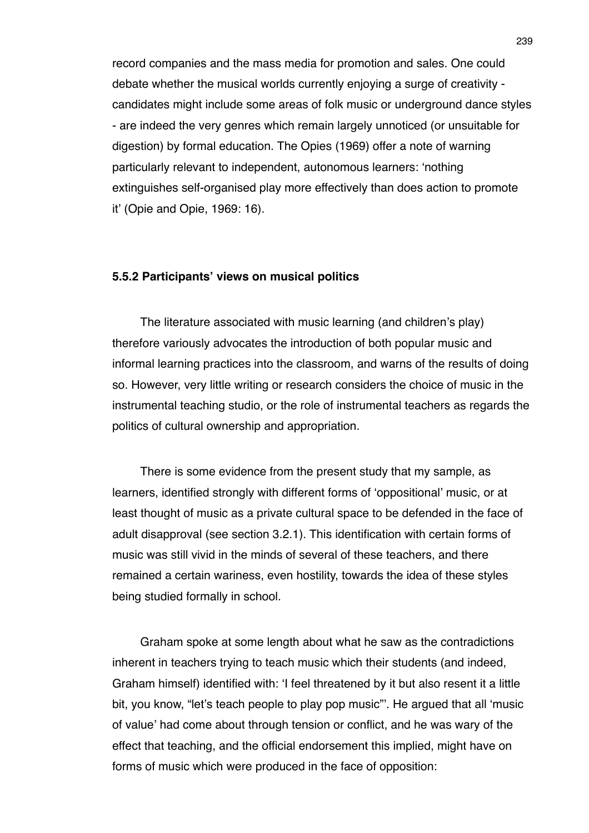record companies and the mass media for promotion and sales. One could debate whether the musical worlds currently enjoying a surge of creativity candidates might include some areas of folk music or underground dance styles - are indeed the very genres which remain largely unnoticed (or unsuitable for digestion) by formal education. The Opies (1969) offer a note of warning particularly relevant to independent, autonomous learners: ʻnothing extinguishes self-organised play more effectively than does action to promote it' (Opie and Opie, 1969: 16).

# **5.5.2 Participants' views on musical politics**

The literature associated with music learning (and children's play) therefore variously advocates the introduction of both popular music and informal learning practices into the classroom, and warns of the results of doing so. However, very little writing or research considers the choice of music in the instrumental teaching studio, or the role of instrumental teachers as regards the politics of cultural ownership and appropriation.

There is some evidence from the present study that my sample, as learners, identified strongly with different forms of ʻoppositional' music, or at least thought of music as a private cultural space to be defended in the face of adult disapproval (see section 3.2.1). This identification with certain forms of music was still vivid in the minds of several of these teachers, and there remained a certain wariness, even hostility, towards the idea of these styles being studied formally in school.

Graham spoke at some length about what he saw as the contradictions inherent in teachers trying to teach music which their students (and indeed, Graham himself) identified with: ʻI feel threatened by it but also resent it a little bit, you know, "let's teach people to play pop music"'. He argued that all ʻmusic of value' had come about through tension or conflict, and he was wary of the effect that teaching, and the official endorsement this implied, might have on forms of music which were produced in the face of opposition: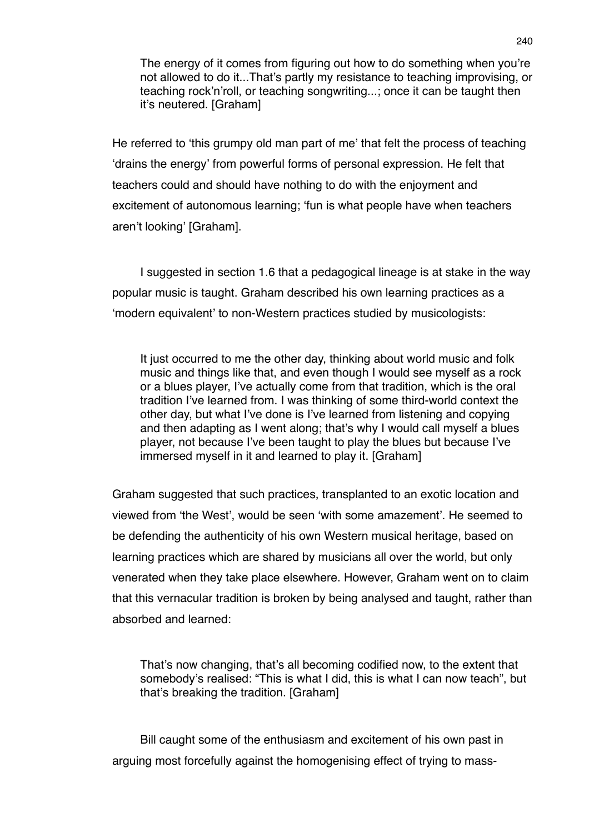The energy of it comes from figuring out how to do something when you're not allowed to do it...That's partly my resistance to teaching improvising, or teaching rock'n'roll, or teaching songwriting...; once it can be taught then it's neutered. [Graham]

He referred to ʻthis grumpy old man part of me' that felt the process of teaching ʻdrains the energy' from powerful forms of personal expression. He felt that teachers could and should have nothing to do with the enjoyment and excitement of autonomous learning; ʻfun is what people have when teachers aren't looking' [Graham].

I suggested in section 1.6 that a pedagogical lineage is at stake in the way popular music is taught. Graham described his own learning practices as a ʻmodern equivalent' to non-Western practices studied by musicologists:

It just occurred to me the other day, thinking about world music and folk music and things like that, and even though I would see myself as a rock or a blues player, I've actually come from that tradition, which is the oral tradition I've learned from. I was thinking of some third-world context the other day, but what I've done is I've learned from listening and copying and then adapting as I went along; that's why I would call myself a blues player, not because I've been taught to play the blues but because I've immersed myself in it and learned to play it. [Graham]

Graham suggested that such practices, transplanted to an exotic location and viewed from ʻthe West', would be seen ʻwith some amazement'. He seemed to be defending the authenticity of his own Western musical heritage, based on learning practices which are shared by musicians all over the world, but only venerated when they take place elsewhere. However, Graham went on to claim that this vernacular tradition is broken by being analysed and taught, rather than absorbed and learned:

That's now changing, that's all becoming codified now, to the extent that somebody's realised: "This is what I did, this is what I can now teach", but that's breaking the tradition. [Graham]

Bill caught some of the enthusiasm and excitement of his own past in arguing most forcefully against the homogenising effect of trying to mass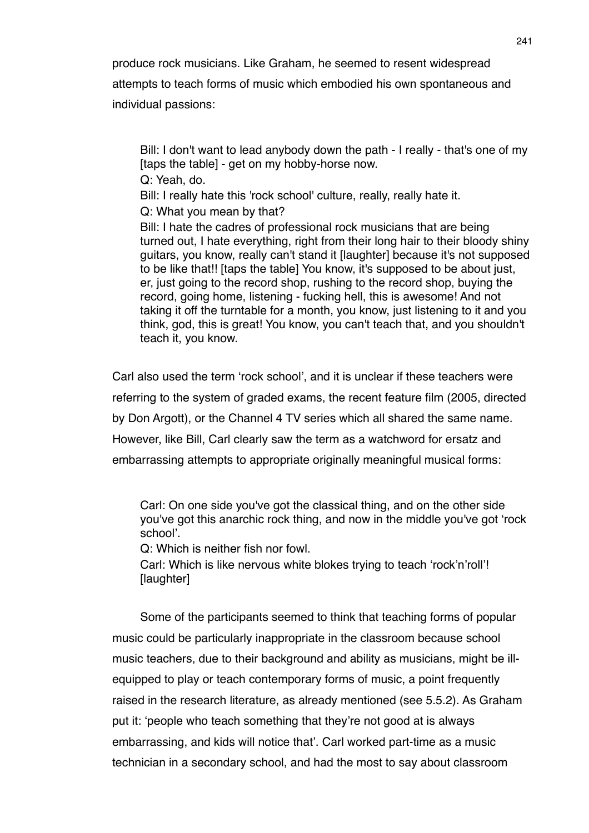produce rock musicians. Like Graham, he seemed to resent widespread attempts to teach forms of music which embodied his own spontaneous and

individual passions:

Bill: I don't want to lead anybody down the path - I really - that's one of my [taps the table] - get on my hobby-horse now.

Q: Yeah, do.

Bill: I really hate this 'rock school' culture, really, really hate it.

Q: What you mean by that?

Bill: I hate the cadres of professional rock musicians that are being turned out, I hate everything, right from their long hair to their bloody shiny guitars, you know, really can't stand it [laughter] because it's not supposed to be like that!! [taps the table] You know, it's supposed to be about just, er, just going to the record shop, rushing to the record shop, buying the record, going home, listening - fucking hell, this is awesome! And not taking it off the turntable for a month, you know, just listening to it and you think, god, this is great! You know, you can't teach that, and you shouldn't teach it, you know.

Carl also used the term ʻrock school', and it is unclear if these teachers were referring to the system of graded exams, the recent feature film (2005, directed by Don Argott), or the Channel 4 TV series which all shared the same name. However, like Bill, Carl clearly saw the term as a watchword for ersatz and embarrassing attempts to appropriate originally meaningful musical forms:

Carl: On one side you've got the classical thing, and on the other side you've got this anarchic rock thing, and now in the middle you've got ʻrock school'.

Q: Which is neither fish nor fowl.

Carl: Which is like nervous white blokes trying to teach ʻrock'n'roll'! [laughter]

Some of the participants seemed to think that teaching forms of popular music could be particularly inappropriate in the classroom because school music teachers, due to their background and ability as musicians, might be illequipped to play or teach contemporary forms of music, a point frequently raised in the research literature, as already mentioned (see 5.5.2). As Graham put it: ʻpeople who teach something that they're not good at is always embarrassing, and kids will notice that'. Carl worked part-time as a music technician in a secondary school, and had the most to say about classroom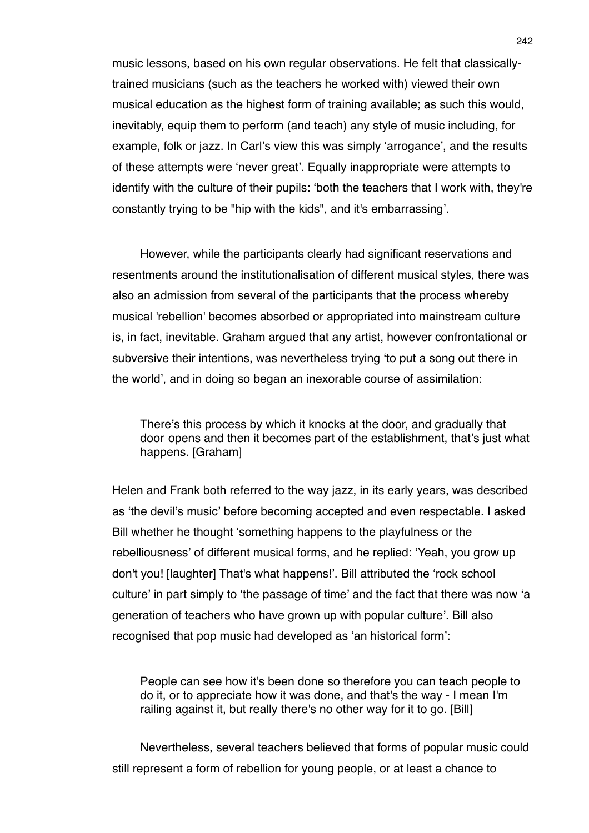music lessons, based on his own regular observations. He felt that classicallytrained musicians (such as the teachers he worked with) viewed their own musical education as the highest form of training available; as such this would, inevitably, equip them to perform (and teach) any style of music including, for example, folk or jazz. In Carl's view this was simply ʻarrogance', and the results of these attempts were ʻnever great'. Equally inappropriate were attempts to identify with the culture of their pupils: ʻboth the teachers that I work with, they're constantly trying to be "hip with the kids", and it's embarrassing'.

However, while the participants clearly had significant reservations and resentments around the institutionalisation of different musical styles, there was also an admission from several of the participants that the process whereby musical 'rebellion' becomes absorbed or appropriated into mainstream culture is, in fact, inevitable. Graham argued that any artist, however confrontational or subversive their intentions, was nevertheless trying ʻto put a song out there in the world', and in doing so began an inexorable course of assimilation:

There's this process by which it knocks at the door, and gradually that door opens and then it becomes part of the establishment, that's just what happens. [Graham]

Helen and Frank both referred to the way jazz, in its early years, was described as ʻthe devil's music' before becoming accepted and even respectable. I asked Bill whether he thought ʻsomething happens to the playfulness or the rebelliousness' of different musical forms, and he replied: ʻYeah, you grow up don't you! [laughter] That's what happens!'. Bill attributed the ʻrock school culture' in part simply to ʻthe passage of time' and the fact that there was now ʻa generation of teachers who have grown up with popular culture'. Bill also recognised that pop music had developed as ʻan historical form':

People can see how it's been done so therefore you can teach people to do it, or to appreciate how it was done, and that's the way - I mean I'm railing against it, but really there's no other way for it to go. [Bill]

Nevertheless, several teachers believed that forms of popular music could still represent a form of rebellion for young people, or at least a chance to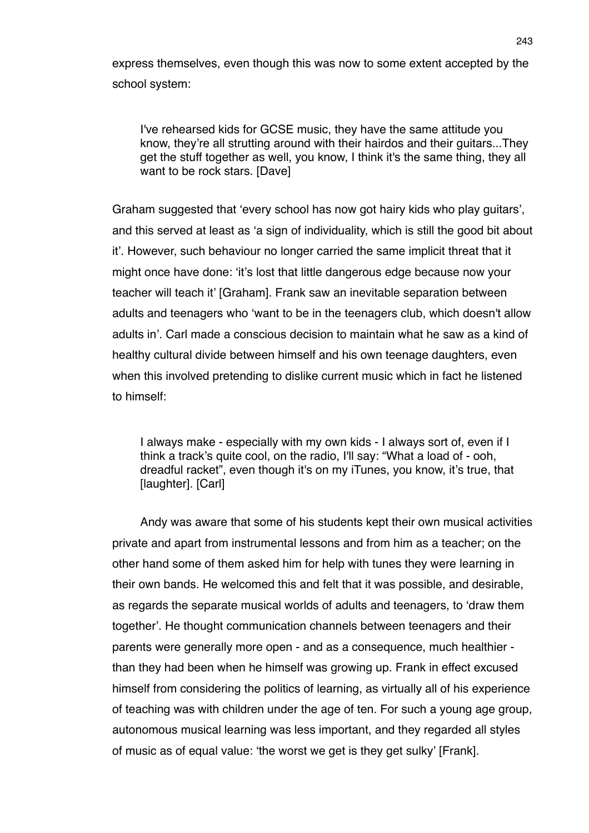express themselves, even though this was now to some extent accepted by the school system:

I've rehearsed kids for GCSE music, they have the same attitude you know, they're all strutting around with their hairdos and their guitars...They get the stuff together as well, you know, I think it's the same thing, they all want to be rock stars. [Dave]

Graham suggested that ʻevery school has now got hairy kids who play guitars', and this served at least as ʻa sign of individuality, which is still the good bit about it'. However, such behaviour no longer carried the same implicit threat that it might once have done: ʻit's lost that little dangerous edge because now your teacher will teach it' [Graham]. Frank saw an inevitable separation between adults and teenagers who ʻwant to be in the teenagers club, which doesn't allow adults in'. Carl made a conscious decision to maintain what he saw as a kind of healthy cultural divide between himself and his own teenage daughters, even when this involved pretending to dislike current music which in fact he listened to himself:

I always make - especially with my own kids - I always sort of, even if I think a track's quite cool, on the radio, I'll say: "What a load of - ooh, dreadful racket", even though it's on my iTunes, you know, it's true, that [laughter]. [Carl]

Andy was aware that some of his students kept their own musical activities private and apart from instrumental lessons and from him as a teacher; on the other hand some of them asked him for help with tunes they were learning in their own bands. He welcomed this and felt that it was possible, and desirable, as regards the separate musical worlds of adults and teenagers, to ʻdraw them together'. He thought communication channels between teenagers and their parents were generally more open - and as a consequence, much healthier than they had been when he himself was growing up. Frank in effect excused himself from considering the politics of learning, as virtually all of his experience of teaching was with children under the age of ten. For such a young age group, autonomous musical learning was less important, and they regarded all styles of music as of equal value: ʻthe worst we get is they get sulky' [Frank].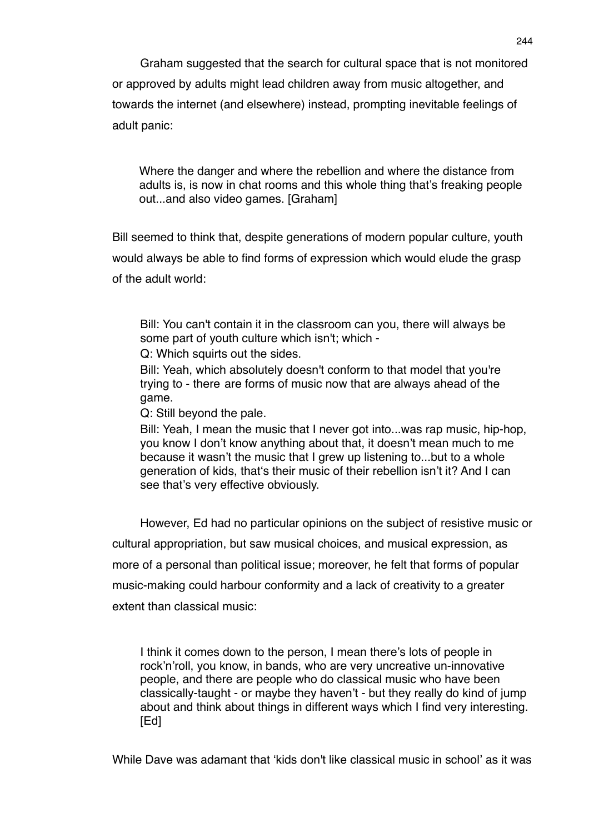Graham suggested that the search for cultural space that is not monitored or approved by adults might lead children away from music altogether, and towards the internet (and elsewhere) instead, prompting inevitable feelings of adult panic:

Where the danger and where the rebellion and where the distance from adults is, is now in chat rooms and this whole thing that's freaking people out...and also video games. [Graham]

Bill seemed to think that, despite generations of modern popular culture, youth would always be able to find forms of expression which would elude the grasp of the adult world:

Bill: You can't contain it in the classroom can you, there will always be some part of youth culture which isn't; which -

Q: Which squirts out the sides.

Bill: Yeah, which absolutely doesn't conform to that model that you're trying to - there are forms of music now that are always ahead of the game.

Q: Still beyond the pale.

Bill: Yeah, I mean the music that I never got into...was rap music, hip-hop, you know I don't know anything about that, it doesn't mean much to me because it wasn't the music that I grew up listening to...but to a whole generation of kids, thatʻs their music of their rebellion isn't it? And I can see that's very effective obviously.

However, Ed had no particular opinions on the subject of resistive music or cultural appropriation, but saw musical choices, and musical expression, as more of a personal than political issue; moreover, he felt that forms of popular music-making could harbour conformity and a lack of creativity to a greater extent than classical music:

I think it comes down to the person, I mean there's lots of people in rock'n'roll, you know, in bands, who are very uncreative un-innovative people, and there are people who do classical music who have been classically-taught - or maybe they haven't - but they really do kind of jump about and think about things in different ways which I find very interesting. [Ed]

While Dave was adamant that ʻkids don't like classical music in school' as it was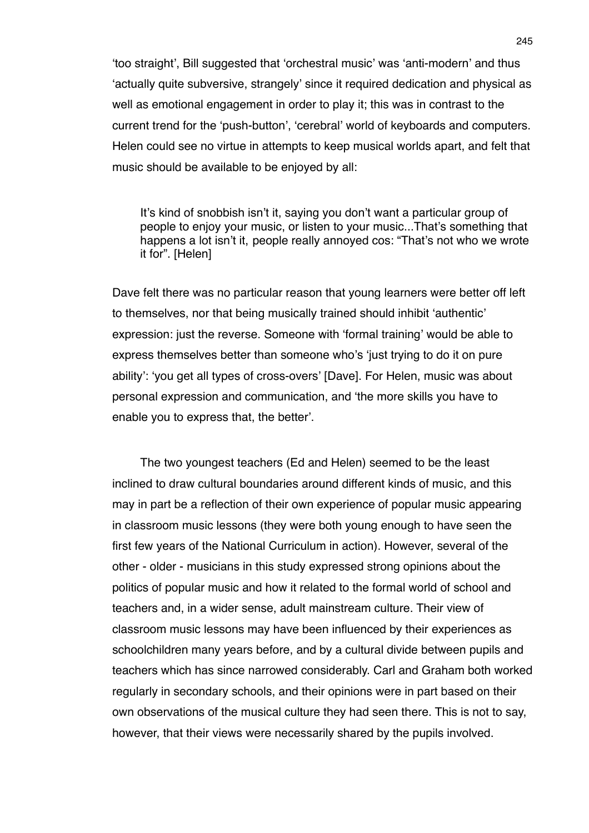ʻtoo straight', Bill suggested that ʻorchestral music' was ʻanti-modern' and thus ʻactually quite subversive, strangely' since it required dedication and physical as well as emotional engagement in order to play it; this was in contrast to the current trend for the ʻpush-button', ʻcerebral' world of keyboards and computers. Helen could see no virtue in attempts to keep musical worlds apart, and felt that music should be available to be enjoyed by all:

It's kind of snobbish isn't it, saying you don't want a particular group of people to enjoy your music, or listen to your music...That's something that happens a lot isn't it, people really annoyed cos: "That's not who we wrote it for". [Helen]

Dave felt there was no particular reason that young learners were better off left to themselves, nor that being musically trained should inhibit ʻauthentic' expression: just the reverse. Someone with ʻformal training' would be able to express themselves better than someone who's ʻjust trying to do it on pure ability': ʻyou get all types of cross-overs' [Dave]. For Helen, music was about personal expression and communication, and ʻthe more skills you have to enable you to express that, the better'.

The two youngest teachers (Ed and Helen) seemed to be the least inclined to draw cultural boundaries around different kinds of music, and this may in part be a reflection of their own experience of popular music appearing in classroom music lessons (they were both young enough to have seen the first few years of the National Curriculum in action). However, several of the other - older - musicians in this study expressed strong opinions about the politics of popular music and how it related to the formal world of school and teachers and, in a wider sense, adult mainstream culture. Their view of classroom music lessons may have been influenced by their experiences as schoolchildren many years before, and by a cultural divide between pupils and teachers which has since narrowed considerably. Carl and Graham both worked regularly in secondary schools, and their opinions were in part based on their own observations of the musical culture they had seen there. This is not to say, however, that their views were necessarily shared by the pupils involved.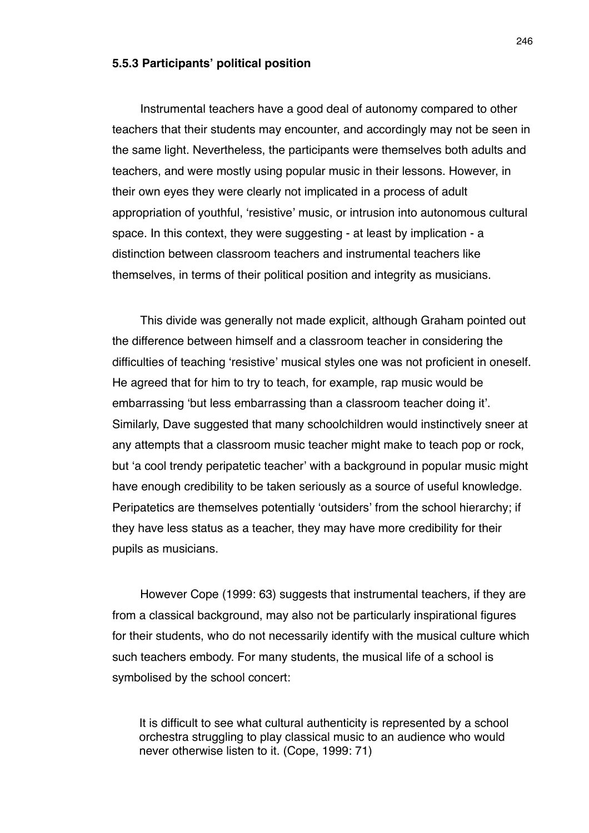#### **5.5.3 Participants' political position**

Instrumental teachers have a good deal of autonomy compared to other teachers that their students may encounter, and accordingly may not be seen in the same light. Nevertheless, the participants were themselves both adults and teachers, and were mostly using popular music in their lessons. However, in their own eyes they were clearly not implicated in a process of adult appropriation of youthful, ʻresistive' music, or intrusion into autonomous cultural space. In this context, they were suggesting - at least by implication - a distinction between classroom teachers and instrumental teachers like themselves, in terms of their political position and integrity as musicians.

This divide was generally not made explicit, although Graham pointed out the difference between himself and a classroom teacher in considering the difficulties of teaching ʻresistive' musical styles one was not proficient in oneself. He agreed that for him to try to teach, for example, rap music would be embarrassing ʻbut less embarrassing than a classroom teacher doing it'. Similarly, Dave suggested that many schoolchildren would instinctively sneer at any attempts that a classroom music teacher might make to teach pop or rock, but ʻa cool trendy peripatetic teacher' with a background in popular music might have enough credibility to be taken seriously as a source of useful knowledge. Peripatetics are themselves potentially ʻoutsiders' from the school hierarchy; if they have less status as a teacher, they may have more credibility for their pupils as musicians.

However Cope (1999: 63) suggests that instrumental teachers, if they are from a classical background, may also not be particularly inspirational figures for their students, who do not necessarily identify with the musical culture which such teachers embody. For many students, the musical life of a school is symbolised by the school concert:

It is difficult to see what cultural authenticity is represented by a school orchestra struggling to play classical music to an audience who would never otherwise listen to it. (Cope, 1999: 71)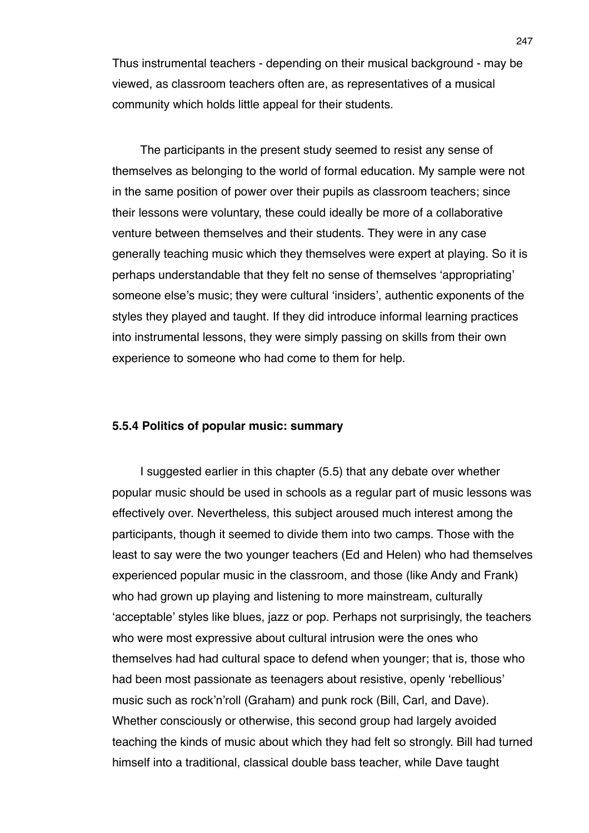Thus instrumental teachers - depending on their musical background - may be viewed, as classroom teachers often are, as representatives of a musical community which holds little appeal for their students.

The participants in the present study seemed to resist any sense of themselves as belonging to the world of formal education. My sample were not in the same position of power over their pupils as classroom teachers; since their lessons were voluntary, these could ideally be more of a collaborative venture between themselves and their students. They were in any case generally teaching music which they themselves were expert at playing. So it is perhaps understandable that they felt no sense of themselves ʻappropriating' someone else's music; they were cultural ʻinsiders', authentic exponents of the styles they played and taught. If they did introduce informal learning practices into instrumental lessons, they were simply passing on skills from their own experience to someone who had come to them for help.

### **5.5.4 Politics of popular music: summary**

I suggested earlier in this chapter (5.5) that any debate over whether popular music should be used in schools as a regular part of music lessons was effectively over. Nevertheless, this subject aroused much interest among the participants, though it seemed to divide them into two camps. Those with the least to say were the two younger teachers (Ed and Helen) who had themselves experienced popular music in the classroom, and those (like Andy and Frank) who had grown up playing and listening to more mainstream, culturally ʻacceptable' styles like blues, jazz or pop. Perhaps not surprisingly, the teachers who were most expressive about cultural intrusion were the ones who themselves had had cultural space to defend when younger; that is, those who had been most passionate as teenagers about resistive, openly ʻrebellious' music such as rock'n'roll (Graham) and punk rock (Bill, Carl, and Dave). Whether consciously or otherwise, this second group had largely avoided teaching the kinds of music about which they had felt so strongly. Bill had turned himself into a traditional, classical double bass teacher, while Dave taught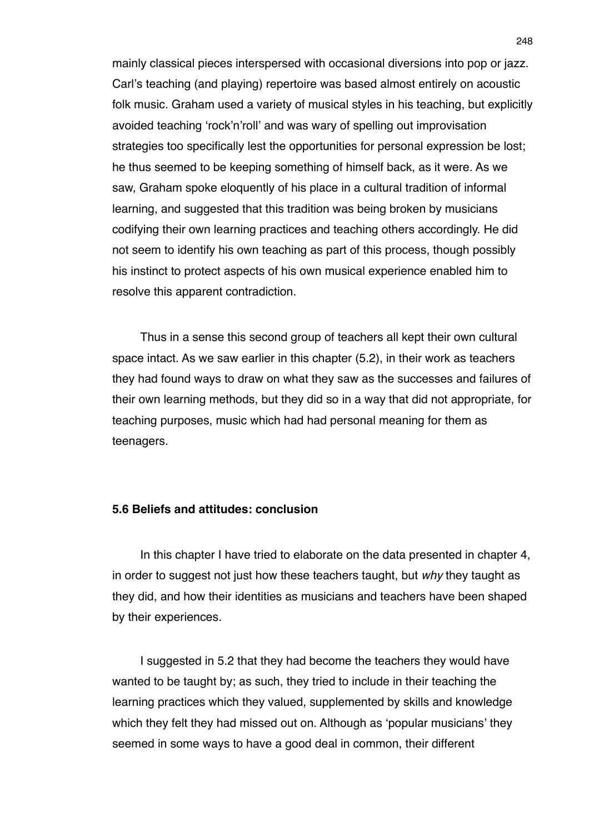mainly classical pieces interspersed with occasional diversions into pop or jazz. Carl's teaching (and playing) repertoire was based almost entirely on acoustic folk music. Graham used a variety of musical styles in his teaching, but explicitly avoided teaching ʻrock'n'roll' and was wary of spelling out improvisation strategies too specifically lest the opportunities for personal expression be lost; he thus seemed to be keeping something of himself back, as it were. As we saw, Graham spoke eloquently of his place in a cultural tradition of informal learning, and suggested that this tradition was being broken by musicians codifying their own learning practices and teaching others accordingly. He did not seem to identify his own teaching as part of this process, though possibly his instinct to protect aspects of his own musical experience enabled him to resolve this apparent contradiction.

Thus in a sense this second group of teachers all kept their own cultural space intact. As we saw earlier in this chapter (5.2), in their work as teachers they had found ways to draw on what they saw as the successes and failures of their own learning methods, but they did so in a way that did not appropriate, for teaching purposes, music which had had personal meaning for them as teenagers.

#### **5.6 Beliefs and attitudes: conclusion**

In this chapter I have tried to elaborate on the data presented in chapter 4, in order to suggest not just how these teachers taught, but *why* they taught as they did, and how their identities as musicians and teachers have been shaped by their experiences.

I suggested in 5.2 that they had become the teachers they would have wanted to be taught by; as such, they tried to include in their teaching the learning practices which they valued, supplemented by skills and knowledge which they felt they had missed out on. Although as ʻpopular musicians' they seemed in some ways to have a good deal in common, their different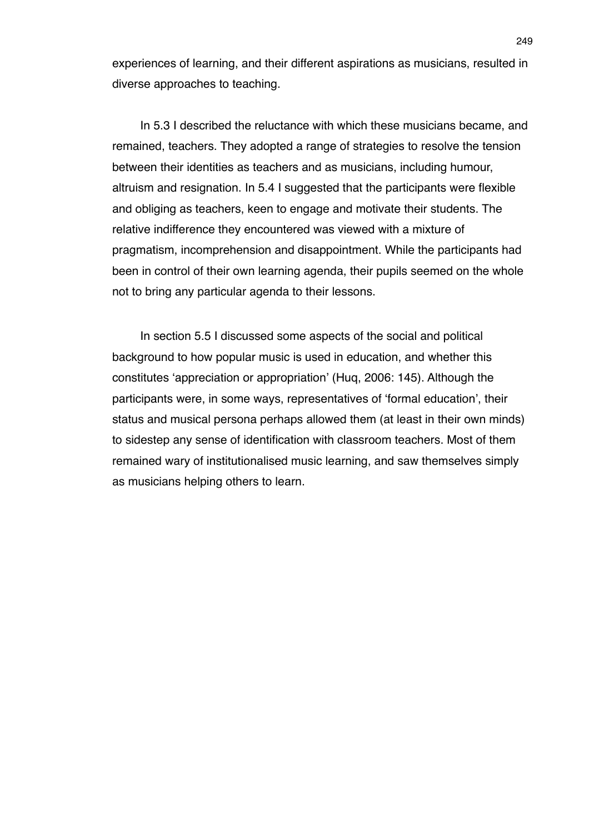experiences of learning, and their different aspirations as musicians, resulted in diverse approaches to teaching.

In 5.3 I described the reluctance with which these musicians became, and remained, teachers. They adopted a range of strategies to resolve the tension between their identities as teachers and as musicians, including humour, altruism and resignation. In 5.4 I suggested that the participants were flexible and obliging as teachers, keen to engage and motivate their students. The relative indifference they encountered was viewed with a mixture of pragmatism, incomprehension and disappointment. While the participants had been in control of their own learning agenda, their pupils seemed on the whole not to bring any particular agenda to their lessons.

In section 5.5 I discussed some aspects of the social and political background to how popular music is used in education, and whether this constitutes ʻappreciation or appropriation' (Huq, 2006: 145). Although the participants were, in some ways, representatives of ʻformal education', their status and musical persona perhaps allowed them (at least in their own minds) to sidestep any sense of identification with classroom teachers. Most of them remained wary of institutionalised music learning, and saw themselves simply as musicians helping others to learn.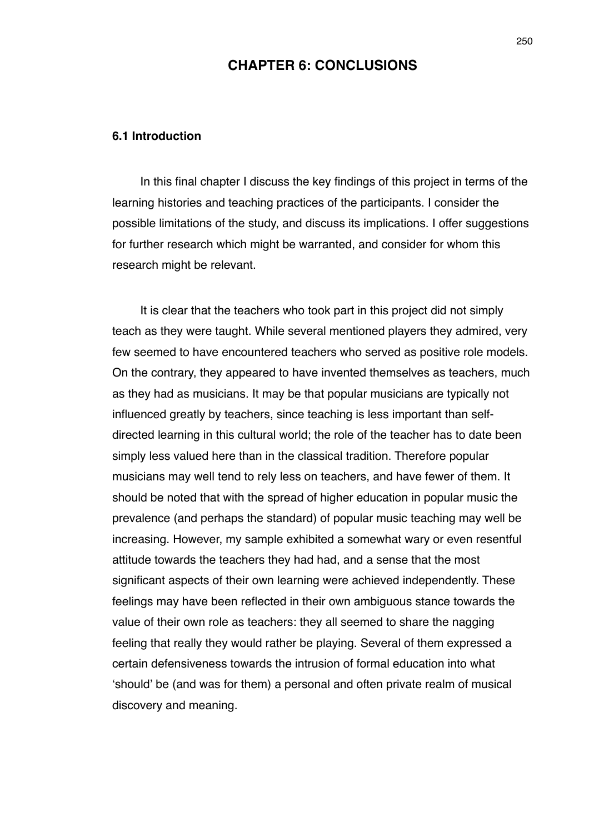### **CHAPTER 6: CONCLUSIONS**

#### **6.1 Introduction**

In this final chapter I discuss the key findings of this project in terms of the learning histories and teaching practices of the participants. I consider the possible limitations of the study, and discuss its implications. I offer suggestions for further research which might be warranted, and consider for whom this research might be relevant.

It is clear that the teachers who took part in this project did not simply teach as they were taught. While several mentioned players they admired, very few seemed to have encountered teachers who served as positive role models. On the contrary, they appeared to have invented themselves as teachers, much as they had as musicians. It may be that popular musicians are typically not influenced greatly by teachers, since teaching is less important than selfdirected learning in this cultural world; the role of the teacher has to date been simply less valued here than in the classical tradition. Therefore popular musicians may well tend to rely less on teachers, and have fewer of them. It should be noted that with the spread of higher education in popular music the prevalence (and perhaps the standard) of popular music teaching may well be increasing. However, my sample exhibited a somewhat wary or even resentful attitude towards the teachers they had had, and a sense that the most significant aspects of their own learning were achieved independently. These feelings may have been reflected in their own ambiguous stance towards the value of their own role as teachers: they all seemed to share the nagging feeling that really they would rather be playing. Several of them expressed a certain defensiveness towards the intrusion of formal education into what ʻshould' be (and was for them) a personal and often private realm of musical discovery and meaning.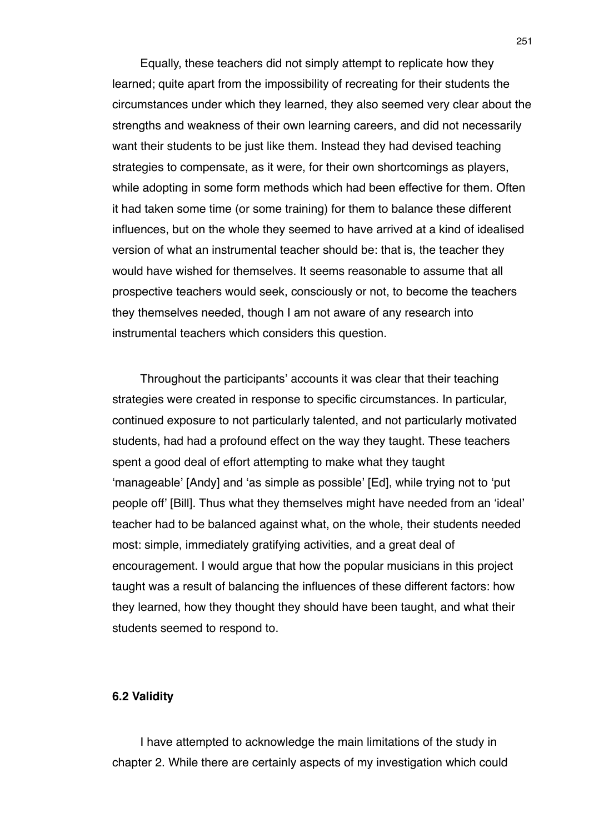Equally, these teachers did not simply attempt to replicate how they learned; quite apart from the impossibility of recreating for their students the circumstances under which they learned, they also seemed very clear about the strengths and weakness of their own learning careers, and did not necessarily want their students to be just like them. Instead they had devised teaching strategies to compensate, as it were, for their own shortcomings as players, while adopting in some form methods which had been effective for them. Often it had taken some time (or some training) for them to balance these different influences, but on the whole they seemed to have arrived at a kind of idealised version of what an instrumental teacher should be: that is, the teacher they would have wished for themselves. It seems reasonable to assume that all prospective teachers would seek, consciously or not, to become the teachers they themselves needed, though I am not aware of any research into instrumental teachers which considers this question.

Throughout the participants' accounts it was clear that their teaching strategies were created in response to specific circumstances. In particular, continued exposure to not particularly talented, and not particularly motivated students, had had a profound effect on the way they taught. These teachers spent a good deal of effort attempting to make what they taught ʻmanageable' [Andy] and ʻas simple as possible' [Ed], while trying not to ʻput people off' [Bill]. Thus what they themselves might have needed from an ʻideal' teacher had to be balanced against what, on the whole, their students needed most: simple, immediately gratifying activities, and a great deal of encouragement. I would argue that how the popular musicians in this project taught was a result of balancing the influences of these different factors: how they learned, how they thought they should have been taught, and what their students seemed to respond to.

### **6.2 Validity**

I have attempted to acknowledge the main limitations of the study in chapter 2. While there are certainly aspects of my investigation which could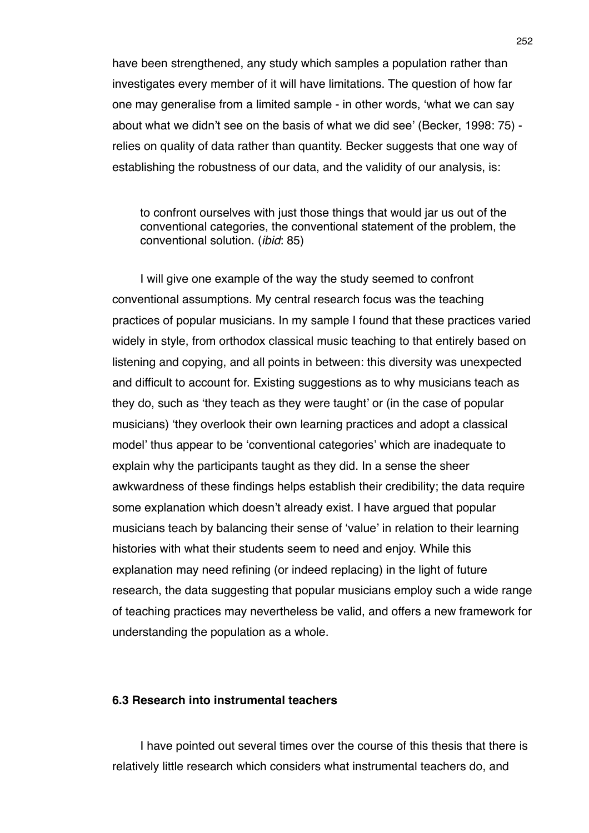have been strengthened, any study which samples a population rather than investigates every member of it will have limitations. The question of how far one may generalise from a limited sample - in other words, ʻwhat we can say about what we didn't see on the basis of what we did see' (Becker, 1998: 75) relies on quality of data rather than quantity. Becker suggests that one way of establishing the robustness of our data, and the validity of our analysis, is:

to confront ourselves with just those things that would jar us out of the conventional categories, the conventional statement of the problem, the conventional solution. (*ibid*: 85)

I will give one example of the way the study seemed to confront conventional assumptions. My central research focus was the teaching practices of popular musicians. In my sample I found that these practices varied widely in style, from orthodox classical music teaching to that entirely based on listening and copying, and all points in between: this diversity was unexpected and difficult to account for. Existing suggestions as to why musicians teach as they do, such as ʻthey teach as they were taught' or (in the case of popular musicians) ʻthey overlook their own learning practices and adopt a classical model' thus appear to be ʻconventional categories' which are inadequate to explain why the participants taught as they did. In a sense the sheer awkwardness of these findings helps establish their credibility; the data require some explanation which doesn't already exist. I have argued that popular musicians teach by balancing their sense of ʻvalue' in relation to their learning histories with what their students seem to need and enjoy. While this explanation may need refining (or indeed replacing) in the light of future research, the data suggesting that popular musicians employ such a wide range of teaching practices may nevertheless be valid, and offers a new framework for understanding the population as a whole.

### **6.3 Research into instrumental teachers**

I have pointed out several times over the course of this thesis that there is relatively little research which considers what instrumental teachers do, and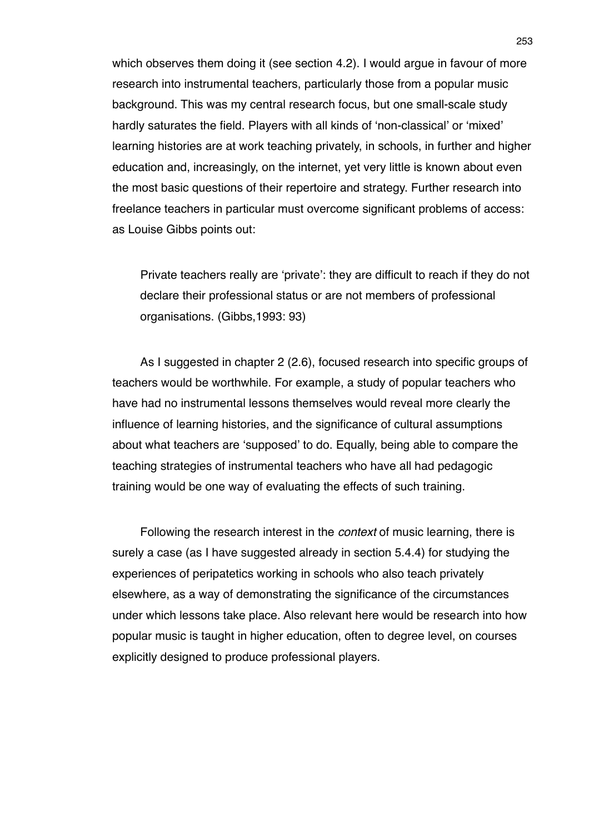which observes them doing it (see section 4.2). I would argue in favour of more research into instrumental teachers, particularly those from a popular music background. This was my central research focus, but one small-scale study hardly saturates the field. Players with all kinds of ʻnon-classical' or ʻmixed' learning histories are at work teaching privately, in schools, in further and higher education and, increasingly, on the internet, yet very little is known about even the most basic questions of their repertoire and strategy. Further research into freelance teachers in particular must overcome significant problems of access: as Louise Gibbs points out:

Private teachers really are ʻprivate': they are difficult to reach if they do not declare their professional status or are not members of professional organisations. (Gibbs,1993: 93)

As I suggested in chapter 2 (2.6), focused research into specific groups of teachers would be worthwhile. For example, a study of popular teachers who have had no instrumental lessons themselves would reveal more clearly the influence of learning histories, and the significance of cultural assumptions about what teachers are ʻsupposed' to do. Equally, being able to compare the teaching strategies of instrumental teachers who have all had pedagogic training would be one way of evaluating the effects of such training.

Following the research interest in the *context* of music learning, there is surely a case (as I have suggested already in section 5.4.4) for studying the experiences of peripatetics working in schools who also teach privately elsewhere, as a way of demonstrating the significance of the circumstances under which lessons take place. Also relevant here would be research into how popular music is taught in higher education, often to degree level, on courses explicitly designed to produce professional players.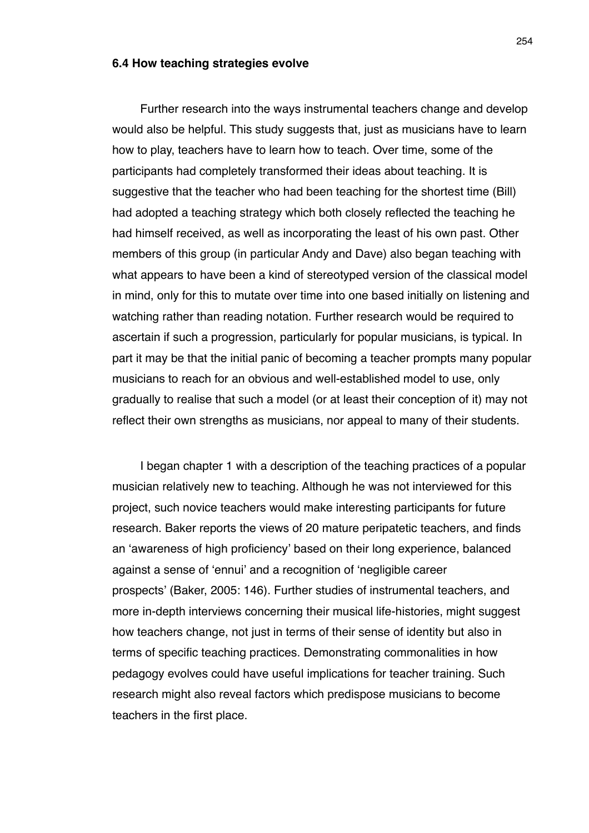#### **6.4 How teaching strategies evolve**

Further research into the ways instrumental teachers change and develop would also be helpful. This study suggests that, just as musicians have to learn how to play, teachers have to learn how to teach. Over time, some of the participants had completely transformed their ideas about teaching. It is suggestive that the teacher who had been teaching for the shortest time (Bill) had adopted a teaching strategy which both closely reflected the teaching he had himself received, as well as incorporating the least of his own past. Other members of this group (in particular Andy and Dave) also began teaching with what appears to have been a kind of stereotyped version of the classical model in mind, only for this to mutate over time into one based initially on listening and watching rather than reading notation. Further research would be required to ascertain if such a progression, particularly for popular musicians, is typical. In part it may be that the initial panic of becoming a teacher prompts many popular musicians to reach for an obvious and well-established model to use, only gradually to realise that such a model (or at least their conception of it) may not reflect their own strengths as musicians, nor appeal to many of their students.

I began chapter 1 with a description of the teaching practices of a popular musician relatively new to teaching. Although he was not interviewed for this project, such novice teachers would make interesting participants for future research. Baker reports the views of 20 mature peripatetic teachers, and finds an ʻawareness of high proficiency' based on their long experience, balanced against a sense of ʻennui' and a recognition of ʻnegligible career prospects' (Baker, 2005: 146). Further studies of instrumental teachers, and more in-depth interviews concerning their musical life-histories, might suggest how teachers change, not just in terms of their sense of identity but also in terms of specific teaching practices. Demonstrating commonalities in how pedagogy evolves could have useful implications for teacher training. Such research might also reveal factors which predispose musicians to become teachers in the first place.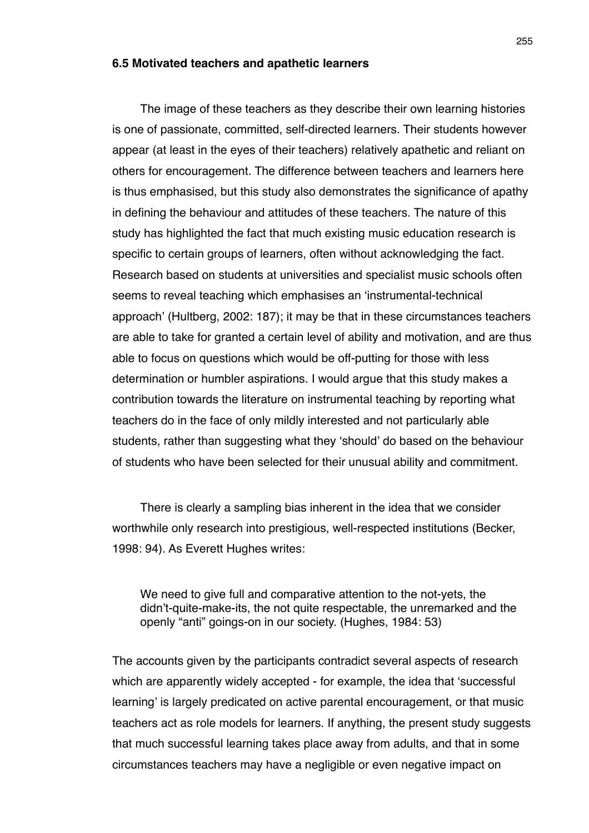#### **6.5 Motivated teachers and apathetic learners**

The image of these teachers as they describe their own learning histories is one of passionate, committed, self-directed learners. Their students however appear (at least in the eyes of their teachers) relatively apathetic and reliant on others for encouragement. The difference between teachers and learners here is thus emphasised, but this study also demonstrates the significance of apathy in defining the behaviour and attitudes of these teachers. The nature of this study has highlighted the fact that much existing music education research is specific to certain groups of learners, often without acknowledging the fact. Research based on students at universities and specialist music schools often seems to reveal teaching which emphasises an ʻinstrumental-technical approach' (Hultberg, 2002: 187); it may be that in these circumstances teachers are able to take for granted a certain level of ability and motivation, and are thus able to focus on questions which would be off-putting for those with less determination or humbler aspirations. I would argue that this study makes a contribution towards the literature on instrumental teaching by reporting what teachers do in the face of only mildly interested and not particularly able students, rather than suggesting what they ʻshould' do based on the behaviour of students who have been selected for their unusual ability and commitment.

There is clearly a sampling bias inherent in the idea that we consider worthwhile only research into prestigious, well-respected institutions (Becker, 1998: 94). As Everett Hughes writes:

We need to give full and comparative attention to the not-yets, the didn't-quite-make-its, the not quite respectable, the unremarked and the openly "anti" goings-on in our society. (Hughes, 1984: 53)

The accounts given by the participants contradict several aspects of research which are apparently widely accepted - for example, the idea that ʻsuccessful learning' is largely predicated on active parental encouragement, or that music teachers act as role models for learners. If anything, the present study suggests that much successful learning takes place away from adults, and that in some circumstances teachers may have a negligible or even negative impact on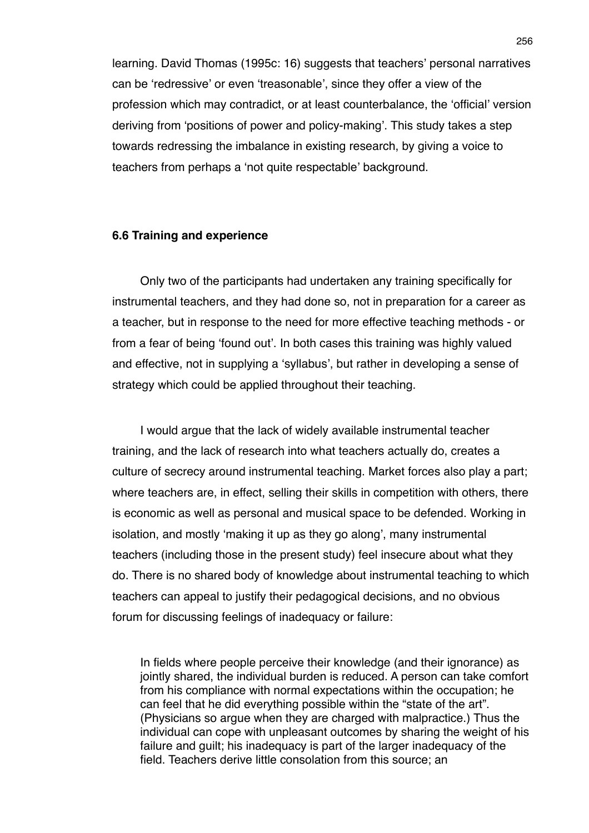learning. David Thomas (1995c: 16) suggests that teachers' personal narratives can be ʻredressive' or even ʻtreasonable', since they offer a view of the profession which may contradict, or at least counterbalance, the ʻofficial' version deriving from ʻpositions of power and policy-making'. This study takes a step towards redressing the imbalance in existing research, by giving a voice to teachers from perhaps a ʻnot quite respectable' background.

#### **6.6 Training and experience**

Only two of the participants had undertaken any training specifically for instrumental teachers, and they had done so, not in preparation for a career as a teacher, but in response to the need for more effective teaching methods - or from a fear of being ʻfound out'. In both cases this training was highly valued and effective, not in supplying a ʻsyllabus', but rather in developing a sense of strategy which could be applied throughout their teaching.

I would argue that the lack of widely available instrumental teacher training, and the lack of research into what teachers actually do, creates a culture of secrecy around instrumental teaching. Market forces also play a part; where teachers are, in effect, selling their skills in competition with others, there is economic as well as personal and musical space to be defended. Working in isolation, and mostly ʻmaking it up as they go along', many instrumental teachers (including those in the present study) feel insecure about what they do. There is no shared body of knowledge about instrumental teaching to which teachers can appeal to justify their pedagogical decisions, and no obvious forum for discussing feelings of inadequacy or failure:

In fields where people perceive their knowledge (and their ignorance) as jointly shared, the individual burden is reduced. A person can take comfort from his compliance with normal expectations within the occupation; he can feel that he did everything possible within the "state of the art". (Physicians so argue when they are charged with malpractice.) Thus the individual can cope with unpleasant outcomes by sharing the weight of his failure and guilt; his inadequacy is part of the larger inadequacy of the field. Teachers derive little consolation from this source; an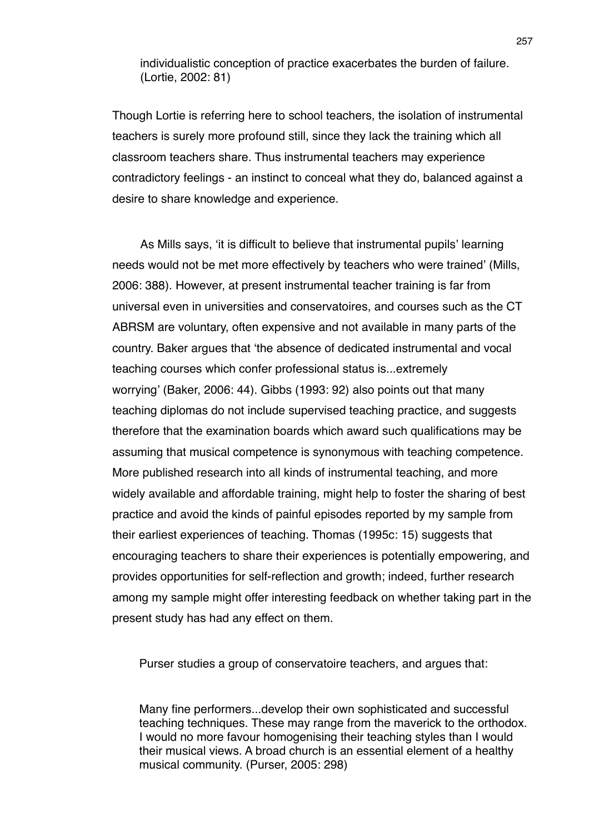individualistic conception of practice exacerbates the burden of failure. (Lortie, 2002: 81)

Though Lortie is referring here to school teachers, the isolation of instrumental teachers is surely more profound still, since they lack the training which all classroom teachers share. Thus instrumental teachers may experience contradictory feelings - an instinct to conceal what they do, balanced against a desire to share knowledge and experience.

As Mills says, ʻit is difficult to believe that instrumental pupils' learning needs would not be met more effectively by teachers who were trained' (Mills, 2006: 388). However, at present instrumental teacher training is far from universal even in universities and conservatoires, and courses such as the CT ABRSM are voluntary, often expensive and not available in many parts of the country. Baker argues that ʻthe absence of dedicated instrumental and vocal teaching courses which confer professional status is...extremely worrying' (Baker, 2006: 44). Gibbs (1993: 92) also points out that many teaching diplomas do not include supervised teaching practice, and suggests therefore that the examination boards which award such qualifications may be assuming that musical competence is synonymous with teaching competence. More published research into all kinds of instrumental teaching, and more widely available and affordable training, might help to foster the sharing of best practice and avoid the kinds of painful episodes reported by my sample from their earliest experiences of teaching. Thomas (1995c: 15) suggests that encouraging teachers to share their experiences is potentially empowering, and provides opportunities for self-reflection and growth; indeed, further research among my sample might offer interesting feedback on whether taking part in the present study has had any effect on them.

Purser studies a group of conservatoire teachers, and argues that:

Many fine performers...develop their own sophisticated and successful teaching techniques. These may range from the maverick to the orthodox. I would no more favour homogenising their teaching styles than I would their musical views. A broad church is an essential element of a healthy musical community. (Purser, 2005: 298)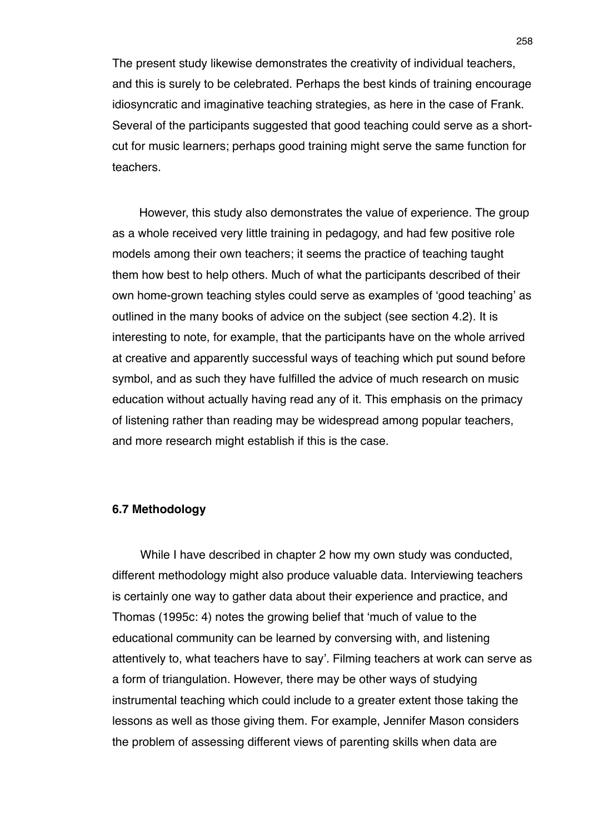The present study likewise demonstrates the creativity of individual teachers, and this is surely to be celebrated. Perhaps the best kinds of training encourage idiosyncratic and imaginative teaching strategies, as here in the case of Frank. Several of the participants suggested that good teaching could serve as a shortcut for music learners; perhaps good training might serve the same function for teachers.

However, this study also demonstrates the value of experience. The group as a whole received very little training in pedagogy, and had few positive role models among their own teachers; it seems the practice of teaching taught them how best to help others. Much of what the participants described of their own home-grown teaching styles could serve as examples of ʻgood teaching' as outlined in the many books of advice on the subject (see section 4.2). It is interesting to note, for example, that the participants have on the whole arrived at creative and apparently successful ways of teaching which put sound before symbol, and as such they have fulfilled the advice of much research on music education without actually having read any of it. This emphasis on the primacy of listening rather than reading may be widespread among popular teachers, and more research might establish if this is the case.

### **6.7 Methodology**

While I have described in chapter 2 how my own study was conducted, different methodology might also produce valuable data. Interviewing teachers is certainly one way to gather data about their experience and practice, and Thomas (1995c: 4) notes the growing belief that ʻmuch of value to the educational community can be learned by conversing with, and listening attentively to, what teachers have to say'. Filming teachers at work can serve as a form of triangulation. However, there may be other ways of studying instrumental teaching which could include to a greater extent those taking the lessons as well as those giving them. For example, Jennifer Mason considers the problem of assessing different views of parenting skills when data are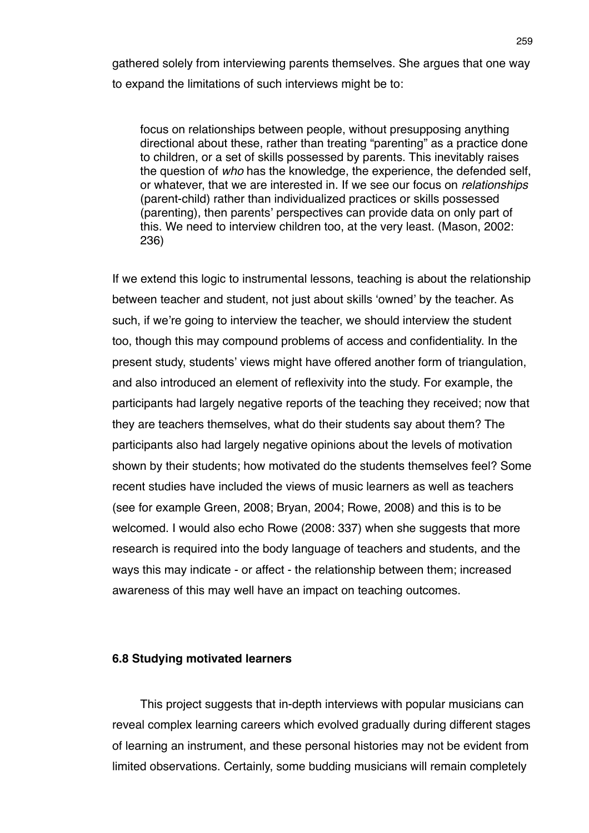gathered solely from interviewing parents themselves. She argues that one way to expand the limitations of such interviews might be to:

focus on relationships between people, without presupposing anything directional about these, rather than treating "parenting" as a practice done to children, or a set of skills possessed by parents. This inevitably raises the question of *who* has the knowledge, the experience, the defended self, or whatever, that we are interested in. If we see our focus on *relationships* (parent-child) rather than individualized practices or skills possessed (parenting), then parents' perspectives can provide data on only part of this. We need to interview children too, at the very least. (Mason, 2002: 236)

If we extend this logic to instrumental lessons, teaching is about the relationship between teacher and student, not just about skills ʻowned' by the teacher. As such, if we're going to interview the teacher, we should interview the student too, though this may compound problems of access and confidentiality. In the present study, students' views might have offered another form of triangulation, and also introduced an element of reflexivity into the study. For example, the participants had largely negative reports of the teaching they received; now that they are teachers themselves, what do their students say about them? The participants also had largely negative opinions about the levels of motivation shown by their students; how motivated do the students themselves feel? Some recent studies have included the views of music learners as well as teachers (see for example Green, 2008; Bryan, 2004; Rowe, 2008) and this is to be welcomed. I would also echo Rowe (2008: 337) when she suggests that more research is required into the body language of teachers and students, and the ways this may indicate - or affect - the relationship between them; increased awareness of this may well have an impact on teaching outcomes.

### **6.8 Studying motivated learners**

This project suggests that in-depth interviews with popular musicians can reveal complex learning careers which evolved gradually during different stages of learning an instrument, and these personal histories may not be evident from limited observations. Certainly, some budding musicians will remain completely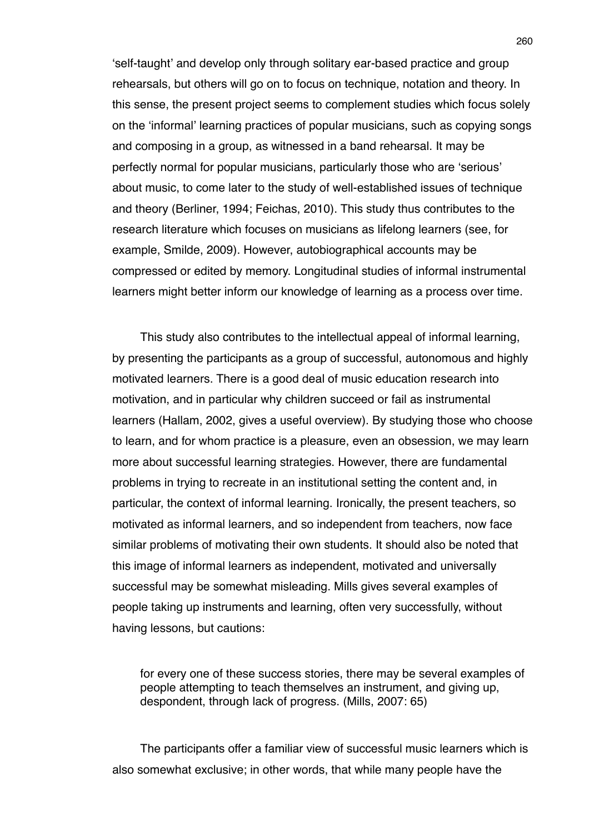ʻself-taught' and develop only through solitary ear-based practice and group rehearsals, but others will go on to focus on technique, notation and theory. In this sense, the present project seems to complement studies which focus solely on the ʻinformal' learning practices of popular musicians, such as copying songs and composing in a group, as witnessed in a band rehearsal. It may be perfectly normal for popular musicians, particularly those who are ʻserious' about music, to come later to the study of well-established issues of technique and theory (Berliner, 1994; Feichas, 2010). This study thus contributes to the research literature which focuses on musicians as lifelong learners (see, for example, Smilde, 2009). However, autobiographical accounts may be compressed or edited by memory. Longitudinal studies of informal instrumental learners might better inform our knowledge of learning as a process over time.

This study also contributes to the intellectual appeal of informal learning, by presenting the participants as a group of successful, autonomous and highly motivated learners. There is a good deal of music education research into motivation, and in particular why children succeed or fail as instrumental learners (Hallam, 2002, gives a useful overview). By studying those who choose to learn, and for whom practice is a pleasure, even an obsession, we may learn more about successful learning strategies. However, there are fundamental problems in trying to recreate in an institutional setting the content and, in particular, the context of informal learning. Ironically, the present teachers, so motivated as informal learners, and so independent from teachers, now face similar problems of motivating their own students. It should also be noted that this image of informal learners as independent, motivated and universally successful may be somewhat misleading. Mills gives several examples of people taking up instruments and learning, often very successfully, without having lessons, but cautions:

for every one of these success stories, there may be several examples of people attempting to teach themselves an instrument, and giving up, despondent, through lack of progress. (Mills, 2007: 65)

The participants offer a familiar view of successful music learners which is also somewhat exclusive; in other words, that while many people have the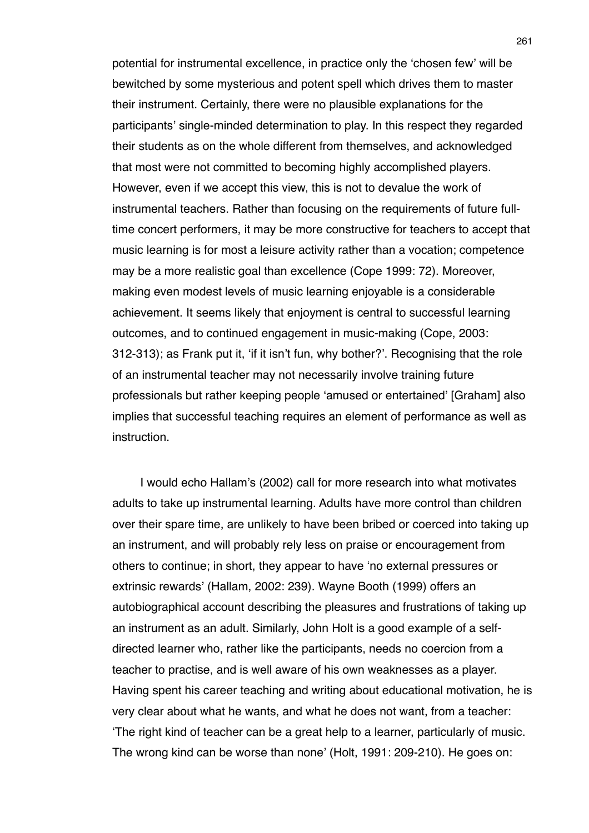potential for instrumental excellence, in practice only the ʻchosen few' will be bewitched by some mysterious and potent spell which drives them to master their instrument. Certainly, there were no plausible explanations for the participants' single-minded determination to play. In this respect they regarded their students as on the whole different from themselves, and acknowledged that most were not committed to becoming highly accomplished players. However, even if we accept this view, this is not to devalue the work of instrumental teachers. Rather than focusing on the requirements of future fulltime concert performers, it may be more constructive for teachers to accept that music learning is for most a leisure activity rather than a vocation; competence may be a more realistic goal than excellence (Cope 1999: 72). Moreover, making even modest levels of music learning enjoyable is a considerable achievement. It seems likely that enjoyment is central to successful learning outcomes, and to continued engagement in music-making (Cope, 2003: 312-313); as Frank put it, ʻif it isn't fun, why bother?'. Recognising that the role of an instrumental teacher may not necessarily involve training future professionals but rather keeping people ʻamused or entertained' [Graham] also implies that successful teaching requires an element of performance as well as instruction.

I would echo Hallam's (2002) call for more research into what motivates adults to take up instrumental learning. Adults have more control than children over their spare time, are unlikely to have been bribed or coerced into taking up an instrument, and will probably rely less on praise or encouragement from others to continue; in short, they appear to have ʻno external pressures or extrinsic rewards' (Hallam, 2002: 239). Wayne Booth (1999) offers an autobiographical account describing the pleasures and frustrations of taking up an instrument as an adult. Similarly, John Holt is a good example of a selfdirected learner who, rather like the participants, needs no coercion from a teacher to practise, and is well aware of his own weaknesses as a player. Having spent his career teaching and writing about educational motivation, he is very clear about what he wants, and what he does not want, from a teacher: ʻThe right kind of teacher can be a great help to a learner, particularly of music. The wrong kind can be worse than none' (Holt, 1991: 209-210). He goes on: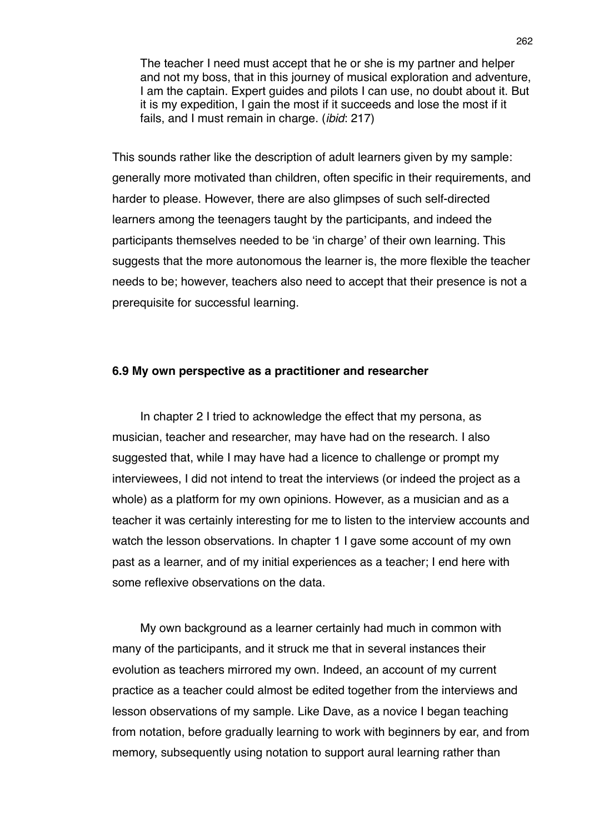The teacher I need must accept that he or she is my partner and helper and not my boss, that in this journey of musical exploration and adventure, I am the captain. Expert guides and pilots I can use, no doubt about it. But it is my expedition, I gain the most if it succeeds and lose the most if it fails, and I must remain in charge. (*ibid*: 217)

This sounds rather like the description of adult learners given by my sample: generally more motivated than children, often specific in their requirements, and harder to please. However, there are also glimpses of such self-directed learners among the teenagers taught by the participants, and indeed the participants themselves needed to be ʻin charge' of their own learning. This suggests that the more autonomous the learner is, the more flexible the teacher needs to be; however, teachers also need to accept that their presence is not a prerequisite for successful learning.

### **6.9 My own perspective as a practitioner and researcher**

In chapter 2 I tried to acknowledge the effect that my persona, as musician, teacher and researcher, may have had on the research. I also suggested that, while I may have had a licence to challenge or prompt my interviewees, I did not intend to treat the interviews (or indeed the project as a whole) as a platform for my own opinions. However, as a musician and as a teacher it was certainly interesting for me to listen to the interview accounts and watch the lesson observations. In chapter 1 I gave some account of my own past as a learner, and of my initial experiences as a teacher; I end here with some reflexive observations on the data.

My own background as a learner certainly had much in common with many of the participants, and it struck me that in several instances their evolution as teachers mirrored my own. Indeed, an account of my current practice as a teacher could almost be edited together from the interviews and lesson observations of my sample. Like Dave, as a novice I began teaching from notation, before gradually learning to work with beginners by ear, and from memory, subsequently using notation to support aural learning rather than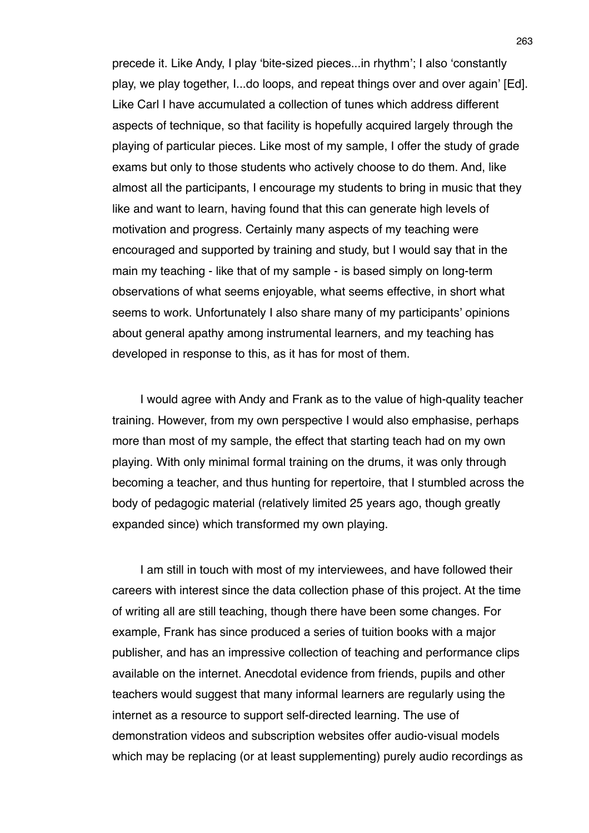precede it. Like Andy, I play ʻbite-sized pieces...in rhythm'; I also ʻconstantly play, we play together, I...do loops, and repeat things over and over again' [Ed]. Like Carl I have accumulated a collection of tunes which address different aspects of technique, so that facility is hopefully acquired largely through the playing of particular pieces. Like most of my sample, I offer the study of grade exams but only to those students who actively choose to do them. And, like almost all the participants, I encourage my students to bring in music that they like and want to learn, having found that this can generate high levels of motivation and progress. Certainly many aspects of my teaching were encouraged and supported by training and study, but I would say that in the main my teaching - like that of my sample - is based simply on long-term observations of what seems enjoyable, what seems effective, in short what seems to work. Unfortunately I also share many of my participants' opinions about general apathy among instrumental learners, and my teaching has developed in response to this, as it has for most of them.

I would agree with Andy and Frank as to the value of high-quality teacher training. However, from my own perspective I would also emphasise, perhaps more than most of my sample, the effect that starting teach had on my own playing. With only minimal formal training on the drums, it was only through becoming a teacher, and thus hunting for repertoire, that I stumbled across the body of pedagogic material (relatively limited 25 years ago, though greatly expanded since) which transformed my own playing.

I am still in touch with most of my interviewees, and have followed their careers with interest since the data collection phase of this project. At the time of writing all are still teaching, though there have been some changes. For example, Frank has since produced a series of tuition books with a major publisher, and has an impressive collection of teaching and performance clips available on the internet. Anecdotal evidence from friends, pupils and other teachers would suggest that many informal learners are regularly using the internet as a resource to support self-directed learning. The use of demonstration videos and subscription websites offer audio-visual models which may be replacing (or at least supplementing) purely audio recordings as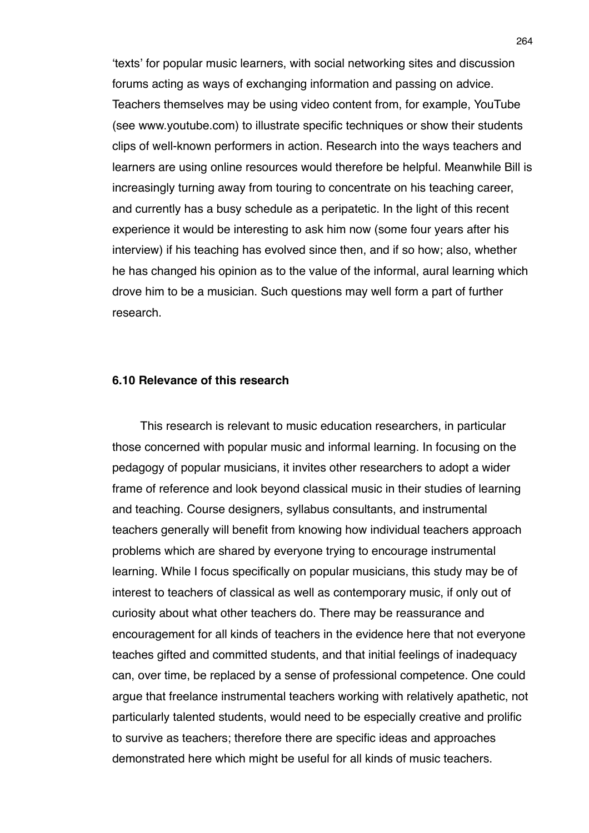ʻtexts' for popular music learners, with social networking sites and discussion forums acting as ways of exchanging information and passing on advice. Teachers themselves may be using video content from, for example, YouTube (see www.youtube.com) to illustrate specific techniques or show their students clips of well-known performers in action. Research into the ways teachers and learners are using online resources would therefore be helpful. Meanwhile Bill is increasingly turning away from touring to concentrate on his teaching career, and currently has a busy schedule as a peripatetic. In the light of this recent experience it would be interesting to ask him now (some four years after his interview) if his teaching has evolved since then, and if so how; also, whether he has changed his opinion as to the value of the informal, aural learning which drove him to be a musician. Such questions may well form a part of further research.

#### **6.10 Relevance of this research**

This research is relevant to music education researchers, in particular those concerned with popular music and informal learning. In focusing on the pedagogy of popular musicians, it invites other researchers to adopt a wider frame of reference and look beyond classical music in their studies of learning and teaching. Course designers, syllabus consultants, and instrumental teachers generally will benefit from knowing how individual teachers approach problems which are shared by everyone trying to encourage instrumental learning. While I focus specifically on popular musicians, this study may be of interest to teachers of classical as well as contemporary music, if only out of curiosity about what other teachers do. There may be reassurance and encouragement for all kinds of teachers in the evidence here that not everyone teaches gifted and committed students, and that initial feelings of inadequacy can, over time, be replaced by a sense of professional competence. One could argue that freelance instrumental teachers working with relatively apathetic, not particularly talented students, would need to be especially creative and prolific to survive as teachers; therefore there are specific ideas and approaches demonstrated here which might be useful for all kinds of music teachers.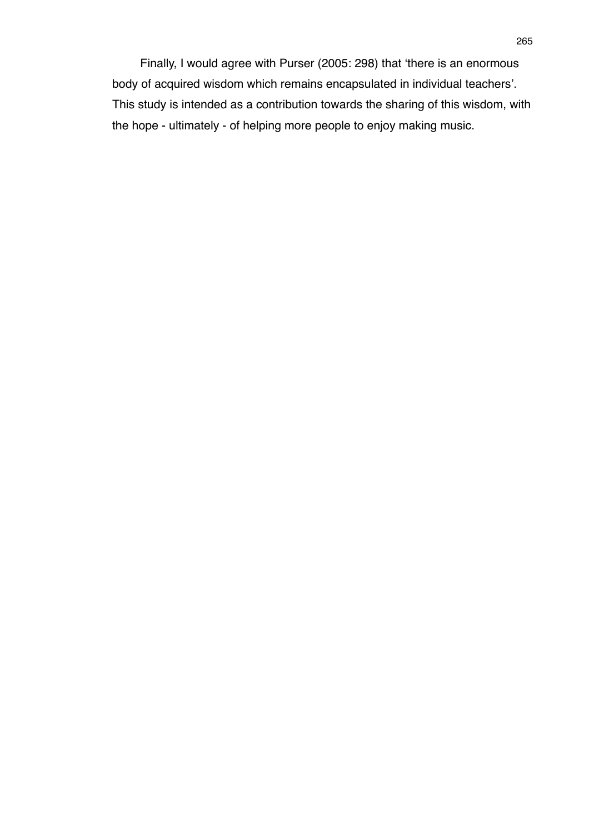Finally, I would agree with Purser (2005: 298) that ʻthere is an enormous body of acquired wisdom which remains encapsulated in individual teachers'. This study is intended as a contribution towards the sharing of this wisdom, with the hope - ultimately - of helping more people to enjoy making music.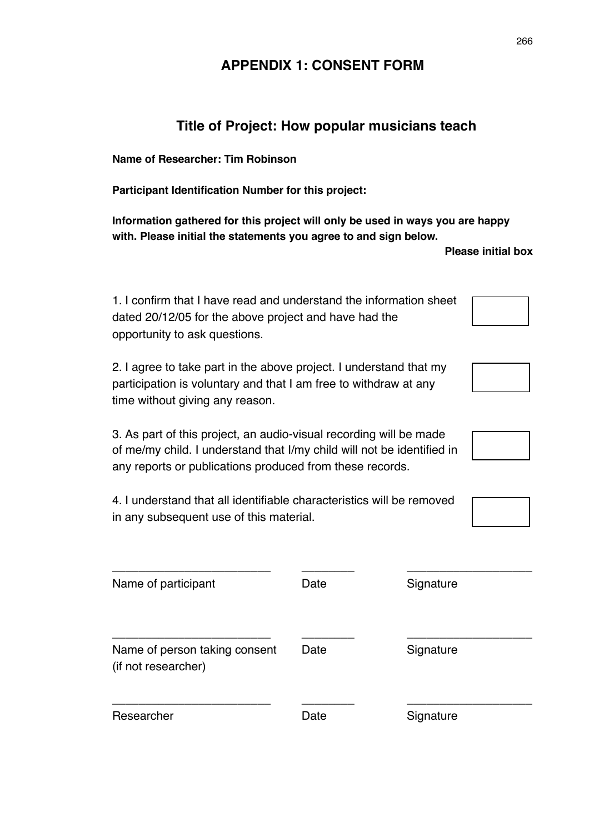## **APPENDIX 1: CONSENT FORM**

## **Title of Project: How popular musicians teach**

**Name of Researcher: Tim Robinson**

**Participant Identification Number for this project:**

**Information gathered for this project will only be used in ways you are happy with. Please initial the statements you agree to and sign below.**

 **Please initial box** 

| 1. I confirm that I have read and understand the information sheet |
|--------------------------------------------------------------------|
| dated 20/12/05 for the above project and have had the              |
| opportunity to ask questions.                                      |

2. I agree to take part in the above project. I understand that my participation is voluntary and that I am free to withdraw at any time without giving any reason.

3. As part of this project, an audio-visual recording will be made of me/my child. I understand that I/my child will not be identified in any reports or publications produced from these records.

4. I understand that all identifiable characteristics will be removed in any subsequent use of this material.

| Name of participant                                  | Date | Signature |
|------------------------------------------------------|------|-----------|
| Name of person taking consent<br>(if not researcher) | Date | Signature |
| Researcher                                           | Date | Signature |

266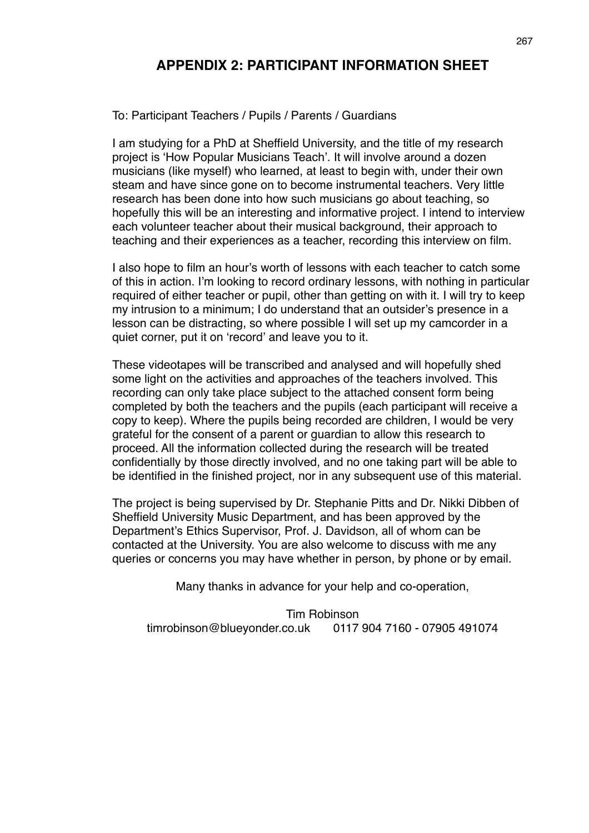## **APPENDIX 2: PARTICIPANT INFORMATION SHEET**

To: Participant Teachers / Pupils / Parents / Guardians

I am studying for a PhD at Sheffield University, and the title of my research project is ʻHow Popular Musicians Teach'. It will involve around a dozen musicians (like myself) who learned, at least to begin with, under their own steam and have since gone on to become instrumental teachers. Very little research has been done into how such musicians go about teaching, so hopefully this will be an interesting and informative project. I intend to interview each volunteer teacher about their musical background, their approach to teaching and their experiences as a teacher, recording this interview on film.

I also hope to film an hour's worth of lessons with each teacher to catch some of this in action. I'm looking to record ordinary lessons, with nothing in particular required of either teacher or pupil, other than getting on with it. I will try to keep my intrusion to a minimum; I do understand that an outsider's presence in a lesson can be distracting, so where possible I will set up my camcorder in a quiet corner, put it on ʻrecord' and leave you to it.

These videotapes will be transcribed and analysed and will hopefully shed some light on the activities and approaches of the teachers involved. This recording can only take place subject to the attached consent form being completed by both the teachers and the pupils (each participant will receive a copy to keep). Where the pupils being recorded are children, I would be very grateful for the consent of a parent or guardian to allow this research to proceed. All the information collected during the research will be treated confidentially by those directly involved, and no one taking part will be able to be identified in the finished project, nor in any subsequent use of this material.

The project is being supervised by Dr. Stephanie Pitts and Dr. Nikki Dibben of Sheffield University Music Department, and has been approved by the Department's Ethics Supervisor, Prof. J. Davidson, all of whom can be contacted at the University. You are also welcome to discuss with me any queries or concerns you may have whether in person, by phone or by email.

Many thanks in advance for your help and co-operation,

Tim Robinson timrobinson@blueyonder.co.uk 0117 904 7160 - 07905 491074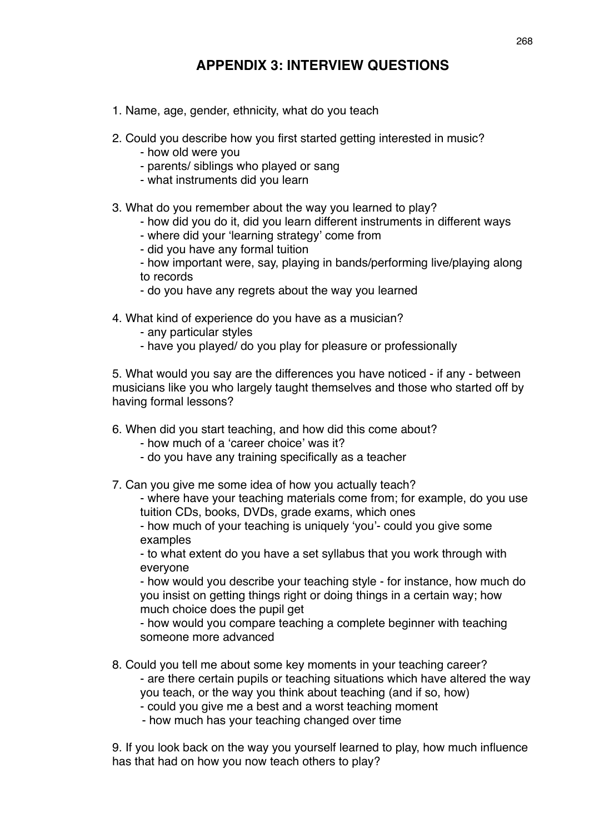# **APPENDIX 3: INTERVIEW QUESTIONS**

- 1. Name, age, gender, ethnicity, what do you teach
- 2. Could you describe how you first started getting interested in music?
	- how old were you
	- parents/ siblings who played or sang
	- what instruments did you learn
- 3. What do you remember about the way you learned to play?
	- how did you do it, did you learn different instruments in different ways
	- where did your ʻlearning strategy' come from
	- did you have any formal tuition
	- how important were, say, playing in bands/performing live/playing along to records
	- do you have any regrets about the way you learned
- 4. What kind of experience do you have as a musician?
	- any particular styles
	- have you played/ do you play for pleasure or professionally

5. What would you say are the differences you have noticed - if any - between musicians like you who largely taught themselves and those who started off by having formal lessons?

- 6. When did you start teaching, and how did this come about?
	- how much of a ʻcareer choice' was it?
	- do you have any training specifically as a teacher
- 7. Can you give me some idea of how you actually teach?

- where have your teaching materials come from; for example, do you use tuition CDs, books, DVDs, grade exams, which ones

- how much of your teaching is uniquely ʻyou'- could you give some examples

- to what extent do you have a set syllabus that you work through with everyone

- how would you describe your teaching style - for instance, how much do you insist on getting things right or doing things in a certain way; how much choice does the pupil get

- how would you compare teaching a complete beginner with teaching someone more advanced

- 8. Could you tell me about some key moments in your teaching career? - are there certain pupils or teaching situations which have altered the way you teach, or the way you think about teaching (and if so, how) - could you give me a best and a worst teaching moment
	- how much has your teaching changed over time

9. If you look back on the way you yourself learned to play, how much influence has that had on how you now teach others to play?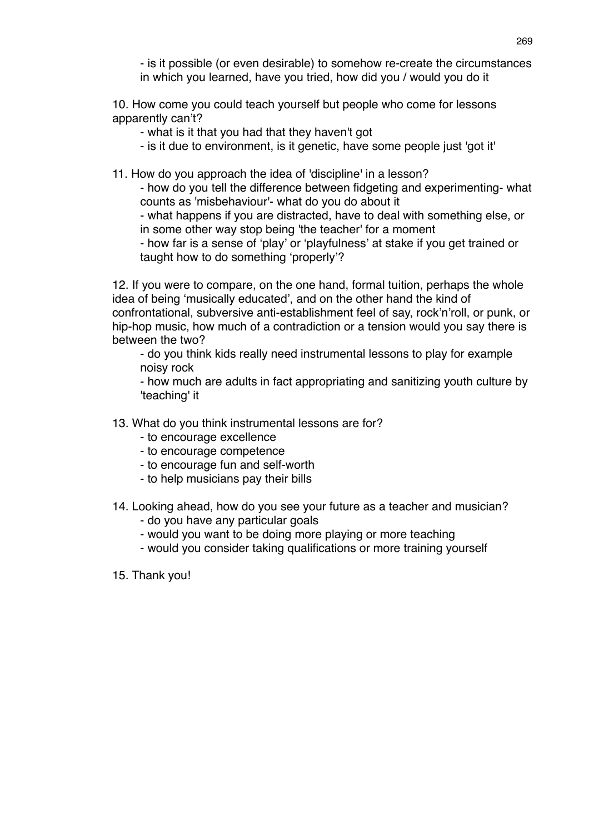- is it possible (or even desirable) to somehow re-create the circumstances in which you learned, have you tried, how did you / would you do it

10. How come you could teach yourself but people who come for lessons apparently can't?

- what is it that you had that they haven't got
- is it due to environment, is it genetic, have some people just 'got it'

11. How do you approach the idea of 'discipline' in a lesson?

- how do you tell the difference between fidgeting and experimenting- what counts as 'misbehaviour'- what do you do about it

- what happens if you are distracted, have to deal with something else, or in some other way stop being 'the teacher' for a moment

- how far is a sense of ʻplay' or ʻplayfulness' at stake if you get trained or taught how to do something ʻproperly'?

12. If you were to compare, on the one hand, formal tuition, perhaps the whole idea of being ʻmusically educated', and on the other hand the kind of confrontational, subversive anti-establishment feel of say, rock'n'roll, or punk, or hip-hop music, how much of a contradiction or a tension would you say there is between the two?

- do you think kids really need instrumental lessons to play for example noisy rock

- how much are adults in fact appropriating and sanitizing youth culture by 'teaching' it

- 13. What do you think instrumental lessons are for?
	- to encourage excellence
	- to encourage competence
	- to encourage fun and self-worth
	- to help musicians pay their bills
- 14. Looking ahead, how do you see your future as a teacher and musician?
	- do you have any particular goals
	- would you want to be doing more playing or more teaching
	- would you consider taking qualifications or more training yourself
- 15. Thank you!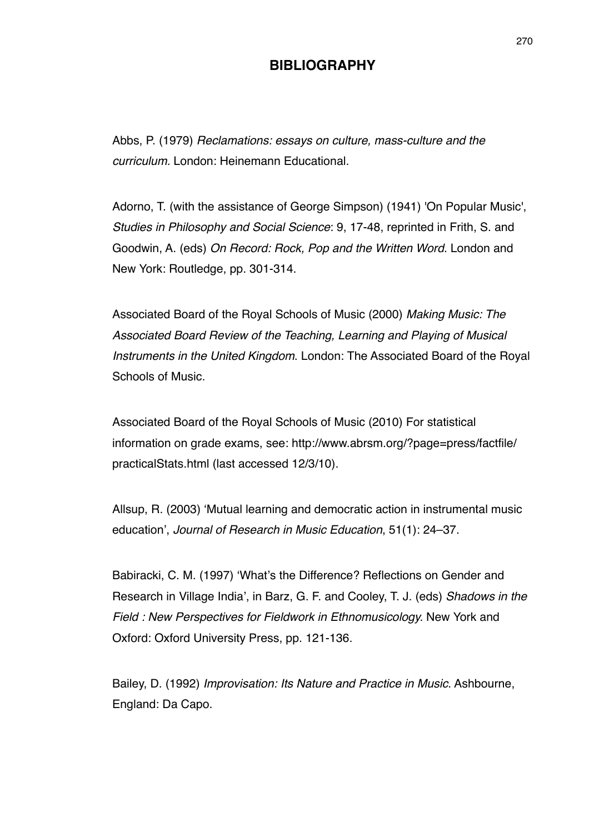## **BIBLIOGRAPHY**

Abbs, P. (1979) *Reclamations: essays on culture, mass-culture and the curriculum.* London: Heinemann Educational.

Adorno, T. (with the assistance of George Simpson) (1941) 'On Popular Music', *Studies in Philosophy and Social Science*: 9, 17-48, reprinted in Frith, S. and Goodwin, A. (eds) *On Record: Rock, Pop and the Written Word.* London and New York: Routledge, pp. 301-314.

Associated Board of the Royal Schools of Music (2000) *Making Music: The Associated Board Review of the Teaching, Learning and Playing of Musical Instruments in the United Kingdom*. London: The Associated Board of the Royal Schools of Music.

Associated Board of the Royal Schools of Music (2010) For statistical information on grade exams, see: http://www.abrsm.org/?page=press/factfile/ practicalStats.html (last accessed 12/3/10).

Allsup, R. (2003) ʻMutual learning and democratic action in instrumental music education', *Journal of Research in Music Education*, 51(1): 24–37.

Babiracki, C. M. (1997) ʻWhat's the Difference? Reflections on Gender and Research in Village India', in Barz, G. F. and Cooley, T. J. (eds) *Shadows in the Field : New Perspectives for Fieldwork in Ethnomusicology.* New York and Oxford: Oxford University Press, pp. 121-136.

Bailey, D. (1992) *Improvisation: Its Nature and Practice in Music*. Ashbourne, England: Da Capo.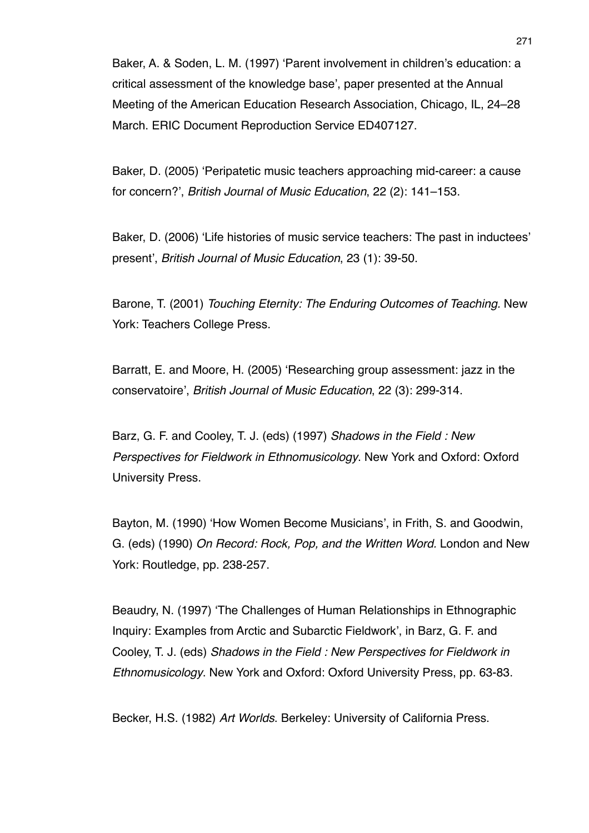Baker, A. & Soden, L. M. (1997) ʻParent involvement in children's education: a critical assessment of the knowledge base', paper presented at the Annual Meeting of the American Education Research Association, Chicago, IL, 24–28 March. ERIC Document Reproduction Service ED407127.

Baker, D. (2005) ʻPeripatetic music teachers approaching mid-career: a cause for concern?', *British Journal of Music Education*, 22 (2): 141–153.

Baker, D. (2006) ʻLife histories of music service teachers: The past in inductees' present', *British Journal of Music Education*, 23 (1): 39-50.

Barone, T. (2001) *Touching Eternity: The Enduring Outcomes of Teaching.* New York: Teachers College Press.

Barratt, E. and Moore, H. (2005) ʻResearching group assessment: jazz in the conservatoire', *British Journal of Music Education*, 22 (3): 299-314.

Barz, G. F. and Cooley, T. J. (eds) (1997) *Shadows in the Field : New Perspectives for Fieldwork in Ethnomusicology*. New York and Oxford: Oxford University Press.

Bayton, M. (1990) ʻHow Women Become Musicians', in Frith, S. and Goodwin, G. (eds) (1990) *On Record: Rock, Pop, and the Written Word.* London and New York: Routledge, pp. 238-257.

Beaudry, N. (1997) ʻThe Challenges of Human Relationships in Ethnographic Inquiry: Examples from Arctic and Subarctic Fieldwork', in Barz, G. F. and Cooley, T. J. (eds) *Shadows in the Field : New Perspectives for Fieldwork in Ethnomusicology*. New York and Oxford: Oxford University Press, pp. 63-83.

Becker, H.S. (1982) *Art Worlds*. Berkeley: University of California Press.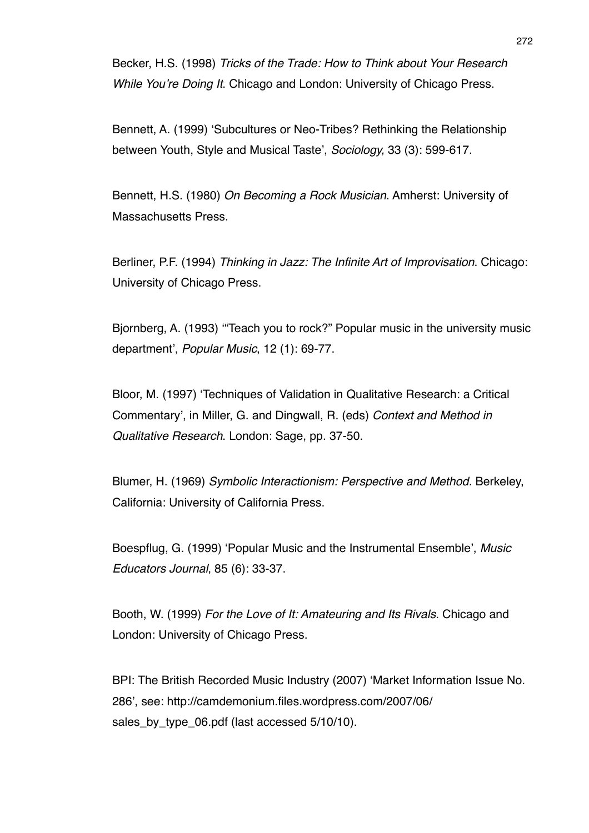Becker, H.S. (1998) *Tricks of the Trade: How to Think about Your Research While You*'*re Doing It*. Chicago and London: University of Chicago Press.

Bennett, A. (1999) ʻSubcultures or Neo-Tribes? Rethinking the Relationship between Youth, Style and Musical Taste', *Sociology,* 33 (3): 599-617.

Bennett, H.S. (1980) *On Becoming a Rock Musician*. Amherst: University of Massachusetts Press.

Berliner, P.F. (1994) *Thinking in Jazz: The Infinite Art of Improvisation*. Chicago: University of Chicago Press.

Bjornberg, A. (1993) ʻ"Teach you to rock?" Popular music in the university music department', *Popular Music*, 12 (1): 69-77.

Bloor, M. (1997) ʻTechniques of Validation in Qualitative Research: a Critical Commentary', in Miller, G. and Dingwall, R. (eds) *Context and Method in Qualitative Research*. London: Sage, pp. 37-50.

Blumer, H. (1969) *Symbolic Interactionism: Perspective and Method.* Berkeley, California: University of California Press.

Boespflug, G. (1999) ʻPopular Music and the Instrumental Ensemble', *Music Educators Journal*, 85 (6): 33-37.

Booth, W. (1999) *For the Love of It: Amateuring and Its Rivals*. Chicago and London: University of Chicago Press.

BPI: The British Recorded Music Industry (2007) ʻMarket Information Issue No. 286', see: http://camdemonium.files.wordpress.com/2007/06/ sales\_by\_type\_06.pdf (last accessed 5/10/10).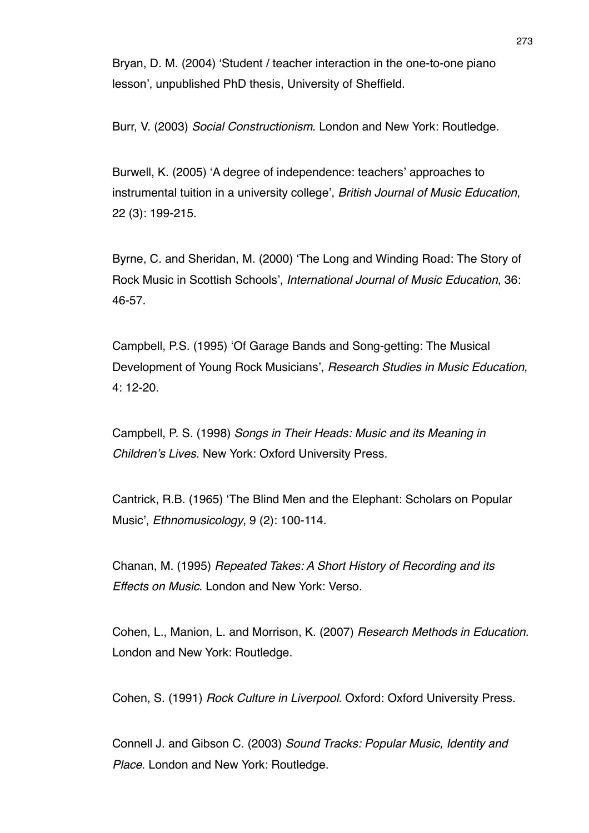Bryan, D. M. (2004) ʻStudent / teacher interaction in the one-to-one piano lesson', unpublished PhD thesis, University of Sheffield.

Burr, V. (2003) *Social Constructionism*. London and New York: Routledge.

Burwell, K. (2005) ʻA degree of independence: teachers' approaches to instrumental tuition in a university college', *British Journal of Music Education*, 22 (3): 199-215.

Byrne, C. and Sheridan, M. (2000) ʻThe Long and Winding Road: The Story of Rock Music in Scottish Schools', *International Journal of Music Education*, 36: 46-57.

Campbell, P.S. (1995) ʻOf Garage Bands and Song-getting: The Musical Development of Young Rock Musicians', *Research Studies in Music Education,* 4: 12-20.

Campbell, P. S. (1998) *Songs in Their Heads: Music and its Meaning in Children*'*s Lives*. New York: Oxford University Press.

Cantrick, R.B. (1965) ʻThe Blind Men and the Elephant: Scholars on Popular Music', *Ethnomusicology*, 9 (2): 100-114.

Chanan, M. (1995) *Repeated Takes: A Short History of Recording and its Effects on Music*. London and New York: Verso.

Cohen, L., Manion, L. and Morrison, K. (2007) *Research Methods in Education*. London and New York: Routledge.

Cohen, S. (1991) *Rock Culture in Liverpool*. Oxford: Oxford University Press.

Connell J. and Gibson C. (2003) *Sound Tracks: Popular Music, Identity and Place*. London and New York: Routledge.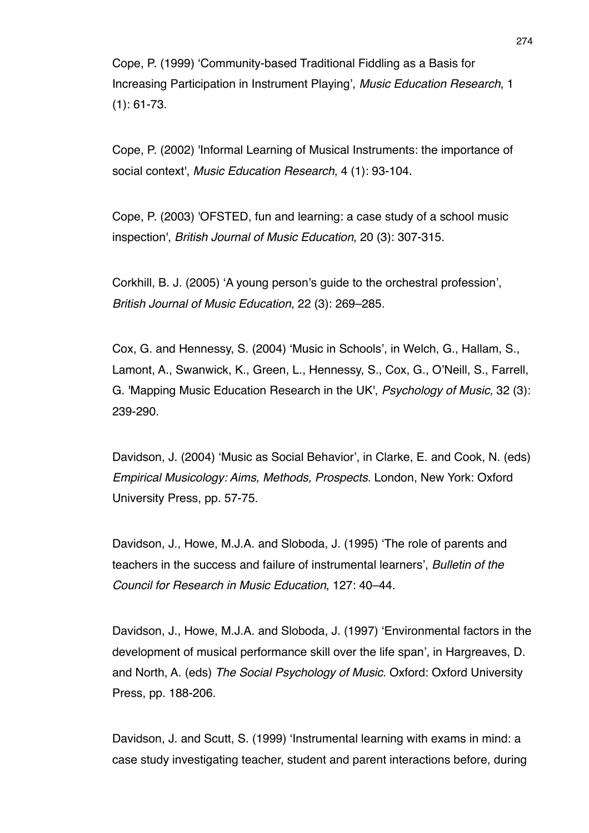Cope, P. (1999) ʻCommunity-based Traditional Fiddling as a Basis for Increasing Participation in Instrument Playing', *Music Education Research*, 1 (1): 61-73.

Cope, P. (2002) 'Informal Learning of Musical Instruments: the importance of social context', *Music Education Research*, 4 (1): 93-104.

Cope, P. (2003) 'OFSTED, fun and learning: a case study of a school music inspection', *British Journal of Music Education*, 20 (3): 307-315.

Corkhill, B. J. (2005) ʻA young person's guide to the orchestral profession', *British Journal of Music Education*, 22 (3): 269–285.

Cox, G. and Hennessy, S. (2004) ʻMusic in Schools', in Welch, G., Hallam, S., Lamont, A., Swanwick, K., Green, L., Hennessy, S., Cox, G., O'Neill, S., Farrell, G. 'Mapping Music Education Research in the UK', *Psychology of Music*, 32 (3): 239-290.

Davidson, J. (2004) ʻMusic as Social Behavior', in Clarke, E. and Cook, N. (eds) *Empirical Musicology: Aims, Methods, Prospects*. London, New York: Oxford University Press, pp. 57-75.

Davidson, J., Howe, M.J.A. and Sloboda, J. (1995) ʻThe role of parents and teachers in the success and failure of instrumental learners', *Bulletin of the Council for Research in Music Education*, 127: 40–44.

Davidson, J., Howe, M.J.A. and Sloboda, J. (1997) ʻEnvironmental factors in the development of musical performance skill over the life span', in Hargreaves, D. and North, A. (eds) *The Social Psychology of Music*. Oxford: Oxford University Press, pp. 188-206.

Davidson, J. and Scutt, S. (1999) ʻInstrumental learning with exams in mind: a case study investigating teacher, student and parent interactions before, during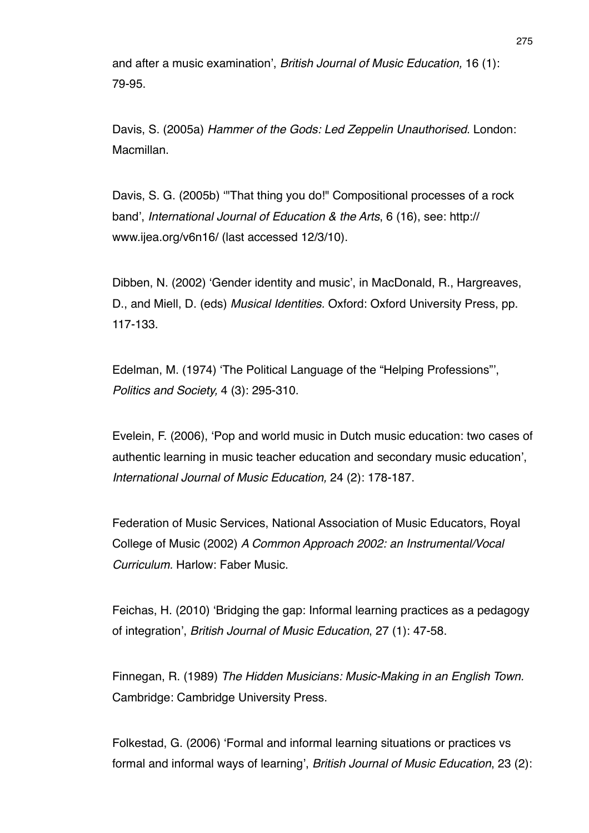and after a music examination', *British Journal of Music Education,* 16 (1): 79-95.

Davis, S. (2005a) *Hammer of the Gods: Led Zeppelin Unauthorised*. London: Macmillan.

Davis, S. G. (2005b) ʻ"That thing you do!" Compositional processes of a rock band', *International Journal of Education & the Arts*, 6 (16), see: http:// www.ijea.org/v6n16/ (last accessed 12/3/10).

Dibben, N. (2002) ʻGender identity and music', in MacDonald, R., Hargreaves, D., and Miell, D. (eds) *Musical Identities.* Oxford: Oxford University Press, pp. 117-133.

Edelman, M. (1974) ʻThe Political Language of the "Helping Professions"', *Politics and Society,* 4 (3): 295-310.

Evelein, F. (2006), ʻPop and world music in Dutch music education: two cases of authentic learning in music teacher education and secondary music education', *International Journal of Music Education,* 24 (2): 178-187.

Federation of Music Services, National Association of Music Educators, Royal College of Music (2002) *A Common Approach 2002: an Instrumental/Vocal Curriculum.* Harlow: Faber Music.

Feichas, H. (2010) ʻBridging the gap: Informal learning practices as a pedagogy of integration', *British Journal of Music Education*, 27 (1): 47-58.

Finnegan, R. (1989) *The Hidden Musicians: Music-Making in an English Town.* Cambridge: Cambridge University Press.

Folkestad, G. (2006) ʻFormal and informal learning situations or practices vs formal and informal ways of learning', *British Journal of Music Education*, 23 (2):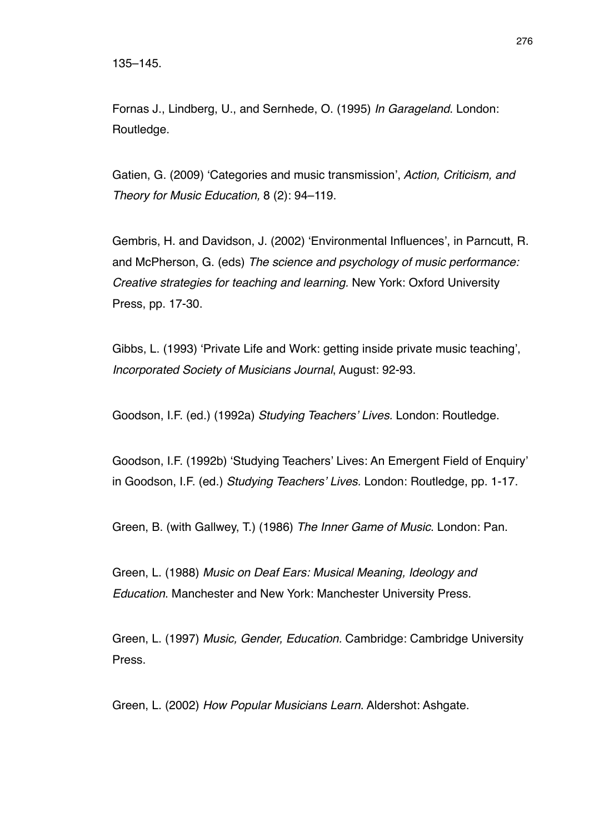Fornas J., Lindberg, U., and Sernhede, O. (1995) *In Garageland*. London: Routledge.

Gatien, G. (2009) ʻCategories and music transmission', *Action, Criticism, and Theory for Music Education,* 8 (2): 94–119.

Gembris, H. and Davidson, J. (2002) ʻEnvironmental Influences', in Parncutt, R. and McPherson, G. (eds) *The science and psychology of music performance: Creative strategies for teaching and learning.* New York: Oxford University Press, pp. 17-30.

Gibbs, L. (1993) ʻPrivate Life and Work: getting inside private music teaching', *Incorporated Society of Musicians Journal*, August: 92-93.

Goodson, I.F. (ed.) (1992a) *Studying Teachers*' *Lives.* London: Routledge.

Goodson, I.F. (1992b) ʻStudying Teachers' Lives: An Emergent Field of Enquiry' in Goodson, I.F. (ed.) *Studying Teachers*' *Lives.* London: Routledge, pp. 1-17.

Green, B. (with Gallwey, T.) (1986) *The Inner Game of Music*. London: Pan.

Green, L. (1988) *Music on Deaf Ears: Musical Meaning, Ideology and Education*. Manchester and New York: Manchester University Press.

Green, L. (1997) *Music, Gender, Education.* Cambridge: Cambridge University Press.

Green, L. (2002) *How Popular Musicians Learn*. Aldershot: Ashgate.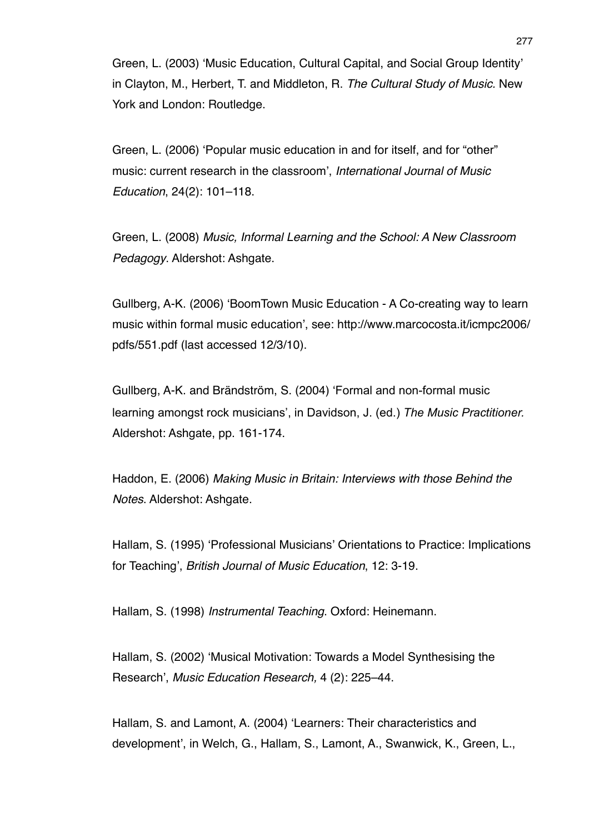Green, L. (2003) ʻMusic Education, Cultural Capital, and Social Group Identity' in Clayton, M., Herbert, T. and Middleton, R. *The Cultural Study of Music.* New York and London: Routledge.

Green, L. (2006) ʻPopular music education in and for itself, and for "other" music: current research in the classroom', *International Journal of Music Education*, 24(2): 101–118.

Green, L. (2008) *Music, Informal Learning and the School: A New Classroom Pedagogy*. Aldershot: Ashgate.

Gullberg, A-K. (2006) ʻBoomTown Music Education - A Co-creating way to learn music within formal music education', see: http://www.marcocosta.it/icmpc2006/ pdfs/551.pdf (last accessed 12/3/10).

Gullberg, A-K. and Brändström, S. (2004) ʻFormal and non-formal music learning amongst rock musicians', in Davidson, J. (ed.) *The Music Practitioner.* Aldershot: Ashgate, pp. 161-174.

Haddon, E. (2006) *Making Music in Britain: Interviews with those Behind the Notes*. Aldershot: Ashgate.

Hallam, S. (1995) ʻProfessional Musicians' Orientations to Practice: Implications for Teaching', *British Journal of Music Education*, 12: 3-19.

Hallam, S. (1998) *Instrumental Teaching*. Oxford: Heinemann.

Hallam, S. (2002) ʻMusical Motivation: Towards a Model Synthesising the Research', *Music Education Research,* 4 (2): 225–44.

Hallam, S. and Lamont, A. (2004) ʻLearners: Their characteristics and development', in Welch, G., Hallam, S., Lamont, A., Swanwick, K., Green, L.,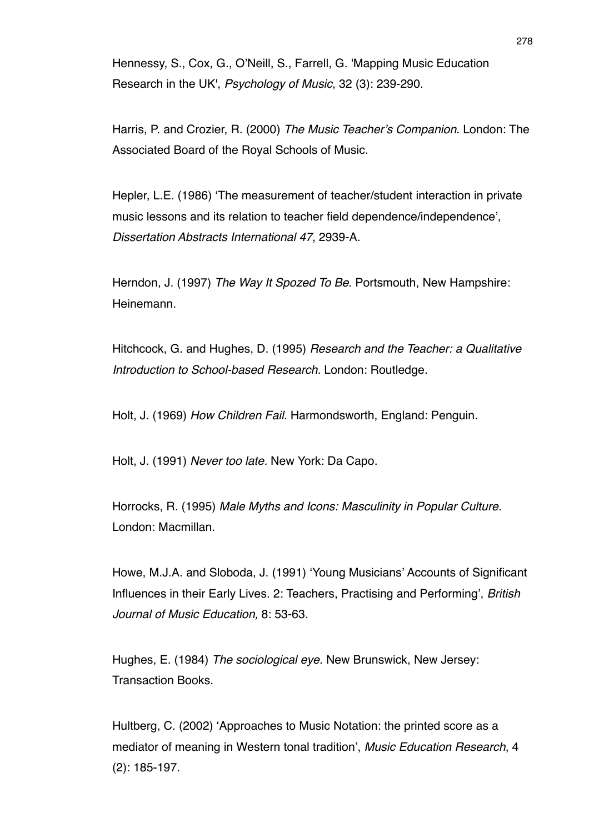Hennessy, S., Cox, G., O'Neill, S., Farrell, G. 'Mapping Music Education Research in the UK', *Psychology of Music*, 32 (3): 239-290.

Harris, P. and Crozier, R. (2000) *The Music Teacher*'*s Companion*. London: The Associated Board of the Royal Schools of Music.

Hepler, L.E. (1986) ʻThe measurement of teacher/student interaction in private music lessons and its relation to teacher field dependence/independence', *Dissertation Abstracts International 47*, 2939-A.

Herndon, J. (1997) *The Way It Spozed To Be*. Portsmouth, New Hampshire: Heinemann.

Hitchcock, G. and Hughes, D. (1995) *Research and the Teacher: a Qualitative Introduction to School-based Research.* London: Routledge.

Holt, J. (1969) *How Children Fail.* Harmondsworth, England: Penguin.

Holt, J. (1991) *Never too late.* New York: Da Capo.

Horrocks, R. (1995) *Male Myths and Icons: Masculinity in Popular Culture*. London: Macmillan.

Howe, M.J.A. and Sloboda, J. (1991) ʻYoung Musicians' Accounts of Significant Influences in their Early Lives. 2: Teachers, Practising and Performing', *British Journal of Music Education,* 8: 53-63.

Hughes, E. (1984) *The sociological eye*. New Brunswick, New Jersey: Transaction Books.

Hultberg, C. (2002) ʻApproaches to Music Notation: the printed score as a mediator of meaning in Western tonal tradition', *Music Education Research*, 4 (2): 185-197.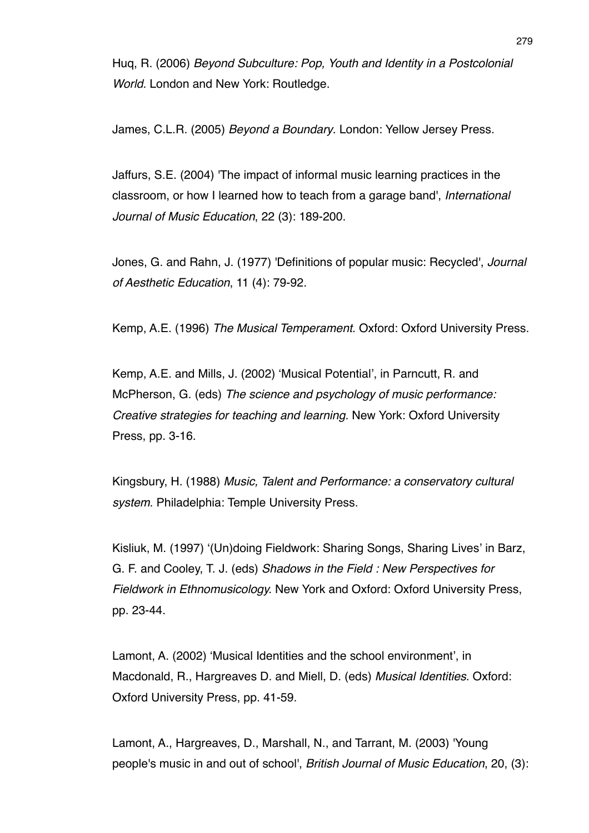Huq, R. (2006) *Beyond Subculture: Pop, Youth and Identity in a Postcolonial World.* London and New York: Routledge.

James, C.L.R. (2005) *Beyond a Boundary*. London: Yellow Jersey Press.

Jaffurs, S.E. (2004) 'The impact of informal music learning practices in the classroom, or how I learned how to teach from a garage band', *International Journal of Music Education*, 22 (3): 189-200.

Jones, G. and Rahn, J. (1977) 'Definitions of popular music: Recycled', *Journal of Aesthetic Education*, 11 (4): 79-92.

Kemp, A.E. (1996) *The Musical Temperament*. Oxford: Oxford University Press.

Kemp, A.E. and Mills, J. (2002) ʻMusical Potential', in Parncutt, R. and McPherson, G. (eds) *The science and psychology of music performance: Creative strategies for teaching and learning.* New York: Oxford University Press, pp. 3-16.

Kingsbury, H. (1988) *Music, Talent and Performance: a conservatory cultural system*. Philadelphia: Temple University Press.

Kisliuk, M. (1997) ʻ(Un)doing Fieldwork: Sharing Songs, Sharing Lives' in Barz, G. F. and Cooley, T. J. (eds) *Shadows in the Field : New Perspectives for Fieldwork in Ethnomusicology.* New York and Oxford: Oxford University Press, pp. 23-44.

Lamont, A. (2002) ʻMusical Identities and the school environment', in Macdonald, R., Hargreaves D. and Miell, D. (eds) *Musical Identities*. Oxford: Oxford University Press, pp. 41-59.

Lamont, A., Hargreaves, D., Marshall, N., and Tarrant, M. (2003) 'Young people's music in and out of school', *British Journal of Music Education*, 20, (3):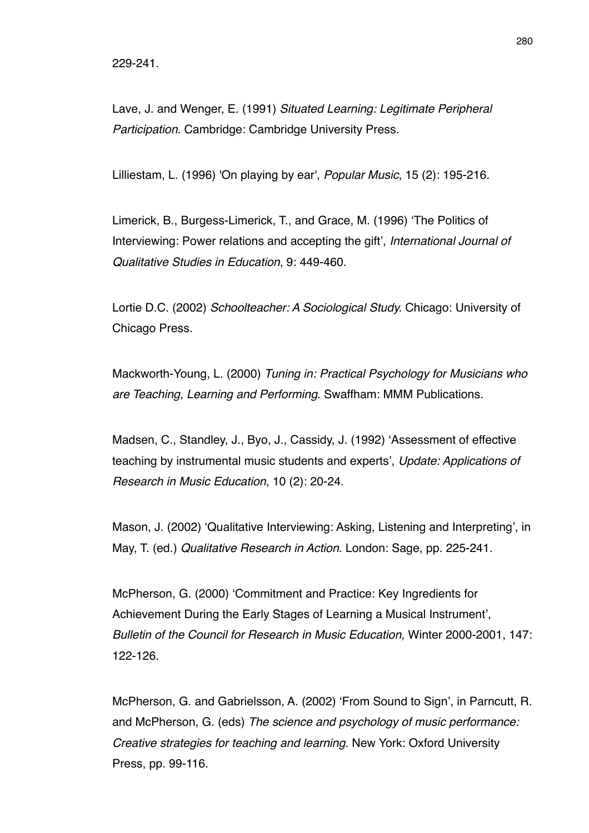Lave, J. and Wenger, E. (1991) *Situated Learning: Legitimate Peripheral Participation*. Cambridge: Cambridge University Press.

Lilliestam, L. (1996) 'On playing by ear', *Popular Music*, 15 (2): 195-216.

Limerick, B., Burgess-Limerick, T., and Grace, M. (1996) ʻThe Politics of Interviewing: Power relations and accepting the gift', *International Journal of Qualitative Studies in Education*, 9: 449-460.

Lortie D.C. (2002) *Schoolteacher: A Sociological Study.* Chicago: University of Chicago Press.

Mackworth-Young, L. (2000) *Tuning in: Practical Psychology for Musicians who are Teaching, Learning and Performing*. Swaffham: MMM Publications.

Madsen, C., Standley, J., Byo, J., Cassidy, J. (1992) ʻAssessment of effective teaching by instrumental music students and experts', *Update: Applications of Research in Music Education*, 10 (2): 20-24.

Mason, J. (2002) ʻQualitative Interviewing: Asking, Listening and Interpreting', in May, T. (ed.) *Qualitative Research in Action*. London: Sage, pp. 225-241.

McPherson, G. (2000) ʻCommitment and Practice: Key Ingredients for Achievement During the Early Stages of Learning a Musical Instrument', *Bulletin of the Council for Research in Music Education,* Winter 2000-2001, 147: 122-126.

McPherson, G. and Gabrielsson, A. (2002) ʻFrom Sound to Sign', in Parncutt, R. and McPherson, G. (eds) *The science and psychology of music performance: Creative strategies for teaching and learning*. New York: Oxford University Press, pp. 99-116.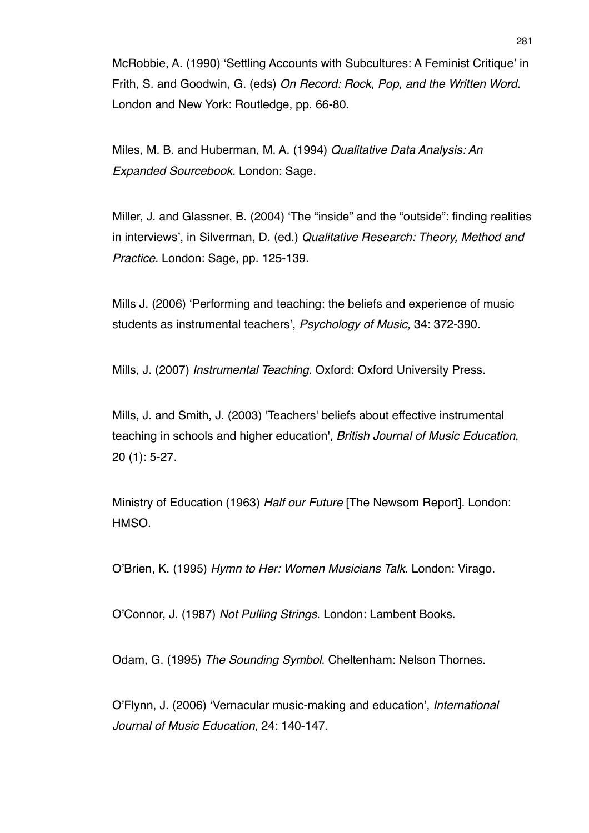McRobbie, A. (1990) ʻSettling Accounts with Subcultures: A Feminist Critique' in Frith, S. and Goodwin, G. (eds) *On Record: Rock, Pop, and the Written Word.* London and New York: Routledge, pp. 66-80.

Miles, M. B. and Huberman, M. A. (1994) *Qualitative Data Analysis: An Expanded Sourcebook*. London: Sage.

Miller, J. and Glassner, B. (2004) ʻThe "inside" and the "outside": finding realities in interviews', in Silverman, D. (ed.) *Qualitative Research: Theory, Method and Practice.* London: Sage, pp. 125-139.

Mills J. (2006) ʻPerforming and teaching: the beliefs and experience of music students as instrumental teachers', *Psychology of Music,* 34: 372-390.

Mills, J. (2007) *Instrumental Teaching.* Oxford: Oxford University Press.

Mills, J. and Smith, J. (2003) 'Teachers' beliefs about effective instrumental teaching in schools and higher education', *British Journal of Music Education*, 20 (1): 5-27.

Ministry of Education (1963) *Half our Future* [The Newsom Report]. London: HMSO.

O'Brien, K. (1995) *Hymn to Her: Women Musicians Talk*. London: Virago.

O'Connor, J. (1987) *Not Pulling Strings*. London: Lambent Books.

Odam, G. (1995) *The Sounding Symbol*. Cheltenham: Nelson Thornes.

O'Flynn, J. (2006) ʻVernacular music-making and education', *International Journal of Music Education*, 24: 140-147.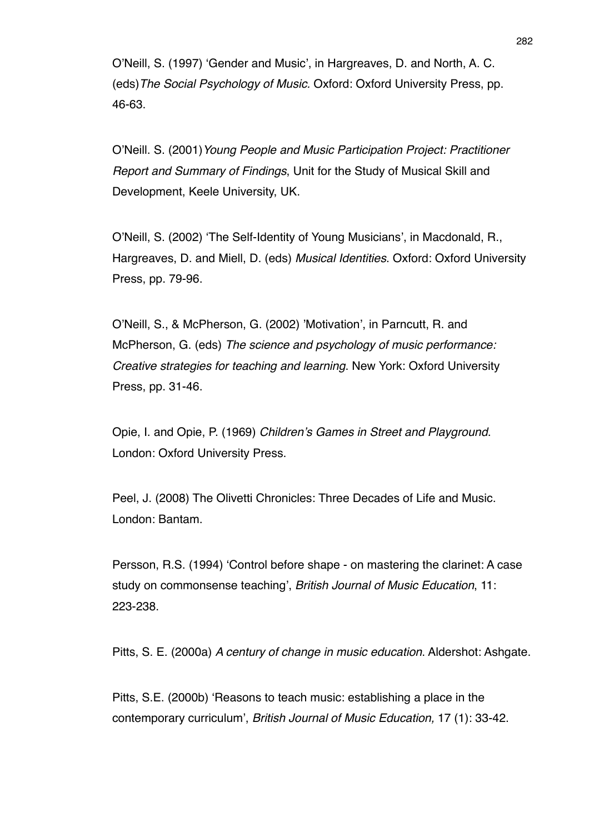O'Neill, S. (1997) ʻGender and Music', in Hargreaves, D. and North, A. C. (eds)*The Social Psychology of Music.* Oxford: Oxford University Press, pp. 46-63.

O'Neill. S. (2001)*Young People and Music Participation Project: Practitioner Report and Summary of Findings*, Unit for the Study of Musical Skill and Development, Keele University, UK.

O'Neill, S. (2002) ʻThe Self-Identity of Young Musicians', in Macdonald, R., Hargreaves, D. and Miell, D. (eds) *Musical Identities*. Oxford: Oxford University Press, pp. 79-96.

O'Neill, S., & McPherson, G. (2002) 'Motivation', in Parncutt, R. and McPherson, G. (eds) *The science and psychology of music performance: Creative strategies for teaching and learning*. New York: Oxford University Press, pp. 31-46.

Opie, I. and Opie, P. (1969) *Children*'*s Games in Street and Playground*. London: Oxford University Press.

Peel, J. (2008) The Olivetti Chronicles: Three Decades of Life and Music. London: Bantam.

Persson, R.S. (1994) ʻControl before shape - on mastering the clarinet: A case study on commonsense teaching', *British Journal of Music Education*, 11: 223-238.

Pitts, S. E. (2000a) *A century of change in music education*. Aldershot: Ashgate.

Pitts, S.E. (2000b) ʻReasons to teach music: establishing a place in the contemporary curriculum', *British Journal of Music Education,* 17 (1): 33-42.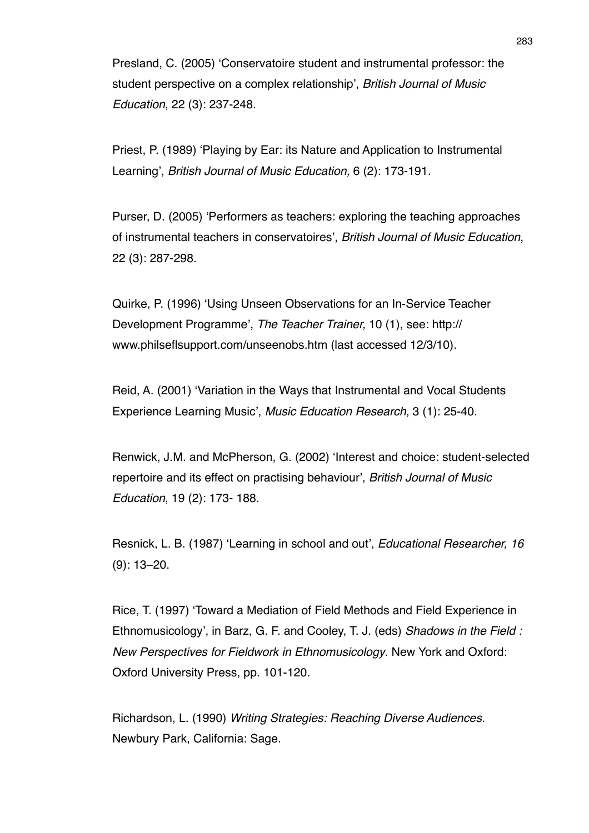Presland, C. (2005) ʻConservatoire student and instrumental professor: the student perspective on a complex relationship', *British Journal of Music Education*, 22 (3): 237-248.

Priest, P. (1989) ʻPlaying by Ear: its Nature and Application to Instrumental Learning', *British Journal of Music Education,* 6 (2): 173-191.

Purser, D. (2005) ʻPerformers as teachers: exploring the teaching approaches of instrumental teachers in conservatoires', *British Journal of Music Education*, 22 (3): 287-298.

Quirke, P. (1996) ʻUsing Unseen Observations for an In-Service Teacher Development Programme', *The Teacher Trainer,* 10 (1), see: http:// www.philseflsupport.com/unseenobs.htm (last accessed 12/3/10).

Reid, A. (2001) ʻVariation in the Ways that Instrumental and Vocal Students Experience Learning Music', *Music Education Research*, 3 (1): 25-40.

Renwick, J.M. and McPherson, G. (2002) ʻInterest and choice: student-selected repertoire and its effect on practising behaviour', *British Journal of Music Education*, 19 (2): 173- 188.

Resnick, L. B. (1987) ʻLearning in school and out', *Educational Researcher, 16*  (9): 13–20.

Rice, T. (1997) ʻToward a Mediation of Field Methods and Field Experience in Ethnomusicology', in Barz, G. F. and Cooley, T. J. (eds) *Shadows in the Field : New Perspectives for Fieldwork in Ethnomusicology*. New York and Oxford: Oxford University Press, pp. 101-120.

Richardson, L. (1990) *Writing Strategies: Reaching Diverse Audiences.* Newbury Park, California: Sage.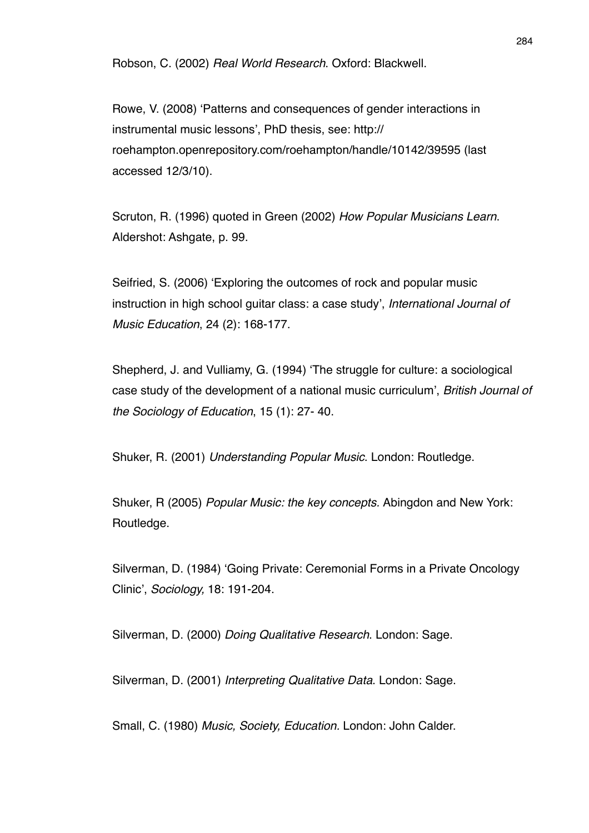Robson, C. (2002) *Real World Research*. Oxford: Blackwell.

Rowe, V. (2008) ʻPatterns and consequences of gender interactions in instrumental music lessons', PhD thesis, see: http:// roehampton.openrepository.com/roehampton/handle/10142/39595 (last accessed 12/3/10).

Scruton, R. (1996) quoted in Green (2002) *How Popular Musicians Learn*. Aldershot: Ashgate, p. 99.

Seifried, S. (2006) ʻExploring the outcomes of rock and popular music instruction in high school guitar class: a case study', *International Journal of Music Education*, 24 (2): 168-177.

Shepherd, J. and Vulliamy, G. (1994) ʻThe struggle for culture: a sociological case study of the development of a national music curriculum', *British Journal of the Sociology of Education*, 15 (1): 27- 40.

Shuker, R. (2001) *Understanding Popular Music*. London: Routledge.

Shuker, R (2005) *Popular Music: the key concepts.* Abingdon and New York: Routledge.

Silverman, D. (1984) ʻGoing Private: Ceremonial Forms in a Private Oncology Clinic', *Sociology,* 18: 191-204.

Silverman, D. (2000) *Doing Qualitative Research*. London: Sage.

Silverman, D. (2001) *Interpreting Qualitative Data*. London: Sage.

Small, C. (1980) *Music, Society, Education.* London: John Calder.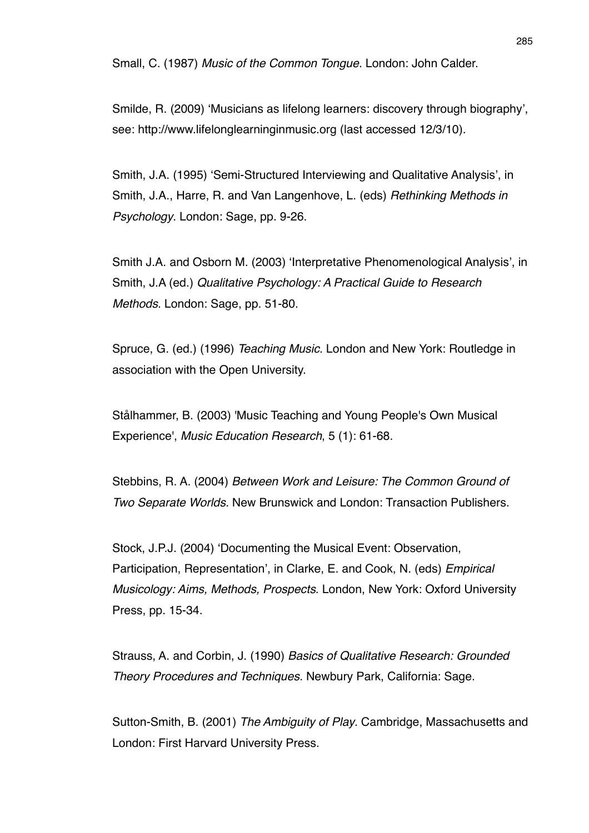Smilde, R. (2009) ʻMusicians as lifelong learners: discovery through biography', see: http://www.lifelonglearninginmusic.org (last accessed 12/3/10).

Smith, J.A. (1995) ʻSemi-Structured Interviewing and Qualitative Analysis', in Smith, J.A., Harre, R. and Van Langenhove, L. (eds) *Rethinking Methods in Psychology*. London: Sage, pp. 9-26.

Smith J.A. and Osborn M. (2003) ʻInterpretative Phenomenological Analysis', in Smith, J.A (ed.) *Qualitative Psychology: A Practical Guide to Research Methods*. London: Sage, pp. 51-80.

Spruce, G. (ed.) (1996) *Teaching Music*. London and New York: Routledge in association with the Open University.

Stålhammer, B. (2003) 'Music Teaching and Young People's Own Musical Experience', *Music Education Research*, 5 (1): 61-68.

Stebbins, R. A. (2004) *Between Work and Leisure: The Common Ground of Two Separate Worlds.* New Brunswick and London: Transaction Publishers.

Stock, J.P.J. (2004) ʻDocumenting the Musical Event: Observation, Participation, Representation', in Clarke, E. and Cook, N. (eds) *Empirical Musicology: Aims, Methods, Prospects*. London, New York: Oxford University Press, pp. 15-34.

Strauss, A. and Corbin, J. (1990) *Basics of Qualitative Research: Grounded Theory Procedures and Techniques.* Newbury Park, California: Sage.

Sutton-Smith, B. (2001) *The Ambiguity of Play*. Cambridge, Massachusetts and London: First Harvard University Press.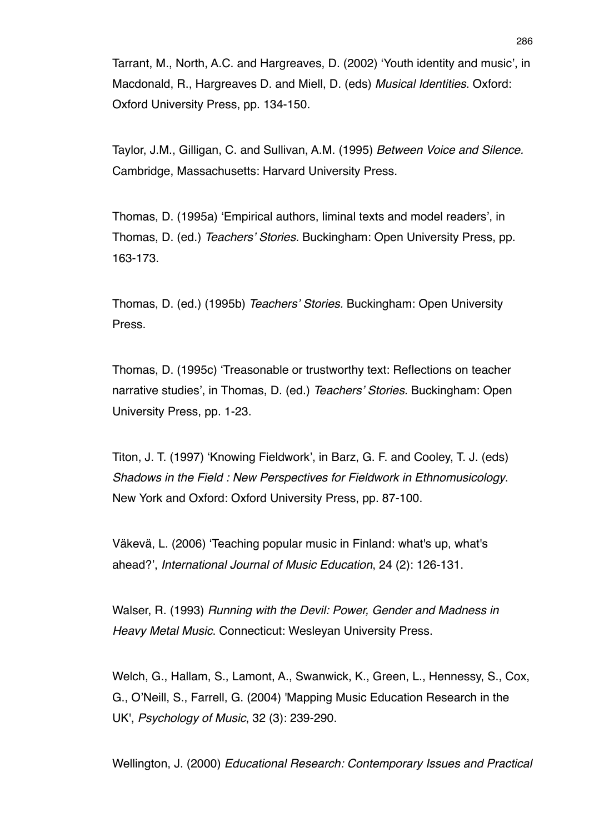Tarrant, M., North, A.C. and Hargreaves, D. (2002) ʻYouth identity and music', in Macdonald, R., Hargreaves D. and Miell, D. (eds) *Musical Identities*. Oxford: Oxford University Press, pp. 134-150.

Taylor, J.M., Gilligan, C. and Sullivan, A.M. (1995) *Between Voice and Silence.* Cambridge, Massachusetts: Harvard University Press.

Thomas, D. (1995a) ʻEmpirical authors, liminal texts and model readers', in Thomas, D. (ed.) *Teachers*' *Stories.* Buckingham: Open University Press, pp. 163-173.

Thomas, D. (ed.) (1995b) *Teachers*' *Stories.* Buckingham: Open University Press.

Thomas, D. (1995c) ʻTreasonable or trustworthy text: Reflections on teacher narrative studies', in Thomas, D. (ed.) *Teachers*' *Stories.* Buckingham: Open University Press, pp. 1-23.

Titon, J. T. (1997) ʻKnowing Fieldwork', in Barz, G. F. and Cooley, T. J. (eds) *Shadows in the Field : New Perspectives for Fieldwork in Ethnomusicology*. New York and Oxford: Oxford University Press, pp. 87-100.

Väkevä, L. (2006) ʻTeaching popular music in Finland: what's up, what's ahead?', *International Journal of Music Education*, 24 (2): 126-131.

Walser, R. (1993) *Running with the Devil: Power, Gender and Madness in Heavy Metal Music*. Connecticut: Wesleyan University Press.

Welch, G., Hallam, S., Lamont, A., Swanwick, K., Green, L., Hennessy, S., Cox, G., O'Neill, S., Farrell, G. (2004) 'Mapping Music Education Research in the UK', *Psychology of Music*, 32 (3): 239-290.

Wellington, J. (2000) *Educational Research: Contemporary Issues and Practical*